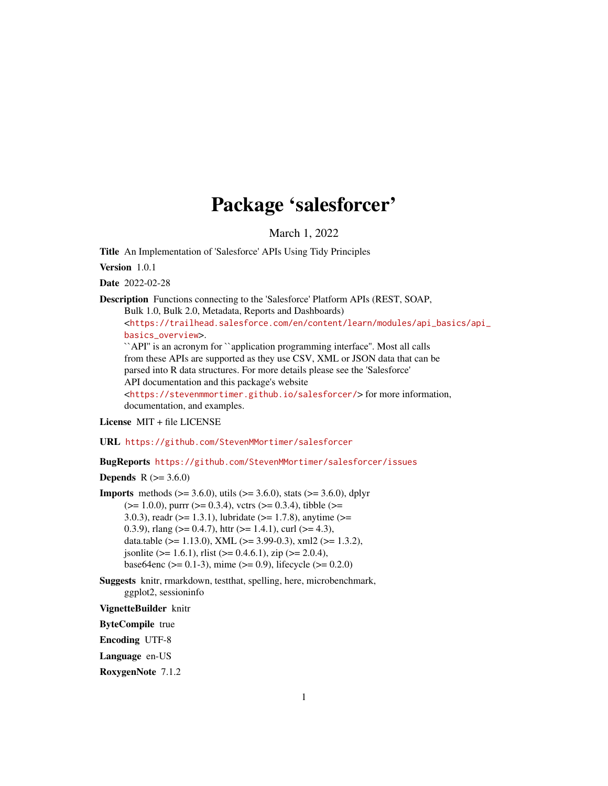# Package 'salesforcer'

March 1, 2022

<span id="page-0-0"></span>Title An Implementation of 'Salesforce' APIs Using Tidy Principles

Version 1.0.1

Date 2022-02-28

Description Functions connecting to the 'Salesforce' Platform APIs (REST, SOAP,

Bulk 1.0, Bulk 2.0, Metadata, Reports and Dashboards)

<[https://trailhead.salesforce.com/en/content/learn/modules/api\\_basics/api\\_](https://trailhead.salesforce.com/en/content/learn/modules/api_basics/api_basics_overview) [basics\\_overview](https://trailhead.salesforce.com/en/content/learn/modules/api_basics/api_basics_overview)>.

``API'' is an acronym for ``application programming interface''. Most all calls from these APIs are supported as they use CSV, XML or JSON data that can be parsed into R data structures. For more details please see the 'Salesforce' API documentation and this package's website <<https://stevenmmortimer.github.io/salesforcer/>> for more information,

documentation, and examples. License MIT + file LICENSE

URL <https://github.com/StevenMMortimer/salesforcer>

BugReports <https://github.com/StevenMMortimer/salesforcer/issues>

**Depends** R  $(>= 3.6.0)$ 

**Imports** methods ( $> = 3.6.0$ ), utils ( $> = 3.6.0$ ), stats ( $> = 3.6.0$ ), dplyr  $(>= 1.0.0)$ , purrr  $(>= 0.3.4)$ , vctrs  $(>= 0.3.4)$ , tibble  $(>= 1.0.0)$ 3.0.3), readr ( $>= 1.3.1$ ), lubridate ( $>= 1.7.8$ ), anytime ( $>= 1.5.1$ ) 0.3.9), rlang ( $> = 0.4.7$ ), httr ( $> = 1.4.1$ ), curl ( $> = 4.3$ ), data.table ( $>= 1.13.0$ ), XML ( $>= 3.99-0.3$ ), xml2 ( $>= 1.3.2$ ), jsonlite ( $> = 1.6.1$ ), rlist ( $> = 0.4.6.1$ ), zip ( $> = 2.0.4$ ), base64enc ( $> = 0.1-3$ ), mime ( $> = 0.9$ ), lifecycle ( $> = 0.2.0$ )

Suggests knitr, rmarkdown, testthat, spelling, here, microbenchmark, ggplot2, sessioninfo

VignetteBuilder knitr

ByteCompile true

Encoding UTF-8

Language en-US

RoxygenNote 7.1.2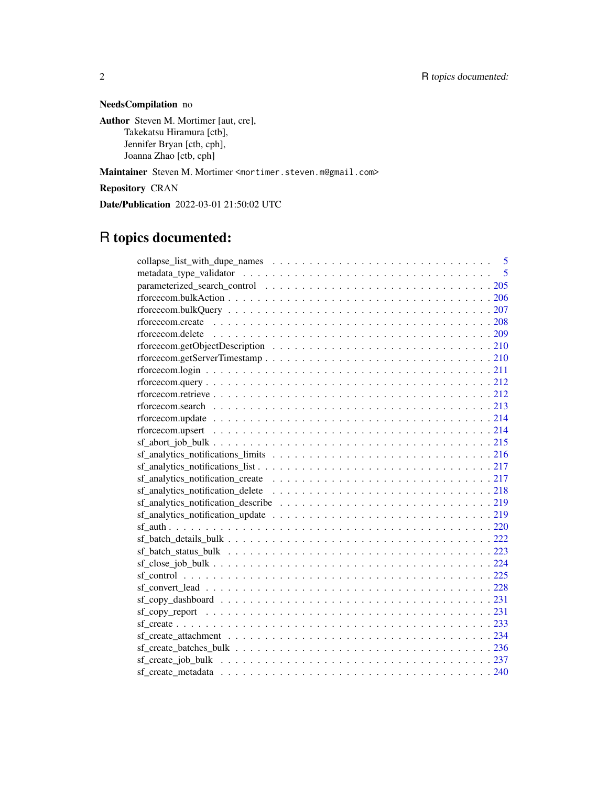# NeedsCompilation no

Author Steven M. Mortimer [aut, cre], Takekatsu Hiramura [ctb], Jennifer Bryan [ctb, cph], Joanna Zhao [ctb, cph]

Maintainer Steven M. Mortimer <mortimer.steven.m@gmail.com>

Repository CRAN

Date/Publication 2022-03-01 21:50:02 UTC

# R topics documented:

| $sf\_copy\_dash$ |
|------------------|
|                  |
|                  |
|                  |
|                  |
|                  |
|                  |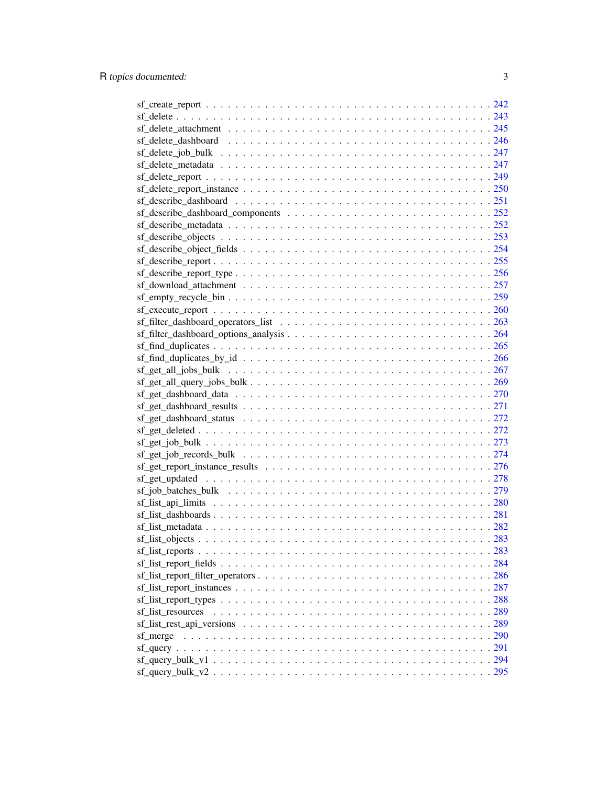| $\frac{\text{sf\_get\_dash} \text{dash} \text{toard\_status}}{272}$                                                   |  |
|-----------------------------------------------------------------------------------------------------------------------|--|
|                                                                                                                       |  |
|                                                                                                                       |  |
|                                                                                                                       |  |
|                                                                                                                       |  |
|                                                                                                                       |  |
|                                                                                                                       |  |
|                                                                                                                       |  |
| $sf\_list\_dashboards \ldots \ldots \ldots \ldots \ldots \ldots \ldots \ldots \ldots \ldots \ldots \ldots \ldots 281$ |  |
|                                                                                                                       |  |
|                                                                                                                       |  |
|                                                                                                                       |  |
|                                                                                                                       |  |
|                                                                                                                       |  |
| $sf\_list\_report\_instances \ldots \ldots \ldots \ldots \ldots \ldots \ldots \ldots \ldots \ldots \ldots \ldots 287$ |  |
|                                                                                                                       |  |
|                                                                                                                       |  |
| sf_list_resources                                                                                                     |  |
|                                                                                                                       |  |
| sf merge                                                                                                              |  |
|                                                                                                                       |  |
|                                                                                                                       |  |
|                                                                                                                       |  |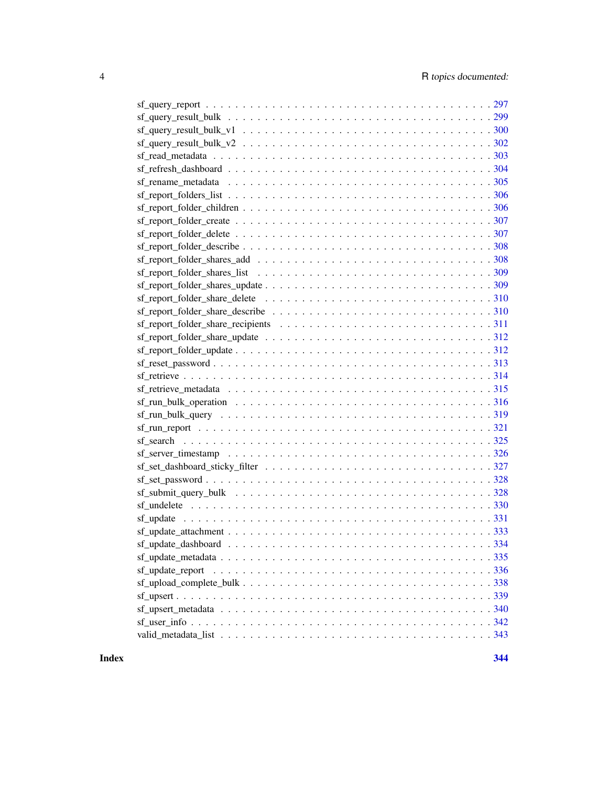| $\mathsf{sf\_rename\_metad}$ and $\mathsf{sfad}$ and $\mathsf{sfad}$ and $\mathsf{sfad}$ are $\mathsf{metad}$ and $\mathsf{st\_rename\_metad}$ and $\mathsf{st\_rename\_metad}$ |
|---------------------------------------------------------------------------------------------------------------------------------------------------------------------------------|
|                                                                                                                                                                                 |
|                                                                                                                                                                                 |
|                                                                                                                                                                                 |
|                                                                                                                                                                                 |
|                                                                                                                                                                                 |
|                                                                                                                                                                                 |
|                                                                                                                                                                                 |
| $sf\_report\_folder\_shares\_update \dots \dots \dots \dots \dots \dots \dots \dots \dots \dots \dots \dots 309$                                                                |
|                                                                                                                                                                                 |
|                                                                                                                                                                                 |
|                                                                                                                                                                                 |
|                                                                                                                                                                                 |
|                                                                                                                                                                                 |
|                                                                                                                                                                                 |
|                                                                                                                                                                                 |
|                                                                                                                                                                                 |
|                                                                                                                                                                                 |
|                                                                                                                                                                                 |
|                                                                                                                                                                                 |
|                                                                                                                                                                                 |
|                                                                                                                                                                                 |
|                                                                                                                                                                                 |
|                                                                                                                                                                                 |
|                                                                                                                                                                                 |
|                                                                                                                                                                                 |
|                                                                                                                                                                                 |
|                                                                                                                                                                                 |
|                                                                                                                                                                                 |
|                                                                                                                                                                                 |
|                                                                                                                                                                                 |
|                                                                                                                                                                                 |
|                                                                                                                                                                                 |
|                                                                                                                                                                                 |
|                                                                                                                                                                                 |
|                                                                                                                                                                                 |

**Index** [344](#page-343-0)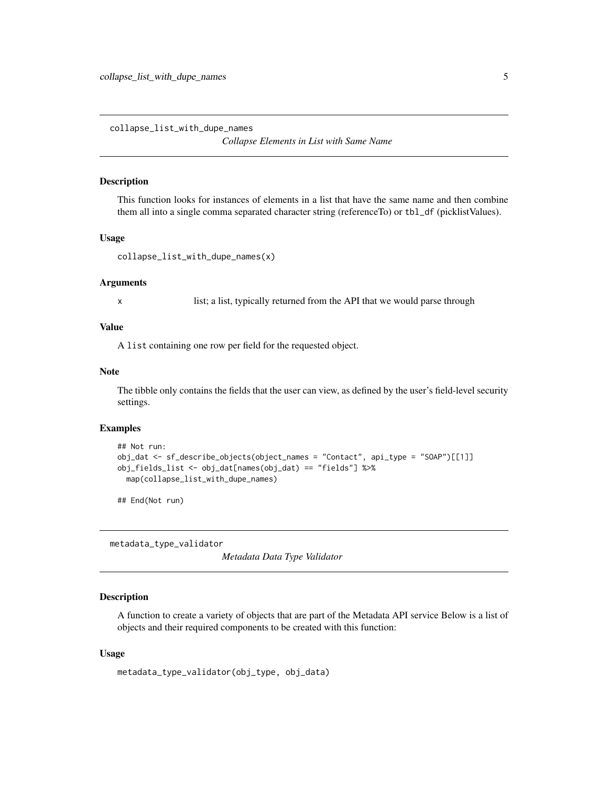<span id="page-4-0"></span>collapse\_list\_with\_dupe\_names

*Collapse Elements in List with Same Name*

# Description

This function looks for instances of elements in a list that have the same name and then combine them all into a single comma separated character string (referenceTo) or tbl\_df (picklistValues).

#### Usage

```
collapse_list_with_dupe_names(x)
```
#### Arguments

x list; a list, typically returned from the API that we would parse through

#### Value

A list containing one row per field for the requested object.

#### Note

The tibble only contains the fields that the user can view, as defined by the user's field-level security settings.

#### Examples

```
## Not run:
obj_dat <- sf_describe_objects(object_names = "Contact", api_type = "SOAP")[[1]]
obj_fields_list <- obj_dat[names(obj_dat) == "fields"] %>%
 map(collapse_list_with_dupe_names)
```
## End(Not run)

metadata\_type\_validator

*Metadata Data Type Validator*

#### **Description**

A function to create a variety of objects that are part of the Metadata API service Below is a list of objects and their required components to be created with this function:

#### Usage

```
metadata_type_validator(obj_type, obj_data)
```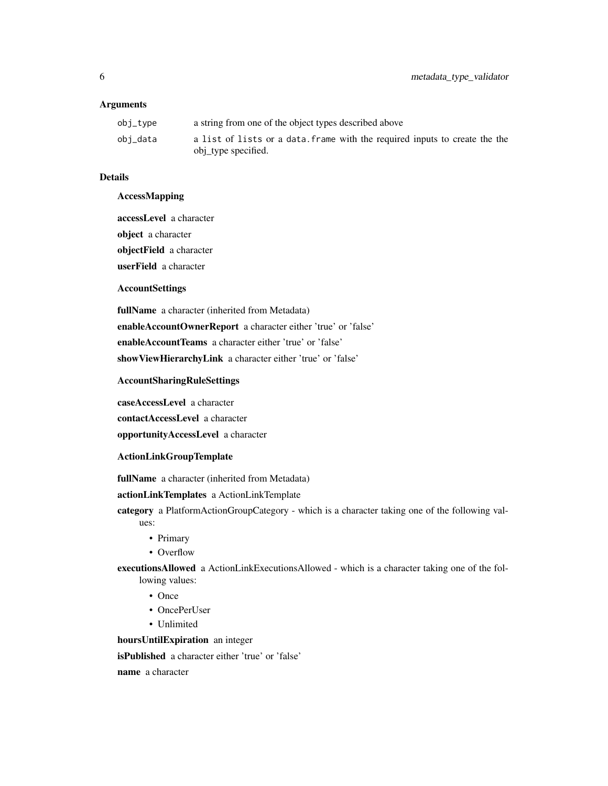# Arguments

| obi_tvpe | a string from one of the object types described above                                              |
|----------|----------------------------------------------------------------------------------------------------|
| obi_data | a list of lists or a data. Frame with the required inputs to create the the<br>obj type specified. |

# Details

# AccessMapping

accessLevel a character object a character objectField a character userField a character

# AccountSettings

fullName a character (inherited from Metadata) enableAccountOwnerReport a character either 'true' or 'false' enableAccountTeams a character either 'true' or 'false' showViewHierarchyLink a character either 'true' or 'false'

#### AccountSharingRuleSettings

caseAccessLevel a character contactAccessLevel a character opportunityAccessLevel a character

## ActionLinkGroupTemplate

fullName a character (inherited from Metadata)

actionLinkTemplates a ActionLinkTemplate

category a PlatformActionGroupCategory - which is a character taking one of the following values:

- 
- Primary
- Overflow
- executionsAllowed a ActionLinkExecutionsAllowed which is a character taking one of the following values:
	- Once
	- OncePerUser
	- Unlimited

hoursUntilExpiration an integer

isPublished a character either 'true' or 'false'

name a character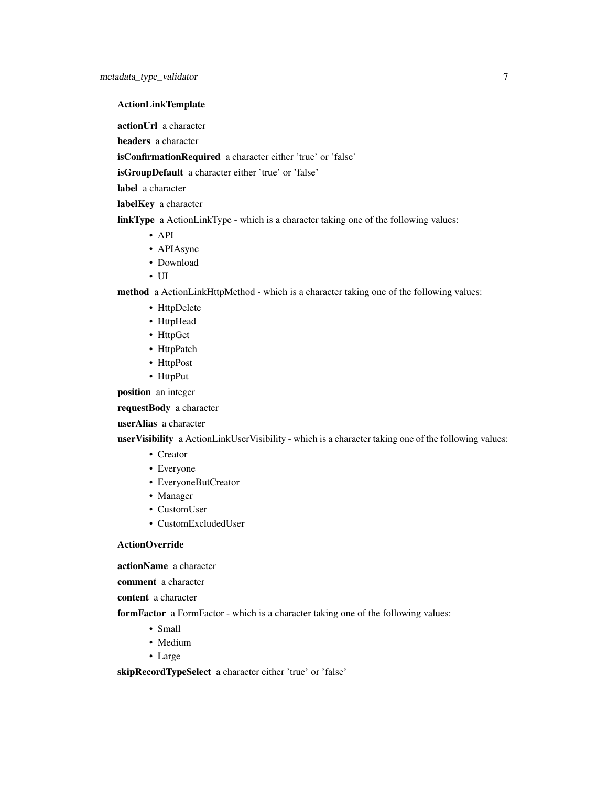# ActionLinkTemplate

actionUrl a character

headers a character

isConfirmationRequired a character either 'true' or 'false'

isGroupDefault a character either 'true' or 'false'

label a character

label**Key** a character

linkType a ActionLinkType - which is a character taking one of the following values:

- API
- APIAsync
- Download
- UI

method a ActionLinkHttpMethod - which is a character taking one of the following values:

- HttpDelete
- HttpHead
- HttpGet
- HttpPatch
- HttpPost
- HttpPut

position an integer

requestBody a character

userAlias a character

userVisibility a ActionLinkUserVisibility - which is a character taking one of the following values:

- Creator
- Everyone
- EveryoneButCreator
- Manager
- CustomUser
- CustomExcludedUser

#### ActionOverride

actionName a character

comment a character

content a character

formFactor a FormFactor - which is a character taking one of the following values:

- Small
- Medium
- Large

skipRecordTypeSelect a character either 'true' or 'false'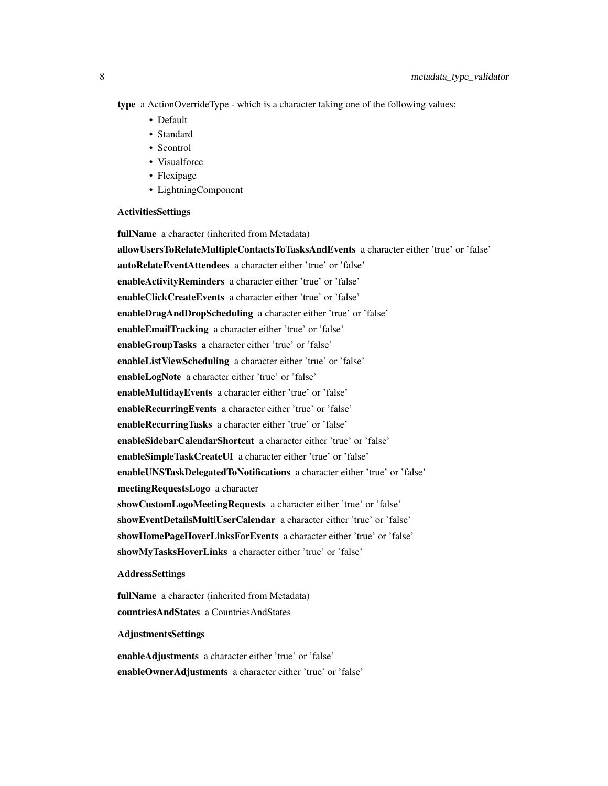type a ActionOverrideType - which is a character taking one of the following values:

- Default
- Standard
- Scontrol
- Visualforce
- Flexipage
- LightningComponent

#### ActivitiesSettings

fullName a character (inherited from Metadata)

allowUsersToRelateMultipleContactsToTasksAndEvents a character either 'true' or 'false' autoRelateEventAttendees a character either 'true' or 'false' enableActivityReminders a character either 'true' or 'false' enableClickCreateEvents a character either 'true' or 'false' enableDragAndDropScheduling a character either 'true' or 'false' enableEmailTracking a character either 'true' or 'false' enableGroupTasks a character either 'true' or 'false' enableListViewScheduling a character either 'true' or 'false' enableLogNote a character either 'true' or 'false' enableMultidayEvents a character either 'true' or 'false' enableRecurringEvents a character either 'true' or 'false' enableRecurringTasks a character either 'true' or 'false' enableSidebarCalendarShortcut a character either 'true' or 'false' enableSimpleTaskCreateUI a character either 'true' or 'false' enableUNSTaskDelegatedToNotifications a character either 'true' or 'false' meetingRequestsLogo a character showCustomLogoMeetingRequests a character either 'true' or 'false' showEventDetailsMultiUserCalendar a character either 'true' or 'false' showHomePageHoverLinksForEvents a character either 'true' or 'false' showMyTasksHoverLinks a character either 'true' or 'false'

## AddressSettings

fullName a character (inherited from Metadata) countriesAndStates a CountriesAndStates

## AdjustmentsSettings

enableAdjustments a character either 'true' or 'false' enableOwnerAdjustments a character either 'true' or 'false'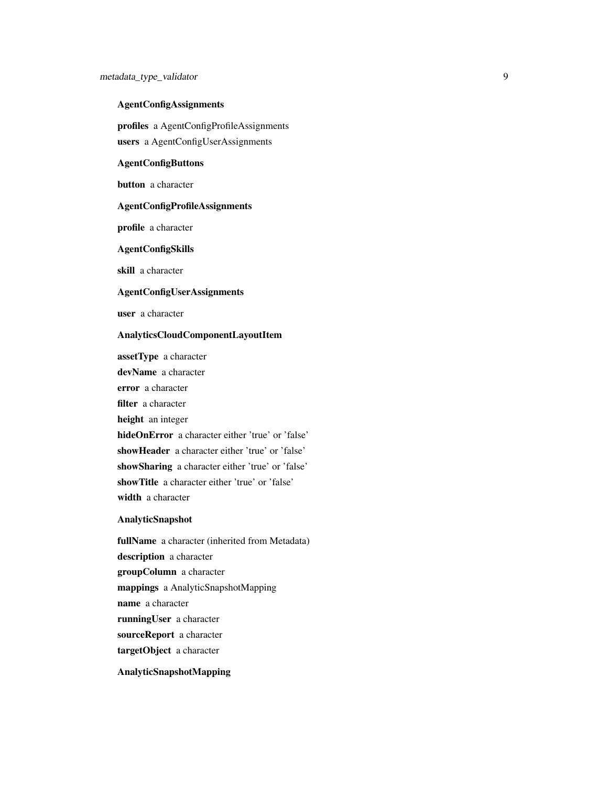# AgentConfigAssignments

profiles a AgentConfigProfileAssignments users a AgentConfigUserAssignments

# AgentConfigButtons

button a character

## AgentConfigProfileAssignments

profile a character

#### AgentConfigSkills

skill a character

## AgentConfigUserAssignments

user a character

# AnalyticsCloudComponentLayoutItem

assetType a character devName a character error a character filter a character height an integer hideOnError a character either 'true' or 'false' showHeader a character either 'true' or 'false' showSharing a character either 'true' or 'false' showTitle a character either 'true' or 'false' width a character

# AnalyticSnapshot

fullName a character (inherited from Metadata) description a character groupColumn a character mappings a AnalyticSnapshotMapping name a character runningUser a character sourceReport a character targetObject a character

# AnalyticSnapshotMapping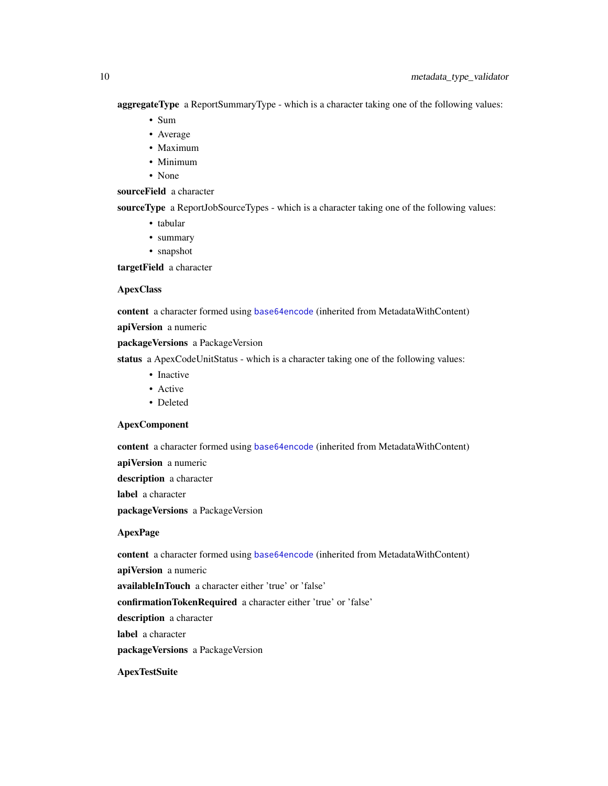aggregateType a ReportSummaryType - which is a character taking one of the following values:

- Sum
- Average
- Maximum
- Minimum
- None

# sourceField a character

sourceType a ReportJobSourceTypes - which is a character taking one of the following values:

- tabular
- summary
- snapshot

targetField a character

## ApexClass

content a character formed using [base64encode](#page-0-0) (inherited from MetadataWithContent)

apiVersion a numeric

packageVersions a PackageVersion

status a ApexCodeUnitStatus - which is a character taking one of the following values:

- Inactive
- Active
- Deleted

## ApexComponent

content a character formed using [base64encode](#page-0-0) (inherited from MetadataWithContent)

apiVersion a numeric

description a character

label a character

packageVersions a PackageVersion

# ApexPage

content a character formed using [base64encode](#page-0-0) (inherited from MetadataWithContent)

apiVersion a numeric

availableInTouch a character either 'true' or 'false'

confirmationTokenRequired a character either 'true' or 'false'

description a character

label a character

packageVersions a PackageVersion

**ApexTestSuite**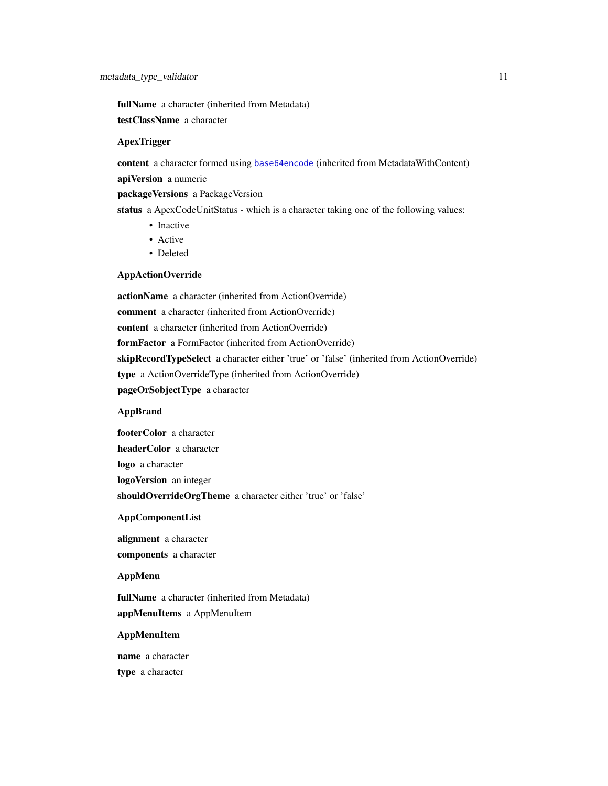fullName a character (inherited from Metadata) testClassName a character

#### **ApexTrigger**

content a character formed using [base64encode](#page-0-0) (inherited from MetadataWithContent) apiVersion a numeric

packageVersions a PackageVersion

status a ApexCodeUnitStatus - which is a character taking one of the following values:

- Inactive
- Active
- Deleted

#### AppActionOverride

actionName a character (inherited from ActionOverride) comment a character (inherited from ActionOverride) content a character (inherited from ActionOverride) formFactor a FormFactor (inherited from ActionOverride) skipRecordTypeSelect a character either 'true' or 'false' (inherited from ActionOverride) type a ActionOverrideType (inherited from ActionOverride) pageOrSobjectType a character

## AppBrand

footerColor a character headerColor a character logo a character logoVersion an integer shouldOverrideOrgTheme a character either 'true' or 'false'

#### AppComponentList

alignment a character components a character

## AppMenu

fullName a character (inherited from Metadata) appMenuItems a AppMenuItem

# AppMenuItem

name a character type a character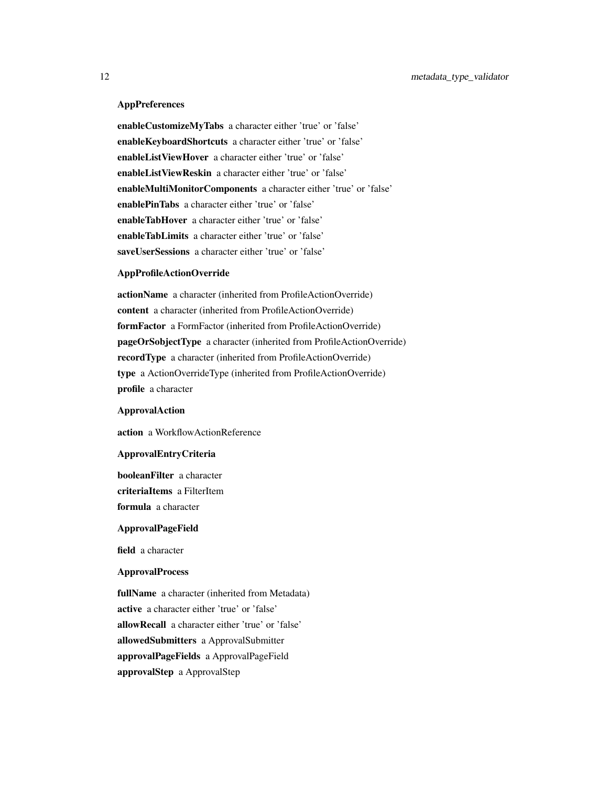## **AppPreferences**

enableCustomizeMyTabs a character either 'true' or 'false' enableKeyboardShortcuts a character either 'true' or 'false' enableListViewHover a character either 'true' or 'false' enableListViewReskin a character either 'true' or 'false' enableMultiMonitorComponents a character either 'true' or 'false' enablePinTabs a character either 'true' or 'false' enableTabHover a character either 'true' or 'false' enableTabLimits a character either 'true' or 'false' saveUserSessions a character either 'true' or 'false'

# AppProfileActionOverride

actionName a character (inherited from ProfileActionOverride) content a character (inherited from ProfileActionOverride) formFactor a FormFactor (inherited from ProfileActionOverride) pageOrSobjectType a character (inherited from ProfileActionOverride) recordType a character (inherited from ProfileActionOverride) type a ActionOverrideType (inherited from ProfileActionOverride) profile a character

#### ApprovalAction

action a WorkflowActionReference

#### ApprovalEntryCriteria

booleanFilter a character criteriaItems a FilterItem formula a character

#### ApprovalPageField

field a character

#### ApprovalProcess

fullName a character (inherited from Metadata) active a character either 'true' or 'false' allowRecall a character either 'true' or 'false' allowedSubmitters a ApprovalSubmitter approvalPageFields a ApprovalPageField approvalStep a ApprovalStep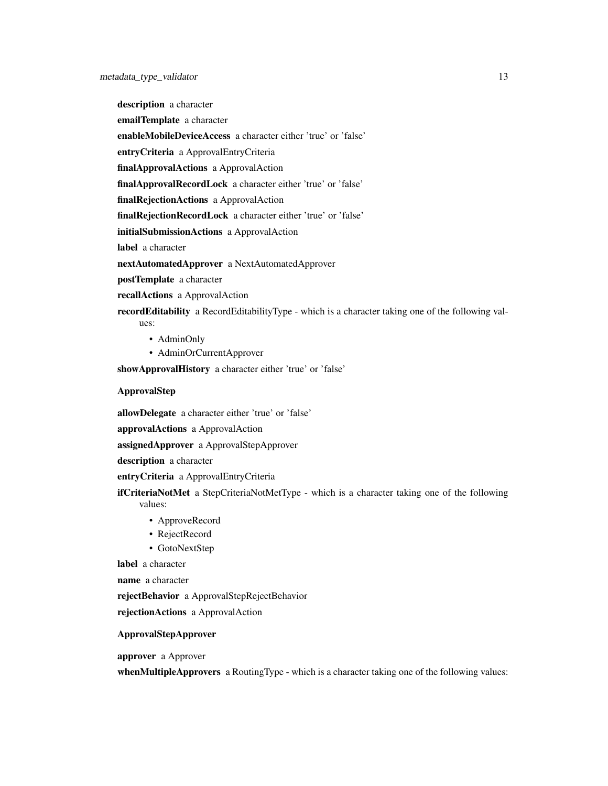description a character emailTemplate a character enableMobileDeviceAccess a character either 'true' or 'false' entryCriteria a ApprovalEntryCriteria finalApprovalActions a ApprovalAction finalApprovalRecordLock a character either 'true' or 'false' finalRejectionActions a ApprovalAction finalRejectionRecordLock a character either 'true' or 'false' initialSubmissionActions a ApprovalAction label a character nextAutomatedApprover a NextAutomatedApprover

postTemplate a character

recallActions a ApprovalAction

recordEditability a RecordEditabilityType - which is a character taking one of the following val-

- AdminOnly
- AdminOrCurrentApprover

showApprovalHistory a character either 'true' or 'false'

## ApprovalStep

ues:

allowDelegate a character either 'true' or 'false'

approvalActions a ApprovalAction

assignedApprover a ApprovalStepApprover

description a character

entryCriteria a ApprovalEntryCriteria

**ifCriteriaNotMet** a StepCriteriaNotMetType - which is a character taking one of the following values:

- ApproveRecord
- RejectRecord
- GotoNextStep

label a character

name a character

rejectBehavior a ApprovalStepRejectBehavior

rejectionActions a ApprovalAction

# ApprovalStepApprover

approver a Approver

whenMultipleApprovers a RoutingType - which is a character taking one of the following values: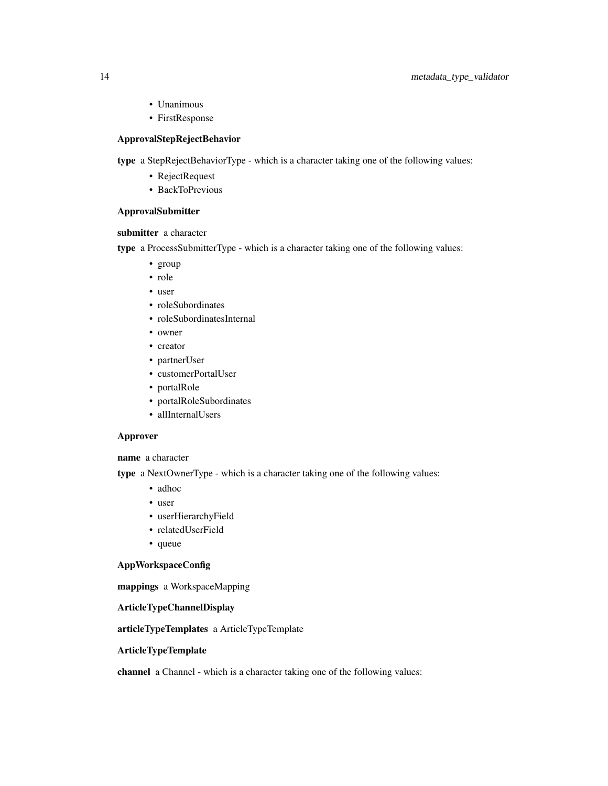# 14 metadata\_type\_validator

- Unanimous
- FirstResponse

## ApprovalStepRejectBehavior

type a StepRejectBehaviorType - which is a character taking one of the following values:

- RejectRequest
- BackToPrevious

## ApprovalSubmitter

submitter a character

type a ProcessSubmitterType - which is a character taking one of the following values:

- group
- role
- user
- roleSubordinates
- roleSubordinatesInternal
- owner
- creator
- partnerUser
- customerPortalUser
- portalRole
- portalRoleSubordinates
- allInternalUsers

# Approver

name a character

type a NextOwnerType - which is a character taking one of the following values:

- adhoc
- user
- userHierarchyField
- relatedUserField
- queue

# AppWorkspaceConfig

mappings a WorkspaceMapping

# ArticleTypeChannelDisplay

articleTypeTemplates a ArticleTypeTemplate

# ArticleTypeTemplate

channel a Channel - which is a character taking one of the following values: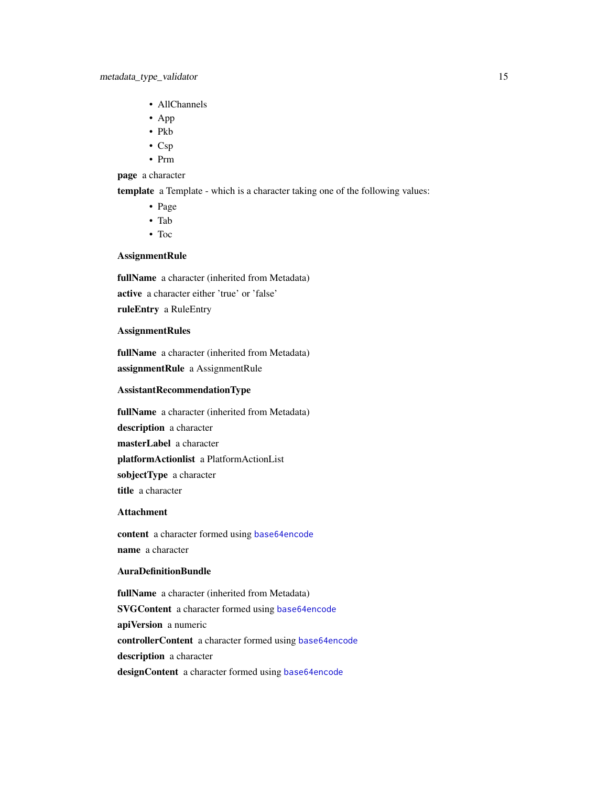- AllChannels
- App
- Pkb
- Csp
- Prm

## page a character

template a Template - which is a character taking one of the following values:

- Page
- Tab
- Toc

# AssignmentRule

fullName a character (inherited from Metadata) active a character either 'true' or 'false' ruleEntry a RuleEntry

## AssignmentRules

fullName a character (inherited from Metadata) assignmentRule a AssignmentRule

## AssistantRecommendationType

fullName a character (inherited from Metadata) description a character masterLabel a character platformActionlist a PlatformActionList sobjectType a character title a character

## Attachment

content a character formed using [base64encode](#page-0-0) name a character

#### AuraDefinitionBundle

fullName a character (inherited from Metadata) SVGContent a character formed using [base64encode](#page-0-0) apiVersion a numeric controllerContent a character formed using [base64encode](#page-0-0) description a character designContent a character formed using [base64encode](#page-0-0)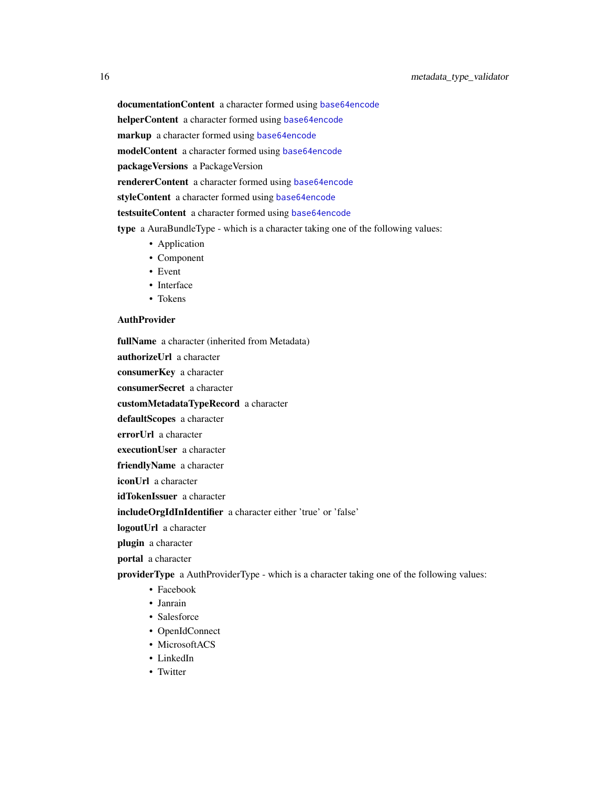documentationContent a character formed using [base64encode](#page-0-0)

helperContent a character formed using [base64encode](#page-0-0)

markup a character formed using [base64encode](#page-0-0)

modelContent a character formed using [base64encode](#page-0-0)

packageVersions a PackageVersion

rendererContent a character formed using [base64encode](#page-0-0)

styleContent a character formed using [base64encode](#page-0-0)

testsuiteContent a character formed using [base64encode](#page-0-0)

type a AuraBundleType - which is a character taking one of the following values:

- Application
- Component
- Event
- Interface
- Tokens

#### **AuthProvider**

fullName a character (inherited from Metadata)

authorizeUrl a character

consumerKey a character

consumerSecret a character

customMetadataTypeRecord a character

defaultScopes a character

errorUrl a character

executionUser a character

friendlyName a character

iconUrl a character

idTokenIssuer a character

includeOrgIdInIdentifier a character either 'true' or 'false'

logoutUrl a character

plugin a character

portal a character

providerType a AuthProviderType - which is a character taking one of the following values:

- Facebook
- Janrain
- Salesforce
- OpenIdConnect
- MicrosoftACS
- LinkedIn
- Twitter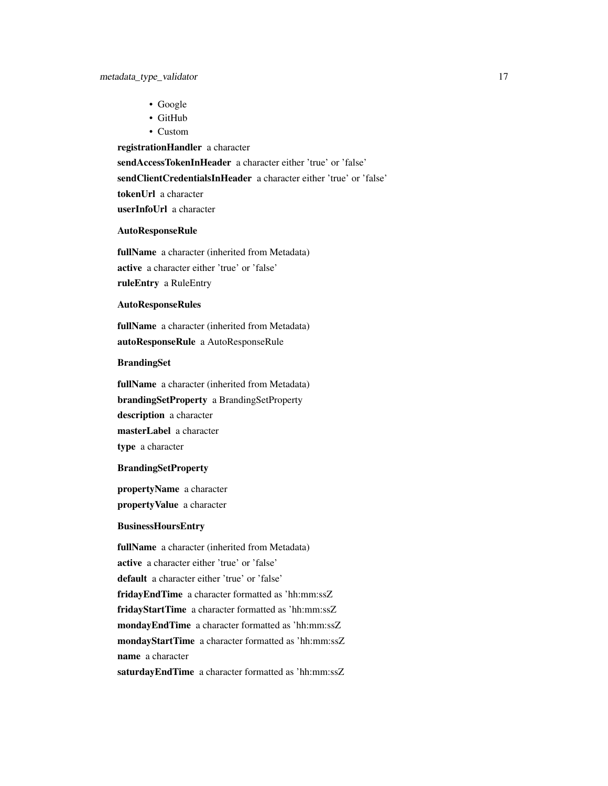- Google
- GitHub
- Custom

registrationHandler a character

sendAccessTokenInHeader a character either 'true' or 'false'

sendClientCredentialsInHeader a character either 'true' or 'false'

tokenUrl a character

userInfoUrl a character

#### AutoResponseRule

fullName a character (inherited from Metadata) active a character either 'true' or 'false' ruleEntry a RuleEntry

# AutoResponseRules

fullName a character (inherited from Metadata) autoResponseRule a AutoResponseRule

## BrandingSet

fullName a character (inherited from Metadata) brandingSetProperty a BrandingSetProperty description a character masterLabel a character type a character

## BrandingSetProperty

propertyName a character propertyValue a character

#### BusinessHoursEntry

fullName a character (inherited from Metadata) active a character either 'true' or 'false' default a character either 'true' or 'false' fridayEndTime a character formatted as 'hh:mm:ssZ fridayStartTime a character formatted as 'hh:mm:ssZ mondayEndTime a character formatted as 'hh:mm:ssZ mondayStartTime a character formatted as 'hh:mm:ssZ name a character

saturdayEndTime a character formatted as 'hh:mm:ssZ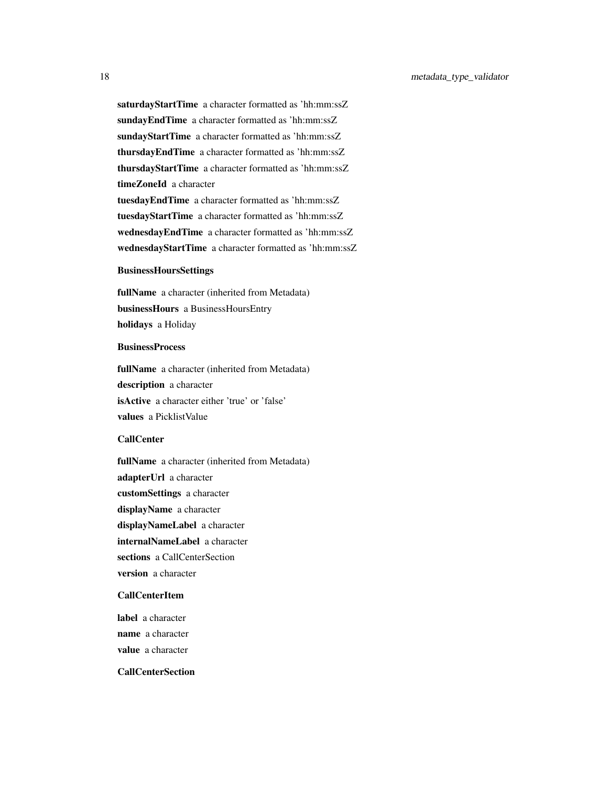saturdayStartTime a character formatted as 'hh:mm:ssZ sundayEndTime a character formatted as 'hh:mm:ssZ sundayStartTime a character formatted as 'hh:mm:ssZ thursdayEndTime a character formatted as 'hh:mm:ssZ thursdayStartTime a character formatted as 'hh:mm:ssZ timeZoneId a character tuesdayEndTime a character formatted as 'hh:mm:ssZ tuesdayStartTime a character formatted as 'hh:mm:ssZ wednesdayEndTime a character formatted as 'hh:mm:ssZ wednesdayStartTime a character formatted as 'hh:mm:ssZ

#### BusinessHoursSettings

fullName a character (inherited from Metadata) businessHours a BusinessHoursEntry holidays a Holiday

# **BusinessProcess**

fullName a character (inherited from Metadata) description a character isActive a character either 'true' or 'false' values a PicklistValue

# CallCenter

fullName a character (inherited from Metadata) adapterUrl a character customSettings a character displayName a character displayNameLabel a character internalNameLabel a character sections a CallCenterSection version a character

## CallCenterItem

label a character name a character value a character

# CallCenterSection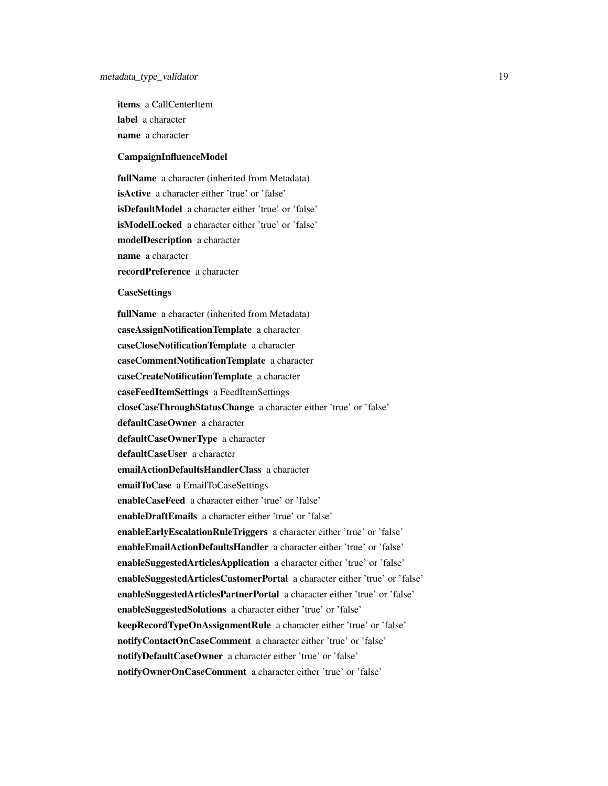items a CallCenterItem label a character name a character

#### CampaignInfluenceModel

fullName a character (inherited from Metadata) isActive a character either 'true' or 'false' isDefaultModel a character either 'true' or 'false' isModelLocked a character either 'true' or 'false' modelDescription a character name a character recordPreference a character

#### **CaseSettings**

fullName a character (inherited from Metadata) caseAssignNotificationTemplate a character caseCloseNotificationTemplate a character caseCommentNotificationTemplate a character caseCreateNotificationTemplate a character caseFeedItemSettings a FeedItemSettings closeCaseThroughStatusChange a character either 'true' or 'false' defaultCaseOwner a character defaultCaseOwnerType a character defaultCaseUser a character emailActionDefaultsHandlerClass a character emailToCase a EmailToCaseSettings enableCaseFeed a character either 'true' or 'false' enableDraftEmails a character either 'true' or 'false' enableEarlyEscalationRuleTriggers a character either 'true' or 'false' enableEmailActionDefaultsHandler a character either 'true' or 'false' enableSuggestedArticlesApplication a character either 'true' or 'false' enableSuggestedArticlesCustomerPortal a character either 'true' or 'false' enableSuggestedArticlesPartnerPortal a character either 'true' or 'false' enableSuggestedSolutions a character either 'true' or 'false' keepRecordTypeOnAssignmentRule a character either 'true' or 'false' notifyContactOnCaseComment a character either 'true' or 'false' notifyDefaultCaseOwner a character either 'true' or 'false' notifyOwnerOnCaseComment a character either 'true' or 'false'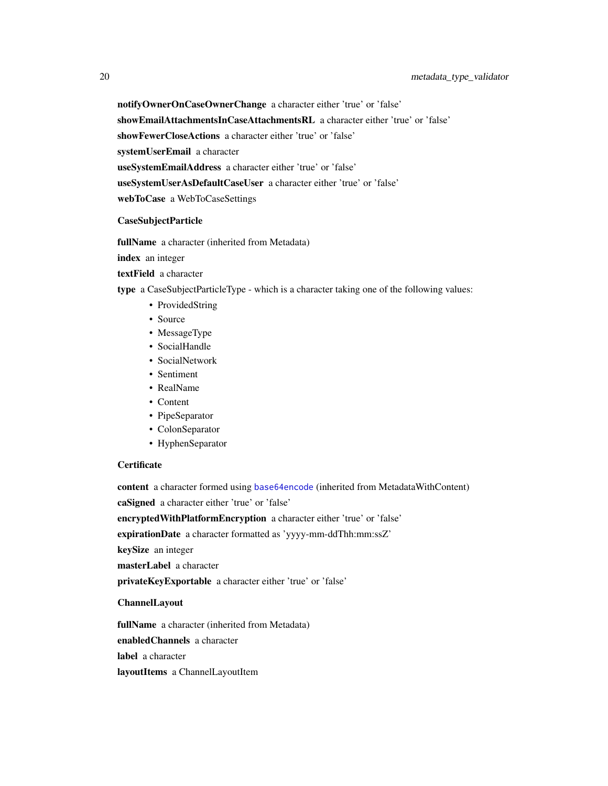notifyOwnerOnCaseOwnerChange a character either 'true' or 'false'

showEmailAttachmentsInCaseAttachmentsRL a character either 'true' or 'false'

showFewerCloseActions a character either 'true' or 'false'

systemUserEmail a character

useSystemEmailAddress a character either 'true' or 'false'

useSystemUserAsDefaultCaseUser a character either 'true' or 'false'

webToCase a WebToCaseSettings

# CaseSubjectParticle

fullName a character (inherited from Metadata)

index an integer

textField a character

type a CaseSubjectParticleType - which is a character taking one of the following values:

- ProvidedString
- Source
- MessageType
- SocialHandle
- SocialNetwork
- Sentiment
- RealName
- Content
- PipeSeparator
- ColonSeparator
- HyphenSeparator

# **Certificate**

content a character formed using [base64encode](#page-0-0) (inherited from MetadataWithContent) caSigned a character either 'true' or 'false'

encryptedWithPlatformEncryption a character either 'true' or 'false'

expirationDate a character formatted as 'yyyy-mm-ddThh:mm:ssZ'

keySize an integer

masterLabel a character

privateKeyExportable a character either 'true' or 'false'

#### ChannelLayout

fullName a character (inherited from Metadata) enabledChannels a character label a character layoutItems a ChannelLayoutItem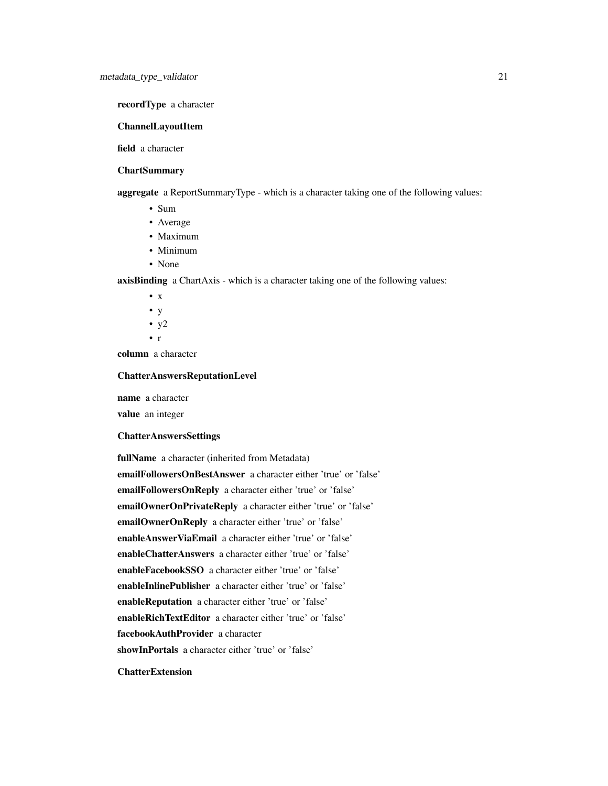# recordType a character

# ChannelLayoutItem

field a character

# **ChartSummary**

aggregate a ReportSummaryType - which is a character taking one of the following values:

- Sum
- Average
- Maximum
- Minimum
- None

axisBinding a ChartAxis - which is a character taking one of the following values:

- $\bullet$  x • y
- $y2$
- r

column a character

## ChatterAnswersReputationLevel

name a character

value an integer

# ChatterAnswersSettings

fullName a character (inherited from Metadata) emailFollowersOnBestAnswer a character either 'true' or 'false' emailFollowersOnReply a character either 'true' or 'false' emailOwnerOnPrivateReply a character either 'true' or 'false' emailOwnerOnReply a character either 'true' or 'false' enableAnswerViaEmail a character either 'true' or 'false' enableChatterAnswers a character either 'true' or 'false' enableFacebookSSO a character either 'true' or 'false' enableInlinePublisher a character either 'true' or 'false' enableReputation a character either 'true' or 'false' enableRichTextEditor a character either 'true' or 'false' facebookAuthProvider a character showInPortals a character either 'true' or 'false'

# **ChatterExtension**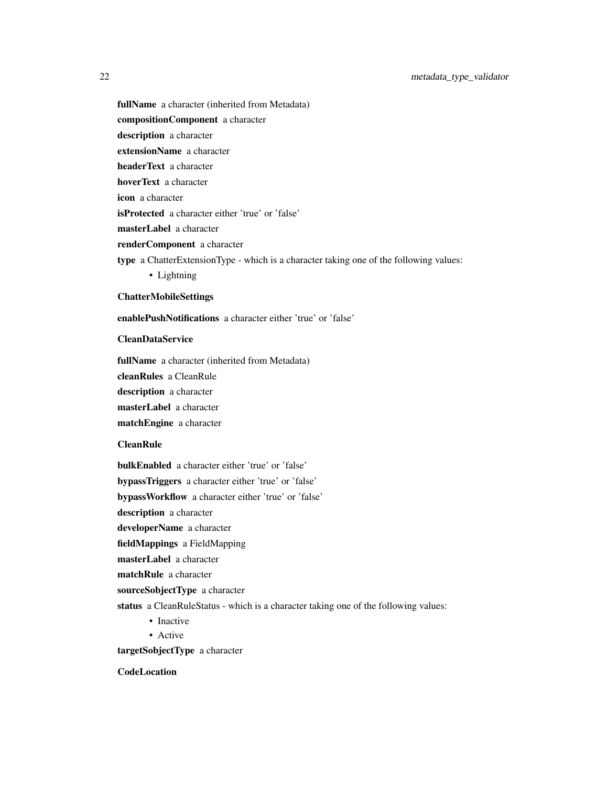- fullName a character (inherited from Metadata) compositionComponent a character description a character extensionName a character headerText a character hoverText a character icon a character isProtected a character either 'true' or 'false' masterLabel a character renderComponent a character
- 
- type a ChatterExtensionType which is a character taking one of the following values:
	- Lightning

# ChatterMobileSettings

enablePushNotifications a character either 'true' or 'false'

# CleanDataService

fullName a character (inherited from Metadata)

cleanRules a CleanRule

description a character

masterLabel a character

matchEngine a character

# CleanRule

bulkEnabled a character either 'true' or 'false'

bypassTriggers a character either 'true' or 'false'

bypassWorkflow a character either 'true' or 'false'

description a character

developerName a character

fieldMappings a FieldMapping

masterLabel a character

matchRule a character

sourceSobjectType a character

status a CleanRuleStatus - which is a character taking one of the following values:

- Inactive
- Active

targetSobjectType a character

**CodeLocation**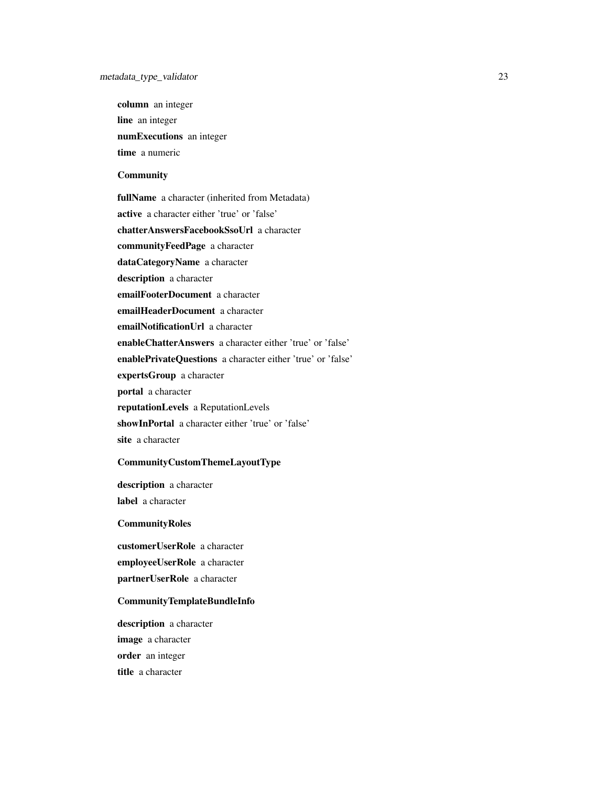column an integer line an integer numExecutions an integer time a numeric

# **Community**

fullName a character (inherited from Metadata) active a character either 'true' or 'false' chatterAnswersFacebookSsoUrl a character communityFeedPage a character dataCategoryName a character description a character emailFooterDocument a character emailHeaderDocument a character emailNotificationUrl a character enableChatterAnswers a character either 'true' or 'false' enablePrivateQuestions a character either 'true' or 'false' expertsGroup a character portal a character reputationLevels a ReputationLevels showInPortal a character either 'true' or 'false' site a character

# CommunityCustomThemeLayoutType

description a character label a character

**CommunityRoles** 

customerUserRole a character employeeUserRole a character partnerUserRole a character

# CommunityTemplateBundleInfo

description a character image a character order an integer title a character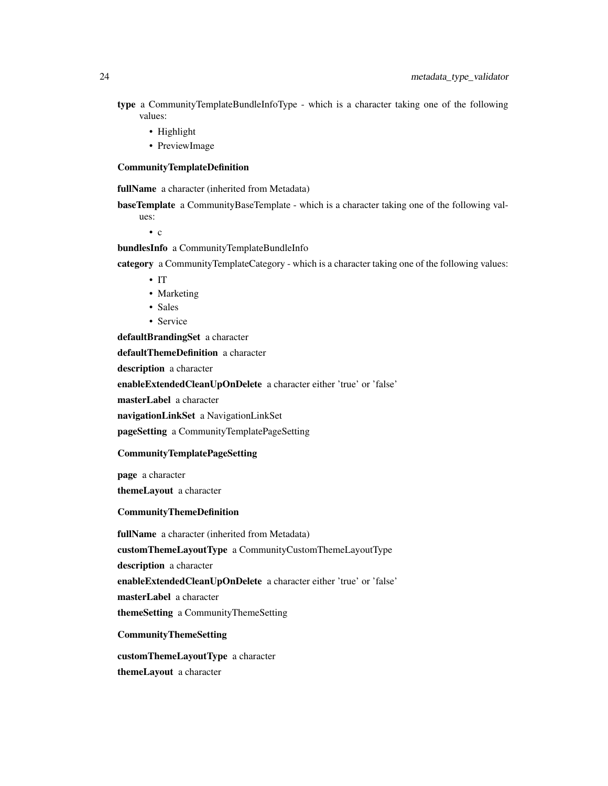- type a CommunityTemplateBundleInfoType which is a character taking one of the following values:
	- Highlight
	- PreviewImage

#### CommunityTemplateDefinition

fullName a character (inherited from Metadata)

baseTemplate a CommunityBaseTemplate - which is a character taking one of the following values:

• c

bundlesInfo a CommunityTemplateBundleInfo

category a CommunityTemplateCategory - which is a character taking one of the following values:

- IT
- Marketing
- Sales
- Service

defaultBrandingSet a character

defaultThemeDefinition a character

description a character

enableExtendedCleanUpOnDelete a character either 'true' or 'false'

masterLabel a character

navigationLinkSet a NavigationLinkSet

pageSetting a CommunityTemplatePageSetting

## CommunityTemplatePageSetting

page a character

themeLayout a character

# CommunityThemeDefinition

fullName a character (inherited from Metadata) customThemeLayoutType a CommunityCustomThemeLayoutType description a character enableExtendedCleanUpOnDelete a character either 'true' or 'false' masterLabel a character themeSetting a CommunityThemeSetting CommunityThemeSetting

customThemeLayoutType a character themeLayout a character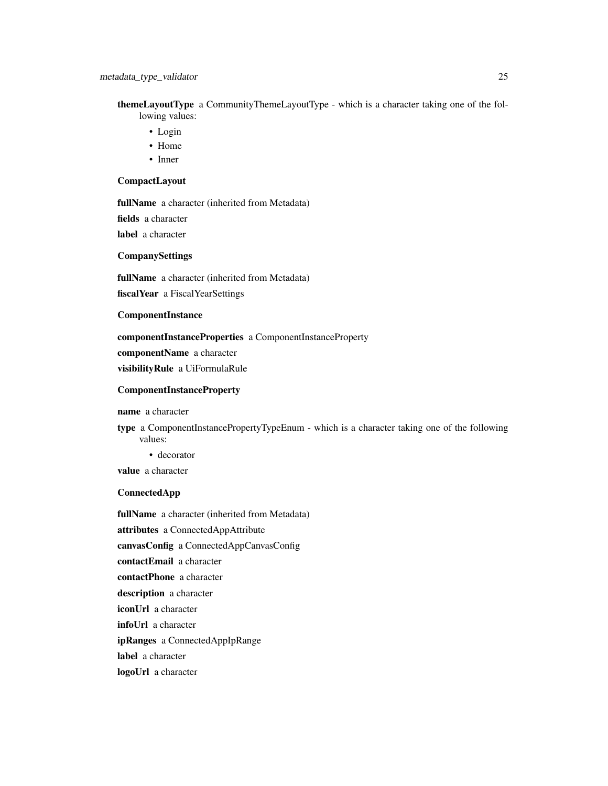themeLayoutType a CommunityThemeLayoutType - which is a character taking one of the following values:

- Login
- Home
- Inner

# CompactLayout

fullName a character (inherited from Metadata) fields a character label a character

# CompanySettings

fullName a character (inherited from Metadata)

fiscalYear a FiscalYearSettings

#### ComponentInstance

componentInstanceProperties a ComponentInstanceProperty componentName a character

visibilityRule a UiFormulaRule

## ComponentInstanceProperty

name a character

type a ComponentInstancePropertyTypeEnum - which is a character taking one of the following values:

• decorator

value a character

#### ConnectedApp

fullName a character (inherited from Metadata) attributes a ConnectedAppAttribute canvasConfig a ConnectedAppCanvasConfig contactEmail a character contactPhone a character description a character iconUrl a character infoUrl a character ipRanges a ConnectedAppIpRange label a character logoUrl a character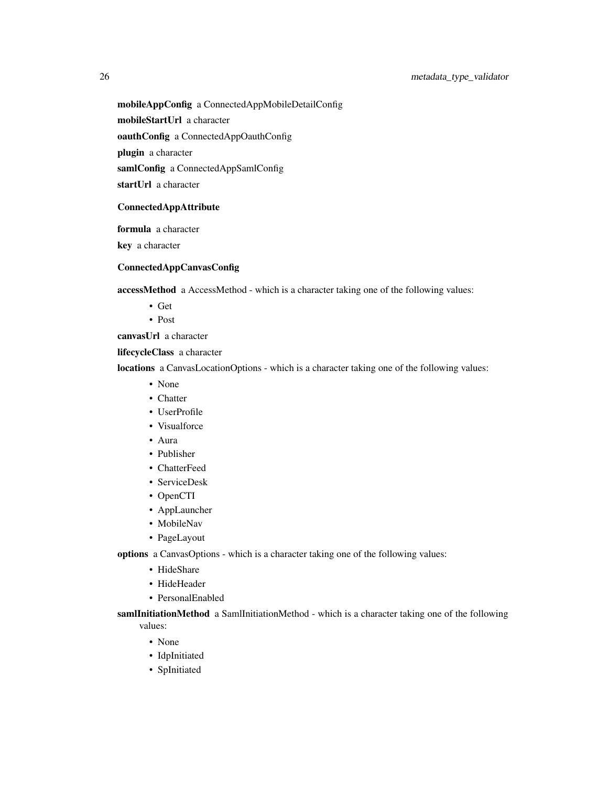mobileAppConfig a ConnectedAppMobileDetailConfig

mobileStartUrl a character

oauthConfig a ConnectedAppOauthConfig

plugin a character

samlConfig a ConnectedAppSamlConfig

startUrl a character

# ConnectedAppAttribute

formula a character

key a character

# ConnectedAppCanvasConfig

accessMethod a AccessMethod - which is a character taking one of the following values:

- Get
- Post

canvasUrl a character

lifecycleClass a character

locations a CanvasLocationOptions - which is a character taking one of the following values:

- None
- Chatter
- UserProfile
- Visualforce
- Aura
- Publisher
- ChatterFeed
- ServiceDesk
- OpenCTI
- AppLauncher
- MobileNav
- PageLayout

options a CanvasOptions - which is a character taking one of the following values:

- HideShare
- HideHeader
- PersonalEnabled

samlInitiationMethod a SamlInitiationMethod - which is a character taking one of the following values:

- None
- IdpInitiated
- SpInitiated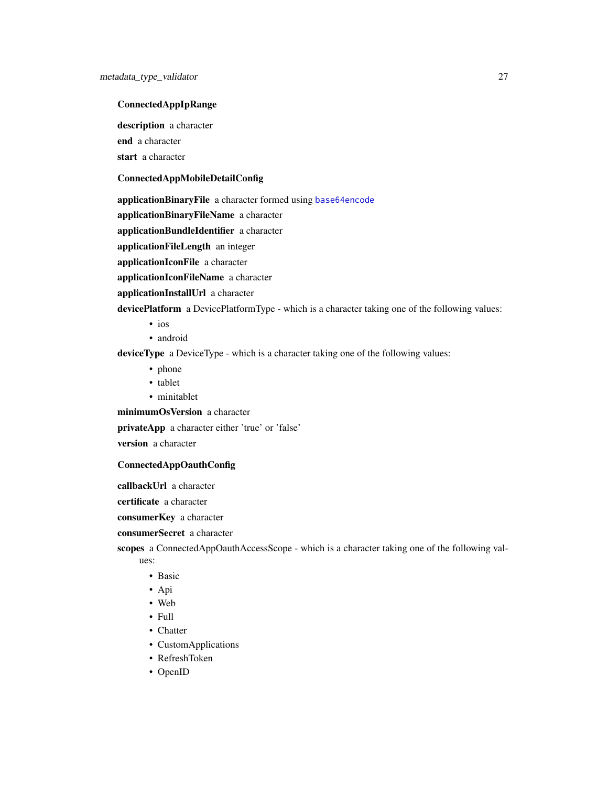## ConnectedAppIpRange

description a character end a character start a character

#### ConnectedAppMobileDetailConfig

applicationBinaryFile a character formed using [base64encode](#page-0-0)

applicationBinaryFileName a character

applicationBundleIdentifier a character

applicationFileLength an integer

applicationIconFile a character

applicationIconFileName a character

applicationInstallUrl a character

devicePlatform a DevicePlatformType - which is a character taking one of the following values:

- ios
	- android

deviceType a DeviceType - which is a character taking one of the following values:

- phone
- tablet
- minitablet

minimumOsVersion a character

privateApp a character either 'true' or 'false'

version a character

# ConnectedAppOauthConfig

callbackUrl a character

certificate a character

consumerKey a character

consumerSecret a character

scopes a ConnectedAppOauthAccessScope - which is a character taking one of the following values:

- Basic
- Api
- Web
- Full
- Chatter
- CustomApplications
- RefreshToken
- OpenID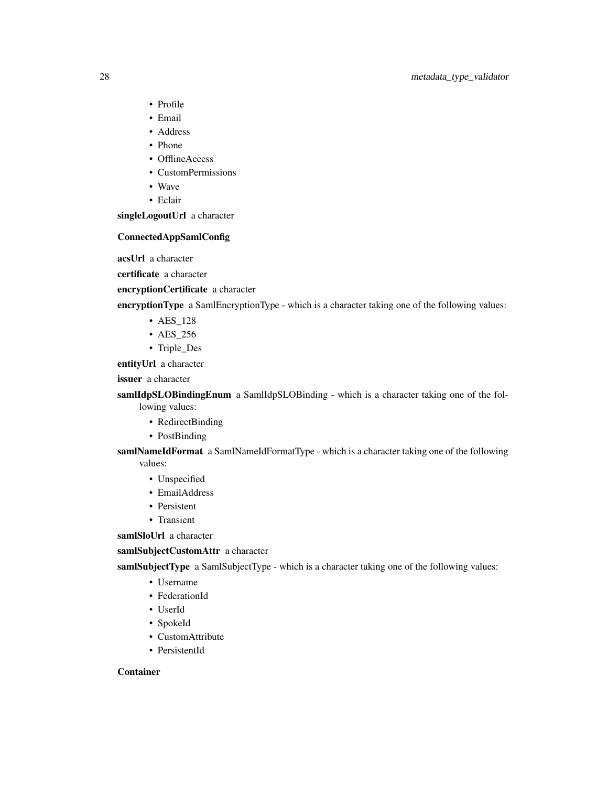# 28 metadata\_type\_validator

- Profile
- Email
- Address
- Phone
- OfflineAccess
- CustomPermissions
- Wave
- Eclair

singleLogoutUrl a character

# ConnectedAppSamlConfig

acsUrl a character

certificate a character

encryptionCertificate a character

encryptionType a SamlEncryptionType - which is a character taking one of the following values:

- AES\_128
- AES\_256
- Triple\_Des

entityUrl a character

issuer a character

samlIdpSLOBindingEnum a SamlIdpSLOBinding - which is a character taking one of the following values:

- RedirectBinding
- PostBinding

samlNameIdFormat a SamlNameIdFormatType - which is a character taking one of the following values:

- Unspecified
- EmailAddress
- Persistent
- Transient

samlSloUrl a character

samlSubjectCustomAttr a character

samlSubjectType a SamlSubjectType - which is a character taking one of the following values:

- Username
- FederationId
- UserId
- SpokeId
- CustomAttribute
- PersistentId

# Container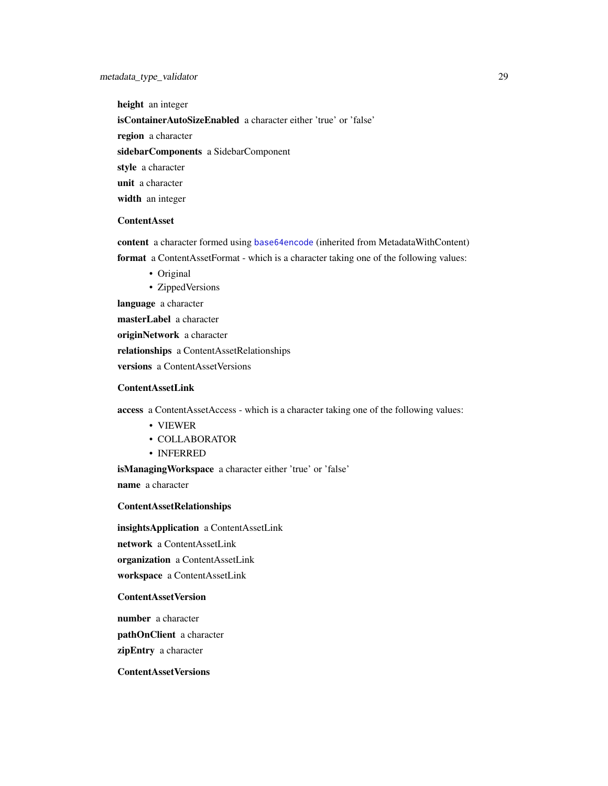height an integer

isContainerAutoSizeEnabled a character either 'true' or 'false'

region a character

sidebarComponents a SidebarComponent

style a character

unit a character

width an integer

# ContentAsset

content a character formed using [base64encode](#page-0-0) (inherited from MetadataWithContent)

format a ContentAssetFormat - which is a character taking one of the following values:

- Original
- ZippedVersions

language a character

masterLabel a character

originNetwork a character

relationships a ContentAssetRelationships

versions a ContentAssetVersions

## ContentAssetLink

access a ContentAssetAccess - which is a character taking one of the following values:

- VIEWER
- COLLABORATOR
- INFERRED

isManagingWorkspace a character either 'true' or 'false'

name a character

# ContentAssetRelationships

insightsApplication a ContentAssetLink network a ContentAssetLink organization a ContentAssetLink

workspace a ContentAssetLink

# ContentAssetVersion

number a character pathOnClient a character zipEntry a character

# ContentAssetVersions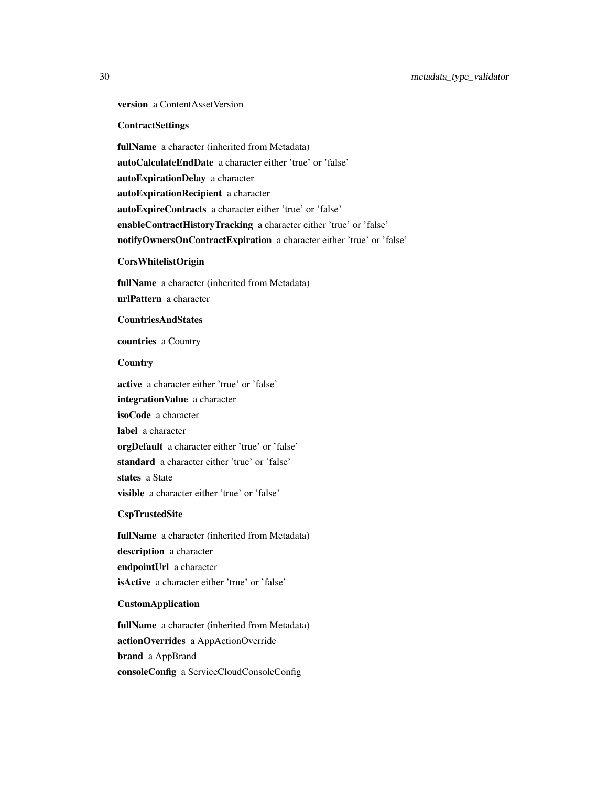# version a ContentAssetVersion

#### **ContractSettings**

fullName a character (inherited from Metadata) autoCalculateEndDate a character either 'true' or 'false' autoExpirationDelay a character autoExpirationRecipient a character autoExpireContracts a character either 'true' or 'false' enableContractHistoryTracking a character either 'true' or 'false' notifyOwnersOnContractExpiration a character either 'true' or 'false'

## CorsWhitelistOrigin

fullName a character (inherited from Metadata) urlPattern a character

#### CountriesAndStates

countries a Country

#### **Country**

active a character either 'true' or 'false' integrationValue a character isoCode a character label a character orgDefault a character either 'true' or 'false' standard a character either 'true' or 'false' states a State visible a character either 'true' or 'false'

## CspTrustedSite

fullName a character (inherited from Metadata) description a character endpointUrl a character isActive a character either 'true' or 'false'

#### CustomApplication

fullName a character (inherited from Metadata) actionOverrides a AppActionOverride brand a AppBrand consoleConfig a ServiceCloudConsoleConfig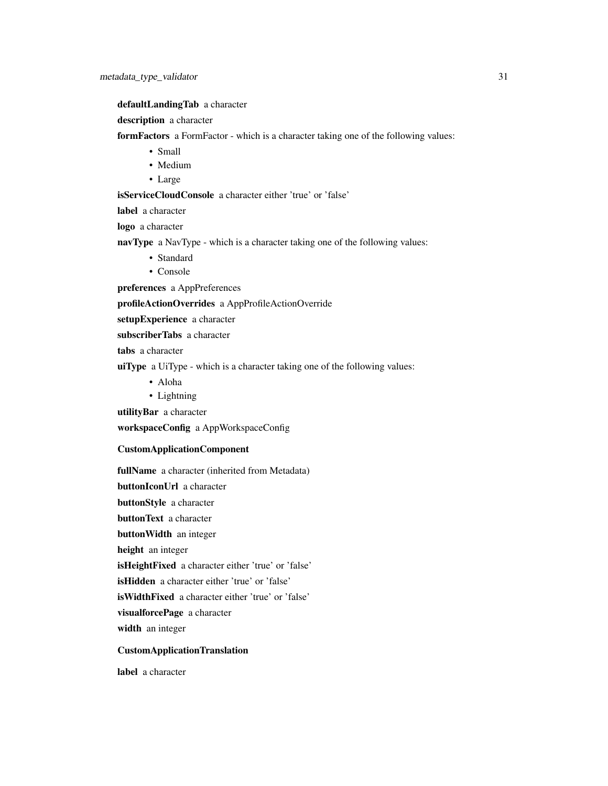defaultLandingTab a character

description a character

formFactors a FormFactor - which is a character taking one of the following values:

- Small
- Medium
- Large

isServiceCloudConsole a character either 'true' or 'false'

label a character

logo a character

navType a NavType - which is a character taking one of the following values:

- Standard
- Console

preferences a AppPreferences

profileActionOverrides a AppProfileActionOverride

setupExperience a character

subscriberTabs a character

tabs a character

uiType a UiType - which is a character taking one of the following values:

- Aloha
- Lightning

utilityBar a character

workspaceConfig a AppWorkspaceConfig

# CustomApplicationComponent

fullName a character (inherited from Metadata) buttonIconUrl a character buttonStyle a character buttonText a character buttonWidth an integer height an integer isHeightFixed a character either 'true' or 'false' isHidden a character either 'true' or 'false' isWidthFixed a character either 'true' or 'false' visualforcePage a character width an integer

# CustomApplicationTranslation

label a character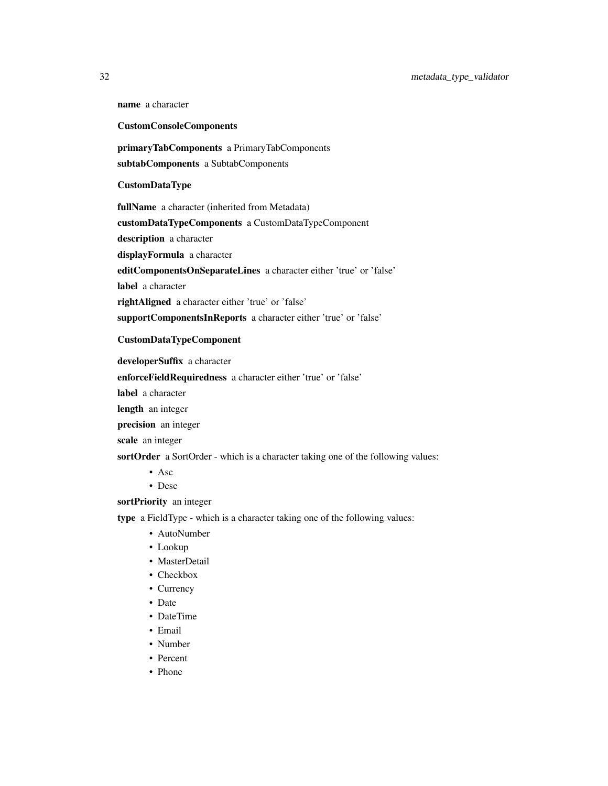name a character

# CustomConsoleComponents

primaryTabComponents a PrimaryTabComponents subtabComponents a SubtabComponents

# CustomDataType

fullName a character (inherited from Metadata) customDataTypeComponents a CustomDataTypeComponent description a character displayFormula a character editComponentsOnSeparateLines a character either 'true' or 'false' label a character rightAligned a character either 'true' or 'false' supportComponentsInReports a character either 'true' or 'false'

# CustomDataTypeComponent

developerSuffix a character

enforceFieldRequiredness a character either 'true' or 'false'

label a character

length an integer

precision an integer

scale an integer

sortOrder a SortOrder - which is a character taking one of the following values:

- Asc
- Desc

## sortPriority an integer

type a FieldType - which is a character taking one of the following values:

- AutoNumber
- Lookup
- MasterDetail
- Checkbox
- Currency
- Date
- DateTime
- Email
- Number
- Percent
- Phone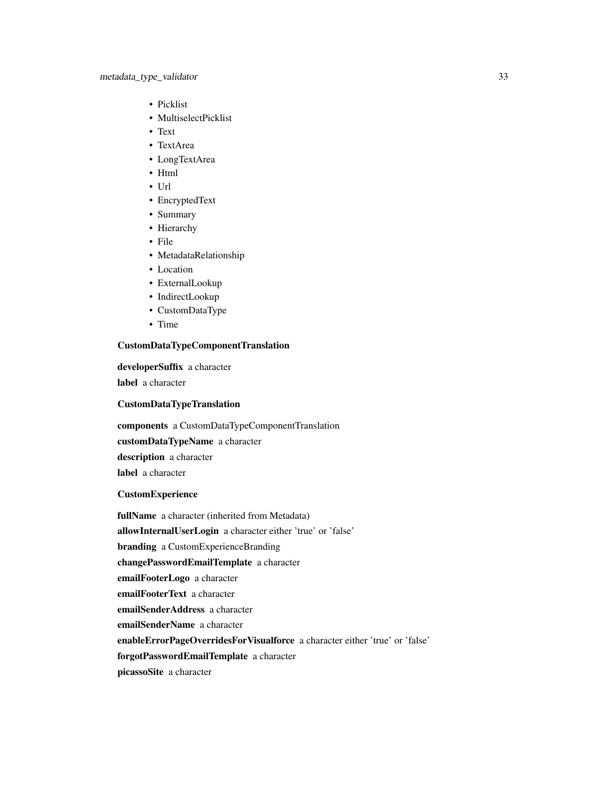- Picklist
- MultiselectPicklist
- Text
- TextArea
- LongTextArea
- Html
- Url
- EncryptedText
- Summary
- Hierarchy
- File
- MetadataRelationship
- Location
- ExternalLookup
- IndirectLookup
- CustomDataType
- Time

## CustomDataTypeComponentTranslation

developerSuffix a character label a character

# CustomDataTypeTranslation

components a CustomDataTypeComponentTranslation

customDataTypeName a character

description a character

label a character

# CustomExperience

fullName a character (inherited from Metadata) allowInternalUserLogin a character either 'true' or 'false' branding a CustomExperienceBranding changePasswordEmailTemplate a character emailFooterLogo a character emailFooterText a character emailSenderAddress a character emailSenderName a character enableErrorPageOverridesForVisualforce a character either 'true' or 'false' forgotPasswordEmailTemplate a character picassoSite a character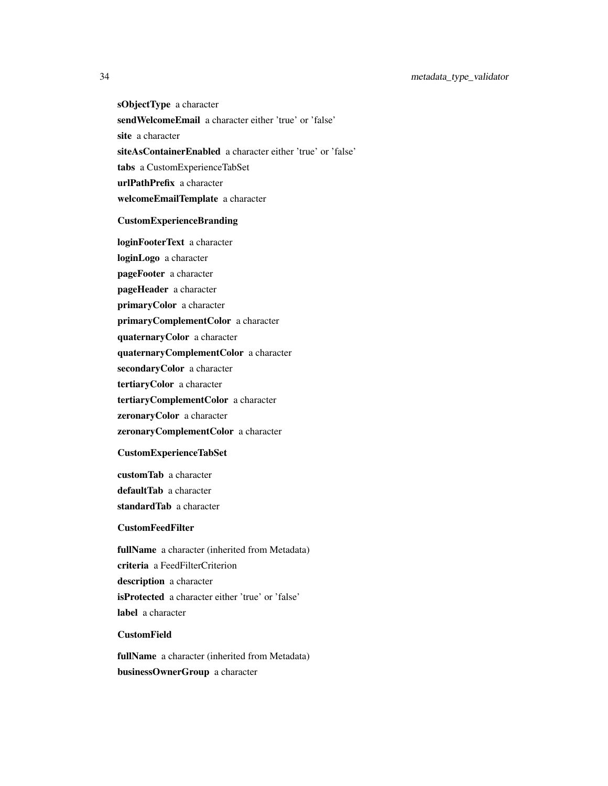sObjectType a character sendWelcomeEmail a character either 'true' or 'false' site a character siteAsContainerEnabled a character either 'true' or 'false' tabs a CustomExperienceTabSet urlPathPrefix a character welcomeEmailTemplate a character

# CustomExperienceBranding

loginFooterText a character loginLogo a character pageFooter a character pageHeader a character primaryColor a character primaryComplementColor a character quaternaryColor a character quaternaryComplementColor a character secondaryColor a character tertiaryColor a character tertiaryComplementColor a character zeronaryColor a character zeronaryComplementColor a character CustomExperienceTabSet

customTab a character

defaultTab a character

standardTab a character

# CustomFeedFilter

fullName a character (inherited from Metadata) criteria a FeedFilterCriterion description a character isProtected a character either 'true' or 'false' label a character

## CustomField

fullName a character (inherited from Metadata) businessOwnerGroup a character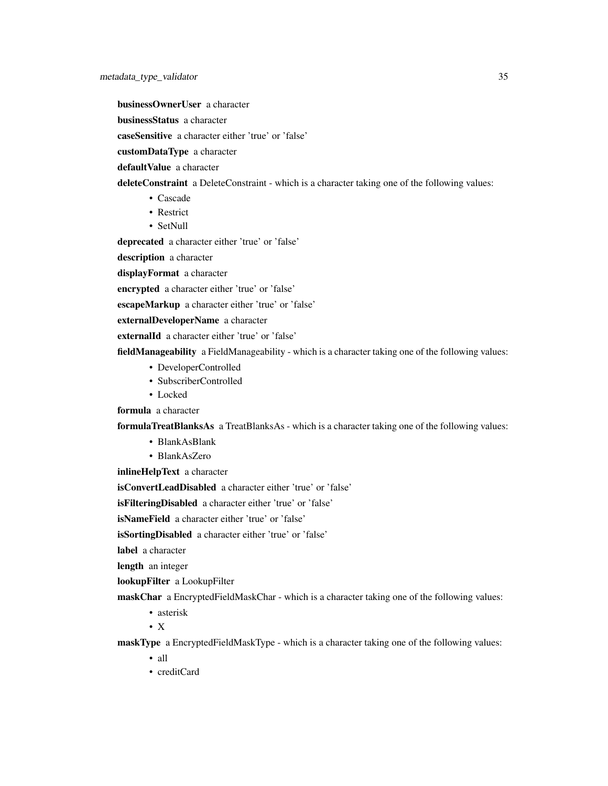businessOwnerUser a character

businessStatus a character

caseSensitive a character either 'true' or 'false'

customDataType a character

defaultValue a character

deleteConstraint a DeleteConstraint - which is a character taking one of the following values:

- Cascade
- Restrict
- SetNull

deprecated a character either 'true' or 'false'

description a character

displayFormat a character

encrypted a character either 'true' or 'false'

escapeMarkup a character either 'true' or 'false'

externalDeveloperName a character

externalId a character either 'true' or 'false'

fieldManageability a FieldManageability - which is a character taking one of the following values:

- DeveloperControlled
- SubscriberControlled
- Locked

formula a character

formulaTreatBlanksAs a TreatBlanksAs - which is a character taking one of the following values:

- BlankAsBlank
- BlankAsZero

inlineHelpText a character

isConvertLeadDisabled a character either 'true' or 'false'

isFilteringDisabled a character either 'true' or 'false'

isNameField a character either 'true' or 'false'

isSortingDisabled a character either 'true' or 'false'

label a character

length an integer

lookupFilter a LookupFilter

maskChar a EncryptedFieldMaskChar - which is a character taking one of the following values:

• asterisk

• X

maskType a EncryptedFieldMaskType - which is a character taking one of the following values:

- all
- creditCard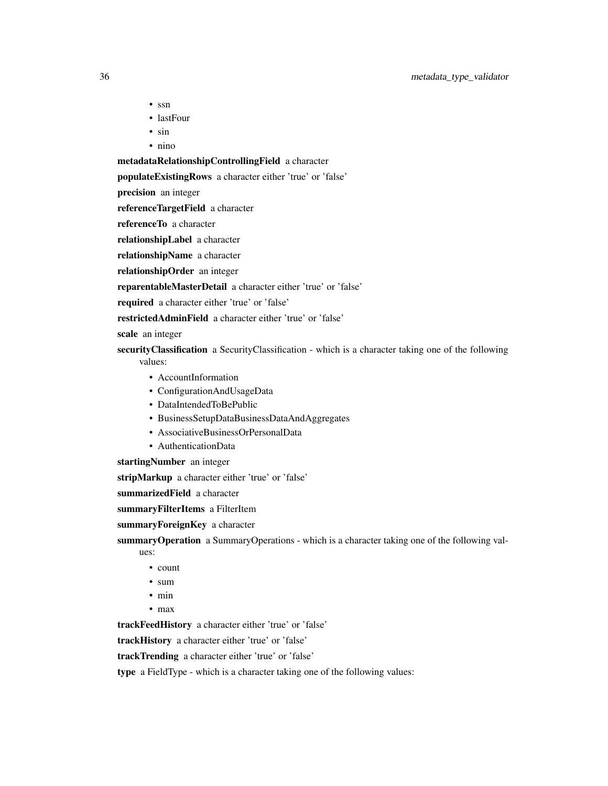- ssn
- lastFour
- sin
- nino

metadataRelationshipControllingField a character

populateExistingRows a character either 'true' or 'false'

precision an integer

referenceTargetField a character

referenceTo a character

relationshipLabel a character

relationshipName a character

relationshipOrder an integer

reparentableMasterDetail a character either 'true' or 'false'

required a character either 'true' or 'false'

restrictedAdminField a character either 'true' or 'false'

scale an integer

security Classification a Security Classification - which is a character taking one of the following values:

- AccountInformation
- ConfigurationAndUsageData
- DataIntendedToBePublic
- BusinessSetupDataBusinessDataAndAggregates
- AssociativeBusinessOrPersonalData
- AuthenticationData

startingNumber an integer

stripMarkup a character either 'true' or 'false'

summarizedField a character

summaryFilterItems a FilterItem

summaryForeignKey a character

summaryOperation a SummaryOperations - which is a character taking one of the following val-

ues:

- count
- sum
- min
- max

trackFeedHistory a character either 'true' or 'false'

trackHistory a character either 'true' or 'false'

trackTrending a character either 'true' or 'false'

type a FieldType - which is a character taking one of the following values: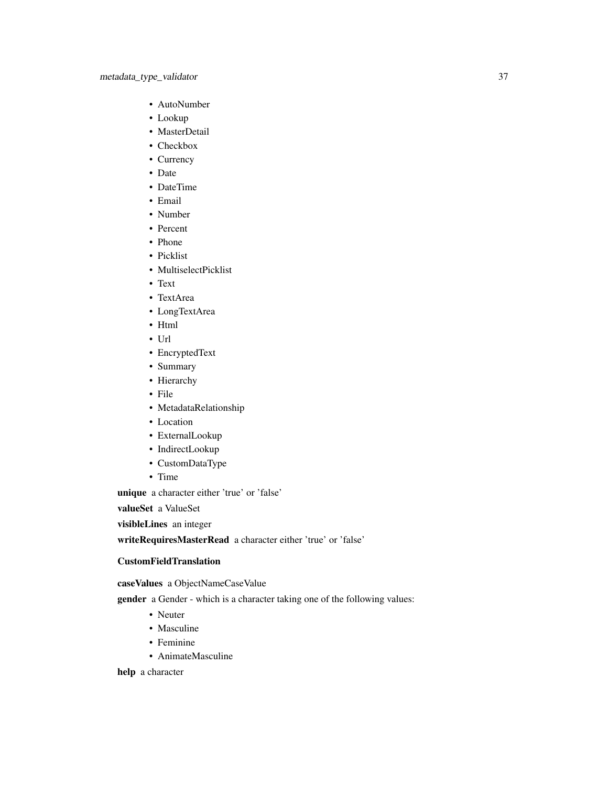- AutoNumber
- Lookup
- MasterDetail
- Checkbox
- Currency
- Date
- DateTime
- Email
- Number
- Percent
- Phone
- Picklist
- MultiselectPicklist
- Text
- TextArea
- LongTextArea
- Html
- Url
- EncryptedText
- Summary
- Hierarchy
- File
- MetadataRelationship
- Location
- ExternalLookup
- IndirectLookup
- CustomDataType
- Time

unique a character either 'true' or 'false'

valueSet a ValueSet

visibleLines an integer

writeRequiresMasterRead a character either 'true' or 'false'

## CustomFieldTranslation

caseValues a ObjectNameCaseValue

gender a Gender - which is a character taking one of the following values:

- Neuter
- Masculine
- Feminine
- AnimateMasculine

help a character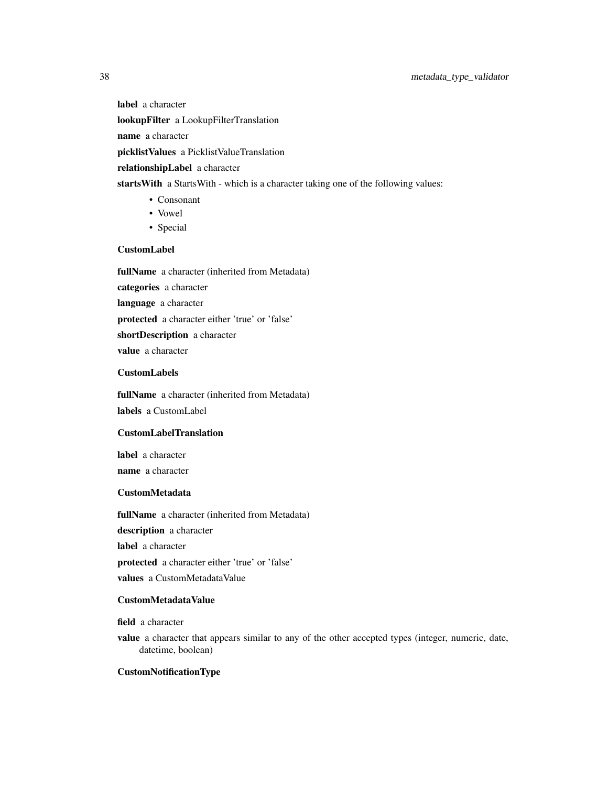## 38 metadata\_type\_validator

label a character lookupFilter a LookupFilterTranslation name a character picklistValues a PicklistValueTranslation relationshipLabel a character startsWith a StartsWith - which is a character taking one of the following values:

- Consonant
- Vowel
- Special

## CustomLabel

fullName a character (inherited from Metadata) categories a character language a character protected a character either 'true' or 'false' shortDescription a character value a character

## CustomLabels

fullName a character (inherited from Metadata) labels a CustomLabel

## CustomLabelTranslation

label a character

name a character

## CustomMetadata

fullName a character (inherited from Metadata)

description a character

label a character

protected a character either 'true' or 'false'

values a CustomMetadataValue

### CustomMetadataValue

field a character

value a character that appears similar to any of the other accepted types (integer, numeric, date, datetime, boolean)

## CustomNotificationType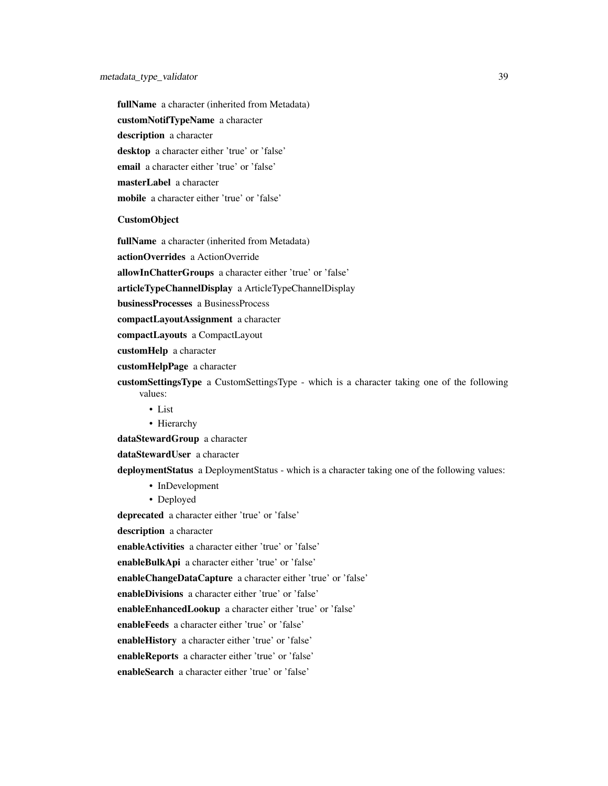fullName a character (inherited from Metadata) customNotifTypeName a character description a character desktop a character either 'true' or 'false' email a character either 'true' or 'false' masterLabel a character mobile a character either 'true' or 'false'

#### CustomObject

fullName a character (inherited from Metadata)

actionOverrides a ActionOverride

allowInChatterGroups a character either 'true' or 'false'

articleTypeChannelDisplay a ArticleTypeChannelDisplay

businessProcesses a BusinessProcess

compactLayoutAssignment a character

compactLayouts a CompactLayout

customHelp a character

customHelpPage a character

customSettingsType a CustomSettingsType - which is a character taking one of the following values:

• List

• Hierarchy

dataStewardGroup a character

dataStewardUser a character

deploymentStatus a DeploymentStatus - which is a character taking one of the following values:

- InDevelopment
- Deployed

deprecated a character either 'true' or 'false'

description a character

enableActivities a character either 'true' or 'false'

enableBulkApi a character either 'true' or 'false'

enableChangeDataCapture a character either 'true' or 'false'

enableDivisions a character either 'true' or 'false'

enableEnhancedLookup a character either 'true' or 'false'

enableFeeds a character either 'true' or 'false'

enableHistory a character either 'true' or 'false'

enableReports a character either 'true' or 'false'

enableSearch a character either 'true' or 'false'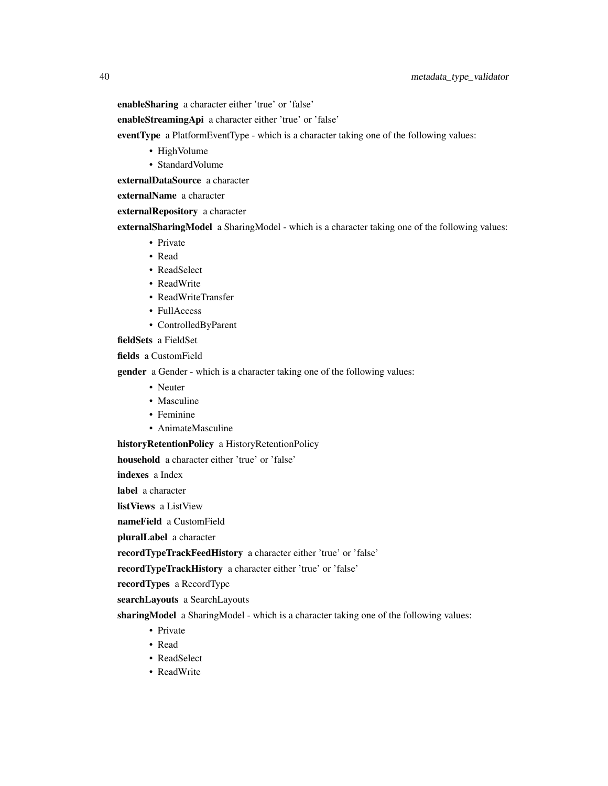enableSharing a character either 'true' or 'false'

enableStreamingApi a character either 'true' or 'false'

eventType a PlatformEventType - which is a character taking one of the following values:

- HighVolume
- StandardVolume

externalDataSource a character

externalName a character

externalRepository a character

externalSharingModel a SharingModel - which is a character taking one of the following values:

- Private
- Read
- ReadSelect
- ReadWrite
- ReadWriteTransfer
- FullAccess
- ControlledByParent

fieldSets a FieldSet

fields a CustomField

gender a Gender - which is a character taking one of the following values:

- Neuter
- Masculine
- Feminine
- AnimateMasculine

historyRetentionPolicy a HistoryRetentionPolicy

household a character either 'true' or 'false'

indexes a Index

label a character

listViews a ListView

nameField a CustomField

pluralLabel a character

recordTypeTrackFeedHistory a character either 'true' or 'false'

recordTypeTrackHistory a character either 'true' or 'false'

recordTypes a RecordType

searchLayouts a SearchLayouts

sharingModel a SharingModel - which is a character taking one of the following values:

- Private
- Read
- ReadSelect
- ReadWrite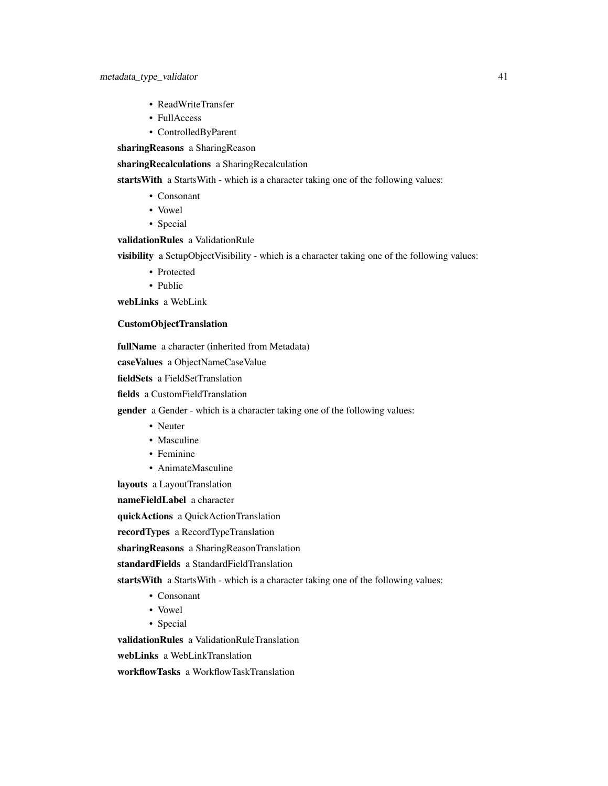- ReadWriteTransfer
- FullAccess
- ControlledByParent

sharingReasons a SharingReason

sharingRecalculations a SharingRecalculation

starts With a Starts With - which is a character taking one of the following values:

- Consonant
- Vowel
- Special

## validationRules a ValidationRule

visibility a SetupObjectVisibility - which is a character taking one of the following values:

- Protected
- Public

webLinks a WebLink

#### CustomObjectTranslation

fullName a character (inherited from Metadata)

caseValues a ObjectNameCaseValue

fieldSets a FieldSetTranslation

fields a CustomFieldTranslation

**gender** a Gender - which is a character taking one of the following values:

- Neuter
- Masculine
- Feminine
- AnimateMasculine

layouts a LayoutTranslation

nameFieldLabel a character

quickActions a QuickActionTranslation

recordTypes a RecordTypeTranslation

sharingReasons a SharingReasonTranslation

standardFields a StandardFieldTranslation

startsWith a StartsWith - which is a character taking one of the following values:

- Consonant
- Vowel
- Special

validationRules a ValidationRuleTranslation

webLinks a WebLinkTranslation

workflowTasks a WorkflowTaskTranslation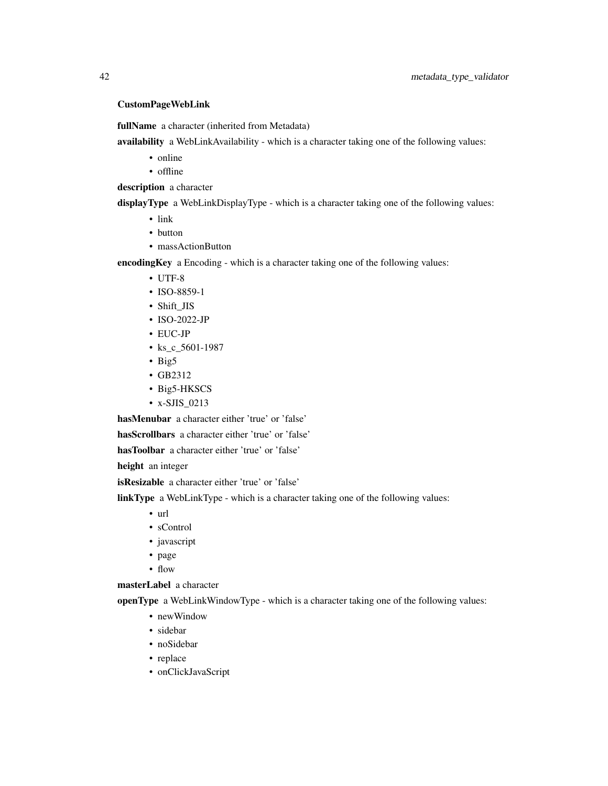## CustomPageWebLink

fullName a character (inherited from Metadata)

availability a WebLinkAvailability - which is a character taking one of the following values:

- online
- offline

description a character

displayType a WebLinkDisplayType - which is a character taking one of the following values:

- link
- button
- massActionButton

encodingKey a Encoding - which is a character taking one of the following values:

- UTF-8
- ISO-8859-1
- Shift\_JIS
- ISO-2022-JP
- EUC-JP
- ks\_c\_5601-1987
- Big5
- GB2312
- Big5-HKSCS
- x-SJIS\_0213

hasMenubar a character either 'true' or 'false'

hasScrollbars a character either 'true' or 'false'

hasToolbar a character either 'true' or 'false'

height an integer

isResizable a character either 'true' or 'false'

linkType a WebLinkType - which is a character taking one of the following values:

- url
- sControl
- javascript
- page
- flow

masterLabel a character

openType a WebLinkWindowType - which is a character taking one of the following values:

- newWindow
- sidebar
- noSidebar
- replace
- onClickJavaScript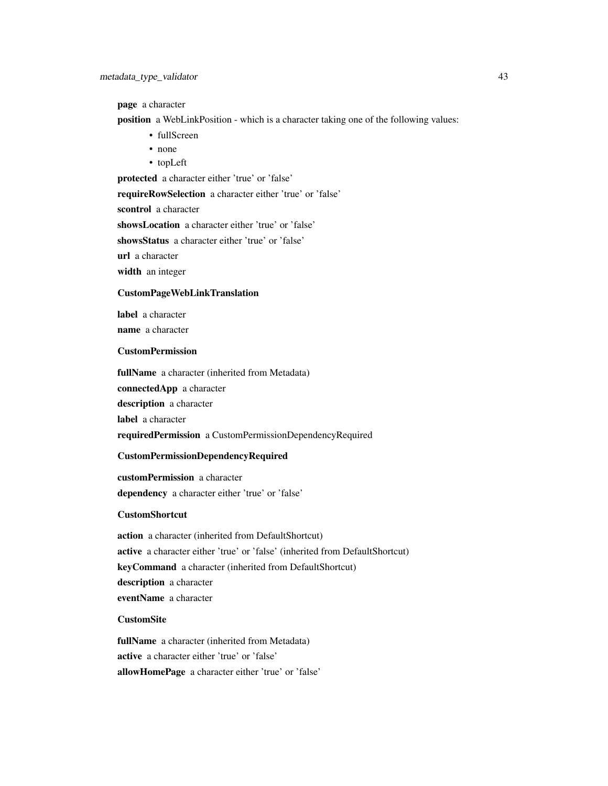page a character

position a WebLinkPosition - which is a character taking one of the following values:

- fullScreen
- none
- topLeft

protected a character either 'true' or 'false'

requireRowSelection a character either 'true' or 'false'

scontrol a character

showsLocation a character either 'true' or 'false'

showsStatus a character either 'true' or 'false'

url a character

width an integer

### CustomPageWebLinkTranslation

label a character name a character

#### CustomPermission

fullName a character (inherited from Metadata)

connectedApp a character

description a character

label a character

requiredPermission a CustomPermissionDependencyRequired

#### CustomPermissionDependencyRequired

customPermission a character dependency a character either 'true' or 'false'

## CustomShortcut

action a character (inherited from DefaultShortcut) active a character either 'true' or 'false' (inherited from DefaultShortcut) keyCommand a character (inherited from DefaultShortcut) description a character eventName a character

## **CustomSite**

fullName a character (inherited from Metadata) active a character either 'true' or 'false' allowHomePage a character either 'true' or 'false'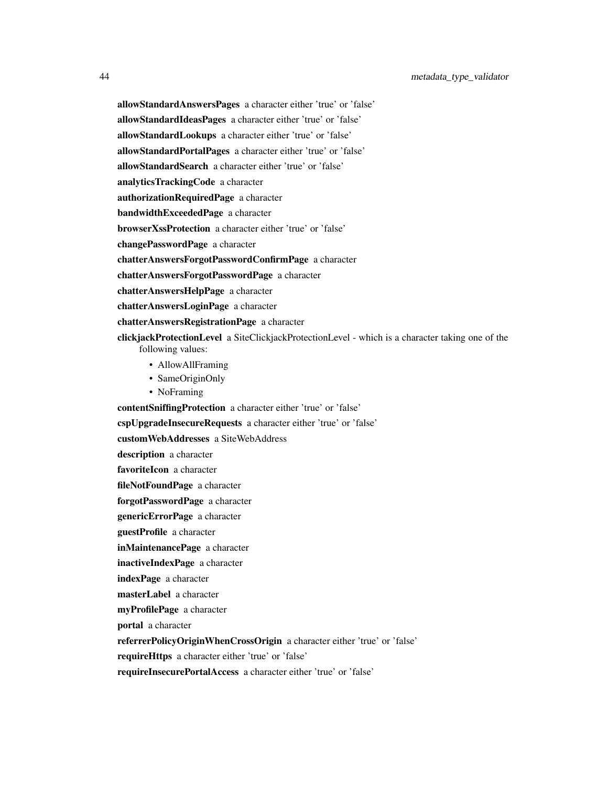allowStandardAnswersPages a character either 'true' or 'false' allowStandardIdeasPages a character either 'true' or 'false' allowStandardLookups a character either 'true' or 'false' allowStandardPortalPages a character either 'true' or 'false'

allowStandardSearch a character either 'true' or 'false'

analyticsTrackingCode a character

authorizationRequiredPage a character

bandwidthExceededPage a character

browserXssProtection a character either 'true' or 'false'

changePasswordPage a character

chatterAnswersForgotPasswordConfirmPage a character

chatterAnswersForgotPasswordPage a character

chatterAnswersHelpPage a character

chatterAnswersLoginPage a character

chatterAnswersRegistrationPage a character

clickjackProtectionLevel a SiteClickjackProtectionLevel - which is a character taking one of the following values:

- AllowAllFraming
- SameOriginOnly
- NoFraming

contentSniffingProtection a character either 'true' or 'false'

cspUpgradeInsecureRequests a character either 'true' or 'false'

customWebAddresses a SiteWebAddress

description a character

favoriteIcon a character

fileNotFoundPage a character

forgotPasswordPage a character

genericErrorPage a character

guestProfile a character

inMaintenancePage a character

inactiveIndexPage a character

indexPage a character

masterLabel a character

myProfilePage a character

portal a character

referrerPolicyOriginWhenCrossOrigin a character either 'true' or 'false'

requireHttps a character either 'true' or 'false'

requireInsecurePortalAccess a character either 'true' or 'false'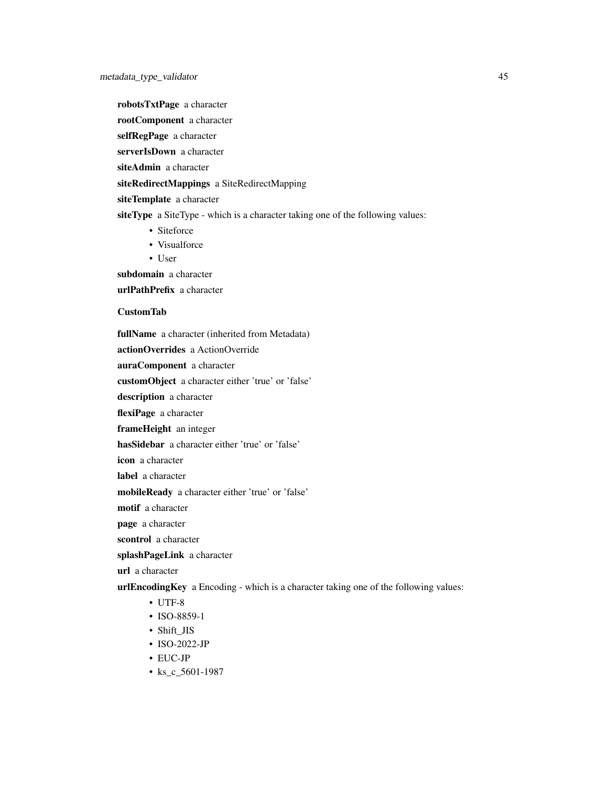robotsTxtPage a character

rootComponent a character

selfRegPage a character

serverIsDown a character

siteAdmin a character

siteRedirectMappings a SiteRedirectMapping

siteTemplate a character

siteType a SiteType - which is a character taking one of the following values:

- Siteforce
- Visualforce
- User

subdomain a character

urlPathPrefix a character

## CustomTab

fullName a character (inherited from Metadata)

actionOverrides a ActionOverride

auraComponent a character

customObject a character either 'true' or 'false'

description a character

flexiPage a character

frameHeight an integer

hasSidebar a character either 'true' or 'false'

icon a character

label a character

mobileReady a character either 'true' or 'false'

motif a character

page a character

scontrol a character

splashPageLink a character

url a character

urlEncodingKey a Encoding - which is a character taking one of the following values:

- UTF-8
- ISO-8859-1
- Shift\_JIS
- ISO-2022-JP
- EUC-JP
- ks\_c\_5601-1987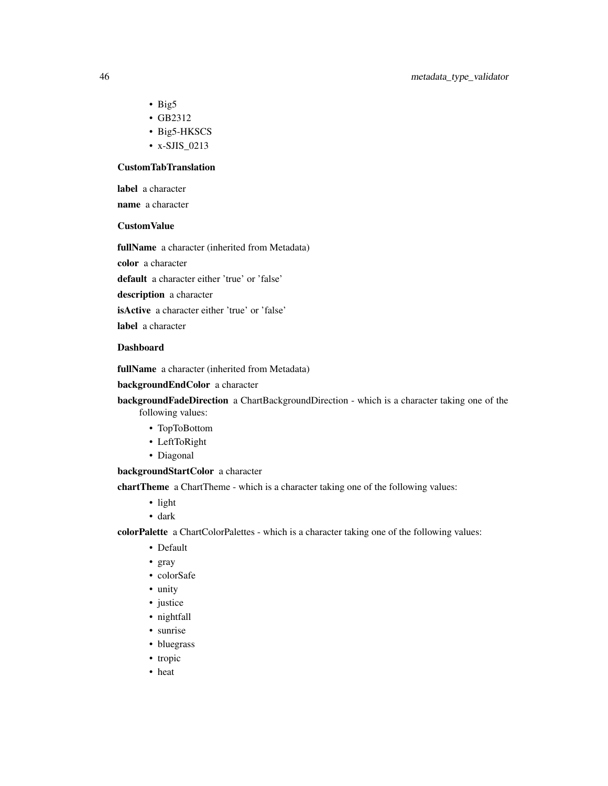- Big5
- GB2312
- Big5-HKSCS
- x-SJIS\_0213

## CustomTabTranslation

label a character

name a character

## CustomValue

fullName a character (inherited from Metadata)

color a character

default a character either 'true' or 'false'

description a character

isActive a character either 'true' or 'false'

label a character

## Dashboard

fullName a character (inherited from Metadata)

backgroundEndColor a character

backgroundFadeDirection a ChartBackgroundDirection - which is a character taking one of the following values:

- TopToBottom
- LeftToRight
- Diagonal

backgroundStartColor a character

chartTheme a ChartTheme - which is a character taking one of the following values:

- light
- dark

colorPalette a ChartColorPalettes - which is a character taking one of the following values:

- Default
- gray
- colorSafe
- unity
- justice
- nightfall
- sunrise
- bluegrass
- tropic
- heat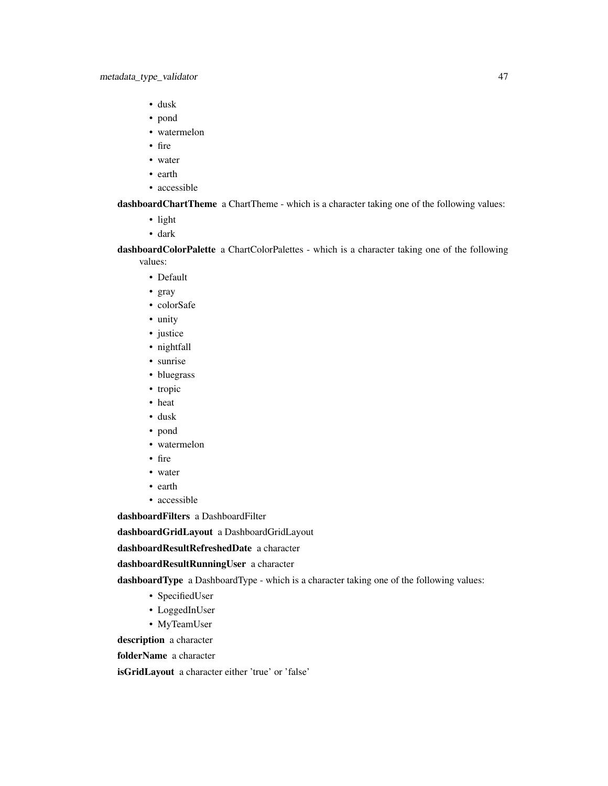- dusk
- pond
- watermelon
- fire
- water
- earth
- accessible

dashboardChartTheme a ChartTheme - which is a character taking one of the following values:

- light
- dark

dashboardColorPalette a ChartColorPalettes - which is a character taking one of the following values:

- Default
- gray
- colorSafe
- unity
- justice
- nightfall
- sunrise
- bluegrass
- tropic
- heat
- dusk
- pond
- watermelon
- fire
- water
- earth
- accessible

dashboardFilters a DashboardFilter

dashboardGridLayout a DashboardGridLayout

dashboardResultRefreshedDate a character

dashboardResultRunningUser a character

dashboardType a DashboardType - which is a character taking one of the following values:

- SpecifiedUser
- LoggedInUser
- MyTeamUser

description a character

folderName a character

isGridLayout a character either 'true' or 'false'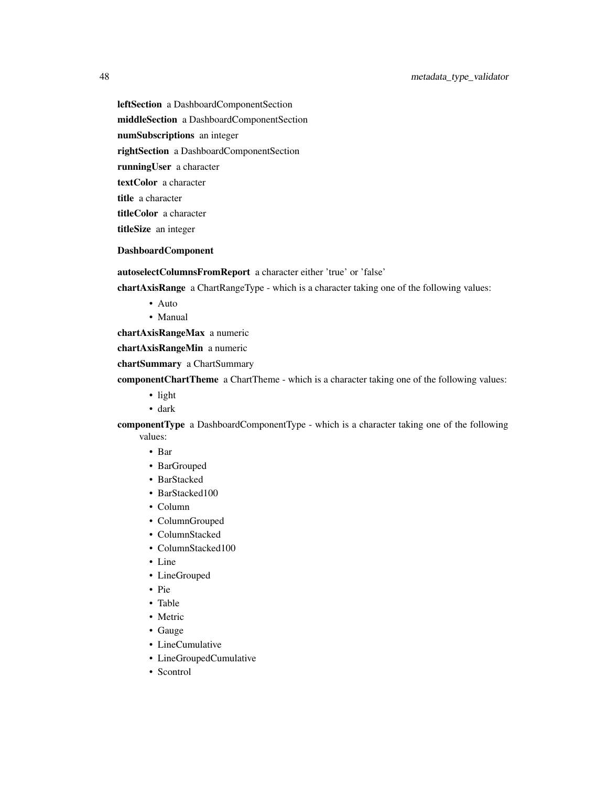leftSection a DashboardComponentSection middleSection a DashboardComponentSection numSubscriptions an integer rightSection a DashboardComponentSection runningUser a character textColor a character title a character titleColor a character titleSize an integer

## DashboardComponent

autoselectColumnsFromReport a character either 'true' or 'false'

chartAxisRange a ChartRangeType - which is a character taking one of the following values:

- Auto
- Manual

chartAxisRangeMax a numeric

chartAxisRangeMin a numeric

chartSummary a ChartSummary

componentChartTheme a ChartTheme - which is a character taking one of the following values:

- light
- dark

componentType a DashboardComponentType - which is a character taking one of the following values:

- Bar
- BarGrouped
- BarStacked
- BarStacked100
- Column
- ColumnGrouped
- ColumnStacked
- ColumnStacked100
- Line
- LineGrouped
- Pie
- Table
- Metric
- Gauge
- LineCumulative
- LineGroupedCumulative
- Scontrol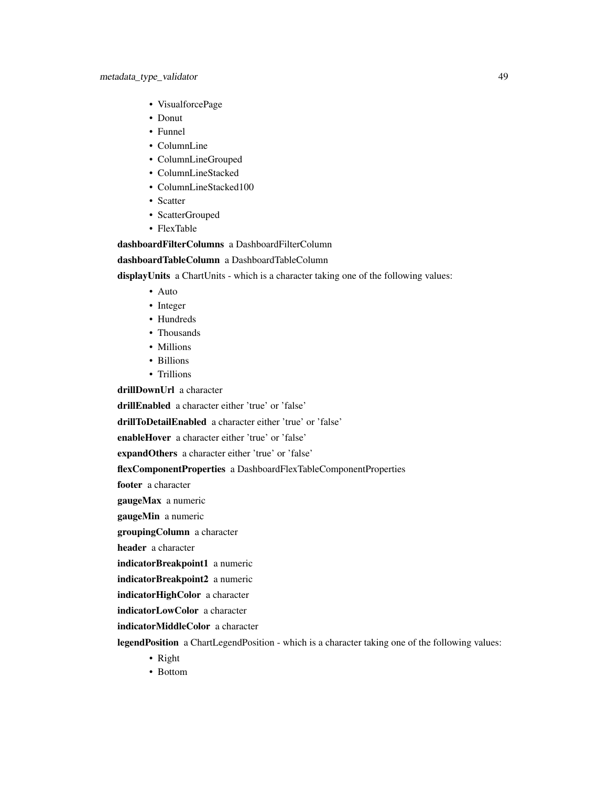- VisualforcePage
- Donut
- Funnel
- ColumnLine
- ColumnLineGrouped
- ColumnLineStacked
- ColumnLineStacked100
- Scatter
- ScatterGrouped
- FlexTable

## dashboardFilterColumns a DashboardFilterColumn

dashboardTableColumn a DashboardTableColumn

displayUnits a ChartUnits - which is a character taking one of the following values:

- Auto
- Integer
- Hundreds
- Thousands
- Millions
- Billions
- Trillions

drillDownUrl a character

drillEnabled a character either 'true' or 'false'

drillToDetailEnabled a character either 'true' or 'false'

enableHover a character either 'true' or 'false'

expandOthers a character either 'true' or 'false'

flexComponentProperties a DashboardFlexTableComponentProperties

footer a character

gaugeMax a numeric

gaugeMin a numeric

groupingColumn a character

header a character

indicatorBreakpoint1 a numeric

indicatorBreakpoint2 a numeric

indicatorHighColor a character

indicatorLowColor a character

indicatorMiddleColor a character

legendPosition a ChartLegendPosition - which is a character taking one of the following values:

- Right
- Bottom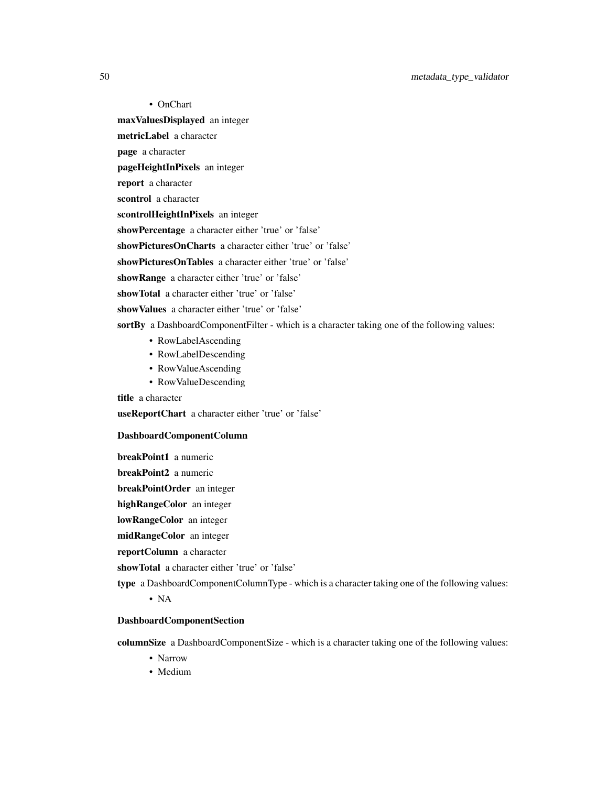50 metadata\_type\_validator

• OnChart maxValuesDisplayed an integer

metricLabel a character

page a character

pageHeightInPixels an integer

report a character

scontrol a character

scontrolHeightInPixels an integer

showPercentage a character either 'true' or 'false'

showPicturesOnCharts a character either 'true' or 'false'

showPicturesOnTables a character either 'true' or 'false'

showRange a character either 'true' or 'false'

showTotal a character either 'true' or 'false'

showValues a character either 'true' or 'false'

sortBy a DashboardComponentFilter - which is a character taking one of the following values:

- RowLabelAscending
- RowLabelDescending
- RowValueAscending
- RowValueDescending

title a character

useReportChart a character either 'true' or 'false'

### DashboardComponentColumn

breakPoint1 a numeric

breakPoint2 a numeric

breakPointOrder an integer

highRangeColor an integer

lowRangeColor an integer

midRangeColor an integer

reportColumn a character

showTotal a character either 'true' or 'false'

type a DashboardComponentColumnType - which is a character taking one of the following values:

• NA

### DashboardComponentSection

columnSize a DashboardComponentSize - which is a character taking one of the following values:

- Narrow
- Medium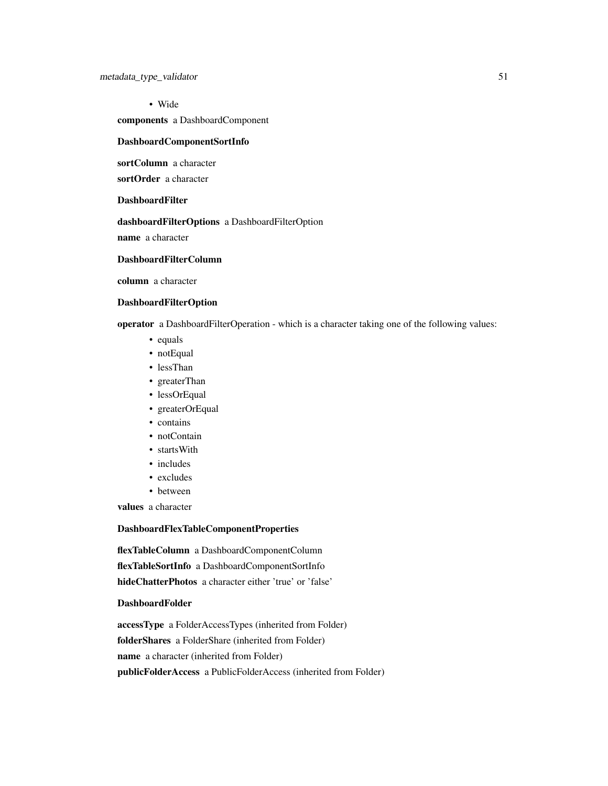• Wide components a DashboardComponent

## DashboardComponentSortInfo

sortColumn a character

sortOrder a character

## DashboardFilter

dashboardFilterOptions a DashboardFilterOption

name a character

## DashboardFilterColumn

column a character

## DashboardFilterOption

operator a DashboardFilterOperation - which is a character taking one of the following values:

- equals
- notEqual
- lessThan
- greaterThan
- lessOrEqual
- greaterOrEqual
- contains
- notContain
- startsWith
- includes
- excludes
- between

values a character

### DashboardFlexTableComponentProperties

flexTableColumn a DashboardComponentColumn flexTableSortInfo a DashboardComponentSortInfo hideChatterPhotos a character either 'true' or 'false'

## DashboardFolder

accessType a FolderAccessTypes (inherited from Folder) folderShares a FolderShare (inherited from Folder) name a character (inherited from Folder) publicFolderAccess a PublicFolderAccess (inherited from Folder)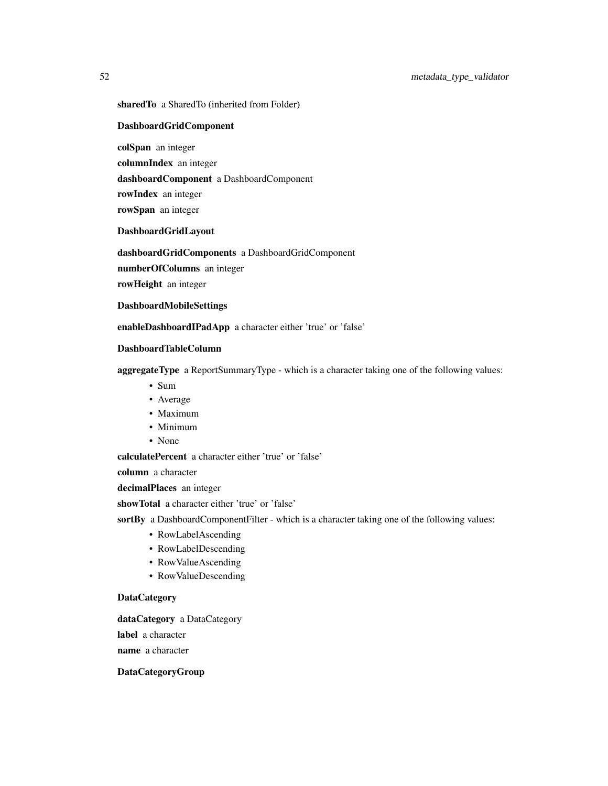sharedTo a SharedTo (inherited from Folder)

### DashboardGridComponent

colSpan an integer

columnIndex an integer

dashboardComponent a DashboardComponent

rowIndex an integer

rowSpan an integer

DashboardGridLayout

dashboardGridComponents a DashboardGridComponent

numberOfColumns an integer

rowHeight an integer

DashboardMobileSettings

enableDashboardIPadApp a character either 'true' or 'false'

## DashboardTableColumn

aggregateType a ReportSummaryType - which is a character taking one of the following values:

- Sum
- Average
- Maximum
- Minimum
- None

calculatePercent a character either 'true' or 'false'

column a character

decimalPlaces an integer

showTotal a character either 'true' or 'false'

sortBy a DashboardComponentFilter - which is a character taking one of the following values:

- RowLabelAscending
- RowLabelDescending
- RowValueAscending
- RowValueDescending

## **DataCategory**

dataCategory a DataCategory label a character name a character

## DataCategoryGroup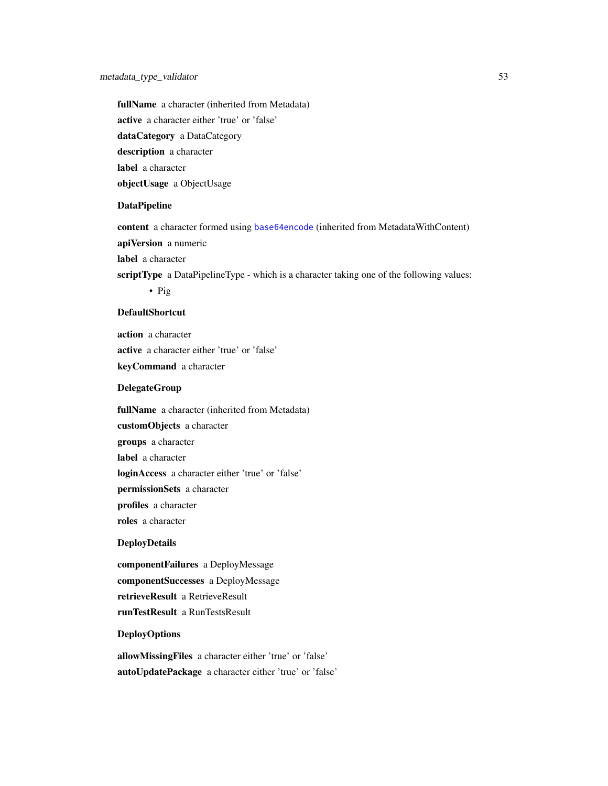fullName a character (inherited from Metadata) active a character either 'true' or 'false' dataCategory a DataCategory description a character label a character objectUsage a ObjectUsage

### DataPipeline

content a character formed using [base64encode](#page-0-0) (inherited from MetadataWithContent) apiVersion a numeric label a character

scriptType a DataPipelineType - which is a character taking one of the following values: • Pig

## DefaultShortcut

action a character active a character either 'true' or 'false' keyCommand a character

## DelegateGroup

fullName a character (inherited from Metadata) customObjects a character groups a character label a character loginAccess a character either 'true' or 'false' permissionSets a character profiles a character roles a character

## DeployDetails

componentFailures a DeployMessage componentSuccesses a DeployMessage retrieveResult a RetrieveResult runTestResult a RunTestsResult

## DeployOptions

allowMissingFiles a character either 'true' or 'false' autoUpdatePackage a character either 'true' or 'false'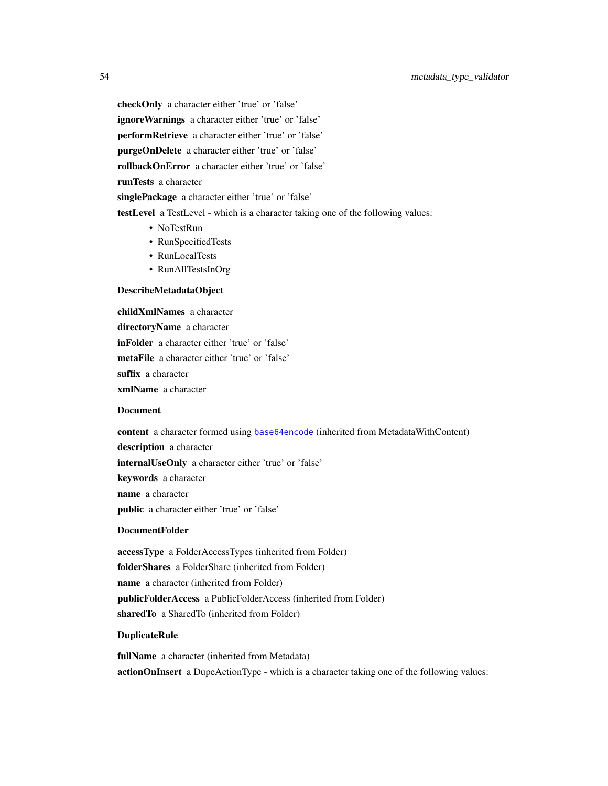checkOnly a character either 'true' or 'false' ignore Warnings a character either 'true' or 'false' performRetrieve a character either 'true' or 'false' purgeOnDelete a character either 'true' or 'false' rollbackOnError a character either 'true' or 'false' runTests a character singlePackage a character either 'true' or 'false' testLevel a TestLevel - which is a character taking one of the following values: • NoTestRun

- RunSpecifiedTests
- RunLocalTests
- RunAllTestsInOrg

#### DescribeMetadataObject

childXmlNames a character directoryName a character inFolder a character either 'true' or 'false' metaFile a character either 'true' or 'false' suffix a character xmlName a character

#### Document

content a character formed using [base64encode](#page-0-0) (inherited from MetadataWithContent)

description a character

internalUseOnly a character either 'true' or 'false'

keywords a character

name a character

public a character either 'true' or 'false'

## DocumentFolder

accessType a FolderAccessTypes (inherited from Folder) folderShares a FolderShare (inherited from Folder) name a character (inherited from Folder) publicFolderAccess a PublicFolderAccess (inherited from Folder) sharedTo a SharedTo (inherited from Folder)

#### DuplicateRule

fullName a character (inherited from Metadata) actionOnInsert a DupeActionType - which is a character taking one of the following values: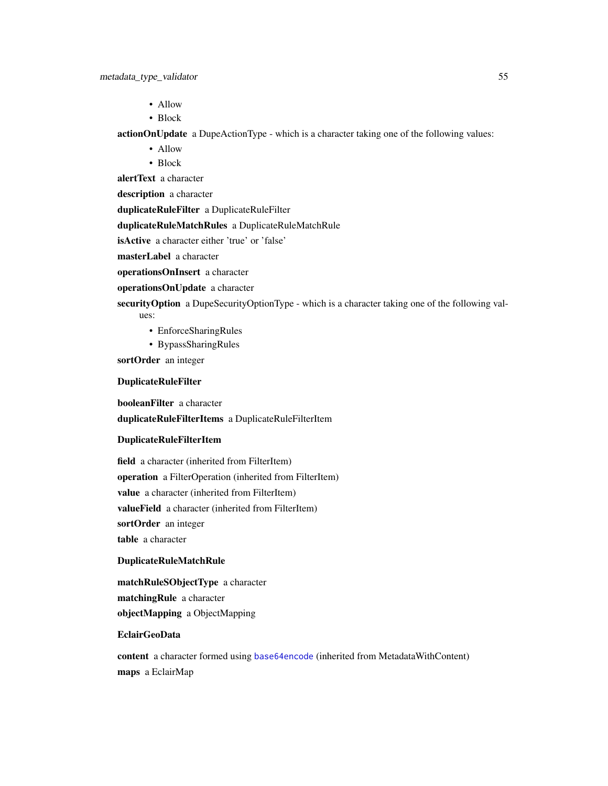- Allow
- Block

actionOnUpdate a DupeActionType - which is a character taking one of the following values:

- Allow
- Block

alertText a character

description a character

duplicateRuleFilter a DuplicateRuleFilter

duplicateRuleMatchRules a DuplicateRuleMatchRule

isActive a character either 'true' or 'false'

masterLabel a character

operationsOnInsert a character

operationsOnUpdate a character

security Option a DupeSecurity Option Type - which is a character taking one of the following values:

- EnforceSharingRules
- BypassSharingRules

sortOrder an integer

## DuplicateRuleFilter

booleanFilter a character

duplicateRuleFilterItems a DuplicateRuleFilterItem

#### DuplicateRuleFilterItem

field a character (inherited from FilterItem) operation a FilterOperation (inherited from FilterItem) value a character (inherited from FilterItem) valueField a character (inherited from FilterItem) sortOrder an integer table a character

#### DuplicateRuleMatchRule

matchRuleSObjectType a character matchingRule a character objectMapping a ObjectMapping

## EclairGeoData

content a character formed using [base64encode](#page-0-0) (inherited from MetadataWithContent) maps a EclairMap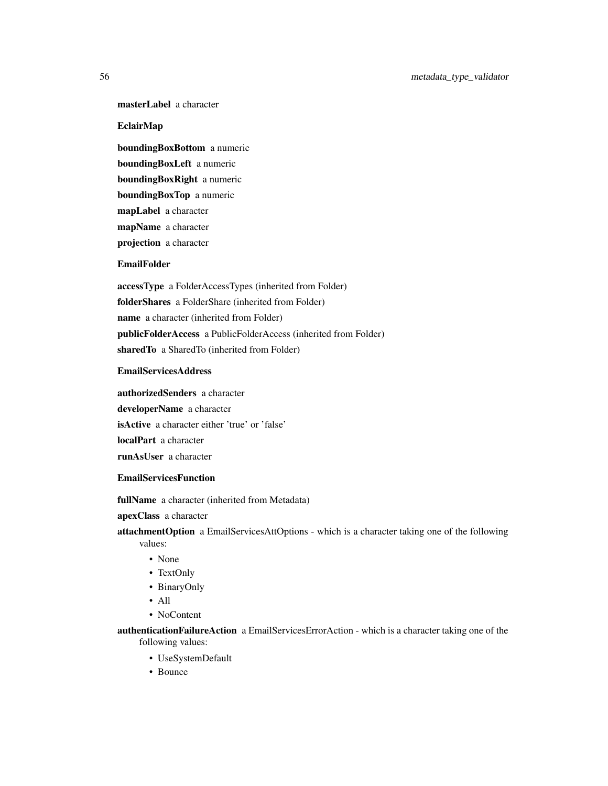## masterLabel a character

## EclairMap

boundingBoxBottom a numeric boundingBoxLeft a numeric boundingBoxRight a numeric boundingBoxTop a numeric mapLabel a character mapName a character projection a character

#### EmailFolder

accessType a FolderAccessTypes (inherited from Folder) folderShares a FolderShare (inherited from Folder) name a character (inherited from Folder) publicFolderAccess a PublicFolderAccess (inherited from Folder) sharedTo a SharedTo (inherited from Folder)

## EmailServicesAddress

authorizedSenders a character developerName a character isActive a character either 'true' or 'false' localPart a character runAsUser a character

### EmailServicesFunction

fullName a character (inherited from Metadata)

apexClass a character

attachmentOption a EmailServicesAttOptions - which is a character taking one of the following values:

- None
- TextOnly
- BinaryOnly
- All
- NoContent

authenticationFailureAction a EmailServicesErrorAction - which is a character taking one of the following values:

- UseSystemDefault
- Bounce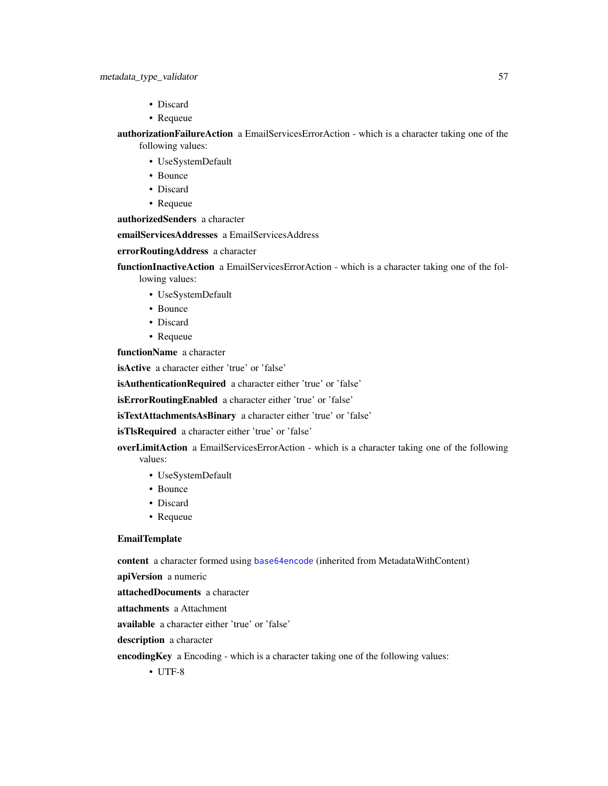- Discard
- Requeue

authorizationFailureAction a EmailServicesErrorAction - which is a character taking one of the following values:

- UseSystemDefault
- Bounce
- Discard
- Requeue

authorizedSenders a character

emailServicesAddresses a EmailServicesAddress

### errorRoutingAddress a character

functionInactiveAction a EmailServicesErrorAction - which is a character taking one of the following values:

- UseSystemDefault
- Bounce
- Discard
- Requeue

functionName a character

isActive a character either 'true' or 'false'

isAuthenticationRequired a character either 'true' or 'false'

isErrorRoutingEnabled a character either 'true' or 'false'

isTextAttachmentsAsBinary a character either 'true' or 'false'

isTlsRequired a character either 'true' or 'false'

overLimitAction a EmailServicesErrorAction - which is a character taking one of the following values:

- UseSystemDefault
- Bounce
- Discard
- Requeue

#### EmailTemplate

content a character formed using [base64encode](#page-0-0) (inherited from MetadataWithContent)

apiVersion a numeric

attachedDocuments a character

attachments a Attachment

available a character either 'true' or 'false'

description a character

encodingKey a Encoding - which is a character taking one of the following values:

• UTF-8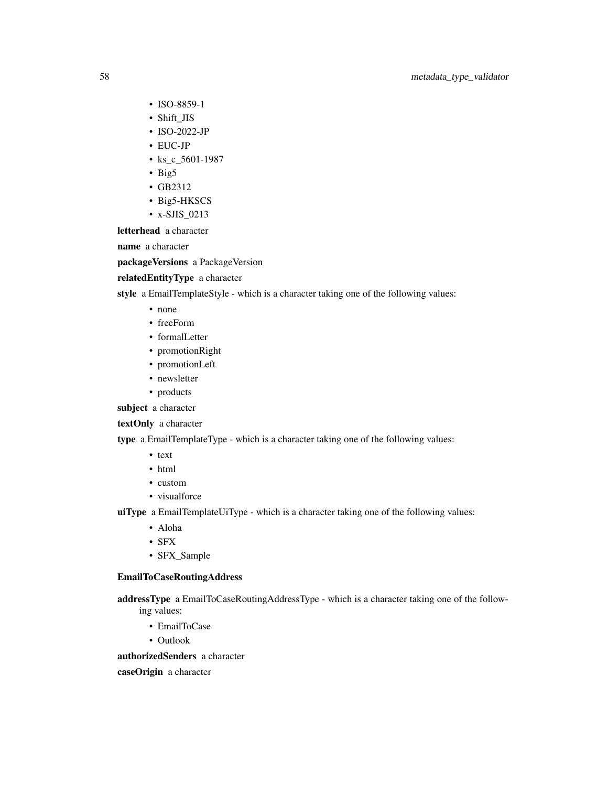- ISO-8859-1
- Shift\_JIS
- ISO-2022-JP
- EUC-JP
- ks\_c\_5601-1987
- Big5
- GB2312
- Big5-HKSCS
- x-SJIS\_0213

letterhead a character

name a character

packageVersions a PackageVersion

## relatedEntityType a character

style a EmailTemplateStyle - which is a character taking one of the following values:

- none
- freeForm
- formalLetter
- promotionRight
- promotionLeft
- newsletter
- products

subject a character

textOnly a character

type a EmailTemplateType - which is a character taking one of the following values:

- text
- html
- custom
- visualforce

uiType a EmailTemplateUiType - which is a character taking one of the following values:

- Aloha
- SFX
- SFX\_Sample

### EmailToCaseRoutingAddress

addressType a EmailToCaseRoutingAddressType - which is a character taking one of the following values:

- EmailToCase
- Outlook

authorizedSenders a character

caseOrigin a character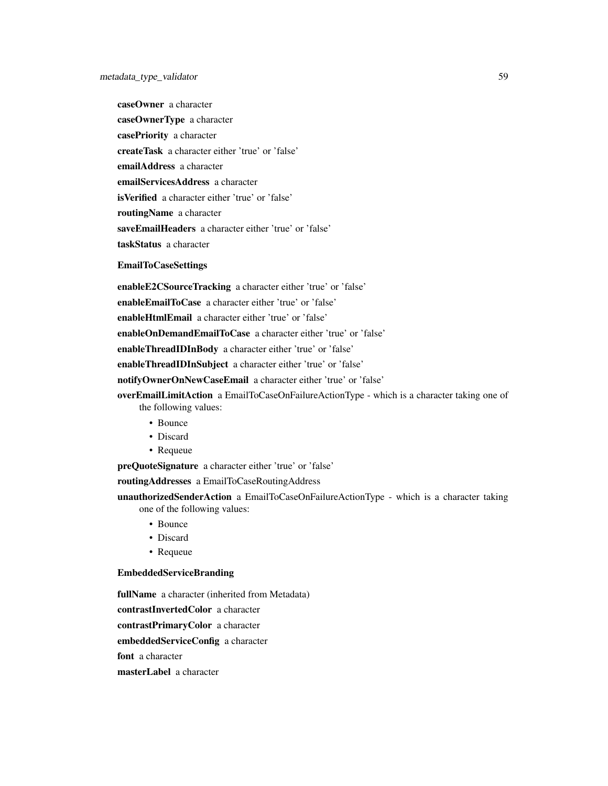caseOwner a character caseOwnerType a character casePriority a character createTask a character either 'true' or 'false' emailAddress a character emailServicesAddress a character isVerified a character either 'true' or 'false' routingName a character saveEmailHeaders a character either 'true' or 'false' taskStatus a character

#### EmailToCaseSettings

enableE2CSourceTracking a character either 'true' or 'false' enableEmailToCase a character either 'true' or 'false' enableHtmlEmail a character either 'true' or 'false' enableOnDemandEmailToCase a character either 'true' or 'false' enableThreadIDInBody a character either 'true' or 'false' enableThreadIDInSubject a character either 'true' or 'false' notifyOwnerOnNewCaseEmail a character either 'true' or 'false' overEmailLimitAction a EmailToCaseOnFailureActionType - which is a character taking one of

- the following values:
	- Bounce
	- Discard
	- Requeue

preQuoteSignature a character either 'true' or 'false'

routingAddresses a EmailToCaseRoutingAddress

unauthorizedSenderAction a EmailToCaseOnFailureActionType - which is a character taking one of the following values:

- Bounce
- Discard
- Requeue

## EmbeddedServiceBranding

fullName a character (inherited from Metadata) contrastInvertedColor a character contrastPrimaryColor a character embeddedServiceConfig a character font a character masterLabel a character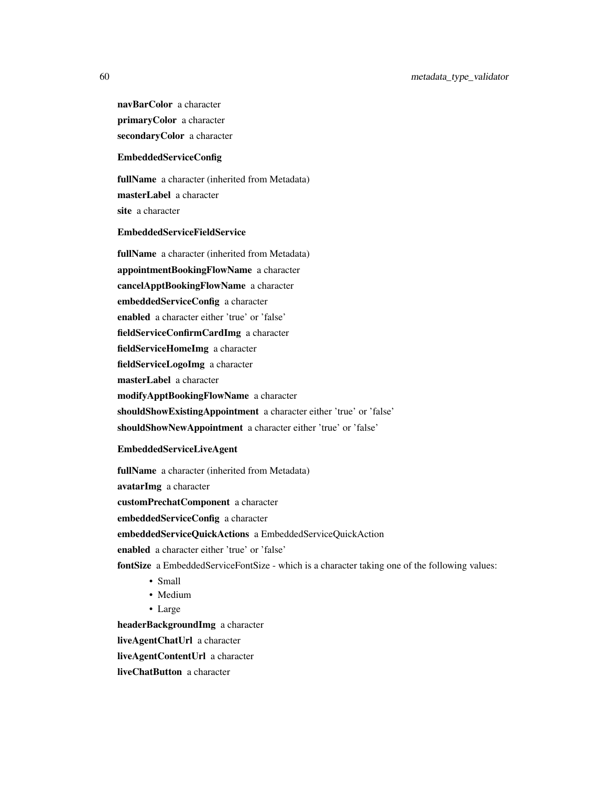navBarColor a character primaryColor a character secondaryColor a character

## EmbeddedServiceConfig

fullName a character (inherited from Metadata) masterLabel a character site a character

### EmbeddedServiceFieldService

fullName a character (inherited from Metadata) appointmentBookingFlowName a character cancelApptBookingFlowName a character embeddedServiceConfig a character enabled a character either 'true' or 'false' fieldServiceConfirmCardImg a character fieldServiceHomeImg a character fieldServiceLogoImg a character masterLabel a character modifyApptBookingFlowName a character shouldShowExistingAppointment a character either 'true' or 'false' shouldShowNewAppointment a character either 'true' or 'false'

## EmbeddedServiceLiveAgent

fullName a character (inherited from Metadata) avatarImg a character customPrechatComponent a character embeddedServiceConfig a character embeddedServiceQuickActions a EmbeddedServiceQuickAction enabled a character either 'true' or 'false' fontSize a EmbeddedServiceFontSize - which is a character taking one of the following values: • Small • Medium • Large headerBackgroundImg a character

liveAgentChatUrl a character

liveAgentContentUrl a character

liveChatButton a character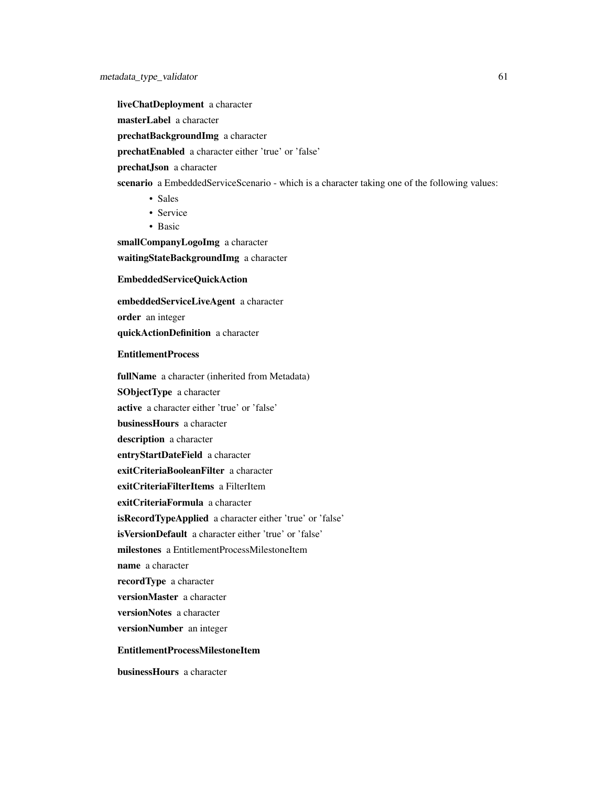liveChatDeployment a character masterLabel a character prechatBackgroundImg a character prechatEnabled a character either 'true' or 'false' prechatJson a character scenario a EmbeddedServiceScenario - which is a character taking one of the following values: • Sales • Service • Basic

smallCompanyLogoImg a character waitingStateBackgroundImg a character

#### EmbeddedServiceQuickAction

embeddedServiceLiveAgent a character

order an integer

quickActionDefinition a character

## EntitlementProcess

fullName a character (inherited from Metadata) SObjectType a character active a character either 'true' or 'false' businessHours a character description a character entryStartDateField a character exitCriteriaBooleanFilter a character exitCriteriaFilterItems a FilterItem exitCriteriaFormula a character isRecordTypeApplied a character either 'true' or 'false' isVersionDefault a character either 'true' or 'false' milestones a EntitlementProcessMilestoneItem name a character recordType a character versionMaster a character versionNotes a character versionNumber an integer EntitlementProcessMilestoneItem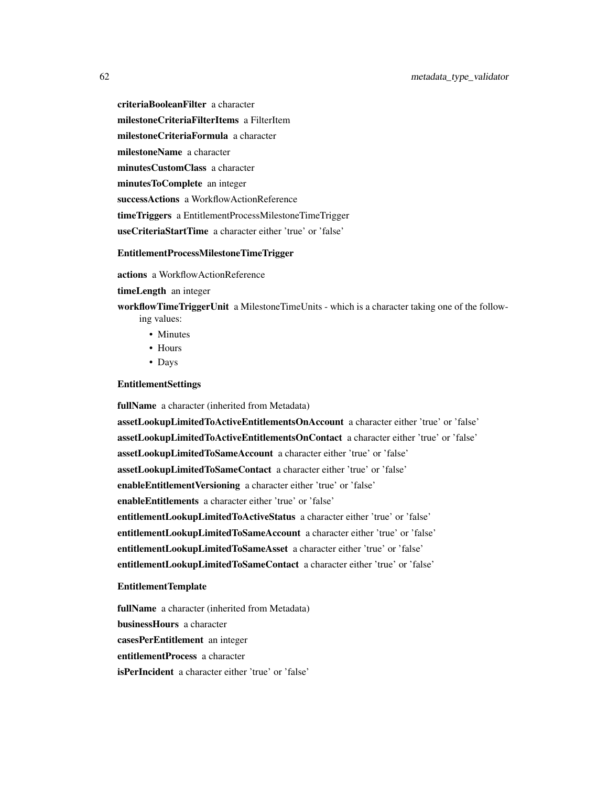criteriaBooleanFilter a character milestoneCriteriaFilterItems a FilterItem milestoneCriteriaFormula a character milestoneName a character minutesCustomClass a character minutesToComplete an integer successActions a WorkflowActionReference timeTriggers a EntitlementProcessMilestoneTimeTrigger useCriteriaStartTime a character either 'true' or 'false'

## EntitlementProcessMilestoneTimeTrigger

actions a WorkflowActionReference

timeLength an integer

workflowTimeTriggerUnit a MilestoneTimeUnits - which is a character taking one of the following values:

- Minutes
- Hours
- Days

## EntitlementSettings

fullName a character (inherited from Metadata)

assetLookupLimitedToActiveEntitlementsOnAccount a character either 'true' or 'false' assetLookupLimitedToActiveEntitlementsOnContact a character either 'true' or 'false' assetLookupLimitedToSameAccount a character either 'true' or 'false' assetLookupLimitedToSameContact a character either 'true' or 'false' enableEntitlementVersioning a character either 'true' or 'false' enableEntitlements a character either 'true' or 'false' entitlementLookupLimitedToActiveStatus a character either 'true' or 'false' entitlementLookupLimitedToSameAccount a character either 'true' or 'false' entitlementLookupLimitedToSameAsset a character either 'true' or 'false' entitlementLookupLimitedToSameContact a character either 'true' or 'false'

#### EntitlementTemplate

fullName a character (inherited from Metadata) businessHours a character casesPerEntitlement an integer entitlementProcess a character isPerIncident a character either 'true' or 'false'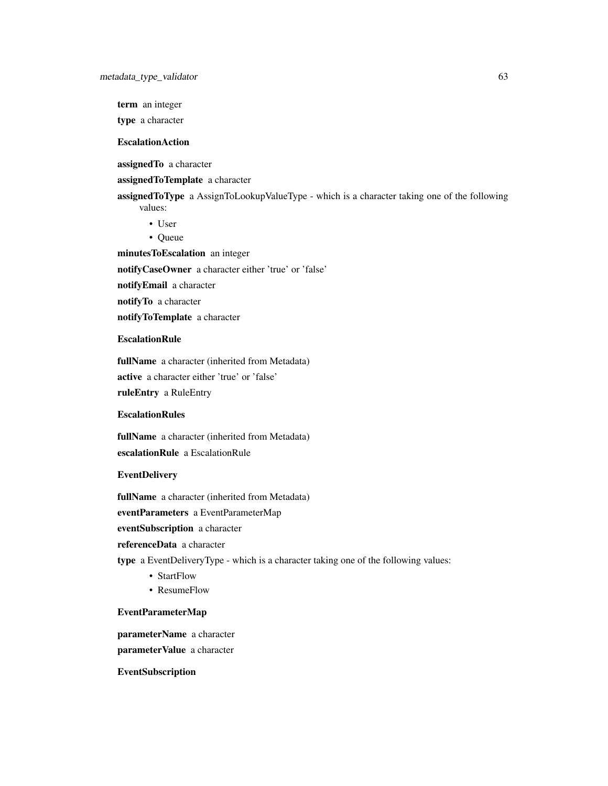term an integer

type a character

## **EscalationAction**

assignedTo a character

assignedToTemplate a character

assignedToType a AssignToLookupValueType - which is a character taking one of the following values:

- User
- Queue

minutesToEscalation an integer

notifyCaseOwner a character either 'true' or 'false'

notifyEmail a character

notifyTo a character

notifyToTemplate a character

# **EscalationRule**

fullName a character (inherited from Metadata) active a character either 'true' or 'false'

ruleEntry a RuleEntry

### **EscalationRules**

fullName a character (inherited from Metadata) escalationRule a EscalationRule

## EventDelivery

fullName a character (inherited from Metadata)

eventParameters a EventParameterMap

eventSubscription a character

referenceData a character

type a EventDeliveryType - which is a character taking one of the following values:

- StartFlow
- ResumeFlow

#### EventParameterMap

parameterName a character

parameterValue a character

EventSubscription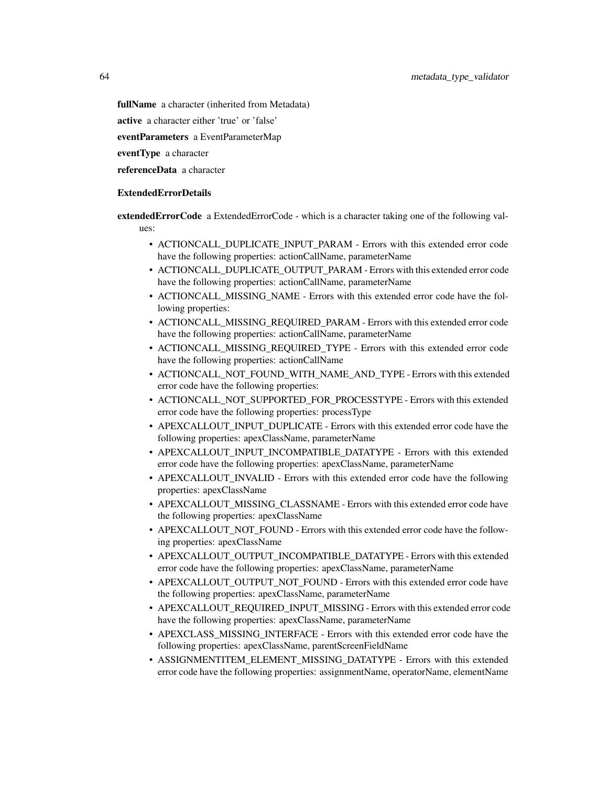fullName a character (inherited from Metadata)

active a character either 'true' or 'false'

eventParameters a EventParameterMap

eventType a character

referenceData a character

### ExtendedErrorDetails

**extendedErrorCode** a ExtendedErrorCode - which is a character taking one of the following values:

- ACTIONCALL\_DUPLICATE\_INPUT\_PARAM Errors with this extended error code have the following properties: actionCallName, parameterName
- ACTIONCALL\_DUPLICATE\_OUTPUT\_PARAM Errors with this extended error code have the following properties: actionCallName, parameterName
- ACTIONCALL\_MISSING\_NAME Errors with this extended error code have the following properties:
- ACTIONCALL\_MISSING\_REQUIRED\_PARAM Errors with this extended error code have the following properties: actionCallName, parameterName
- ACTIONCALL\_MISSING\_REQUIRED\_TYPE Errors with this extended error code have the following properties: actionCallName
- ACTIONCALL\_NOT\_FOUND\_WITH\_NAME\_AND\_TYPE Errors with this extended error code have the following properties:
- ACTIONCALL\_NOT\_SUPPORTED\_FOR\_PROCESSTYPE Errors with this extended error code have the following properties: processType
- APEXCALLOUT\_INPUT\_DUPLICATE Errors with this extended error code have the following properties: apexClassName, parameterName
- APEXCALLOUT\_INPUT\_INCOMPATIBLE\_DATATYPE Errors with this extended error code have the following properties: apexClassName, parameterName
- APEXCALLOUT INVALID Errors with this extended error code have the following properties: apexClassName
- APEXCALLOUT\_MISSING\_CLASSNAME Errors with this extended error code have the following properties: apexClassName
- APEXCALLOUT\_NOT\_FOUND Errors with this extended error code have the following properties: apexClassName
- APEXCALLOUT\_OUTPUT\_INCOMPATIBLE\_DATATYPE Errors with this extended error code have the following properties: apexClassName, parameterName
- APEXCALLOUT\_OUTPUT\_NOT\_FOUND Errors with this extended error code have the following properties: apexClassName, parameterName
- APEXCALLOUT\_REQUIRED\_INPUT\_MISSING Errors with this extended error code have the following properties: apexClassName, parameterName
- APEXCLASS\_MISSING\_INTERFACE Errors with this extended error code have the following properties: apexClassName, parentScreenFieldName
- ASSIGNMENTITEM\_ELEMENT\_MISSING\_DATATYPE Errors with this extended error code have the following properties: assignmentName, operatorName, elementName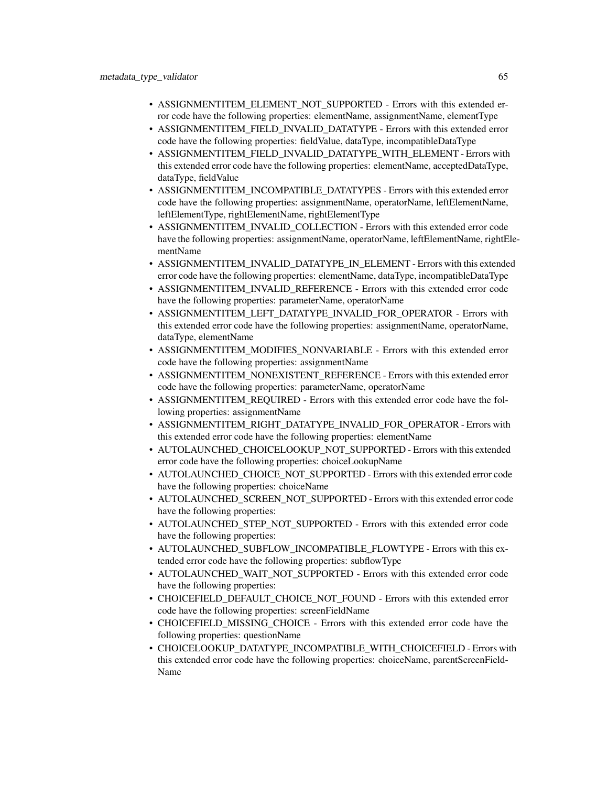- ASSIGNMENTITEM\_ELEMENT\_NOT\_SUPPORTED Errors with this extended error code have the following properties: elementName, assignmentName, elementType
- ASSIGNMENTITEM\_FIELD\_INVALID\_DATATYPE Errors with this extended error code have the following properties: fieldValue, dataType, incompatibleDataType
- ASSIGNMENTITEM\_FIELD\_INVALID\_DATATYPE\_WITH\_ELEMENT Errors with this extended error code have the following properties: elementName, acceptedDataType, dataType, fieldValue
- ASSIGNMENTITEM\_INCOMPATIBLE\_DATATYPES Errors with this extended error code have the following properties: assignmentName, operatorName, leftElementName, leftElementType, rightElementName, rightElementType
- ASSIGNMENTITEM\_INVALID\_COLLECTION Errors with this extended error code have the following properties: assignmentName, operatorName, leftElementName, rightElementName
- ASSIGNMENTITEM\_INVALID\_DATATYPE\_IN\_ELEMENT Errors with this extended error code have the following properties: elementName, dataType, incompatibleDataType
- ASSIGNMENTITEM\_INVALID\_REFERENCE Errors with this extended error code have the following properties: parameterName, operatorName
- ASSIGNMENTITEM\_LEFT\_DATATYPE\_INVALID\_FOR\_OPERATOR Errors with this extended error code have the following properties: assignmentName, operatorName, dataType, elementName
- ASSIGNMENTITEM\_MODIFIES\_NONVARIABLE Errors with this extended error code have the following properties: assignmentName
- ASSIGNMENTITEM\_NONEXISTENT\_REFERENCE Errors with this extended error code have the following properties: parameterName, operatorName
- ASSIGNMENTITEM\_REQUIRED Errors with this extended error code have the following properties: assignmentName
- ASSIGNMENTITEM\_RIGHT\_DATATYPE\_INVALID\_FOR\_OPERATOR Errors with this extended error code have the following properties: elementName
- AUTOLAUNCHED\_CHOICELOOKUP\_NOT\_SUPPORTED Errors with this extended error code have the following properties: choiceLookupName
- AUTOLAUNCHED\_CHOICE\_NOT\_SUPPORTED Errors with this extended error code have the following properties: choiceName
- AUTOLAUNCHED\_SCREEN\_NOT\_SUPPORTED Errors with this extended error code have the following properties:
- AUTOLAUNCHED\_STEP\_NOT\_SUPPORTED Errors with this extended error code have the following properties:
- AUTOLAUNCHED\_SUBFLOW\_INCOMPATIBLE\_FLOWTYPE Errors with this extended error code have the following properties: subflowType
- AUTOLAUNCHED\_WAIT\_NOT\_SUPPORTED Errors with this extended error code have the following properties:
- CHOICEFIELD\_DEFAULT\_CHOICE\_NOT\_FOUND Errors with this extended error code have the following properties: screenFieldName
- CHOICEFIELD\_MISSING\_CHOICE Errors with this extended error code have the following properties: questionName
- CHOICELOOKUP\_DATATYPE\_INCOMPATIBLE\_WITH\_CHOICEFIELD Errors with this extended error code have the following properties: choiceName, parentScreenField-Name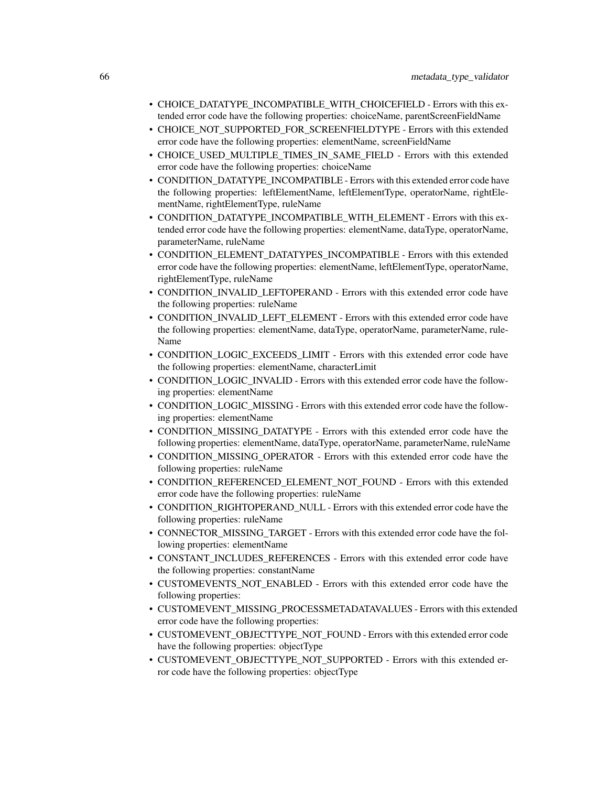- CHOICE\_DATATYPE\_INCOMPATIBLE\_WITH\_CHOICEFIELD Errors with this extended error code have the following properties: choiceName, parentScreenFieldName
- CHOICE\_NOT\_SUPPORTED\_FOR\_SCREENFIELDTYPE Errors with this extended error code have the following properties: elementName, screenFieldName
- CHOICE\_USED\_MULTIPLE\_TIMES\_IN\_SAME\_FIELD Errors with this extended error code have the following properties: choiceName
- CONDITION\_DATATYPE\_INCOMPATIBLE Errors with this extended error code have the following properties: leftElementName, leftElementType, operatorName, rightElementName, rightElementType, ruleName
- CONDITION\_DATATYPE\_INCOMPATIBLE\_WITH\_ELEMENT Errors with this extended error code have the following properties: elementName, dataType, operatorName, parameterName, ruleName
- CONDITION\_ELEMENT\_DATATYPES\_INCOMPATIBLE Errors with this extended error code have the following properties: elementName, leftElementType, operatorName, rightElementType, ruleName
- CONDITION\_INVALID\_LEFTOPERAND Errors with this extended error code have the following properties: ruleName
- CONDITION\_INVALID\_LEFT\_ELEMENT Errors with this extended error code have the following properties: elementName, dataType, operatorName, parameterName, rule-Name
- CONDITION\_LOGIC\_EXCEEDS\_LIMIT Errors with this extended error code have the following properties: elementName, characterLimit
- CONDITION\_LOGIC\_INVALID Errors with this extended error code have the following properties: elementName
- CONDITION\_LOGIC\_MISSING Errors with this extended error code have the following properties: elementName
- CONDITION\_MISSING\_DATATYPE Errors with this extended error code have the following properties: elementName, dataType, operatorName, parameterName, ruleName
- CONDITION MISSING OPERATOR Errors with this extended error code have the following properties: ruleName
- CONDITION\_REFERENCED\_ELEMENT\_NOT\_FOUND Errors with this extended error code have the following properties: ruleName
- CONDITION\_RIGHTOPERAND\_NULL Errors with this extended error code have the following properties: ruleName
- CONNECTOR\_MISSING\_TARGET Errors with this extended error code have the following properties: elementName
- CONSTANT\_INCLUDES\_REFERENCES Errors with this extended error code have the following properties: constantName
- CUSTOMEVENTS\_NOT\_ENABLED Errors with this extended error code have the following properties:
- CUSTOMEVENT\_MISSING\_PROCESSMETADATAVALUES Errors with this extended error code have the following properties:
- CUSTOMEVENT\_OBJECTTYPE\_NOT\_FOUND Errors with this extended error code have the following properties: objectType
- CUSTOMEVENT\_OBJECTTYPE\_NOT\_SUPPORTED Errors with this extended error code have the following properties: objectType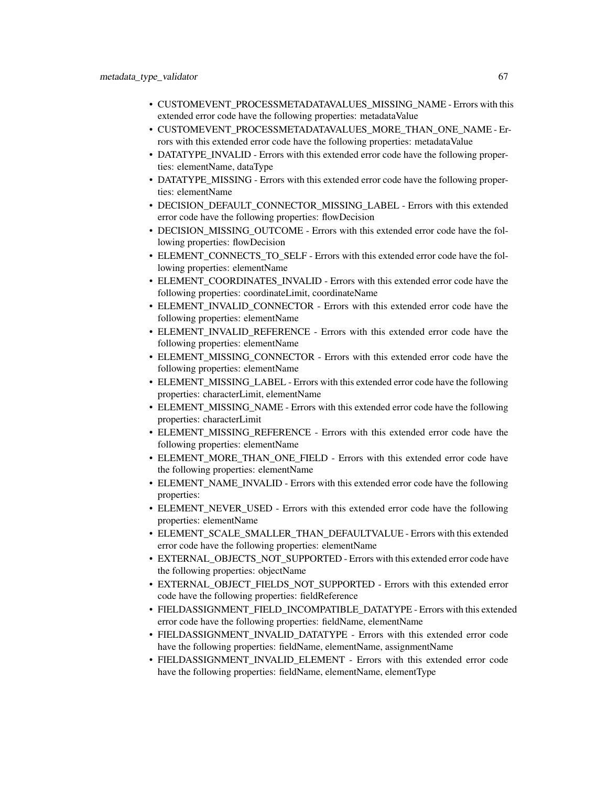- CUSTOMEVENT\_PROCESSMETADATAVALUES\_MISSING\_NAME Errors with this extended error code have the following properties: metadataValue
- CUSTOMEVENT PROCESSMETADATAVALUES MORE THAN ONE NAME Errors with this extended error code have the following properties: metadataValue
- DATATYPE INVALID Errors with this extended error code have the following properties: elementName, dataType
- DATATYPE\_MISSING Errors with this extended error code have the following properties: elementName
- DECISION\_DEFAULT\_CONNECTOR\_MISSING\_LABEL Errors with this extended error code have the following properties: flowDecision
- DECISION\_MISSING\_OUTCOME Errors with this extended error code have the following properties: flowDecision
- ELEMENT\_CONNECTS\_TO\_SELF Errors with this extended error code have the following properties: elementName
- ELEMENT\_COORDINATES\_INVALID Errors with this extended error code have the following properties: coordinateLimit, coordinateName
- ELEMENT\_INVALID\_CONNECTOR Errors with this extended error code have the following properties: elementName
- ELEMENT\_INVALID\_REFERENCE Errors with this extended error code have the following properties: elementName
- ELEMENT MISSING CONNECTOR Errors with this extended error code have the following properties: elementName
- ELEMENT\_MISSING\_LABEL Errors with this extended error code have the following properties: characterLimit, elementName
- ELEMENT\_MISSING\_NAME Errors with this extended error code have the following properties: characterLimit
- ELEMENT\_MISSING\_REFERENCE Errors with this extended error code have the following properties: elementName
- ELEMENT\_MORE\_THAN\_ONE\_FIELD Errors with this extended error code have the following properties: elementName
- ELEMENT\_NAME\_INVALID Errors with this extended error code have the following properties:
- ELEMENT\_NEVER\_USED Errors with this extended error code have the following properties: elementName
- ELEMENT\_SCALE\_SMALLER\_THAN\_DEFAULTVALUE Errors with this extended error code have the following properties: elementName
- EXTERNAL\_OBJECTS\_NOT\_SUPPORTED Errors with this extended error code have the following properties: objectName
- EXTERNAL\_OBJECT\_FIELDS\_NOT\_SUPPORTED Errors with this extended error code have the following properties: fieldReference
- FIELDASSIGNMENT\_FIELD\_INCOMPATIBLE\_DATATYPE Errors with this extended error code have the following properties: fieldName, elementName
- FIELDASSIGNMENT\_INVALID\_DATATYPE Errors with this extended error code have the following properties: fieldName, elementName, assignmentName
- FIELDASSIGNMENT\_INVALID\_ELEMENT Errors with this extended error code have the following properties: fieldName, elementName, elementType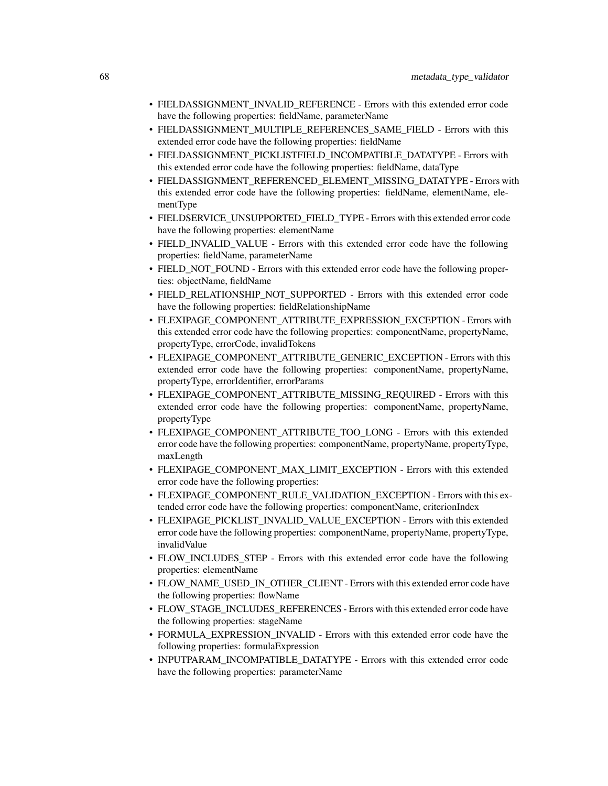- FIELDASSIGNMENT\_INVALID\_REFERENCE Errors with this extended error code have the following properties: fieldName, parameterName
- FIELDASSIGNMENT\_MULTIPLE\_REFERENCES\_SAME\_FIELD Errors with this extended error code have the following properties: fieldName
- FIELDASSIGNMENT\_PICKLISTFIELD\_INCOMPATIBLE\_DATATYPE Errors with this extended error code have the following properties: fieldName, dataType
- FIELDASSIGNMENT\_REFERENCED\_ELEMENT\_MISSING\_DATATYPE Errors with this extended error code have the following properties: fieldName, elementName, elementType
- FIELDSERVICE\_UNSUPPORTED\_FIELD\_TYPE Errors with this extended error code have the following properties: elementName
- FIELD\_INVALID\_VALUE Errors with this extended error code have the following properties: fieldName, parameterName
- FIELD\_NOT\_FOUND Errors with this extended error code have the following properties: objectName, fieldName
- FIELD\_RELATIONSHIP\_NOT\_SUPPORTED Errors with this extended error code have the following properties: fieldRelationshipName
- FLEXIPAGE\_COMPONENT\_ATTRIBUTE\_EXPRESSION\_EXCEPTION Errors with this extended error code have the following properties: componentName, propertyName, propertyType, errorCode, invalidTokens
- FLEXIPAGE\_COMPONENT\_ATTRIBUTE\_GENERIC\_EXCEPTION Errors with this extended error code have the following properties: componentName, propertyName, propertyType, errorIdentifier, errorParams
- FLEXIPAGE\_COMPONENT\_ATTRIBUTE\_MISSING\_REQUIRED Errors with this extended error code have the following properties: componentName, propertyName, propertyType
- FLEXIPAGE COMPONENT ATTRIBUTE TOO LONG Errors with this extended error code have the following properties: componentName, propertyName, propertyType, maxLength
- FLEXIPAGE\_COMPONENT\_MAX\_LIMIT\_EXCEPTION Errors with this extended error code have the following properties:
- FLEXIPAGE\_COMPONENT\_RULE\_VALIDATION\_EXCEPTION Errors with this extended error code have the following properties: componentName, criterionIndex
- FLEXIPAGE\_PICKLIST\_INVALID\_VALUE\_EXCEPTION Errors with this extended error code have the following properties: componentName, propertyName, propertyType, invalidValue
- FLOW INCLUDES STEP Errors with this extended error code have the following properties: elementName
- FLOW\_NAME\_USED\_IN\_OTHER\_CLIENT Errors with this extended error code have the following properties: flowName
- FLOW\_STAGE\_INCLUDES\_REFERENCES Errors with this extended error code have the following properties: stageName
- FORMULA\_EXPRESSION\_INVALID Errors with this extended error code have the following properties: formulaExpression
- INPUTPARAM\_INCOMPATIBLE\_DATATYPE Errors with this extended error code have the following properties: parameterName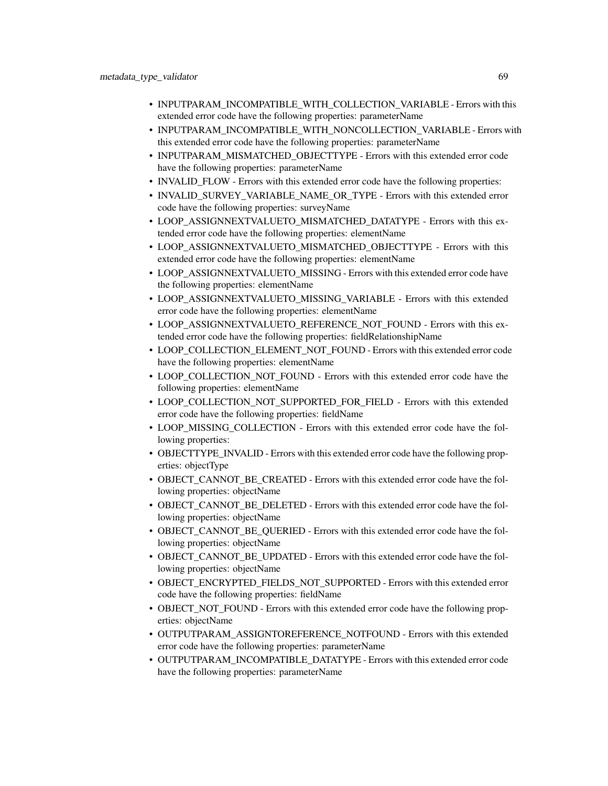- INPUTPARAM\_INCOMPATIBLE\_WITH\_COLLECTION\_VARIABLE Errors with this extended error code have the following properties: parameterName
- INPUTPARAM\_INCOMPATIBLE\_WITH\_NONCOLLECTION\_VARIABLE Errors with this extended error code have the following properties: parameterName
- INPUTPARAM\_MISMATCHED\_OBJECTTYPE Errors with this extended error code have the following properties: parameterName
- INVALID\_FLOW Errors with this extended error code have the following properties:
- INVALID\_SURVEY\_VARIABLE\_NAME\_OR\_TYPE Errors with this extended error code have the following properties: surveyName
- LOOP ASSIGNNEXTVALUETO MISMATCHED DATATYPE Errors with this extended error code have the following properties: elementName
- LOOP\_ASSIGNNEXTVALUETO\_MISMATCHED\_OBJECTTYPE Errors with this extended error code have the following properties: elementName
- LOOP\_ASSIGNNEXTVALUETO\_MISSING Errors with this extended error code have the following properties: elementName
- LOOP\_ASSIGNNEXTVALUETO\_MISSING\_VARIABLE Errors with this extended error code have the following properties: elementName
- LOOP\_ASSIGNNEXTVALUETO\_REFERENCE\_NOT\_FOUND Errors with this extended error code have the following properties: fieldRelationshipName
- LOOP\_COLLECTION\_ELEMENT\_NOT\_FOUND Errors with this extended error code have the following properties: elementName
- LOOP\_COLLECTION\_NOT\_FOUND Errors with this extended error code have the following properties: elementName
- LOOP\_COLLECTION\_NOT\_SUPPORTED\_FOR\_FIELD Errors with this extended error code have the following properties: fieldName
- LOOP MISSING COLLECTION Errors with this extended error code have the following properties:
- OBJECTTYPE\_INVALID Errors with this extended error code have the following properties: objectType
- OBJECT\_CANNOT\_BE\_CREATED Errors with this extended error code have the following properties: objectName
- OBJECT\_CANNOT\_BE\_DELETED Errors with this extended error code have the following properties: objectName
- OBJECT\_CANNOT\_BE\_QUERIED Errors with this extended error code have the following properties: objectName
- OBJECT\_CANNOT\_BE\_UPDATED Errors with this extended error code have the following properties: objectName
- OBJECT\_ENCRYPTED\_FIELDS\_NOT\_SUPPORTED Errors with this extended error code have the following properties: fieldName
- OBJECT NOT FOUND Errors with this extended error code have the following properties: objectName
- OUTPUTPARAM\_ASSIGNTOREFERENCE\_NOTFOUND Errors with this extended error code have the following properties: parameterName
- OUTPUTPARAM\_INCOMPATIBLE\_DATATYPE Errors with this extended error code have the following properties: parameterName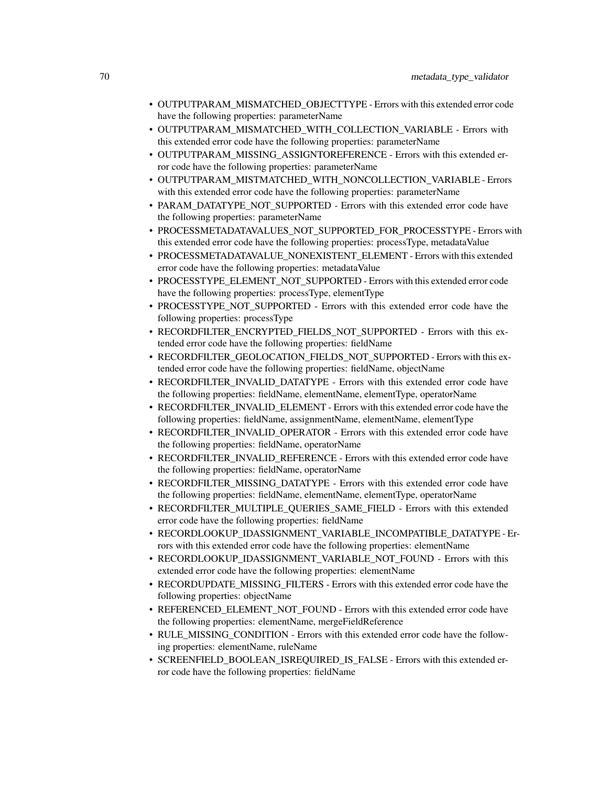- OUTPUTPARAM\_MISMATCHED\_OBJECTTYPE Errors with this extended error code have the following properties: parameterName
- OUTPUTPARAM\_MISMATCHED\_WITH\_COLLECTION\_VARIABLE Errors with this extended error code have the following properties: parameterName
- OUTPUTPARAM\_MISSING\_ASSIGNTOREFERENCE Errors with this extended error code have the following properties: parameterName
- OUTPUTPARAM\_MISTMATCHED\_WITH\_NONCOLLECTION\_VARIABLE Errors with this extended error code have the following properties: parameterName
- PARAM\_DATATYPE\_NOT\_SUPPORTED Errors with this extended error code have the following properties: parameterName
- PROCESSMETADATAVALUES\_NOT\_SUPPORTED\_FOR\_PROCESSTYPE Errors with this extended error code have the following properties: processType, metadataValue
- PROCESSMETADATAVALUE\_NONEXISTENT\_ELEMENT Errors with this extended error code have the following properties: metadataValue
- PROCESSTYPE\_ELEMENT\_NOT\_SUPPORTED Errors with this extended error code have the following properties: processType, elementType
- PROCESSTYPE\_NOT\_SUPPORTED Errors with this extended error code have the following properties: processType
- RECORDFILTER\_ENCRYPTED\_FIELDS\_NOT\_SUPPORTED Errors with this extended error code have the following properties: fieldName
- RECORDFILTER\_GEOLOCATION\_FIELDS\_NOT\_SUPPORTED Errors with this extended error code have the following properties: fieldName, objectName
- RECORDFILTER\_INVALID\_DATATYPE Errors with this extended error code have the following properties: fieldName, elementName, elementType, operatorName
- RECORDFILTER\_INVALID\_ELEMENT Errors with this extended error code have the following properties: fieldName, assignmentName, elementName, elementType
- RECORDFILTER\_INVALID\_OPERATOR Errors with this extended error code have the following properties: fieldName, operatorName
- RECORDFILTER\_INVALID\_REFERENCE Errors with this extended error code have the following properties: fieldName, operatorName
- RECORDFILTER\_MISSING\_DATATYPE Errors with this extended error code have the following properties: fieldName, elementName, elementType, operatorName
- RECORDFILTER\_MULTIPLE\_QUERIES\_SAME\_FIELD Errors with this extended error code have the following properties: fieldName
- RECORDLOOKUP\_IDASSIGNMENT\_VARIABLE\_INCOMPATIBLE\_DATATYPE Errors with this extended error code have the following properties: elementName
- RECORDLOOKUP\_IDASSIGNMENT\_VARIABLE\_NOT\_FOUND Errors with this extended error code have the following properties: elementName
- RECORDUPDATE\_MISSING\_FILTERS Errors with this extended error code have the following properties: objectName
- REFERENCED\_ELEMENT\_NOT\_FOUND Errors with this extended error code have the following properties: elementName, mergeFieldReference
- RULE\_MISSING\_CONDITION Errors with this extended error code have the following properties: elementName, ruleName
- SCREENFIELD\_BOOLEAN\_ISREQUIRED\_IS\_FALSE Errors with this extended error code have the following properties: fieldName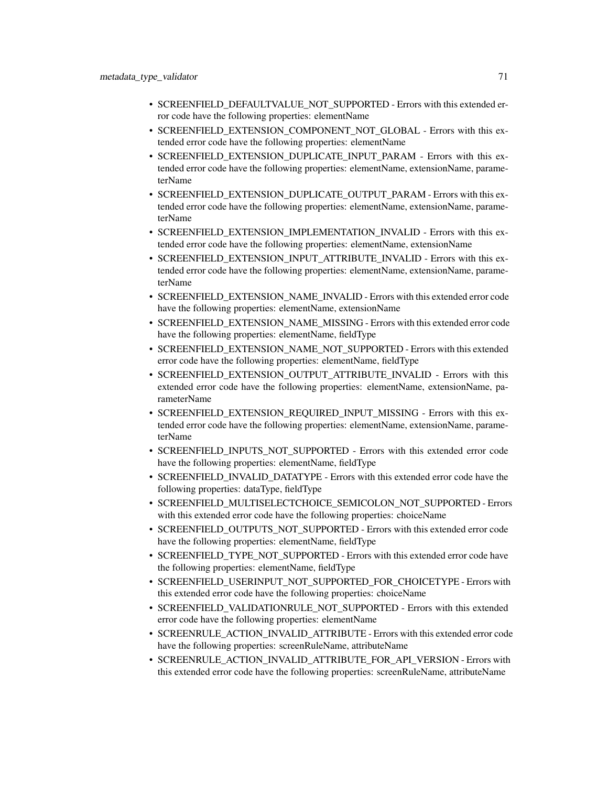- SCREENFIELD\_DEFAULTVALUE\_NOT\_SUPPORTED Errors with this extended error code have the following properties: elementName
- SCREENFIELD\_EXTENSION\_COMPONENT\_NOT\_GLOBAL Errors with this extended error code have the following properties: elementName
- SCREENFIELD\_EXTENSION\_DUPLICATE\_INPUT\_PARAM Errors with this extended error code have the following properties: elementName, extensionName, parameterName
- SCREENFIELD\_EXTENSION\_DUPLICATE\_OUTPUT\_PARAM Errors with this extended error code have the following properties: elementName, extensionName, parameterName
- SCREENFIELD\_EXTENSION\_IMPLEMENTATION\_INVALID Errors with this extended error code have the following properties: elementName, extensionName
- SCREENFIELD\_EXTENSION\_INPUT\_ATTRIBUTE\_INVALID Errors with this extended error code have the following properties: elementName, extensionName, parameterName
- SCREENFIELD\_EXTENSION\_NAME\_INVALID Errors with this extended error code have the following properties: elementName, extensionName
- SCREENFIELD\_EXTENSION\_NAME\_MISSING Errors with this extended error code have the following properties: elementName, fieldType
- SCREENFIELD\_EXTENSION\_NAME\_NOT\_SUPPORTED Errors with this extended error code have the following properties: elementName, fieldType
- SCREENFIELD\_EXTENSION\_OUTPUT\_ATTRIBUTE\_INVALID Errors with this extended error code have the following properties: elementName, extensionName, parameterName
- SCREENFIELD\_EXTENSION\_REQUIRED\_INPUT\_MISSING Errors with this extended error code have the following properties: elementName, extensionName, parameterName
- SCREENFIELD\_INPUTS\_NOT\_SUPPORTED Errors with this extended error code have the following properties: elementName, fieldType
- SCREENFIELD INVALID DATATYPE Errors with this extended error code have the following properties: dataType, fieldType
- SCREENFIELD\_MULTISELECTCHOICE\_SEMICOLON\_NOT\_SUPPORTED Errors with this extended error code have the following properties: choiceName
- SCREENFIELD\_OUTPUTS\_NOT\_SUPPORTED Errors with this extended error code have the following properties: elementName, fieldType
- SCREENFIELD\_TYPE\_NOT\_SUPPORTED Errors with this extended error code have the following properties: elementName, fieldType
- SCREENFIELD\_USERINPUT\_NOT\_SUPPORTED\_FOR\_CHOICETYPE Errors with this extended error code have the following properties: choiceName
- SCREENFIELD\_VALIDATIONRULE\_NOT\_SUPPORTED Errors with this extended error code have the following properties: elementName
- SCREENRULE\_ACTION\_INVALID\_ATTRIBUTE Errors with this extended error code have the following properties: screenRuleName, attributeName
- SCREENRULE\_ACTION\_INVALID\_ATTRIBUTE\_FOR\_API\_VERSION Errors with this extended error code have the following properties: screenRuleName, attributeName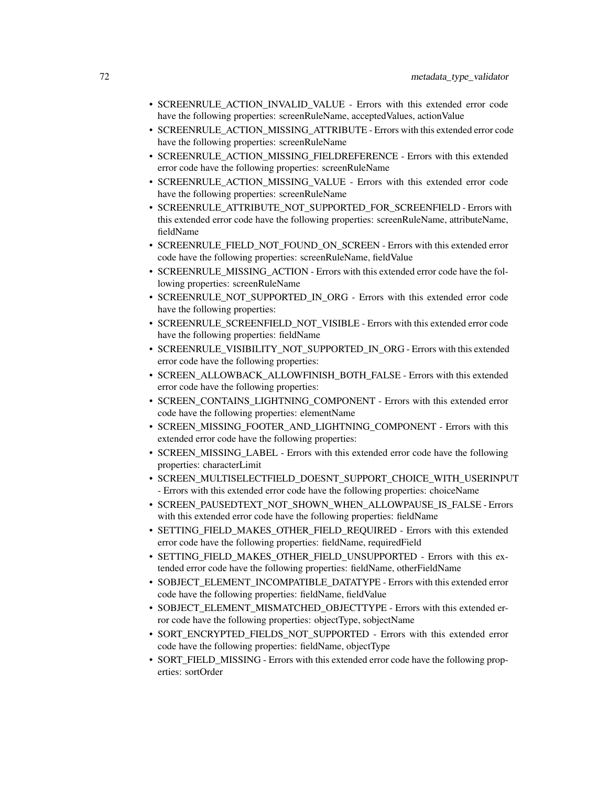- SCREENRULE\_ACTION\_INVALID\_VALUE Errors with this extended error code have the following properties: screenRuleName, acceptedValues, actionValue
- SCREENRULE\_ACTION\_MISSING\_ATTRIBUTE Errors with this extended error code have the following properties: screenRuleName
- SCREENRULE\_ACTION\_MISSING\_FIELDREFERENCE Errors with this extended error code have the following properties: screenRuleName
- SCREENRULE ACTION MISSING VALUE Errors with this extended error code have the following properties: screenRuleName
- SCREENRULE\_ATTRIBUTE\_NOT\_SUPPORTED\_FOR\_SCREENFIELD Errors with this extended error code have the following properties: screenRuleName, attributeName, fieldName
- SCREENRULE\_FIELD\_NOT\_FOUND\_ON\_SCREEN Errors with this extended error code have the following properties: screenRuleName, fieldValue
- SCREENRULE\_MISSING\_ACTION Errors with this extended error code have the following properties: screenRuleName
- SCREENRULE\_NOT\_SUPPORTED\_IN\_ORG Errors with this extended error code have the following properties:
- SCREENRULE\_SCREENFIELD\_NOT\_VISIBLE Errors with this extended error code have the following properties: fieldName
- SCREENRULE\_VISIBILITY\_NOT\_SUPPORTED\_IN\_ORG Errors with this extended error code have the following properties:
- SCREEN\_ALLOWBACK\_ALLOWFINISH\_BOTH\_FALSE Errors with this extended error code have the following properties:
- SCREEN\_CONTAINS\_LIGHTNING\_COMPONENT Errors with this extended error code have the following properties: elementName
- SCREEN\_MISSING\_FOOTER\_AND\_LIGHTNING\_COMPONENT Errors with this extended error code have the following properties:
- SCREEN MISSING LABEL Errors with this extended error code have the following properties: characterLimit
- SCREEN\_MULTISELECTFIELD\_DOESNT\_SUPPORT\_CHOICE\_WITH\_USERINPUT - Errors with this extended error code have the following properties: choiceName
- SCREEN PAUSEDTEXT NOT SHOWN WHEN ALLOWPAUSE IS FALSE Errors with this extended error code have the following properties: fieldName
- SETTING FIELD MAKES OTHER FIELD REQUIRED Errors with this extended error code have the following properties: fieldName, requiredField
- SETTING FIELD MAKES OTHER FIELD UNSUPPORTED Errors with this extended error code have the following properties: fieldName, otherFieldName
- SOBJECT\_ELEMENT\_INCOMPATIBLE\_DATATYPE Errors with this extended error code have the following properties: fieldName, fieldValue
- SOBJECT\_ELEMENT\_MISMATCHED\_OBJECTTYPE Errors with this extended error code have the following properties: objectType, sobjectName
- SORT\_ENCRYPTED\_FIELDS\_NOT\_SUPPORTED Errors with this extended error code have the following properties: fieldName, objectType
- SORT\_FIELD\_MISSING Errors with this extended error code have the following properties: sortOrder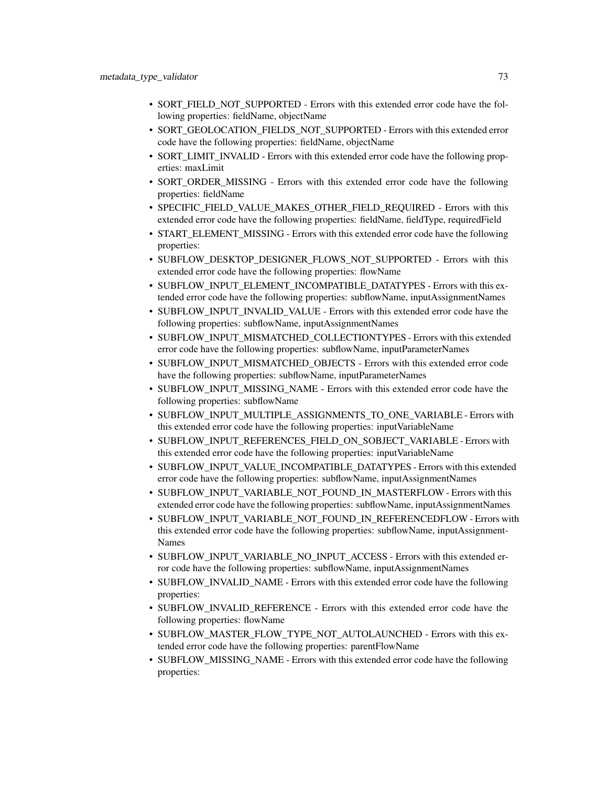- SORT FIELD NOT\_SUPPORTED Errors with this extended error code have the following properties: fieldName, objectName
- SORT\_GEOLOCATION\_FIELDS\_NOT\_SUPPORTED Errors with this extended error code have the following properties: fieldName, objectName
- SORT\_LIMIT\_INVALID Errors with this extended error code have the following properties: maxLimit
- SORT\_ORDER\_MISSING Errors with this extended error code have the following properties: fieldName
- SPECIFIC\_FIELD\_VALUE\_MAKES\_OTHER\_FIELD\_REQUIRED Errors with this extended error code have the following properties: fieldName, fieldType, requiredField
- START\_ELEMENT\_MISSING Errors with this extended error code have the following properties:
- SUBFLOW DESKTOP DESIGNER FLOWS NOT SUPPORTED Errors with this extended error code have the following properties: flowName
- SUBFLOW\_INPUT\_ELEMENT\_INCOMPATIBLE\_DATATYPES Errors with this extended error code have the following properties: subflowName, inputAssignmentNames
- SUBFLOW\_INPUT\_INVALID\_VALUE Errors with this extended error code have the following properties: subflowName, inputAssignmentNames
- SUBFLOW\_INPUT\_MISMATCHED\_COLLECTIONTYPES Errors with this extended error code have the following properties: subflowName, inputParameterNames
- SUBFLOW\_INPUT\_MISMATCHED\_OBJECTS Errors with this extended error code have the following properties: subflowName, inputParameterNames
- SUBFLOW\_INPUT\_MISSING\_NAME Errors with this extended error code have the following properties: subflowName
- SUBFLOW\_INPUT\_MULTIPLE\_ASSIGNMENTS\_TO\_ONE\_VARIABLE Errors with this extended error code have the following properties: inputVariableName
- SUBFLOW\_INPUT\_REFERENCES\_FIELD\_ON\_SOBJECT\_VARIABLE Errors with this extended error code have the following properties: inputVariableName
- SUBFLOW\_INPUT\_VALUE\_INCOMPATIBLE\_DATATYPES Errors with this extended error code have the following properties: subflowName, inputAssignmentNames
- SUBFLOW\_INPUT\_VARIABLE\_NOT\_FOUND\_IN\_MASTERFLOW Errors with this extended error code have the following properties: subflowName, inputAssignmentNames
- SUBFLOW\_INPUT\_VARIABLE\_NOT\_FOUND\_IN\_REFERENCEDFLOW Errors with this extended error code have the following properties: subflowName, inputAssignment-Names
- SUBFLOW\_INPUT\_VARIABLE\_NO\_INPUT\_ACCESS Errors with this extended error code have the following properties: subflowName, inputAssignmentNames
- SUBFLOW\_INVALID\_NAME Errors with this extended error code have the following properties:
- SUBFLOW\_INVALID\_REFERENCE Errors with this extended error code have the following properties: flowName
- SUBFLOW\_MASTER\_FLOW\_TYPE\_NOT\_AUTOLAUNCHED Errors with this extended error code have the following properties: parentFlowName
- SUBFLOW MISSING NAME Errors with this extended error code have the following properties: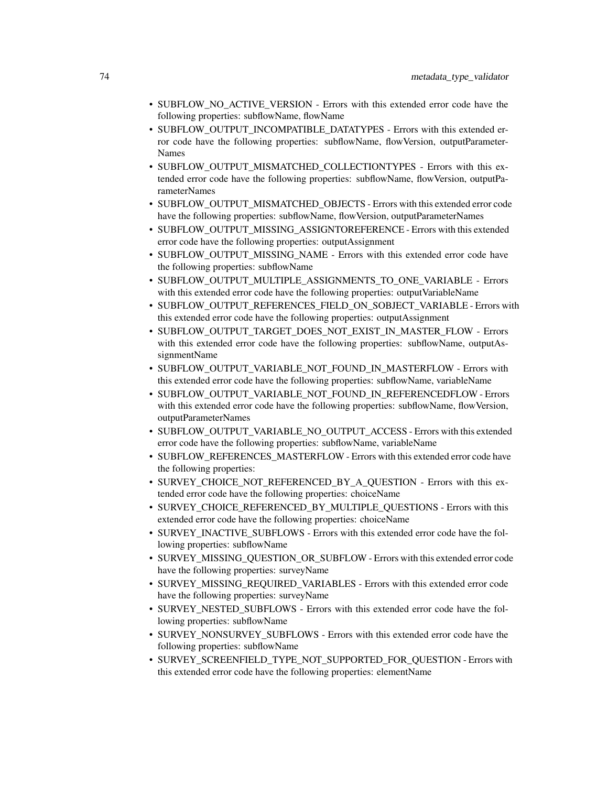- SUBFLOW NO ACTIVE\_VERSION Errors with this extended error code have the following properties: subflowName, flowName
- SUBFLOW\_OUTPUT\_INCOMPATIBLE\_DATATYPES Errors with this extended error code have the following properties: subflowName, flowVersion, outputParameter-Names
- SUBFLOW\_OUTPUT\_MISMATCHED\_COLLECTIONTYPES Errors with this extended error code have the following properties: subflowName, flowVersion, outputParameterNames
- SUBFLOW\_OUTPUT\_MISMATCHED\_OBJECTS Errors with this extended error code have the following properties: subflowName, flowVersion, outputParameterNames
- SUBFLOW\_OUTPUT\_MISSING\_ASSIGNTOREFERENCE Errors with this extended error code have the following properties: outputAssignment
- SUBFLOW\_OUTPUT\_MISSING\_NAME Errors with this extended error code have the following properties: subflowName
- SUBFLOW\_OUTPUT\_MULTIPLE\_ASSIGNMENTS\_TO\_ONE\_VARIABLE Errors with this extended error code have the following properties: outputVariableName
- SUBFLOW OUTPUT REFERENCES FIELD ON SOBJECT VARIABLE Errors with this extended error code have the following properties: outputAssignment
- SUBFLOW OUTPUT TARGET DOES NOT EXIST IN MASTER FLOW Errors with this extended error code have the following properties: subflowName, outputAssignmentName
- SUBFLOW\_OUTPUT\_VARIABLE\_NOT\_FOUND\_IN\_MASTERFLOW Errors with this extended error code have the following properties: subflowName, variableName
- SUBFLOW\_OUTPUT\_VARIABLE\_NOT\_FOUND\_IN\_REFERENCEDFLOW Errors with this extended error code have the following properties: subflowName, flowVersion, outputParameterNames
- SUBFLOW\_OUTPUT\_VARIABLE\_NO\_OUTPUT\_ACCESS Errors with this extended error code have the following properties: subflowName, variableName
- SUBFLOW\_REFERENCES\_MASTERFLOW Errors with this extended error code have the following properties:
- SURVEY CHOICE NOT REFERENCED BY A QUESTION Errors with this extended error code have the following properties: choiceName
- SURVEY\_CHOICE\_REFERENCED\_BY\_MULTIPLE\_QUESTIONS Errors with this extended error code have the following properties: choiceName
- SURVEY\_INACTIVE\_SUBFLOWS Errors with this extended error code have the following properties: subflowName
- SURVEY\_MISSING\_QUESTION\_OR\_SUBFLOW Errors with this extended error code have the following properties: surveyName
- SURVEY\_MISSING\_REQUIRED\_VARIABLES Errors with this extended error code have the following properties: surveyName
- SURVEY\_NESTED\_SUBFLOWS Errors with this extended error code have the following properties: subflowName
- SURVEY\_NONSURVEY\_SUBFLOWS Errors with this extended error code have the following properties: subflowName
- SURVEY\_SCREENFIELD\_TYPE\_NOT\_SUPPORTED\_FOR\_QUESTION Errors with this extended error code have the following properties: elementName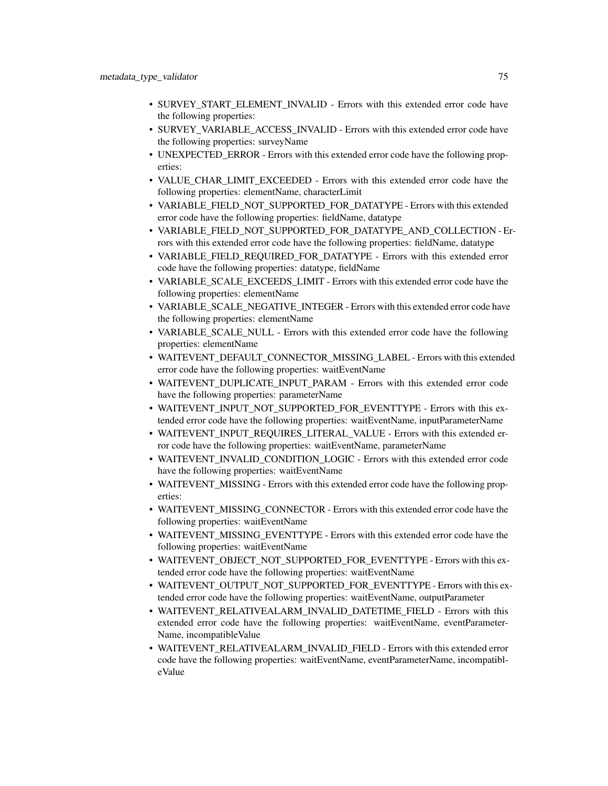- SURVEY\_START\_ELEMENT\_INVALID Errors with this extended error code have the following properties:
- SURVEY\_VARIABLE\_ACCESS\_INVALID Errors with this extended error code have the following properties: surveyName
- UNEXPECTED\_ERROR Errors with this extended error code have the following properties:
- VALUE\_CHAR\_LIMIT\_EXCEEDED Errors with this extended error code have the following properties: elementName, characterLimit
- VARIABLE\_FIELD\_NOT\_SUPPORTED\_FOR\_DATATYPE Errors with this extended error code have the following properties: fieldName, datatype
- VARIABLE FIELD NOT SUPPORTED FOR DATATYPE AND COLLECTION Errors with this extended error code have the following properties: fieldName, datatype
- VARIABLE\_FIELD\_REQUIRED\_FOR\_DATATYPE Errors with this extended error code have the following properties: datatype, fieldName
- VARIABLE\_SCALE\_EXCEEDS\_LIMIT Errors with this extended error code have the following properties: elementName
- VARIABLE\_SCALE\_NEGATIVE\_INTEGER Errors with this extended error code have the following properties: elementName
- VARIABLE\_SCALE\_NULL Errors with this extended error code have the following properties: elementName
- WAITEVENT\_DEFAULT\_CONNECTOR\_MISSING\_LABEL Errors with this extended error code have the following properties: waitEventName
- WAITEVENT DUPLICATE INPUT\_PARAM Errors with this extended error code have the following properties: parameterName
- WAITEVENT\_INPUT\_NOT\_SUPPORTED\_FOR\_EVENTTYPE Errors with this extended error code have the following properties: waitEventName, inputParameterName
- WAITEVENT\_INPUT\_REQUIRES\_LITERAL\_VALUE Errors with this extended error code have the following properties: waitEventName, parameterName
- WAITEVENT\_INVALID\_CONDITION\_LOGIC Errors with this extended error code have the following properties: waitEventName
- WAITEVENT MISSING Errors with this extended error code have the following properties:
- WAITEVENT\_MISSING\_CONNECTOR Errors with this extended error code have the following properties: waitEventName
- WAITEVENT\_MISSING\_EVENTTYPE Errors with this extended error code have the following properties: waitEventName
- WAITEVENT\_OBJECT\_NOT\_SUPPORTED\_FOR\_EVENTTYPE Errors with this extended error code have the following properties: waitEventName
- WAITEVENT\_OUTPUT\_NOT\_SUPPORTED\_FOR\_EVENTTYPE Errors with this extended error code have the following properties: waitEventName, outputParameter
- WAITEVENT\_RELATIVEALARM\_INVALID\_DATETIME\_FIELD Errors with this extended error code have the following properties: waitEventName, eventParameter-Name, incompatibleValue
- WAITEVENT\_RELATIVEALARM\_INVALID\_FIELD Errors with this extended error code have the following properties: waitEventName, eventParameterName, incompatibleValue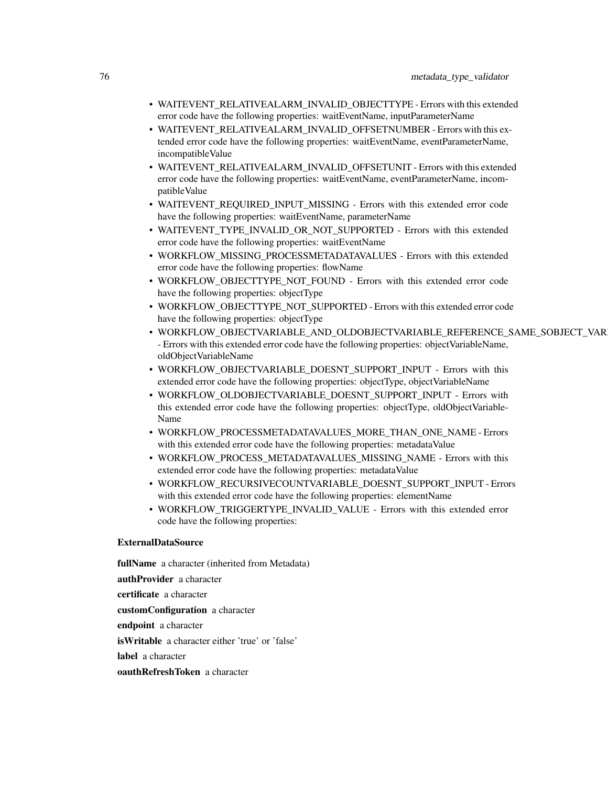- WAITEVENT\_RELATIVEALARM\_INVALID\_OBJECTTYPE Errors with this extended error code have the following properties: waitEventName, inputParameterName
- WAITEVENT\_RELATIVEALARM\_INVALID\_OFFSETNUMBER Errors with this extended error code have the following properties: waitEventName, eventParameterName, incompatibleValue
- WAITEVENT\_RELATIVEALARM\_INVALID\_OFFSETUNIT Errors with this extended error code have the following properties: waitEventName, eventParameterName, incompatibleValue
- WAITEVENT\_REQUIRED\_INPUT\_MISSING Errors with this extended error code have the following properties: waitEventName, parameterName
- WAITEVENT\_TYPE\_INVALID\_OR\_NOT\_SUPPORTED Errors with this extended error code have the following properties: waitEventName
- WORKFLOW\_MISSING\_PROCESSMETADATAVALUES Errors with this extended error code have the following properties: flowName
- WORKFLOW\_OBJECTTYPE\_NOT\_FOUND Errors with this extended error code have the following properties: objectType
- WORKFLOW\_OBJECTTYPE\_NOT\_SUPPORTED Errors with this extended error code have the following properties: objectType
- WORKFLOW\_OBJECTVARIABLE\_AND\_OLDOBJECTVARIABLE\_REFERENCE\_SAME\_SOBJECT\_VARIABLE - Errors with this extended error code have the following properties: objectVariableName, oldObjectVariableName
- WORKFLOW OBJECTVARIABLE\_DOESNT\_SUPPORT\_INPUT Errors with this extended error code have the following properties: objectType, objectVariableName
- WORKFLOW\_OLDOBJECTVARIABLE\_DOESNT\_SUPPORT\_INPUT Errors with this extended error code have the following properties: objectType, oldObjectVariable-Name
- WORKFLOW\_PROCESSMETADATAVALUES\_MORE\_THAN\_ONE\_NAME Errors with this extended error code have the following properties: metadataValue
- WORKFLOW\_PROCESS\_METADATAVALUES\_MISSING\_NAME Errors with this extended error code have the following properties: metadataValue
- WORKFLOW\_RECURSIVECOUNTVARIABLE\_DOESNT\_SUPPORT\_INPUT Errors with this extended error code have the following properties: elementName
- WORKFLOW\_TRIGGERTYPE\_INVALID\_VALUE Errors with this extended error code have the following properties:

#### ExternalDataSource

fullName a character (inherited from Metadata) authProvider a character certificate a character customConfiguration a character endpoint a character isWritable a character either 'true' or 'false' label a character oauthRefreshToken a character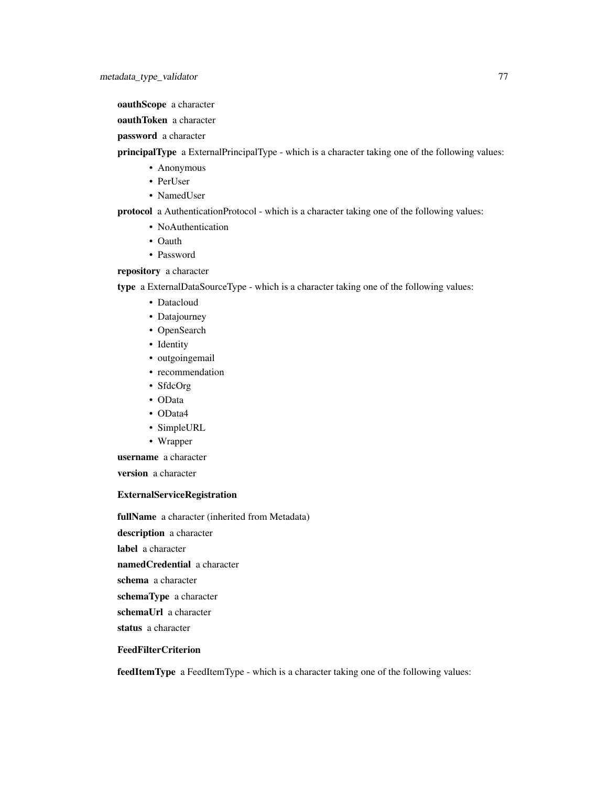oauthScope a character

oauthToken a character

password a character

principalType a ExternalPrincipalType - which is a character taking one of the following values:

- Anonymous
- PerUser
- NamedUser

protocol a AuthenticationProtocol - which is a character taking one of the following values:

- NoAuthentication
- Oauth
- Password

repository a character

type a ExternalDataSourceType - which is a character taking one of the following values:

- Datacloud
- Datajourney
- OpenSearch
- Identity
- outgoingemail
- recommendation
- SfdcOrg
- OData
- OData4
- SimpleURL
- Wrapper

username a character

version a character

## ExternalServiceRegistration

fullName a character (inherited from Metadata)

description a character

label a character

namedCredential a character

schema a character

schemaType a character

schemaUrl a character

status a character

# FeedFilterCriterion

feedItemType a FeedItemType - which is a character taking one of the following values: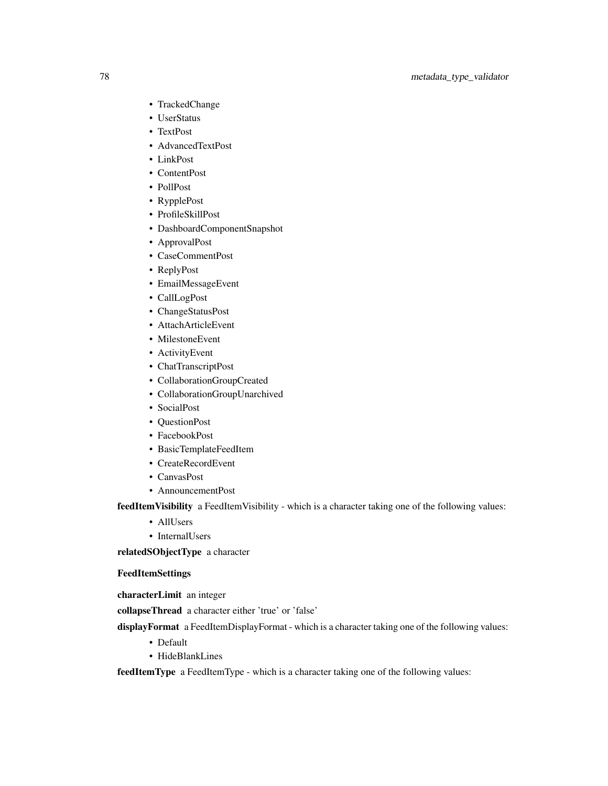# 78 metadata\_type\_validator

- TrackedChange
- UserStatus
- TextPost
- AdvancedTextPost
- LinkPost
- ContentPost
- PollPost
- RypplePost
- ProfileSkillPost
- DashboardComponentSnapshot
- ApprovalPost
- CaseCommentPost
- ReplyPost
- EmailMessageEvent
- CallLogPost
- ChangeStatusPost
- AttachArticleEvent
- MilestoneEvent
- ActivityEvent
- ChatTranscriptPost
- CollaborationGroupCreated
- CollaborationGroupUnarchived
- SocialPost
- QuestionPost
- FacebookPost
- BasicTemplateFeedItem
- CreateRecordEvent
- CanvasPost
- AnnouncementPost

feedItemVisibility a FeedItemVisibility - which is a character taking one of the following values:

- AllUsers
- InternalUsers

relatedSObjectType a character

# FeedItemSettings

characterLimit an integer

collapseThread a character either 'true' or 'false'

displayFormat a FeedItemDisplayFormat - which is a character taking one of the following values:

- Default
- HideBlankLines

feedItemType a FeedItemType - which is a character taking one of the following values: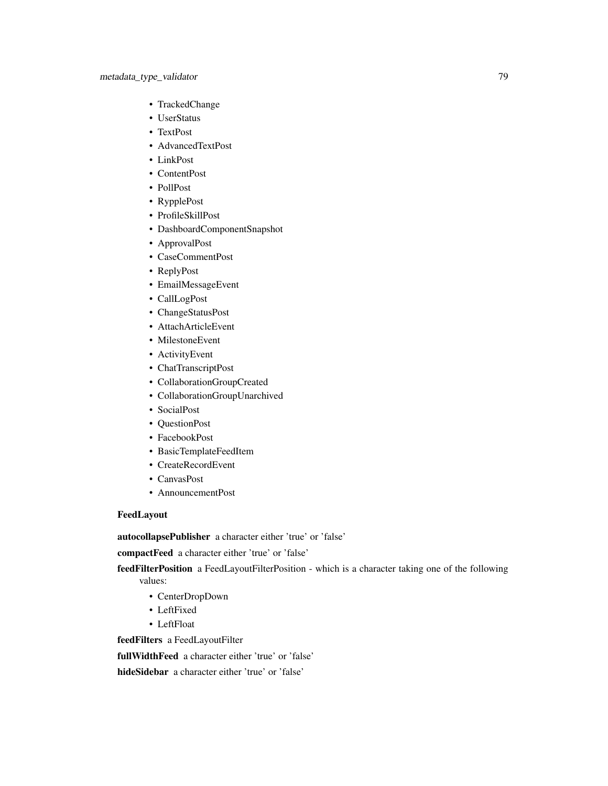- TrackedChange
- UserStatus
- TextPost
- AdvancedTextPost
- LinkPost
- ContentPost
- PollPost
- RypplePost
- ProfileSkillPost
- DashboardComponentSnapshot
- ApprovalPost
- CaseCommentPost
- ReplyPost
- EmailMessageEvent
- CallLogPost
- ChangeStatusPost
- AttachArticleEvent
- MilestoneEvent
- ActivityEvent
- ChatTranscriptPost
- CollaborationGroupCreated
- CollaborationGroupUnarchived
- SocialPost
- QuestionPost
- FacebookPost
- BasicTemplateFeedItem
- CreateRecordEvent
- CanvasPost
- AnnouncementPost

# FeedLayout

autocollapsePublisher a character either 'true' or 'false'

compactFeed a character either 'true' or 'false'

feedFilterPosition a FeedLayoutFilterPosition - which is a character taking one of the following values:

- CenterDropDown
- LeftFixed
- LeftFloat

feedFilters a FeedLayoutFilter

fullWidthFeed a character either 'true' or 'false'

hideSidebar a character either 'true' or 'false'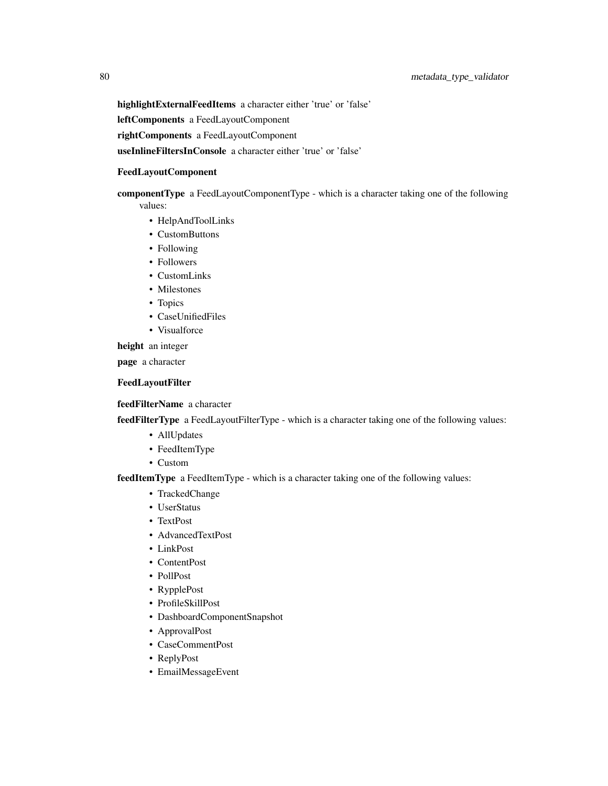highlightExternalFeedItems a character either 'true' or 'false'

leftComponents a FeedLayoutComponent

rightComponents a FeedLayoutComponent

useInlineFiltersInConsole a character either 'true' or 'false'

## FeedLayoutComponent

componentType a FeedLayoutComponentType - which is a character taking one of the following values:

- HelpAndToolLinks
- CustomButtons
- Following
- Followers
- CustomLinks
- Milestones
- Topics
- CaseUnifiedFiles
- Visualforce

height an integer

page a character

## FeedLayoutFilter

# feedFilterName a character

feedFilterType a FeedLayoutFilterType - which is a character taking one of the following values:

- AllUpdates
- FeedItemType
- Custom

feedItemType a FeedItemType - which is a character taking one of the following values:

- TrackedChange
- UserStatus
- TextPost
- AdvancedTextPost
- LinkPost
- ContentPost
- PollPost
- RypplePost
- ProfileSkillPost
- DashboardComponentSnapshot
- ApprovalPost
- CaseCommentPost
- ReplyPost
- EmailMessageEvent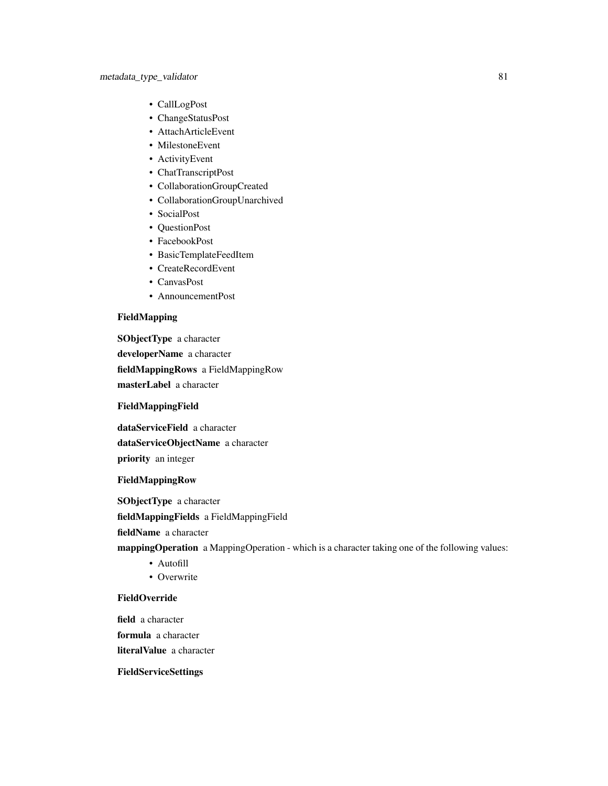- CallLogPost
- ChangeStatusPost
- AttachArticleEvent
- MilestoneEvent
- ActivityEvent
- ChatTranscriptPost
- CollaborationGroupCreated
- CollaborationGroupUnarchived
- SocialPost
- QuestionPost
- FacebookPost
- BasicTemplateFeedItem
- CreateRecordEvent
- CanvasPost
- AnnouncementPost

# FieldMapping

SObjectType a character developerName a character fieldMappingRows a FieldMappingRow masterLabel a character

## FieldMappingField

dataServiceField a character dataServiceObjectName a character priority an integer

# FieldMappingRow

SObjectType a character

fieldMappingFields a FieldMappingField

fieldName a character

mappingOperation a MappingOperation - which is a character taking one of the following values:

- Autofill
- Overwrite

## FieldOverride

field a character formula a character literalValue a character

FieldServiceSettings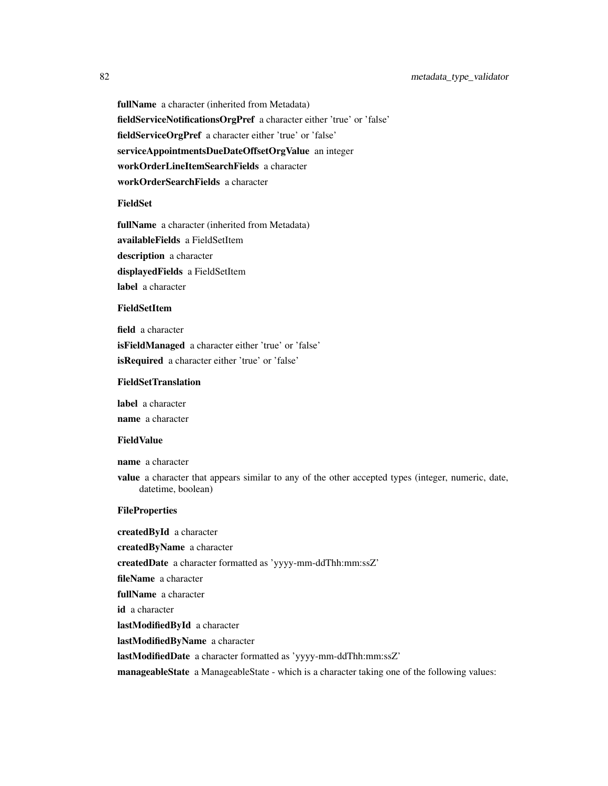fullName a character (inherited from Metadata) fieldServiceNotificationsOrgPref a character either 'true' or 'false' fieldServiceOrgPref a character either 'true' or 'false' serviceAppointmentsDueDateOffsetOrgValue an integer workOrderLineItemSearchFields a character workOrderSearchFields a character

# FieldSet

fullName a character (inherited from Metadata) availableFields a FieldSetItem description a character displayedFields a FieldSetItem label a character

## FieldSetItem

field a character isFieldManaged a character either 'true' or 'false' isRequired a character either 'true' or 'false'

## FieldSetTranslation

label a character

name a character

## FieldValue

name a character

value a character that appears similar to any of the other accepted types (integer, numeric, date, datetime, boolean)

## **FileProperties**

createdById a character createdByName a character createdDate a character formatted as 'yyyy-mm-ddThh:mm:ssZ' fileName a character fullName a character id a character lastModifiedById a character lastModifiedByName a character lastModifiedDate a character formatted as 'yyyy-mm-ddThh:mm:ssZ' manageableState a ManageableState - which is a character taking one of the following values: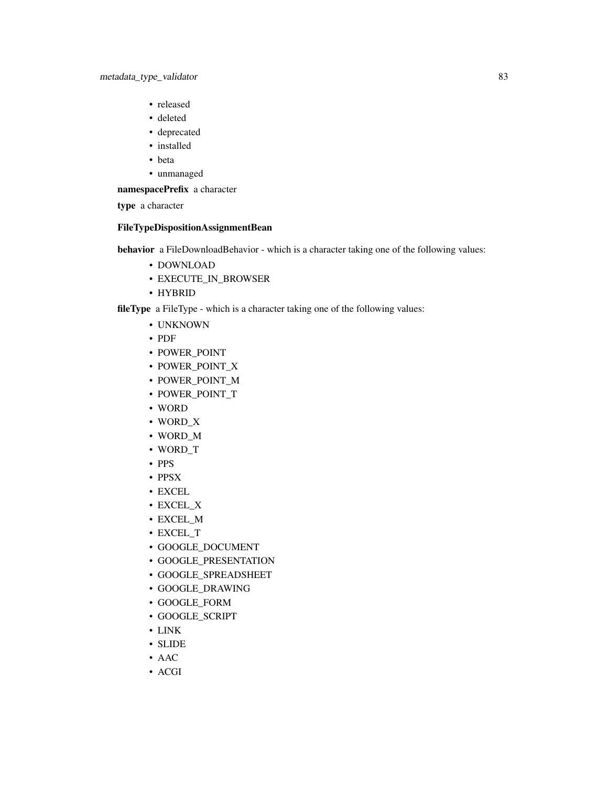- released
- deleted
- deprecated
- installed
- beta
- unmanaged

namespacePrefix a character

type a character

# FileTypeDispositionAssignmentBean

behavior a FileDownloadBehavior - which is a character taking one of the following values:

- DOWNLOAD
- EXECUTE\_IN\_BROWSER
- HYBRID

fileType a FileType - which is a character taking one of the following values:

- UNKNOWN
- PDF
- POWER\_POINT
- POWER\_POINT\_X
- POWER\_POINT\_M
- POWER\_POINT\_T
- WORD
- WORD\_X
- WORD\_M
- WORD\_T
- PPS
- PPSX
- EXCEL
- EXCEL\_X
- EXCEL\_M
- EXCEL\_T
- GOOGLE\_DOCUMENT
- GOOGLE\_PRESENTATION
- GOOGLE\_SPREADSHEET
- GOOGLE\_DRAWING
- GOOGLE\_FORM
- GOOGLE\_SCRIPT
- LINK
- SLIDE
- AAC
- ACGI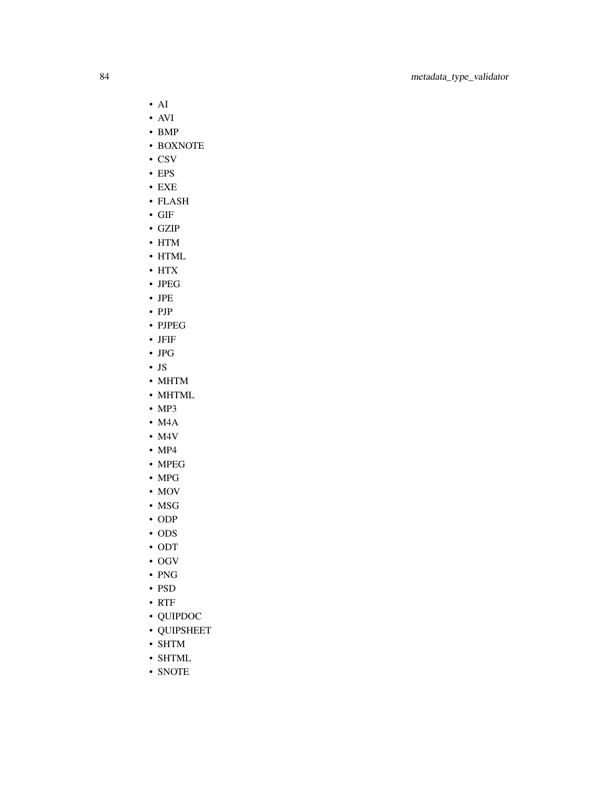- AI
- AVI
- BMP
- BOXNOTE
- CSV
- EPS
- EXE
- FLASH
- GIF
- GZIP
- HTM
- HTML
- HTX
- JPEG
- JPE
- PJP
- PJPEG
- JFIF
- JPG
- JS
- MHTM
- MHTML
- MP3
- M4A
- M4V
- MP4
- MPEG
- MPG
- MOV
- MSG
- ODP
- ODS
- ODT
- OGV
- PNG
- PSD
- RTF
- QUIPDOC
- QUIPSHEET
- SHTM
- SHTML
- SNOTE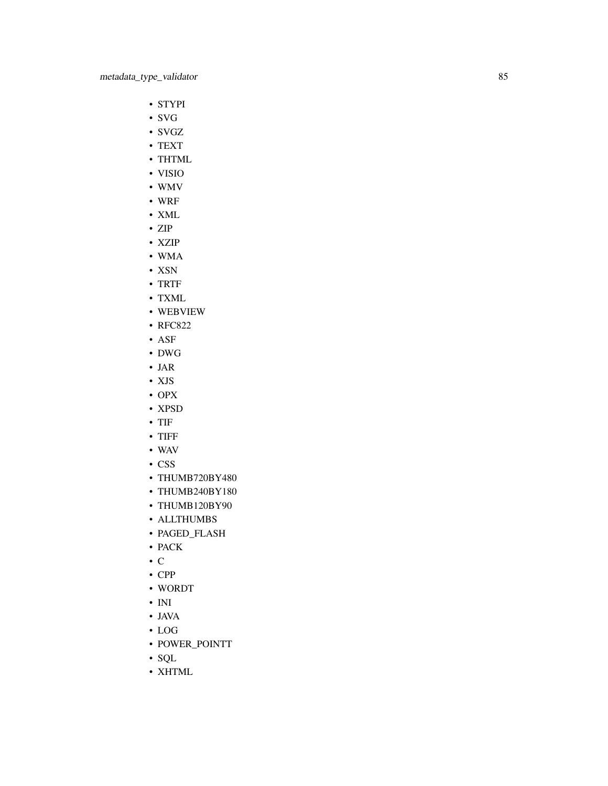- STYPI
- SVG
- SVGZ
- TEXT
- THTML
- VISIO
- WMV
- WRF
- XML
- ZIP
- XZIP
- WMA
- XSN
- TRTF
- TXML
- WEBVIEW
- RFC822
- ASF
- DWG
- JAR
- XJS
- OPX
- XPSD
- TIF
- TIFF
- WAV
- CSS
- THUMB720BY480
- THUMB240BY180
- THUMB120BY90
- ALLTHUMBS
- PAGED\_FLASH
- PACK
- C
- CPP
- WORDT
- INI
- JAVA
- LOG
- POWER\_POINTT
- SQL
- XHTML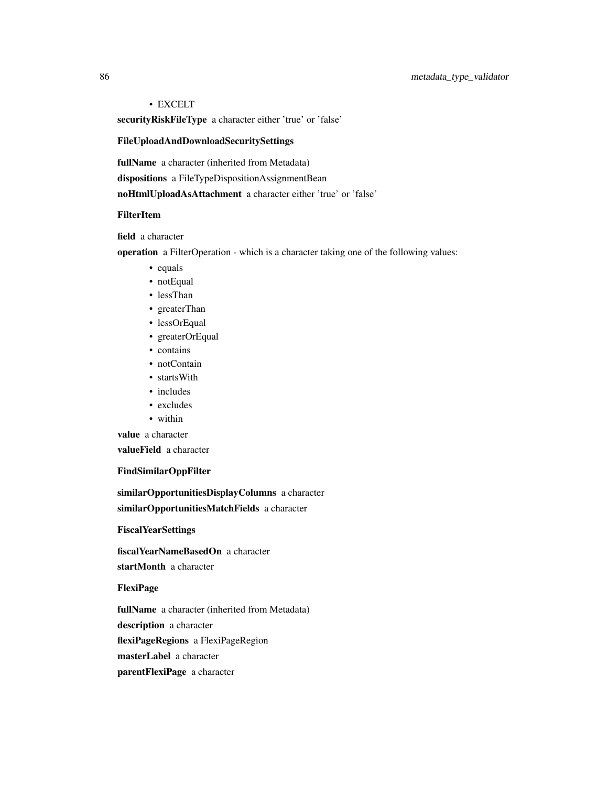# 86 metadata\_type\_validator

# • EXCELT

securityRiskFileType a character either 'true' or 'false'

# FileUploadAndDownloadSecuritySettings

fullName a character (inherited from Metadata)

dispositions a FileTypeDispositionAssignmentBean

noHtmlUploadAsAttachment a character either 'true' or 'false'

# FilterItem

field a character

operation a FilterOperation - which is a character taking one of the following values:

- equals
- notEqual
- lessThan
- greaterThan
- lessOrEqual
- greaterOrEqual
- contains
- notContain
- startsWith
- includes
- excludes
- within

value a character

valueField a character

## FindSimilarOppFilter

similarOpportunitiesDisplayColumns a character similarOpportunitiesMatchFields a character

**FiscalYearSettings** 

fiscalYearNameBasedOn a character startMonth a character

FlexiPage

fullName a character (inherited from Metadata)

description a character

flexiPageRegions a FlexiPageRegion

masterLabel a character

parentFlexiPage a character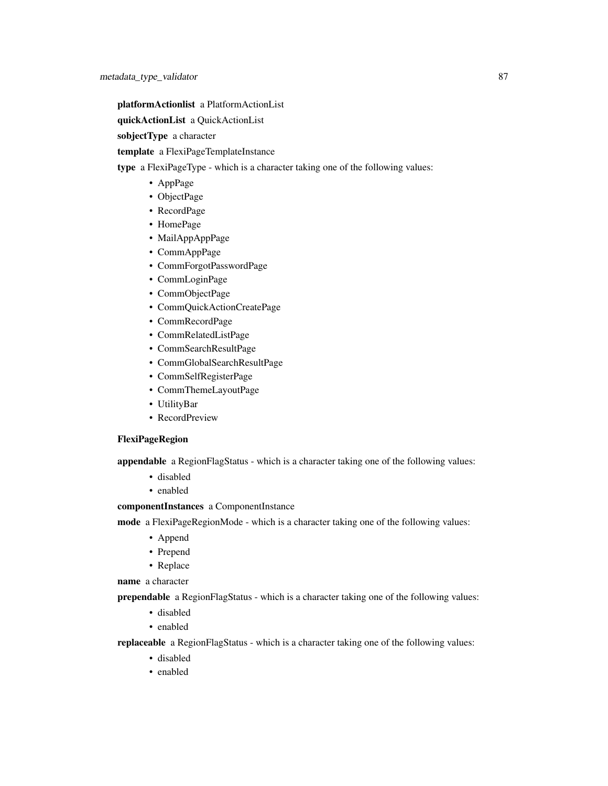platformActionlist a PlatformActionList

quickActionList a QuickActionList

sobjectType a character

template a FlexiPageTemplateInstance

type a FlexiPageType - which is a character taking one of the following values:

- AppPage
- ObjectPage
- RecordPage
- HomePage
- MailAppAppPage
- CommAppPage
- CommForgotPasswordPage
- CommLoginPage
- CommObjectPage
- CommQuickActionCreatePage
- CommRecordPage
- CommRelatedListPage
- CommSearchResultPage
- CommGlobalSearchResultPage
- CommSelfRegisterPage
- CommThemeLayoutPage
- UtilityBar
- RecordPreview

## FlexiPageRegion

appendable a RegionFlagStatus - which is a character taking one of the following values:

- disabled
- enabled

# componentInstances a ComponentInstance

mode a FlexiPageRegionMode - which is a character taking one of the following values:

- Append
- Prepend
- Replace

name a character

prependable a RegionFlagStatus - which is a character taking one of the following values:

- disabled
- enabled

replaceable a RegionFlagStatus - which is a character taking one of the following values:

- disabled
- enabled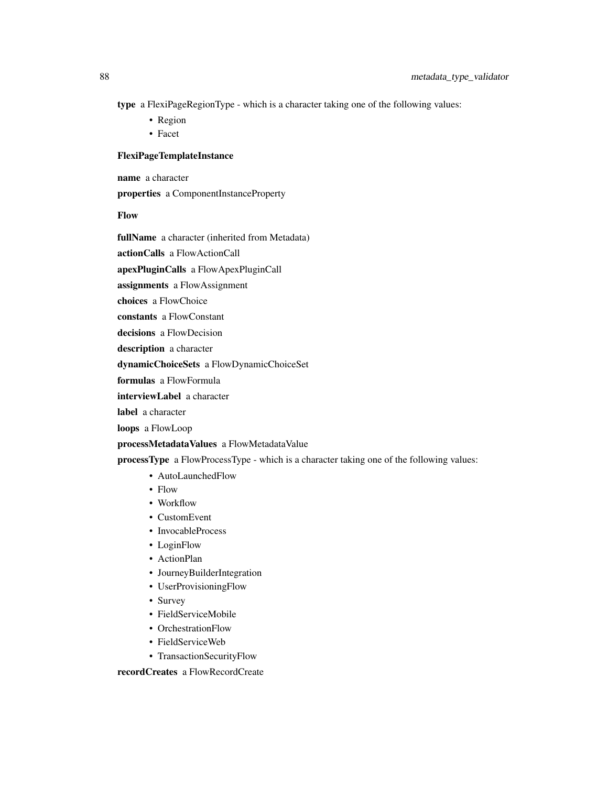type a FlexiPageRegionType - which is a character taking one of the following values:

- Region
- Facet

# FlexiPageTemplateInstance

name a character

properties a ComponentInstanceProperty

Flow

fullName a character (inherited from Metadata)

actionCalls a FlowActionCall

apexPluginCalls a FlowApexPluginCall

assignments a FlowAssignment

choices a FlowChoice

constants a FlowConstant

decisions a FlowDecision

description a character

dynamicChoiceSets a FlowDynamicChoiceSet

formulas a FlowFormula

interviewLabel a character

label a character

loops a FlowLoop

processMetadataValues a FlowMetadataValue

processType a FlowProcessType - which is a character taking one of the following values:

- AutoLaunchedFlow
- Flow
- Workflow
- CustomEvent
- InvocableProcess
- LoginFlow
- ActionPlan
- JourneyBuilderIntegration
- UserProvisioningFlow
- Survey
- FieldServiceMobile
- OrchestrationFlow
- FieldServiceWeb
- TransactionSecurityFlow

recordCreates a FlowRecordCreate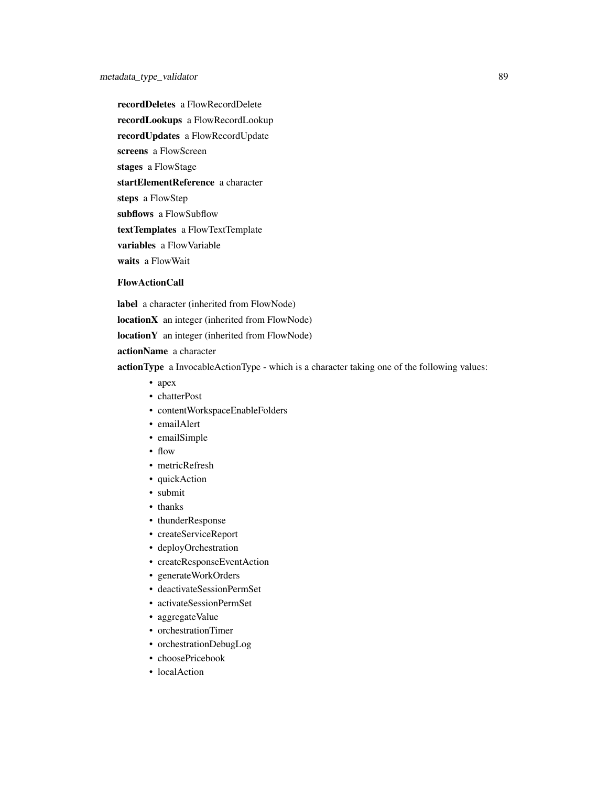recordDeletes a FlowRecordDelete recordLookups a FlowRecordLookup recordUpdates a FlowRecordUpdate screens a FlowScreen stages a FlowStage startElementReference a character steps a FlowStep subflows a FlowSubflow textTemplates a FlowTextTemplate variables a FlowVariable waits a FlowWait

#### FlowActionCall

label a character (inherited from FlowNode) locationX an integer (inherited from FlowNode)

locationY an integer (inherited from FlowNode)

actionName a character

actionType a InvocableActionType - which is a character taking one of the following values:

- apex
- chatterPost
- contentWorkspaceEnableFolders
- emailAlert
- emailSimple
- flow
- metricRefresh
- quickAction
- submit
- thanks
- thunderResponse
- createServiceReport
- deployOrchestration
- createResponseEventAction
- generateWorkOrders
- deactivateSessionPermSet
- activateSessionPermSet
- aggregateValue
- orchestrationTimer
- orchestrationDebugLog
- choosePricebook
- localAction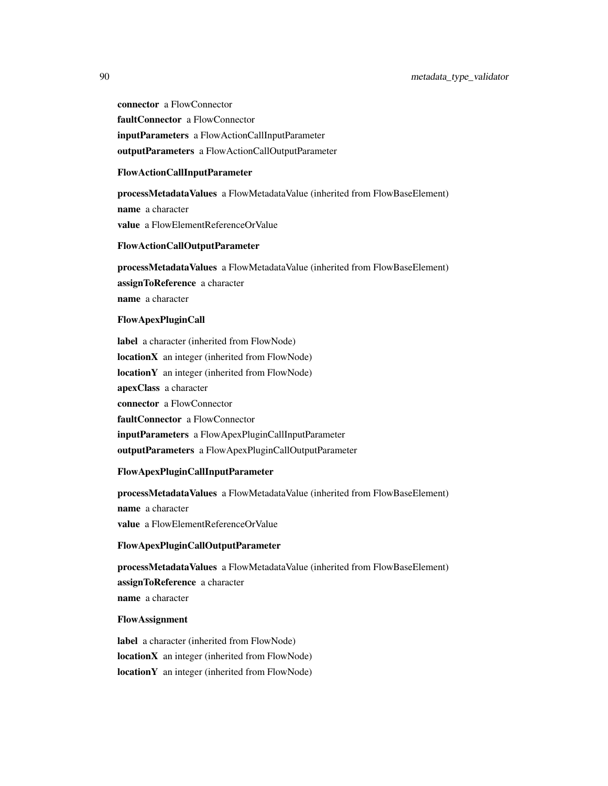connector a FlowConnector faultConnector a FlowConnector inputParameters a FlowActionCallInputParameter outputParameters a FlowActionCallOutputParameter

#### FlowActionCallInputParameter

processMetadataValues a FlowMetadataValue (inherited from FlowBaseElement) name a character value a FlowElementReferenceOrValue

## FlowActionCallOutputParameter

processMetadataValues a FlowMetadataValue (inherited from FlowBaseElement) assignToReference a character name a character

## FlowApexPluginCall

label a character (inherited from FlowNode) locationX an integer (inherited from FlowNode) locationY an integer (inherited from FlowNode) apexClass a character connector a FlowConnector faultConnector a FlowConnector inputParameters a FlowApexPluginCallInputParameter outputParameters a FlowApexPluginCallOutputParameter

#### FlowApexPluginCallInputParameter

processMetadataValues a FlowMetadataValue (inherited from FlowBaseElement) name a character value a FlowElementReferenceOrValue

# FlowApexPluginCallOutputParameter

processMetadataValues a FlowMetadataValue (inherited from FlowBaseElement) assignToReference a character name a character

# FlowAssignment

label a character (inherited from FlowNode) locationX an integer (inherited from FlowNode) locationY an integer (inherited from FlowNode)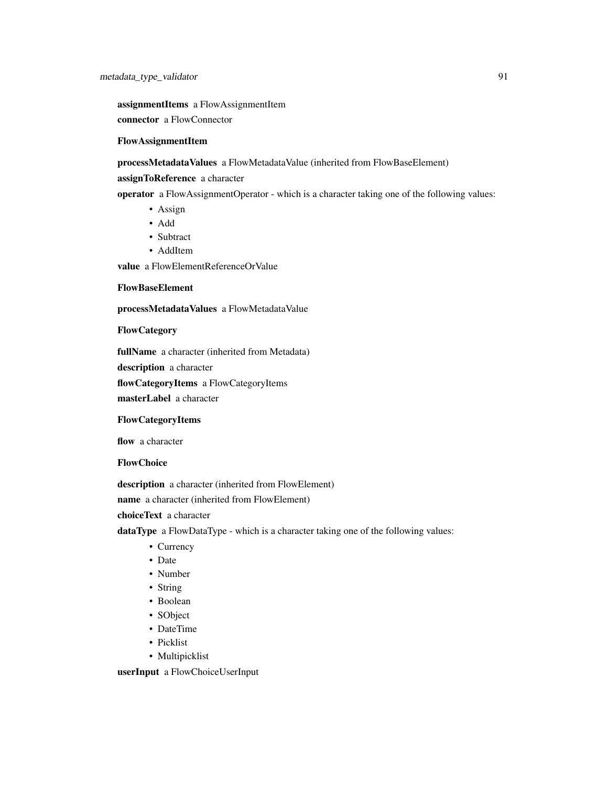assignmentItems a FlowAssignmentItem

connector a FlowConnector

# FlowAssignmentItem

processMetadataValues a FlowMetadataValue (inherited from FlowBaseElement)

## assignToReference a character

operator a FlowAssignmentOperator - which is a character taking one of the following values:

- Assign
- Add
- Subtract
- AddItem

value a FlowElementReferenceOrValue

## FlowBaseElement

processMetadataValues a FlowMetadataValue

## **FlowCategory**

fullName a character (inherited from Metadata)

description a character

flowCategoryItems a FlowCategoryItems

masterLabel a character

# FlowCategoryItems

flow a character

## **FlowChoice**

description a character (inherited from FlowElement)

name a character (inherited from FlowElement)

choiceText a character

dataType a FlowDataType - which is a character taking one of the following values:

- Currency
- Date
- Number
- String
- Boolean
- SObject
- DateTime
- Picklist
- Multipicklist

userInput a FlowChoiceUserInput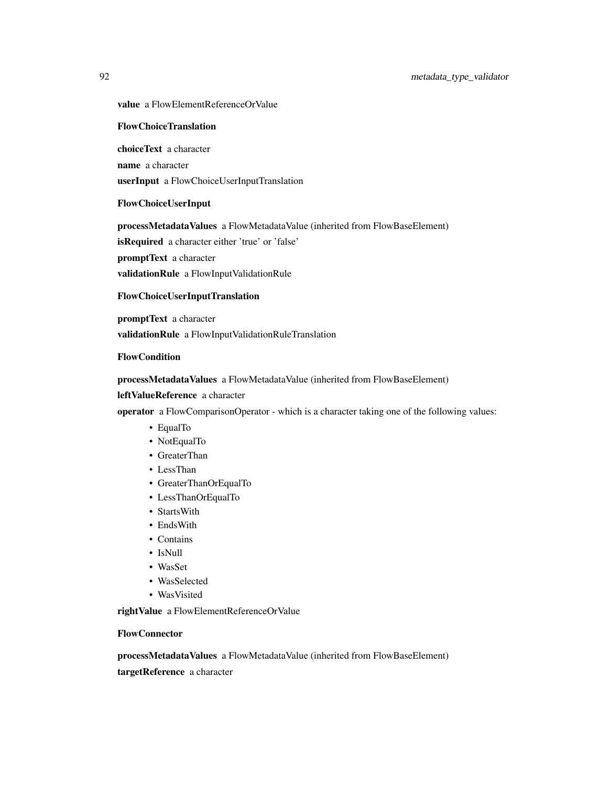value a FlowElementReferenceOrValue

## FlowChoiceTranslation

choiceText a character

name a character

userInput a FlowChoiceUserInputTranslation

## FlowChoiceUserInput

processMetadataValues a FlowMetadataValue (inherited from FlowBaseElement)

isRequired a character either 'true' or 'false'

promptText a character

validationRule a FlowInputValidationRule

# FlowChoiceUserInputTranslation

promptText a character

validationRule a FlowInputValidationRuleTranslation

# FlowCondition

## processMetadataValues a FlowMetadataValue (inherited from FlowBaseElement)

## leftValueReference a character

operator a FlowComparisonOperator - which is a character taking one of the following values:

- EqualTo
- NotEqualTo
- GreaterThan
- LessThan
- GreaterThanOrEqualTo
- LessThanOrEqualTo
- StartsWith
- EndsWith
- Contains
- IsNull
- WasSet
- WasSelected
- WasVisited

rightValue a FlowElementReferenceOrValue

# FlowConnector

processMetadataValues a FlowMetadataValue (inherited from FlowBaseElement) targetReference a character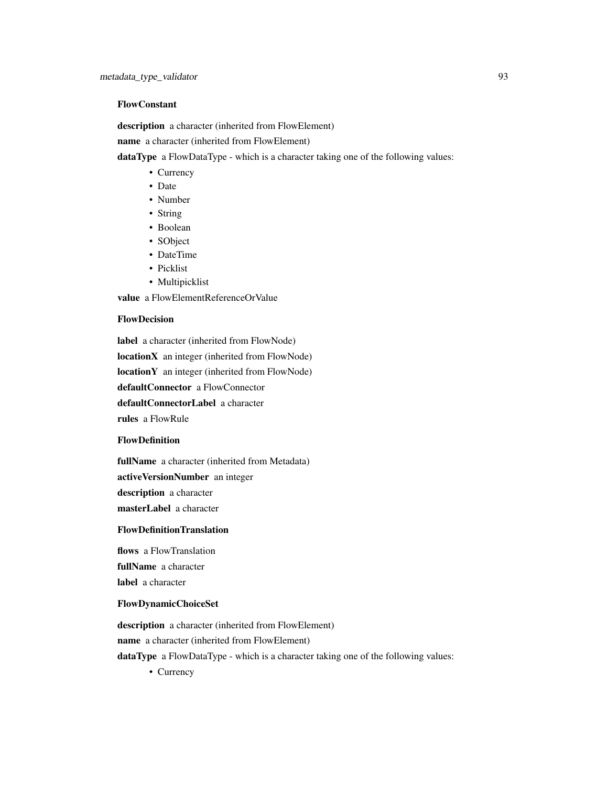# FlowConstant

description a character (inherited from FlowElement)

name a character (inherited from FlowElement)

dataType a FlowDataType - which is a character taking one of the following values:

- Currency
- Date
- Number
- String
- Boolean
- SObject
- DateTime
- Picklist
- Multipicklist

value a FlowElementReferenceOrValue

## FlowDecision

label a character (inherited from FlowNode) locationX an integer (inherited from FlowNode) locationY an integer (inherited from FlowNode) defaultConnector a FlowConnector defaultConnectorLabel a character rules a FlowRule

## FlowDefinition

fullName a character (inherited from Metadata)

activeVersionNumber an integer

description a character

masterLabel a character

# FlowDefinitionTranslation

flows a FlowTranslation fullName a character label a character

# FlowDynamicChoiceSet

description a character (inherited from FlowElement) name a character (inherited from FlowElement) dataType a FlowDataType - which is a character taking one of the following values:

• Currency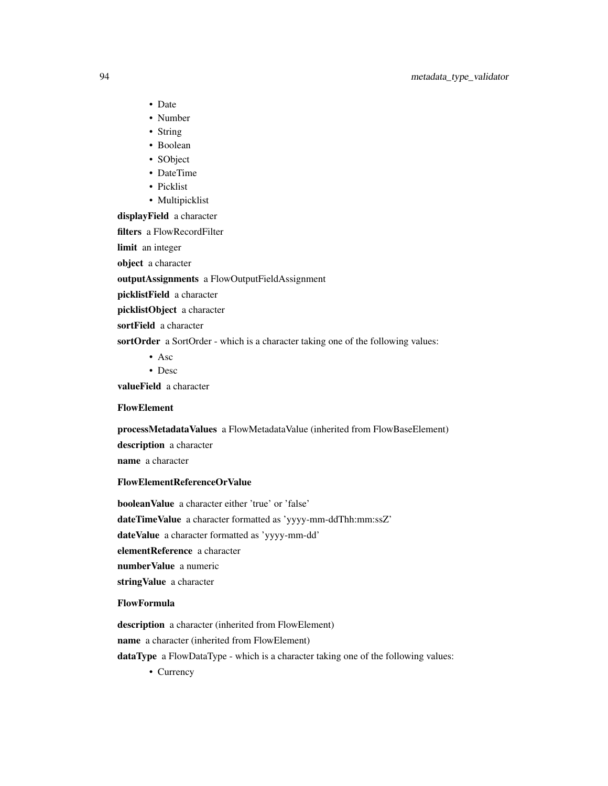- Date
- Number
- String
- Boolean
- SObject
- DateTime
- Picklist
- Multipicklist

displayField a character

filters a FlowRecordFilter

limit an integer

object a character

outputAssignments a FlowOutputFieldAssignment

picklistField a character

picklistObject a character

sortField a character

sortOrder a SortOrder - which is a character taking one of the following values:

• Asc

• Desc

valueField a character

## FlowElement

processMetadataValues a FlowMetadataValue (inherited from FlowBaseElement)

description a character

name a character

## FlowElementReferenceOrValue

booleanValue a character either 'true' or 'false' dateTimeValue a character formatted as 'yyyy-mm-ddThh:mm:ssZ' dateValue a character formatted as 'yyyy-mm-dd' elementReference a character numberValue a numeric stringValue a character

## FlowFormula

description a character (inherited from FlowElement)

name a character (inherited from FlowElement)

dataType a FlowDataType - which is a character taking one of the following values:

• Currency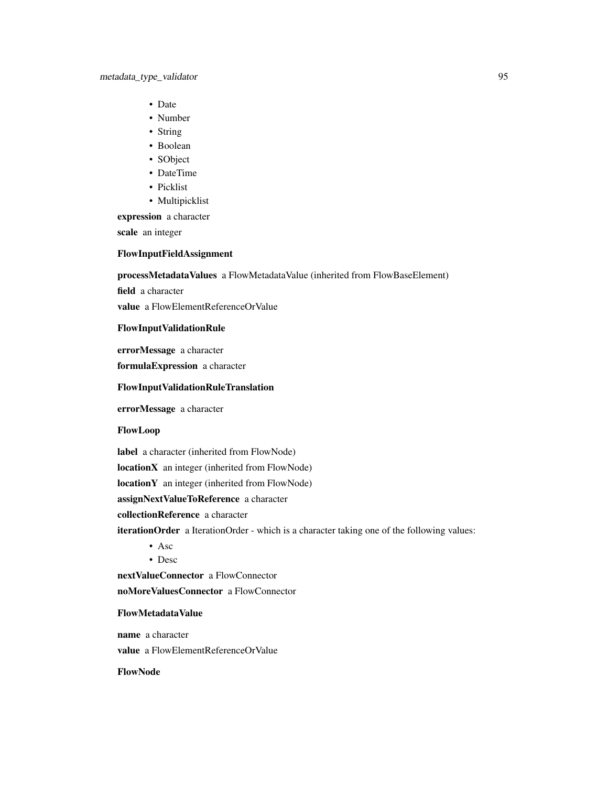- Date
- Number
- String
- Boolean
- SObject
- DateTime
- Picklist
- Multipicklist

expression a character

scale an integer

## FlowInputFieldAssignment

processMetadataValues a FlowMetadataValue (inherited from FlowBaseElement)

field a character

value a FlowElementReferenceOrValue

# FlowInputValidationRule

errorMessage a character

formulaExpression a character

# FlowInputValidationRuleTranslation

errorMessage a character

# FlowLoop

label a character (inherited from FlowNode)

locationX an integer (inherited from FlowNode)

locationY an integer (inherited from FlowNode)

assignNextValueToReference a character

collectionReference a character

iterationOrder a IterationOrder - which is a character taking one of the following values:

• Asc

• Desc

nextValueConnector a FlowConnector

noMoreValuesConnector a FlowConnector

## FlowMetadataValue

name a character value a FlowElementReferenceOrValue

FlowNode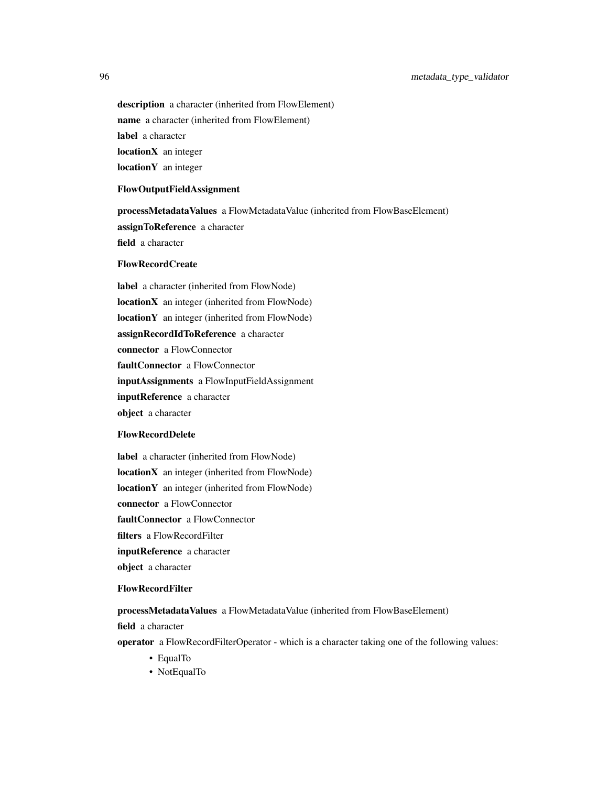description a character (inherited from FlowElement) name a character (inherited from FlowElement) label a character locationX an integer locationY an integer

## FlowOutputFieldAssignment

processMetadataValues a FlowMetadataValue (inherited from FlowBaseElement) assignToReference a character field a character

## FlowRecordCreate

label a character (inherited from FlowNode) locationX an integer (inherited from FlowNode) locationY an integer (inherited from FlowNode) assignRecordIdToReference a character connector a FlowConnector faultConnector a FlowConnector inputAssignments a FlowInputFieldAssignment inputReference a character object a character

## FlowRecordDelete

label a character (inherited from FlowNode) locationX an integer (inherited from FlowNode) locationY an integer (inherited from FlowNode) connector a FlowConnector faultConnector a FlowConnector filters a FlowRecordFilter inputReference a character object a character

# FlowRecordFilter

processMetadataValues a FlowMetadataValue (inherited from FlowBaseElement)

field a character

operator a FlowRecordFilterOperator - which is a character taking one of the following values:

- EqualTo
- NotEqualTo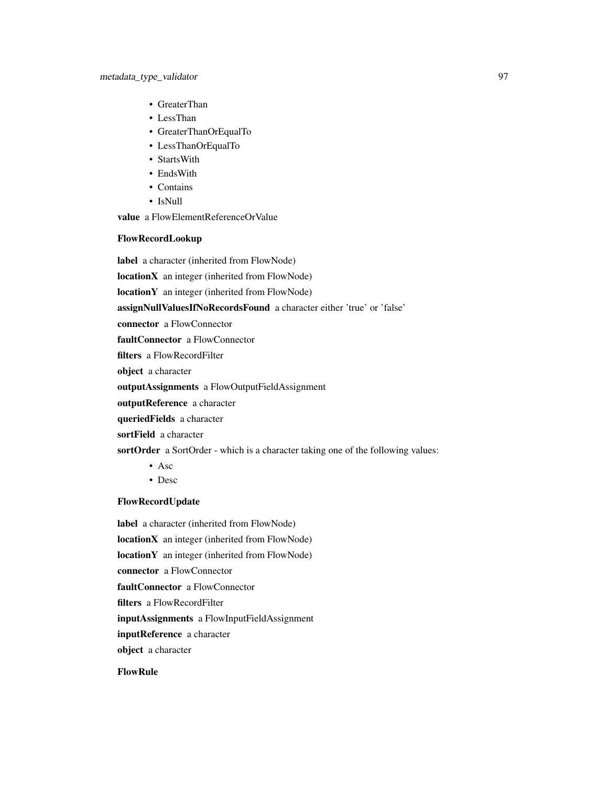- GreaterThan
- LessThan
- GreaterThanOrEqualTo
- LessThanOrEqualTo
- StartsWith
- EndsWith
- Contains
- IsNull

value a FlowElementReferenceOrValue

## FlowRecordLookup

label a character (inherited from FlowNode)

locationX an integer (inherited from FlowNode)

locationY an integer (inherited from FlowNode)

assignNullValuesIfNoRecordsFound a character either 'true' or 'false'

connector a FlowConnector

faultConnector a FlowConnector

filters a FlowRecordFilter

object a character

outputAssignments a FlowOutputFieldAssignment

outputReference a character

queriedFields a character

sortField a character

sortOrder a SortOrder - which is a character taking one of the following values:

- Asc
- Desc

# FlowRecordUpdate

label a character (inherited from FlowNode) locationX an integer (inherited from FlowNode) locationY an integer (inherited from FlowNode) connector a FlowConnector faultConnector a FlowConnector filters a FlowRecordFilter inputAssignments a FlowInputFieldAssignment inputReference a character object a character

# FlowRule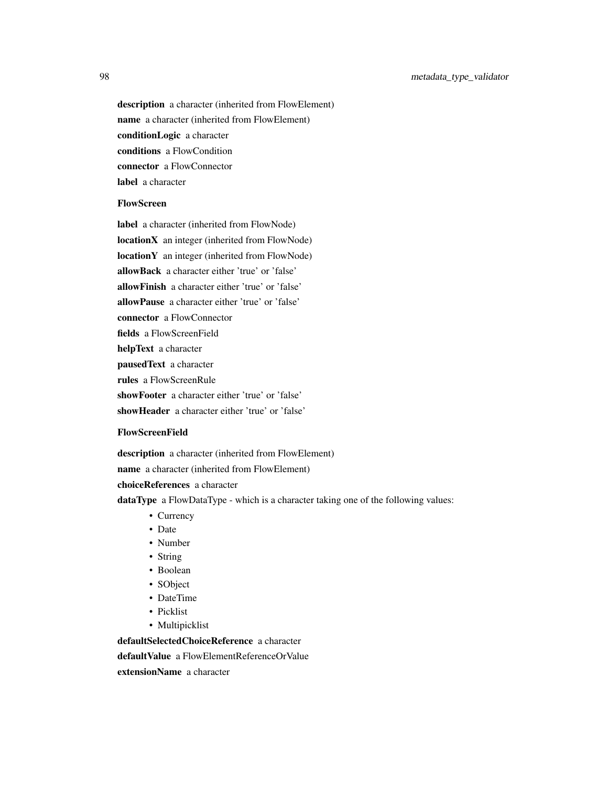description a character (inherited from FlowElement) name a character (inherited from FlowElement) conditionLogic a character conditions a FlowCondition connector a FlowConnector label a character

# FlowScreen

label a character (inherited from FlowNode) locationX an integer (inherited from FlowNode) locationY an integer (inherited from FlowNode) allowBack a character either 'true' or 'false' allowFinish a character either 'true' or 'false' allowPause a character either 'true' or 'false' connector a FlowConnector fields a FlowScreenField helpText a character pausedText a character rules a FlowScreenRule showFooter a character either 'true' or 'false' showHeader a character either 'true' or 'false'

## FlowScreenField

description a character (inherited from FlowElement) name a character (inherited from FlowElement) choiceReferences a character dataType a FlowDataType - which is a character taking one of the following values:

- Currency
- Date
- Number
- String
- Boolean
- SObject
- DateTime
- Picklist
- Multipicklist

defaultSelectedChoiceReference a character

defaultValue a FlowElementReferenceOrValue

extensionName a character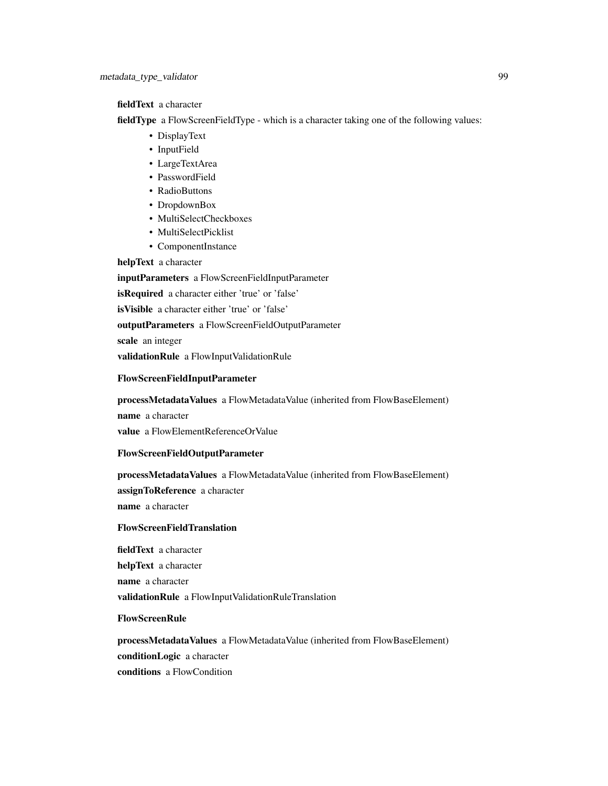## fieldText a character

fieldType a FlowScreenFieldType - which is a character taking one of the following values:

- DisplayText
- InputField
- LargeTextArea
- PasswordField
- RadioButtons
- DropdownBox
- MultiSelectCheckboxes
- MultiSelectPicklist
- ComponentInstance

# helpText a character

inputParameters a FlowScreenFieldInputParameter isRequired a character either 'true' or 'false' isVisible a character either 'true' or 'false' outputParameters a FlowScreenFieldOutputParameter scale an integer validationRule a FlowInputValidationRule

#### FlowScreenFieldInputParameter

processMetadataValues a FlowMetadataValue (inherited from FlowBaseElement) name a character

value a FlowElementReferenceOrValue

## FlowScreenFieldOutputParameter

processMetadataValues a FlowMetadataValue (inherited from FlowBaseElement)

assignToReference a character

name a character

## FlowScreenFieldTranslation

fieldText a character helpText a character name a character validationRule a FlowInputValidationRuleTranslation

#### FlowScreenRule

processMetadataValues a FlowMetadataValue (inherited from FlowBaseElement) conditionLogic a character conditions a FlowCondition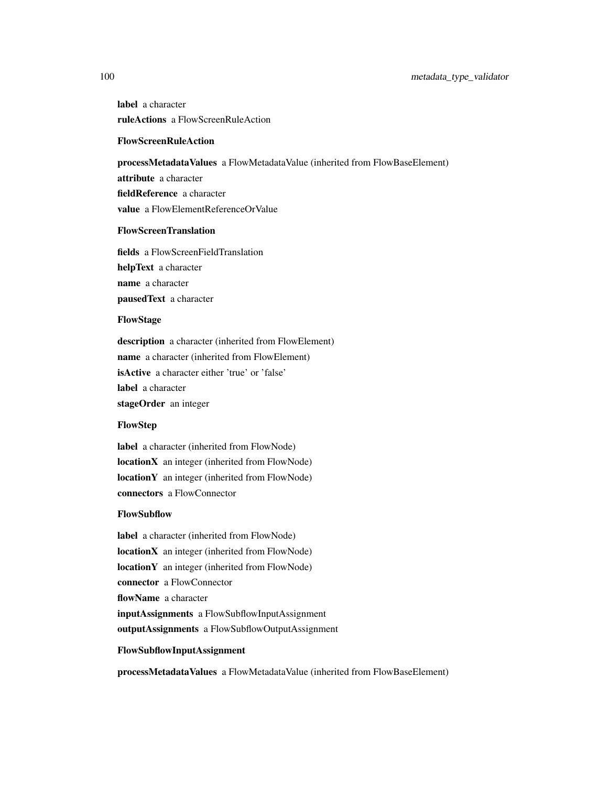# 100 metadata\_type\_validator

label a character ruleActions a FlowScreenRuleAction

## FlowScreenRuleAction

processMetadataValues a FlowMetadataValue (inherited from FlowBaseElement) attribute a character fieldReference a character value a FlowElementReferenceOrValue

#### FlowScreenTranslation

fields a FlowScreenFieldTranslation helpText a character name a character pausedText a character

# FlowStage

description a character (inherited from FlowElement) name a character (inherited from FlowElement) isActive a character either 'true' or 'false' label a character stageOrder an integer

## **FlowStep**

label a character (inherited from FlowNode) locationX an integer (inherited from FlowNode) locationY an integer (inherited from FlowNode) connectors a FlowConnector

## FlowSubflow

label a character (inherited from FlowNode) locationX an integer (inherited from FlowNode) locationY an integer (inherited from FlowNode) connector a FlowConnector flowName a character inputAssignments a FlowSubflowInputAssignment outputAssignments a FlowSubflowOutputAssignment

## FlowSubflowInputAssignment

processMetadataValues a FlowMetadataValue (inherited from FlowBaseElement)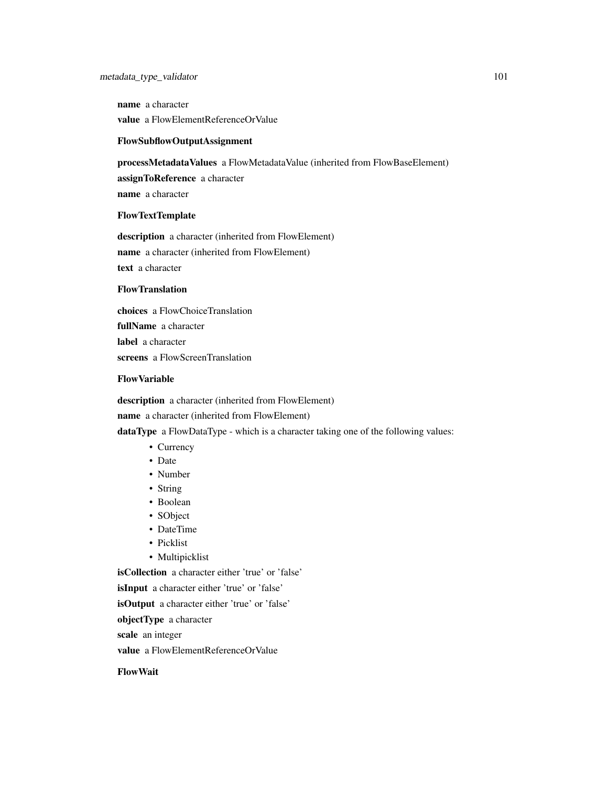name a character value a FlowElementReferenceOrValue

## FlowSubflowOutputAssignment

processMetadataValues a FlowMetadataValue (inherited from FlowBaseElement)

assignToReference a character

name a character

## FlowTextTemplate

description a character (inherited from FlowElement) name a character (inherited from FlowElement) text a character

# FlowTranslation

choices a FlowChoiceTranslation fullName a character label a character screens a FlowScreenTranslation

## FlowVariable

description a character (inherited from FlowElement) name a character (inherited from FlowElement) dataType a FlowDataType - which is a character taking one of the following values:

- Currency
- Date
- Number
- String
- Boolean
- SObject
- DateTime
- Picklist
- Multipicklist

isCollection a character either 'true' or 'false'

isInput a character either 'true' or 'false'

isOutput a character either 'true' or 'false'

objectType a character

scale an integer

value a FlowElementReferenceOrValue

FlowWait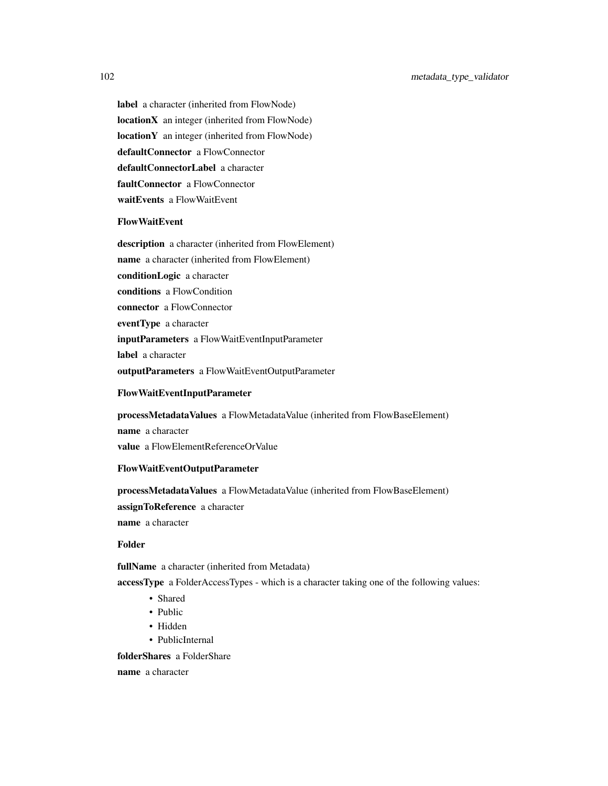label a character (inherited from FlowNode) locationX an integer (inherited from FlowNode) locationY an integer (inherited from FlowNode) defaultConnector a FlowConnector defaultConnectorLabel a character faultConnector a FlowConnector waitEvents a FlowWaitEvent

## FlowWaitEvent

description a character (inherited from FlowElement) name a character (inherited from FlowElement) conditionLogic a character conditions a FlowCondition connector a FlowConnector eventType a character inputParameters a FlowWaitEventInputParameter label a character outputParameters a FlowWaitEventOutputParameter

#### FlowWaitEventInputParameter

processMetadataValues a FlowMetadataValue (inherited from FlowBaseElement) name a character value a FlowElementReferenceOrValue

# FlowWaitEventOutputParameter

processMetadataValues a FlowMetadataValue (inherited from FlowBaseElement) assignToReference a character name a character

#### Folder

fullName a character (inherited from Metadata)

accessType a FolderAccessTypes - which is a character taking one of the following values:

- Shared
- Public
- Hidden
- PublicInternal

folderShares a FolderShare

name a character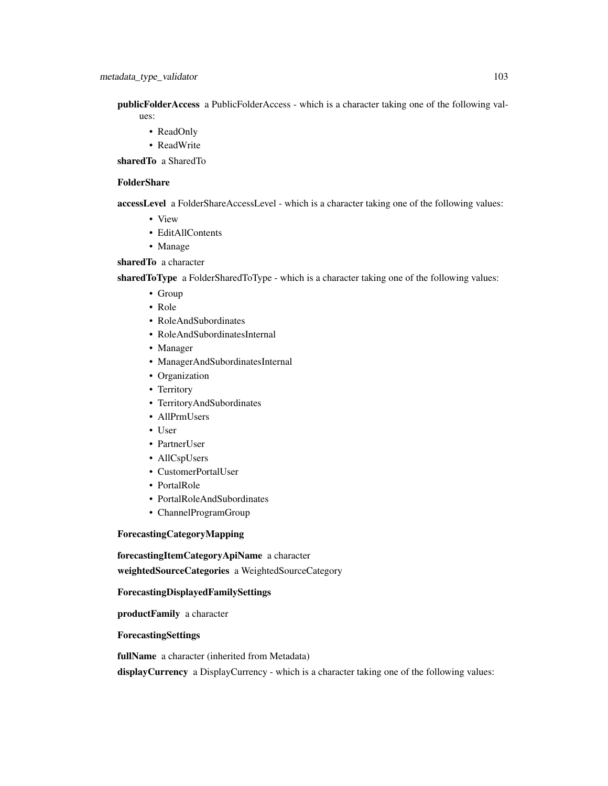publicFolderAccess a PublicFolderAccess - which is a character taking one of the following values:

- ReadOnly
- ReadWrite

sharedTo a SharedTo

# FolderShare

accessLevel a FolderShareAccessLevel - which is a character taking one of the following values:

- View
- EditAllContents
- Manage

# sharedTo a character

sharedToType a FolderSharedToType - which is a character taking one of the following values:

- Group
- Role
- RoleAndSubordinates
- RoleAndSubordinatesInternal
- Manager
- ManagerAndSubordinatesInternal
- Organization
- Territory
- TerritoryAndSubordinates
- AllPrmUsers
- User
- PartnerUser
- AllCspUsers
- CustomerPortalUser
- PortalRole
- PortalRoleAndSubordinates
- ChannelProgramGroup

# ForecastingCategoryMapping

forecastingItemCategoryApiName a character

weightedSourceCategories a WeightedSourceCategory

# ForecastingDisplayedFamilySettings

productFamily a character

# ForecastingSettings

fullName a character (inherited from Metadata)

displayCurrency a DisplayCurrency - which is a character taking one of the following values: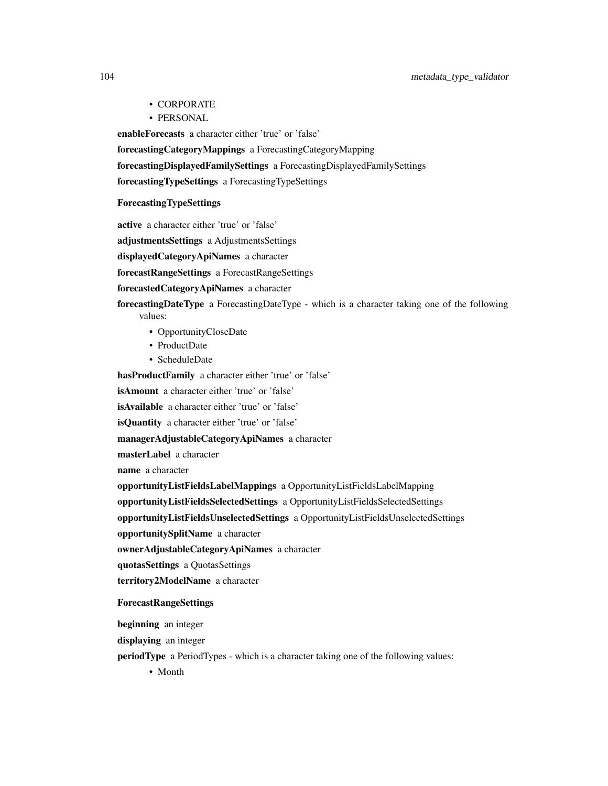## 104 metadata\_type\_validator

- CORPORATE
- PERSONAL

enableForecasts a character either 'true' or 'false'

forecastingCategoryMappings a ForecastingCategoryMapping

forecastingDisplayedFamilySettings a ForecastingDisplayedFamilySettings

forecastingTypeSettings a ForecastingTypeSettings

# ForecastingTypeSettings

active a character either 'true' or 'false'

adjustmentsSettings a AdjustmentsSettings

displayedCategoryApiNames a character

forecastRangeSettings a ForecastRangeSettings

# forecastedCategoryApiNames a character

forecastingDateType a ForecastingDateType - which is a character taking one of the following values:

- OpportunityCloseDate
- ProductDate
- ScheduleDate

hasProductFamily a character either 'true' or 'false'

isAmount a character either 'true' or 'false'

isAvailable a character either 'true' or 'false'

isQuantity a character either 'true' or 'false'

managerAdjustableCategoryApiNames a character

masterLabel a character

name a character

opportunityListFieldsLabelMappings a OpportunityListFieldsLabelMapping

opportunityListFieldsSelectedSettings a OpportunityListFieldsSelectedSettings

opportunityListFieldsUnselectedSettings a OpportunityListFieldsUnselectedSettings

opportunitySplitName a character

ownerAdjustableCategoryApiNames a character

quotasSettings a QuotasSettings

territory2ModelName a character

## ForecastRangeSettings

beginning an integer

displaying an integer

periodType a PeriodTypes - which is a character taking one of the following values:

• Month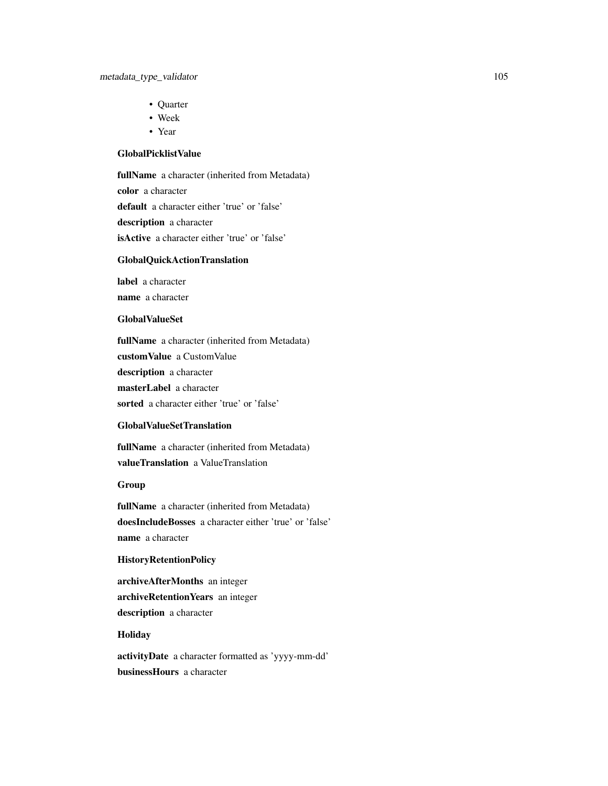- Quarter
- Week
- Year

# GlobalPicklistValue

fullName a character (inherited from Metadata) color a character default a character either 'true' or 'false' description a character isActive a character either 'true' or 'false'

# GlobalQuickActionTranslation

label a character name a character

## GlobalValueSet

fullName a character (inherited from Metadata) customValue a CustomValue description a character masterLabel a character sorted a character either 'true' or 'false'

# GlobalValueSetTranslation

fullName a character (inherited from Metadata) valueTranslation a ValueTranslation

# Group

fullName a character (inherited from Metadata) doesIncludeBosses a character either 'true' or 'false' name a character

# HistoryRetentionPolicy

archiveAfterMonths an integer archiveRetentionYears an integer description a character

# **Holiday**

activityDate a character formatted as 'yyyy-mm-dd' businessHours a character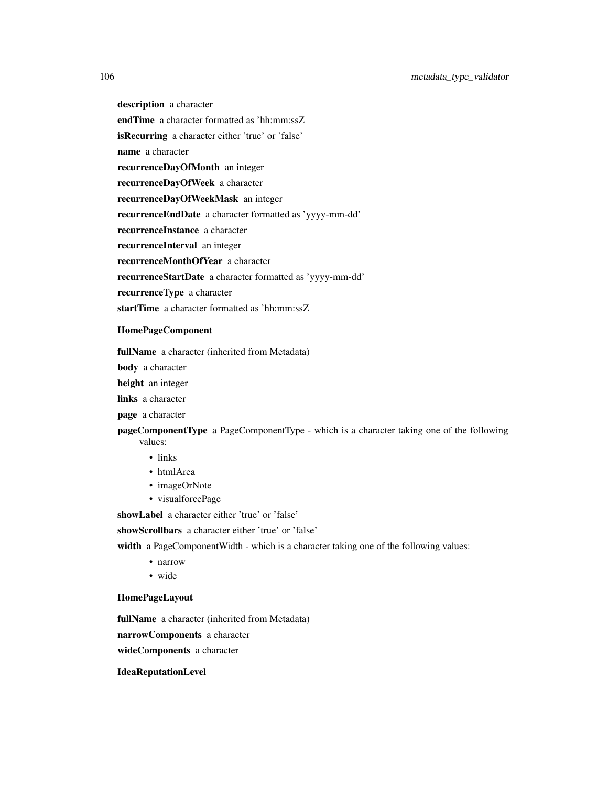description a character endTime a character formatted as 'hh:mm:ssZ isRecurring a character either 'true' or 'false' name a character recurrenceDayOfMonth an integer recurrenceDayOfWeek a character recurrenceDayOfWeekMask an integer recurrenceEndDate a character formatted as 'yyyy-mm-dd' recurrenceInstance a character recurrenceInterval an integer recurrenceMonthOfYear a character recurrenceStartDate a character formatted as 'yyyy-mm-dd' recurrenceType a character startTime a character formatted as 'hh:mm:ssZ

#### HomePageComponent

fullName a character (inherited from Metadata)

body a character

height an integer

links a character

page a character

pageComponentType a PageComponentType - which is a character taking one of the following values:

- links
- htmlArea
- imageOrNote
- visualforcePage

showLabel a character either 'true' or 'false'

showScrollbars a character either 'true' or 'false'

width a PageComponentWidth - which is a character taking one of the following values:

- narrow
- wide

## HomePageLayout

fullName a character (inherited from Metadata)

narrowComponents a character

wideComponents a character

# IdeaReputationLevel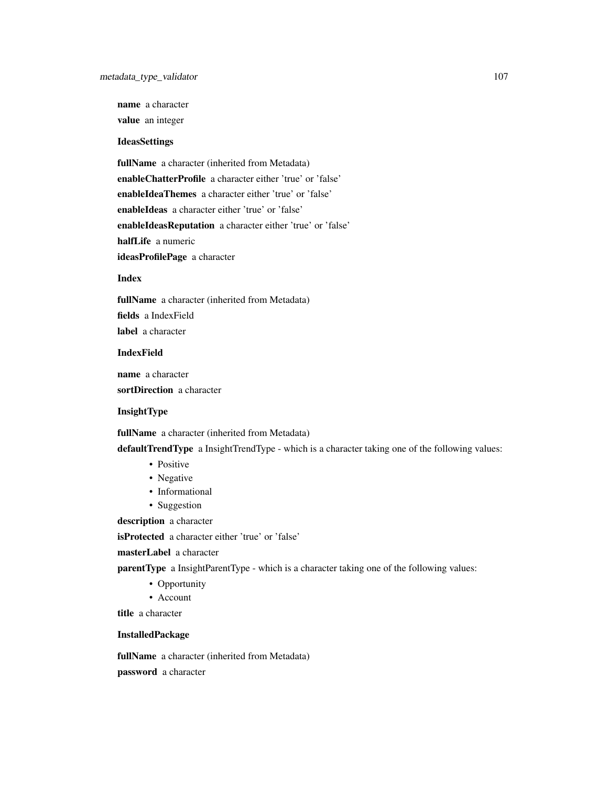name a character

value an integer

# IdeasSettings

fullName a character (inherited from Metadata) enableChatterProfile a character either 'true' or 'false' enableIdeaThemes a character either 'true' or 'false' enableIdeas a character either 'true' or 'false' enableIdeasReputation a character either 'true' or 'false' halfLife a numeric ideasProfilePage a character

# Index

fullName a character (inherited from Metadata) fields a IndexField label a character

## IndexField

name a character sortDirection a character

### InsightType

fullName a character (inherited from Metadata)

defaultTrendType a InsightTrendType - which is a character taking one of the following values:

- Positive
- Negative
- Informational
- Suggestion

description a character

isProtected a character either 'true' or 'false'

## masterLabel a character

parentType a InsightParentType - which is a character taking one of the following values:

- Opportunity
- Account

title a character

# InstalledPackage

fullName a character (inherited from Metadata)

password a character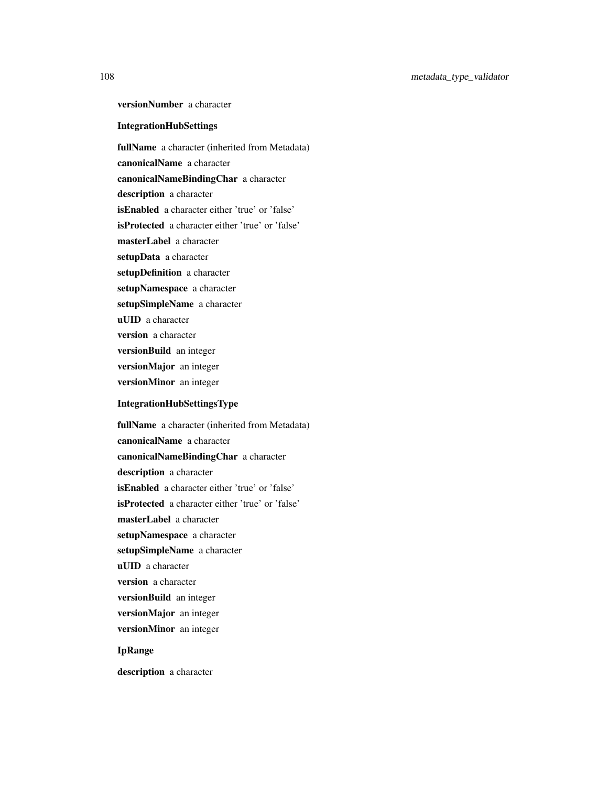versionNumber a character

## IntegrationHubSettings

fullName a character (inherited from Metadata) canonicalName a character canonicalNameBindingChar a character description a character isEnabled a character either 'true' or 'false' isProtected a character either 'true' or 'false' masterLabel a character setupData a character setupDefinition a character setupNamespace a character setupSimpleName a character uUID a character version a character versionBuild an integer versionMajor an integer versionMinor an integer

# IntegrationHubSettingsType

fullName a character (inherited from Metadata) canonicalName a character canonicalNameBindingChar a character description a character isEnabled a character either 'true' or 'false' isProtected a character either 'true' or 'false' masterLabel a character setupNamespace a character setupSimpleName a character uUID a character version a character versionBuild an integer versionMajor an integer versionMinor an integer

# IpRange

description a character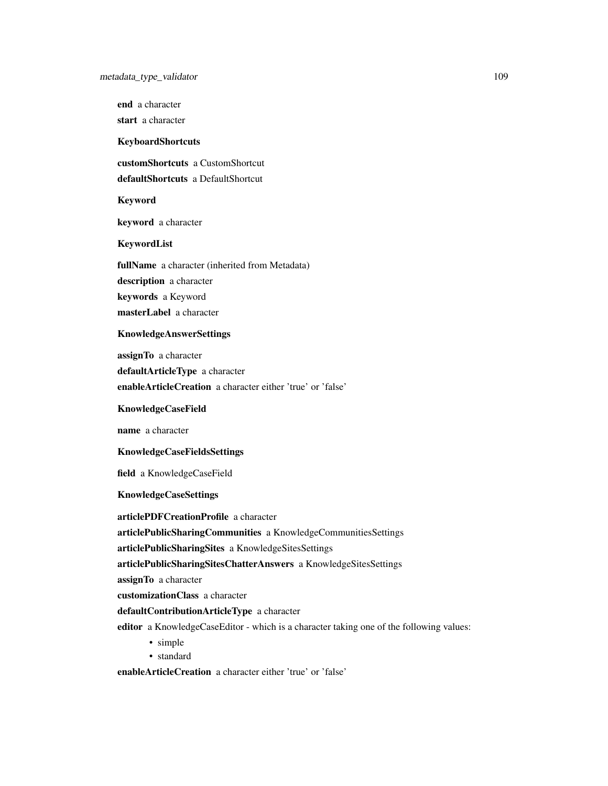end a character

start a character

KeyboardShortcuts

customShortcuts a CustomShortcut

defaultShortcuts a DefaultShortcut

Keyword

keyword a character

KeywordList

fullName a character (inherited from Metadata) description a character keywords a Keyword masterLabel a character

# KnowledgeAnswerSettings

assignTo a character defaultArticleType a character enableArticleCreation a character either 'true' or 'false'

KnowledgeCaseField

name a character

#### KnowledgeCaseFieldsSettings

field a KnowledgeCaseField

#### KnowledgeCaseSettings

articlePDFCreationProfile a character

articlePublicSharingCommunities a KnowledgeCommunitiesSettings

articlePublicSharingSites a KnowledgeSitesSettings

articlePublicSharingSitesChatterAnswers a KnowledgeSitesSettings

assignTo a character

customizationClass a character

defaultContributionArticleType a character

editor a KnowledgeCaseEditor - which is a character taking one of the following values:

- simple
- standard

enableArticleCreation a character either 'true' or 'false'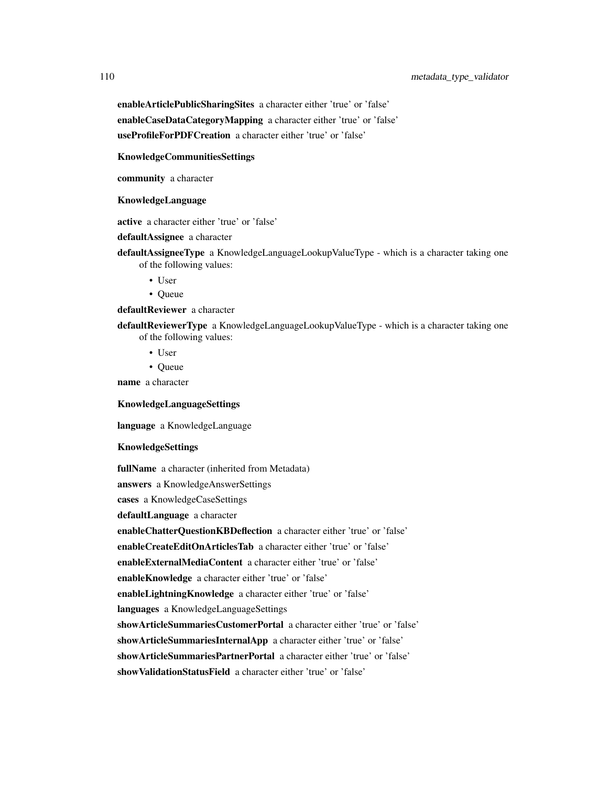# 110 metadata\_type\_validator

enableArticlePublicSharingSites a character either 'true' or 'false' enableCaseDataCategoryMapping a character either 'true' or 'false' useProfileForPDFCreation a character either 'true' or 'false'

#### KnowledgeCommunitiesSettings

community a character

#### KnowledgeLanguage

active a character either 'true' or 'false'

#### defaultAssignee a character

- defaultAssigneeType a KnowledgeLanguageLookupValueType which is a character taking one of the following values:
	- User
	- Queue

### defaultReviewer a character

- defaultReviewerType a KnowledgeLanguageLookupValueType which is a character taking one of the following values:
	- User
	- Queue

name a character

# KnowledgeLanguageSettings

language a KnowledgeLanguage

### KnowledgeSettings

fullName a character (inherited from Metadata) answers a KnowledgeAnswerSettings cases a KnowledgeCaseSettings defaultLanguage a character enableChatterQuestionKBDeflection a character either 'true' or 'false' enableCreateEditOnArticlesTab a character either 'true' or 'false' enableExternalMediaContent a character either 'true' or 'false' enableKnowledge a character either 'true' or 'false' enableLightningKnowledge a character either 'true' or 'false' languages a KnowledgeLanguageSettings showArticleSummariesCustomerPortal a character either 'true' or 'false' showArticleSummariesInternalApp a character either 'true' or 'false' showArticleSummariesPartnerPortal a character either 'true' or 'false' showValidationStatusField a character either 'true' or 'false'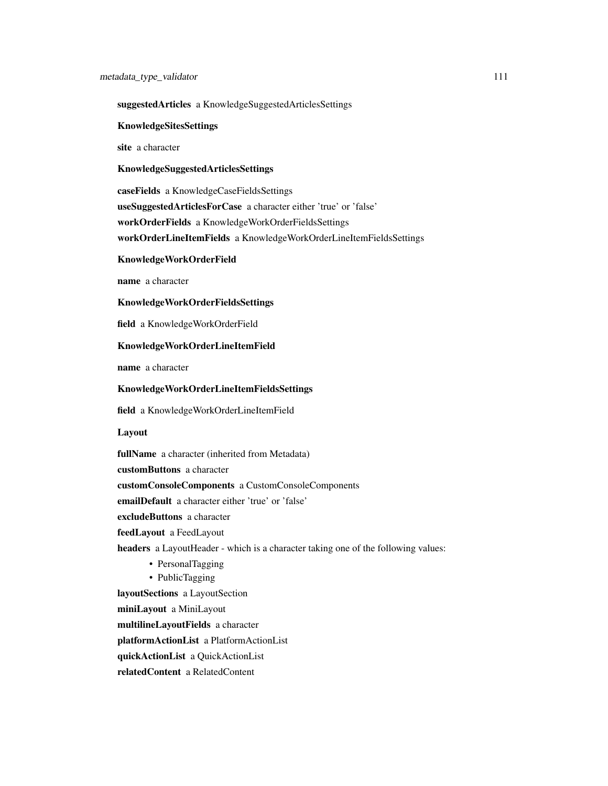#### suggestedArticles a KnowledgeSuggestedArticlesSettings

#### KnowledgeSitesSettings

site a character

# KnowledgeSuggestedArticlesSettings

caseFields a KnowledgeCaseFieldsSettings useSuggestedArticlesForCase a character either 'true' or 'false' workOrderFields a KnowledgeWorkOrderFieldsSettings workOrderLineItemFields a KnowledgeWorkOrderLineItemFieldsSettings

#### KnowledgeWorkOrderField

name a character

#### KnowledgeWorkOrderFieldsSettings

field a KnowledgeWorkOrderField

#### KnowledgeWorkOrderLineItemField

name a character

# KnowledgeWorkOrderLineItemFieldsSettings

field a KnowledgeWorkOrderLineItemField

Layout

fullName a character (inherited from Metadata) customButtons a character customConsoleComponents a CustomConsoleComponents emailDefault a character either 'true' or 'false' excludeButtons a character feedLayout a FeedLayout headers a LayoutHeader - which is a character taking one of the following values: • PersonalTagging • PublicTagging layoutSections a LayoutSection miniLayout a MiniLayout multilineLayoutFields a character

platformActionList a PlatformActionList

quickActionList a QuickActionList

relatedContent a RelatedContent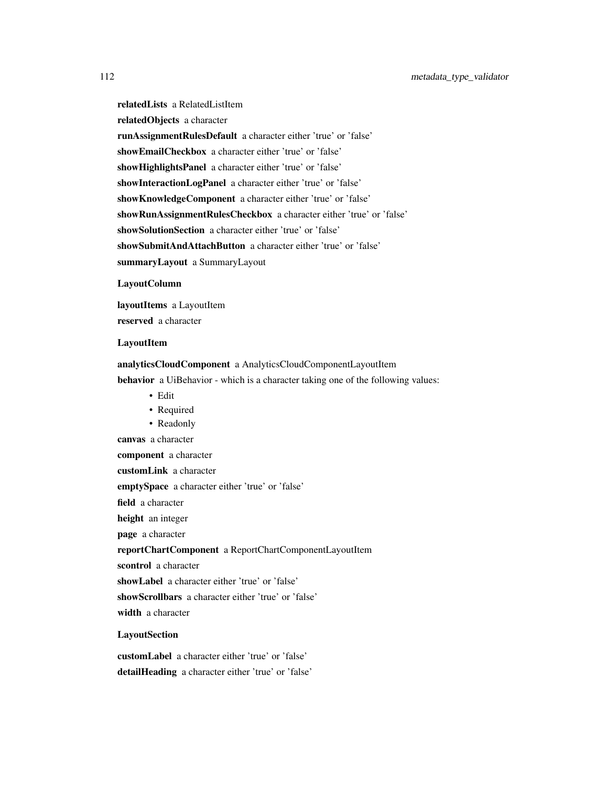relatedLists a RelatedListItem relatedObjects a character runAssignmentRulesDefault a character either 'true' or 'false' showEmailCheckbox a character either 'true' or 'false' showHighlightsPanel a character either 'true' or 'false' showInteractionLogPanel a character either 'true' or 'false' showKnowledgeComponent a character either 'true' or 'false' showRunAssignmentRulesCheckbox a character either 'true' or 'false' showSolutionSection a character either 'true' or 'false' showSubmitAndAttachButton a character either 'true' or 'false' summaryLayout a SummaryLayout

### LayoutColumn

layoutItems a LayoutItem reserved a character

#### LayoutItem

#### analyticsCloudComponent a AnalyticsCloudComponentLayoutItem

behavior a UiBehavior - which is a character taking one of the following values:

• Edit

canvas a character

- Required
- Readonly

component a character

customLink a character

emptySpace a character either 'true' or 'false'

field a character

height an integer

page a character

reportChartComponent a ReportChartComponentLayoutItem

scontrol a character

showLabel a character either 'true' or 'false'

showScrollbars a character either 'true' or 'false'

width a character

## **LayoutSection**

customLabel a character either 'true' or 'false' detailHeading a character either 'true' or 'false'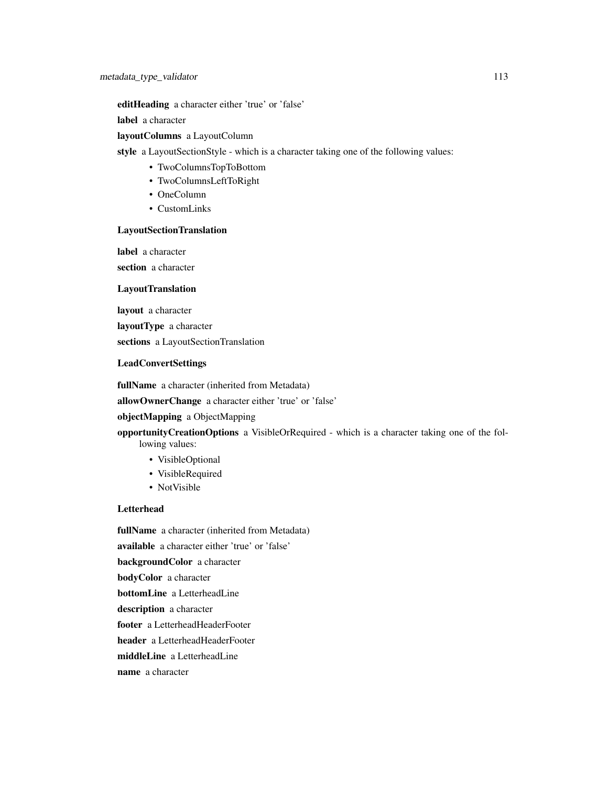editHeading a character either 'true' or 'false'

label a character

## layoutColumns a LayoutColumn

style a LayoutSectionStyle - which is a character taking one of the following values:

- TwoColumnsTopToBottom
- TwoColumnsLeftToRight
- OneColumn
- CustomLinks

#### LayoutSectionTranslation

label a character section a character

# **LayoutTranslation**

layout a character

layoutType a character

sections a LayoutSectionTranslation

### LeadConvertSettings

fullName a character (inherited from Metadata)

allowOwnerChange a character either 'true' or 'false'

# objectMapping a ObjectMapping

opportunityCreationOptions a VisibleOrRequired - which is a character taking one of the following values:

- VisibleOptional
- VisibleRequired
- NotVisible

# **Letterhead**

fullName a character (inherited from Metadata) available a character either 'true' or 'false' backgroundColor a character bodyColor a character bottomLine a LetterheadLine description a character footer a LetterheadHeaderFooter header a LetterheadHeaderFooter middleLine a LetterheadLine name a character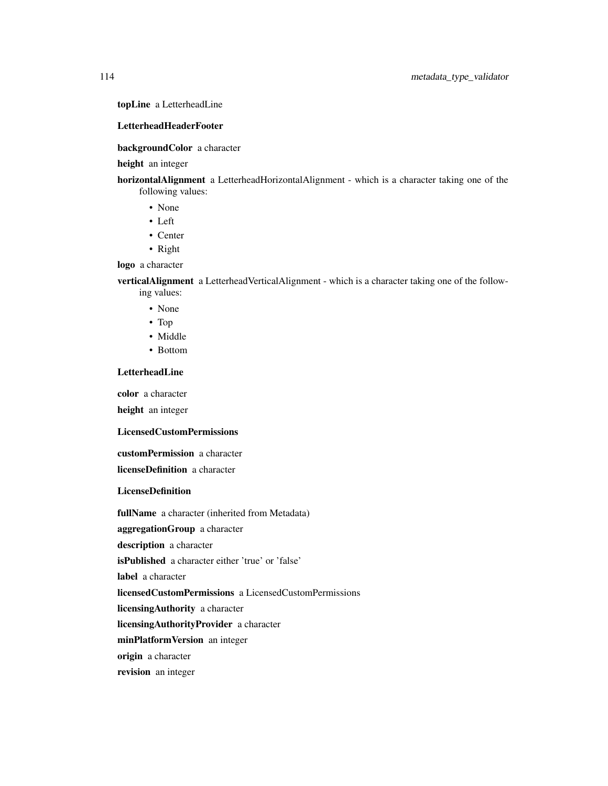# topLine a LetterheadLine

### LetterheadHeaderFooter

### backgroundColor a character

#### height an integer

horizontalAlignment a LetterheadHorizontalAlignment - which is a character taking one of the

- following values: • None
	- Left
	- Center
	- Right

#### logo a character

verticalAlignment a LetterheadVerticalAlignment - which is a character taking one of the following values:

- None
- Top
- Middle
- Bottom

## LetterheadLine

color a character

height an integer

# LicensedCustomPermissions

customPermission a character licenseDefinition a character

**LicenseDefinition** 

fullName a character (inherited from Metadata)

aggregationGroup a character

description a character

isPublished a character either 'true' or 'false'

label a character

licensedCustomPermissions a LicensedCustomPermissions

licensingAuthority a character

licensingAuthorityProvider a character

minPlatformVersion an integer

origin a character

revision an integer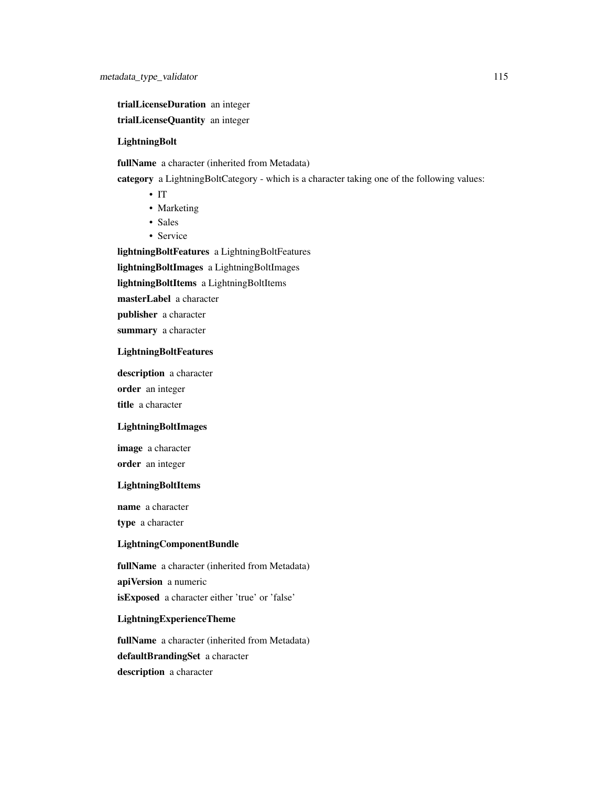trialLicenseDuration an integer

trialLicenseQuantity an integer

# LightningBolt

fullName a character (inherited from Metadata)

category a LightningBoltCategory - which is a character taking one of the following values:

- IT
- Marketing
- Sales
- Service

lightningBoltFeatures a LightningBoltFeatures

lightningBoltImages a LightningBoltImages

lightningBoltItems a LightningBoltItems

masterLabel a character

publisher a character

summary a character

### LightningBoltFeatures

description a character order an integer title a character

# LightningBoltImages

image a character order an integer

#### LightningBoltItems

name a character

type a character

#### LightningComponentBundle

fullName a character (inherited from Metadata) apiVersion a numeric isExposed a character either 'true' or 'false'

#### LightningExperienceTheme

fullName a character (inherited from Metadata) defaultBrandingSet a character description a character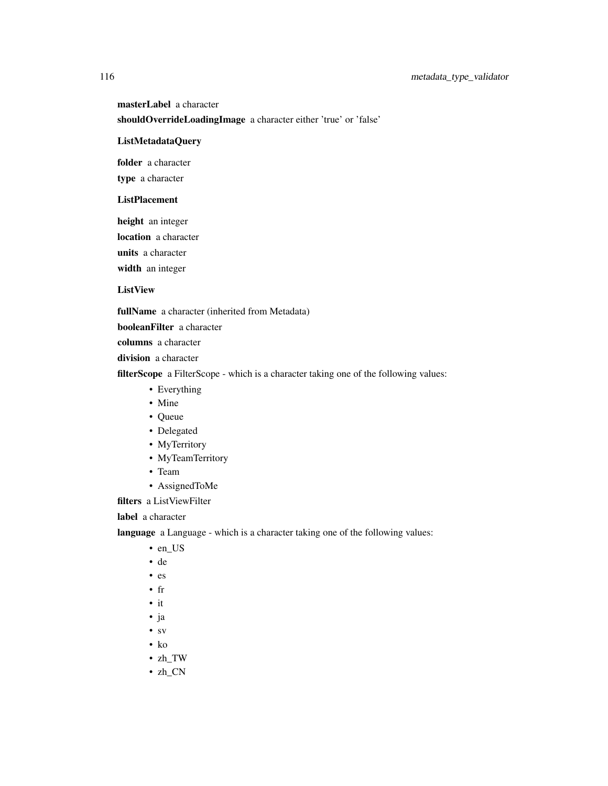masterLabel a character

shouldOverrideLoadingImage a character either 'true' or 'false'

# ListMetadataQuery

folder a character

type a character

# ListPlacement

height an integer

location a character

units a character

width an integer

# ListView

fullName a character (inherited from Metadata)

booleanFilter a character

columns a character

division a character

filterScope a FilterScope - which is a character taking one of the following values:

- Everything
- Mine
- Queue
- Delegated
- MyTerritory
- MyTeamTerritory
- Team
- AssignedToMe

filters a ListViewFilter

label a character

language a Language - which is a character taking one of the following values:

- en\_US
- de
- es
- fr
- it
- ja
- sv
- ko
- zh\_TW
- zh\_CN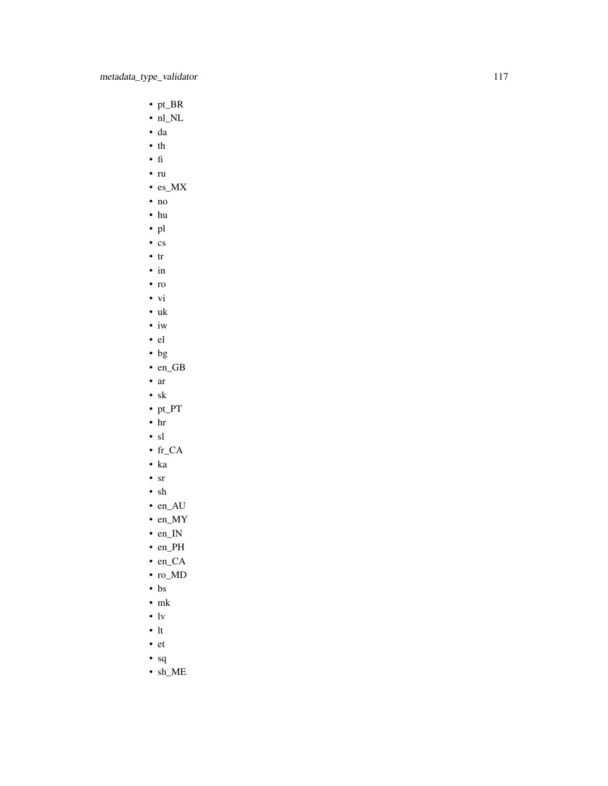- pt\_BR
- nl\_NL
- da
- th
- fi
- ru
- es\_MX
- no
- hu
- pl
- cs
- tr
- in
- ro
- vi
- uk
- iw • el
- bg
- en\_GB
- ar
- sk
- pt\_PT
- hr
- sl
- fr\_CA
- ka
- sr
- sh
- en\_AU
- en\_MY
- en\_IN
- en\_PH
- en\_CA
- ro\_MD
- bs
- mk
- lv
- lt
- et
- sq
- sh\_ME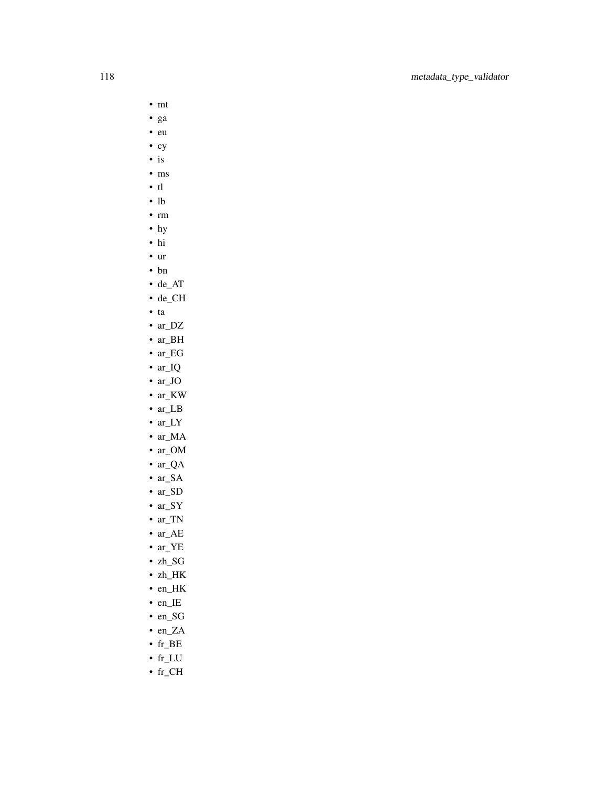- mt
- ga
- eu
- cy
- is
- ms
- tl
- lb
- rm
- hy
- hi • ur
- 
- bn
- de\_AT
- de\_CH
- ta
- ar\_DZ
- ar\_BH
- ar\_EG • ar\_IQ
- ar\_JO
- ar\_KW
- ar\_LB
- ar\_LY
- ar\_MA
- ar\_OM
- ar\_QA
- ar\_SA
- ar\_SD
- ar\_SY
- ar\_TN
- ar\_AE
- ar\_YE
- zh\_SG
- zh\_HK
- en\_HK
- en\_IE
- en\_SG
- en\_ZA
- fr\_BE
- $\bullet$  fr\_LU
- fr\_CH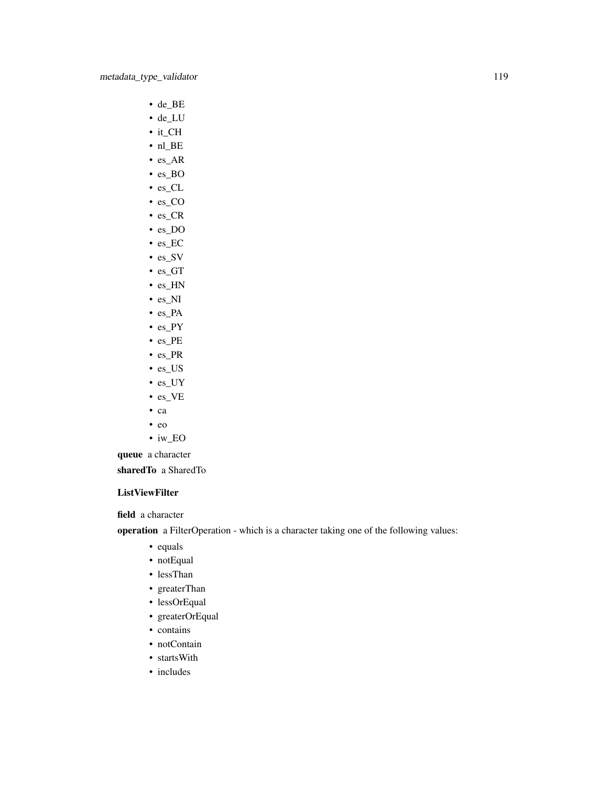- de\_BE
- de\_LU
- it\_CH
- nl\_BE
- es\_AR
- es\_BO
- es\_CL
- es\_CO
- es\_CR
- es\_DO
- es\_EC
- es\_SV
- es\_GT • es\_HN
- es\_NI
- es\_PA
- es\_PY
- es\_PE
- es\_PR
- es\_US
- es\_UY
- es\_VE
- ca
- eo
- iw\_EO

queue a character sharedTo a SharedTo

# ListViewFilter

field a character

operation a FilterOperation - which is a character taking one of the following values:

- equals
- notEqual
- lessThan
- greaterThan
- lessOrEqual
- greaterOrEqual
- contains
- notContain
- startsWith
- includes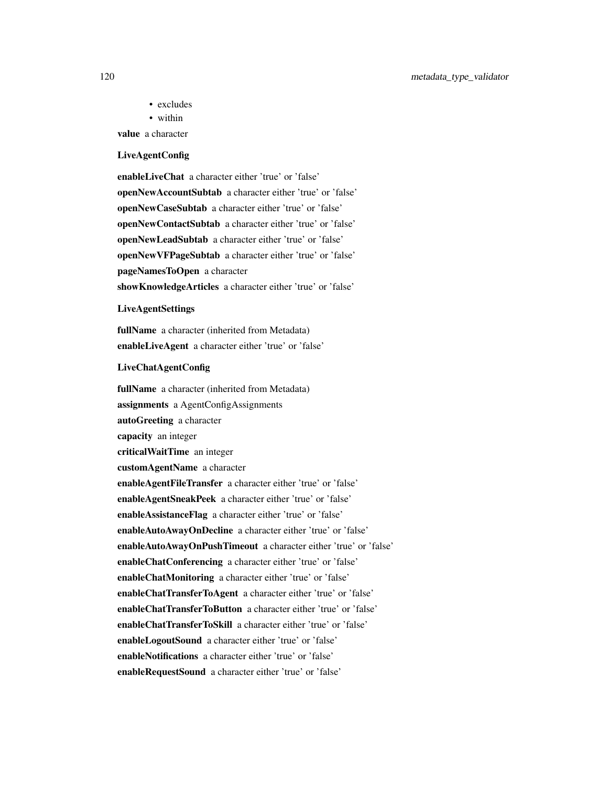- excludes
- within

value a character

#### LiveAgentConfig

enableLiveChat a character either 'true' or 'false' openNewAccountSubtab a character either 'true' or 'false' openNewCaseSubtab a character either 'true' or 'false' openNewContactSubtab a character either 'true' or 'false' openNewLeadSubtab a character either 'true' or 'false' openNewVFPageSubtab a character either 'true' or 'false' pageNamesToOpen a character showKnowledgeArticles a character either 'true' or 'false'

#### LiveAgentSettings

fullName a character (inherited from Metadata) enableLiveAgent a character either 'true' or 'false'

#### LiveChatAgentConfig

fullName a character (inherited from Metadata) assignments a AgentConfigAssignments autoGreeting a character capacity an integer criticalWaitTime an integer customAgentName a character enableAgentFileTransfer a character either 'true' or 'false' enableAgentSneakPeek a character either 'true' or 'false' enableAssistanceFlag a character either 'true' or 'false' enableAutoAwayOnDecline a character either 'true' or 'false' enableAutoAwayOnPushTimeout a character either 'true' or 'false' enableChatConferencing a character either 'true' or 'false' enableChatMonitoring a character either 'true' or 'false' enableChatTransferToAgent a character either 'true' or 'false' enableChatTransferToButton a character either 'true' or 'false' enableChatTransferToSkill a character either 'true' or 'false' enableLogoutSound a character either 'true' or 'false' enableNotifications a character either 'true' or 'false' enableRequestSound a character either 'true' or 'false'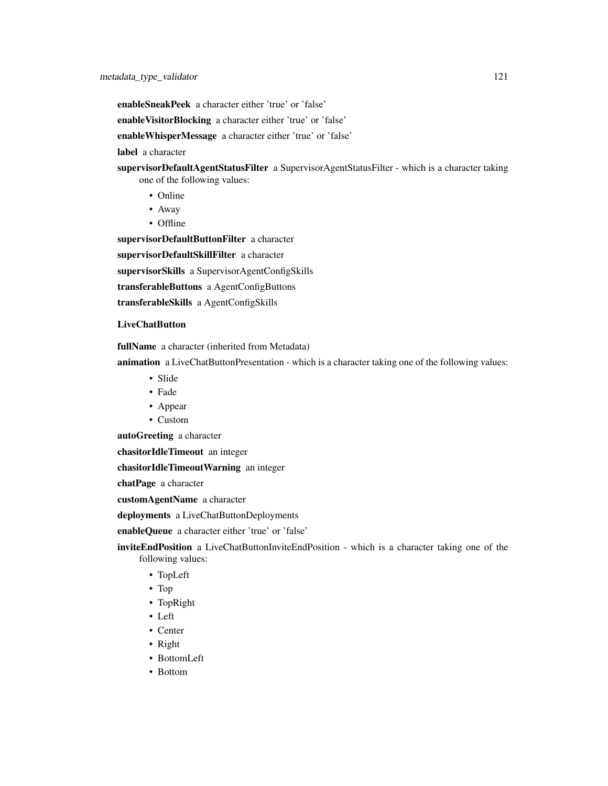enableSneakPeek a character either 'true' or 'false'

enableVisitorBlocking a character either 'true' or 'false'

enableWhisperMessage a character either 'true' or 'false'

label a character

supervisorDefaultAgentStatusFilter a SupervisorAgentStatusFilter - which is a character taking one of the following values:

- Online
- Away
- Offline

supervisorDefaultButtonFilter a character supervisorDefaultSkillFilter a character supervisorSkills a SupervisorAgentConfigSkills transferableButtons a AgentConfigButtons

transferableSkills a AgentConfigSkills

#### LiveChatButton

fullName a character (inherited from Metadata)

animation a LiveChatButtonPresentation - which is a character taking one of the following values:

- Slide
- Fade
- Appear
- Custom

autoGreeting a character

chasitorIdleTimeout an integer

chasitorIdleTimeoutWarning an integer

chatPage a character

customAgentName a character

deployments a LiveChatButtonDeployments

enableQueue a character either 'true' or 'false'

inviteEndPosition a LiveChatButtonInviteEndPosition - which is a character taking one of the following values:

- TopLeft
- Top
- TopRight
- Left
- Center
- Right
- BottomLeft
- Bottom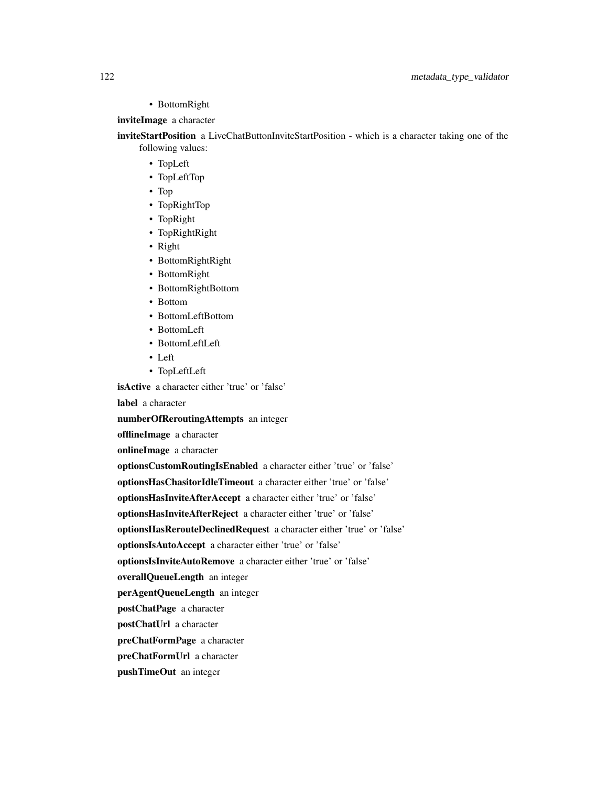• BottomRight

# inviteImage a character

inviteStartPosition a LiveChatButtonInviteStartPosition - which is a character taking one of the following values:

- TopLeft
- TopLeftTop
- Top
- TopRightTop
- TopRight
- TopRightRight
- Right
- BottomRightRight
- BottomRight
- BottomRightBottom
- Bottom
- BottomLeftBottom
- BottomLeft
- BottomLeftLeft
- Left
- TopLeftLeft

isActive a character either 'true' or 'false'

label a character

numberOfReroutingAttempts an integer

offlineImage a character

onlineImage a character

optionsCustomRoutingIsEnabled a character either 'true' or 'false' optionsHasChasitorIdleTimeout a character either 'true' or 'false' optionsHasInviteAfterAccept a character either 'true' or 'false' optionsHasInviteAfterReject a character either 'true' or 'false' optionsHasRerouteDeclinedRequest a character either 'true' or 'false' optionsIsAutoAccept a character either 'true' or 'false' optionsIsInviteAutoRemove a character either 'true' or 'false' overallQueueLength an integer perAgentQueueLength an integer postChatPage a character postChatUrl a character preChatFormPage a character preChatFormUrl a character pushTimeOut an integer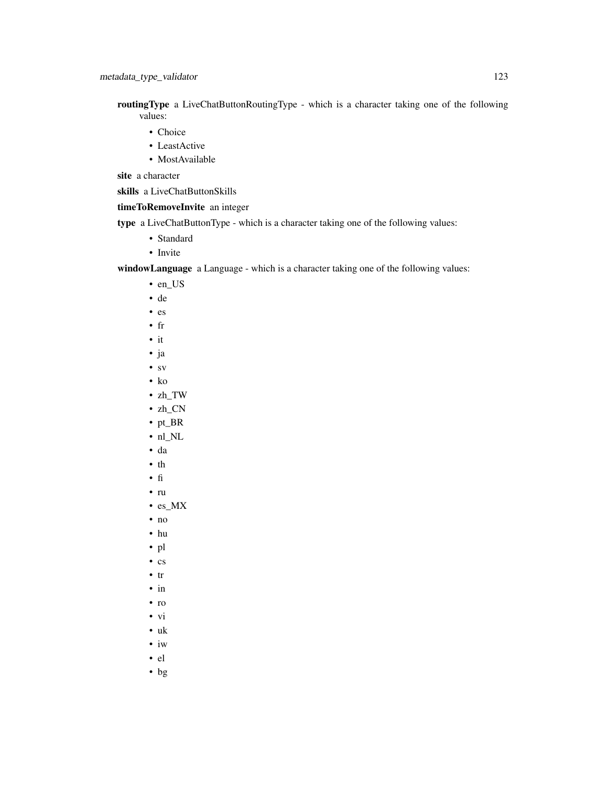- routingType a LiveChatButtonRoutingType which is a character taking one of the following values:
	- Choice
	- LeastActive
	- MostAvailable

site a character

skills a LiveChatButtonSkills

# timeToRemoveInvite an integer

- type a LiveChatButtonType which is a character taking one of the following values:
	- Standard
	- Invite

windowLanguage a Language - which is a character taking one of the following values:

- en\_US
- de
- es
- fr
- it
- ja
- sv
- ko
- zh\_TW
- zh\_CN
- pt\_BR
- nl\_NL
- da
- th
- fi
- ru
- es\_MX
- no
- hu
- pl
- cs
- tr
- in
- ro
- vi
- uk
- iw
- el
- bg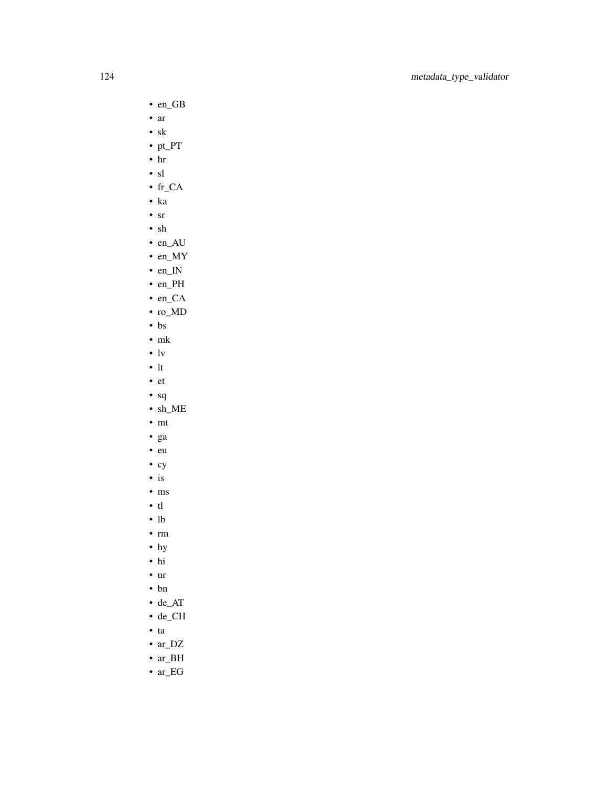- en\_GB
- ar
- sk
- pt\_PT
- hr
- sl
- fr\_CA
- ka
- sr
- sh
- en\_AU
- en\_MY
- en\_IN
- en\_PH
- en\_CA
- ro\_MD
- bs
- mk
- $\cdot$  lv
- lt
- et
- sq
- sh\_ME
- mt
- ga
- eu
- cy
- is
- ms
- tl
- lb
- rm
- hy
- hi
- ur
- bn
- de\_AT
- de\_CH
- ta
- ar\_DZ
- ar\_BH
- ar\_EG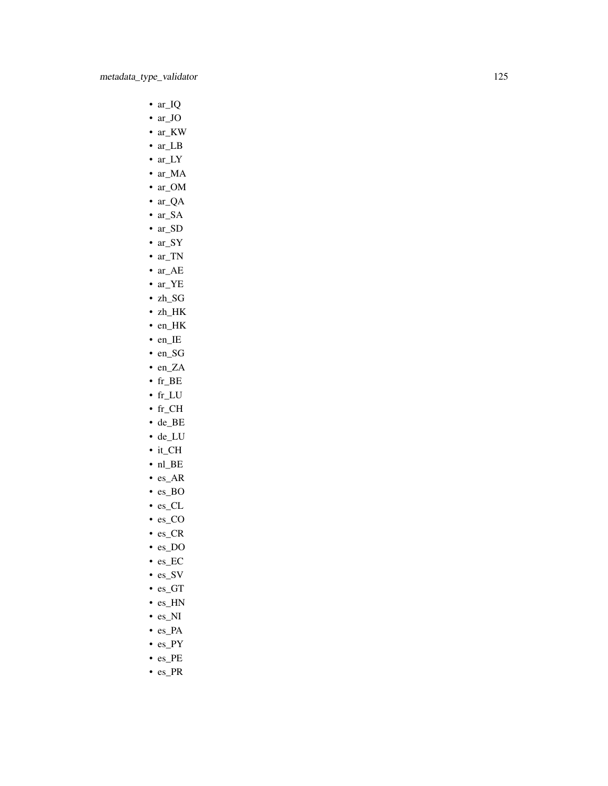- ar\_IQ
- ar\_JO
- ar\_KW
- ar\_LB
- ar\_LY
- ar\_MA
- ar\_OM
- ar\_QA
- ar\_SA
- ar\_SD
- ar\_SY • ar\_TN
- ar\_AE
- ar\_YE
- zh\_SG
- zh\_HK
- en\_HK
- en\_IE
- en\_SG
- en\_ZA
- fr\_BE
- fr\_LU
- $\bullet$  fr\_CH
- de\_BE
- de\_LU
- it\_CH
- nl\_BE
- es\_AR
- es\_BO
- es\_CL
- es\_CO
- es\_CR
- es\_DO
- es\_EC
- es\_SV
- es\_GT
- 
- 
- 
- 
- 
- 
- 
- es\_HN
- es\_NI
- es\_PA
- es\_PY
- es\_PE
- es\_PR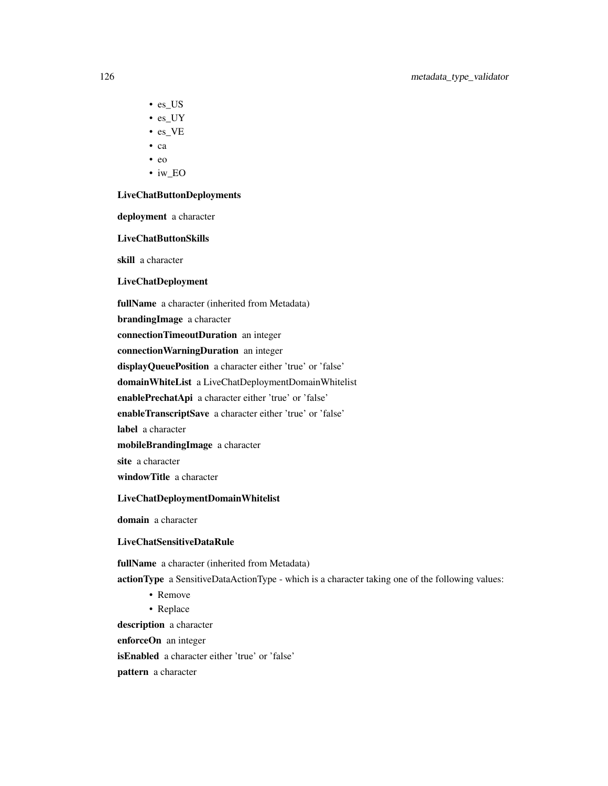- es\_US
- es\_UY
- es\_VE
- ca
- eo
- iw\_EO

#### LiveChatButtonDeployments

deployment a character

#### LiveChatButtonSkills

skill a character

#### LiveChatDeployment

fullName a character (inherited from Metadata)

brandingImage a character

connectionTimeoutDuration an integer

connectionWarningDuration an integer

displayQueuePosition a character either 'true' or 'false'

domainWhiteList a LiveChatDeploymentDomainWhitelist

enablePrechatApi a character either 'true' or 'false'

enableTranscriptSave a character either 'true' or 'false'

label a character

mobileBrandingImage a character

site a character

windowTitle a character

#### LiveChatDeploymentDomainWhitelist

domain a character

### LiveChatSensitiveDataRule

fullName a character (inherited from Metadata)

actionType a SensitiveDataActionType - which is a character taking one of the following values:

- Remove
- Replace

description a character enforceOn an integer isEnabled a character either 'true' or 'false' pattern a character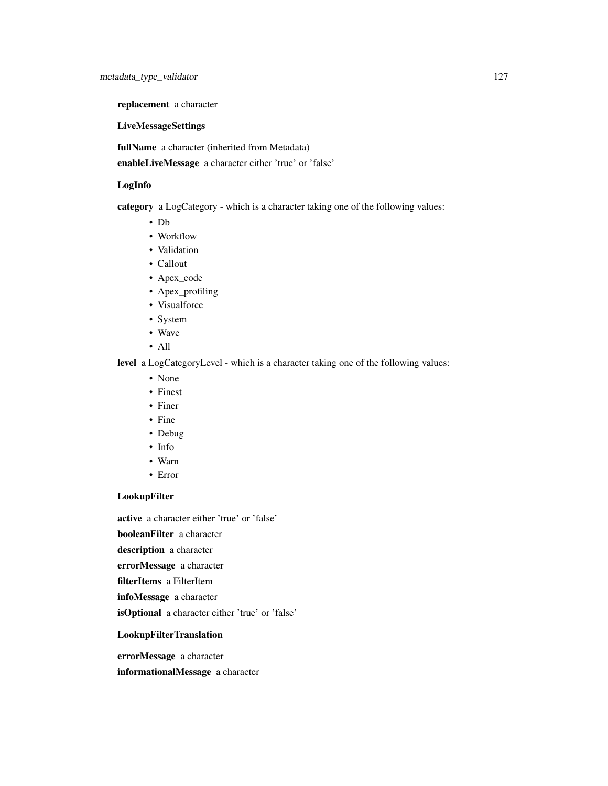replacement a character

### LiveMessageSettings

fullName a character (inherited from Metadata)

enableLiveMessage a character either 'true' or 'false'

# LogInfo

category a LogCategory - which is a character taking one of the following values:

- Db
- Workflow
- Validation
- Callout
- Apex\_code
- Apex\_profiling
- Visualforce
- System
- Wave
- All

level a LogCategoryLevel - which is a character taking one of the following values:

- None
- Finest
- Finer
- Fine
- Debug
- Info
- Warn
- Error

# LookupFilter

active a character either 'true' or 'false'

booleanFilter a character

description a character

errorMessage a character

filterItems a FilterItem

infoMessage a character

isOptional a character either 'true' or 'false'

## LookupFilterTranslation

errorMessage a character

informationalMessage a character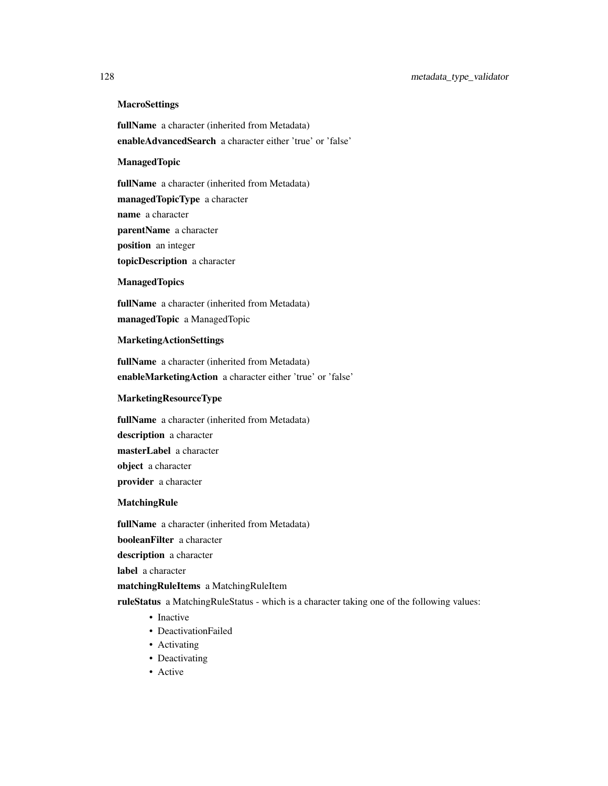# **MacroSettings**

fullName a character (inherited from Metadata) enableAdvancedSearch a character either 'true' or 'false'

#### ManagedTopic

fullName a character (inherited from Metadata) managedTopicType a character name a character parentName a character position an integer topicDescription a character

#### **ManagedTopics**

fullName a character (inherited from Metadata) managedTopic a ManagedTopic

#### MarketingActionSettings

fullName a character (inherited from Metadata) enableMarketingAction a character either 'true' or 'false'

# MarketingResourceType

fullName a character (inherited from Metadata) description a character masterLabel a character object a character provider a character

# MatchingRule

fullName a character (inherited from Metadata) booleanFilter a character description a character

label a character

#### matchingRuleItems a MatchingRuleItem

ruleStatus a MatchingRuleStatus - which is a character taking one of the following values:

- Inactive
- DeactivationFailed
- Activating
- Deactivating
- Active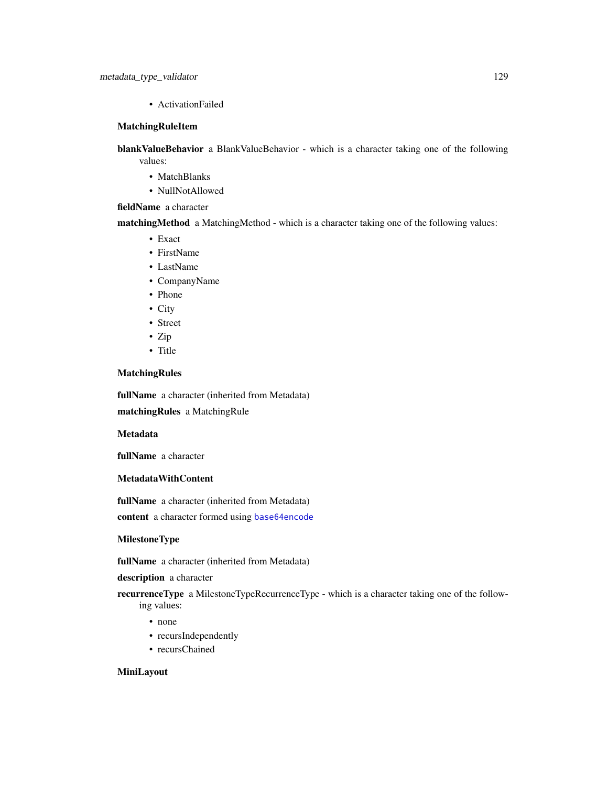• ActivationFailed

## MatchingRuleItem

blankValueBehavior a BlankValueBehavior - which is a character taking one of the following values:

- MatchBlanks
- NullNotAllowed

## fieldName a character

matchingMethod a MatchingMethod - which is a character taking one of the following values:

- Exact
- FirstName
- LastName
- CompanyName
- Phone
- City
- Street
- Zip
- Title

# MatchingRules

fullName a character (inherited from Metadata) matchingRules a MatchingRule

Metadata

fullName a character

# MetadataWithContent

fullName a character (inherited from Metadata) content a character formed using [base64encode](#page-0-0)

# MilestoneType

fullName a character (inherited from Metadata)

#### description a character

recurrenceType a MilestoneTypeRecurrenceType - which is a character taking one of the following values:

- none
- recursIndependently
- recursChained

## MiniLayout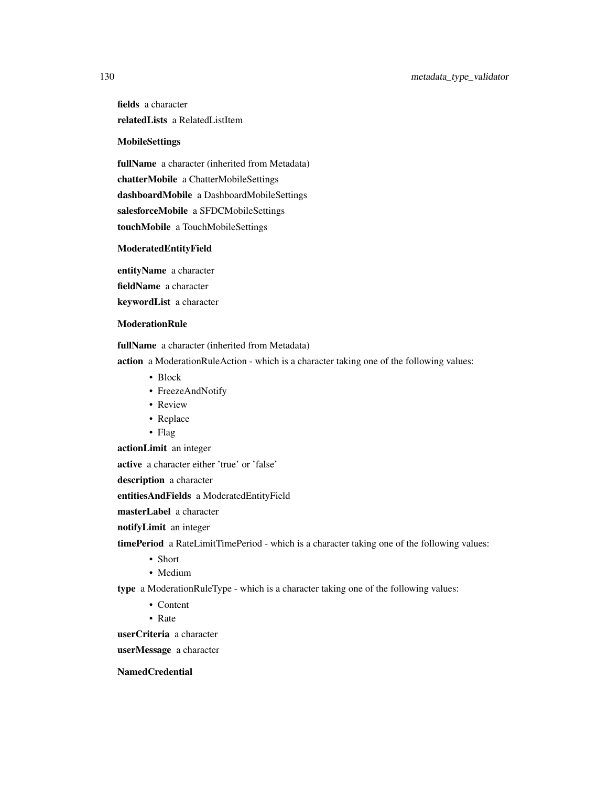fields a character relatedLists a RelatedListItem

# MobileSettings

fullName a character (inherited from Metadata) chatterMobile a ChatterMobileSettings dashboardMobile a DashboardMobileSettings salesforceMobile a SFDCMobileSettings touchMobile a TouchMobileSettings

#### ModeratedEntityField

entityName a character fieldName a character keywordList a character

# **ModerationRule**

fullName a character (inherited from Metadata)

action a ModerationRuleAction - which is a character taking one of the following values:

- Block
- FreezeAndNotify
- Review
- Replace
- Flag

actionLimit an integer

active a character either 'true' or 'false'

description a character

entitiesAndFields a ModeratedEntityField

masterLabel a character

notifyLimit an integer

timePeriod a RateLimitTimePeriod - which is a character taking one of the following values:

- Short
- Medium

type a ModerationRuleType - which is a character taking one of the following values:

- Content
- Rate

userCriteria a character

userMessage a character

NamedCredential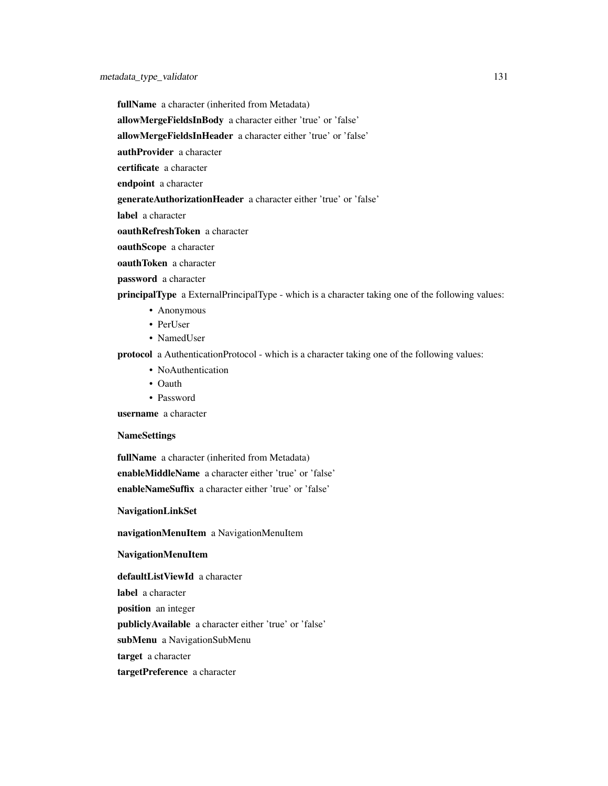fullName a character (inherited from Metadata)

allowMergeFieldsInBody a character either 'true' or 'false'

allowMergeFieldsInHeader a character either 'true' or 'false'

authProvider a character

certificate a character

endpoint a character

generateAuthorizationHeader a character either 'true' or 'false'

label a character

oauthRefreshToken a character

oauthScope a character

oauthToken a character

password a character

principalType a ExternalPrincipalType - which is a character taking one of the following values:

- Anonymous
- PerUser
- NamedUser

protocol a AuthenticationProtocol - which is a character taking one of the following values:

- NoAuthentication
- Oauth
- Password

username a character

### NameSettings

fullName a character (inherited from Metadata) enableMiddleName a character either 'true' or 'false' enableNameSuffix a character either 'true' or 'false'

NavigationLinkSet

navigationMenuItem a NavigationMenuItem

#### NavigationMenuItem

defaultListViewId a character

label a character

position an integer

publiclyAvailable a character either 'true' or 'false'

subMenu a NavigationSubMenu

target a character

targetPreference a character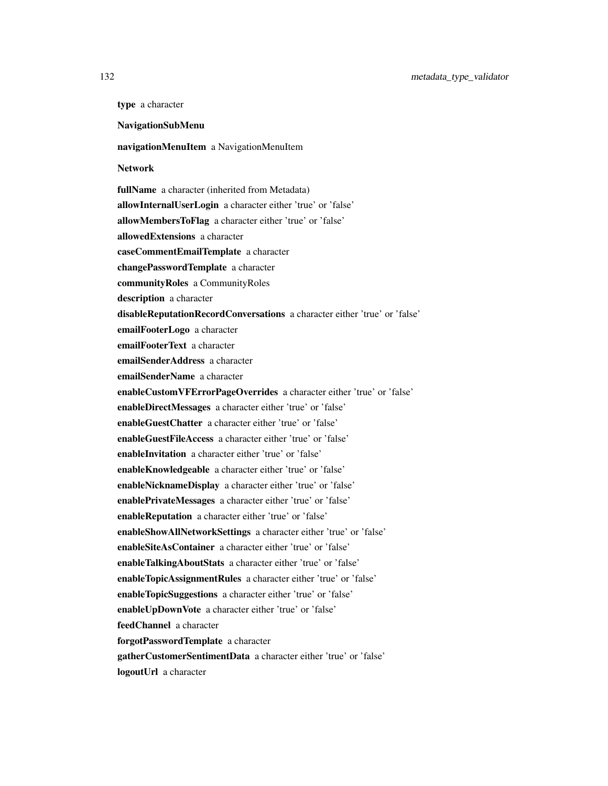type a character

NavigationSubMenu

### navigationMenuItem a NavigationMenuItem

### Network

fullName a character (inherited from Metadata) allowInternalUserLogin a character either 'true' or 'false' allowMembersToFlag a character either 'true' or 'false' allowedExtensions a character caseCommentEmailTemplate a character changePasswordTemplate a character communityRoles a CommunityRoles description a character disableReputationRecordConversations a character either 'true' or 'false' emailFooterLogo a character emailFooterText a character emailSenderAddress a character emailSenderName a character enableCustomVFErrorPageOverrides a character either 'true' or 'false' enableDirectMessages a character either 'true' or 'false' enableGuestChatter a character either 'true' or 'false' enableGuestFileAccess a character either 'true' or 'false' enableInvitation a character either 'true' or 'false' enableKnowledgeable a character either 'true' or 'false' enableNicknameDisplay a character either 'true' or 'false' enablePrivateMessages a character either 'true' or 'false' enableReputation a character either 'true' or 'false' enableShowAllNetworkSettings a character either 'true' or 'false' enableSiteAsContainer a character either 'true' or 'false' enableTalkingAboutStats a character either 'true' or 'false' enableTopicAssignmentRules a character either 'true' or 'false' enableTopicSuggestions a character either 'true' or 'false' enableUpDownVote a character either 'true' or 'false' feedChannel a character forgotPasswordTemplate a character gatherCustomerSentimentData a character either 'true' or 'false'

logoutUrl a character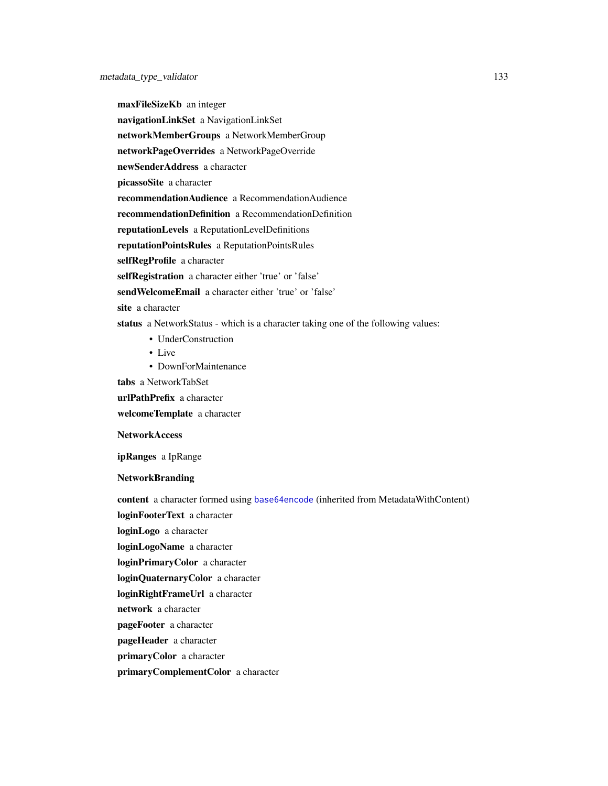maxFileSizeKb an integer navigationLinkSet a NavigationLinkSet networkMemberGroups a NetworkMemberGroup networkPageOverrides a NetworkPageOverride newSenderAddress a character picassoSite a character recommendationAudience a RecommendationAudience recommendationDefinition a RecommendationDefinition reputationLevels a ReputationLevelDefinitions reputationPointsRules a ReputationPointsRules selfRegProfile a character selfRegistration a character either 'true' or 'false' sendWelcomeEmail a character either 'true' or 'false' site a character status a NetworkStatus - which is a character taking one of the following values: • UnderConstruction • Live

• DownForMaintenance

tabs a NetworkTabSet

urlPathPrefix a character

welcomeTemplate a character

**NetworkAccess** 

ipRanges a IpRange

#### NetworkBranding

content a character formed using [base64encode](#page-0-0) (inherited from MetadataWithContent)

loginFooterText a character

loginLogo a character

loginLogoName a character

loginPrimaryColor a character

loginQuaternaryColor a character

loginRightFrameUrl a character

network a character

pageFooter a character

pageHeader a character

primaryColor a character

primaryComplementColor a character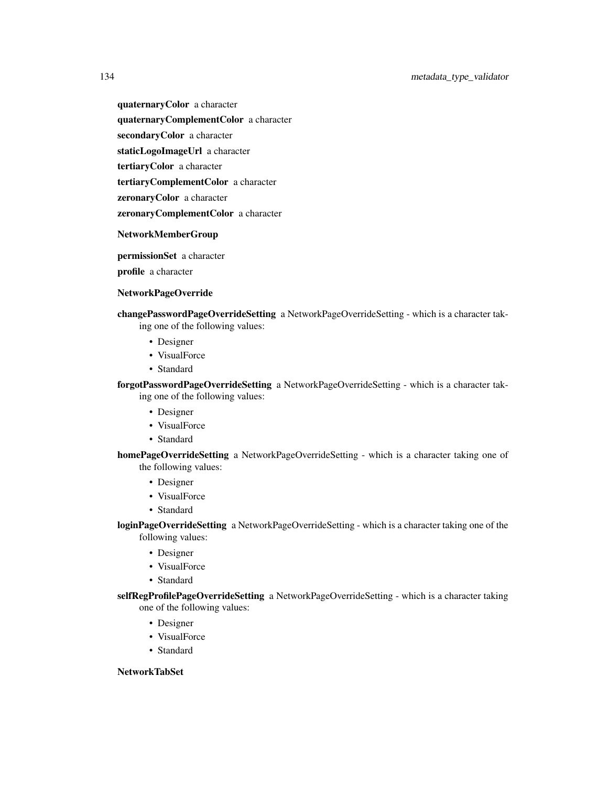quaternaryColor a character quaternaryComplementColor a character secondaryColor a character staticLogoImageUrl a character

tertiaryColor a character

tertiaryComplementColor a character

zeronaryColor a character

zeronaryComplementColor a character

#### NetworkMemberGroup

permissionSet a character

profile a character

#### NetworkPageOverride

changePasswordPageOverrideSetting a NetworkPageOverrideSetting - which is a character taking one of the following values:

- Designer
- VisualForce
- Standard

forgotPasswordPageOverrideSetting a NetworkPageOverrideSetting - which is a character taking one of the following values:

- Designer
- VisualForce
- Standard

homePageOverrideSetting a NetworkPageOverrideSetting - which is a character taking one of the following values:

- Designer
- VisualForce
- Standard

loginPageOverrideSetting a NetworkPageOverrideSetting - which is a character taking one of the following values:

- Designer
- VisualForce
- Standard

selfRegProfilePageOverrideSetting a NetworkPageOverrideSetting - which is a character taking one of the following values:

- Designer
- VisualForce
- Standard

## NetworkTabSet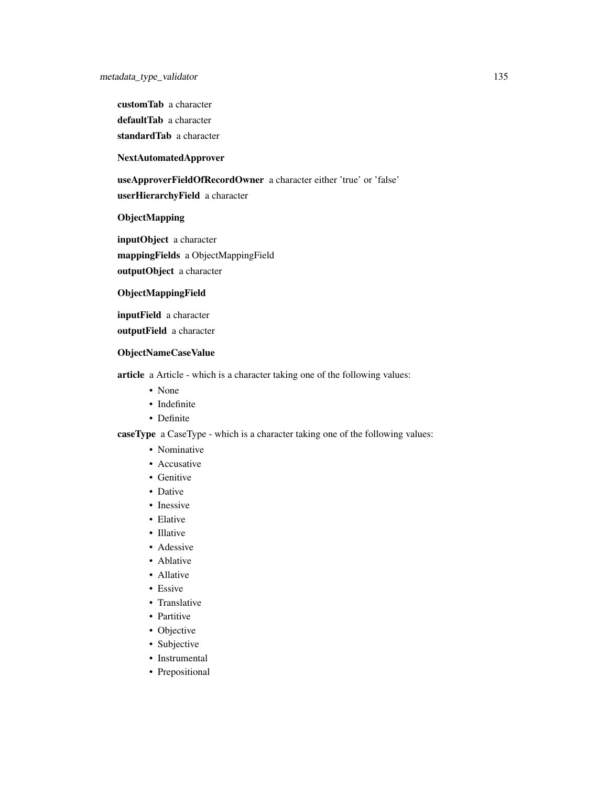customTab a character defaultTab a character

standardTab a character

# NextAutomatedApprover

useApproverFieldOfRecordOwner a character either 'true' or 'false' userHierarchyField a character

# ObjectMapping

inputObject a character mappingFields a ObjectMappingField outputObject a character

#### ObjectMappingField

inputField a character

outputField a character

#### ObjectNameCaseValue

article a Article - which is a character taking one of the following values:

- None
- Indefinite
- Definite

caseType a CaseType - which is a character taking one of the following values:

- Nominative
- Accusative
- Genitive
- Dative
- Inessive
- Elative
- Illative
- Adessive
- Ablative
- Allative
- Essive
- Translative
- Partitive
- Objective
- Subjective
- Instrumental
- Prepositional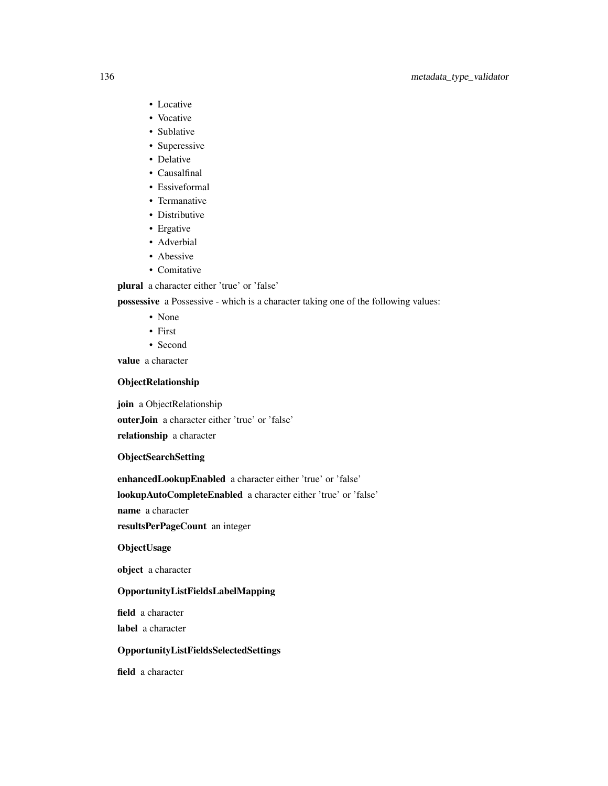# 136 metadata\_type\_validator

- Locative
- Vocative
- Sublative
- Superessive
- Delative
- Causalfinal
- Essiveformal
- Termanative
- Distributive
- Ergative
- Adverbial
- Abessive
- Comitative

plural a character either 'true' or 'false'

possessive a Possessive - which is a character taking one of the following values:

- None
- First
- Second

value a character

# ObjectRelationship

join a ObjectRelationship

outerJoin a character either 'true' or 'false'

relationship a character

ObjectSearchSetting

enhancedLookupEnabled a character either 'true' or 'false'

lookupAutoCompleteEnabled a character either 'true' or 'false'

name a character

resultsPerPageCount an integer

# **ObjectUsage**

object a character

### OpportunityListFieldsLabelMapping

field a character label a character

OpportunityListFieldsSelectedSettings

field a character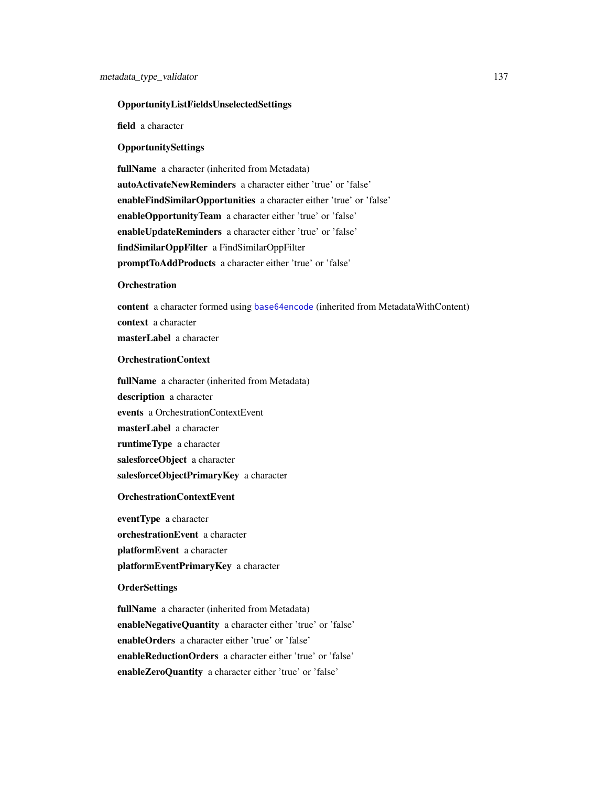#### OpportunityListFieldsUnselectedSettings

field a character

### **OpportunitySettings**

fullName a character (inherited from Metadata) autoActivateNewReminders a character either 'true' or 'false' enableFindSimilarOpportunities a character either 'true' or 'false' enableOpportunityTeam a character either 'true' or 'false' enableUpdateReminders a character either 'true' or 'false' findSimilarOppFilter a FindSimilarOppFilter promptToAddProducts a character either 'true' or 'false'

#### **Orchestration**

content a character formed using [base64encode](#page-0-0) (inherited from MetadataWithContent) context a character masterLabel a character

# OrchestrationContext

fullName a character (inherited from Metadata) description a character events a OrchestrationContextEvent masterLabel a character runtimeType a character salesforceObject a character salesforceObjectPrimaryKey a character

### OrchestrationContextEvent

eventType a character orchestrationEvent a character platformEvent a character platformEventPrimaryKey a character

# **OrderSettings**

fullName a character (inherited from Metadata) enableNegativeQuantity a character either 'true' or 'false' enableOrders a character either 'true' or 'false' enableReductionOrders a character either 'true' or 'false' enableZeroQuantity a character either 'true' or 'false'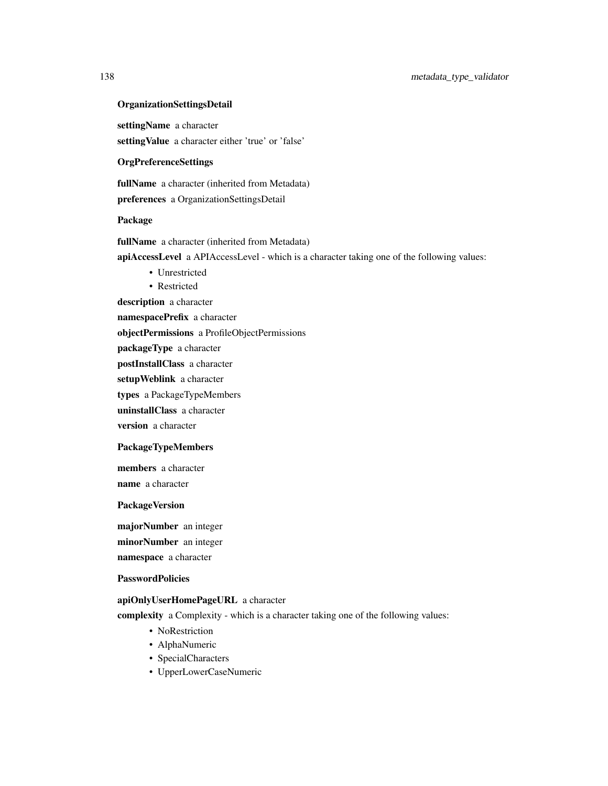#### OrganizationSettingsDetail

settingName a character settingValue a character either 'true' or 'false'

#### OrgPreferenceSettings

fullName a character (inherited from Metadata) preferences a OrganizationSettingsDetail

#### Package

fullName a character (inherited from Metadata)

apiAccessLevel a APIAccessLevel - which is a character taking one of the following values:

- Unrestricted
- Restricted

description a character

namespacePrefix a character

objectPermissions a ProfileObjectPermissions

packageType a character

postInstallClass a character

setupWeblink a character

types a PackageTypeMembers

uninstallClass a character

version a character

# PackageTypeMembers

members a character name a character

#### PackageVersion

majorNumber an integer minorNumber an integer namespace a character

#### PasswordPolicies

## apiOnlyUserHomePageURL a character

complexity a Complexity - which is a character taking one of the following values:

- NoRestriction
- AlphaNumeric
- SpecialCharacters
- UpperLowerCaseNumeric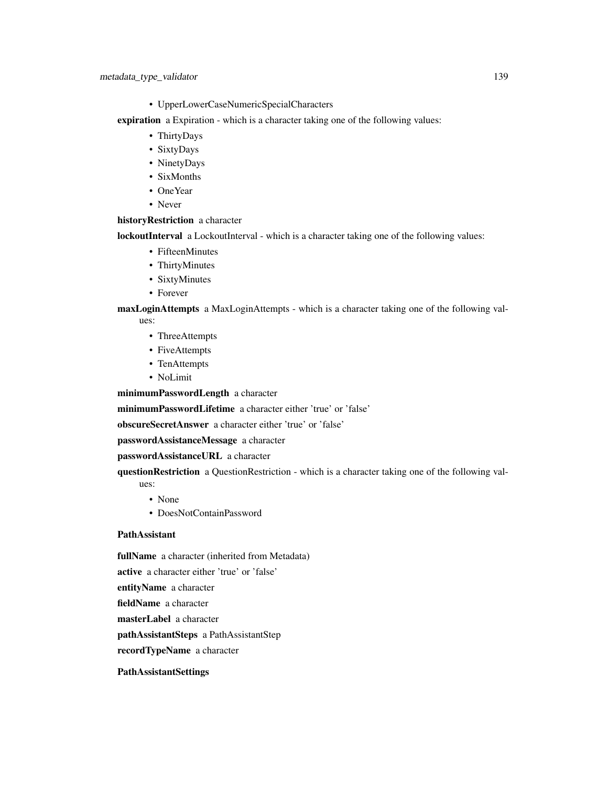- UpperLowerCaseNumericSpecialCharacters
- expiration a Expiration which is a character taking one of the following values:
	- ThirtyDays
	- SixtyDays
	- NinetyDays
	- SixMonths
	- OneYear
	- Never

#### historyRestriction a character

lockoutInterval a LockoutInterval - which is a character taking one of the following values:

- FifteenMinutes
- ThirtyMinutes
- SixtyMinutes
- Forever

## maxLoginAttempts a MaxLoginAttempts - which is a character taking one of the following val-

- ues:
	- ThreeAttempts
	- FiveAttempts
	- TenAttempts
	- NoLimit

minimumPasswordLength a character

minimumPasswordLifetime a character either 'true' or 'false'

obscureSecretAnswer a character either 'true' or 'false'

passwordAssistanceMessage a character

# passwordAssistanceURL a character

questionRestriction a QuestionRestriction - which is a character taking one of the following values:

- None
- DoesNotContainPassword

## PathAssistant

fullName a character (inherited from Metadata)

active a character either 'true' or 'false'

entityName a character

fieldName a character

masterLabel a character

pathAssistantSteps a PathAssistantStep

recordTypeName a character

# PathAssistantSettings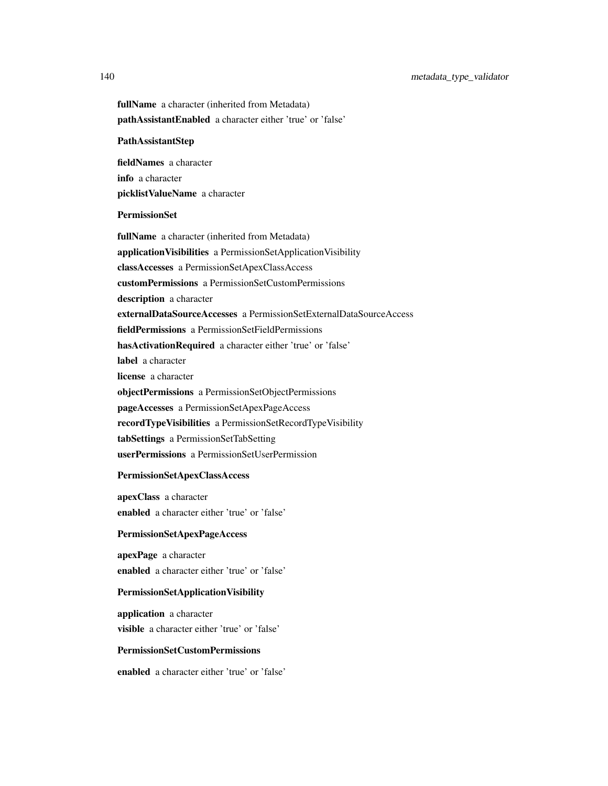140 metadata\_type\_validator

fullName a character (inherited from Metadata) pathAssistantEnabled a character either 'true' or 'false' PathAssistantStep fieldNames a character info a character picklistValueName a character PermissionSet fullName a character (inherited from Metadata) applicationVisibilities a PermissionSetApplicationVisibility classAccesses a PermissionSetApexClassAccess customPermissions a PermissionSetCustomPermissions description a character externalDataSourceAccesses a PermissionSetExternalDataSourceAccess fieldPermissions a PermissionSetFieldPermissions hasActivationRequired a character either 'true' or 'false' label a character license a character objectPermissions a PermissionSetObjectPermissions pageAccesses a PermissionSetApexPageAccess recordTypeVisibilities a PermissionSetRecordTypeVisibility tabSettings a PermissionSetTabSetting userPermissions a PermissionSetUserPermission

# PermissionSetApexClassAccess

apexClass a character enabled a character either 'true' or 'false'

#### PermissionSetApexPageAccess

apexPage a character enabled a character either 'true' or 'false'

### PermissionSetApplicationVisibility

application a character visible a character either 'true' or 'false'

# PermissionSetCustomPermissions

enabled a character either 'true' or 'false'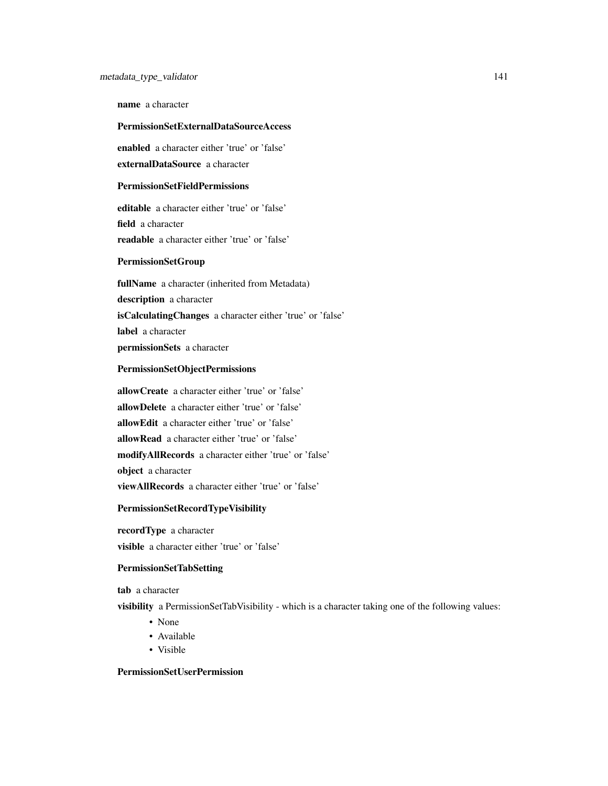name a character

### PermissionSetExternalDataSourceAccess

enabled a character either 'true' or 'false' externalDataSource a character

### PermissionSetFieldPermissions

editable a character either 'true' or 'false' field a character readable a character either 'true' or 'false'

## PermissionSetGroup

fullName a character (inherited from Metadata) description a character isCalculatingChanges a character either 'true' or 'false' label a character permissionSets a character

#### PermissionSetObjectPermissions

allowCreate a character either 'true' or 'false' allowDelete a character either 'true' or 'false' allowEdit a character either 'true' or 'false' allowRead a character either 'true' or 'false' modifyAllRecords a character either 'true' or 'false' object a character viewAllRecords a character either 'true' or 'false'

# PermissionSetRecordTypeVisibility

recordType a character visible a character either 'true' or 'false'

### PermissionSetTabSetting

tab a character

visibility a PermissionSetTabVisibility - which is a character taking one of the following values:

- None
- Available
- Visible

# PermissionSetUserPermission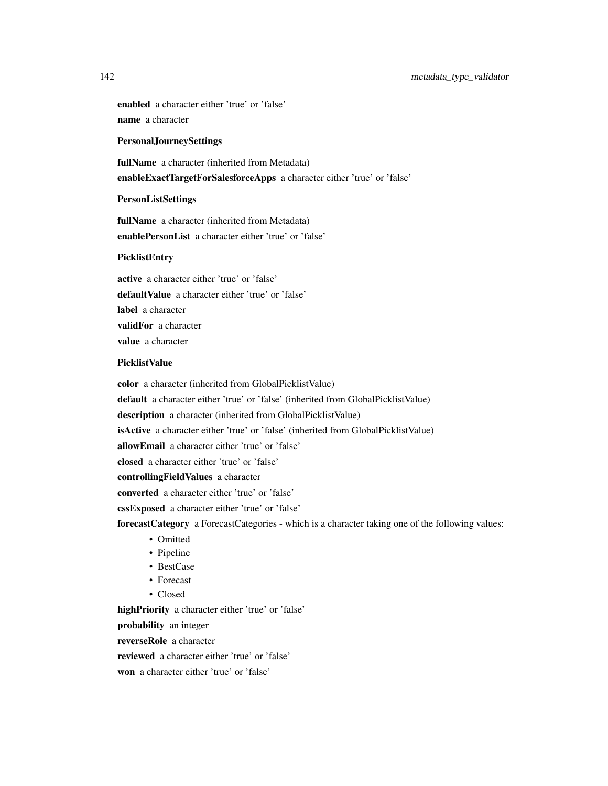# 142 metadata\_type\_validator

enabled a character either 'true' or 'false' name a character

#### PersonalJourneySettings

fullName a character (inherited from Metadata) enableExactTargetForSalesforceApps a character either 'true' or 'false'

#### **PersonListSettings**

fullName a character (inherited from Metadata) enablePersonList a character either 'true' or 'false'

# PicklistEntry

active a character either 'true' or 'false' defaultValue a character either 'true' or 'false' label a character validFor a character value a character

# PicklistValue

color a character (inherited from GlobalPicklistValue) default a character either 'true' or 'false' (inherited from GlobalPicklistValue) description a character (inherited from GlobalPicklistValue) isActive a character either 'true' or 'false' (inherited from GlobalPicklistValue) allowEmail a character either 'true' or 'false' closed a character either 'true' or 'false' controllingFieldValues a character converted a character either 'true' or 'false' cssExposed a character either 'true' or 'false' forecastCategory a ForecastCategories - which is a character taking one of the following values: • Omitted • Pipeline

- BestCase
- Forecast
- Closed

highPriority a character either 'true' or 'false'

probability an integer

reverseRole a character

reviewed a character either 'true' or 'false'

won a character either 'true' or 'false'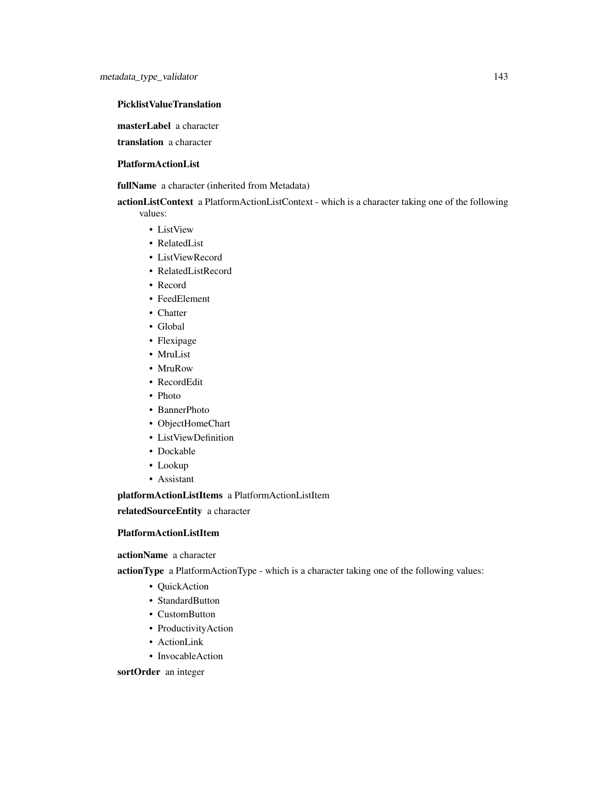# PicklistValueTranslation

masterLabel a character

translation a character

# PlatformActionList

fullName a character (inherited from Metadata)

actionListContext a PlatformActionListContext - which is a character taking one of the following values:

- ListView
- RelatedList
- ListViewRecord
- RelatedListRecord
- Record
- FeedElement
- Chatter
- Global
- Flexipage
- MruList
- MruRow
- RecordEdit
- Photo
- BannerPhoto
- ObjectHomeChart
- ListViewDefinition
- Dockable
- Lookup
- Assistant

platformActionListItems a PlatformActionListItem

relatedSourceEntity a character

# PlatformActionListItem

actionName a character

actionType a PlatformActionType - which is a character taking one of the following values:

- QuickAction
- StandardButton
- CustomButton
- ProductivityAction
- ActionLink
- InvocableAction

sortOrder an integer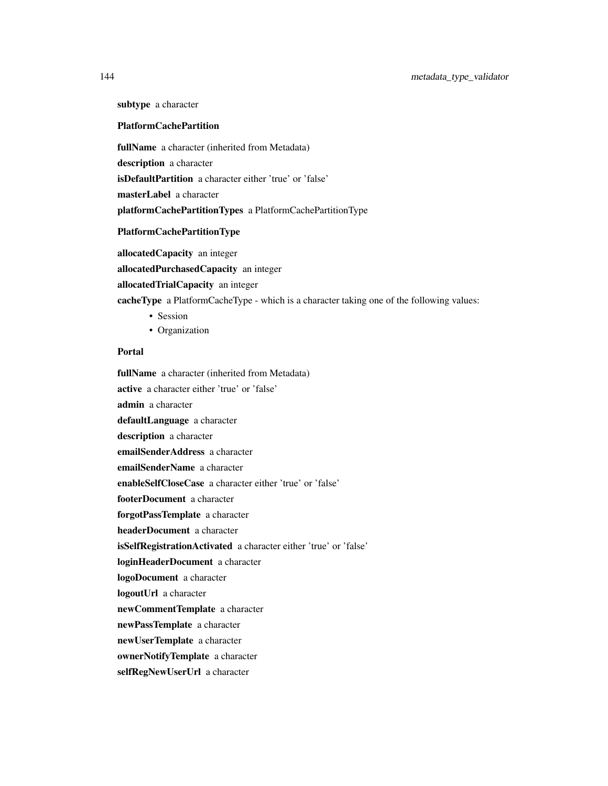subtype a character

#### PlatformCachePartition

fullName a character (inherited from Metadata) description a character isDefaultPartition a character either 'true' or 'false' masterLabel a character platformCachePartitionTypes a PlatformCachePartitionType

#### PlatformCachePartitionType

allocatedCapacity an integer allocatedPurchasedCapacity an integer allocatedTrialCapacity an integer cacheType a PlatformCacheType - which is a character taking one of the following values:

- Session
- Organization

# Portal

fullName a character (inherited from Metadata) active a character either 'true' or 'false' admin a character defaultLanguage a character description a character emailSenderAddress a character emailSenderName a character enableSelfCloseCase a character either 'true' or 'false' footerDocument a character forgotPassTemplate a character headerDocument a character isSelfRegistrationActivated a character either 'true' or 'false' loginHeaderDocument a character logoDocument a character logoutUrl a character newCommentTemplate a character newPassTemplate a character newUserTemplate a character ownerNotifyTemplate a character selfRegNewUserUrl a character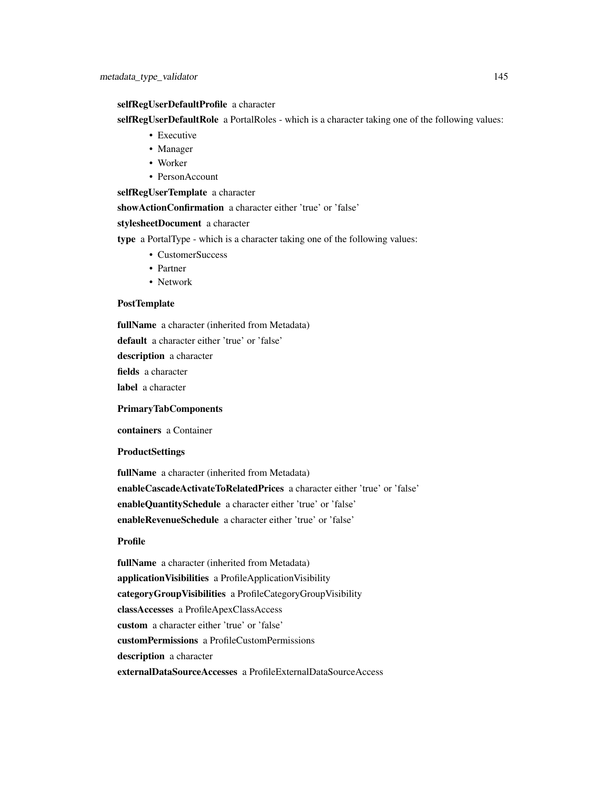#### selfRegUserDefaultProfile a character

selfRegUserDefaultRole a PortalRoles - which is a character taking one of the following values:

- Executive
- Manager
- Worker
- PersonAccount

selfRegUserTemplate a character

showActionConfirmation a character either 'true' or 'false'

stylesheetDocument a character

type a PortalType - which is a character taking one of the following values:

- CustomerSuccess
- Partner
- Network

#### PostTemplate

fullName a character (inherited from Metadata)

default a character either 'true' or 'false'

description a character

fields a character

label a character

PrimaryTabComponents

containers a Container

#### **ProductSettings**

fullName a character (inherited from Metadata) enableCascadeActivateToRelatedPrices a character either 'true' or 'false' enableQuantitySchedule a character either 'true' or 'false' enableRevenueSchedule a character either 'true' or 'false'

#### Profile

fullName a character (inherited from Metadata) applicationVisibilities a ProfileApplicationVisibility categoryGroupVisibilities a ProfileCategoryGroupVisibility classAccesses a ProfileApexClassAccess custom a character either 'true' or 'false' customPermissions a ProfileCustomPermissions description a character externalDataSourceAccesses a ProfileExternalDataSourceAccess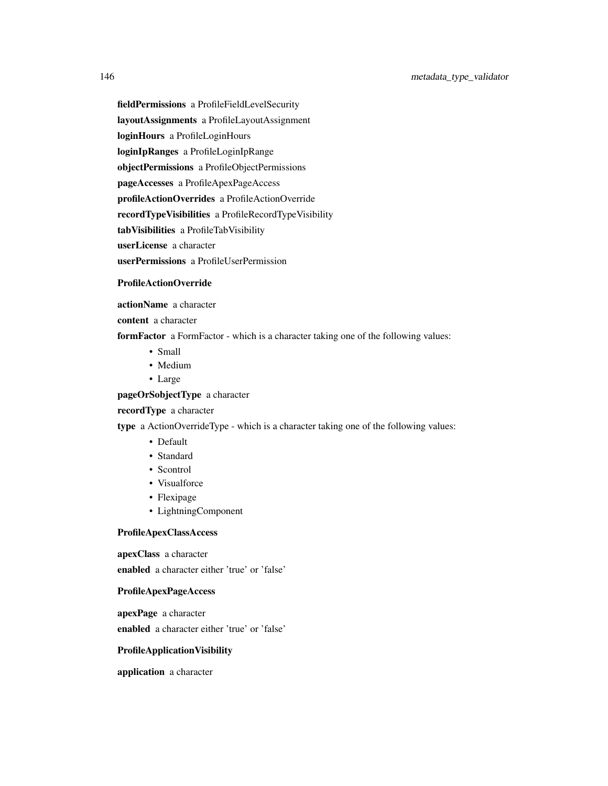fieldPermissions a ProfileFieldLevelSecurity

layoutAssignments a ProfileLayoutAssignment

loginHours a ProfileLoginHours

loginIpRanges a ProfileLoginIpRange

objectPermissions a ProfileObjectPermissions

pageAccesses a ProfileApexPageAccess

profileActionOverrides a ProfileActionOverride

recordTypeVisibilities a ProfileRecordTypeVisibility

tabVisibilities a ProfileTabVisibility

userLicense a character

userPermissions a ProfileUserPermission

#### ProfileActionOverride

actionName a character

content a character

formFactor a FormFactor - which is a character taking one of the following values:

- Small
- Medium
- Large

pageOrSobjectType a character

## recordType a character

type a ActionOverrideType - which is a character taking one of the following values:

- Default
- Standard
- Scontrol
- Visualforce
- Flexipage
- LightningComponent

#### ProfileApexClassAccess

apexClass a character enabled a character either 'true' or 'false'

#### ProfileApexPageAccess

apexPage a character enabled a character either 'true' or 'false'

#### ProfileApplicationVisibility

application a character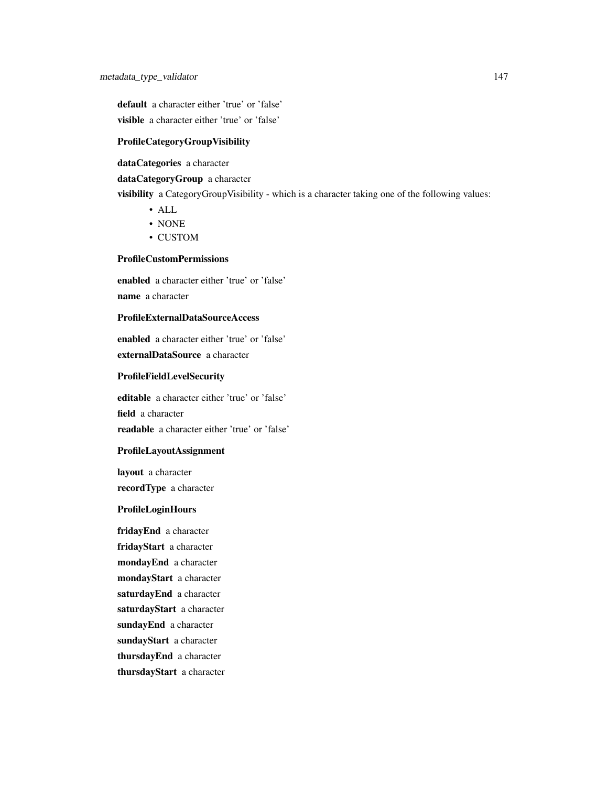default a character either 'true' or 'false' visible a character either 'true' or 'false'

## ProfileCategoryGroupVisibility

dataCategories a character

#### dataCategoryGroup a character

visibility a CategoryGroupVisibility - which is a character taking one of the following values:

- ALL
- NONE
- CUSTOM

## ProfileCustomPermissions

enabled a character either 'true' or 'false' name a character

## ProfileExternalDataSourceAccess

enabled a character either 'true' or 'false' externalDataSource a character

## ProfileFieldLevelSecurity

editable a character either 'true' or 'false' field a character readable a character either 'true' or 'false'

#### ProfileLayoutAssignment

layout a character recordType a character

## ProfileLoginHours

fridayEnd a character fridayStart a character mondayEnd a character mondayStart a character saturdayEnd a character saturdayStart a character sundayEnd a character sundayStart a character thursdayEnd a character thursdayStart a character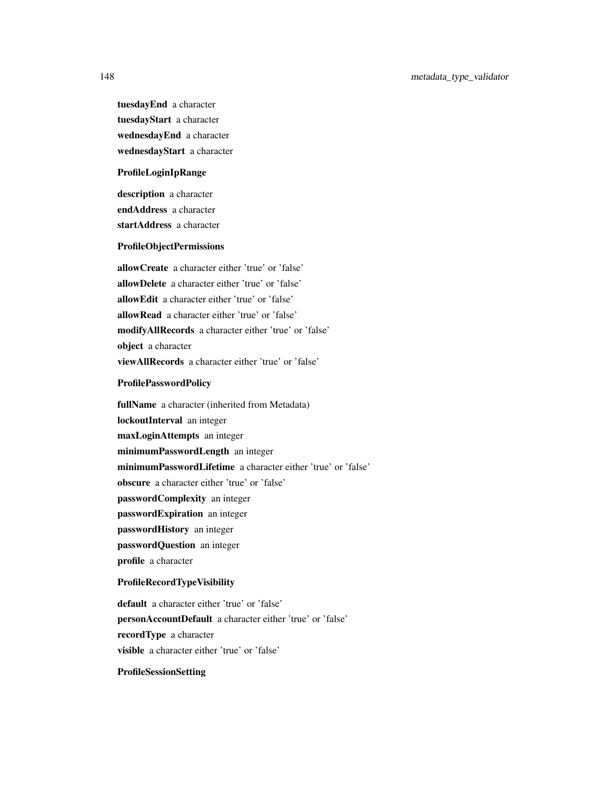tuesdayEnd a character tuesdayStart a character wednesdayEnd a character wednesdayStart a character

#### ProfileLoginIpRange

description a character endAddress a character startAddress a character

## ProfileObjectPermissions

allowCreate a character either 'true' or 'false' allowDelete a character either 'true' or 'false' allowEdit a character either 'true' or 'false' allowRead a character either 'true' or 'false' modifyAllRecords a character either 'true' or 'false' object a character viewAllRecords a character either 'true' or 'false'

#### ProfilePasswordPolicy

fullName a character (inherited from Metadata) lockoutInterval an integer maxLoginAttempts an integer minimumPasswordLength an integer minimumPasswordLifetime a character either 'true' or 'false' obscure a character either 'true' or 'false' passwordComplexity an integer passwordExpiration an integer passwordHistory an integer passwordQuestion an integer profile a character

#### ProfileRecordTypeVisibility

default a character either 'true' or 'false' personAccountDefault a character either 'true' or 'false' recordType a character visible a character either 'true' or 'false'

## ProfileSessionSetting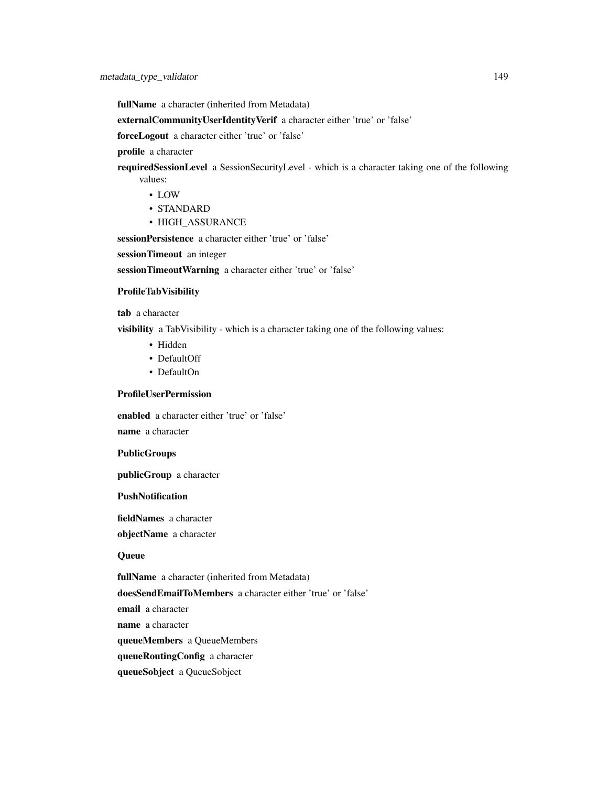fullName a character (inherited from Metadata)

externalCommunityUserIdentityVerif a character either 'true' or 'false'

forceLogout a character either 'true' or 'false'

profile a character

requiredSessionLevel a SessionSecurityLevel - which is a character taking one of the following values:

- LOW
- STANDARD
- HIGH\_ASSURANCE

sessionPersistence a character either 'true' or 'false'

sessionTimeout an integer

sessionTimeoutWarning a character either 'true' or 'false'

#### ProfileTabVisibility

tab a character

visibility a TabVisibility - which is a character taking one of the following values:

- Hidden
- DefaultOff
- DefaultOn

## ProfileUserPermission

enabled a character either 'true' or 'false'

name a character

#### PublicGroups

publicGroup a character

## PushNotification

fieldNames a character objectName a character

## **Queue**

fullName a character (inherited from Metadata)

doesSendEmailToMembers a character either 'true' or 'false'

email a character

name a character

queueMembers a QueueMembers

queueRoutingConfig a character

queueSobject a QueueSobject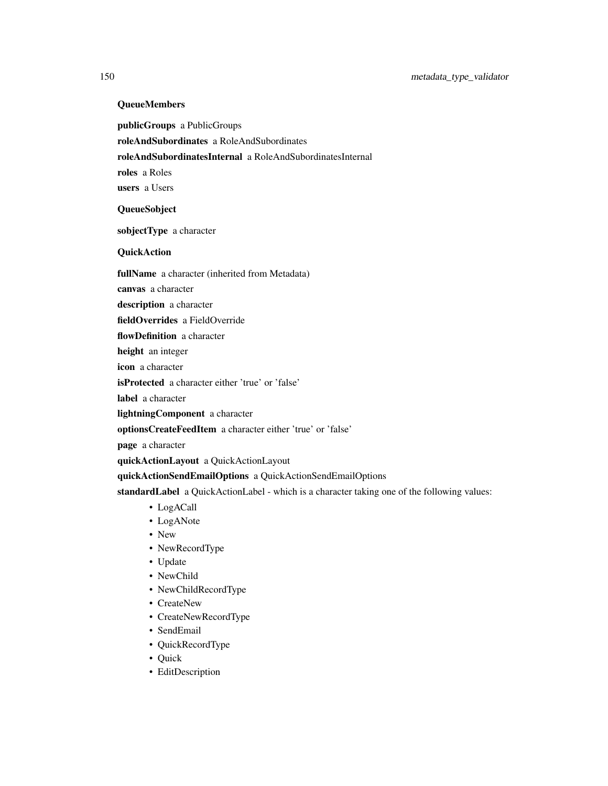## QueueMembers

publicGroups a PublicGroups

roleAndSubordinates a RoleAndSubordinates

roleAndSubordinatesInternal a RoleAndSubordinatesInternal

roles a Roles

users a Users

## QueueSobject

sobjectType a character

## **QuickAction**

fullName a character (inherited from Metadata)

canvas a character

description a character

fieldOverrides a FieldOverride

flowDefinition a character

height an integer

icon a character

isProtected a character either 'true' or 'false'

label a character

lightningComponent a character

optionsCreateFeedItem a character either 'true' or 'false'

page a character

quickActionLayout a QuickActionLayout

quickActionSendEmailOptions a QuickActionSendEmailOptions

standardLabel a QuickActionLabel - which is a character taking one of the following values:

- LogACall
- LogANote
- New
- NewRecordType
- Update
- NewChild
- NewChildRecordType
- CreateNew
- CreateNewRecordType
- SendEmail
- QuickRecordType
- Quick
- EditDescription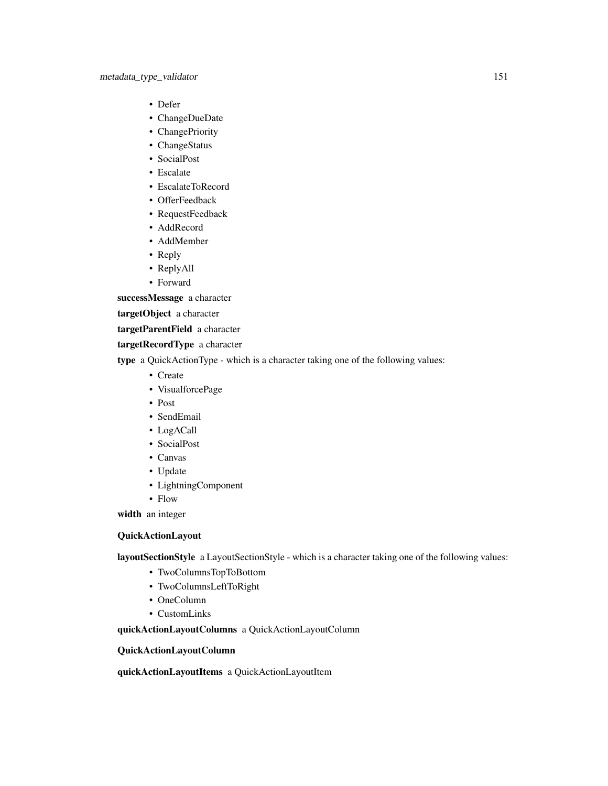- Defer
- ChangeDueDate
- ChangePriority
- ChangeStatus
- SocialPost
- Escalate
- EscalateToRecord
- OfferFeedback
- RequestFeedback
- AddRecord
- AddMember
- Reply
- ReplyAll
- Forward

successMessage a character

targetObject a character

targetParentField a character

targetRecordType a character

type a QuickActionType - which is a character taking one of the following values:

- Create
- VisualforcePage
- Post
- SendEmail
- LogACall
- SocialPost
- Canvas
- Update
- LightningComponent
- Flow

width an integer

## QuickActionLayout

layoutSectionStyle a LayoutSectionStyle - which is a character taking one of the following values:

- TwoColumnsTopToBottom
- TwoColumnsLeftToRight
- OneColumn
- CustomLinks

quickActionLayoutColumns a QuickActionLayoutColumn

## QuickActionLayoutColumn

quickActionLayoutItems a QuickActionLayoutItem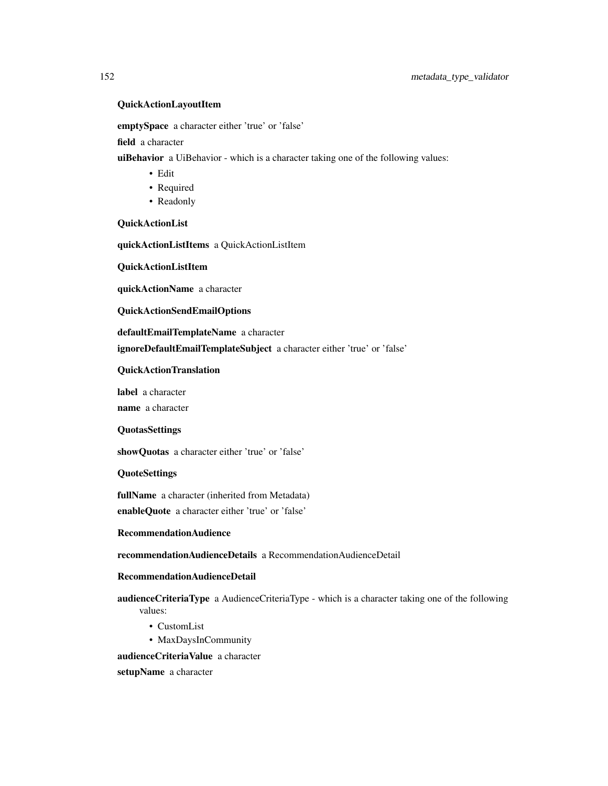#### QuickActionLayoutItem

emptySpace a character either 'true' or 'false'

field a character

uiBehavior a UiBehavior - which is a character taking one of the following values:

- Edit
- Required
- Readonly

QuickActionList

quickActionListItems a QuickActionListItem

QuickActionListItem

quickActionName a character

QuickActionSendEmailOptions

defaultEmailTemplateName a character

ignoreDefaultEmailTemplateSubject a character either 'true' or 'false'

## QuickActionTranslation

label a character name a character

#### **QuotasSettings**

showQuotas a character either 'true' or 'false'

QuoteSettings

fullName a character (inherited from Metadata) enableQuote a character either 'true' or 'false'

## RecommendationAudience

recommendationAudienceDetails a RecommendationAudienceDetail

#### RecommendationAudienceDetail

audienceCriteriaType a AudienceCriteriaType - which is a character taking one of the following values:

- CustomList
- MaxDaysInCommunity

audienceCriteriaValue a character

setupName a character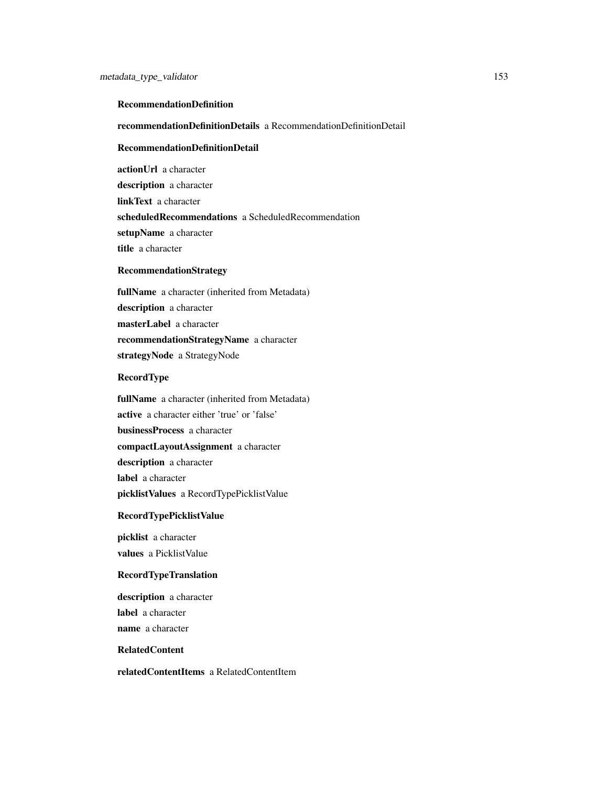#### RecommendationDefinition

recommendationDefinitionDetails a RecommendationDefinitionDetail

## RecommendationDefinitionDetail

actionUrl a character description a character linkText a character scheduledRecommendations a ScheduledRecommendation setupName a character title a character

## RecommendationStrategy

fullName a character (inherited from Metadata) description a character masterLabel a character recommendationStrategyName a character strategyNode a StrategyNode

#### RecordType

fullName a character (inherited from Metadata) active a character either 'true' or 'false' businessProcess a character compactLayoutAssignment a character description a character label a character picklistValues a RecordTypePicklistValue

#### RecordTypePicklistValue

picklist a character values a PicklistValue

## RecordTypeTranslation

description a character label a character name a character

## RelatedContent

relatedContentItems a RelatedContentItem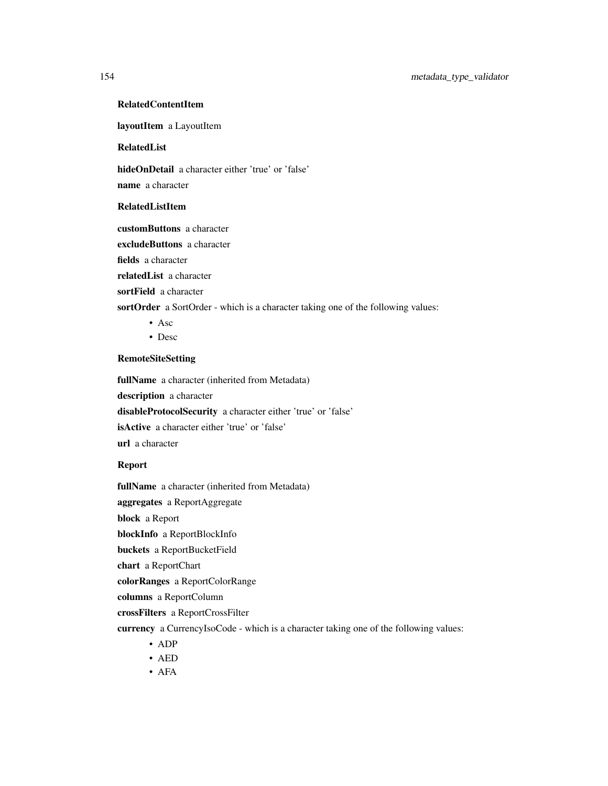## RelatedContentItem

layoutItem a LayoutItem

## RelatedList

hideOnDetail a character either 'true' or 'false'

name a character

#### RelatedListItem

customButtons a character

excludeButtons a character

fields a character

relatedList a character

sortField a character

sortOrder a SortOrder - which is a character taking one of the following values:

- Asc
- Desc

#### RemoteSiteSetting

fullName a character (inherited from Metadata)

description a character

disableProtocolSecurity a character either 'true' or 'false'

isActive a character either 'true' or 'false'

url a character

## Report

fullName a character (inherited from Metadata)

aggregates a ReportAggregate

block a Report

blockInfo a ReportBlockInfo

buckets a ReportBucketField

chart a ReportChart

colorRanges a ReportColorRange

columns a ReportColumn

crossFilters a ReportCrossFilter

currency a CurrencyIsoCode - which is a character taking one of the following values:

- ADP
- AED
- AFA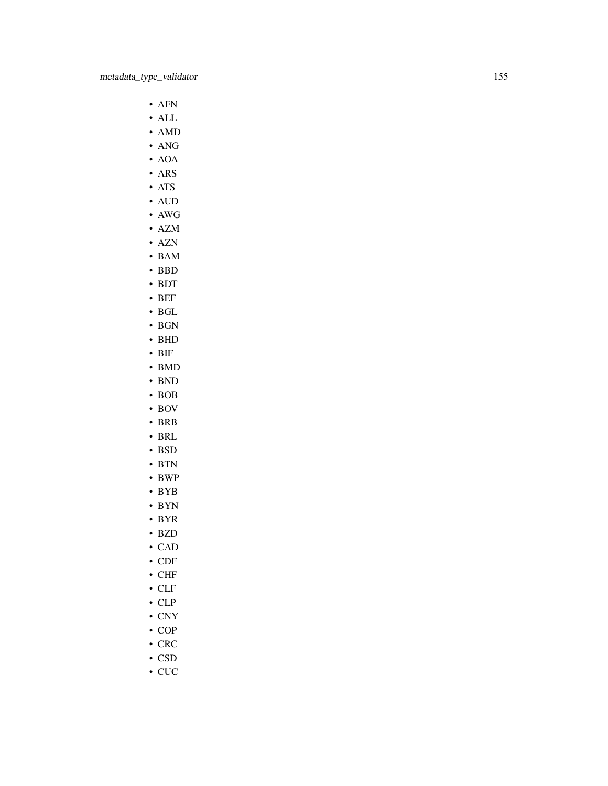- AFN
- ALL
- AMD
- ANG
- AOA
- ARS
- ATS
- AUD
- AWG
- AZM
- AZN
- BAM
- BBD
- BDT
- BEF
- BGL
- BGN
- BHD
- BIF
- BMD
- BND • BOB
- 
- BOV
- BRB
- BRL
- BSD
- BTN
- BWP
- BYB
- BYN
- BYR
- BZD
- CAD
- CDF
- CHF
- CLF
- CLP
- CNY
- COP
- CRC
- CSD
- CUC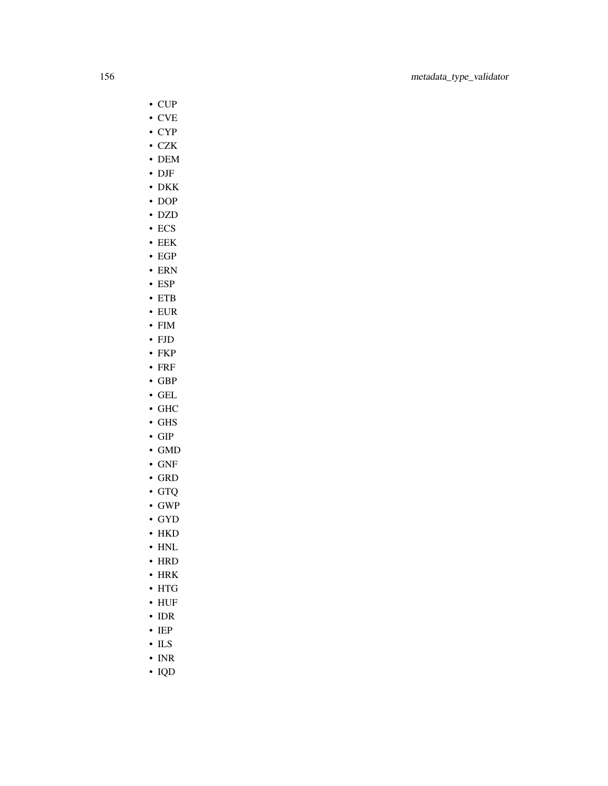- CUP
- CVE
- CYP
- CZK
- DEM
- DJF
- DKK
- DOP
- DZD
- ECS
- EEK
- EGP
- ERN
- ESP
- ETB
- EUR
- FIM • FJD
- FKP
- FRF
- GBP
- GEL
- GHC
- GHS
- GIP
- GMD
- GNF
- GRD
- GTQ
- GWP
- GYD
- HKD
- HNL
- HRD
- HRK
- HTG
- HUF
- IDR
- IEP
- ILS
- INR
- IQD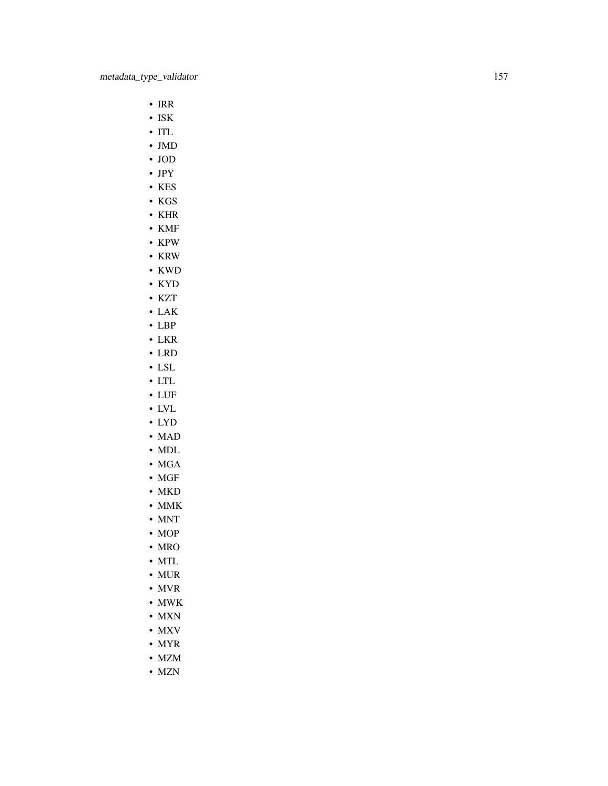- IRR
- ISK
- ITL
- JMD
- JOD
- JPY
- KES
- KGS
- KHR
- KMF
- KPW
- KRW
- KWD
- KYD
- KZT • LAK
- LBP
- LKR
- LRD
- LSL
- LTL
- LUF
- LVL
- LYD
- MAD
- MDL
- MGA
- MGF
- MKD
- MMK
- MNT
- MOP
- MRO
- MTL
- MUR
- MVR
- MWK
- MXN
- MXV
- MYR
- MZM
- MZN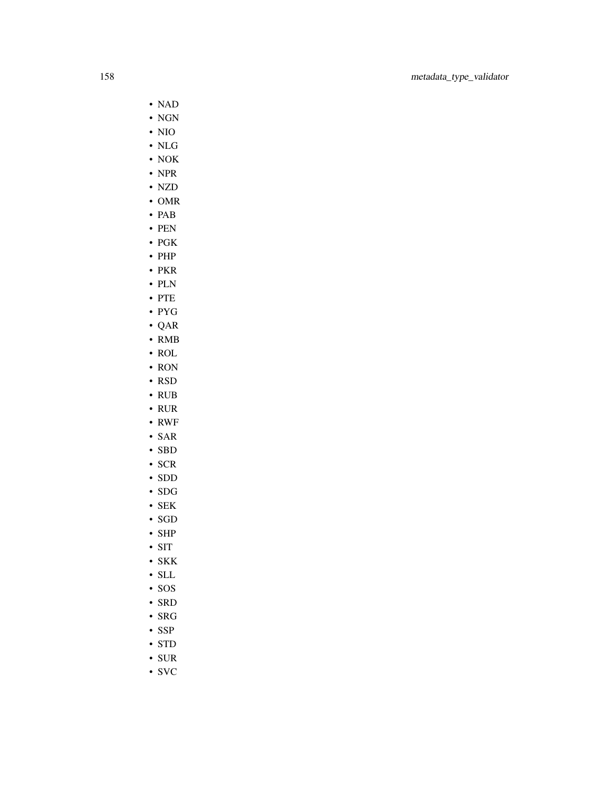- NAD
- NGN
- NIO
- NLG
- NOK
- NPR
- NZD
- OMR
- PAB
- PEN
- PGK
- PHP
- PKR
- PLN
- PTE
- PYG
- QAR • RMB
- ROL
- RON
- RSD
- RUB
- RUR
- RWF
- SAR
- SBD
- SCR
- SDD
- SDG
- SEK
- SGD
- SHP
- SIT
- SKK
- SLL
- SOS
- SRD
- SRG
- SSP
- STD
- SUR
- SVC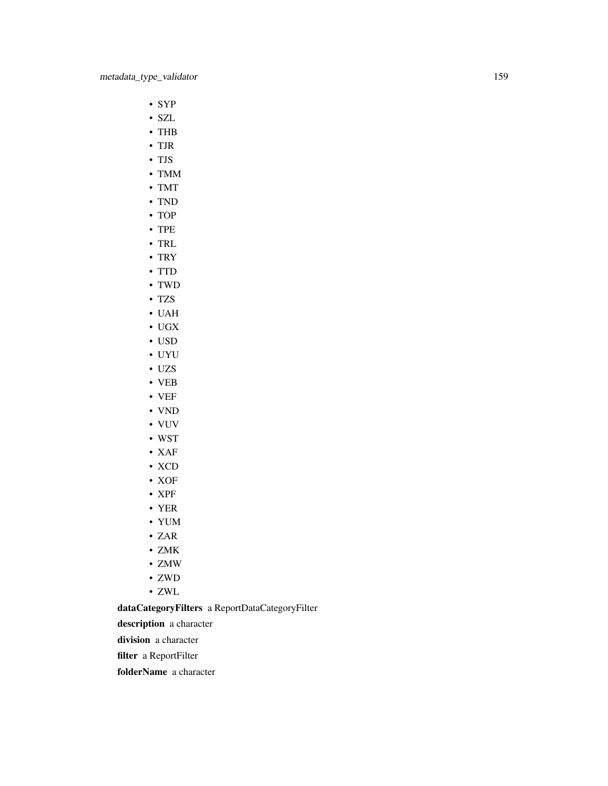- SYP
- SZL
- THB
- TJR
- TJS
- TMM
- TMT
- TND
- TOP
- TPE
- TRL
- TRY
- TTD
- TWD
- TZS
- UAH
- UGX
- USD
- UYU
- UZS
- VEB
- VEF • VND
- 
- VUV
- WST
- XAF
- XCD
- XOF
- XPF
- YER
- YUM
- ZAR
- ZMK
- ZMW
- ZWD
- ZWL

dataCategoryFilters a ReportDataCategoryFilter

description a character

division a character

filter a ReportFilter

folderName a character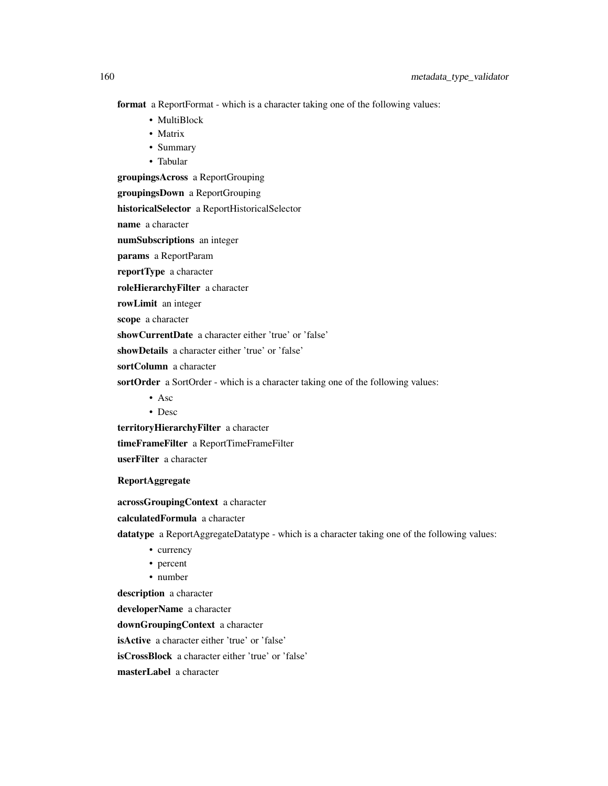format a ReportFormat - which is a character taking one of the following values:

- MultiBlock
- Matrix
- Summary
- Tabular

groupingsAcross a ReportGrouping

groupingsDown a ReportGrouping

historicalSelector a ReportHistoricalSelector

name a character

numSubscriptions an integer

params a ReportParam

reportType a character

roleHierarchyFilter a character

rowLimit an integer

scope a character

showCurrentDate a character either 'true' or 'false'

showDetails a character either 'true' or 'false'

sortColumn a character

sortOrder a SortOrder - which is a character taking one of the following values:

- Asc
- Desc

territoryHierarchyFilter a character

timeFrameFilter a ReportTimeFrameFilter

userFilter a character

## ReportAggregate

acrossGroupingContext a character

calculatedFormula a character

datatype a ReportAggregateDatatype - which is a character taking one of the following values:

- currency
- percent
- number

description a character

developerName a character

downGroupingContext a character

isActive a character either 'true' or 'false'

isCrossBlock a character either 'true' or 'false'

masterLabel a character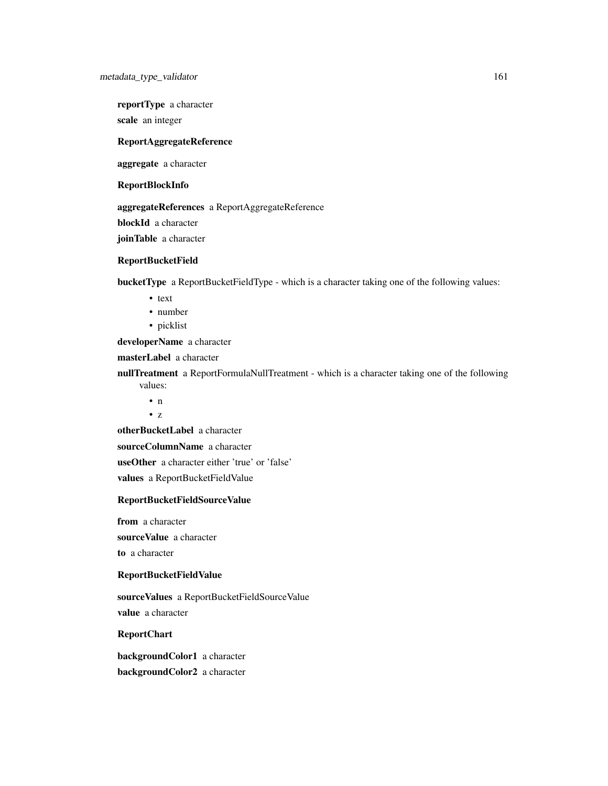reportType a character

scale an integer

## ReportAggregateReference

aggregate a character

#### ReportBlockInfo

aggregateReferences a ReportAggregateReference

blockId a character

joinTable a character

#### ReportBucketField

bucketType a ReportBucketFieldType - which is a character taking one of the following values:

- text
- number
- picklist

developerName a character

masterLabel a character

- nullTreatment a ReportFormulaNullTreatment which is a character taking one of the following values:
	- n
	- z

otherBucketLabel a character

sourceColumnName a character

useOther a character either 'true' or 'false'

values a ReportBucketFieldValue

#### ReportBucketFieldSourceValue

from a character

sourceValue a character

to a character

## ReportBucketFieldValue

sourceValues a ReportBucketFieldSourceValue value a character

## ReportChart

backgroundColor1 a character backgroundColor2 a character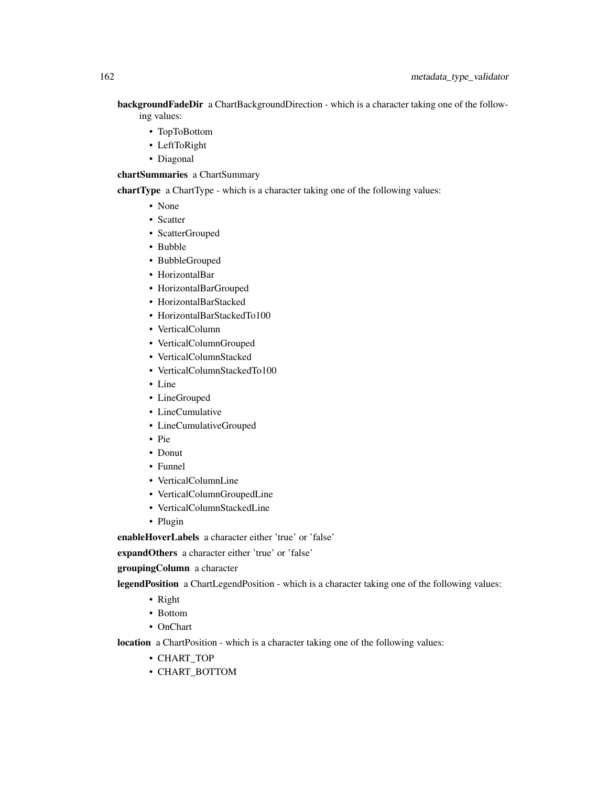backgroundFadeDir a ChartBackgroundDirection - which is a character taking one of the following values:

- TopToBottom
- LeftToRight
- Diagonal

chartSummaries a ChartSummary

chartType a ChartType - which is a character taking one of the following values:

- None
- Scatter
- ScatterGrouped
- Bubble
- BubbleGrouped
- HorizontalBar
- HorizontalBarGrouped
- HorizontalBarStacked
- HorizontalBarStackedTo100
- VerticalColumn
- VerticalColumnGrouped
- VerticalColumnStacked
- VerticalColumnStackedTo100
- Line
- LineGrouped
- LineCumulative
- LineCumulativeGrouped
- Pie
- Donut
- Funnel
- VerticalColumnLine
- VerticalColumnGroupedLine
- VerticalColumnStackedLine
- Plugin

enableHoverLabels a character either 'true' or 'false'

expandOthers a character either 'true' or 'false'

groupingColumn a character

legendPosition a ChartLegendPosition - which is a character taking one of the following values:

- Right
- Bottom
- OnChart

location a ChartPosition - which is a character taking one of the following values:

- CHART\_TOP
- CHART\_BOTTOM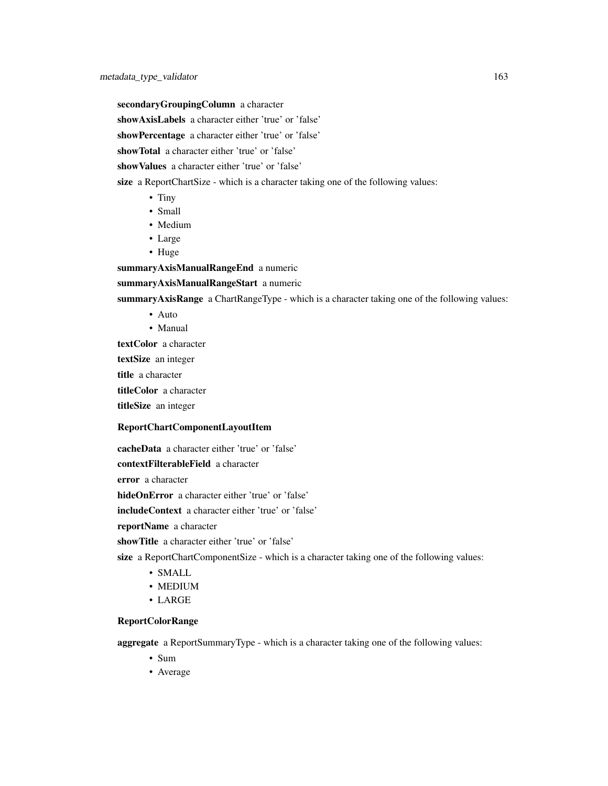secondaryGroupingColumn a character

showAxisLabels a character either 'true' or 'false'

showPercentage a character either 'true' or 'false'

showTotal a character either 'true' or 'false'

showValues a character either 'true' or 'false'

size a ReportChartSize - which is a character taking one of the following values:

- Tiny
- Small
- Medium
- Large
- Huge

summaryAxisManualRangeEnd a numeric

## summaryAxisManualRangeStart a numeric

summaryAxisRange a ChartRangeType - which is a character taking one of the following values:

- Auto
- Manual

textColor a character

textSize an integer

title a character

titleColor a character

titleSize an integer

## ReportChartComponentLayoutItem

cacheData a character either 'true' or 'false'

contextFilterableField a character

error a character

hideOnError a character either 'true' or 'false'

includeContext a character either 'true' or 'false'

reportName a character

showTitle a character either 'true' or 'false'

size a ReportChartComponentSize - which is a character taking one of the following values:

- SMALL
- MEDIUM
- LARGE

## ReportColorRange

aggregate a ReportSummaryType - which is a character taking one of the following values:

- Sum
- Average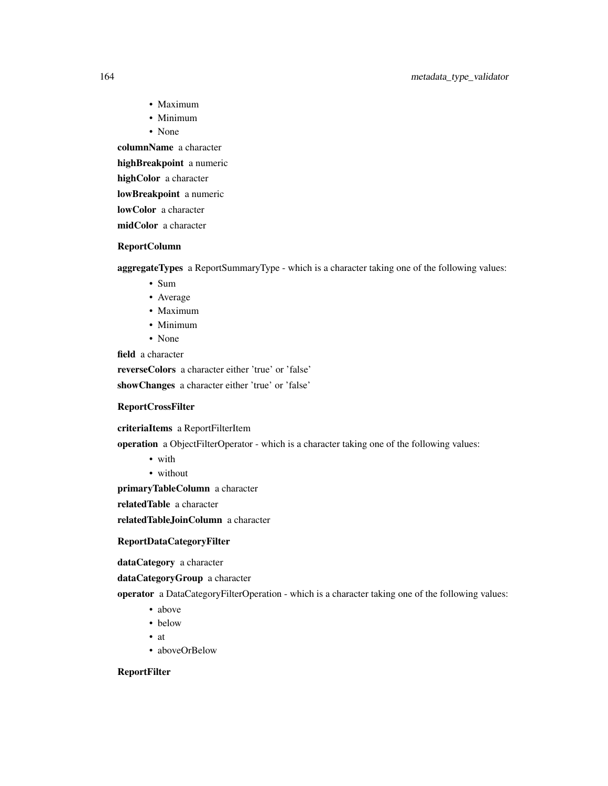## 164 metadata\_type\_validator

- Maximum
- Minimum
- None

columnName a character

highBreakpoint a numeric

highColor a character

lowBreakpoint a numeric

lowColor a character

midColor a character

## ReportColumn

aggregateTypes a ReportSummaryType - which is a character taking one of the following values:

- Sum
- Average
- Maximum
- Minimum
- None

field a character

reverseColors a character either 'true' or 'false'

showChanges a character either 'true' or 'false'

## ReportCrossFilter

criteriaItems a ReportFilterItem

operation a ObjectFilterOperator - which is a character taking one of the following values:

- with
- without

primaryTableColumn a character

relatedTable a character

relatedTableJoinColumn a character

## ReportDataCategoryFilter

dataCategory a character

dataCategoryGroup a character

operator a DataCategoryFilterOperation - which is a character taking one of the following values:

- above
- below
- at
- aboveOrBelow

## ReportFilter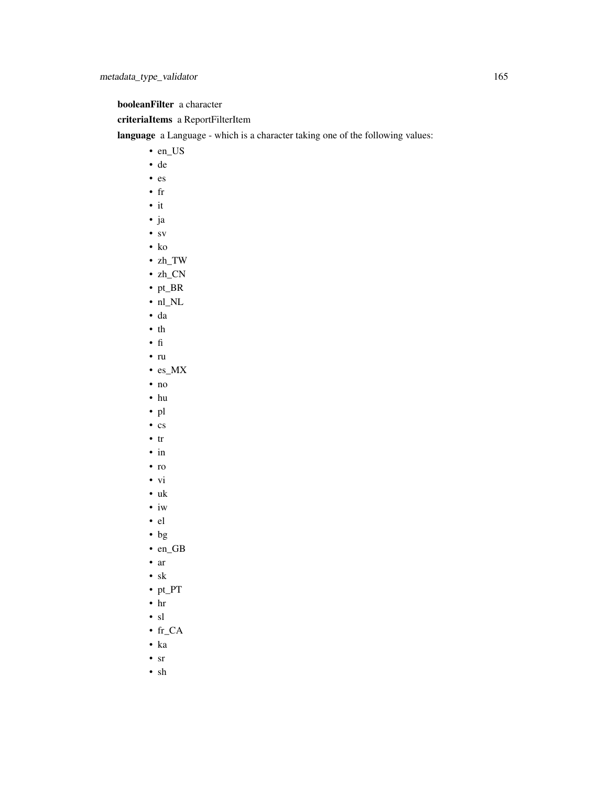booleanFilter a character

## criteriaItems a ReportFilterItem

language a Language - which is a character taking one of the following values:

- en\_US
- de
- es
- fr
- it
- ja
- sv
- ko
- zh\_TW
- zh\_CN
- pt\_BR
- nl\_NL
- da
- th
- fi
- ru
- es\_MX
- no
- hu
- pl
- cs
- tr
- in
- ro
- vi
- uk
- iw
- el
- bg
- en\_GB
- ar
- sk
- pt\_PT
- hr
- sl
- fr\_CA
- ka
- sr
- sh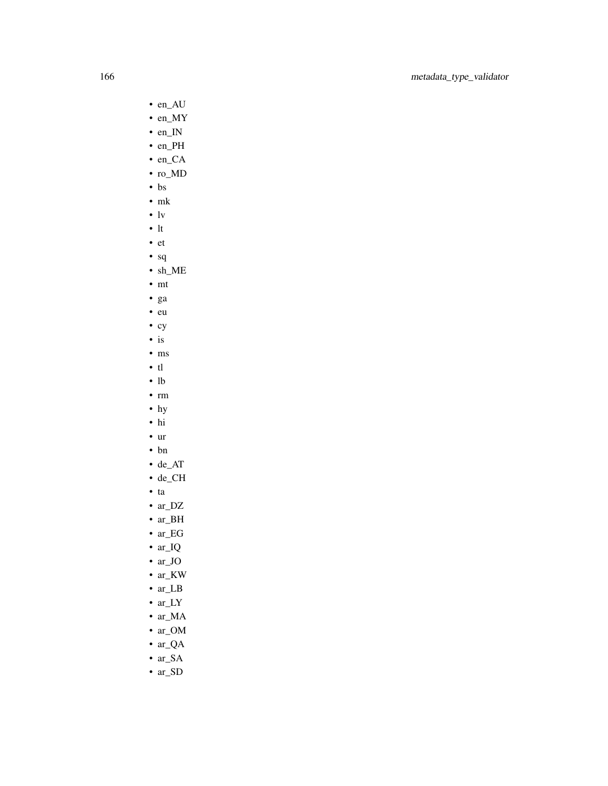- en\_AU
- en\_MY
- en\_IN
- en\_PH
- en\_CA
- ro\_MD
- bs
- mk
- $\mathbf{v}$
- lt
- et
- sq
- sh\_ME
- mt
- ga
- eu
- cy
- is
- ms • tl
- lb
- rm
- hy
- hi
- ur
- bn
- de\_AT
- de\_CH
- ta
- ar\_DZ
- ar\_BH
- ar\_EG
- ar\_IQ
- ar\_JO
- ar\_KW
- ar\_LB
- ar\_LY
- ar\_MA
- ar\_OM
- ar\_QA
- ar\_SA
- ar\_SD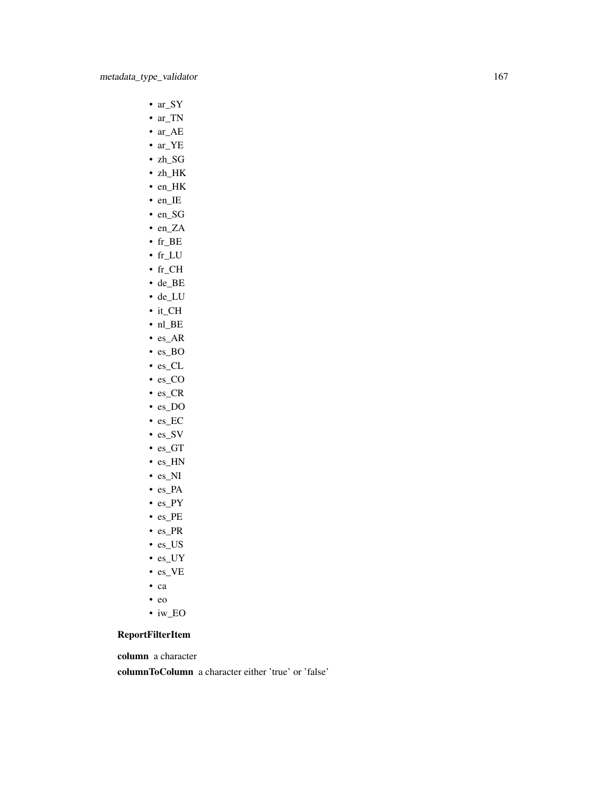- ar\_SY
- ar\_TN
- ar\_AE
- ar\_YE
- zh\_SG
- zh\_HK
- en\_HK
- en\_IE
- en\_SG
- en\_ZA
- fr\_BE
- fr\_LU
- fr\_CH
- de\_BE • de\_LU
- it\_CH
- nl\_BE
- es\_AR
- es\_BO
- es\_CL
- es\_CO
- es\_CR
- es\_DO
- es\_EC
- es\_SV
- es\_GT
- es\_HN
- es\_NI
- es\_PA
- es\_PY
- es\_PE
- es\_PR
- es\_US
- es\_UY
- es\_VE
- ca
- eo
- iw\_EO

## ReportFilterItem

column a character

columnToColumn a character either 'true' or 'false'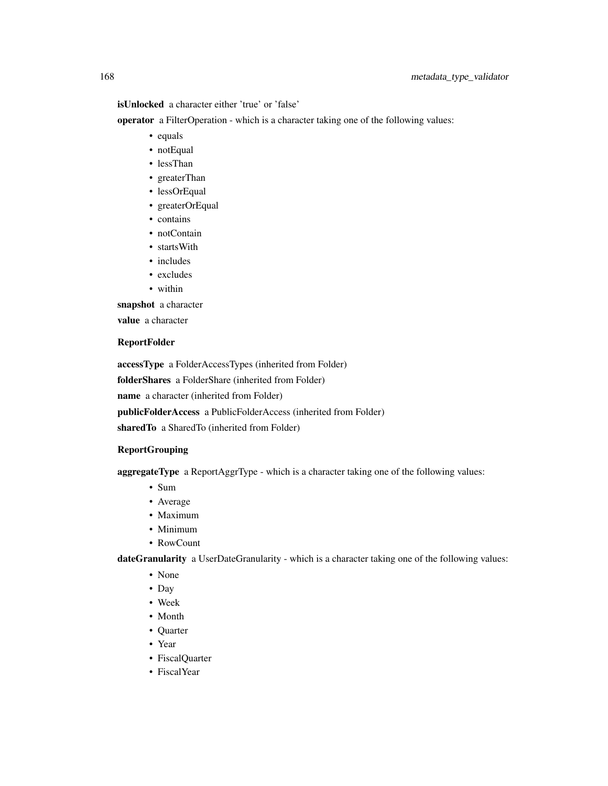isUnlocked a character either 'true' or 'false'

operator a FilterOperation - which is a character taking one of the following values:

- equals
- notEqual
- lessThan
- greaterThan
- lessOrEqual
- greaterOrEqual
- contains
- notContain
- startsWith
- includes
- excludes
- within

snapshot a character

value a character

#### ReportFolder

accessType a FolderAccessTypes (inherited from Folder) folderShares a FolderShare (inherited from Folder) name a character (inherited from Folder) publicFolderAccess a PublicFolderAccess (inherited from Folder) sharedTo a SharedTo (inherited from Folder)

#### ReportGrouping

aggregateType a ReportAggrType - which is a character taking one of the following values:

- Sum
- Average
- Maximum
- Minimum
- RowCount

dateGranularity a UserDateGranularity - which is a character taking one of the following values:

- None
- Day
- Week
- Month
- Quarter
- Year
- FiscalQuarter
- FiscalYear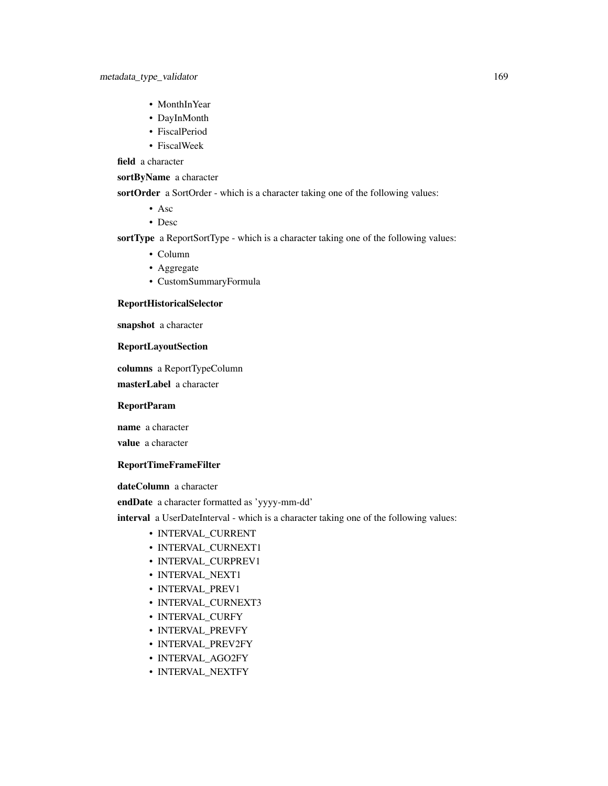- MonthInYear
- DayInMonth
- FiscalPeriod
- FiscalWeek

field a character

sortByName a character

sortOrder a SortOrder - which is a character taking one of the following values:

- Asc
- Desc

sortType a ReportSortType - which is a character taking one of the following values:

- Column
- Aggregate
- CustomSummaryFormula

#### ReportHistoricalSelector

snapshot a character

#### ReportLayoutSection

columns a ReportTypeColumn

masterLabel a character

#### ReportParam

name a character

value a character

## ReportTimeFrameFilter

dateColumn a character

endDate a character formatted as 'yyyy-mm-dd'

interval a UserDateInterval - which is a character taking one of the following values:

- INTERVAL\_CURRENT
- INTERVAL\_CURNEXT1
- INTERVAL\_CURPREV1
- INTERVAL\_NEXT1
- INTERVAL\_PREV1
- INTERVAL\_CURNEXT3
- INTERVAL\_CURFY
- INTERVAL\_PREVFY
- INTERVAL\_PREV2FY
- INTERVAL\_AGO2FY
- INTERVAL\_NEXTFY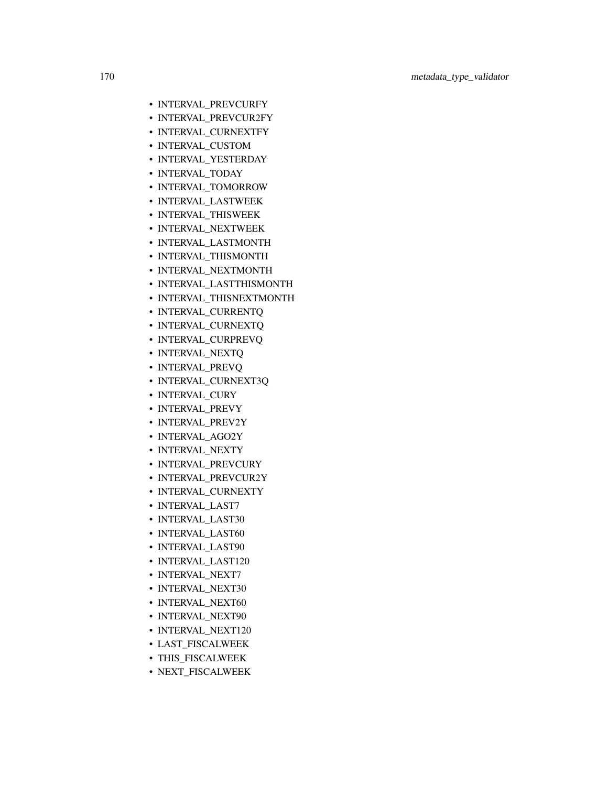- INTERVAL\_PREVCURFY
- INTERVAL\_PREVCUR2FY
- INTERVAL\_CURNEXTFY
- INTERVAL\_CUSTOM
- INTERVAL\_YESTERDAY
- INTERVAL\_TODAY
- INTERVAL\_TOMORROW
- INTERVAL\_LASTWEEK
- INTERVAL\_THISWEEK
- INTERVAL\_NEXTWEEK
- INTERVAL\_LASTMONTH
- INTERVAL\_THISMONTH
- INTERVAL\_NEXTMONTH
- INTERVAL\_LASTTHISMONTH
- INTERVAL\_THISNEXTMONTH
- INTERVAL\_CURRENTQ
- INTERVAL\_CURNEXTQ
- INTERVAL\_CURPREVQ
- INTERVAL\_NEXTQ
- INTERVAL\_PREVQ
- INTERVAL\_CURNEXT3Q
- INTERVAL\_CURY
- INTERVAL\_PREVY
- INTERVAL\_PREV2Y
- INTERVAL\_AGO2Y
- INTERVAL\_NEXTY
- INTERVAL\_PREVCURY
- INTERVAL\_PREVCUR2Y
- INTERVAL\_CURNEXTY
- INTERVAL\_LAST7
- INTERVAL\_LAST30
- INTERVAL\_LAST60
- INTERVAL\_LAST90
- INTERVAL\_LAST120
- INTERVAL NEXT7
- INTERVAL\_NEXT30
- INTERVAL NEXT60
- INTERVAL\_NEXT90
- INTERVAL\_NEXT120
- LAST\_FISCALWEEK
- THIS\_FISCALWEEK
- NEXT\_FISCALWEEK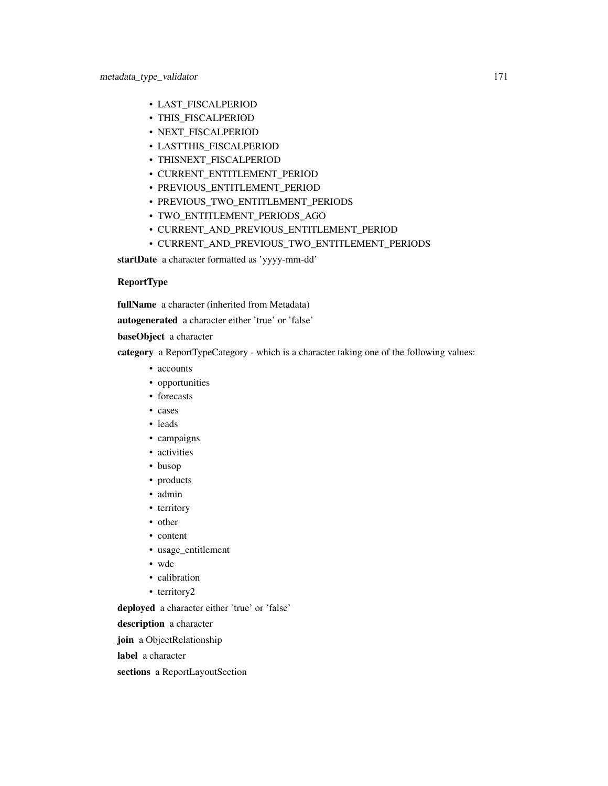- LAST\_FISCALPERIOD
- THIS\_FISCALPERIOD
- NEXT\_FISCALPERIOD
- LASTTHIS\_FISCALPERIOD
- THISNEXT\_FISCALPERIOD
- CURRENT\_ENTITLEMENT\_PERIOD
- PREVIOUS\_ENTITLEMENT\_PERIOD
- PREVIOUS\_TWO\_ENTITLEMENT\_PERIODS
- TWO\_ENTITLEMENT\_PERIODS\_AGO
- CURRENT\_AND\_PREVIOUS\_ENTITLEMENT\_PERIOD
- CURRENT\_AND\_PREVIOUS\_TWO\_ENTITLEMENT\_PERIODS

startDate a character formatted as 'yyyy-mm-dd'

## ReportType

fullName a character (inherited from Metadata)

autogenerated a character either 'true' or 'false'

baseObject a character

category a ReportTypeCategory - which is a character taking one of the following values:

- accounts
- opportunities
- forecasts
- cases
- leads
- campaigns
- activities
- busop
- products
- admin
- territory
- other
- content
- usage\_entitlement
- wdc
- calibration
- territory2

deployed a character either 'true' or 'false'

description a character

join a ObjectRelationship

label a character

sections a ReportLayoutSection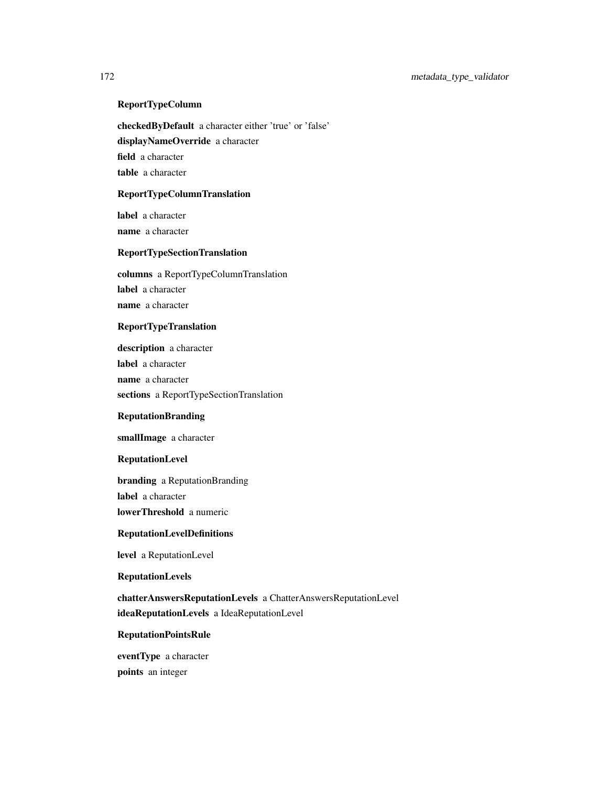## ReportTypeColumn

checkedByDefault a character either 'true' or 'false' displayNameOverride a character

field a character

table a character

## ReportTypeColumnTranslation

label a character name a character

## ReportTypeSectionTranslation

columns a ReportTypeColumnTranslation label a character name a character

## ReportTypeTranslation

description a character label a character name a character sections a ReportTypeSectionTranslation

#### ReputationBranding

smallImage a character

## ReputationLevel

branding a ReputationBranding label a character lowerThreshold a numeric

#### ReputationLevelDefinitions

level a ReputationLevel

#### ReputationLevels

chatterAnswersReputationLevels a ChatterAnswersReputationLevel ideaReputationLevels a IdeaReputationLevel

## ReputationPointsRule

eventType a character points an integer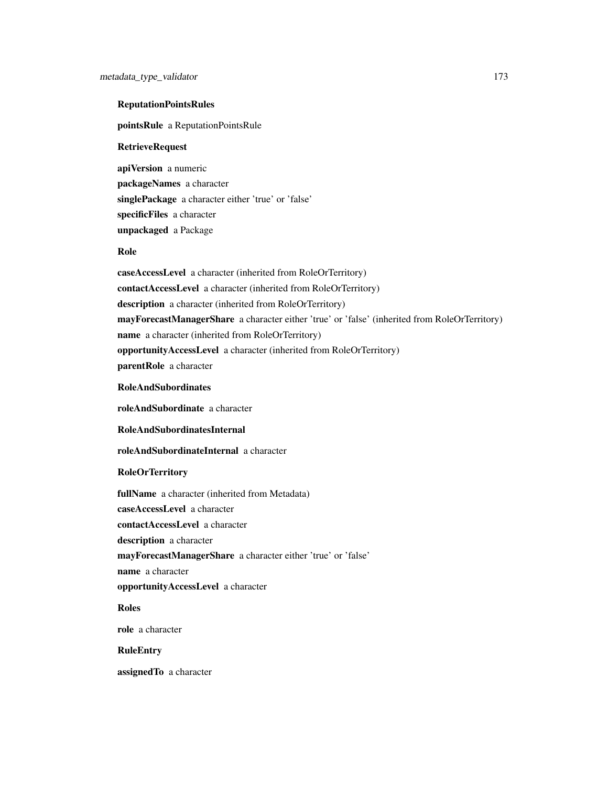## ReputationPointsRules

pointsRule a ReputationPointsRule

#### RetrieveRequest

apiVersion a numeric packageNames a character singlePackage a character either 'true' or 'false' specificFiles a character unpackaged a Package

#### Role

caseAccessLevel a character (inherited from RoleOrTerritory) contactAccessLevel a character (inherited from RoleOrTerritory) description a character (inherited from RoleOrTerritory) mayForecastManagerShare a character either 'true' or 'false' (inherited from RoleOrTerritory) name a character (inherited from RoleOrTerritory) opportunityAccessLevel a character (inherited from RoleOrTerritory) parentRole a character

## RoleAndSubordinates

roleAndSubordinate a character

RoleAndSubordinatesInternal

roleAndSubordinateInternal a character

#### RoleOrTerritory

fullName a character (inherited from Metadata) caseAccessLevel a character contactAccessLevel a character description a character mayForecastManagerShare a character either 'true' or 'false' name a character opportunityAccessLevel a character Roles

role a character

## RuleEntry

assignedTo a character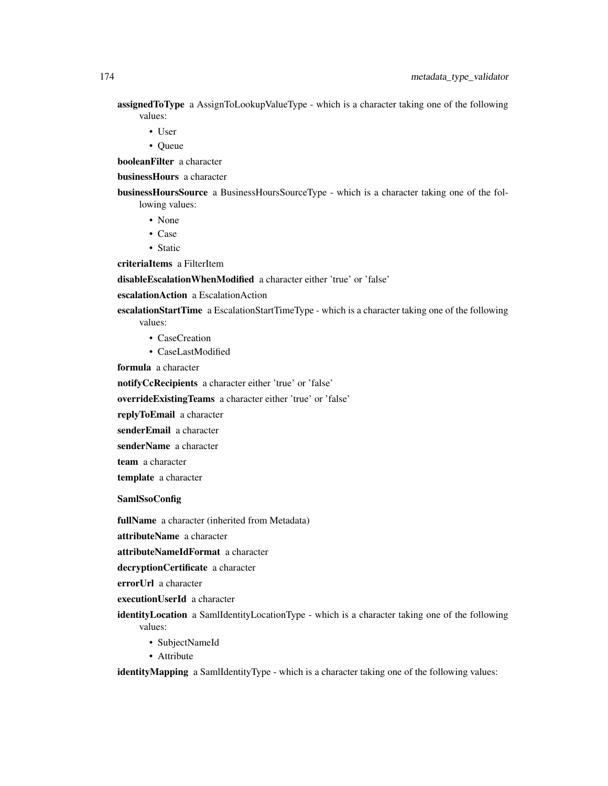**assigned ToType** a AssignToLookupValueType - which is a character taking one of the following values:

- User
- Queue

booleanFilter a character

businessHours a character

businessHoursSource a BusinessHoursSourceType - which is a character taking one of the following values:

- None
- Case
- Static

criteriaItems a FilterItem

disableEscalationWhenModified a character either 'true' or 'false'

escalationAction a EscalationAction

escalationStartTime a EscalationStartTimeType - which is a character taking one of the following values:

- CaseCreation
- CaseLastModified

formula a character

notifyCcRecipients a character either 'true' or 'false'

overrideExistingTeams a character either 'true' or 'false'

replyToEmail a character

senderEmail a character

senderName a character

team a character

template a character

SamlSsoConfig

fullName a character (inherited from Metadata)

attributeName a character

attributeNameIdFormat a character

decryptionCertificate a character

errorUrl a character

executionUserId a character

identityLocation a SamlIdentityLocationType - which is a character taking one of the following values:

- SubjectNameId
- Attribute

identityMapping a SamlIdentityType - which is a character taking one of the following values: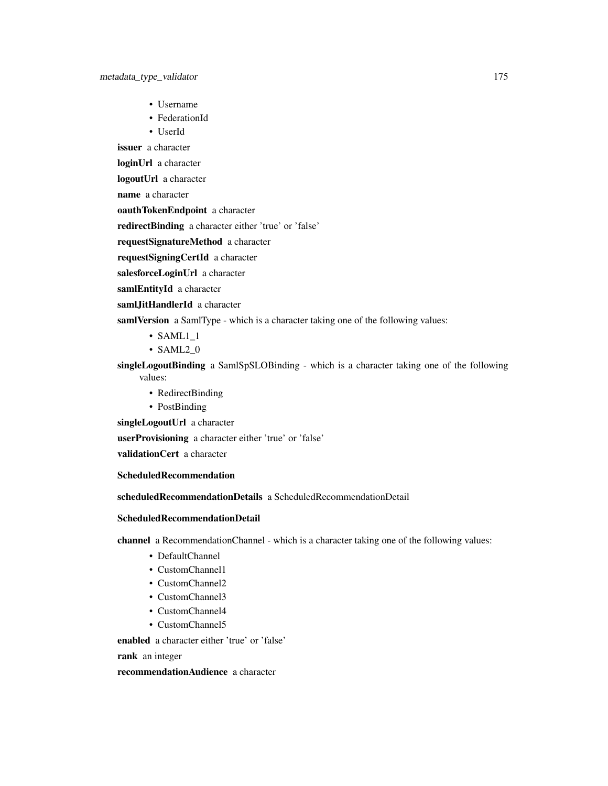- Username
- FederationId
- UserId

issuer a character

loginUrl a character

logoutUrl a character

name a character

oauthTokenEndpoint a character

redirectBinding a character either 'true' or 'false'

requestSignatureMethod a character

requestSigningCertId a character

salesforceLoginUrl a character

samlEntityId a character

samlJitHandlerId a character

samlVersion a SamlType - which is a character taking one of the following values:

- SAML1\_1
- SAML2\_0

singleLogoutBinding a SamlSpSLOBinding - which is a character taking one of the following values:

- RedirectBinding
- PostBinding

singleLogoutUrl a character

userProvisioning a character either 'true' or 'false'

validationCert a character

ScheduledRecommendation

scheduledRecommendationDetails a ScheduledRecommendationDetail

## ScheduledRecommendationDetail

channel a RecommendationChannel - which is a character taking one of the following values:

- DefaultChannel
- CustomChannel1
- CustomChannel2
- CustomChannel3
- CustomChannel4
- CustomChannel5

enabled a character either 'true' or 'false'

rank an integer

recommendationAudience a character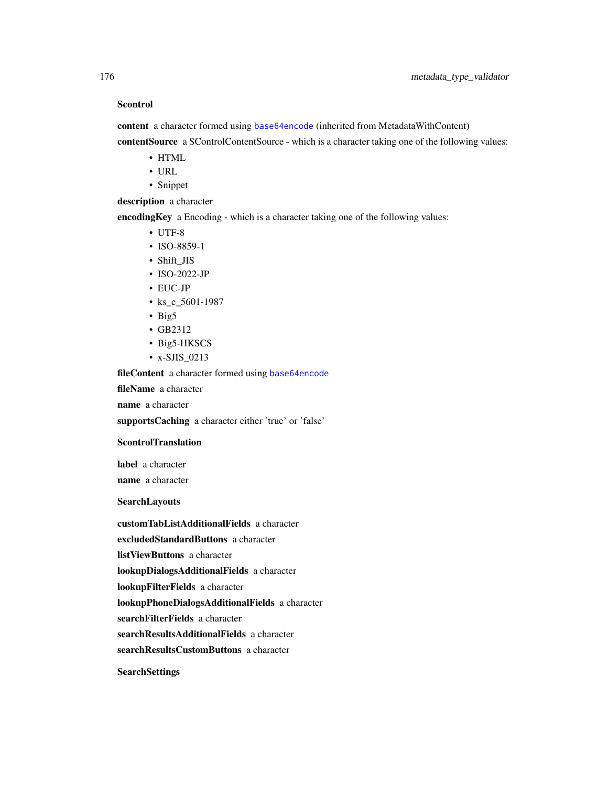## Scontrol

content a character formed using [base64encode](#page-0-0) (inherited from MetadataWithContent) contentSource a SControlContentSource - which is a character taking one of the following values:

- HTML
- URL
- Snippet

description a character

encodingKey a Encoding - which is a character taking one of the following values:

- UTF-8
- ISO-8859-1
- Shift\_JIS
- ISO-2022-JP
- EUC-JP
- ks\_c\_5601-1987
- Big5
- GB2312
- Big5-HKSCS
- x-SJIS\_0213

fileContent a character formed using [base64encode](#page-0-0)

fileName a character

name a character

supportsCaching a character either 'true' or 'false'

#### **ScontrolTranslation**

label a character name a character

## SearchLayouts

customTabListAdditionalFields a character excludedStandardButtons a character listViewButtons a character lookupDialogsAdditionalFields a character lookupFilterFields a character lookupPhoneDialogsAdditionalFields a character searchFilterFields a character searchResultsAdditionalFields a character searchResultsCustomButtons a character **SearchSettings**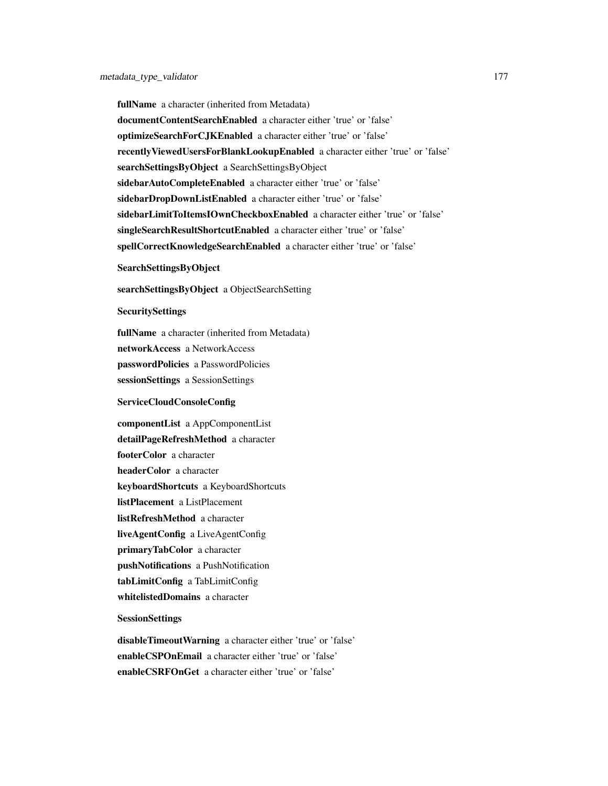fullName a character (inherited from Metadata) documentContentSearchEnabled a character either 'true' or 'false' optimizeSearchForCJKEnabled a character either 'true' or 'false' recentlyViewedUsersForBlankLookupEnabled a character either 'true' or 'false' searchSettingsByObject a SearchSettingsByObject sidebarAutoCompleteEnabled a character either 'true' or 'false' sidebarDropDownListEnabled a character either 'true' or 'false' sidebarLimitToItemsIOwnCheckboxEnabled a character either 'true' or 'false' singleSearchResultShortcutEnabled a character either 'true' or 'false' spellCorrectKnowledgeSearchEnabled a character either 'true' or 'false'

## SearchSettingsByObject

searchSettingsByObject a ObjectSearchSetting

#### SecuritySettings

fullName a character (inherited from Metadata) networkAccess a NetworkAccess passwordPolicies a PasswordPolicies sessionSettings a SessionSettings

#### ServiceCloudConsoleConfig

componentList a AppComponentList detailPageRefreshMethod a character footerColor a character headerColor a character keyboardShortcuts a KeyboardShortcuts listPlacement a ListPlacement listRefreshMethod a character liveAgentConfig a LiveAgentConfig primaryTabColor a character pushNotifications a PushNotification tabLimitConfig a TabLimitConfig whitelistedDomains a character

## SessionSettings

disableTimeoutWarning a character either 'true' or 'false' enableCSPOnEmail a character either 'true' or 'false' enableCSRFOnGet a character either 'true' or 'false'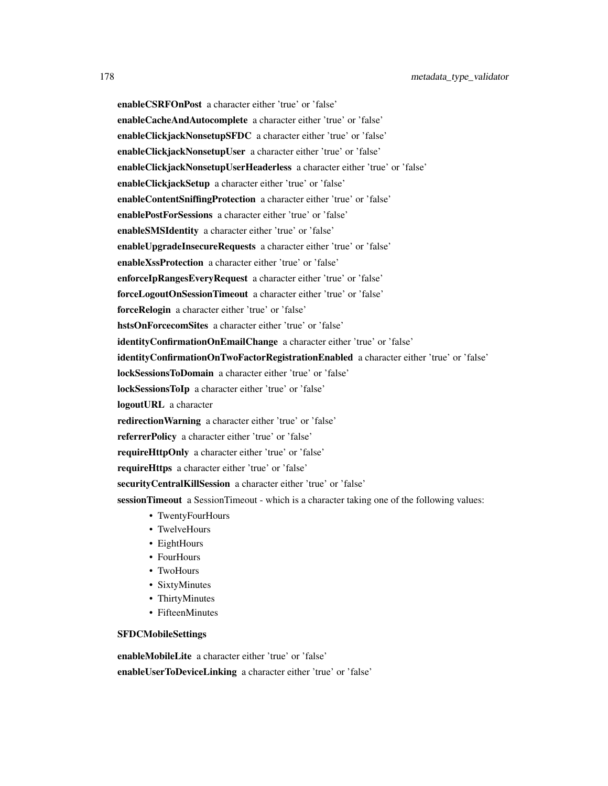enableCSRFOnPost a character either 'true' or 'false' enableCacheAndAutocomplete a character either 'true' or 'false' enableClickjackNonsetupSFDC a character either 'true' or 'false' enableClickjackNonsetupUser a character either 'true' or 'false' enableClickjackNonsetupUserHeaderless a character either 'true' or 'false' enableClickjackSetup a character either 'true' or 'false' enableContentSniffingProtection a character either 'true' or 'false' enablePostForSessions a character either 'true' or 'false' enableSMSIdentity a character either 'true' or 'false' enableUpgradeInsecureRequests a character either 'true' or 'false' enableXssProtection a character either 'true' or 'false' enforceIpRangesEveryRequest a character either 'true' or 'false' forceLogoutOnSessionTimeout a character either 'true' or 'false' forceRelogin a character either 'true' or 'false' hstsOnForcecomSites a character either 'true' or 'false' identityConfirmationOnEmailChange a character either 'true' or 'false' identityConfirmationOnTwoFactorRegistrationEnabled a character either 'true' or 'false' lockSessionsToDomain a character either 'true' or 'false' lockSessionsToIp a character either 'true' or 'false' logoutURL a character redirectionWarning a character either 'true' or 'false' referrerPolicy a character either 'true' or 'false' requireHttpOnly a character either 'true' or 'false' requireHttps a character either 'true' or 'false' securityCentralKillSession a character either 'true' or 'false' sessionTimeout a SessionTimeout - which is a character taking one of the following values: • TwentyFourHours • TwelveHours • EightHours • FourHours

- TwoHours
- SixtyMinutes
- ThirtyMinutes
- FifteenMinutes

## SFDCMobileSettings

enableMobileLite a character either 'true' or 'false' enableUserToDeviceLinking a character either 'true' or 'false'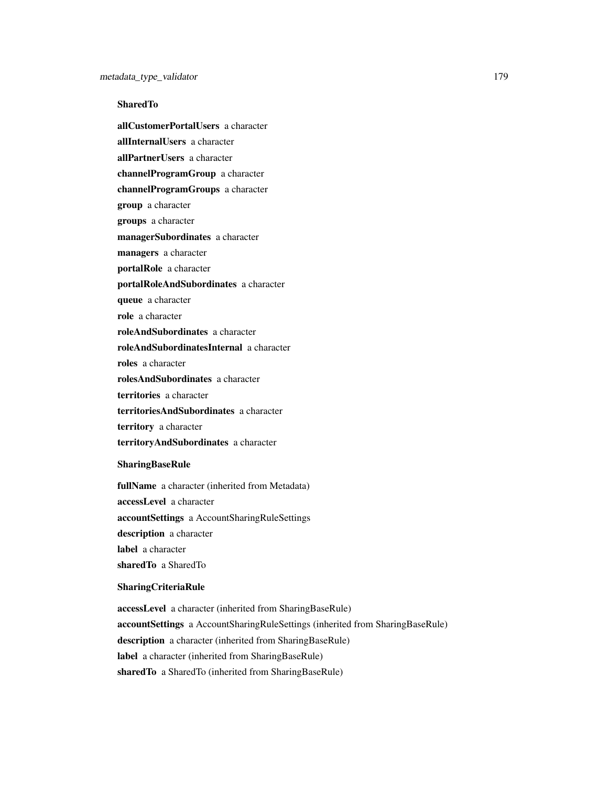## **SharedTo**

allCustomerPortalUsers a character allInternalUsers a character allPartnerUsers a character channelProgramGroup a character channelProgramGroups a character group a character groups a character managerSubordinates a character managers a character portalRole a character portalRoleAndSubordinates a character queue a character role a character roleAndSubordinates a character

roleAndSubordinatesInternal a character

roles a character

rolesAndSubordinates a character

territories a character

territoriesAndSubordinates a character

territory a character

territoryAndSubordinates a character

## SharingBaseRule

fullName a character (inherited from Metadata) accessLevel a character accountSettings a AccountSharingRuleSettings description a character label a character sharedTo a SharedTo

#### SharingCriteriaRule

accessLevel a character (inherited from SharingBaseRule) accountSettings a AccountSharingRuleSettings (inherited from SharingBaseRule) description a character (inherited from SharingBaseRule) label a character (inherited from SharingBaseRule) sharedTo a SharedTo (inherited from SharingBaseRule)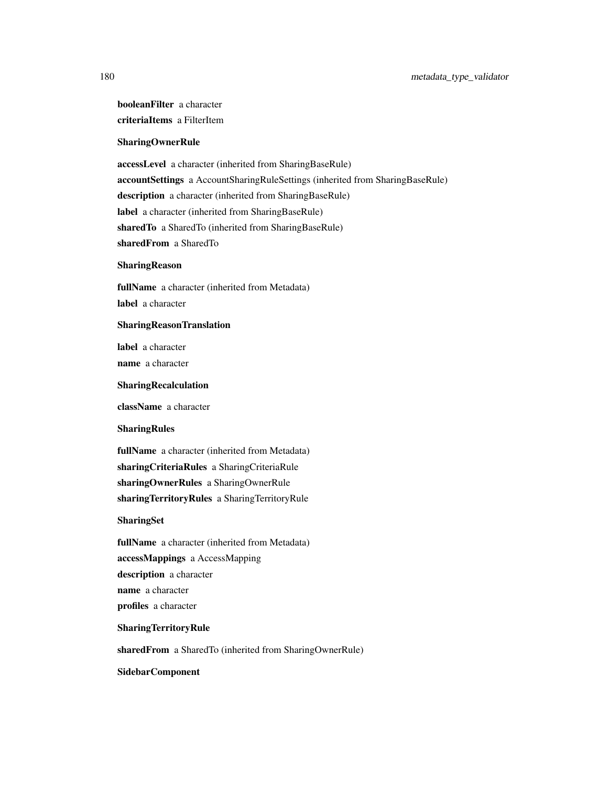# booleanFilter a character criteriaItems a FilterItem

## SharingOwnerRule

accessLevel a character (inherited from SharingBaseRule) accountSettings a AccountSharingRuleSettings (inherited from SharingBaseRule) description a character (inherited from SharingBaseRule) label a character (inherited from SharingBaseRule) sharedTo a SharedTo (inherited from SharingBaseRule) sharedFrom a SharedTo

#### SharingReason

fullName a character (inherited from Metadata) label a character

#### SharingReasonTranslation

label a character name a character

#### SharingRecalculation

className a character

#### SharingRules

fullName a character (inherited from Metadata) sharingCriteriaRules a SharingCriteriaRule sharingOwnerRules a SharingOwnerRule sharingTerritoryRules a SharingTerritoryRule

#### SharingSet

fullName a character (inherited from Metadata) accessMappings a AccessMapping description a character name a character profiles a character

#### SharingTerritoryRule

sharedFrom a SharedTo (inherited from SharingOwnerRule)

SidebarComponent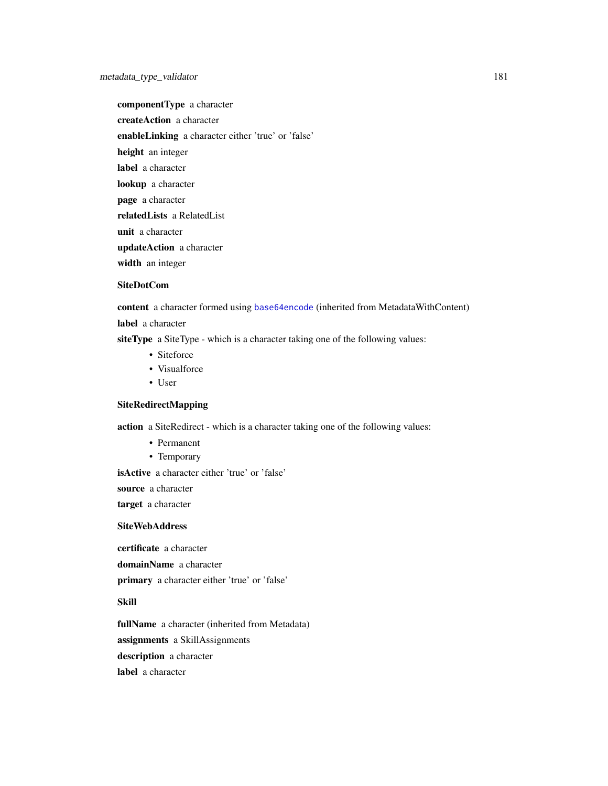componentType a character

createAction a character

enableLinking a character either 'true' or 'false'

height an integer

label a character

lookup a character

page a character

relatedLists a RelatedList

unit a character

updateAction a character

width an integer

#### SiteDotCom

content a character formed using [base64encode](#page-0-0) (inherited from MetadataWithContent)

label a character

siteType a SiteType - which is a character taking one of the following values:

- Siteforce
- Visualforce
- User

## SiteRedirectMapping

action a SiteRedirect - which is a character taking one of the following values:

- Permanent
- Temporary

isActive a character either 'true' or 'false'

source a character

target a character

#### SiteWebAddress

certificate a character

domainName a character

primary a character either 'true' or 'false'

### Skill

fullName a character (inherited from Metadata) assignments a SkillAssignments description a character label a character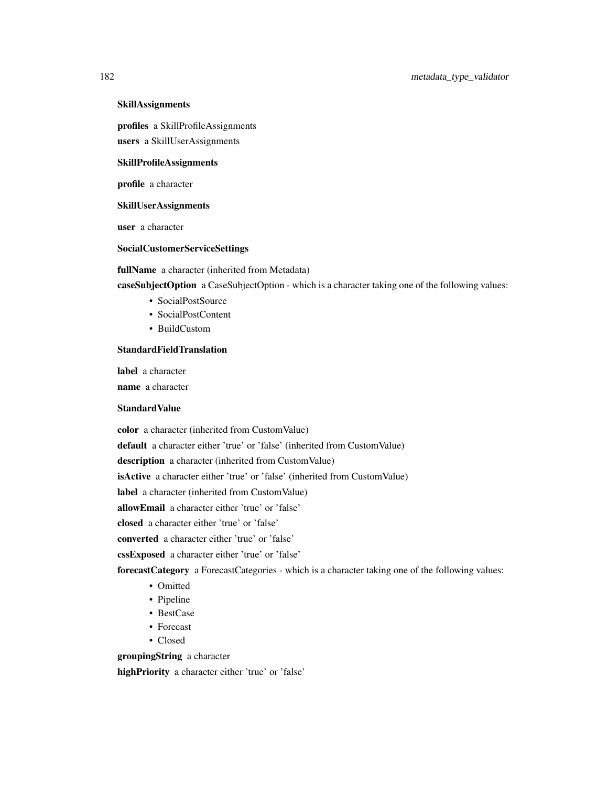#### SkillAssignments

profiles a SkillProfileAssignments

users a SkillUserAssignments

## SkillProfileAssignments

profile a character

#### SkillUserAssignments

user a character

#### SocialCustomerServiceSettings

fullName a character (inherited from Metadata)

caseSubjectOption a CaseSubjectOption - which is a character taking one of the following values:

- SocialPostSource
- SocialPostContent
- BuildCustom

#### **StandardFieldTranslation**

label a character

name a character

#### **StandardValue**

color a character (inherited from CustomValue)

default a character either 'true' or 'false' (inherited from CustomValue)

description a character (inherited from CustomValue)

isActive a character either 'true' or 'false' (inherited from CustomValue)

label a character (inherited from CustomValue)

allowEmail a character either 'true' or 'false'

closed a character either 'true' or 'false'

converted a character either 'true' or 'false'

cssExposed a character either 'true' or 'false'

forecastCategory a ForecastCategories - which is a character taking one of the following values:

- Omitted
- Pipeline
- BestCase
- Forecast
- Closed

groupingString a character

highPriority a character either 'true' or 'false'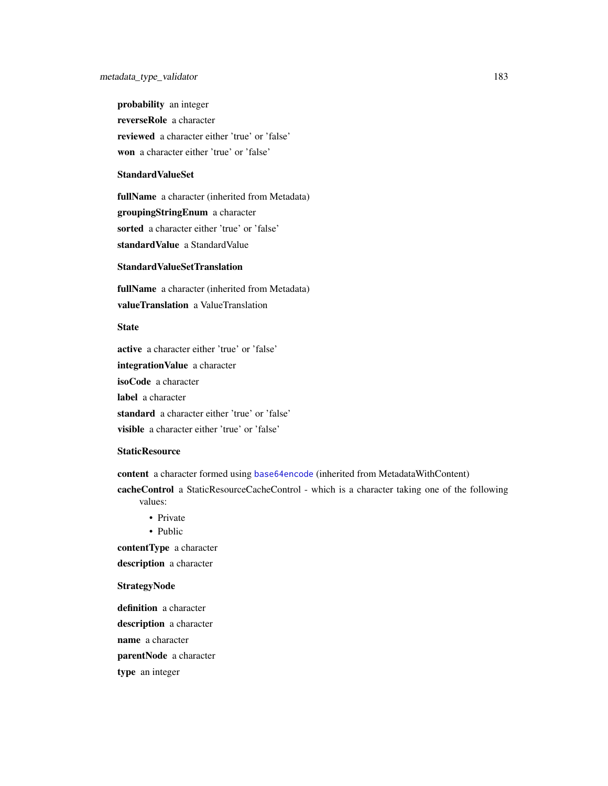probability an integer reverseRole a character reviewed a character either 'true' or 'false' won a character either 'true' or 'false'

## StandardValueSet

fullName a character (inherited from Metadata) groupingStringEnum a character sorted a character either 'true' or 'false' standardValue a StandardValue

#### StandardValueSetTranslation

fullName a character (inherited from Metadata) valueTranslation a ValueTranslation

#### **State**

active a character either 'true' or 'false' integrationValue a character isoCode a character label a character standard a character either 'true' or 'false' visible a character either 'true' or 'false'

#### **StaticResource**

content a character formed using [base64encode](#page-0-0) (inherited from MetadataWithContent)

cacheControl a StaticResourceCacheControl - which is a character taking one of the following values:

- Private
- Public

contentType a character

description a character

#### **StrategyNode**

definition a character description a character name a character parentNode a character type an integer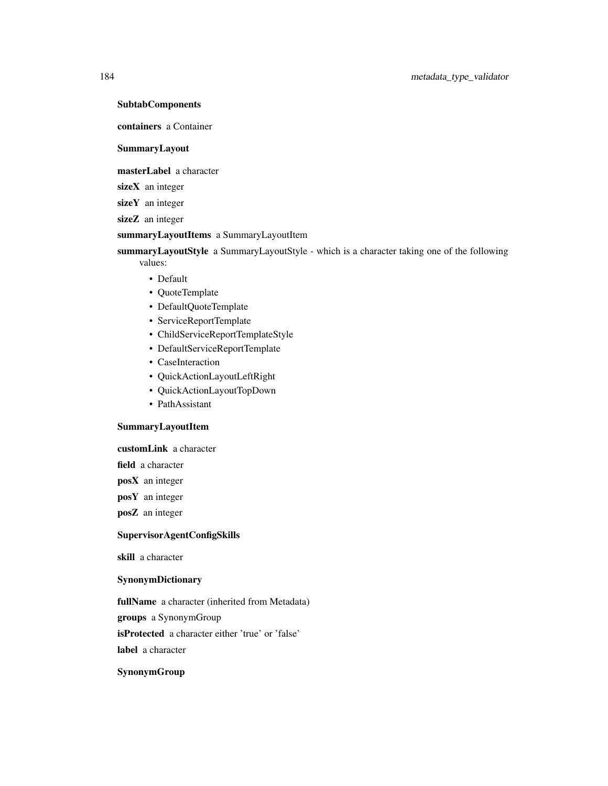**SubtabComponents** 

containers a Container

SummaryLayout

masterLabel a character

sizeX an integer

sizeY an integer

sizeZ an integer

summaryLayoutItems a SummaryLayoutItem

summaryLayoutStyle a SummaryLayoutStyle - which is a character taking one of the following values:

- Default
- QuoteTemplate
- DefaultQuoteTemplate
- ServiceReportTemplate
- ChildServiceReportTemplateStyle
- DefaultServiceReportTemplate
- CaseInteraction
- QuickActionLayoutLeftRight
- QuickActionLayoutTopDown
- PathAssistant

#### SummaryLayoutItem

customLink a character

field a character

posX an integer

posY an integer

posZ an integer

## SupervisorAgentConfigSkills

skill a character

#### SynonymDictionary

fullName a character (inherited from Metadata)

groups a SynonymGroup

isProtected a character either 'true' or 'false'

label a character

#### SynonymGroup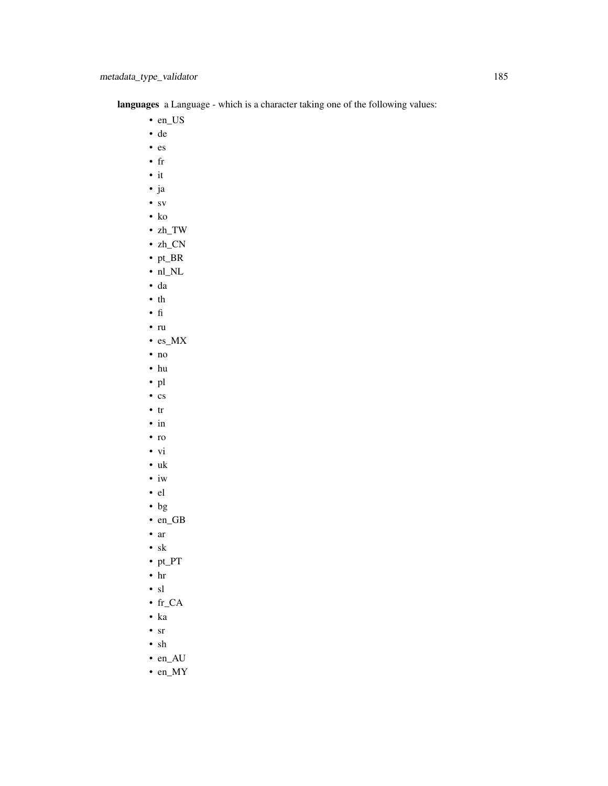languages a Language - which is a character taking one of the following values:

- en\_US
- de
- es
- fr
- it
- ja
- sv
- ko
- zh\_TW
- zh\_CN
- pt\_BR
- $\bullet$ nl\_NL
- da
- th
- fi
- ru
- es\_MX
- no
- hu
- pl
- cs
- tr
- in
- ro
- vi
- uk
- iw
- el
- bg
- en\_GB
- ar
- sk
- pt\_PT
- hr
- sl
- fr\_CA
- ka
- sr
- sh
- en\_AU
- en\_MY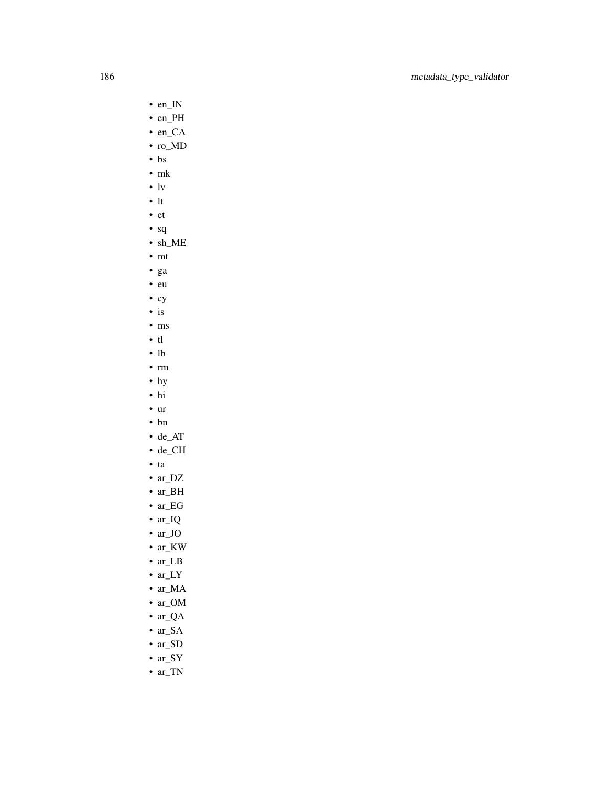- en\_IN
- en\_PH
- en\_CA
- ro\_MD
- bs
- mk
- lv
- lt
- et
- sq
- sh\_ME
- mt
- ga
- eu
- cy
- is
- ms
- tl
- lb
- rm • hy
- hi
- ur
- bn
- de\_AT
- de\_CH
- ta
- ar\_DZ
- ar\_BH
- ar\_EG
- ar\_IQ
- ar\_JO
- ar\_KW
- ar\_LB
- ar\_LY
- ar\_MA
- ar\_OM
- ar\_QA
- ar\_SA
- ar\_SD
- ar\_SY
- ar\_TN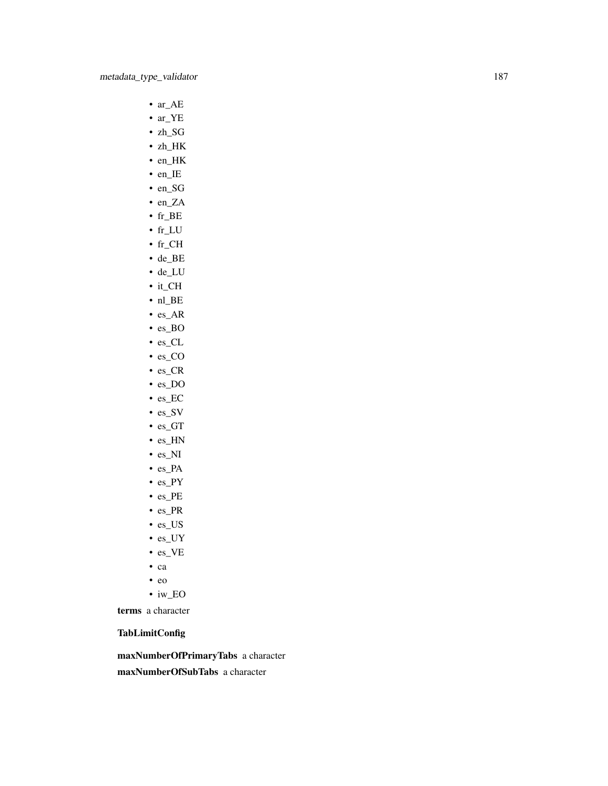- ar\_AE
- ar\_YE
- zh\_SG
- zh\_HK
- en\_HK
- en\_IE
- en\_SG
- en\_ZA
- fr\_BE
- fr\_LU
- fr\_CH
- de\_BE
- de\_LU
- it\_CH
- nl\_BE
- es\_AR
- es\_BO
- es\_CL
- es\_CO • es\_CR
- es\_DO
- es\_EC
- es\_SV
- es\_GT
- es\_HN
- es\_NI
- es\_PA
- es\_PY
- es\_PE
- es\_PR
- es\_US
- es\_UY
- es\_VE
- ca
- eo
- iw\_EO

terms a character

TabLimitConfig

maxNumberOfPrimaryTabs a character maxNumberOfSubTabs a character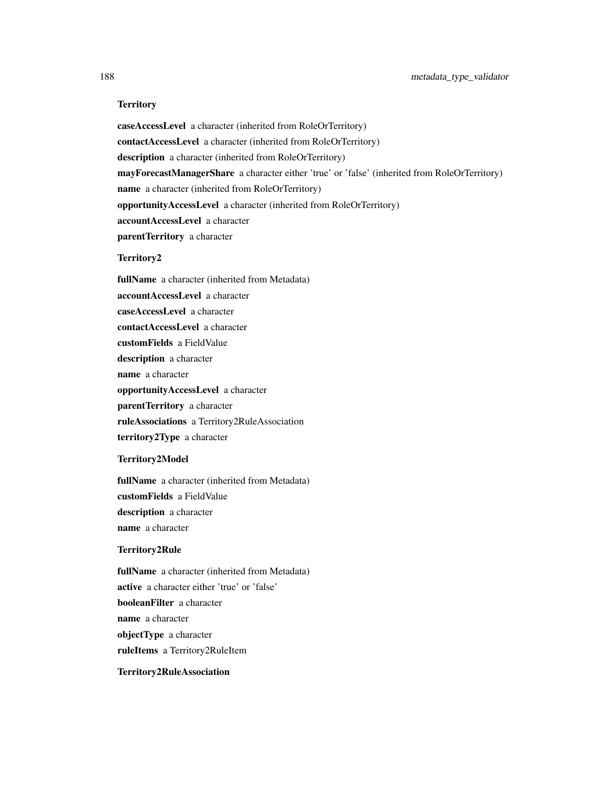#### **Territory**

caseAccessLevel a character (inherited from RoleOrTerritory) contactAccessLevel a character (inherited from RoleOrTerritory) description a character (inherited from RoleOrTerritory) mayForecastManagerShare a character either 'true' or 'false' (inherited from RoleOrTerritory) name a character (inherited from RoleOrTerritory) opportunityAccessLevel a character (inherited from RoleOrTerritory) accountAccessLevel a character parentTerritory a character

### Territory2

fullName a character (inherited from Metadata) accountAccessLevel a character caseAccessLevel a character contactAccessLevel a character customFields a FieldValue description a character name a character opportunityAccessLevel a character parentTerritory a character ruleAssociations a Territory2RuleAssociation territory2Type a character

#### Territory2Model

fullName a character (inherited from Metadata) customFields a FieldValue description a character name a character

#### Territory2Rule

fullName a character (inherited from Metadata) active a character either 'true' or 'false' booleanFilter a character name a character objectType a character ruleItems a Territory2RuleItem

# Territory2RuleAssociation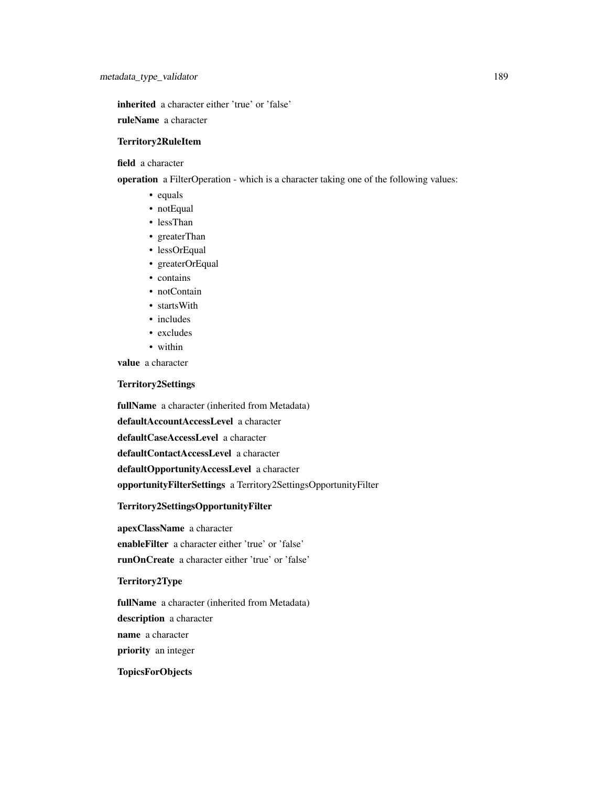inherited a character either 'true' or 'false'

ruleName a character

#### Territory2RuleItem

field a character

operation a FilterOperation - which is a character taking one of the following values:

- equals
- notEqual
- lessThan
- greaterThan
- lessOrEqual
- greaterOrEqual
- contains
- notContain
- startsWith
- includes
- excludes
- within

value a character

#### Territory2Settings

fullName a character (inherited from Metadata) defaultAccountAccessLevel a character defaultCaseAccessLevel a character defaultContactAccessLevel a character defaultOpportunityAccessLevel a character opportunityFilterSettings a Territory2SettingsOpportunityFilter

## Territory2SettingsOpportunityFilter

apexClassName a character

enableFilter a character either 'true' or 'false'

runOnCreate a character either 'true' or 'false'

#### Territory2Type

fullName a character (inherited from Metadata)

description a character

name a character

priority an integer

## **TopicsForObjects**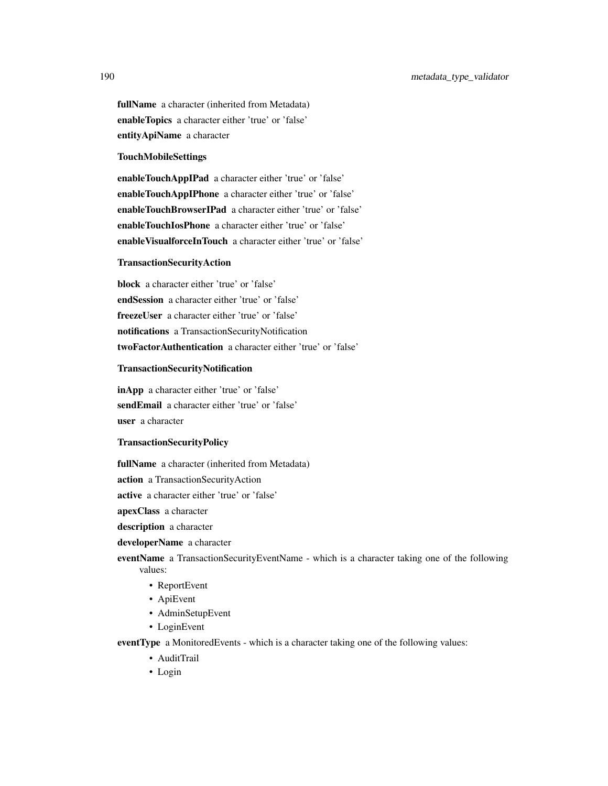fullName a character (inherited from Metadata) enableTopics a character either 'true' or 'false' entityApiName a character

#### TouchMobileSettings

enableTouchAppIPad a character either 'true' or 'false' enableTouchAppIPhone a character either 'true' or 'false' enableTouchBrowserIPad a character either 'true' or 'false' enableTouchIosPhone a character either 'true' or 'false' enableVisualforceInTouch a character either 'true' or 'false'

#### TransactionSecurityAction

block a character either 'true' or 'false' endSession a character either 'true' or 'false' freezeUser a character either 'true' or 'false' notifications a TransactionSecurityNotification twoFactorAuthentication a character either 'true' or 'false'

#### TransactionSecurityNotification

inApp a character either 'true' or 'false' sendEmail a character either 'true' or 'false' user a character

## TransactionSecurityPolicy

fullName a character (inherited from Metadata)

action a TransactionSecurityAction

active a character either 'true' or 'false'

apexClass a character

description a character

#### developerName a character

eventName a TransactionSecurityEventName - which is a character taking one of the following values:

- ReportEvent
- ApiEvent
- AdminSetupEvent
- LoginEvent

eventType a MonitoredEvents - which is a character taking one of the following values:

- AuditTrail
- Login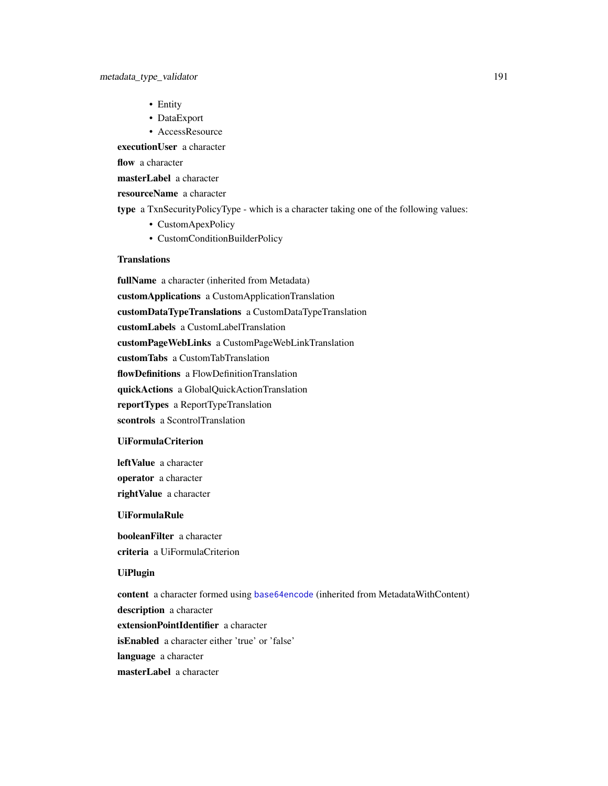- Entity
- DataExport
- AccessResource

executionUser a character

flow a character

masterLabel a character

resourceName a character

type a TxnSecurityPolicyType - which is a character taking one of the following values:

- CustomApexPolicy
- CustomConditionBuilderPolicy

## **Translations**

fullName a character (inherited from Metadata) customApplications a CustomApplicationTranslation customDataTypeTranslations a CustomDataTypeTranslation customLabels a CustomLabelTranslation customPageWebLinks a CustomPageWebLinkTranslation customTabs a CustomTabTranslation flowDefinitions a FlowDefinitionTranslation quickActions a GlobalQuickActionTranslation reportTypes a ReportTypeTranslation scontrols a ScontrolTranslation

## UiFormulaCriterion

leftValue a character operator a character rightValue a character

#### UiFormulaRule

booleanFilter a character criteria a UiFormulaCriterion

#### UiPlugin

content a character formed using [base64encode](#page-0-0) (inherited from MetadataWithContent) description a character extensionPointIdentifier a character isEnabled a character either 'true' or 'false' language a character masterLabel a character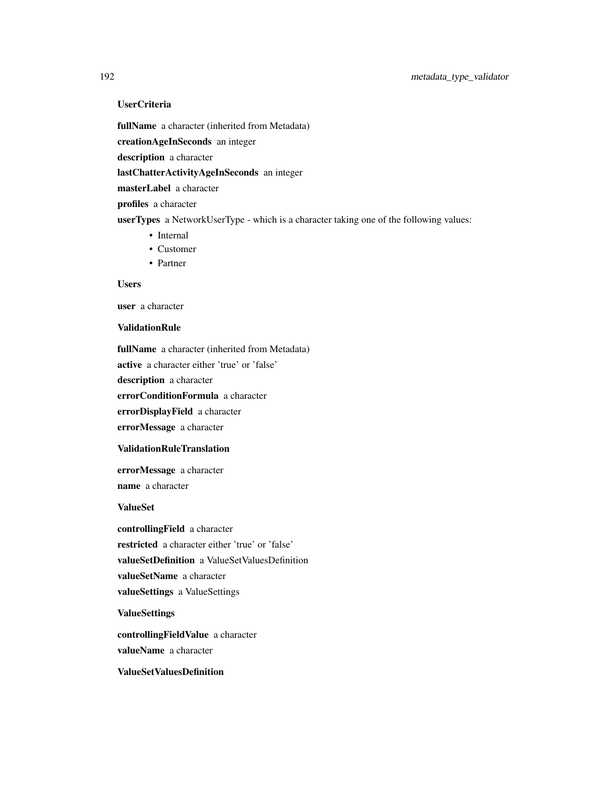# UserCriteria

fullName a character (inherited from Metadata)

creationAgeInSeconds an integer

description a character

lastChatterActivityAgeInSeconds an integer

masterLabel a character

profiles a character

userTypes a NetworkUserType - which is a character taking one of the following values:

- Internal
- Customer
- Partner

## Users

user a character

#### ValidationRule

fullName a character (inherited from Metadata)

active a character either 'true' or 'false'

description a character

errorConditionFormula a character

errorDisplayField a character

errorMessage a character

#### ValidationRuleTranslation

errorMessage a character name a character

ValueSet

controllingField a character restricted a character either 'true' or 'false' valueSetDefinition a ValueSetValuesDefinition valueSetName a character valueSettings a ValueSettings

ValueSettings

controllingFieldValue a character valueName a character

ValueSetValuesDefinition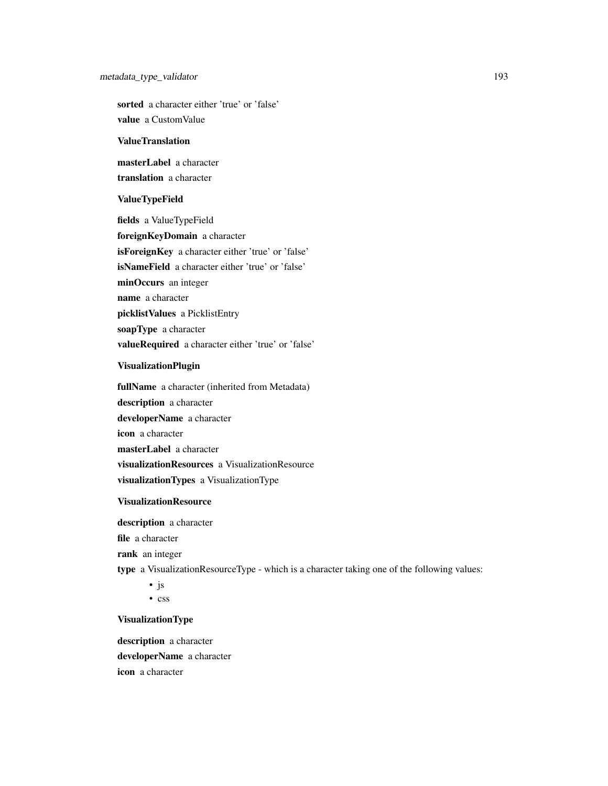## metadata\_type\_validator 193

sorted a character either 'true' or 'false' value a CustomValue

#### ValueTranslation

masterLabel a character translation a character

#### ValueTypeField

fields a ValueTypeField foreignKeyDomain a character isForeignKey a character either 'true' or 'false' isNameField a character either 'true' or 'false' minOccurs an integer name a character picklistValues a PicklistEntry soapType a character valueRequired a character either 'true' or 'false'

## VisualizationPlugin

fullName a character (inherited from Metadata) description a character developerName a character icon a character masterLabel a character visualizationResources a VisualizationResource visualizationTypes a VisualizationType

#### VisualizationResource

description a character

file a character

rank an integer

type a VisualizationResourceType - which is a character taking one of the following values:

• js

• css

#### VisualizationType

description a character developerName a character icon a character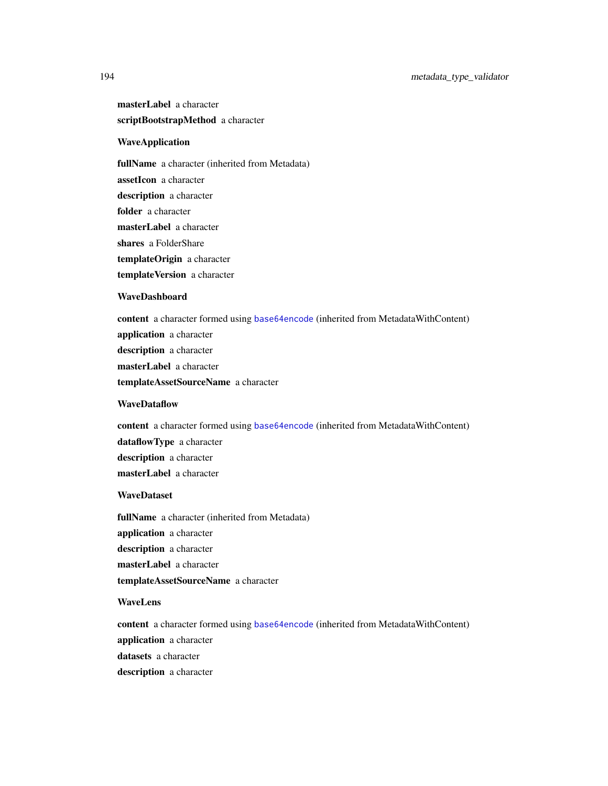masterLabel a character scriptBootstrapMethod a character

## WaveApplication

fullName a character (inherited from Metadata) assetIcon a character

description a character

folder a character

masterLabel a character

shares a FolderShare

templateOrigin a character

templateVersion a character

#### WaveDashboard

content a character formed using [base64encode](#page-0-0) (inherited from MetadataWithContent) application a character

description a character

masterLabel a character

templateAssetSourceName a character

#### **WaveDataflow**

content a character formed using [base64encode](#page-0-0) (inherited from MetadataWithContent)

dataflowType a character

description a character

masterLabel a character

## **WaveDataset**

fullName a character (inherited from Metadata) application a character description a character masterLabel a character templateAssetSourceName a character

#### WaveLens

content a character formed using [base64encode](#page-0-0) (inherited from MetadataWithContent) application a character datasets a character description a character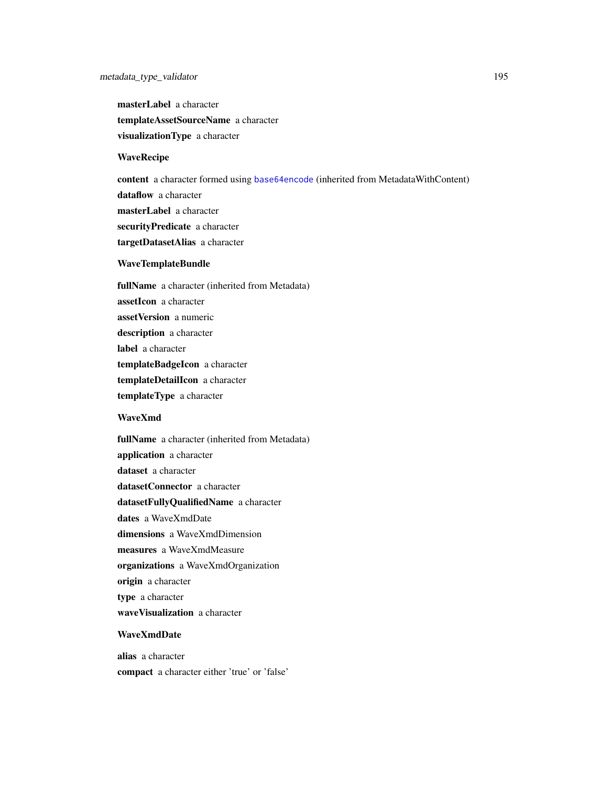masterLabel a character templateAssetSourceName a character visualizationType a character

### WaveRecipe

content a character formed using [base64encode](#page-0-0) (inherited from MetadataWithContent) dataflow a character masterLabel a character securityPredicate a character targetDatasetAlias a character

#### WaveTemplateBundle

fullName a character (inherited from Metadata) assetIcon a character assetVersion a numeric description a character label a character templateBadgeIcon a character templateDetailIcon a character templateType a character

## WaveXmd

fullName a character (inherited from Metadata) application a character dataset a character datasetConnector a character datasetFullyQualifiedName a character dates a WaveXmdDate dimensions a WaveXmdDimension measures a WaveXmdMeasure organizations a WaveXmdOrganization origin a character type a character waveVisualization a character

#### WaveXmdDate

alias a character compact a character either 'true' or 'false'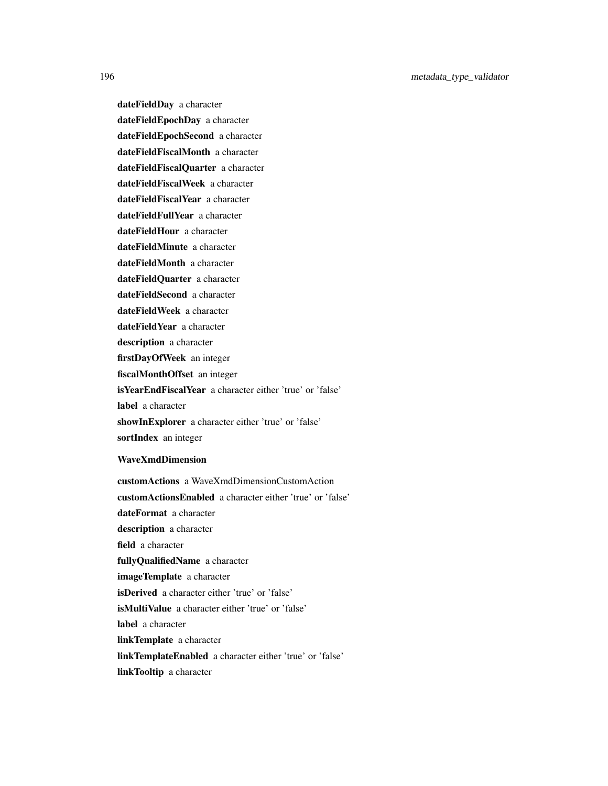dateFieldDay a character dateFieldEpochDay a character dateFieldEpochSecond a character dateFieldFiscalMonth a character dateFieldFiscalQuarter a character dateFieldFiscalWeek a character dateFieldFiscalYear a character dateFieldFullYear a character dateFieldHour a character dateFieldMinute a character dateFieldMonth a character dateFieldQuarter a character dateFieldSecond a character dateFieldWeek a character dateFieldYear a character description a character firstDayOfWeek an integer fiscalMonthOffset an integer isYearEndFiscalYear a character either 'true' or 'false' label a character showInExplorer a character either 'true' or 'false' sortIndex an integer WaveXmdDimension customActions a WaveXmdDimensionCustomAction customActionsEnabled a character either 'true' or 'false' dateFormat a character description a character field a character fullyQualifiedName a character imageTemplate a character

isDerived a character either 'true' or 'false'

isMultiValue a character either 'true' or 'false'

label a character

linkTemplate a character

linkTemplateEnabled a character either 'true' or 'false'

linkTooltip a character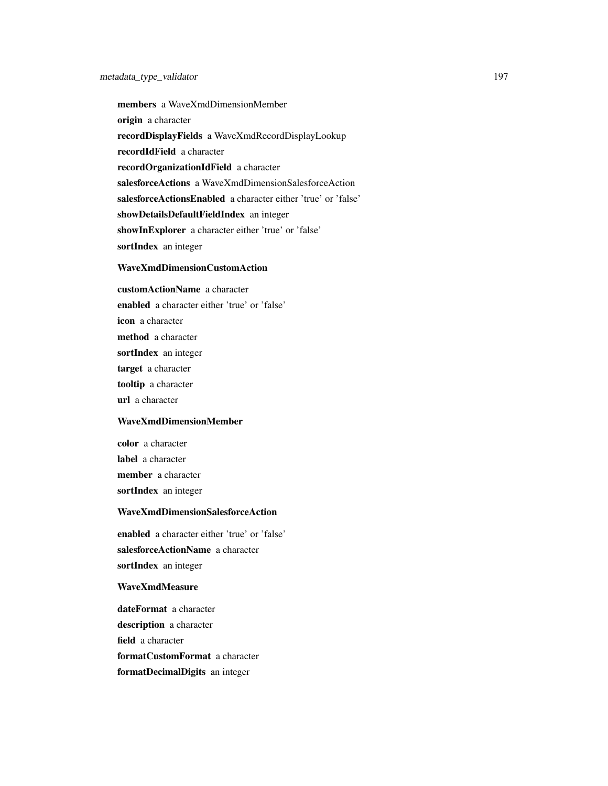members a WaveXmdDimensionMember origin a character recordDisplayFields a WaveXmdRecordDisplayLookup recordIdField a character recordOrganizationIdField a character salesforceActions a WaveXmdDimensionSalesforceAction salesforceActionsEnabled a character either 'true' or 'false' showDetailsDefaultFieldIndex an integer showInExplorer a character either 'true' or 'false' sortIndex an integer

#### WaveXmdDimensionCustomAction

customActionName a character enabled a character either 'true' or 'false' icon a character method a character sortIndex an integer target a character tooltip a character url a character

#### WaveXmdDimensionMember

color a character label a character member a character sortIndex an integer

#### WaveXmdDimensionSalesforceAction

enabled a character either 'true' or 'false' salesforceActionName a character sortIndex an integer

#### WaveXmdMeasure

dateFormat a character description a character field a character formatCustomFormat a character formatDecimalDigits an integer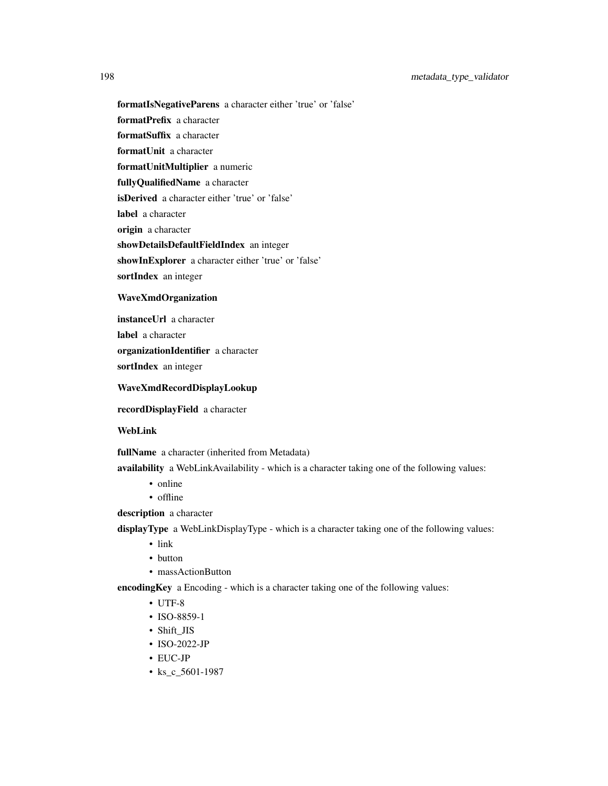formatIsNegativeParens a character either 'true' or 'false'

formatPrefix a character

formatSuffix a character

formatUnit a character

formatUnitMultiplier a numeric

fullyQualifiedName a character

isDerived a character either 'true' or 'false'

label a character

origin a character

showDetailsDefaultFieldIndex an integer

showInExplorer a character either 'true' or 'false'

sortIndex an integer

#### WaveXmdOrganization

instanceUrl a character

label a character

organizationIdentifier a character

sortIndex an integer

#### WaveXmdRecordDisplayLookup

recordDisplayField a character

## WebLink

fullName a character (inherited from Metadata)

availability a WebLinkAvailability - which is a character taking one of the following values:

- online
- offline
- description a character

displayType a WebLinkDisplayType - which is a character taking one of the following values:

- link
- button
- massActionButton

encodingKey a Encoding - which is a character taking one of the following values:

- UTF-8
- ISO-8859-1
- Shift\_JIS
- ISO-2022-JP
- EUC-JP
- ks\_c\_5601-1987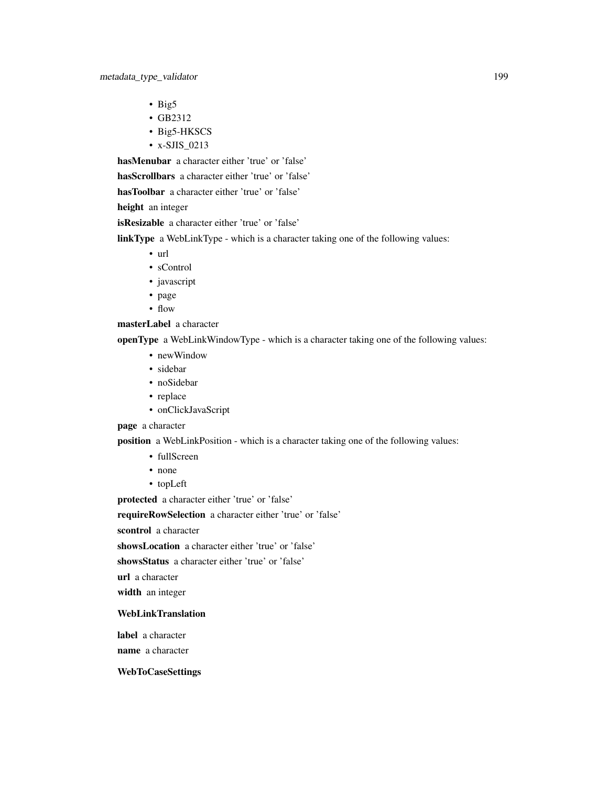- Big5
- GB2312
- Big5-HKSCS
- x-SJIS\_0213

hasMenubar a character either 'true' or 'false'

hasScrollbars a character either 'true' or 'false'

hasToolbar a character either 'true' or 'false'

height an integer

isResizable a character either 'true' or 'false'

linkType a WebLinkType - which is a character taking one of the following values:

- url
- sControl
- javascript
- page
- flow

## masterLabel a character

openType a WebLinkWindowType - which is a character taking one of the following values:

- newWindow
- sidebar
- noSidebar
- replace
- onClickJavaScript

## page a character

position a WebLinkPosition - which is a character taking one of the following values:

- fullScreen
- none
- topLeft

protected a character either 'true' or 'false'

requireRowSelection a character either 'true' or 'false'

scontrol a character

showsLocation a character either 'true' or 'false'

showsStatus a character either 'true' or 'false'

url a character

width an integer

#### WebLinkTranslation

label a character

name a character

#### WebToCaseSettings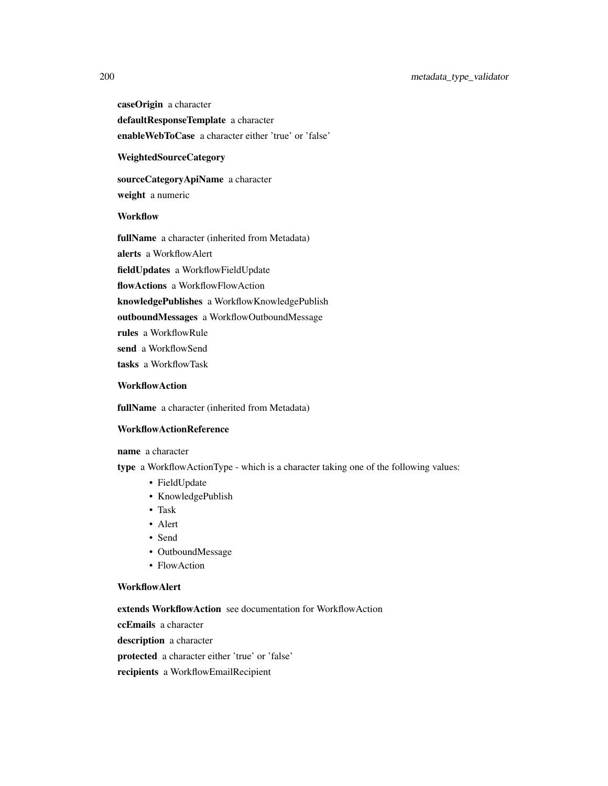## 200 metadata\_type\_validator

caseOrigin a character

defaultResponseTemplate a character enableWebToCase a character either 'true' or 'false'

## WeightedSourceCategory

sourceCategoryApiName a character weight a numeric

## **Workflow**

fullName a character (inherited from Metadata) alerts a WorkflowAlert fieldUpdates a WorkflowFieldUpdate flowActions a WorkflowFlowAction knowledgePublishes a WorkflowKnowledgePublish outboundMessages a WorkflowOutboundMessage rules a WorkflowRule send a WorkflowSend tasks a WorkflowTask

#### **WorkflowAction**

fullName a character (inherited from Metadata)

#### WorkflowActionReference

name a character

type a WorkflowActionType - which is a character taking one of the following values:

- FieldUpdate
- KnowledgePublish
- Task
- Alert
- Send
- OutboundMessage
- FlowAction

#### WorkflowAlert

extends WorkflowAction see documentation for WorkflowAction

ccEmails a character

description a character

protected a character either 'true' or 'false'

recipients a WorkflowEmailRecipient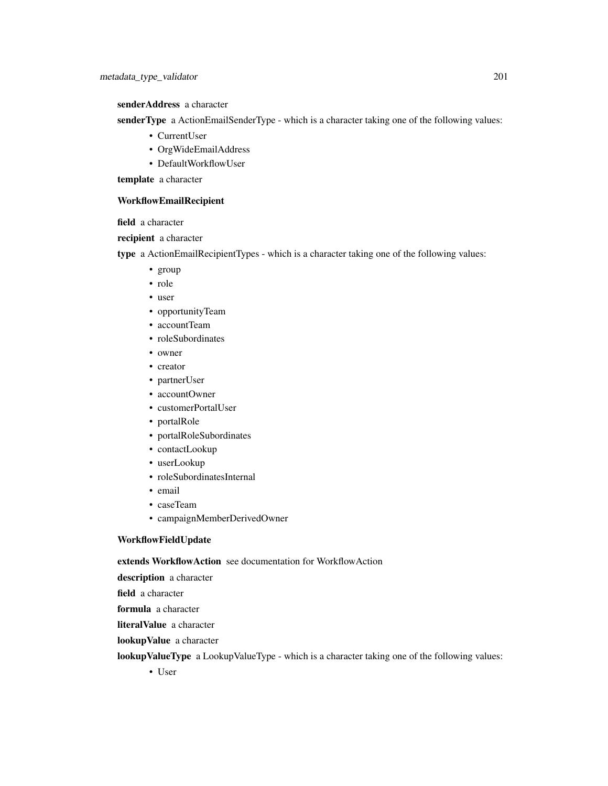senderAddress a character

senderType a ActionEmailSenderType - which is a character taking one of the following values:

- CurrentUser
- OrgWideEmailAddress
- DefaultWorkflowUser

template a character

#### WorkflowEmailRecipient

field a character

recipient a character

type a ActionEmailRecipientTypes - which is a character taking one of the following values:

- group
- role
- user
- opportunityTeam
- accountTeam
- roleSubordinates
- owner
- creator
- partnerUser
- accountOwner
- customerPortalUser
- portalRole
- portalRoleSubordinates
- contactLookup
- userLookup
- roleSubordinatesInternal
- email
- caseTeam
- campaignMemberDerivedOwner

## WorkflowFieldUpdate

#### extends WorkflowAction see documentation for WorkflowAction

description a character

field a character

formula a character

literalValue a character

lookupValue a character

lookupValueType a LookupValueType - which is a character taking one of the following values:

• User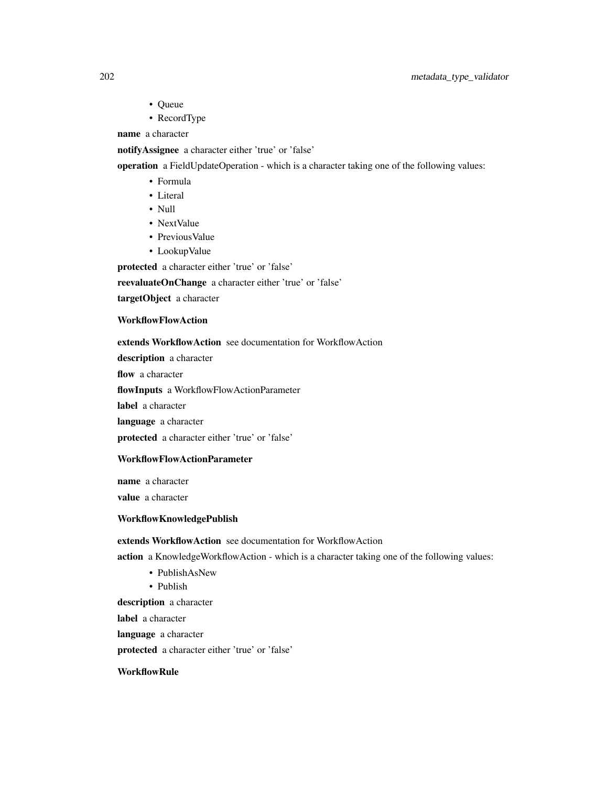- Queue
- RecordType

name a character

notifyAssignee a character either 'true' or 'false'

operation a FieldUpdateOperation - which is a character taking one of the following values:

- Formula
- Literal
- Null
- NextValue
- Previous Value
- LookupValue

protected a character either 'true' or 'false'

reevaluateOnChange a character either 'true' or 'false'

targetObject a character

#### WorkflowFlowAction

extends WorkflowAction see documentation for WorkflowAction

description a character

flow a character

flowInputs a WorkflowFlowActionParameter

label a character

language a character

protected a character either 'true' or 'false'

#### WorkflowFlowActionParameter

name a character value a character

## WorkflowKnowledgePublish

extends WorkflowAction see documentation for WorkflowAction

action a KnowledgeWorkflowAction - which is a character taking one of the following values:

- PublishAsNew
- Publish

description a character

label a character

language a character

protected a character either 'true' or 'false'

## **WorkflowRule**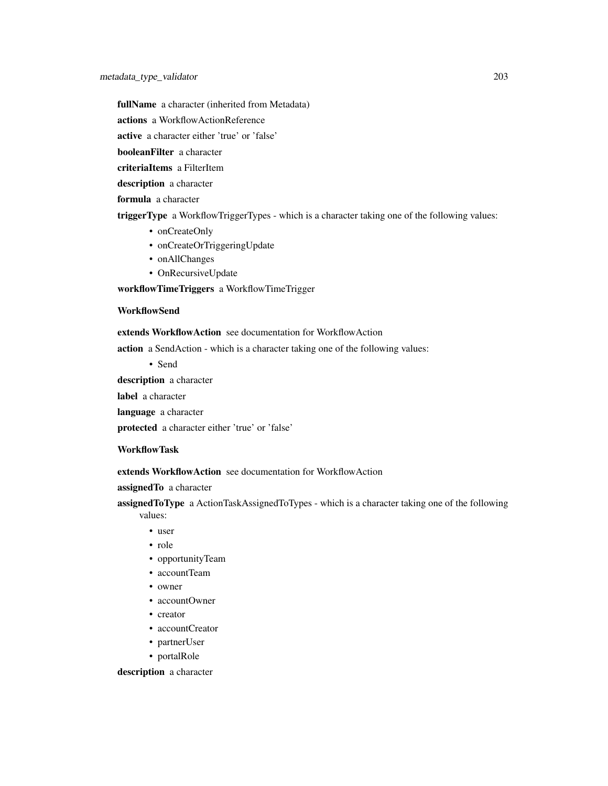fullName a character (inherited from Metadata)

actions a WorkflowActionReference

active a character either 'true' or 'false'

booleanFilter a character

criteriaItems a FilterItem

description a character

formula a character

triggerType a WorkflowTriggerTypes - which is a character taking one of the following values:

- onCreateOnly
- onCreateOrTriggeringUpdate
- onAllChanges
- OnRecursiveUpdate

workflowTimeTriggers a WorkflowTimeTrigger

#### **WorkflowSend**

extends WorkflowAction see documentation for WorkflowAction

action a SendAction - which is a character taking one of the following values:

• Send

description a character

label a character

language a character

protected a character either 'true' or 'false'

#### WorkflowTask

extends WorkflowAction see documentation for WorkflowAction

assignedTo a character

assigned ToType a ActionTaskAssignedToTypes - which is a character taking one of the following values:

- user
- role
- opportunityTeam
- accountTeam
- owner
- accountOwner
- creator
- accountCreator
- partnerUser
- portalRole

description a character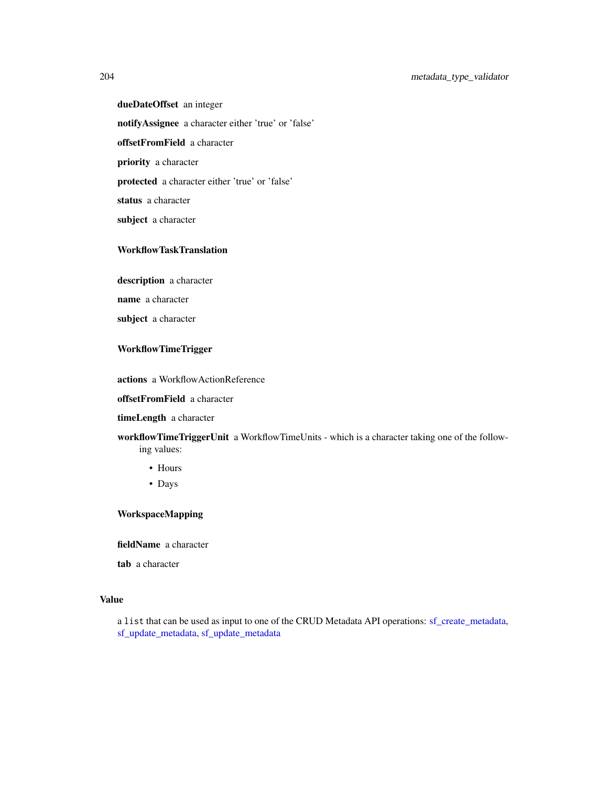dueDateOffset an integer notifyAssignee a character either 'true' or 'false' offsetFromField a character priority a character protected a character either 'true' or 'false' status a character subject a character

## WorkflowTaskTranslation

description a character

name a character

subject a character

## WorkflowTimeTrigger

actions a WorkflowActionReference

offsetFromField a character

## timeLength a character

workflowTimeTriggerUnit a WorkflowTimeUnits - which is a character taking one of the following values:

- Hours
- Days

## WorkspaceMapping

fieldName a character

tab a character

#### Value

a list that can be used as input to one of the CRUD Metadata API operations: [sf\\_create\\_metadata,](#page-239-0) [sf\\_update\\_metadata,](#page-334-0) [sf\\_update\\_metadata](#page-334-0)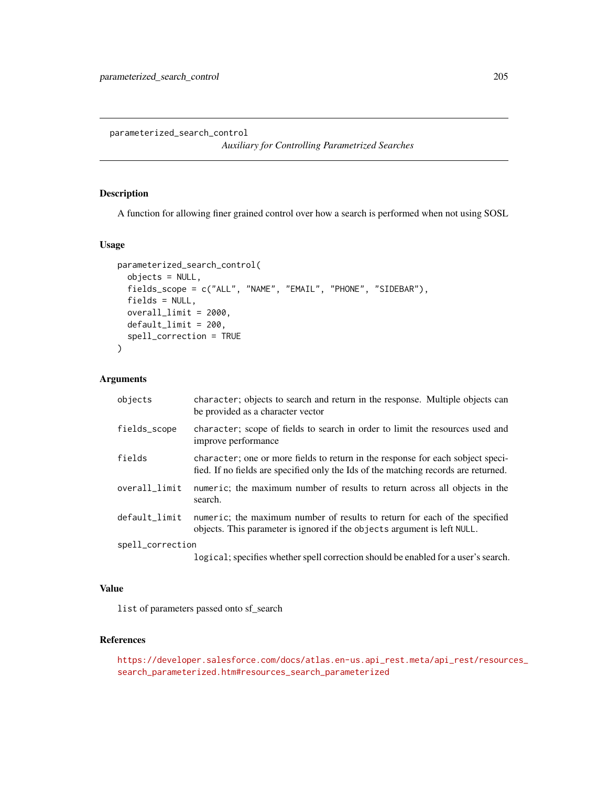parameterized\_search\_control

*Auxiliary for Controlling Parametrized Searches*

#### Description

A function for allowing finer grained control over how a search is performed when not using SOSL

#### Usage

```
parameterized_search_control(
  objects = NULL,
  fields_scope = c("ALL", "NAME", "EMAIL", "PHONE", "SIDEBAR"),
  fields = NULL,
  overall_limit = 2000,
  default_limit = 200,
  spell_correction = TRUE
)
```
#### Arguments

| objects          | character; objects to search and return in the response. Multiple objects can<br>be provided as a character vector                                                     |
|------------------|------------------------------------------------------------------------------------------------------------------------------------------------------------------------|
| fields_scope     | character; scope of fields to search in order to limit the resources used and<br>improve performance                                                                   |
| fields           | character; one or more fields to return in the response for each sobject speci-<br>fied. If no fields are specified only the Ids of the matching records are returned. |
| overall_limit    | numeric; the maximum number of results to return across all objects in the<br>search.                                                                                  |
| default_limit    | numeric; the maximum number of results to return for each of the specified<br>objects. This parameter is ignored if the objects argument is left NULL.                 |
| spell_correction |                                                                                                                                                                        |
|                  |                                                                                                                                                                        |

logical; specifies whether spell correction should be enabled for a user's search.

#### Value

list of parameters passed onto sf\_search

### References

```
https://developer.salesforce.com/docs/atlas.en-us.api_rest.meta/api_rest/resources_
search_parameterized.htm#resources_search_parameterized
```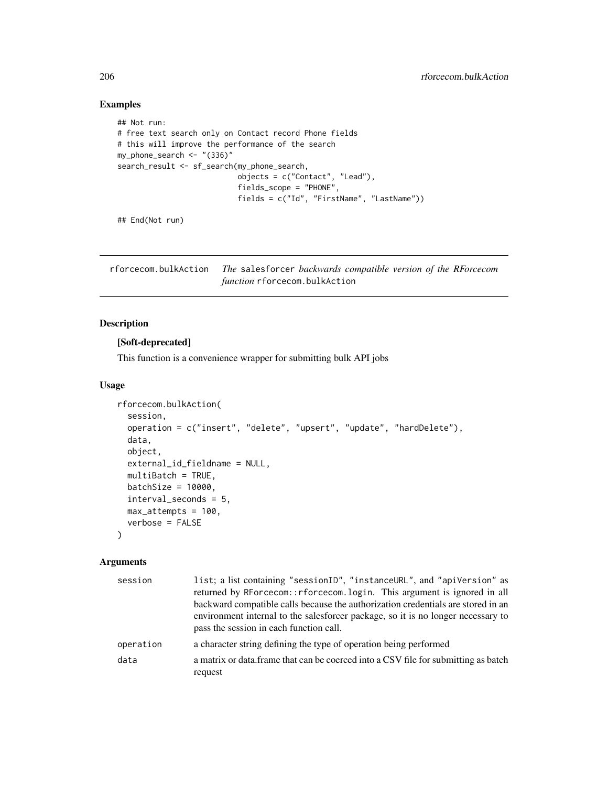## Examples

```
## Not run:
# free text search only on Contact record Phone fields
# this will improve the performance of the search
my_phone_search <- "(336)"
search_result <- sf_search(my_phone_search,
                           objects = c("Contact", "Lead"),
                           fields_scope = "PHONE",
                           fields = c("Id", "FirstName", "LastName"))
```
## End(Not run)

rforcecom.bulkAction *The* salesforcer *backwards compatible version of the RForcecom function* rforcecom.bulkAction

## Description

#### [Soft-deprecated]

This function is a convenience wrapper for submitting bulk API jobs

#### Usage

```
rforcecom.bulkAction(
  session,
  operation = c("insert", "delete", "upsert", "update", "hardDelete"),
  data,
  object,
  external_id_fieldname = NULL,
  multiBatch = TRUE,
 batchSize = 10000,
  interval_seconds = 5,
 max_attempts = 100,
  verbose = FALSE
)
```
## Arguments

| session   | list; a list containing "sessionID", "instanceURL", and "apiVersion" as<br>returned by RForcecom::rforcecom.login. This argument is ignored in all<br>backward compatible calls because the authorization credentials are stored in an |
|-----------|----------------------------------------------------------------------------------------------------------------------------------------------------------------------------------------------------------------------------------------|
|           | environment internal to the salesforcer package, so it is no longer necessary to<br>pass the session in each function call.                                                                                                            |
| operation | a character string defining the type of operation being performed                                                                                                                                                                      |
| data      | a matrix or data. frame that can be coerced into a CSV file for submitting as batch<br>request                                                                                                                                         |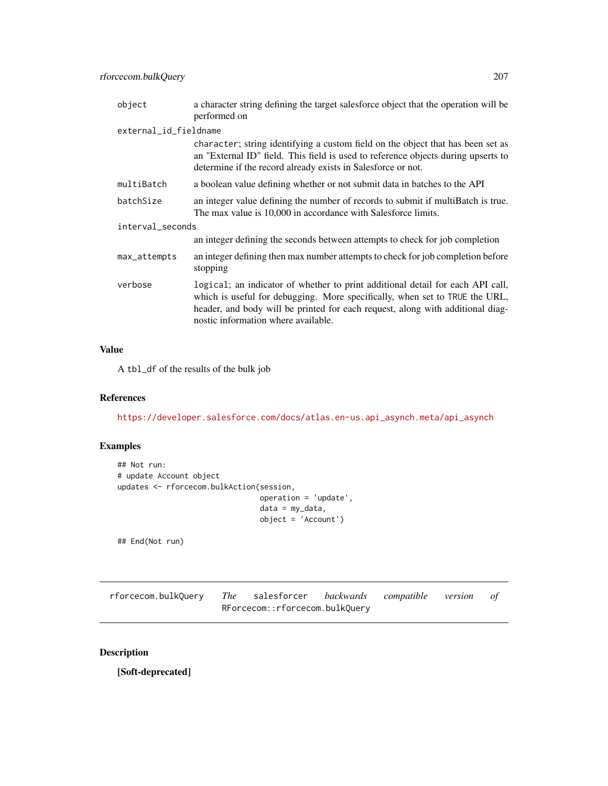| object                | a character string defining the target salesforce object that the operation will be<br>performed on                                                                                                                                                                                    |
|-----------------------|----------------------------------------------------------------------------------------------------------------------------------------------------------------------------------------------------------------------------------------------------------------------------------------|
| external_id_fieldname |                                                                                                                                                                                                                                                                                        |
|                       | character; string identifying a custom field on the object that has been set as<br>an "External ID" field. This field is used to reference objects during upserts to<br>determine if the record already exists in Salesforce or not.                                                   |
| multiBatch            | a boolean value defining whether or not submit data in batches to the API                                                                                                                                                                                                              |
| batchSize             | an integer value defining the number of records to submit if multiBatch is true.<br>The max value is 10,000 in accordance with Salesforce limits.                                                                                                                                      |
| interval_seconds      |                                                                                                                                                                                                                                                                                        |
|                       | an integer defining the seconds between attempts to check for job completion                                                                                                                                                                                                           |
| max_attempts          | an integer defining then max number attempts to check for job completion before<br>stopping                                                                                                                                                                                            |
| verbose               | logical; an indicator of whether to print additional detail for each API call,<br>which is useful for debugging. More specifically, when set to TRUE the URL,<br>header, and body will be printed for each request, along with additional diag-<br>nostic information where available. |

## Value

A tbl\_df of the results of the bulk job

#### References

[https://developer.salesforce.com/docs/atlas.en-us.api\\_asynch.meta/api\\_asynch](https://developer.salesforce.com/docs/atlas.en-us.api_asynch.meta/api_asynch)

## Examples

```
## Not run:
# update Account object
updates <- rforcecom.bulkAction(session,
                                operation = 'update',
                                data = my_data,
                                object = 'Account')
```
## End(Not run)

| rforcecom.bulkQuery The salesforcer backwards compatible version of |                                |  |  |
|---------------------------------------------------------------------|--------------------------------|--|--|
|                                                                     | RForcecom::rforcecom.bulkQuery |  |  |

## Description

[Soft-deprecated]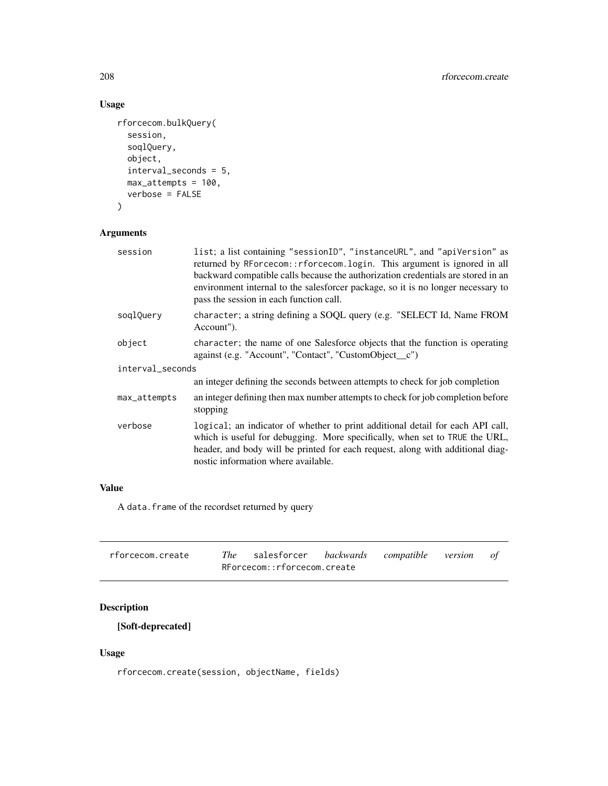# Usage

```
rforcecom.bulkQuery(
  session,
  soqlQuery,
 object,
 interval_seconds = 5,
 max_attempts = 100,
 verbose = FALSE
\mathcal{L}
```
# Arguments

| session          | list; a list containing "sessionID", "instanceURL", and "apiVersion" as<br>returned by RForcecom:: rforcecom. login. This argument is ignored in all<br>backward compatible calls because the authorization credentials are stored in an<br>environment internal to the salesforcer package, so it is no longer necessary to<br>pass the session in each function call. |
|------------------|-------------------------------------------------------------------------------------------------------------------------------------------------------------------------------------------------------------------------------------------------------------------------------------------------------------------------------------------------------------------------|
| soqlQuery        | character; a string defining a SOQL query (e.g. "SELECT Id, Name FROM<br>Account").                                                                                                                                                                                                                                                                                     |
| object           | character; the name of one Salesforce objects that the function is operating<br>against (e.g. "Account", "Contact", "CustomObject_c")                                                                                                                                                                                                                                   |
| interval_seconds |                                                                                                                                                                                                                                                                                                                                                                         |
|                  | an integer defining the seconds between attempts to check for job completion                                                                                                                                                                                                                                                                                            |
| max_attempts     | an integer defining then max number attempts to check for job completion before<br>stopping                                                                                                                                                                                                                                                                             |
| verbose          | logical; an indicator of whether to print additional detail for each API call,<br>which is useful for debugging. More specifically, when set to TRUE the URL,<br>header, and body will be printed for each request, along with additional diag-<br>nostic information where available.                                                                                  |

## Value

A data.frame of the recordset returned by query

| rforcecom.create | The salesforcer backwards compatible version of |  |  |
|------------------|-------------------------------------------------|--|--|
|                  | RForcecom::rforcecom.create                     |  |  |

# Description

[Soft-deprecated]

## Usage

rforcecom.create(session, objectName, fields)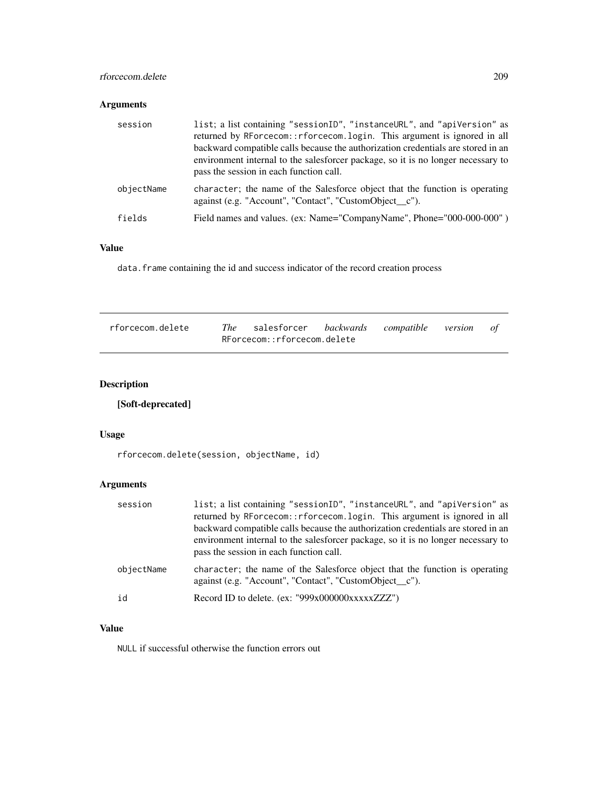## rforcecom.delete 209

## Arguments

| session    | list; a list containing "sessionID", "instanceURL", and "apiVersion" as<br>returned by RForcecom::rforcecom.login. This argument is ignored in all<br>backward compatible calls because the authorization credentials are stored in an<br>environment internal to the salesforcer package, so it is no longer necessary to<br>pass the session in each function call. |
|------------|-----------------------------------------------------------------------------------------------------------------------------------------------------------------------------------------------------------------------------------------------------------------------------------------------------------------------------------------------------------------------|
| objectName | character; the name of the Salesforce object that the function is operating<br>against (e.g. "Account", "Contact", "CustomObject_c").                                                                                                                                                                                                                                 |
| fields     | Field names and values. (ex: Name="CompanyName", Phone="000-000-000")                                                                                                                                                                                                                                                                                                 |

## Value

data. frame containing the id and success indicator of the record creation process

| rforcecom.delete | The salesforcer backwards compatible version of |  |  |
|------------------|-------------------------------------------------|--|--|
|                  | RForcecom::rforcecom.delete                     |  |  |

# Description

# [Soft-deprecated]

#### Usage

rforcecom.delete(session, objectName, id)

# Arguments

| session    | list; a list containing "sessionID", "instanceURL", and "apiVersion" as<br>returned by RForcecom:: rforcecom. login. This argument is ignored in all<br>backward compatible calls because the authorization credentials are stored in an<br>environment internal to the salesforcer package, so it is no longer necessary to<br>pass the session in each function call. |
|------------|-------------------------------------------------------------------------------------------------------------------------------------------------------------------------------------------------------------------------------------------------------------------------------------------------------------------------------------------------------------------------|
| objectName | character; the name of the Salesforce object that the function is operating<br>against (e.g. "Account", "Contact", "CustomObject c").                                                                                                                                                                                                                                   |
| id         | Record ID to delete. (ex: "999x000000xxxxxZZZ")                                                                                                                                                                                                                                                                                                                         |

## Value

NULL if successful otherwise the function errors out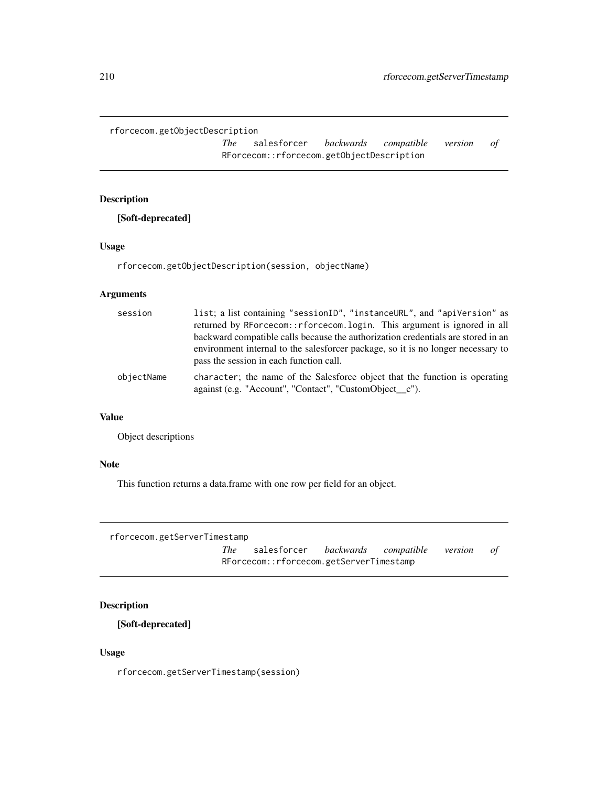rforcecom.getObjectDescription

*The* salesforcer *backwards compatible version of* RForcecom::rforcecom.getObjectDescription

## Description

[Soft-deprecated]

## Usage

rforcecom.getObjectDescription(session, objectName)

## Arguments

| session    | list; a list containing "sessionID", "instanceURL", and "apiVersion" as<br>returned by RForcecom:: rforcecom. login. This argument is ignored in all<br>backward compatible calls because the authorization credentials are stored in an<br>environment internal to the salesforcer package, so it is no longer necessary to<br>pass the session in each function call. |
|------------|-------------------------------------------------------------------------------------------------------------------------------------------------------------------------------------------------------------------------------------------------------------------------------------------------------------------------------------------------------------------------|
| obiectName | character; the name of the Salesforce object that the function is operating<br>against (e.g. "Account", "Contact", "CustomObject_c").                                                                                                                                                                                                                                   |

#### Value

Object descriptions

## Note

This function returns a data.frame with one row per field for an object.

```
rforcecom.getServerTimestamp
```
*The* salesforcer *backwards compatible version of* RForcecom::rforcecom.getServerTimestamp

# Description

[Soft-deprecated]

#### Usage

rforcecom.getServerTimestamp(session)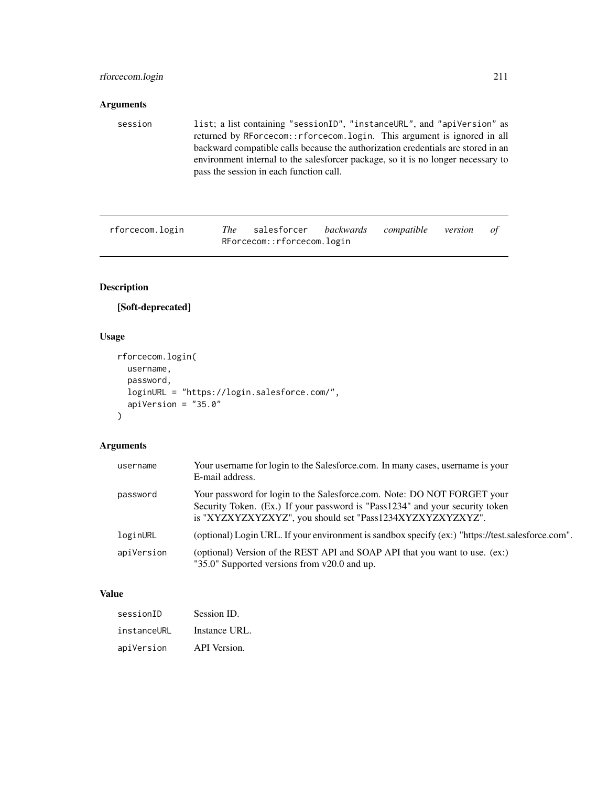## rforcecom.login 211

## Arguments

session list; a list containing "sessionID", "instanceURL", and "apiVersion" as returned by RForcecom::rforcecom.login. This argument is ignored in all backward compatible calls because the authorization credentials are stored in an environment internal to the salesforcer package, so it is no longer necessary to pass the session in each function call.

rforcecom.login *The* salesforcer *backwards compatible version of* RForcecom::rforcecom.login

## Description

## [Soft-deprecated]

#### Usage

```
rforcecom.login(
 username,
 password,
  loginURL = "https://login.salesforce.com/",
  apiVersion = "35.0"
)
```
#### Arguments

| username   | Your username for login to the Salesforce.com. In many cases, username is your<br>E-mail address.                                                                                                                    |
|------------|----------------------------------------------------------------------------------------------------------------------------------------------------------------------------------------------------------------------|
| password   | Your password for login to the Salesforce.com. Note: DO NOT FORGET your<br>Security Token. (Ex.) If your password is "Pass1234" and your security token<br>is "XYZXYZXYZXYZ", you should set "Pass1234XYZXYZXYZXYZ". |
| loginURL   | (optional) Login URL. If your environment is sandbox specify (ex:) "https://test.salesforce.com".                                                                                                                    |
| apiVersion | (optional) Version of the REST API and SOAP API that you want to use. (ex:)<br>"35.0" Supported versions from v20.0 and up.                                                                                          |

#### Value

| sessionID   | Session ID.   |
|-------------|---------------|
| instanceURL | Instance URL. |
| apiVersion  | API Version.  |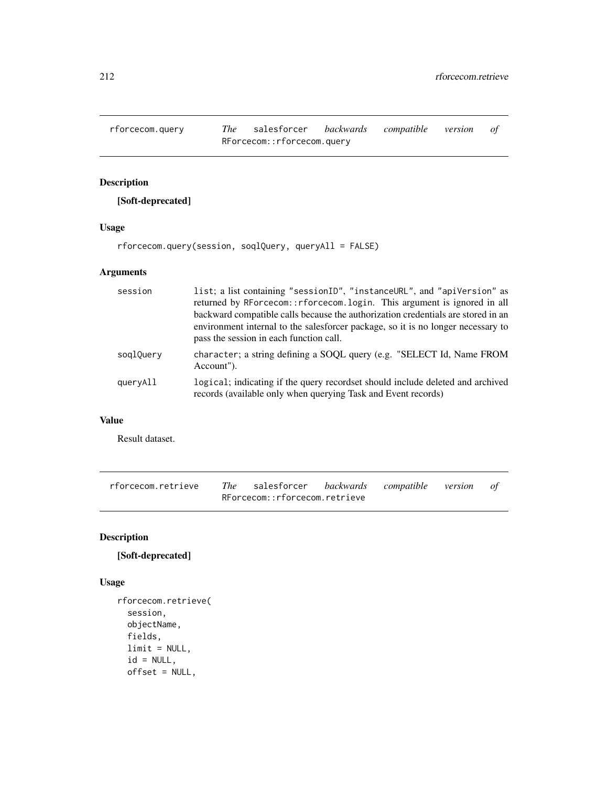rforcecom.query *The* salesforcer *backwards compatible version of* RForcecom::rforcecom.query

# Description

[Soft-deprecated]

#### Usage

rforcecom.query(session, soqlQuery, queryAll = FALSE)

## Arguments

| session   | list; a list containing "sessionID", "instanceURL", and "apiVersion" as<br>returned by RForcecom::rforcecom.login. This argument is ignored in all<br>backward compatible calls because the authorization credentials are stored in an<br>environment internal to the salesforcer package, so it is no longer necessary to<br>pass the session in each function call. |
|-----------|-----------------------------------------------------------------------------------------------------------------------------------------------------------------------------------------------------------------------------------------------------------------------------------------------------------------------------------------------------------------------|
| soglQuery | character; a string defining a SOQL query (e.g. "SELECT Id, Name FROM<br>Account").                                                                                                                                                                                                                                                                                   |
| queryAll  | logical; indicating if the query recordset should include deleted and archived<br>records (available only when querying Task and Event records)                                                                                                                                                                                                                       |

# Value

Result dataset.

| rforcecom.retrieve | The salesforcer backwards compatible version of |  |  |
|--------------------|-------------------------------------------------|--|--|
|                    | RForcecom::rforcecom.retrieve                   |  |  |

# Description

# [Soft-deprecated]

## Usage

```
rforcecom.retrieve(
  session,
 objectName,
 fields,
 limit = NULL,
 id = NULL,offset = NULL,
```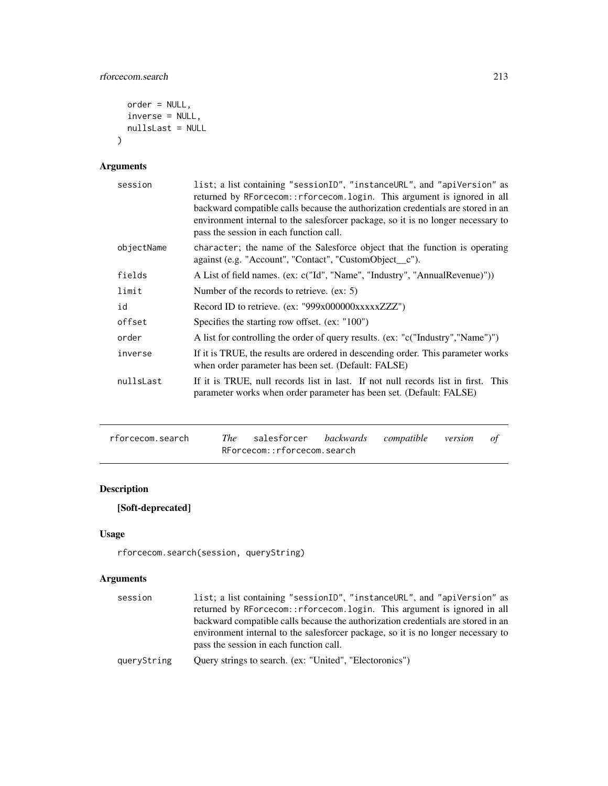```
order = NULL,
  inverse = NULL,
  nullsLast = NULL
\mathcal{L}
```
# Arguments

| session    | list; a list containing "sessionID", "instanceURL", and "apiVersion" as<br>returned by RForcecom:: rforcecom. login. This argument is ignored in all<br>backward compatible calls because the authorization credentials are stored in an<br>environment internal to the salesforcer package, so it is no longer necessary to<br>pass the session in each function call. |
|------------|-------------------------------------------------------------------------------------------------------------------------------------------------------------------------------------------------------------------------------------------------------------------------------------------------------------------------------------------------------------------------|
| objectName | character; the name of the Salesforce object that the function is operating<br>against (e.g. "Account", "Contact", "CustomObject_c").                                                                                                                                                                                                                                   |
| fields     | A List of field names. (ex: c("Id", "Name", "Industry", "AnnualRevenue)"))                                                                                                                                                                                                                                                                                              |
| limit      | Number of the records to retrieve. $(ex: 5)$                                                                                                                                                                                                                                                                                                                            |
| id         | Record ID to retrieve. (ex: "999x000000xxxxxZZZ")                                                                                                                                                                                                                                                                                                                       |
| offset     | Specifies the starting row offset. (ex: "100")                                                                                                                                                                                                                                                                                                                          |
| order      | A list for controlling the order of query results. (ex: "c("Industry","Name")")                                                                                                                                                                                                                                                                                         |
| inverse    | If it is TRUE, the results are ordered in descending order. This parameter works<br>when order parameter has been set. (Default: FALSE)                                                                                                                                                                                                                                 |
| nullsLast  | If it is TRUE, null records list in last. If not null records list in first. This<br>parameter works when order parameter has been set. (Default: FALSE)                                                                                                                                                                                                                |

| rforcecom.search | The salesforcer backwards compatible version of |  |  |
|------------------|-------------------------------------------------|--|--|
|                  | RForcecom::rforcecom.search                     |  |  |

# Description

[Soft-deprecated]

# Usage

```
rforcecom.search(session, queryString)
```
# Arguments

| session     | list; a list containing "sessionID", "instanceURL", and "apiVersion" as          |
|-------------|----------------------------------------------------------------------------------|
|             | returned by RForcecom:: rforcecom. login. This argument is ignored in all        |
|             | backward compatible calls because the authorization credentials are stored in an |
|             | environment internal to the salesforcer package, so it is no longer necessary to |
|             | pass the session in each function call.                                          |
| queryString | Query strings to search. (ex: "United", "Electoronics")                          |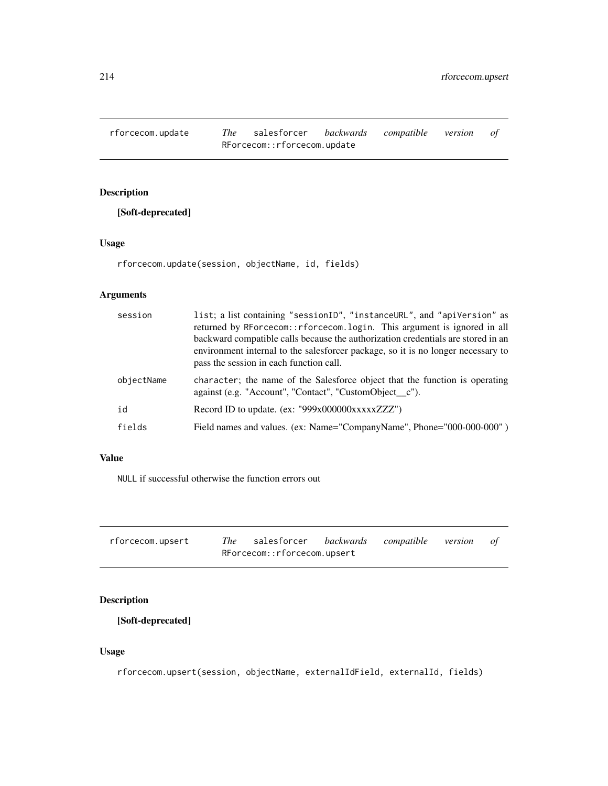rforcecom.update *The* salesforcer *backwards compatible version of* RForcecom::rforcecom.update

# Description

[Soft-deprecated]

## Usage

rforcecom.update(session, objectName, id, fields)

## Arguments

| session    | list; a list containing "sessionID", "instanceURL", and "apiVersion" as<br>returned by RForcecom:: rforcecom. login. This argument is ignored in all<br>backward compatible calls because the authorization credentials are stored in an<br>environment internal to the salesforcer package, so it is no longer necessary to<br>pass the session in each function call. |
|------------|-------------------------------------------------------------------------------------------------------------------------------------------------------------------------------------------------------------------------------------------------------------------------------------------------------------------------------------------------------------------------|
| objectName | character; the name of the Salesforce object that the function is operating<br>against (e.g. "Account", "Contact", "CustomObject_c").                                                                                                                                                                                                                                   |
| id         | Record ID to update. (ex: "999x000000xxxxxZZZ")                                                                                                                                                                                                                                                                                                                         |
| fields     | Field names and values. (ex: Name="CompanyName", Phone="000-000-000")                                                                                                                                                                                                                                                                                                   |

## Value

NULL if successful otherwise the function errors out

| rforcecom.upsert | The salesforcer backwards compatible version of |  |  |
|------------------|-------------------------------------------------|--|--|
|                  | RForcecom::rforcecom.upsert                     |  |  |

# Description

[Soft-deprecated]

## Usage

rforcecom.upsert(session, objectName, externalIdField, externalId, fields)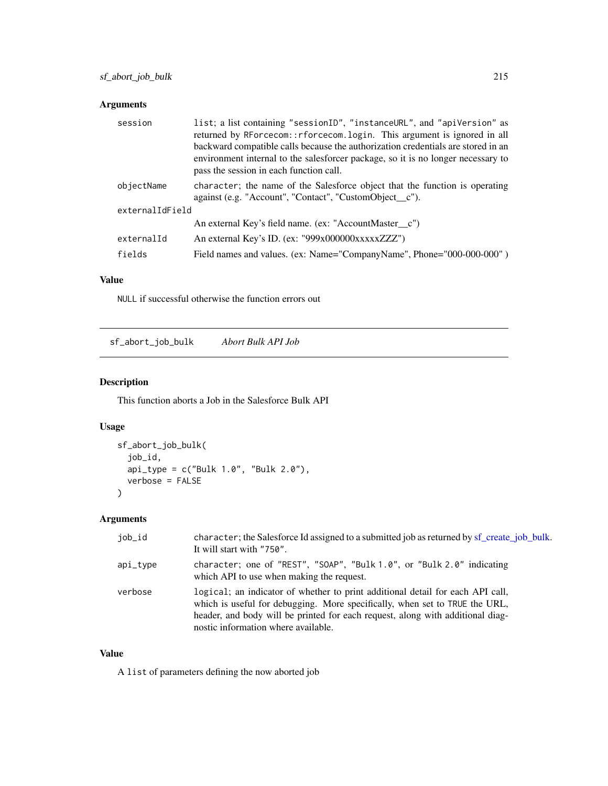## Arguments

| session         | list; a list containing "sessionID", "instanceURL", and "apiVersion" as<br>returned by RForcecom:: rforcecom. login. This argument is ignored in all<br>backward compatible calls because the authorization credentials are stored in an<br>environment internal to the salesforcer package, so it is no longer necessary to<br>pass the session in each function call. |
|-----------------|-------------------------------------------------------------------------------------------------------------------------------------------------------------------------------------------------------------------------------------------------------------------------------------------------------------------------------------------------------------------------|
| objectName      | character; the name of the Salesforce object that the function is operating<br>against (e.g. "Account", "Contact", "CustomObject_c").                                                                                                                                                                                                                                   |
| externalIdField |                                                                                                                                                                                                                                                                                                                                                                         |
|                 | An external Key's field name. (ex: "AccountMaster_c")                                                                                                                                                                                                                                                                                                                   |
| externalId      | An external Key's ID. (ex: "999x000000xxxxxZZZ")                                                                                                                                                                                                                                                                                                                        |
| fields          | Field names and values. (ex: Name="CompanyName", Phone="000-000-000")                                                                                                                                                                                                                                                                                                   |

## Value

NULL if successful otherwise the function errors out

sf\_abort\_job\_bulk *Abort Bulk API Job*

## Description

This function aborts a Job in the Salesforce Bulk API

# Usage

```
sf_abort_job_bulk(
  job_id,
  api_type = c("Bulk 1.0", "Bulk 2.0"),verbose = FALSE
\mathcal{L}
```
## Arguments

| job_id     | character; the Salesforce Id assigned to a submitted job as returned by sf_create_job_bulk.<br>It will start with "750".                                                                                                                                                               |
|------------|----------------------------------------------------------------------------------------------------------------------------------------------------------------------------------------------------------------------------------------------------------------------------------------|
| $api_type$ | character; one of "REST", "SOAP", "Bulk 1.0", or "Bulk 2.0" indicating<br>which API to use when making the request.                                                                                                                                                                    |
| verbose    | logical; an indicator of whether to print additional detail for each API call,<br>which is useful for debugging. More specifically, when set to TRUE the URL,<br>header, and body will be printed for each request, along with additional diag-<br>nostic information where available. |

## Value

A list of parameters defining the now aborted job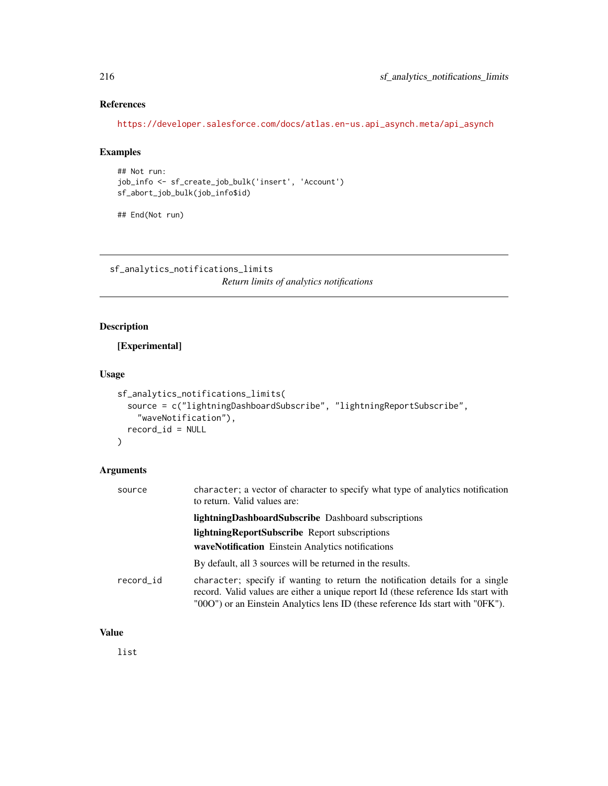# References

[https://developer.salesforce.com/docs/atlas.en-us.api\\_asynch.meta/api\\_asynch](https://developer.salesforce.com/docs/atlas.en-us.api_asynch.meta/api_asynch)

## Examples

```
## Not run:
job_info <- sf_create_job_bulk('insert', 'Account')
sf_abort_job_bulk(job_info$id)
```
## End(Not run)

sf\_analytics\_notifications\_limits *Return limits of analytics notifications*

# Description

[Experimental]

#### Usage

```
sf_analytics_notifications_limits(
  source = c("lightningDashboardSubscribe", "lightningReportSubscribe",
    "waveNotification"),
 record_id = NULL
\mathcal{L}
```
## Arguments

| source    | character; a vector of character to specify what type of analytics notification<br>to return. Valid values are:                                                                                                                                        |
|-----------|--------------------------------------------------------------------------------------------------------------------------------------------------------------------------------------------------------------------------------------------------------|
|           | <b>lightningDashboardSubscribe</b> Dashboard subscriptions                                                                                                                                                                                             |
|           | lightningReportSubscribe Report subscriptions                                                                                                                                                                                                          |
|           | waveNotification Einstein Analytics notifications                                                                                                                                                                                                      |
|           | By default, all 3 sources will be returned in the results.                                                                                                                                                                                             |
| record id | character; specify if wanting to return the notification details for a single<br>record. Valid values are either a unique report Id (these reference Ids start with<br>"000") or an Einstein Analytics lens ID (these reference Ids start with "0FK"). |

## Value

list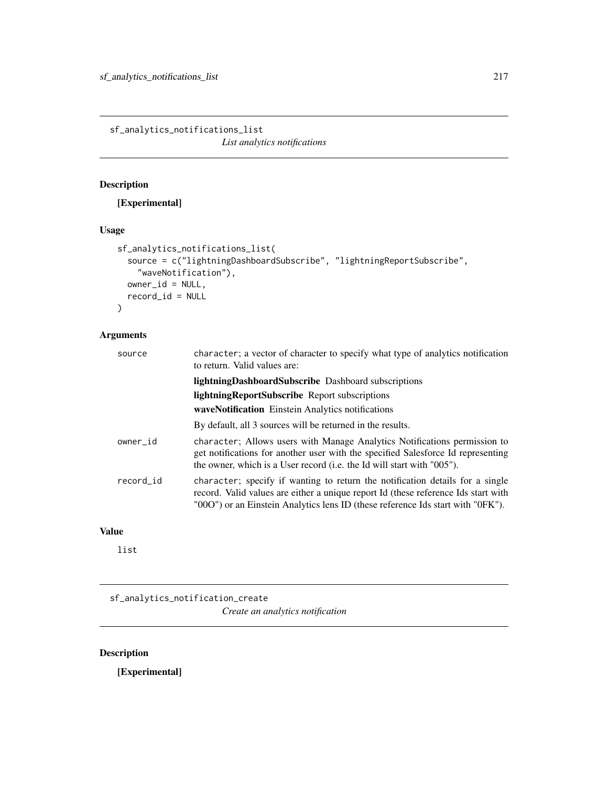sf\_analytics\_notifications\_list *List analytics notifications*

# Description

# [Experimental]

# Usage

```
sf_analytics_notifications_list(
  source = c("lightningDashboardSubscribe", "lightningReportSubscribe",
    "waveNotification"),
 owner_id = NULL,record_id = NULL
\mathcal{L}
```
# Arguments

| source    | character; a vector of character to specify what type of analytics notification<br>to return. Valid values are:                                                                                                                                        |
|-----------|--------------------------------------------------------------------------------------------------------------------------------------------------------------------------------------------------------------------------------------------------------|
|           | <b>lightningDashboardSubscribe</b> Dashboard subscriptions                                                                                                                                                                                             |
|           | <b>lightningReportSubscribe</b> Report subscriptions                                                                                                                                                                                                   |
|           | waveNotification Einstein Analytics notifications                                                                                                                                                                                                      |
|           | By default, all 3 sources will be returned in the results.                                                                                                                                                                                             |
| owner_id  | character; Allows users with Manage Analytics Notifications permission to<br>get notifications for another user with the specified Salesforce Id representing<br>the owner, which is a User record (i.e. the Id will start with "005").                |
| record_id | character; specify if wanting to return the notification details for a single<br>record. Valid values are either a unique report Id (these reference Ids start with<br>"000") or an Einstein Analytics lens ID (these reference Ids start with "0FK"). |

# Value

list

sf\_analytics\_notification\_create *Create an analytics notification*

# Description

[Experimental]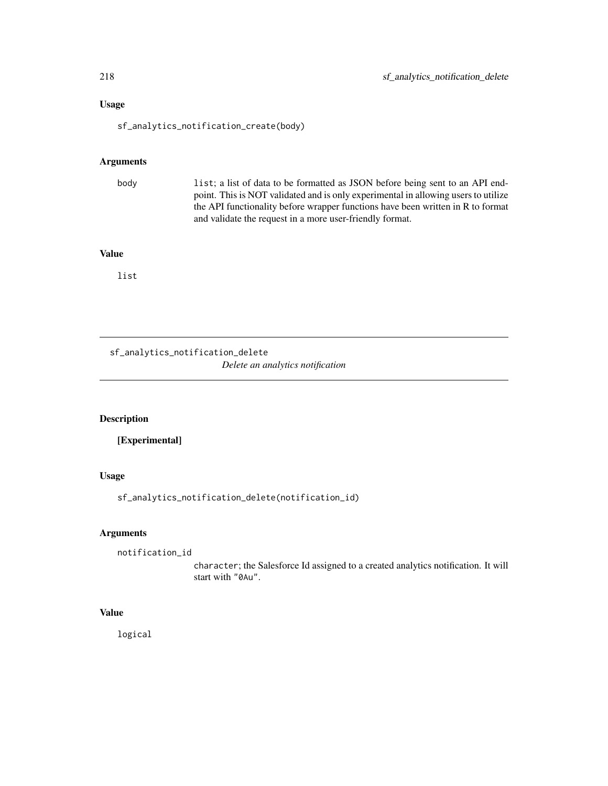# Usage

sf\_analytics\_notification\_create(body)

## Arguments

body list; a list of data to be formatted as JSON before being sent to an API endpoint. This is NOT validated and is only experimental in allowing users to utilize the API functionality before wrapper functions have been written in R to format and validate the request in a more user-friendly format.

## Value

list

sf\_analytics\_notification\_delete *Delete an analytics notification*

#### Description

[Experimental]

## Usage

sf\_analytics\_notification\_delete(notification\_id)

# Arguments

```
notification_id
```
character; the Salesforce Id assigned to a created analytics notification. It will start with "0Au".

## Value

logical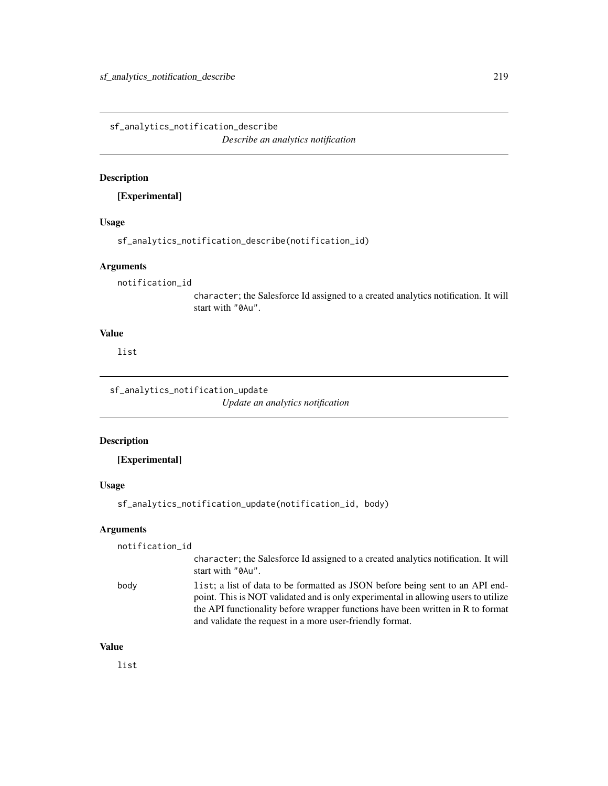sf\_analytics\_notification\_describe

*Describe an analytics notification*

#### Description

[Experimental]

#### Usage

sf\_analytics\_notification\_describe(notification\_id)

#### **Arguments**

notification\_id

character; the Salesforce Id assigned to a created analytics notification. It will start with "0Au".

# Value

list

sf\_analytics\_notification\_update *Update an analytics notification*

# Description

[Experimental]

# Usage

```
sf_analytics_notification_update(notification_id, body)
```
## Arguments

notification\_id

character; the Salesforce Id assigned to a created analytics notification. It will start with "0Au".

body list; a list of data to be formatted as JSON before being sent to an API endpoint. This is NOT validated and is only experimental in allowing users to utilize the API functionality before wrapper functions have been written in R to format and validate the request in a more user-friendly format.

## Value

list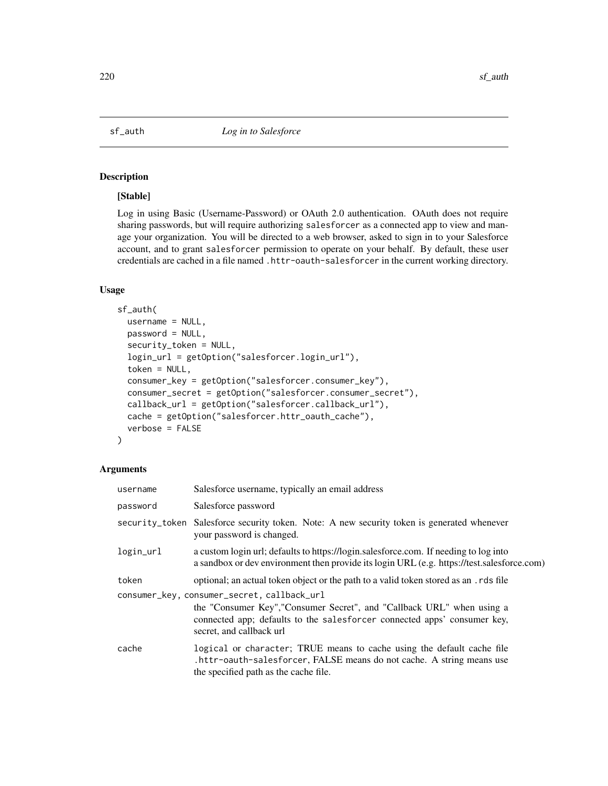## Description

## [Stable]

Log in using Basic (Username-Password) or OAuth 2.0 authentication. OAuth does not require sharing passwords, but will require authorizing salesforcer as a connected app to view and manage your organization. You will be directed to a web browser, asked to sign in to your Salesforce account, and to grant salesforcer permission to operate on your behalf. By default, these user credentials are cached in a file named .httr-oauth-salesforcer in the current working directory.

#### Usage

```
sf_auth(
  username = NULL,
  password = NULL,
  security_token = NULL,
  login_url = getOption("salesforcer.login_url"),
  token = NULL,
  consumer_key = getOption("salesforcer.consumer_key"),
  consumer_secret = getOption("salesforcer.consumer_secret"),
  callback_url = getOption("salesforcer.callback_url"),
  cache = getOption("salesforcer.httr_oauth_cache"),
  verbose = FALSE
)
```
# Arguments

| username  | Salesforce username, typically an email address                                                                                                                                                                               |
|-----------|-------------------------------------------------------------------------------------------------------------------------------------------------------------------------------------------------------------------------------|
| password  | Salesforce password                                                                                                                                                                                                           |
|           | security_token Salesforce security token. Note: A new security token is generated whenever<br>your password is changed.                                                                                                       |
| login_url | a custom login url; defaults to https://login.salesforce.com. If needing to log into<br>a sandbox or dev environment then provide its login URL (e.g. https://test.salesforce.com)                                            |
| token     | optional; an actual token object or the path to a valid token stored as an . rds file                                                                                                                                         |
|           | consumer_key, consumer_secret, callback_url<br>the "Consumer Key", "Consumer Secret", and "Callback URL" when using a<br>connected app; defaults to the salesforcer connected apps' consumer key,<br>secret, and callback url |
| cache     | logical or character; TRUE means to cache using the default cache file<br>.httr-oauth-salesforcer, FALSE means do not cache. A string means use<br>the specified path as the cache file.                                      |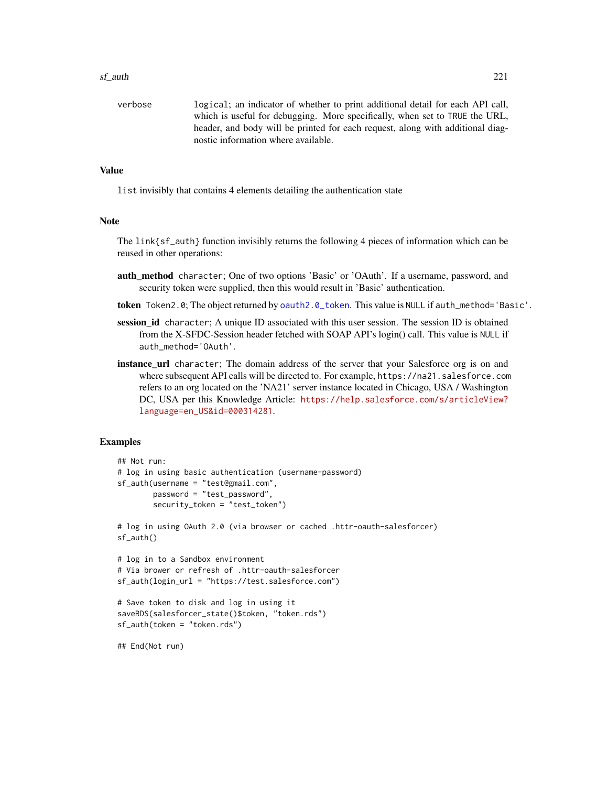#### sf\_auth 221

verbose logical; an indicator of whether to print additional detail for each API call, which is useful for debugging. More specifically, when set to TRUE the URL, header, and body will be printed for each request, along with additional diagnostic information where available.

## Value

list invisibly that contains 4 elements detailing the authentication state

#### Note

The  $link{sf_auth}$  function invisibly returns the following 4 pieces of information which can be reused in other operations:

- auth\_method character; One of two options 'Basic' or 'OAuth'. If a username, password, and security token were supplied, then this would result in 'Basic' authentication.
- token Token2.0; The object returned by [oauth2.0\\_token](#page-0-0). This value is NULL if auth\_method='Basic'.
- session\_id character; A unique ID associated with this user session. The session ID is obtained from the X-SFDC-Session header fetched with SOAP API's login() call. This value is NULL if auth\_method='OAuth'.
- **instance\_url** character; The domain address of the server that your Salesforce org is on and where subsequent API calls will be directed to. For example, https://na21.salesforce.com refers to an org located on the 'NA21' server instance located in Chicago, USA / Washington DC, USA per this Knowledge Article: [https://help.salesforce.com/s/articleView?](https://help.salesforce.com/s/articleView?language=en_US&id=000314281) [language=en\\_US&id=000314281](https://help.salesforce.com/s/articleView?language=en_US&id=000314281).

## Examples

```
## Not run:
# log in using basic authentication (username-password)
sf_auth(username = "test@gmail.com",
       password = "test_password",
        security_token = "test_token")
# log in using OAuth 2.0 (via browser or cached .httr-oauth-salesforcer)
sf_auth()
# log in to a Sandbox environment
# Via brower or refresh of .httr-oauth-salesforcer
sf_auth(login_url = "https://test.salesforce.com")
# Save token to disk and log in using it
saveRDS(salesforcer_state()$token, "token.rds")
sf_auth(token = "token.rds")
```
## End(Not run)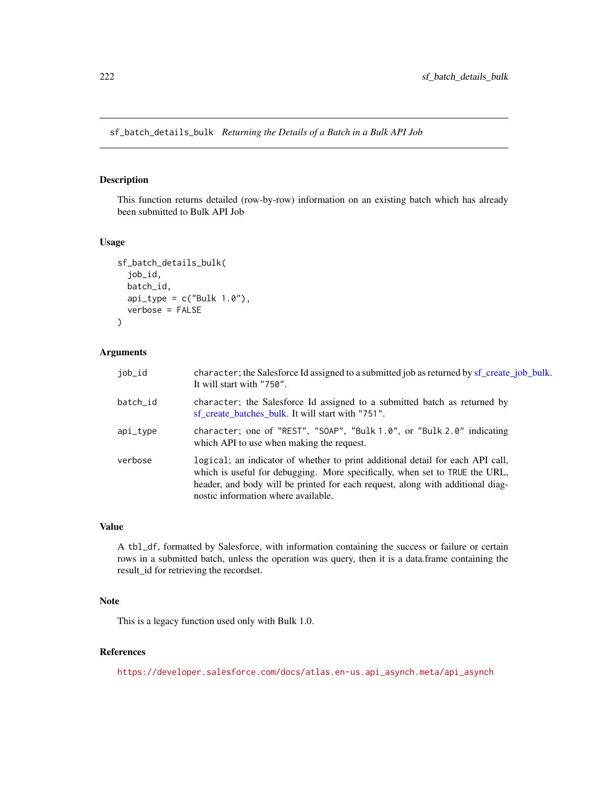sf\_batch\_details\_bulk *Returning the Details of a Batch in a Bulk API Job*

# Description

This function returns detailed (row-by-row) information on an existing batch which has already been submitted to Bulk API Job

## Usage

```
sf_batch_details_bulk(
  job_id,
  batch_id,
  api_type = c("Bulk 1.0"),verbose = FALSE
)
```
## Arguments

| job_id   | character; the Salesforce Id assigned to a submitted job as returned by sf_create_job_bulk.<br>It will start with "750".                                                                                                                                                               |
|----------|----------------------------------------------------------------------------------------------------------------------------------------------------------------------------------------------------------------------------------------------------------------------------------------|
| batch id | character; the Salesforce Id assigned to a submitted batch as returned by<br>sf create batches bulk. It will start with "751".                                                                                                                                                         |
| api_type | character; one of "REST", "SOAP", "Bulk 1.0", or "Bulk 2.0" indicating<br>which API to use when making the request.                                                                                                                                                                    |
| verbose  | logical; an indicator of whether to print additional detail for each API call,<br>which is useful for debugging. More specifically, when set to TRUE the URL,<br>header, and body will be printed for each request, along with additional diag-<br>nostic information where available. |

#### Value

A tbl\_df, formatted by Salesforce, with information containing the success or failure or certain rows in a submitted batch, unless the operation was query, then it is a data.frame containing the result\_id for retrieving the recordset.

## Note

This is a legacy function used only with Bulk 1.0.

#### References

[https://developer.salesforce.com/docs/atlas.en-us.api\\_asynch.meta/api\\_asynch](https://developer.salesforce.com/docs/atlas.en-us.api_asynch.meta/api_asynch)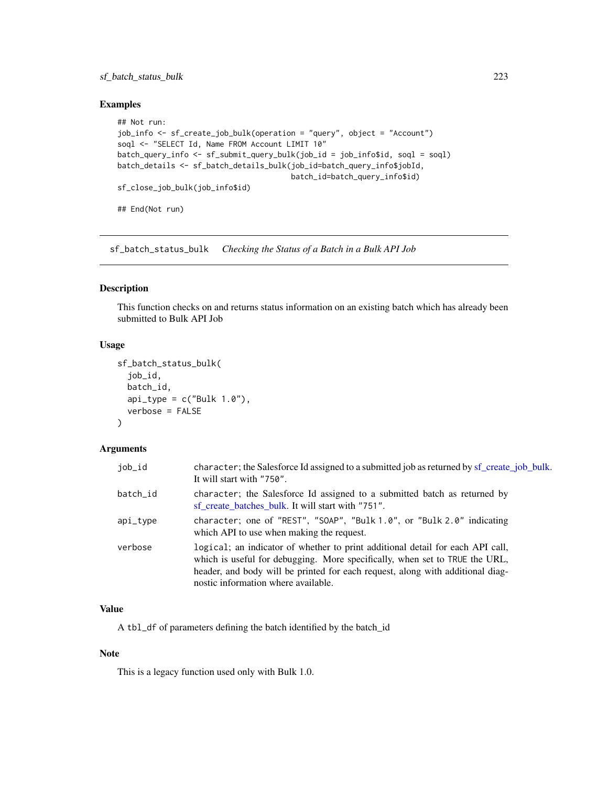# sf\_batch\_status\_bulk 223

## Examples

```
## Not run:
job_info <- sf_create_job_bulk(operation = "query", object = "Account")
soql <- "SELECT Id, Name FROM Account LIMIT 10"
batch_query_info <- sf_submit_query_bulk(job_id = job_info$id, soql = soql)
batch_details <- sf_batch_details_bulk(job_id=batch_query_info$jobId,
                                       batch_id=batch_query_info$id)
sf_close_job_bulk(job_info$id)
```
## End(Not run)

sf\_batch\_status\_bulk *Checking the Status of a Batch in a Bulk API Job*

## Description

This function checks on and returns status information on an existing batch which has already been submitted to Bulk API Job

# Usage

```
sf_batch_status_bulk(
  job_id,
  batch_id,
  api_type = c("Bulk 1.0"),verbose = FALSE
\mathcal{L}
```
## Arguments

| job_id   | character; the Salesforce Id assigned to a submitted job as returned by sf_create_job_bulk.<br>It will start with "750".                                                                                                                                                               |
|----------|----------------------------------------------------------------------------------------------------------------------------------------------------------------------------------------------------------------------------------------------------------------------------------------|
| batch_id | character; the Salesforce Id assigned to a submitted batch as returned by<br>sf_create_batches_bulk. It will start with "751".                                                                                                                                                         |
| api_type | character; one of "REST", "SOAP", "Bulk 1.0", or "Bulk 2.0" indicating<br>which API to use when making the request.                                                                                                                                                                    |
| verbose  | logical; an indicator of whether to print additional detail for each API call,<br>which is useful for debugging. More specifically, when set to TRUE the URL,<br>header, and body will be printed for each request, along with additional diag-<br>nostic information where available. |

# Value

A tbl\_df of parameters defining the batch identified by the batch\_id

#### Note

This is a legacy function used only with Bulk 1.0.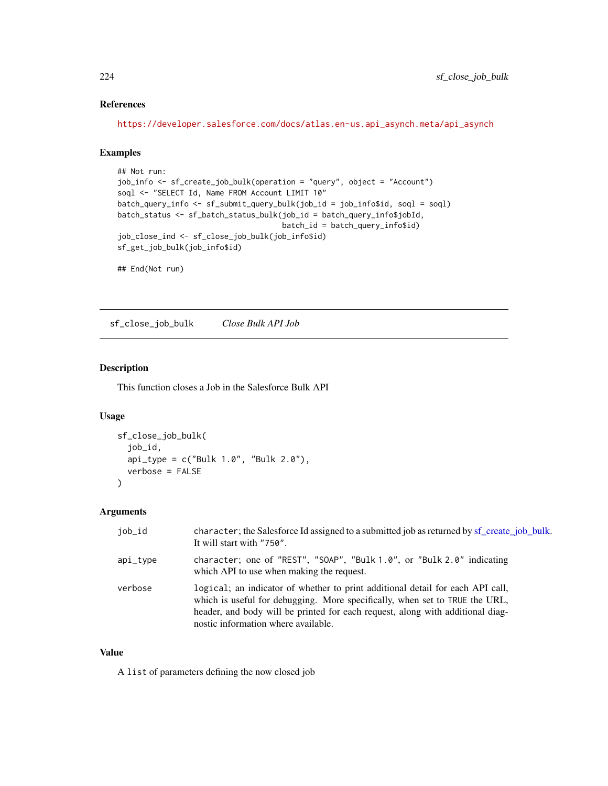# References

[https://developer.salesforce.com/docs/atlas.en-us.api\\_asynch.meta/api\\_asynch](https://developer.salesforce.com/docs/atlas.en-us.api_asynch.meta/api_asynch)

# Examples

```
## Not run:
job_info <- sf_create_job_bulk(operation = "query", object = "Account")
soql <- "SELECT Id, Name FROM Account LIMIT 10"
batch_query_info <- sf_submit_query_bulk(job_id = job_info$id, soql = soql)
batch_status <- sf_batch_status_bulk(job_id = batch_query_info$jobId,
                                     batch_id = batch_query_info$id)
job_close_ind <- sf_close_job_bulk(job_info$id)
sf_get_job_bulk(job_info$id)
```
## End(Not run)

sf\_close\_job\_bulk *Close Bulk API Job*

## Description

This function closes a Job in the Salesforce Bulk API

#### Usage

```
sf_close_job_bulk(
  job_id,
 api_type = c("Bulk 1.0", "Bulk 2.0"),verbose = FALSE
)
```
## Arguments

| job_id   | character; the Salesforce Id assigned to a submitted job as returned by sf_create_job_bulk.<br>It will start with "750".                                                                                                                                                               |
|----------|----------------------------------------------------------------------------------------------------------------------------------------------------------------------------------------------------------------------------------------------------------------------------------------|
| api_type | character; one of "REST", "SOAP", "Bulk 1.0", or "Bulk 2.0" indicating<br>which API to use when making the request.                                                                                                                                                                    |
| verbose  | logical; an indicator of whether to print additional detail for each API call,<br>which is useful for debugging. More specifically, when set to TRUE the URL,<br>header, and body will be printed for each request, along with additional diag-<br>nostic information where available. |

#### Value

A list of parameters defining the now closed job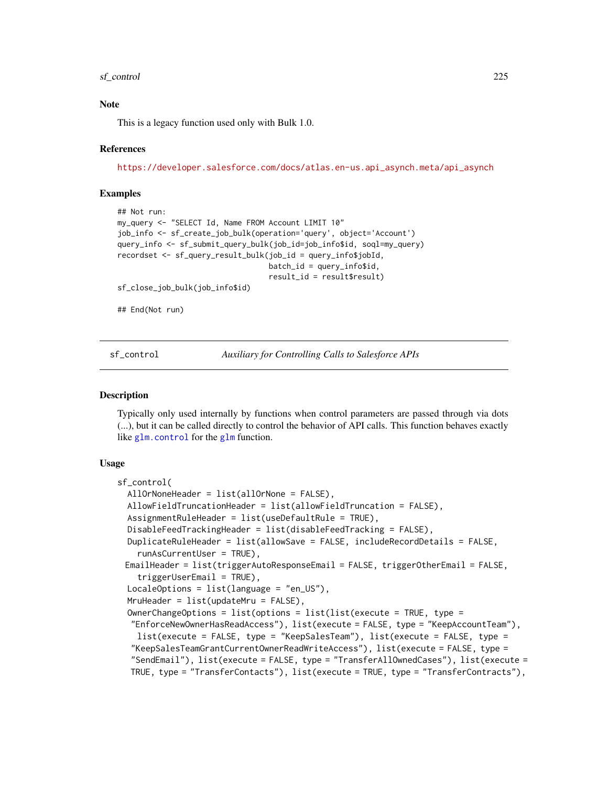#### sf\_control 225

### **Note**

This is a legacy function used only with Bulk 1.0.

#### References

[https://developer.salesforce.com/docs/atlas.en-us.api\\_asynch.meta/api\\_asynch](https://developer.salesforce.com/docs/atlas.en-us.api_asynch.meta/api_asynch)

## Examples

```
## Not run:
my_query <- "SELECT Id, Name FROM Account LIMIT 10"
job_info <- sf_create_job_bulk(operation='query', object='Account')
query_info <- sf_submit_query_bulk(job_id=job_info$id, soql=my_query)
recordset <- sf_query_result_bulk(job_id = query_info$jobId,
                                  batch_id = query_info$id,
                                  result_id = result$result)
```
sf\_close\_job\_bulk(job\_info\$id)

## End(Not run)

<span id="page-224-0"></span>sf\_control *Auxiliary for Controlling Calls to Salesforce APIs*

#### **Description**

Typically only used internally by functions when control parameters are passed through via dots (...), but it can be called directly to control the behavior of API calls. This function behaves exactly like [glm.control](#page-0-0) for the [glm](#page-0-0) function.

## Usage

```
sf_control(
  AllOrNoneHeader = list(allOrNone = FALSE),
  AllowFieldTruncationHeader = list(allowFieldTruncation = FALSE),
  AssignmentRuleHeader = list(useDefaultRule = TRUE),
  DisableFeedTrackingHeader = list(disableFeedTracking = FALSE),
  DuplicateRuleHeader = list(allowSave = FALSE, includeRecordDetails = FALSE,
    runAsCurrentUser = TRUE),
 EmailHeader = list(triggerAutoResponseEmail = FALSE, triggerOtherEmail = FALSE,
    triggerUserEmail = TRUE),
  LocaleOptions = list(language = "en_US"),MruHeader = list(updateMru = FALSE),
  OwnerChangeOptions = list(options = list(list(execute = TRUE, type =
  "EnforceNewOwnerHasReadAccess"), list(execute = FALSE, type = "KeepAccountTeam"),
    list(execute = FALSE, type = "KeepSalesTeam"), list(execute = FALSE, type =
  "KeepSalesTeamGrantCurrentOwnerReadWriteAccess"), list(execute = FALSE, type =
  "SendEmail"), list(execute = FALSE, type = "TransferAllOwnedCases"), list(execute =
  TRUE, type = "TransferContacts"), list(execute = TRUE, type = "TransferContracts"),
```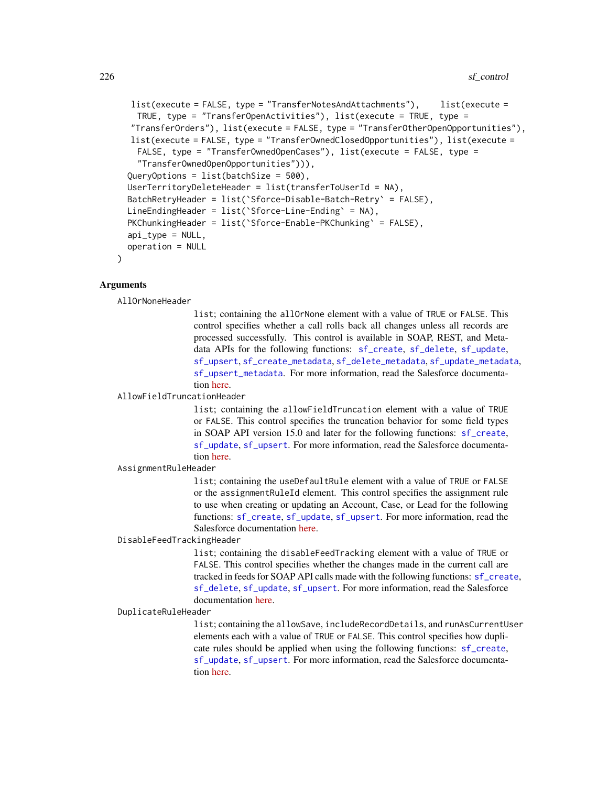```
list(execute = FALSE, type = "TransferNotesAndAttachments"), list(execute =
 TRUE, type = "TransferOpenActivities"), list(execute = TRUE, type =
"TransferOrders"), list(execute = FALSE, type = "TransferOtherOpenOpportunities"),
list(execute = FALSE, type = "TransferOwnedClosedOpportunities"), list(execute =
 FALSE, type = "TransferOwnedOpenCases"), list(execute = FALSE, type =
  "TransferOwnedOpenOpportunities"))),
QueryOptions = list(batchSize = 500),
UserTerritoryDeleteHeader = list(transferToUserId = NA),
BatchRetryHeader = list(`Sforce-Disable-Batch-Retry` = FALSE),
LineEndingHeader = list(`Sforce-Line-Ending` = NA),
PKChunkingHeader = list(`Sforce-Enable-PKChunking` = FALSE),
api_type = NULL,operation = NULL
```
#### Arguments

)

AllOrNoneHeader

list; containing the allOrNone element with a value of TRUE or FALSE. This control specifies whether a call rolls back all changes unless all records are processed successfully. This control is available in SOAP, REST, and Metadata APIs for the following functions: [sf\\_create](#page-232-0), [sf\\_delete](#page-242-0), [sf\\_update](#page-330-0), [sf\\_upsert](#page-338-0), [sf\\_create\\_metadata](#page-239-0), [sf\\_delete\\_metadata](#page-246-0), [sf\\_update\\_metadata](#page-334-0), [sf\\_upsert\\_metadata](#page-339-0). For more information, read the Salesforce documentation [here.](https://developer.salesforce.com/docs/atlas.en-us.api.meta/api/sforce_api_header_allornoneheader.htm)

#### AllowFieldTruncationHeader

list; containing the allowFieldTruncation element with a value of TRUE or FALSE. This control specifies the truncation behavior for some field types in SOAP API version 15.0 and later for the following functions: [sf\\_create](#page-232-0), [sf\\_update](#page-330-0), [sf\\_upsert](#page-338-0). For more information, read the Salesforce documentation [here.](https://developer.salesforce.com/docs/atlas.en-us.api.meta/api/sforce_api_header_allowfieldtruncation.htm)

#### AssignmentRuleHeader

list; containing the useDefaultRule element with a value of TRUE or FALSE or the assignmentRuleId element. This control specifies the assignment rule to use when creating or updating an Account, Case, or Lead for the following functions: [sf\\_create](#page-232-0), [sf\\_update](#page-330-0), [sf\\_upsert](#page-338-0). For more information, read the Salesforce documentation [here.](https://developer.salesforce.com/docs/atlas.en-us.api.meta/api/sforce_api_header_assignmentruleheader.htm)

#### DisableFeedTrackingHeader

list; containing the disableFeedTracking element with a value of TRUE or FALSE. This control specifies whether the changes made in the current call are tracked in feeds for SOAP API calls made with the following functions: [sf\\_create](#page-232-0), [sf\\_delete](#page-242-0), [sf\\_update](#page-330-0), [sf\\_upsert](#page-338-0). For more information, read the Salesforce documentation [here.](https://developer.salesforce.com/docs/atlas.en-us.api.meta/api/sforce_api_header_disablefeedtracking.htm)

#### DuplicateRuleHeader

list; containing the allowSave, includeRecordDetails, and runAsCurrentUser elements each with a value of TRUE or FALSE. This control specifies how duplicate rules should be applied when using the following functions: [sf\\_create](#page-232-0), [sf\\_update](#page-330-0), [sf\\_upsert](#page-338-0). For more information, read the Salesforce documentation [here.](https://developer.salesforce.com/docs/atlas.en-us.api.meta/api/sforce_api_header_duplicateruleheader.htm)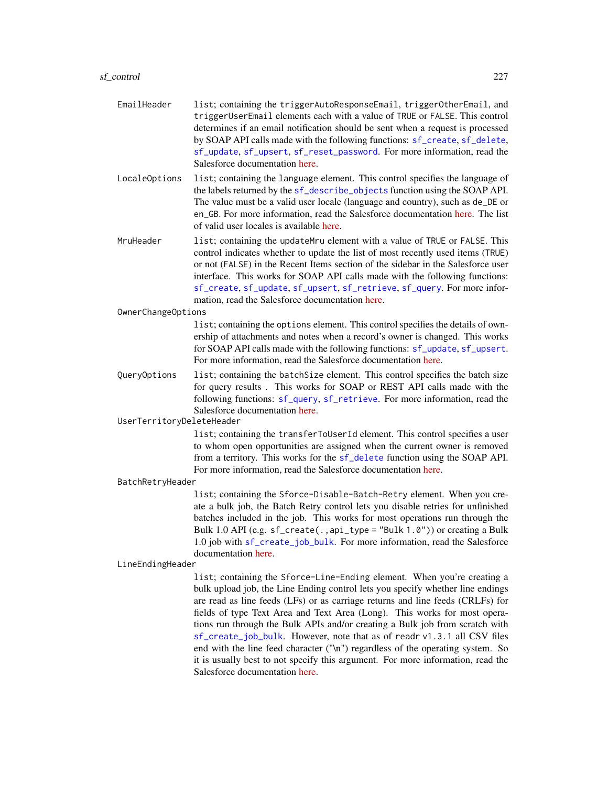#### sf\_control 227

- EmailHeader list; containing the triggerAutoResponseEmail, triggerOtherEmail, and triggerUserEmail elements each with a value of TRUE or FALSE. This control determines if an email notification should be sent when a request is processed by SOAP API calls made with the following functions: [sf\\_create](#page-232-0), [sf\\_delete](#page-242-0), [sf\\_update](#page-330-0), [sf\\_upsert](#page-338-0), [sf\\_reset\\_password](#page-312-0). For more information, read the Salesforce documentation [here.](https://developer.salesforce.com/docs/atlas.en-us.api.meta/api/sforce_api_header_emailheader.htm)
- LocaleOptions list; containing the language element. This control specifies the language of the labels returned by the [sf\\_describe\\_objects](#page-252-0) function using the SOAP API. The value must be a valid user locale (language and country), such as de\_DE or en\_GB. For more information, read the Salesforce documentation [here.](https://developer.salesforce.com/docs/atlas.en-us.api.meta/api/sforce_api_header_localeheader.htm) The list of valid user locales is available [here.](https://developer.salesforce.com/docs/atlas.en-us.api.meta/api/sforce_api_objects_categorynodelocalization.htm#languagelocalekey_desc)
- MruHeader list; containing the updateMru element with a value of TRUE or FALSE. This control indicates whether to update the list of most recently used items (TRUE) or not (FALSE) in the Recent Items section of the sidebar in the Salesforce user interface. This works for SOAP API calls made with the following functions: [sf\\_create](#page-232-0), [sf\\_update](#page-330-0), [sf\\_upsert](#page-338-0), [sf\\_retrieve](#page-313-0), [sf\\_query](#page-290-0). For more information, read the Salesforce documentation [here.](https://developer.salesforce.com/docs/atlas.en-us.api.meta/api/sforce_api_header_mruheader.htm)

OwnerChangeOptions

list; containing the options element. This control specifies the details of ownership of attachments and notes when a record's owner is changed. This works for SOAP API calls made with the following functions: [sf\\_update](#page-330-0), [sf\\_upsert](#page-338-0). For more information, read the Salesforce documentation [here.](https://developer.salesforce.com/docs/atlas.en-us.api.meta/api/sforce_api_header_ownerchangeoptions.htm)

QueryOptions list; containing the batchSize element. This control specifies the batch size for query results . This works for SOAP or REST API calls made with the following functions: [sf\\_query](#page-290-0), [sf\\_retrieve](#page-313-0). For more information, read the Salesforce documentation [here.](https://developer.salesforce.com/docs/atlas.en-us.api.meta/api/sforce_api_header_queryoptions.htm)

UserTerritoryDeleteHeader

list; containing the transferToUserId element. This control specifies a user to whom open opportunities are assigned when the current owner is removed from a territory. This works for the [sf\\_delete](#page-242-0) function using the SOAP API. For more information, read the Salesforce documentation [here.](https://developer.salesforce.com/docs/atlas.en-us.api.meta/api/sforce_api_header_userterritorydeleteheader.htm)

#### BatchRetryHeader

list; containing the Sforce-Disable-Batch-Retry element. When you create a bulk job, the Batch Retry control lets you disable retries for unfinished batches included in the job. This works for most operations run through the Bulk 1.0 API (e.g. sf\_create(.,api\_type = "Bulk 1.0")) or creating a Bulk 1.0 job with [sf\\_create\\_job\\_bulk](#page-236-0). For more information, read the Salesforce documentation [here.](https://developer.salesforce.com/docs/atlas.en-us.api_asynch.meta/api_asynch/async_api_headers_disable_batch_retry.htm)

#### LineEndingHeader

list; containing the Sforce-Line-Ending element. When you're creating a bulk upload job, the Line Ending control lets you specify whether line endings are read as line feeds (LFs) or as carriage returns and line feeds (CRLFs) for fields of type Text Area and Text Area (Long). This works for most operations run through the Bulk APIs and/or creating a Bulk job from scratch with [sf\\_create\\_job\\_bulk](#page-236-0). However, note that as of readr v1.3.1 all CSV files end with the line feed character ("\n") regardless of the operating system. So it is usually best to not specify this argument. For more information, read the Salesforce documentation [here.](https://developer.salesforce.com/docs/atlas.en-us.api_asynch.meta/api_asynch/async_api_headers_line_ending.htm)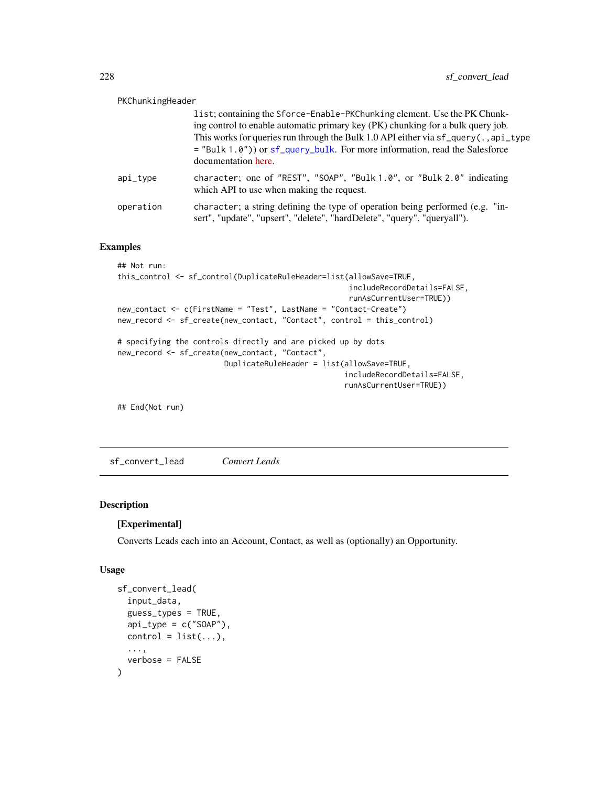| PKChunkingHeader |                                                                                                                                                                                                                                                                                                                                                         |
|------------------|---------------------------------------------------------------------------------------------------------------------------------------------------------------------------------------------------------------------------------------------------------------------------------------------------------------------------------------------------------|
|                  | list; containing the Sforce-Enable-PKChunking element. Use the PK Chunk-<br>ing control to enable automatic primary key (PK) chunking for a bulk query job.<br>This works for queries run through the Bulk 1.0 API either via sf_query(.,api_type<br>$=$ "Bulk 1.0") or sf_query_bulk. For more information, read the Salesforce<br>documentation here. |
| api_type         | character; one of "REST", "SOAP", "Bulk 1.0", or "Bulk 2.0" indicating<br>which API to use when making the request.                                                                                                                                                                                                                                     |
| operation        | character; a string defining the type of operation being performed (e.g. "in-<br>sert", "update", "upsert", "delete", "hardDelete", "query", "queryall").                                                                                                                                                                                               |

## Examples

```
## Not run:
this_control <- sf_control(DuplicateRuleHeader=list(allowSave=TRUE,
                                                    includeRecordDetails=FALSE,
                                                    runAsCurrentUser=TRUE))
new_contact <- c(FirstName = "Test", LastName = "Contact-Create")
new_record <- sf_create(new_contact, "Contact", control = this_control)
# specifying the controls directly and are picked up by dots
new_record <- sf_create(new_contact, "Contact",
                       DuplicateRuleHeader = list(allowSave=TRUE,
                                                   includeRecordDetails=FALSE,
                                                   runAsCurrentUser=TRUE))
## End(Not run)
```
sf\_convert\_lead *Convert Leads*

#### Description

## [Experimental]

Converts Leads each into an Account, Contact, as well as (optionally) an Opportunity.

## Usage

```
sf_convert_lead(
  input_data,
  guess_types = TRUE,
  api_type = c("S0AP"),
 control = list(...),...,
  verbose = FALSE
)
```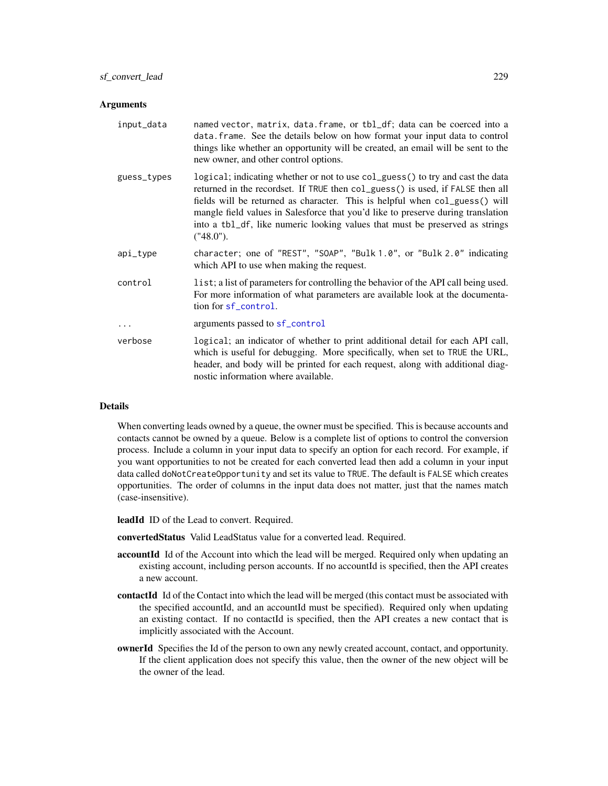#### **Arguments**

| input_data  | named vector, matrix, data. frame, or tbl_df; data can be coerced into a<br>data. frame. See the details below on how format your input data to control<br>things like whether an opportunity will be created, an email will be sent to the<br>new owner, and other control options.                                                                                                                                             |
|-------------|----------------------------------------------------------------------------------------------------------------------------------------------------------------------------------------------------------------------------------------------------------------------------------------------------------------------------------------------------------------------------------------------------------------------------------|
| guess_types | logical; indicating whether or not to use col_guess() to try and cast the data<br>returned in the recordset. If TRUE then col_guess() is used, if FALSE then all<br>fields will be returned as character. This is helpful when col_guess() will<br>mangle field values in Salesforce that you'd like to preserve during translation<br>into a tb1_df, like numeric looking values that must be preserved as strings<br>("48.0"). |
| api_type    | character; one of "REST", "SOAP", "Bulk 1.0", or "Bulk 2.0" indicating<br>which API to use when making the request.                                                                                                                                                                                                                                                                                                              |
| control     | list; a list of parameters for controlling the behavior of the API call being used.<br>For more information of what parameters are available look at the documenta-<br>tion for sf_control.                                                                                                                                                                                                                                      |
| .           | arguments passed to sf_control                                                                                                                                                                                                                                                                                                                                                                                                   |
| verbose     | logical; an indicator of whether to print additional detail for each API call,<br>which is useful for debugging. More specifically, when set to TRUE the URL,<br>header, and body will be printed for each request, along with additional diag-<br>nostic information where available.                                                                                                                                           |

## Details

When converting leads owned by a queue, the owner must be specified. This is because accounts and contacts cannot be owned by a queue. Below is a complete list of options to control the conversion process. Include a column in your input data to specify an option for each record. For example, if you want opportunities to not be created for each converted lead then add a column in your input data called doNotCreateOpportunity and set its value to TRUE. The default is FALSE which creates opportunities. The order of columns in the input data does not matter, just that the names match (case-insensitive).

leadId ID of the Lead to convert. Required.

convertedStatus Valid LeadStatus value for a converted lead. Required.

- accountId Id of the Account into which the lead will be merged. Required only when updating an existing account, including person accounts. If no accountId is specified, then the API creates a new account.
- contactId Id of the Contact into which the lead will be merged (this contact must be associated with the specified accountId, and an accountId must be specified). Required only when updating an existing contact. If no contactId is specified, then the API creates a new contact that is implicitly associated with the Account.
- ownerId Specifies the Id of the person to own any newly created account, contact, and opportunity. If the client application does not specify this value, then the owner of the new object will be the owner of the lead.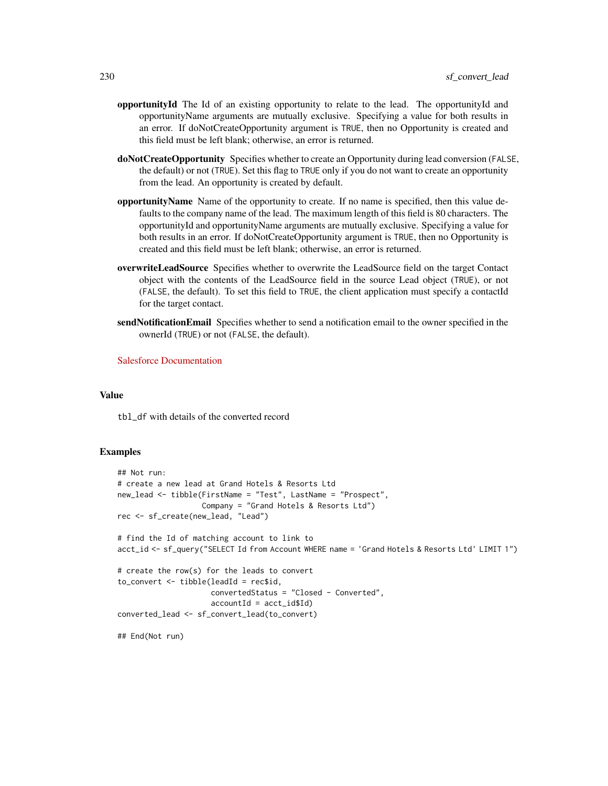- opportunityId The Id of an existing opportunity to relate to the lead. The opportunityId and opportunityName arguments are mutually exclusive. Specifying a value for both results in an error. If doNotCreateOpportunity argument is TRUE, then no Opportunity is created and this field must be left blank; otherwise, an error is returned.
- doNotCreateOpportunity Specifies whether to create an Opportunity during lead conversion (FALSE, the default) or not (TRUE). Set this flag to TRUE only if you do not want to create an opportunity from the lead. An opportunity is created by default.
- opportunityName Name of the opportunity to create. If no name is specified, then this value defaults to the company name of the lead. The maximum length of this field is 80 characters. The opportunityId and opportunityName arguments are mutually exclusive. Specifying a value for both results in an error. If doNotCreateOpportunity argument is TRUE, then no Opportunity is created and this field must be left blank; otherwise, an error is returned.
- overwriteLeadSource Specifies whether to overwrite the LeadSource field on the target Contact object with the contents of the LeadSource field in the source Lead object (TRUE), or not (FALSE, the default). To set this field to TRUE, the client application must specify a contactId for the target contact.
- sendNotificationEmail Specifies whether to send a notification email to the owner specified in the ownerId (TRUE) or not (FALSE, the default).

[Salesforce Documentation](https://developer.salesforce.com/docs/atlas.en-us.api.meta/api/sforce_api_calls_convertlead.htm)

#### Value

tbl\_df with details of the converted record

#### Examples

```
## Not run:
# create a new lead at Grand Hotels & Resorts Ltd
new_lead <- tibble(FirstName = "Test", LastName = "Prospect",
                   Company = "Grand Hotels & Resorts Ltd")
rec <- sf_create(new_lead, "Lead")
# find the Id of matching account to link to
acct_id <- sf_query("SELECT Id from Account WHERE name = 'Grand Hotels & Resorts Ltd' LIMIT 1")
# create the row(s) for the leads to convert
to_{convert} < - tibble(leadId = rec$id,
                     convertedStatus = "Closed - Converted",
                     accountId = acct_id$Id)converted_lead <- sf_convert_lead(to_convert)
## End(Not run)
```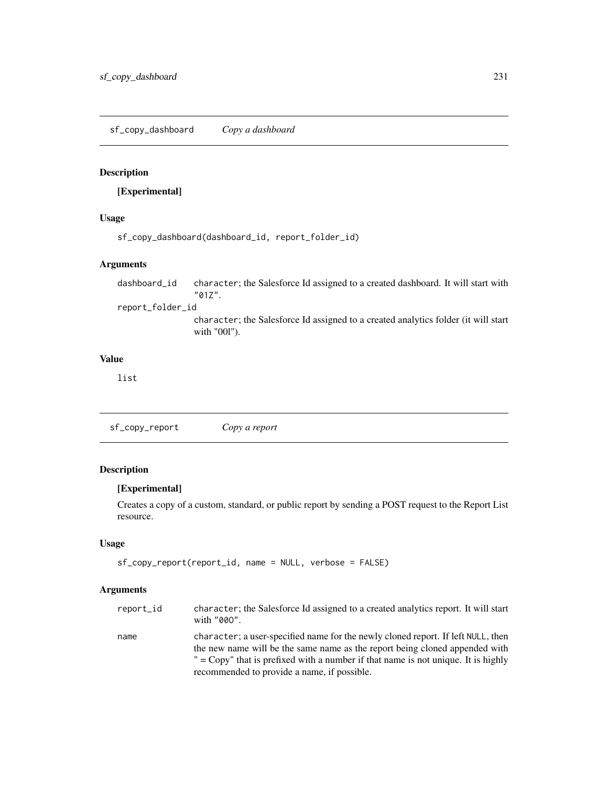# Description

# [Experimental]

# Usage

```
sf_copy_dashboard(dashboard_id, report_folder_id)
```
## Arguments

dashboard\_id character; the Salesforce Id assigned to a created dashboard. It will start with "01Z". report\_folder\_id

character; the Salesforce Id assigned to a created analytics folder (it will start with "00l").

# Value

list

<span id="page-230-0"></span>sf\_copy\_report *Copy a report*

# Description

## [Experimental]

Creates a copy of a custom, standard, or public report by sending a POST request to the Report List resource.

# Usage

```
sf_copy_report(report_id, name = NULL, verbose = FALSE)
```
# Arguments

| report_id | character; the Salesforce Id assigned to a created analytics report. It will start<br>with "000".                                                               |
|-----------|-----------------------------------------------------------------------------------------------------------------------------------------------------------------|
| name      | character; a user-specified name for the newly cloned report. If left NULL, then<br>the new name will be the same name as the report being cloned appended with |
|           | $" = Copy"$ that is prefixed with a number if that name is not unique. It is highly                                                                             |
|           | recommended to provide a name, if possible.                                                                                                                     |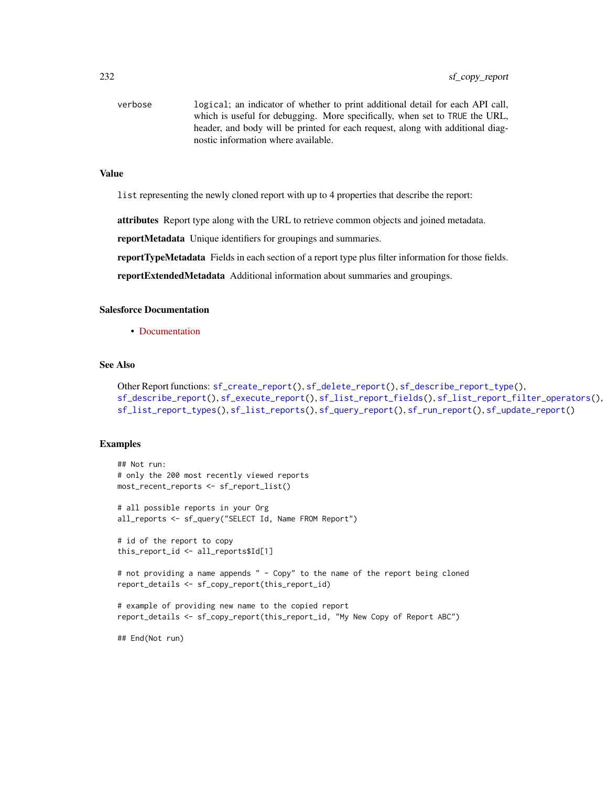verbose logical; an indicator of whether to print additional detail for each API call, which is useful for debugging. More specifically, when set to TRUE the URL, header, and body will be printed for each request, along with additional diagnostic information where available.

## Value

list representing the newly cloned report with up to 4 properties that describe the report:

**attributes** Report type along with the URL to retrieve common objects and joined metadata.

reportMetadata Unique identifiers for groupings and summaries.

reportTypeMetadata Fields in each section of a report type plus filter information for those fields.

reportExtendedMetadata Additional information about summaries and groupings.

# Salesforce Documentation

• [Documentation](https://developer.salesforce.com/docs/atlas.en-us.api_analytics.meta/api_analytics/sforce_analytics_rest_api_clone_report.htm)

# See Also

```
Other Report functions: sf_create_report(), sf_delete_report(), sf_describe_report_type(),
sf_describe_report(), sf_execute_report(), sf_list_report_fields(), sf_list_report_filter_operators(),
sf_list_report_types(), sf_list_reports(), sf_query_report(), sf_run_report(), sf_update_report()
```
#### Examples

```
## Not run:
# only the 200 most recently viewed reports
most_recent_reports <- sf_report_list()
# all possible reports in your Org
all_reports <- sf_query("SELECT Id, Name FROM Report")
# id of the report to copy
this_report_id <- all_reports$Id[1]
# not providing a name appends " - Copy" to the name of the report being cloned
report_details <- sf_copy_report(this_report_id)
# example of providing new name to the copied report
report_details <- sf_copy_report(this_report_id, "My New Copy of Report ABC")
## End(Not run)
```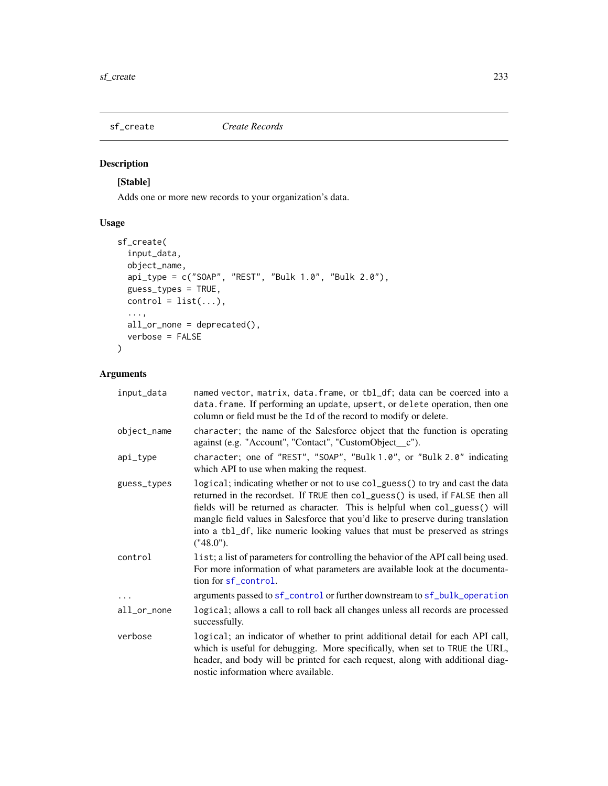<span id="page-232-0"></span>

# Description

# [Stable]

Adds one or more new records to your organization's data.

# Usage

```
sf_create(
  input_data,
 object_name,
 api_type = c("SOAP", "REST", "Bulk 1.0", "Bulk 2.0"),
  guess_types = TRUE,
 control = list(...),...,
 all_or_none = deprecated(),
 verbose = FALSE
)
```
# Arguments

| input_data  | named vector, matrix, data. frame, or tbl_df; data can be coerced into a<br>data. frame. If performing an update, upsert, or delete operation, then one<br>column or field must be the Id of the record to modify or delete.                                                                                                                                                                                                     |
|-------------|----------------------------------------------------------------------------------------------------------------------------------------------------------------------------------------------------------------------------------------------------------------------------------------------------------------------------------------------------------------------------------------------------------------------------------|
| object_name | character; the name of the Salesforce object that the function is operating<br>against (e.g. "Account", "Contact", "CustomObject_c").                                                                                                                                                                                                                                                                                            |
| api_type    | character; one of "REST", "SOAP", "Bulk 1.0", or "Bulk 2.0" indicating<br>which API to use when making the request.                                                                                                                                                                                                                                                                                                              |
| guess_types | logical; indicating whether or not to use col_guess() to try and cast the data<br>returned in the recordset. If TRUE then col_guess() is used, if FALSE then all<br>fields will be returned as character. This is helpful when col_guess() will<br>mangle field values in Salesforce that you'd like to preserve during translation<br>into a tbl_df, like numeric looking values that must be preserved as strings<br>("48.0"). |
| control     | list; a list of parameters for controlling the behavior of the API call being used.<br>For more information of what parameters are available look at the documenta-<br>tion for sf_control.                                                                                                                                                                                                                                      |
|             | arguments passed to sf_control or further downstream to sf_bulk_operation                                                                                                                                                                                                                                                                                                                                                        |
| all_or_none | logical; allows a call to roll back all changes unless all records are processed<br>successfully.                                                                                                                                                                                                                                                                                                                                |
| verbose     | logical; an indicator of whether to print additional detail for each API call,<br>which is useful for debugging. More specifically, when set to TRUE the URL,<br>header, and body will be printed for each request, along with additional diag-<br>nostic information where available.                                                                                                                                           |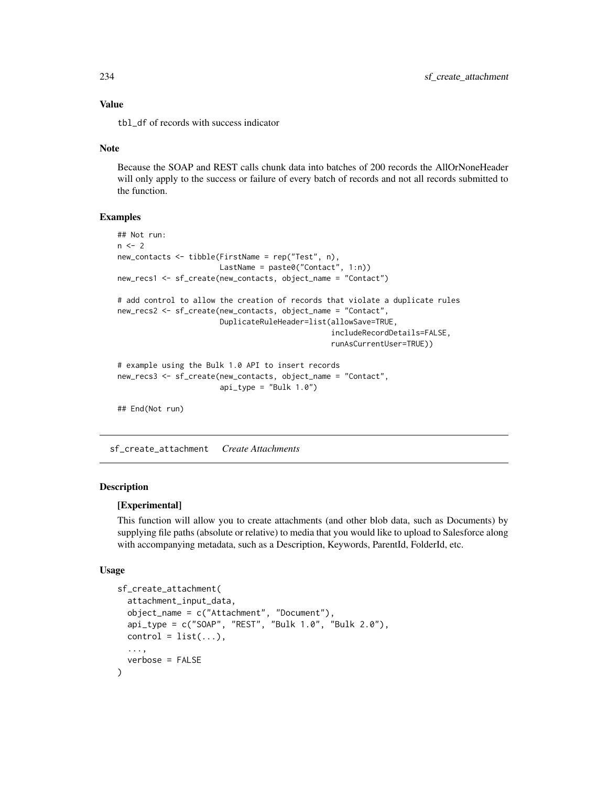# Value

tbl\_df of records with success indicator

#### Note

Because the SOAP and REST calls chunk data into batches of 200 records the AllOrNoneHeader will only apply to the success or failure of every batch of records and not all records submitted to the function.

#### Examples

```
## Not run:
n < - 2new_contacts <- tibble(FirstName = rep("Test", n),
                       LastName = paste0("Contact", 1:n))
new_recs1 <- sf_create(new_contacts, object_name = "Contact")
# add control to allow the creation of records that violate a duplicate rules
new_recs2 <- sf_create(new_contacts, object_name = "Contact",
                       DuplicateRuleHeader=list(allowSave=TRUE,
                                                includeRecordDetails=FALSE,
                                                runAsCurrentUser=TRUE))
# example using the Bulk 1.0 API to insert records
new_recs3 <- sf_create(new_contacts, object_name = "Contact",
                       api_type = "Bulk 1.0")## End(Not run)
```
<span id="page-233-0"></span>sf\_create\_attachment *Create Attachments*

## Description

#### [Experimental]

This function will allow you to create attachments (and other blob data, such as Documents) by supplying file paths (absolute or relative) to media that you would like to upload to Salesforce along with accompanying metadata, such as a Description, Keywords, ParentId, FolderId, etc.

#### Usage

```
sf_create_attachment(
  attachment_input_data,
  object_name = c("Attachment", "Document"),
  api_type = c("SOAP", "REST", "Bulk 1.0", "Bulk 2.0"),
  control = list(...),...,
  verbose = FALSE
)
```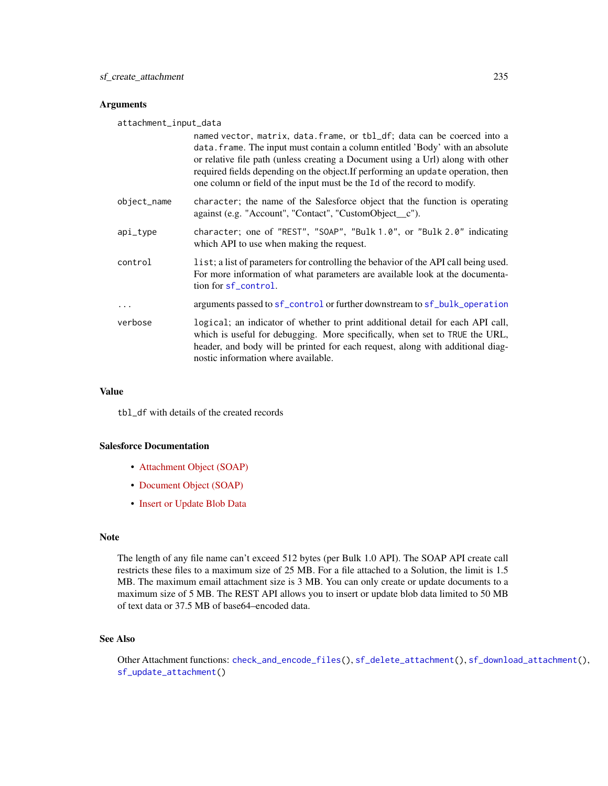### **Arguments**

attachment\_input\_data

|             | named vector, matrix, data. frame, or tbl_df; data can be coerced into a<br>data. frame. The input must contain a column entitled 'Body' with an absolute<br>or relative file path (unless creating a Document using a Url) along with other<br>required fields depending on the object. If performing an update operation, then<br>one column or field of the input must be the Id of the record to modify. |
|-------------|--------------------------------------------------------------------------------------------------------------------------------------------------------------------------------------------------------------------------------------------------------------------------------------------------------------------------------------------------------------------------------------------------------------|
| object_name | character; the name of the Salesforce object that the function is operating<br>against (e.g. "Account", "Contact", "CustomObject_c").                                                                                                                                                                                                                                                                        |
| api_type    | character; one of "REST", "SOAP", "Bulk 1.0", or "Bulk 2.0" indicating<br>which API to use when making the request.                                                                                                                                                                                                                                                                                          |
| control     | list; a list of parameters for controlling the behavior of the API call being used.<br>For more information of what parameters are available look at the documenta-<br>tion for sf_control.                                                                                                                                                                                                                  |
| .           | arguments passed to sf_control or further downstream to sf_bulk_operation                                                                                                                                                                                                                                                                                                                                    |
| verbose     | logical; an indicator of whether to print additional detail for each API call,<br>which is useful for debugging. More specifically, when set to TRUE the URL,<br>header, and body will be printed for each request, along with additional diag-<br>nostic information where available.                                                                                                                       |

## Value

tbl\_df with details of the created records

## Salesforce Documentation

- [Attachment Object \(SOAP\)](https://developer.salesforce.com/docs/atlas.en-us.api.meta/api/sforce_api_objects_attachment.htm)
- [Document Object \(SOAP\)](https://developer.salesforce.com/docs/atlas.en-us.api.meta/api/sforce_api_objects_document.htm)
- [Insert or Update Blob Data](https://developer.salesforce.com/docs/atlas.en-us.api_rest.meta/api_rest/dome_sobject_insert_update_blob.htm)

#### Note

The length of any file name can't exceed 512 bytes (per Bulk 1.0 API). The SOAP API create call restricts these files to a maximum size of 25 MB. For a file attached to a Solution, the limit is 1.5 MB. The maximum email attachment size is 3 MB. You can only create or update documents to a maximum size of 5 MB. The REST API allows you to insert or update blob data limited to 50 MB of text data or 37.5 MB of base64–encoded data.

## See Also

Other Attachment functions: [check\\_and\\_encode\\_files\(](#page-0-0)), [sf\\_delete\\_attachment\(](#page-244-0)), [sf\\_download\\_attachment\(](#page-256-0)), [sf\\_update\\_attachment\(](#page-332-0))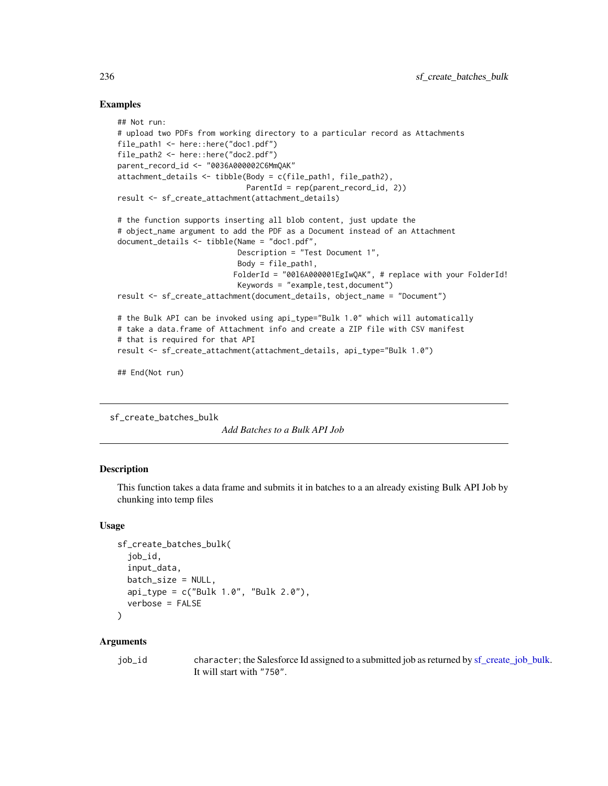## Examples

```
## Not run:
# upload two PDFs from working directory to a particular record as Attachments
file_path1 <- here::here("doc1.pdf")
file_path2 <- here::here("doc2.pdf")
parent_record_id <- "0036A000002C6MmQAK"
attachment_details <- tibble(Body = c(file_path1, file_path2),
                             ParentId = rep(parent_record_id, 2))
result <- sf_create_attachment(attachment_details)
# the function supports inserting all blob content, just update the
# object_name argument to add the PDF as a Document instead of an Attachment
document_details <- tibble(Name = "doc1.pdf",
                           Description = "Test Document 1",
                           Body = file\_path1,FolderId = "00l6A000001EgIwQAK", # replace with your FolderId!
                           Keywords = "example, test, document")result <- sf_create_attachment(document_details, object_name = "Document")
# the Bulk API can be invoked using api_type="Bulk 1.0" which will automatically
# take a data.frame of Attachment info and create a ZIP file with CSV manifest
# that is required for that API
result <- sf_create_attachment(attachment_details, api_type="Bulk 1.0")
```
## End(Not run)

<span id="page-235-0"></span>sf\_create\_batches\_bulk

*Add Batches to a Bulk API Job*

# Description

This function takes a data frame and submits it in batches to a an already existing Bulk API Job by chunking into temp files

## Usage

```
sf_create_batches_bulk(
  job_id,
  input_data,
 batch_size = NULL,
  api_type = c("Bulk 1.0", "Bulk 2.0"),
  verbose = FALSE
\lambda
```
## Arguments

| job_id | character; the Salesforce Id assigned to a submitted job as returned by sf_create_job_bulk. |
|--------|---------------------------------------------------------------------------------------------|
|        | It will start with "750".                                                                   |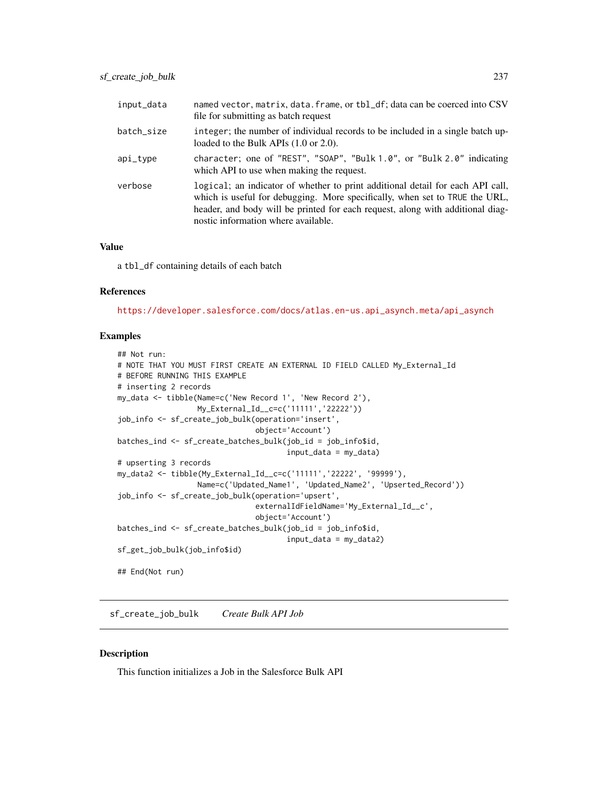| input_data | named vector, matrix, data. frame, or tbl_df; data can be coerced into CSV<br>file for submitting as batch request                                                                                                                                                                     |
|------------|----------------------------------------------------------------------------------------------------------------------------------------------------------------------------------------------------------------------------------------------------------------------------------------|
| batch_size | integer; the number of individual records to be included in a single batch up-<br>loaded to the Bulk APIs $(1.0 \text{ or } 2.0)$ .                                                                                                                                                    |
| api_type   | character; one of "REST", "SOAP", "Bulk $1.0$ ", or "Bulk $2.0$ " indicating<br>which API to use when making the request.                                                                                                                                                              |
| verbose    | logical; an indicator of whether to print additional detail for each API call,<br>which is useful for debugging. More specifically, when set to TRUE the URL,<br>header, and body will be printed for each request, along with additional diag-<br>nostic information where available. |

## Value

a tbl\_df containing details of each batch

#### References

[https://developer.salesforce.com/docs/atlas.en-us.api\\_asynch.meta/api\\_asynch](https://developer.salesforce.com/docs/atlas.en-us.api_asynch.meta/api_asynch)

## Examples

```
## Not run:
# NOTE THAT YOU MUST FIRST CREATE AN EXTERNAL ID FIELD CALLED My_External_Id
# BEFORE RUNNING THIS EXAMPLE
# inserting 2 records
my_data <- tibble(Name=c('New Record 1', 'New Record 2'),
                 My_External_Id__c=c('11111','22222'))
job_info <- sf_create_job_bulk(operation='insert',
                               object='Account')
batches_ind <- sf_create_batches_bulk(job_id = job_info$id,
                                      input_data = my_data)
# upserting 3 records
my_data2 <- tibble(My_External_Id__c=c('11111','22222', '99999'),
                  Name=c('Updated_Name1', 'Updated_Name2', 'Upserted_Record'))
job_info <- sf_create_job_bulk(operation='upsert',
                               externalIdFieldName='My_External_Id__c',
                               object='Account')
batches_ind <- sf_create_batches_bulk(job_id = job_info$id,
                                      input_data = my_data2)
sf_get_job_bulk(job_info$id)
## End(Not run)
```
<span id="page-236-0"></span>sf\_create\_job\_bulk *Create Bulk API Job*

## Description

This function initializes a Job in the Salesforce Bulk API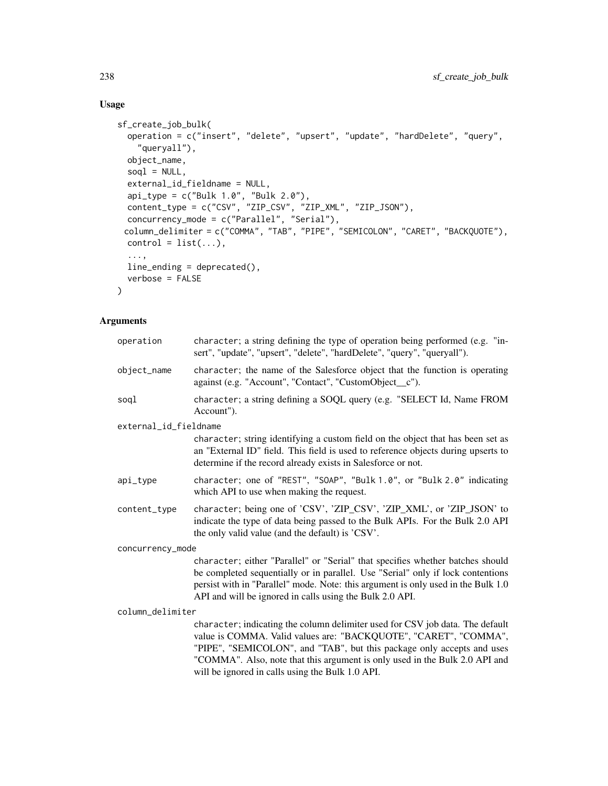# Usage

```
sf_create_job_bulk(
 operation = c("insert", "delete", "upsert", "update", "hardDelete", "query",
    "queryall"),
 object_name,
  soql = NULL,external_id_fieldname = NULL,
  api_type = c("Bulk 1.0", "Bulk 2.0"),
 content_type = c("CSV", "ZIP_CSV", "ZIP_XML", "ZIP_JSON"),
 concurrency_mode = c("Parallel", "Serial"),
 column_delimiter = c("COMMA", "TAB", "PIPE", "SEMICOLON", "CARET", "BACKQUOTE"),
 control = list(...),...,
 line_ending = deprecated(),
 verbose = FALSE
\mathcal{L}
```
# Arguments

| operation             | character; a string defining the type of operation being performed (e.g. "in-<br>sert", "update", "upsert", "delete", "hardDelete", "query", "queryall").                                                                                                                                                                                                      |
|-----------------------|----------------------------------------------------------------------------------------------------------------------------------------------------------------------------------------------------------------------------------------------------------------------------------------------------------------------------------------------------------------|
| object_name           | character; the name of the Salesforce object that the function is operating                                                                                                                                                                                                                                                                                    |
|                       | against (e.g. "Account", "Contact", "CustomObject_c").                                                                                                                                                                                                                                                                                                         |
| soql                  | character; a string defining a SOQL query (e.g. "SELECT Id, Name FROM<br>Account").                                                                                                                                                                                                                                                                            |
| external_id_fieldname |                                                                                                                                                                                                                                                                                                                                                                |
|                       | character; string identifying a custom field on the object that has been set as<br>an "External ID" field. This field is used to reference objects during upserts to<br>determine if the record already exists in Salesforce or not.                                                                                                                           |
| api_type              | character; one of "REST", "SOAP", "Bulk 1.0", or "Bulk 2.0" indicating<br>which API to use when making the request.                                                                                                                                                                                                                                            |
| content_type          | character; being one of 'CSV', 'ZIP_CSV', 'ZIP_XML', or 'ZIP_JSON' to<br>indicate the type of data being passed to the Bulk APIs. For the Bulk 2.0 API<br>the only valid value (and the default) is 'CSV'.                                                                                                                                                     |
| concurrency_mode      |                                                                                                                                                                                                                                                                                                                                                                |
|                       | character; either "Parallel" or "Serial" that specifies whether batches should<br>be completed sequentially or in parallel. Use "Serial" only if lock contentions<br>persist with in "Parallel" mode. Note: this argument is only used in the Bulk 1.0<br>API and will be ignored in calls using the Bulk 2.0 API.                                             |
| column_delimiter      |                                                                                                                                                                                                                                                                                                                                                                |
|                       | character; indicating the column delimiter used for CSV job data. The default<br>value is COMMA. Valid values are: "BACKQUOTE", "CARET", "COMMA",<br>"PIPE", "SEMICOLON", and "TAB", but this package only accepts and uses<br>"COMMA". Also, note that this argument is only used in the Bulk 2.0 API and<br>will be ignored in calls using the Bulk 1.0 API. |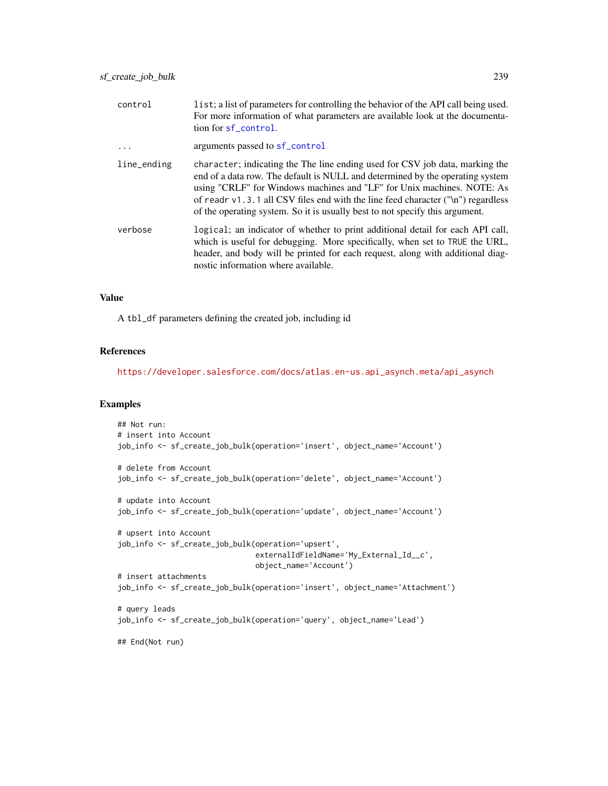| list; a list of parameters for controlling the behavior of the API call being used.<br>For more information of what parameters are available look at the documenta-<br>tion for sf_control.                                                                                                                                                                                                                   |
|---------------------------------------------------------------------------------------------------------------------------------------------------------------------------------------------------------------------------------------------------------------------------------------------------------------------------------------------------------------------------------------------------------------|
| arguments passed to sf_control                                                                                                                                                                                                                                                                                                                                                                                |
| character; indicating the The line ending used for CSV job data, marking the<br>end of a data row. The default is NULL and determined by the operating system<br>using "CRLF" for Windows machines and "LF" for Unix machines. NOTE: As<br>of readr $v1.3.1$ all CSV files end with the line feed character ("\n") regardless<br>of the operating system. So it is usually best to not specify this argument. |
| logical; an indicator of whether to print additional detail for each API call,<br>which is useful for debugging. More specifically, when set to TRUE the URL,<br>header, and body will be printed for each request, along with additional diag-<br>nostic information where available.                                                                                                                        |
|                                                                                                                                                                                                                                                                                                                                                                                                               |

## Value

A tbl\_df parameters defining the created job, including id

## References

[https://developer.salesforce.com/docs/atlas.en-us.api\\_asynch.meta/api\\_asynch](https://developer.salesforce.com/docs/atlas.en-us.api_asynch.meta/api_asynch)

# Examples

```
## Not run:
# insert into Account
job_info <- sf_create_job_bulk(operation='insert', object_name='Account')
# delete from Account
job_info <- sf_create_job_bulk(operation='delete', object_name='Account')
# update into Account
job_info <- sf_create_job_bulk(operation='update', object_name='Account')
# upsert into Account
job_info <- sf_create_job_bulk(operation='upsert',
                               externalIdFieldName='My_External_Id__c',
                               object_name='Account')
# insert attachments
job_info <- sf_create_job_bulk(operation='insert', object_name='Attachment')
# query leads
job_info <- sf_create_job_bulk(operation='query', object_name='Lead')
## End(Not run)
```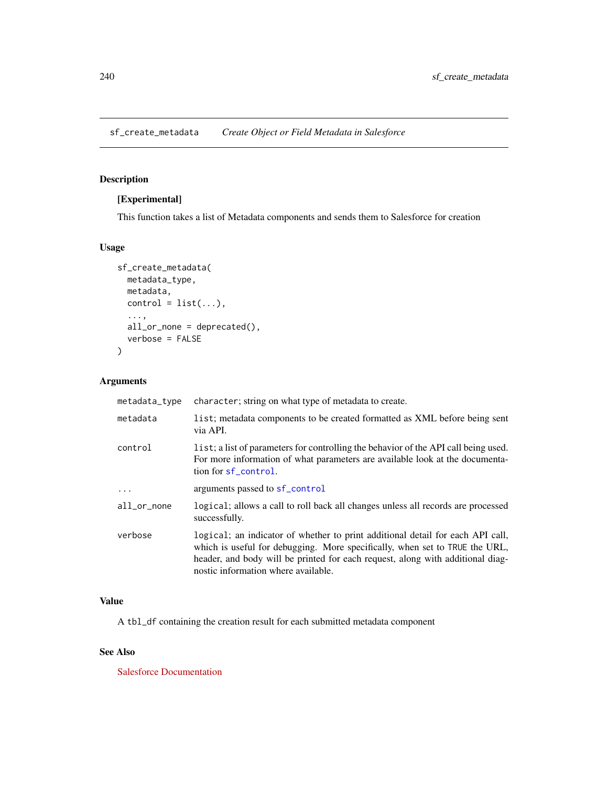# <span id="page-239-0"></span>Description

# [Experimental]

This function takes a list of Metadata components and sends them to Salesforce for creation

## Usage

```
sf_create_metadata(
 metadata_type,
 metadata,
 control = list(...),...,
  all_or_none = deprecated(),
  verbose = FALSE
\mathcal{L}
```
# Arguments

| metadata_type | character; string on what type of metadata to create.                                                                                                                                                                                                                                  |
|---------------|----------------------------------------------------------------------------------------------------------------------------------------------------------------------------------------------------------------------------------------------------------------------------------------|
| metadata      | list; metadata components to be created formatted as XML before being sent<br>via API.                                                                                                                                                                                                 |
| control       | list; a list of parameters for controlling the behavior of the API call being used.<br>For more information of what parameters are available look at the documenta-<br>tion for sf_control.                                                                                            |
| $\ddots$      | arguments passed to sf_control                                                                                                                                                                                                                                                         |
| all_or_none   | logical; allows a call to roll back all changes unless all records are processed<br>successfully.                                                                                                                                                                                      |
| verbose       | logical; an indicator of whether to print additional detail for each API call,<br>which is useful for debugging. More specifically, when set to TRUE the URL,<br>header, and body will be printed for each request, along with additional diag-<br>nostic information where available. |

# Value

A tbl\_df containing the creation result for each submitted metadata component

# See Also

[Salesforce Documentation](https://developer.salesforce.com/docs/atlas.en-us.api_meta.meta/api_meta)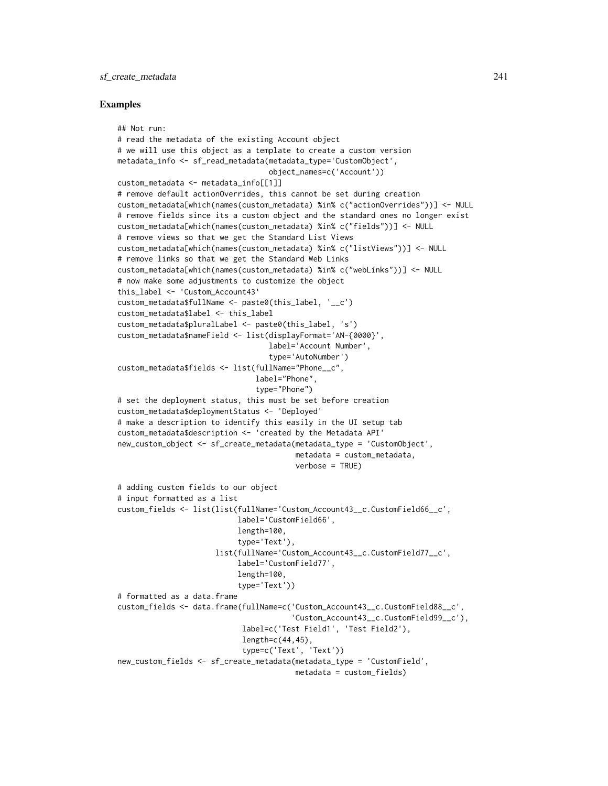#### sf\_create\_metadata 241

#### Examples

```
## Not run:
# read the metadata of the existing Account object
# we will use this object as a template to create a custom version
metadata_info <- sf_read_metadata(metadata_type='CustomObject',
                                  object_names=c('Account'))
custom_metadata <- metadata_info[[1]]
# remove default actionOverrides, this cannot be set during creation
custom_metadata[which(names(custom_metadata) %in% c("actionOverrides"))] <- NULL
# remove fields since its a custom object and the standard ones no longer exist
custom_metadata[which(names(custom_metadata) %in% c("fields"))] <- NULL
# remove views so that we get the Standard List Views
custom_metadata[which(names(custom_metadata) %in% c("listViews"))] <- NULL
# remove links so that we get the Standard Web Links
custom_metadata[which(names(custom_metadata) %in% c("webLinks"))] <- NULL
# now make some adjustments to customize the object
this_label <- 'Custom_Account43'
custom_metadata$fullName <- paste0(this_label, '__c')
custom_metadata$label <- this_label
custom_metadata$pluralLabel <- paste0(this_label, 's')
custom_metadata$nameField <- list(displayFormat='AN-{0000}',
                                  label='Account Number',
                                  type='AutoNumber')
custom_metadata$fields <- list(fullName="Phone__c",
                               label="Phone",
                               type="Phone")
# set the deployment status, this must be set before creation
custom_metadata$deploymentStatus <- 'Deployed'
# make a description to identify this easily in the UI setup tab
custom_metadata$description <- 'created by the Metadata API'
new_custom_object <- sf_create_metadata(metadata_type = 'CustomObject',
                                        metadata = custom_metadata,
                                        verbose = TRUE)
# adding custom fields to our object
# input formatted as a list
custom_fields <- list(list(fullName='Custom_Account43__c.CustomField66__c',
                           label='CustomField66',
                           length=100,
                           type='Text'),
                      list(fullName='Custom_Account43__c.CustomField77__c',
                           label='CustomField77',
                           length=100,
                           type='Text'))
# formatted as a data.frame
custom_fields <- data.frame(fullName=c('Custom_Account43__c.CustomField88__c',
                                       'Custom_Account43__c.CustomField99__c'),
                            label=c('Test Field1', 'Test Field2'),
                            length=c(44,45),
                            type=c('Text', 'Text'))
new_custom_fields <- sf_create_metadata(metadata_type = 'CustomField',
                                        metadata = custom_fields)
```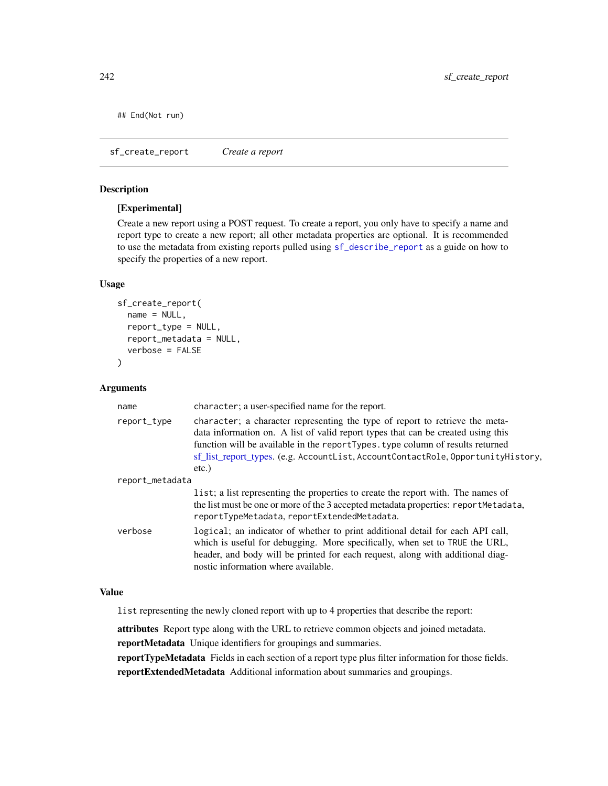## End(Not run)

<span id="page-241-0"></span>sf\_create\_report *Create a report*

# Description

## [Experimental]

Create a new report using a POST request. To create a report, you only have to specify a name and report type to create a new report; all other metadata properties are optional. It is recommended to use the metadata from existing reports pulled using [sf\\_describe\\_report](#page-254-0) as a guide on how to specify the properties of a new report.

# Usage

```
sf_create_report(
  name = NULL,report_type = NULL,
  report_metadata = NULL,
  verbose = FALSE
)
```
## Arguments

| name            | character; a user-specified name for the report.                                                                                                                                                                                                                                                                                                   |
|-----------------|----------------------------------------------------------------------------------------------------------------------------------------------------------------------------------------------------------------------------------------------------------------------------------------------------------------------------------------------------|
| report_type     | character; a character representing the type of report to retrieve the meta-<br>data information on. A list of valid report types that can be created using this<br>function will be available in the reportTypes. type column of results returned<br>sf list report types. (e.g. AccountList, AccountContactRole, OpportunityHistory,<br>$etc.$ ) |
| report_metadata |                                                                                                                                                                                                                                                                                                                                                    |
|                 | list; a list representing the properties to create the report with. The names of<br>the list must be one or more of the 3 accepted metadata properties: reportMetadata,<br>reportTypeMetadata, reportExtendedMetadata.                                                                                                                             |
| verbose         | logical; an indicator of whether to print additional detail for each API call,<br>which is useful for debugging. More specifically, when set to TRUE the URL,<br>header, and body will be printed for each request, along with additional diag-<br>nostic information where available.                                                             |

#### Value

list representing the newly cloned report with up to 4 properties that describe the report:

attributes Report type along with the URL to retrieve common objects and joined metadata.

reportMetadata Unique identifiers for groupings and summaries.

reportTypeMetadata Fields in each section of a report type plus filter information for those fields. reportExtendedMetadata Additional information about summaries and groupings.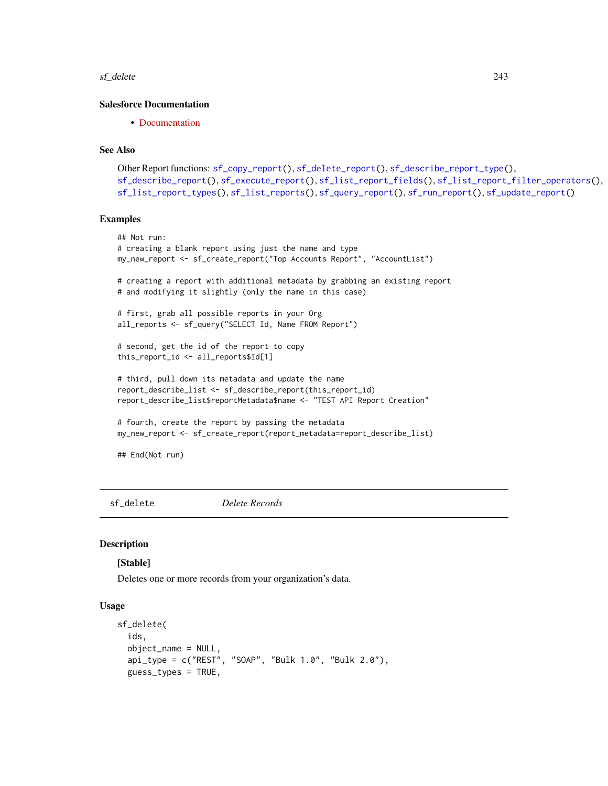#### sf\_delete 243

## Salesforce Documentation

• [Documentation](https://developer.salesforce.com/docs/atlas.en-us.api_analytics.meta/api_analytics/analytics_api_report_example_post_report.htm)

### See Also

```
Other Report functions: sf_copy_report(), sf_delete_report(), sf_describe_report_type(),
sf_describe_report(), sf_execute_report(), sf_list_report_fields(), sf_list_report_filter_operators(),
sf_list_report_types(), sf_list_reports(), sf_query_report(), sf_run_report(), sf_update_report()
```
#### Examples

```
## Not run:
# creating a blank report using just the name and type
my_new_report <- sf_create_report("Top Accounts Report", "AccountList")
# creating a report with additional metadata by grabbing an existing report
# and modifying it slightly (only the name in this case)
# first, grab all possible reports in your Org
all_reports <- sf_query("SELECT Id, Name FROM Report")
# second, get the id of the report to copy
this_report_id <- all_reports$Id[1]
# third, pull down its metadata and update the name
report_describe_list <- sf_describe_report(this_report_id)
report_describe_list$reportMetadata$name <- "TEST API Report Creation"
# fourth, create the report by passing the metadata
my_new_report <- sf_create_report(report_metadata=report_describe_list)
## End(Not run)
```
<span id="page-242-0"></span>sf\_delete *Delete Records*

## Description

## [Stable]

Deletes one or more records from your organization's data.

#### Usage

```
sf_delete(
  ids,
  object_name = NULL,
  api_type = c("REST", "SOAP", "Bulk 1.0", "Bulk 2.0"),
  guess_types = TRUE,
```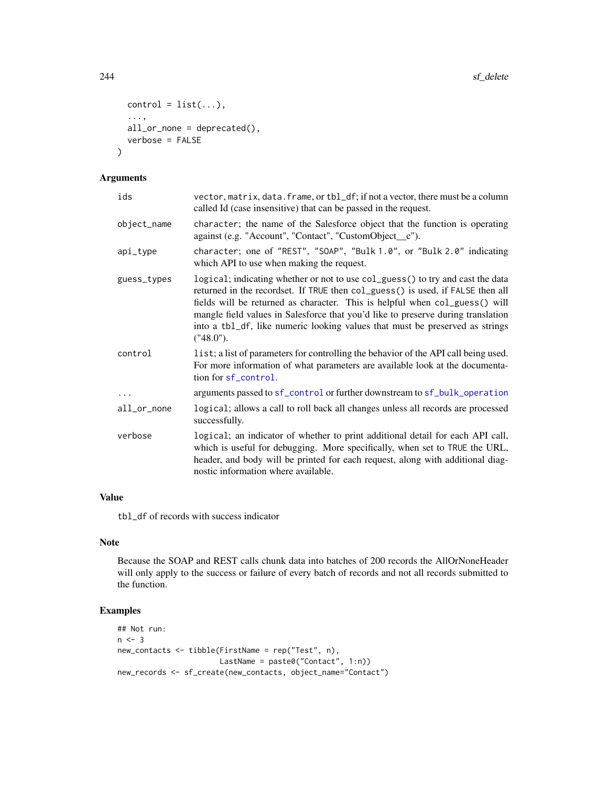```
control = list(...),...,
 all\_or\_none = dependence(),verbose = FALSE
)
```
# Arguments

| ids         | vector, matrix, data. frame, or tbl_df; if not a vector, there must be a column<br>called Id (case insensitive) that can be passed in the request.                                                                                                                                                                                                                                                                               |
|-------------|----------------------------------------------------------------------------------------------------------------------------------------------------------------------------------------------------------------------------------------------------------------------------------------------------------------------------------------------------------------------------------------------------------------------------------|
| object_name | character; the name of the Salesforce object that the function is operating<br>against (e.g. "Account", "Contact", "CustomObject_c").                                                                                                                                                                                                                                                                                            |
| api_type    | character; one of "REST", "SOAP", "Bulk 1.0", or "Bulk 2.0" indicating<br>which API to use when making the request.                                                                                                                                                                                                                                                                                                              |
| guess_types | logical; indicating whether or not to use col_guess() to try and cast the data<br>returned in the recordset. If TRUE then col_guess() is used, if FALSE then all<br>fields will be returned as character. This is helpful when col_guess() will<br>mangle field values in Salesforce that you'd like to preserve during translation<br>into a tb1_df, like numeric looking values that must be preserved as strings<br>("48.0"). |
| control     | list; a list of parameters for controlling the behavior of the API call being used.<br>For more information of what parameters are available look at the documenta-<br>tion for sf_control.                                                                                                                                                                                                                                      |
| $\ddots$    | arguments passed to sf_control or further downstream to sf_bulk_operation                                                                                                                                                                                                                                                                                                                                                        |
| all_or_none | logical; allows a call to roll back all changes unless all records are processed<br>successfully.                                                                                                                                                                                                                                                                                                                                |
| verbose     | logical; an indicator of whether to print additional detail for each API call,<br>which is useful for debugging. More specifically, when set to TRUE the URL,<br>header, and body will be printed for each request, along with additional diag-<br>nostic information where available.                                                                                                                                           |

# Value

tbl\_df of records with success indicator

## Note

Because the SOAP and REST calls chunk data into batches of 200 records the AllOrNoneHeader will only apply to the success or failure of every batch of records and not all records submitted to the function.

# Examples

```
## Not run:
n < -3new_contacts <- tibble(FirstName = rep("Test", n),
                      LastName = paste0("Contact", 1:n))
new_records <- sf_create(new_contacts, object_name="Contact")
```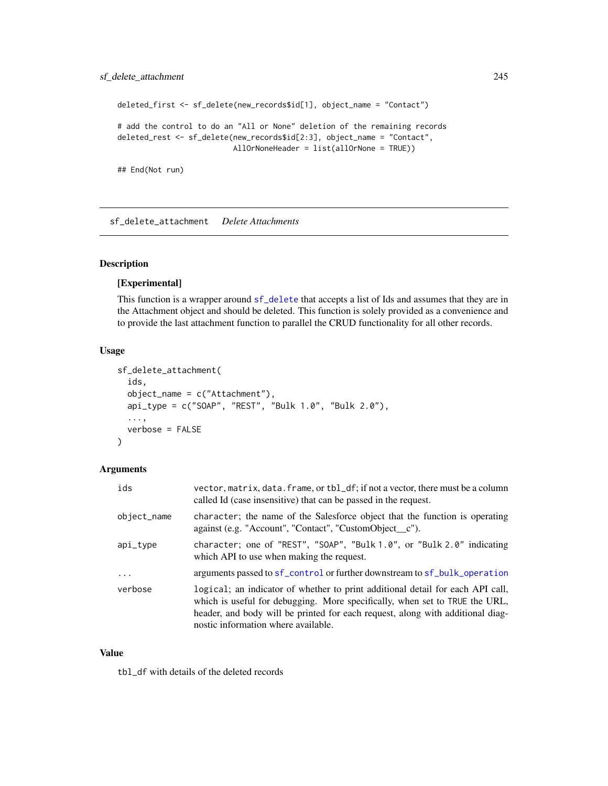# sf\_delete\_attachment 245

```
deleted_first <- sf_delete(new_records$id[1], object_name = "Contact")
# add the control to do an "All or None" deletion of the remaining records
deleted_rest <- sf_delete(new_records$id[2:3], object_name = "Contact",
                         AllOrNoneHeader = list(allOrNone = TRUE))
```
## End(Not run)

<span id="page-244-0"></span>sf\_delete\_attachment *Delete Attachments*

# Description

#### [Experimental]

This function is a wrapper around [sf\\_delete](#page-242-0) that accepts a list of Ids and assumes that they are in the Attachment object and should be deleted. This function is solely provided as a convenience and to provide the last attachment function to parallel the CRUD functionality for all other records.

#### Usage

```
sf_delete_attachment(
  ids,
  object_name = c("Attachment"),
  api_type = c("SOAP", "REST", "Bulk 1.0", "Bulk 2.0"),...,
  verbose = FALSE
\mathcal{E}
```
# Arguments

| ids         | vector, matrix, data. frame, or tbl_df; if not a vector, there must be a column<br>called Id (case insensitive) that can be passed in the request.                                                                                                                                     |
|-------------|----------------------------------------------------------------------------------------------------------------------------------------------------------------------------------------------------------------------------------------------------------------------------------------|
| object_name | character; the name of the Salesforce object that the function is operating<br>against (e.g. "Account", "Contact", "CustomObject_c").                                                                                                                                                  |
| api_type    | character; one of "REST", "SOAP", "Bulk 1.0", or "Bulk 2.0" indicating<br>which API to use when making the request.                                                                                                                                                                    |
| $\ddots$    | arguments passed to sf_control or further downstream to sf_bulk_operation                                                                                                                                                                                                              |
| verbose     | logical; an indicator of whether to print additional detail for each API call,<br>which is useful for debugging. More specifically, when set to TRUE the URL,<br>header, and body will be printed for each request, along with additional diag-<br>nostic information where available. |

#### Value

tbl\_df with details of the deleted records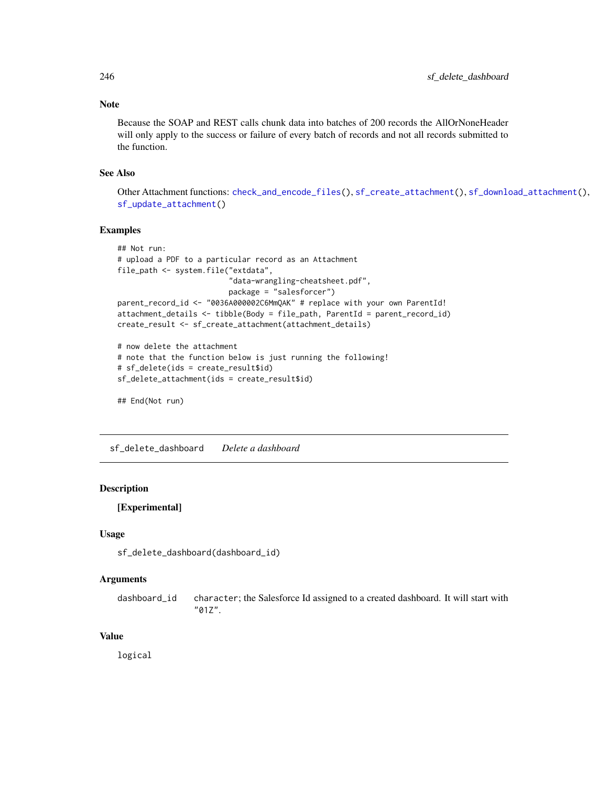## Note

Because the SOAP and REST calls chunk data into batches of 200 records the AllOrNoneHeader will only apply to the success or failure of every batch of records and not all records submitted to the function.

## See Also

Other Attachment functions: [check\\_and\\_encode\\_files\(](#page-0-0)), [sf\\_create\\_attachment\(](#page-233-0)), [sf\\_download\\_attachment\(](#page-256-0)), [sf\\_update\\_attachment\(](#page-332-0))

## Examples

```
## Not run:
# upload a PDF to a particular record as an Attachment
file_path <- system.file("extdata",
                         "data-wrangling-cheatsheet.pdf",
                         package = "salesforcer")
parent_record_id <- "0036A000002C6MmQAK" # replace with your own ParentId!
attachment_details <- tibble(Body = file_path, ParentId = parent_record_id)
create_result <- sf_create_attachment(attachment_details)
# now delete the attachment
# note that the function below is just running the following!
```

```
# sf_delete(ids = create_result$id)
```

```
sf_delete_attachment(ids = create_result$id)
```

```
## End(Not run)
```
sf\_delete\_dashboard *Delete a dashboard*

## Description

[Experimental]

#### Usage

sf\_delete\_dashboard(dashboard\_id)

#### Arguments

dashboard\_id character; the Salesforce Id assigned to a created dashboard. It will start with "01Z".

#### Value

logical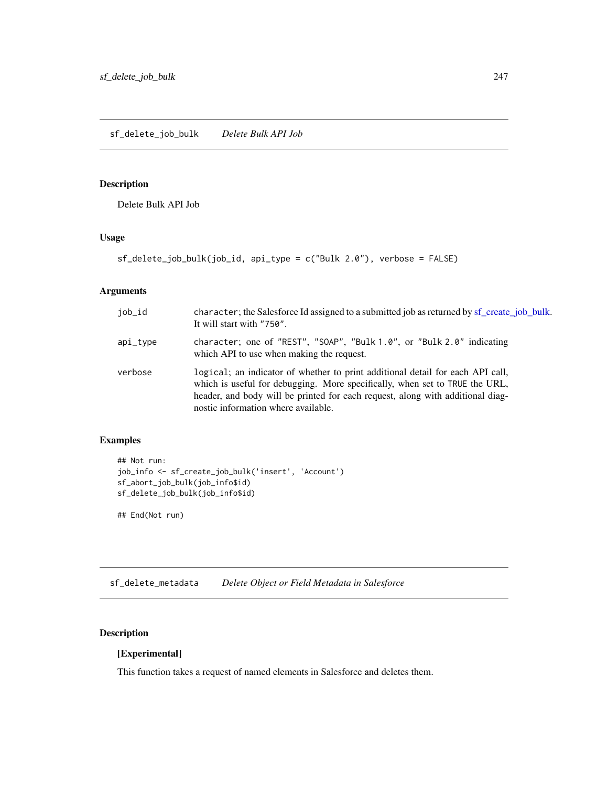sf\_delete\_job\_bulk *Delete Bulk API Job*

# Description

Delete Bulk API Job

# Usage

sf\_delete\_job\_bulk(job\_id, api\_type = c("Bulk 2.0"), verbose = FALSE)

## Arguments

| job_id   | character; the Salesforce Id assigned to a submitted job as returned by sf_create_job_bulk.<br>It will start with "750".                                                                                                                                                               |
|----------|----------------------------------------------------------------------------------------------------------------------------------------------------------------------------------------------------------------------------------------------------------------------------------------|
| api_type | character; one of "REST", "SOAP", "Bulk 1.0", or "Bulk 2.0" indicating<br>which API to use when making the request.                                                                                                                                                                    |
| verbose  | logical; an indicator of whether to print additional detail for each API call,<br>which is useful for debugging. More specifically, when set to TRUE the URL,<br>header, and body will be printed for each request, along with additional diag-<br>nostic information where available. |

# Examples

```
## Not run:
job_info <- sf_create_job_bulk('insert', 'Account')
sf_abort_job_bulk(job_info$id)
sf_delete_job_bulk(job_info$id)
```
## End(Not run)

<span id="page-246-0"></span>sf\_delete\_metadata *Delete Object or Field Metadata in Salesforce*

# Description

# [Experimental]

This function takes a request of named elements in Salesforce and deletes them.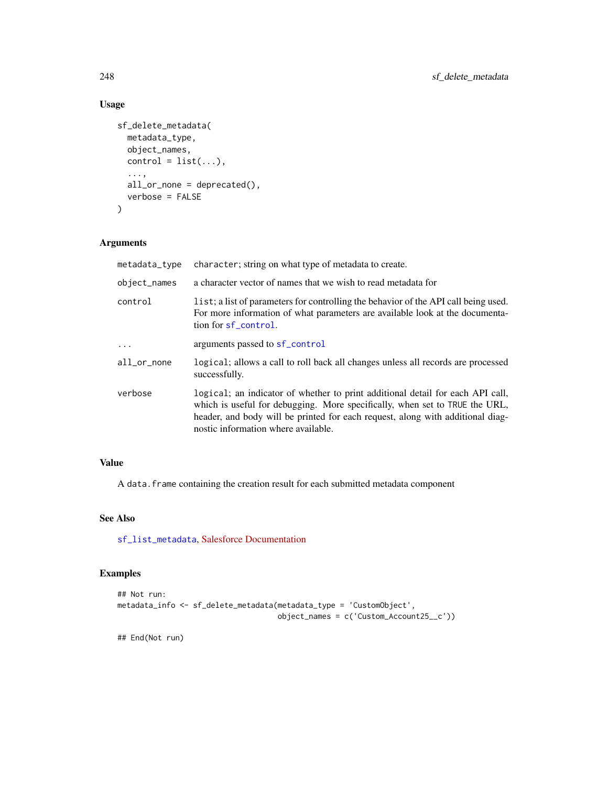# Usage

```
sf_delete_metadata(
 metadata_type,
 object_names,
 control = list(...),...,
 all_or_none = deprecated(),
 verbose = FALSE
)
```
# Arguments

| metadata_type | character; string on what type of metadata to create.                                                                                                                                                                                                                                  |
|---------------|----------------------------------------------------------------------------------------------------------------------------------------------------------------------------------------------------------------------------------------------------------------------------------------|
| object_names  | a character vector of names that we wish to read metadata for                                                                                                                                                                                                                          |
| control       | list; a list of parameters for controlling the behavior of the API call being used.<br>For more information of what parameters are available look at the documenta-<br>tion for sf_control.                                                                                            |
| $\ddots$      | arguments passed to sf_control                                                                                                                                                                                                                                                         |
| all_or_none   | logical; allows a call to roll back all changes unless all records are processed<br>successfully.                                                                                                                                                                                      |
| verbose       | logical; an indicator of whether to print additional detail for each API call,<br>which is useful for debugging. More specifically, when set to TRUE the URL,<br>header, and body will be printed for each request, along with additional diag-<br>nostic information where available. |

## Value

A data. frame containing the creation result for each submitted metadata component

# See Also

[sf\\_list\\_metadata](#page-281-0), [Salesforce Documentation](https://developer.salesforce.com/docs/atlas.en-us.api_meta.meta/api_meta)

## Examples

```
## Not run:
metadata_info <- sf_delete_metadata(metadata_type = 'CustomObject',
                                    object_names = c('Custom_Account25__c'))
```
## End(Not run)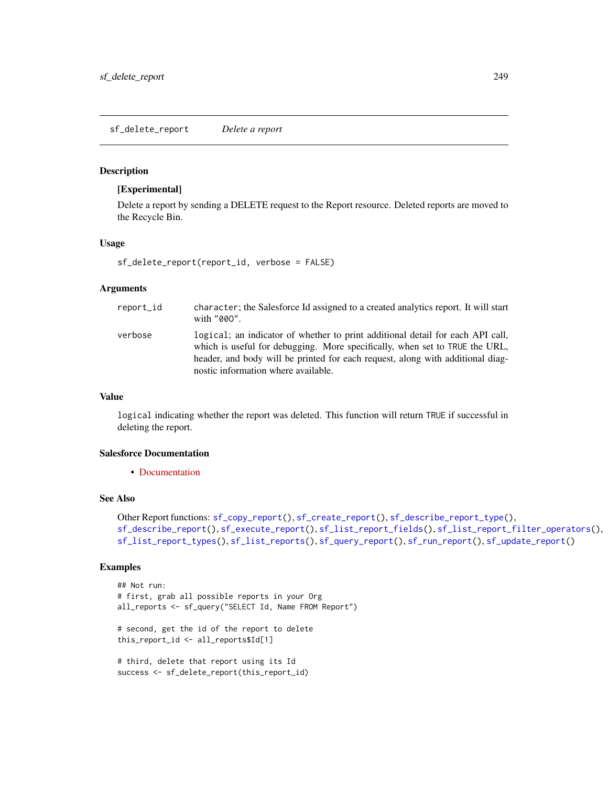#### <span id="page-248-0"></span>Description

#### [Experimental]

Delete a report by sending a DELETE request to the Report resource. Deleted reports are moved to the Recycle Bin.

## Usage

```
sf_delete_report(report_id, verbose = FALSE)
```
# Arguments

| report_id | character; the Salesforce Id assigned to a created analytics report. It will start<br>with "000".                                                                                                                                                                                      |
|-----------|----------------------------------------------------------------------------------------------------------------------------------------------------------------------------------------------------------------------------------------------------------------------------------------|
| verbose   | logical; an indicator of whether to print additional detail for each API call,<br>which is useful for debugging. More specifically, when set to TRUE the URL,<br>header, and body will be printed for each request, along with additional diag-<br>nostic information where available. |

## Value

logical indicating whether the report was deleted. This function will return TRUE if successful in deleting the report.

## Salesforce Documentation

• [Documentation](https://developer.salesforce.com/docs/atlas.en-us.api_analytics.meta/api_analytics/sforce_analytics_rest_api_delete_report.htm#example_delete_report)

## See Also

```
Other Report functions: sf_copy_report(), sf_create_report(), sf_describe_report_type(),
sf_describe_report(), sf_execute_report(), sf_list_report_fields(), sf_list_report_filter_operators(),
sf_list_report_types(), sf_list_reports(), sf_query_report(), sf_run_report(), sf_update_report()
```
## Examples

```
## Not run:
# first, grab all possible reports in your Org
all_reports <- sf_query("SELECT Id, Name FROM Report")
# second, get the id of the report to delete
this_report_id <- all_reports$Id[1]
# third, delete that report using its Id
success <- sf_delete_report(this_report_id)
```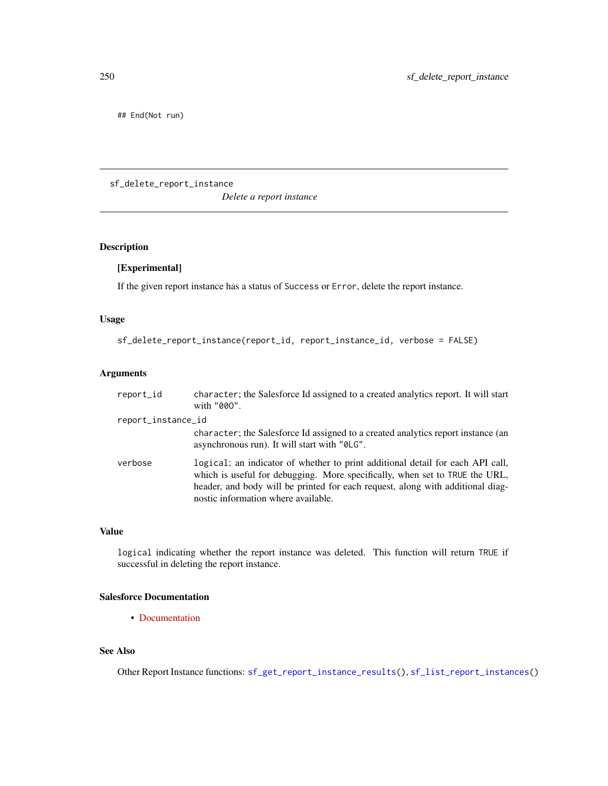## End(Not run)

sf\_delete\_report\_instance

*Delete a report instance*

# Description

# [Experimental]

If the given report instance has a status of Success or Error, delete the report instance.

## Usage

```
sf_delete_report_instance(report_id, report_instance_id, verbose = FALSE)
```
## Arguments

| report_id          | character; the Salesforce Id assigned to a created analytics report. It will start<br>with "000".                                                                                                                                                                                      |
|--------------------|----------------------------------------------------------------------------------------------------------------------------------------------------------------------------------------------------------------------------------------------------------------------------------------|
| report_instance_id |                                                                                                                                                                                                                                                                                        |
|                    | character; the Salesforce Id assigned to a created analytics report instance (an<br>asynchronous run). It will start with "0LG".                                                                                                                                                       |
| verbose            | logical; an indicator of whether to print additional detail for each API call,<br>which is useful for debugging. More specifically, when set to TRUE the URL,<br>header, and body will be printed for each request, along with additional diag-<br>nostic information where available. |

# Value

logical indicating whether the report instance was deleted. This function will return TRUE if successful in deleting the report instance.

# Salesforce Documentation

• [Documentation](https://developer.salesforce.com/docs/atlas.en-us.api_analytics.meta/api_analytics/sforce_analytics_rest_api_instance_resource_results.htm)

# See Also

Other Report Instance functions: [sf\\_get\\_report\\_instance\\_results\(](#page-275-0)), [sf\\_list\\_report\\_instances\(](#page-286-0))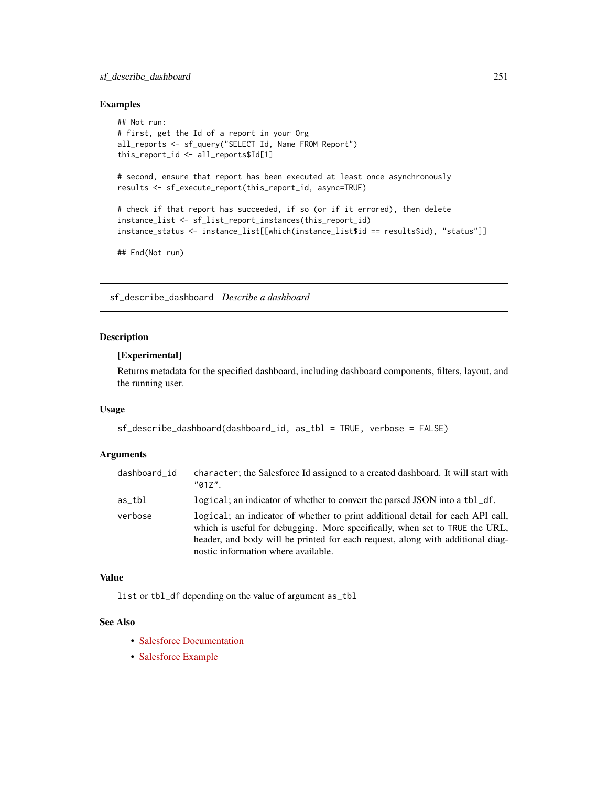# sf\_describe\_dashboard 251

### Examples

```
## Not run:
# first, get the Id of a report in your Org
all_reports <- sf_query("SELECT Id, Name FROM Report")
this_report_id <- all_reports$Id[1]
# second, ensure that report has been executed at least once asynchronously
results <- sf_execute_report(this_report_id, async=TRUE)
# check if that report has succeeded, if so (or if it errored), then delete
instance_list <- sf_list_report_instances(this_report_id)
instance_status <- instance_list[[which(instance_list$id == results$id), "status"]]
## End(Not run)
```
sf\_describe\_dashboard *Describe a dashboard*

## Description

#### [Experimental]

Returns metadata for the specified dashboard, including dashboard components, filters, layout, and the running user.

# Usage

```
sf_describe_dashboard(dashboard_id, as_tbl = TRUE, verbose = FALSE)
```
#### Arguments

| dashboard_id | character; the Salesforce Id assigned to a created dashboard. It will start with<br>$"017"$ .                                                                                                                                                                                          |
|--------------|----------------------------------------------------------------------------------------------------------------------------------------------------------------------------------------------------------------------------------------------------------------------------------------|
| as_tbl       | logical; an indicator of whether to convert the parsed JSON into a tbl_df.                                                                                                                                                                                                             |
| verbose      | logical; an indicator of whether to print additional detail for each API call,<br>which is useful for debugging. More specifically, when set to TRUE the URL,<br>header, and body will be printed for each request, along with additional diag-<br>nostic information where available. |

# Value

list or tbl\_df depending on the value of argument as\_tbl

## See Also

- [Salesforce Documentation](https://developer.salesforce.com/docs/atlas.en-us.api_analytics.meta/api_analytics/analytics_api_dashboard_describe_resource.htm)
- [Salesforce Example](https://developer.salesforce.com/docs/atlas.en-us.api_analytics.meta/api_analytics/analytics_api_dashboard_example_get_dashboard_metadata.htm#analytics_api_dashboard_example_get_dashboard_metadata)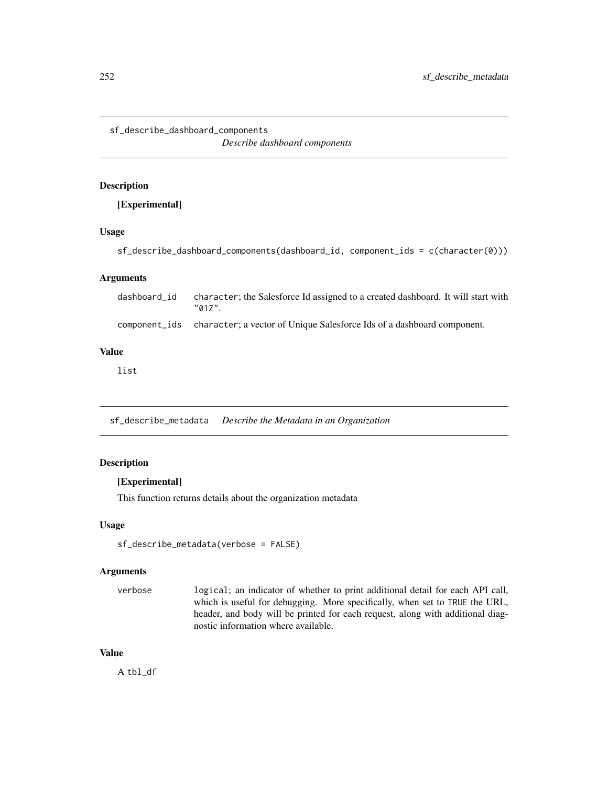sf\_describe\_dashboard\_components

*Describe dashboard components*

# Description

[Experimental]

# Usage

sf\_describe\_dashboard\_components(dashboard\_id, component\_ids = c(character(0)))

## Arguments

| dashboard id | character; the Salesforce Id assigned to a created dashboard. It will start with<br>"017" |
|--------------|-------------------------------------------------------------------------------------------|
|              | component_ids character; a vector of Unique Salesforce Ids of a dashboard component.      |

## Value

list

sf\_describe\_metadata *Describe the Metadata in an Organization*

# Description

## [Experimental]

This function returns details about the organization metadata

## Usage

```
sf_describe_metadata(verbose = FALSE)
```
#### Arguments

verbose logical; an indicator of whether to print additional detail for each API call, which is useful for debugging. More specifically, when set to TRUE the URL, header, and body will be printed for each request, along with additional diagnostic information where available.

## Value

A tbl\_df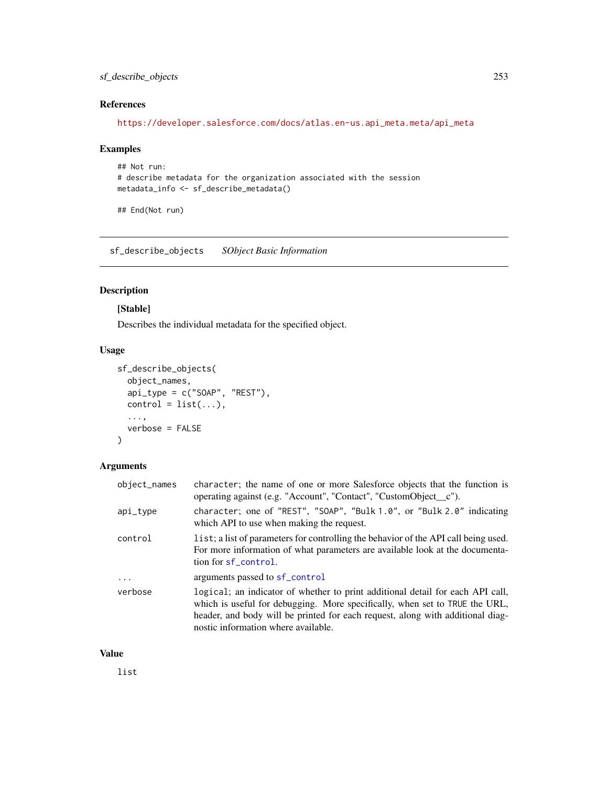## sf\_describe\_objects 253

# References

[https://developer.salesforce.com/docs/atlas.en-us.api\\_meta.meta/api\\_meta](https://developer.salesforce.com/docs/atlas.en-us.api_meta.meta/api_meta)

## Examples

```
## Not run:
# describe metadata for the organization associated with the session
metadata_info <- sf_describe_metadata()
```
## End(Not run)

sf\_describe\_objects *SObject Basic Information*

# Description

## [Stable]

Describes the individual metadata for the specified object.

## Usage

```
sf_describe_objects(
 object_names,
 api_type = c("SOAP", "REST"),
 control = list(...),...,
 verbose = FALSE
)
```
## Arguments

| object_names | character; the name of one or more Salesforce objects that the function is<br>operating against (e.g. "Account", "Contact", "CustomObject_c").                                                                                                                                         |
|--------------|----------------------------------------------------------------------------------------------------------------------------------------------------------------------------------------------------------------------------------------------------------------------------------------|
| $api_type$   | character; one of "REST", "SOAP", "Bulk 1.0", or "Bulk 2.0" indicating<br>which API to use when making the request.                                                                                                                                                                    |
| control      | list; a list of parameters for controlling the behavior of the API call being used.<br>For more information of what parameters are available look at the documenta-<br>tion for sf_control.                                                                                            |
| $\ddotsc$    | arguments passed to sf_control                                                                                                                                                                                                                                                         |
| verbose      | logical; an indicator of whether to print additional detail for each API call,<br>which is useful for debugging. More specifically, when set to TRUE the URL,<br>header, and body will be printed for each request, along with additional diag-<br>nostic information where available. |

#### Value

list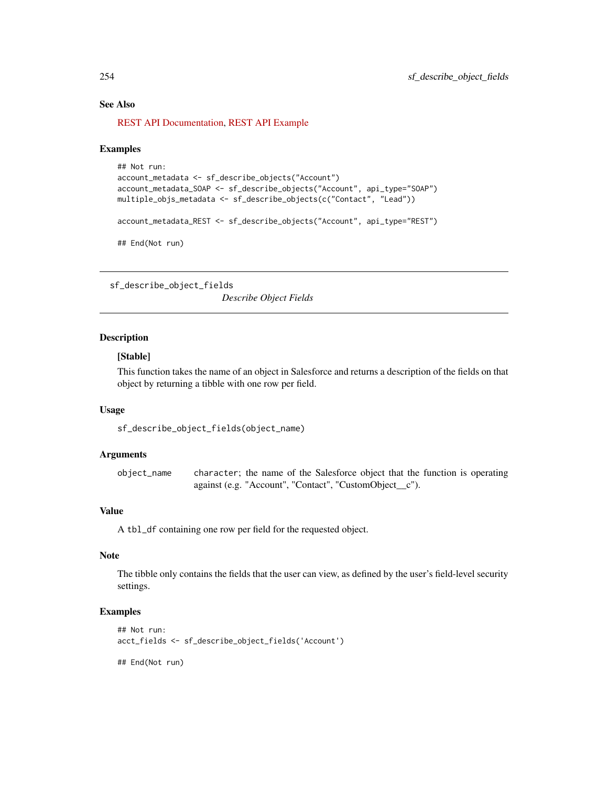#### See Also

[REST API Documentation,](https://developer.salesforce.com/docs/atlas.en-us.api_rest.meta/api_rest/resources_sobject_describe.htm) [REST API Example](https://developer.salesforce.com/docs/atlas.en-us.api_rest.meta/api_rest/dome_sobject_describe.htm)

#### Examples

```
## Not run:
account_metadata <- sf_describe_objects("Account")
account_metadata_SOAP <- sf_describe_objects("Account", api_type="SOAP")
multiple_objs_metadata <- sf_describe_objects(c("Contact", "Lead"))
account_metadata_REST <- sf_describe_objects("Account", api_type="REST")
## End(Not run)
```
sf\_describe\_object\_fields

*Describe Object Fields*

## Description

## [Stable]

This function takes the name of an object in Salesforce and returns a description of the fields on that object by returning a tibble with one row per field.

## Usage

sf\_describe\_object\_fields(object\_name)

#### Arguments

object\_name character; the name of the Salesforce object that the function is operating against (e.g. "Account", "Contact", "CustomObject\_\_c").

#### Value

A tbl\_df containing one row per field for the requested object.

## Note

The tibble only contains the fields that the user can view, as defined by the user's field-level security settings.

# Examples

```
## Not run:
acct_fields <- sf_describe_object_fields('Account')
```
## End(Not run)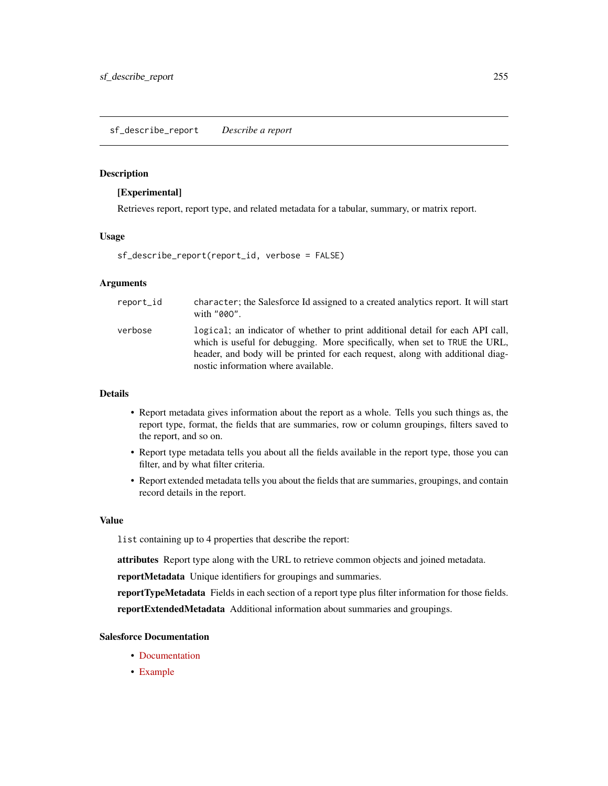#### <span id="page-254-0"></span>**Description**

#### [Experimental]

Retrieves report, report type, and related metadata for a tabular, summary, or matrix report.

#### Usage

```
sf_describe_report(report_id, verbose = FALSE)
```
# Arguments

| report id | character; the Salesforce Id assigned to a created analytics report. It will start<br>with "000".                                                                                                                                                                                      |
|-----------|----------------------------------------------------------------------------------------------------------------------------------------------------------------------------------------------------------------------------------------------------------------------------------------|
| verbose   | logical; an indicator of whether to print additional detail for each API call,<br>which is useful for debugging. More specifically, when set to TRUE the URL,<br>header, and body will be printed for each request, along with additional diag-<br>nostic information where available. |

## Details

- Report metadata gives information about the report as a whole. Tells you such things as, the report type, format, the fields that are summaries, row or column groupings, filters saved to the report, and so on.
- Report type metadata tells you about all the fields available in the report type, those you can filter, and by what filter criteria.
- Report extended metadata tells you about the fields that are summaries, groupings, and contain record details in the report.

## Value

list containing up to 4 properties that describe the report:

attributes Report type along with the URL to retrieve common objects and joined metadata.

reportMetadata Unique identifiers for groupings and summaries.

reportTypeMetadata Fields in each section of a report type plus filter information for those fields. reportExtendedMetadata Additional information about summaries and groupings.

#### Salesforce Documentation

- [Documentation](https://developer.salesforce.com/docs/atlas.en-us.api_analytics.meta/api_analytics/sforce_analytics_rest_api_getbasic_reportmetadata.htm)
- [Example](https://developer.salesforce.com/docs/atlas.en-us.api_analytics.meta/api_analytics/sforce_analytics_rest_api_get_reportmetadata.htm#example_report_getdescribe)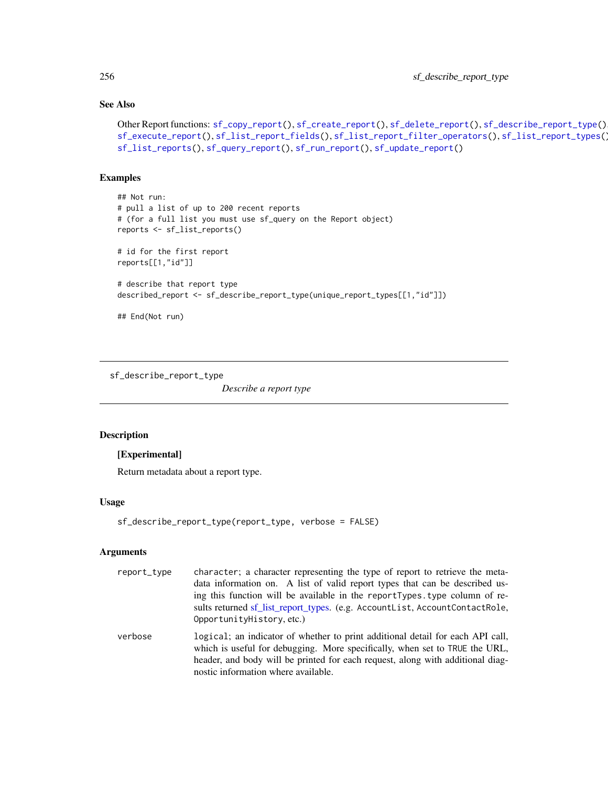# See Also

```
Other Report functions: sf_copy_report(), sf_create_report(), sf_delete_report(), sf_describe_report_type(),
sf_execute_report(), sf_list_report_fields(), sf_list_report_filter_operators(), sf_list_report_types(),
sf_list_reports(), sf_query_report(), sf_run_report(), sf_update_report()
```
#### Examples

```
## Not run:
# pull a list of up to 200 recent reports
# (for a full list you must use sf_query on the Report object)
reports <- sf_list_reports()
# id for the first report
reports[[1,"id"]]
# describe that report type
described_report <- sf_describe_report_type(unique_report_types[[1,"id"]])
## End(Not run)
```
<span id="page-255-0"></span>sf\_describe\_report\_type

*Describe a report type*

#### Description

## [Experimental]

Return metadata about a report type.

#### Usage

```
sf_describe_report_type(report_type, verbose = FALSE)
```
# Arguments

| report_type | character; a character representing the type of report to retrieve the meta-<br>data information on. A list of valid report types that can be described us-<br>ing this function will be available in the reportTypes. type column of re-<br>sults returned sf_list_report_types. (e.g. AccountList, AccountContactRole,<br>OpportunityHistory, etc.) |
|-------------|-------------------------------------------------------------------------------------------------------------------------------------------------------------------------------------------------------------------------------------------------------------------------------------------------------------------------------------------------------|
| verbose     | logical; an indicator of whether to print additional detail for each API call,<br>which is useful for debugging. More specifically, when set to TRUE the URL,<br>header, and body will be printed for each request, along with additional diag-<br>nostic information where available.                                                                |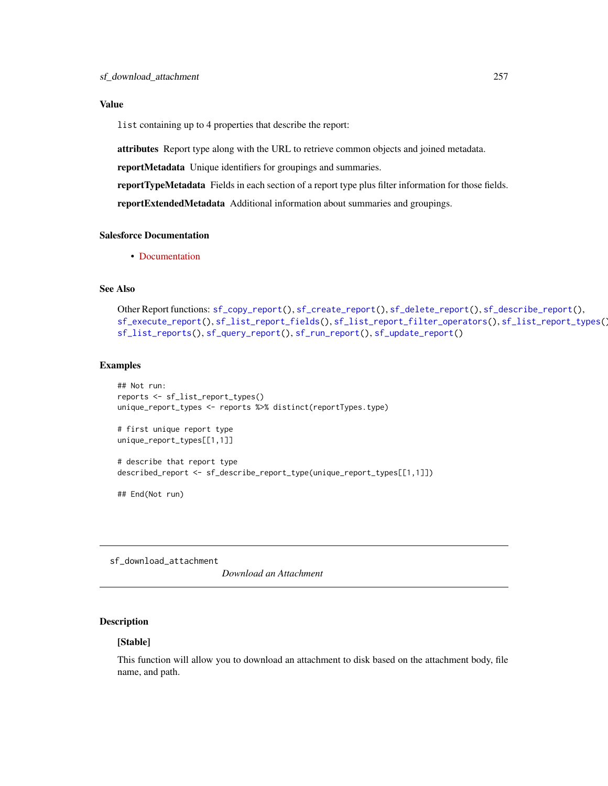## Value

list containing up to 4 properties that describe the report:

attributes Report type along with the URL to retrieve common objects and joined metadata.

reportMetadata Unique identifiers for groupings and summaries.

reportTypeMetadata Fields in each section of a report type plus filter information for those fields.

reportExtendedMetadata Additional information about summaries and groupings.

## Salesforce Documentation

• [Documentation](https://developer.salesforce.com/docs/atlas.en-us.api_analytics.meta/api_analytics/analytics_api_reporttypes_reference_reporttype.htm)

# See Also

```
Other Report functions: sf_copy_report(), sf_create_report(), sf_delete_report(), sf_describe_report(),
sf_execute_report(), sf_list_report_fields(), sf_list_report_filter_operators(), sf_list_report_types(),
sf_list_reports(), sf_query_report(), sf_run_report(), sf_update_report()
```
## Examples

```
## Not run:
reports <- sf_list_report_types()
unique_report_types <- reports %>% distinct(reportTypes.type)
# first unique report type
unique_report_types[[1,1]]
# describe that report type
described_report <- sf_describe_report_type(unique_report_types[[1,1]])
## End(Not run)
```
sf\_download\_attachment

*Download an Attachment*

# Description

## [Stable]

This function will allow you to download an attachment to disk based on the attachment body, file name, and path.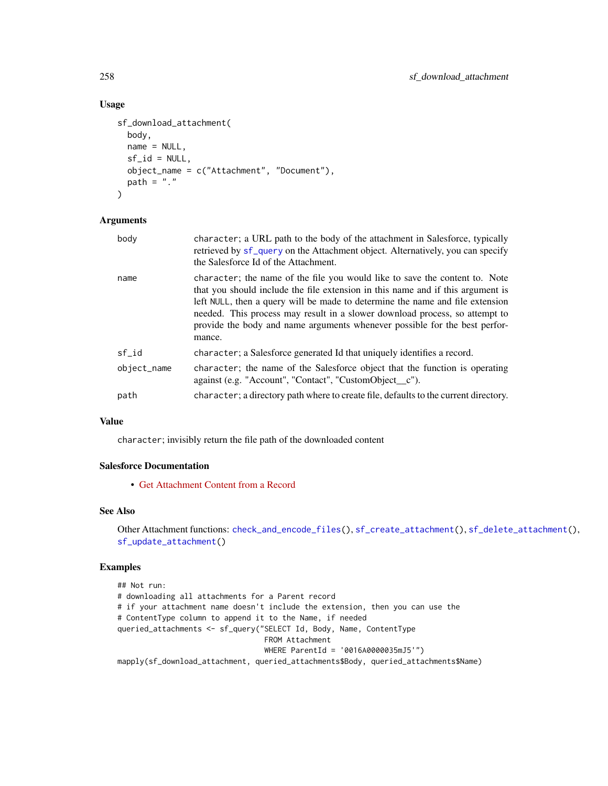## Usage

```
sf_download_attachment(
 body,
 name = NULL,
 sf_id = NULL,object_name = c("Attachment", "Document"),
 path = "."
)
```
## Arguments

| body        | character; a URL path to the body of the attachment in Salesforce, typically<br>retrieved by sf_query on the Attachment object. Alternatively, you can specify<br>the Salesforce Id of the Attachment.                                                                                                                                                                                                                 |
|-------------|------------------------------------------------------------------------------------------------------------------------------------------------------------------------------------------------------------------------------------------------------------------------------------------------------------------------------------------------------------------------------------------------------------------------|
| name        | character; the name of the file you would like to save the content to. Note<br>that you should include the file extension in this name and if this argument is<br>left NULL, then a query will be made to determine the name and file extension<br>needed. This process may result in a slower download process, so attempt to<br>provide the body and name arguments whenever possible for the best perfor-<br>mance. |
| sf id       | character; a Salesforce generated Id that uniquely identifies a record.                                                                                                                                                                                                                                                                                                                                                |
| object_name | character; the name of the Salesforce object that the function is operating<br>against (e.g. "Account", "Contact", "CustomObject_c").                                                                                                                                                                                                                                                                                  |
| path        | character; a directory path where to create file, defaults to the current directory.                                                                                                                                                                                                                                                                                                                                   |

## Value

character; invisibly return the file path of the downloaded content

## Salesforce Documentation

• [Get Attachment Content from a Record](https://developer.salesforce.com/docs/atlas.en-us.api_rest.meta/api_rest/dome_sobject_blob_retrieve.htm)

#### See Also

Other Attachment functions: [check\\_and\\_encode\\_files\(](#page-0-0)), [sf\\_create\\_attachment\(](#page-233-0)), [sf\\_delete\\_attachment\(](#page-244-0)), [sf\\_update\\_attachment\(](#page-332-0))

## Examples

```
## Not run:
# downloading all attachments for a Parent record
# if your attachment name doesn't include the extension, then you can use the
# ContentType column to append it to the Name, if needed
queried_attachments <- sf_query("SELECT Id, Body, Name, ContentType
                                 FROM Attachment
                                 WHERE ParentId = '0016A0000035mJ5'")
mapply(sf_download_attachment, queried_attachments$Body, queried_attachments$Name)
```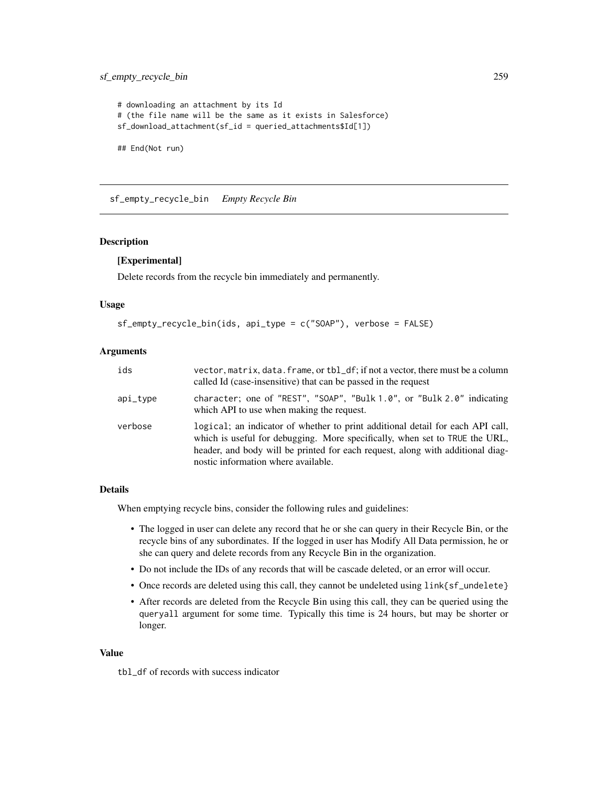## sf\_empty\_recycle\_bin 259

```
# downloading an attachment by its Id
# (the file name will be the same as it exists in Salesforce)
sf_download_attachment(sf_id = queried_attachments$Id[1])
## End(Not run)
```
sf\_empty\_recycle\_bin *Empty Recycle Bin*

## Description

#### [Experimental]

Delete records from the recycle bin immediately and permanently.

#### Usage

```
sf_empty_recycle_bin(ids, api_type = c("SOAP"), verbose = FALSE)
```
#### Arguments

| ids      | vector, matrix, data. frame, or tbl_df; if not a vector, there must be a column<br>called Id (case-insensitive) that can be passed in the request                                                                                                                                      |
|----------|----------------------------------------------------------------------------------------------------------------------------------------------------------------------------------------------------------------------------------------------------------------------------------------|
| api_tvpe | character; one of "REST", "SOAP", "Bulk $1.0$ ", or "Bulk $2.0$ " indicating<br>which API to use when making the request.                                                                                                                                                              |
| verbose  | logical; an indicator of whether to print additional detail for each API call,<br>which is useful for debugging. More specifically, when set to TRUE the URL,<br>header, and body will be printed for each request, along with additional diag-<br>nostic information where available. |

#### Details

When emptying recycle bins, consider the following rules and guidelines:

- The logged in user can delete any record that he or she can query in their Recycle Bin, or the recycle bins of any subordinates. If the logged in user has Modify All Data permission, he or she can query and delete records from any Recycle Bin in the organization.
- Do not include the IDs of any records that will be cascade deleted, or an error will occur.
- Once records are deleted using this call, they cannot be undeleted using link{sf\_undelete}
- After records are deleted from the Recycle Bin using this call, they can be queried using the queryall argument for some time. Typically this time is 24 hours, but may be shorter or longer.

#### Value

tbl\_df of records with success indicator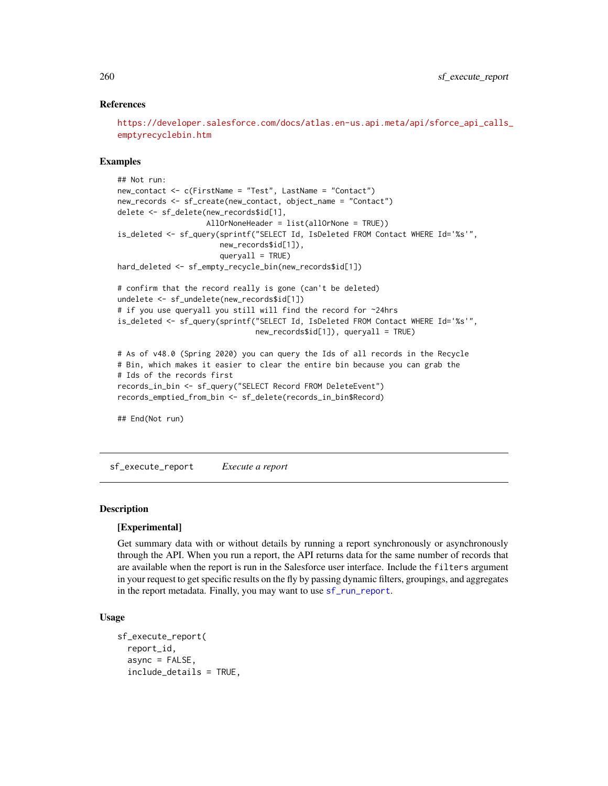## References

[https://developer.salesforce.com/docs/atlas.en-us.api.meta/api/sforce\\_api\\_calls\\_](https://developer.salesforce.com/docs/atlas.en-us.api.meta/api/sforce_api_calls_emptyrecyclebin.htm) [emptyrecyclebin.htm](https://developer.salesforce.com/docs/atlas.en-us.api.meta/api/sforce_api_calls_emptyrecyclebin.htm)

#### Examples

```
## Not run:
new_contact <- c(FirstName = "Test", LastName = "Contact")
new_records <- sf_create(new_contact, object_name = "Contact")
delete <- sf_delete(new_records$id[1],
                    AllOrNoneHeader = list(allOrNone = TRUE))
is_deleted <- sf_query(sprintf("SELECT Id, IsDeleted FROM Contact WHERE Id='%s'",
                       new_records$id[1]),
                       queryall = TRUE)
hard_deleted <- sf_empty_recycle_bin(new_records$id[1])
# confirm that the record really is gone (can't be deleted)
undelete <- sf_undelete(new_records$id[1])
# if you use queryall you still will find the record for ~24hrs
is_deleted <- sf_query(sprintf("SELECT Id, IsDeleted FROM Contact WHERE Id='%s'",
                               new_records$id[1]), queryall = TRUE)
# As of v48.0 (Spring 2020) you can query the Ids of all records in the Recycle
# Bin, which makes it easier to clear the entire bin because you can grab the
# Ids of the records first
records_in_bin <- sf_query("SELECT Record FROM DeleteEvent")
records_emptied_from_bin <- sf_delete(records_in_bin$Record)
## End(Not run)
```
<span id="page-259-0"></span>sf\_execute\_report *Execute a report*

## **Description**

#### [Experimental]

Get summary data with or without details by running a report synchronously or asynchronously through the API. When you run a report, the API returns data for the same number of records that are available when the report is run in the Salesforce user interface. Include the filters argument in your request to get specific results on the fly by passing dynamic filters, groupings, and aggregates in the report metadata. Finally, you may want to use [sf\\_run\\_report](#page-320-0).

#### Usage

```
sf_execute_report(
 report_id,
  async = FALSE,include_details = TRUE,
```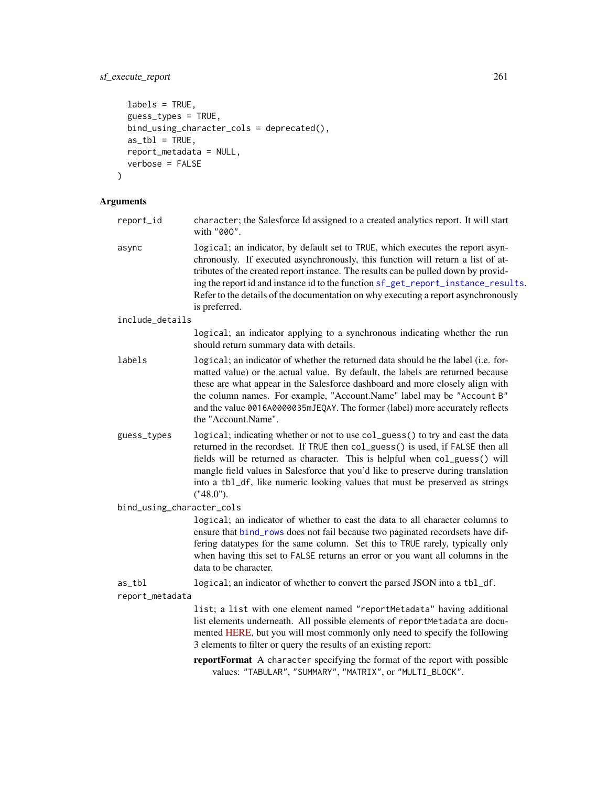# sf\_execute\_report 261

```
labels = TRUE,
guess_types = TRUE,
bind_using_character_cols = deprecated(),
as_t<sub>b</sub>l = TRUE,
report_metadata = NULL,
verbose = FALSE
```
#### Arguments

)

- report\_id character; the Salesforce Id assigned to a created analytics report. It will start with "00O".
- async logical; an indicator, by default set to TRUE, which executes the report asynchronously. If executed asynchronously, this function will return a list of attributes of the created report instance. The results can be pulled down by providing the report id and instance id to the function [sf\\_get\\_report\\_instance\\_results](#page-275-0). Refer to the details of the documentation on why executing a report asynchronously is preferred.
- include\_details

logical; an indicator applying to a synchronous indicating whether the run should return summary data with details.

- labels logical; an indicator of whether the returned data should be the label (i.e. formatted value) or the actual value. By default, the labels are returned because these are what appear in the Salesforce dashboard and more closely align with the column names. For example, "Account.Name" label may be "Account B" and the value 0016A0000035mJEQAY. The former (label) more accurately reflects the "Account.Name".
- guess\_types logical; indicating whether or not to use col\_guess() to try and cast the data returned in the recordset. If TRUE then col\_guess() is used, if FALSE then all fields will be returned as character. This is helpful when col\_guess() will mangle field values in Salesforce that you'd like to preserve during translation into a tbl\_df, like numeric looking values that must be preserved as strings ("48.0").

bind\_using\_character\_cols

logical; an indicator of whether to cast the data to all character columns to ensure that [bind\\_rows](#page-0-0) does not fail because two paginated recordsets have differing datatypes for the same column. Set this to TRUE rarely, typically only when having this set to FALSE returns an error or you want all columns in the data to be character.

as\_tbl logical; an indicator of whether to convert the parsed JSON into a tbl\_df.

report\_metadata

list; a list with one element named "reportMetadata" having additional list elements underneath. All possible elements of reportMetadata are documented [HERE,](https://developer.salesforce.com/docs/atlas.en-us.api_analytics.meta/api_analytics/sforce_analytics_rest_api_getbasic_reportmetadata.htm#analyticsapi_basicmetadata) but you will most commonly only need to specify the following 3 elements to filter or query the results of an existing report:

reportFormat A character specifying the format of the report with possible values: "TABULAR", "SUMMARY", "MATRIX", or "MULTI\_BLOCK".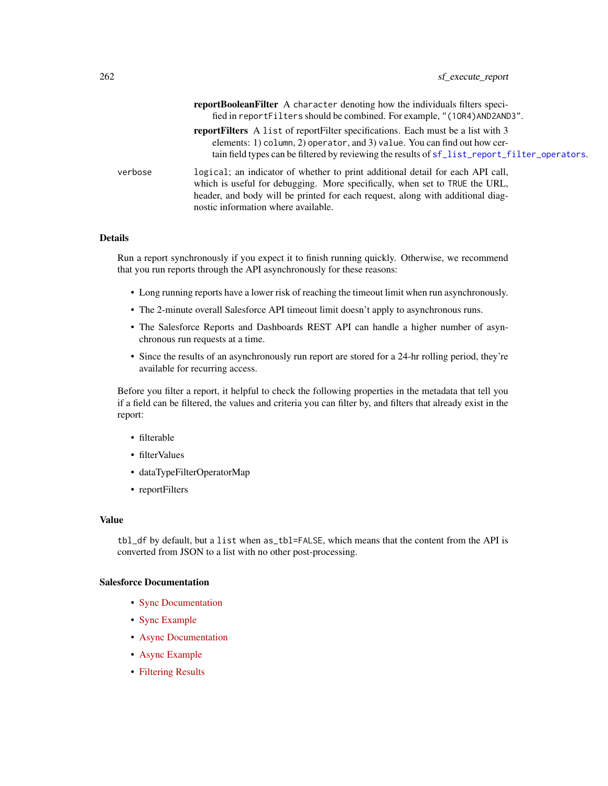|         | reportBooleanFilter A character denoting how the individuals filters speci-                   |
|---------|-----------------------------------------------------------------------------------------------|
|         | fied in reportFilters should be combined. For example, "(10R4) AND2AND3".                     |
|         | <b>report Filters</b> A list of report Filter specifications. Each must be a list with 3      |
|         | elements: 1) column, 2) operator, and 3) value. You can find out how cer-                     |
|         | tain field types can be filtered by reviewing the results of sf_list_report_filter_operators. |
| verbose | logical; an indicator of whether to print additional detail for each API call,                |
|         | which is useful for debugging. More specifically, when set to TRUE the URL,                   |
|         | header, and body will be printed for each request, along with additional diag-                |
|         | nostic information where available.                                                           |

## Details

Run a report synchronously if you expect it to finish running quickly. Otherwise, we recommend that you run reports through the API asynchronously for these reasons:

- Long running reports have a lower risk of reaching the timeout limit when run asynchronously.
- The 2-minute overall Salesforce API timeout limit doesn't apply to asynchronous runs.
- The Salesforce Reports and Dashboards REST API can handle a higher number of asynchronous run requests at a time.
- Since the results of an asynchronously run report are stored for a 24-hr rolling period, they're available for recurring access.

Before you filter a report, it helpful to check the following properties in the metadata that tell you if a field can be filtered, the values and criteria you can filter by, and filters that already exist in the report:

- filterable
- filterValues
- dataTypeFilterOperatorMap
- reportFilters

## Value

tbl\_df by default, but a list when as\_tbl=FALSE, which means that the content from the API is converted from JSON to a list with no other post-processing.

#### Salesforce Documentation

- [Sync Documentation](https://developer.salesforce.com/docs/atlas.en-us.api_analytics.meta/api_analytics/sforce_analytics_rest_api_getreportrundata.htm)
- [Sync Example](https://developer.salesforce.com/docs/atlas.en-us.api_analytics.meta/api_analytics/sforce_analytics_rest_api_get_reportdata.htm#example_sync_reportexecute)
- [Async Documentation](https://developer.salesforce.com/docs/atlas.en-us.api_analytics.meta/api_analytics/sforce_analytics_rest_api_instances_summaryasync.htm)
- [Async Example](https://developer.salesforce.com/docs/atlas.en-us.api_analytics.meta/api_analytics/sforce_analytics_rest_api_get_reportdata.htm#example_report_async_instances)
- [Filtering Results](https://developer.salesforce.com/docs/atlas.en-us.api_analytics.meta/api_analytics/sforce_analytics_rest_api_filter_reportdata.htm#example_requestbody_execute_resource)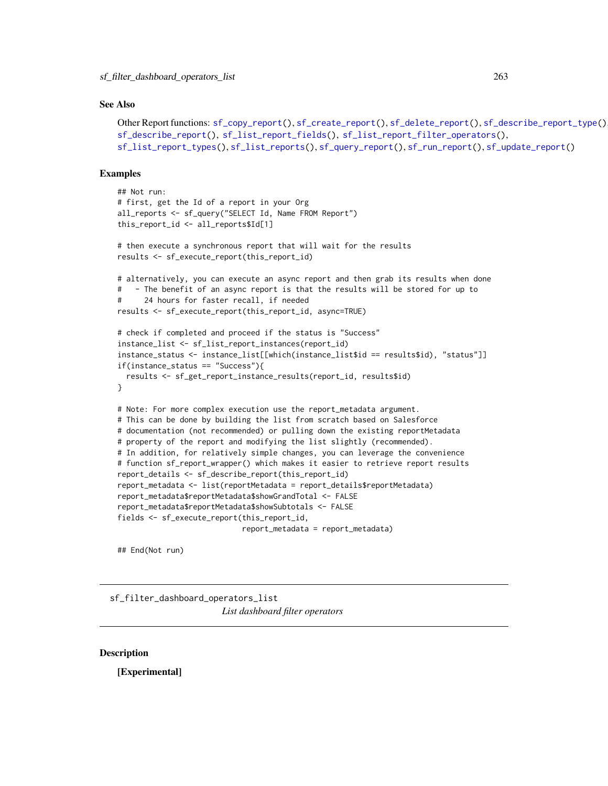#### See Also

```
Other Report functions: sf_copy_report(), sf_create_report(), sf_delete_report(), sf_describe_report_type(),
sf_describe_report(), sf_list_report_fields(), sf_list_report_filter_operators(),
sf_list_report_types(), sf_list_reports(), sf_query_report(), sf_run_report(), sf_update_report()
```
#### Examples

```
## Not run:
# first, get the Id of a report in your Org
all_reports <- sf_query("SELECT Id, Name FROM Report")
this_report_id <- all_reports$Id[1]
# then execute a synchronous report that will wait for the results
results <- sf_execute_report(this_report_id)
# alternatively, you can execute an async report and then grab its results when done
# - The benefit of an async report is that the results will be stored for up to
# 24 hours for faster recall, if needed
results <- sf_execute_report(this_report_id, async=TRUE)
# check if completed and proceed if the status is "Success"
instance_list <- sf_list_report_instances(report_id)
instance_status <- instance_list[[which(instance_list$id == results$id), "status"]]
if(instance_status == "Success"){
  results <- sf_get_report_instance_results(report_id, results$id)
}
# Note: For more complex execution use the report_metadata argument.
# This can be done by building the list from scratch based on Salesforce
# documentation (not recommended) or pulling down the existing reportMetadata
# property of the report and modifying the list slightly (recommended).
# In addition, for relatively simple changes, you can leverage the convenience
# function sf_report_wrapper() which makes it easier to retrieve report results
report_details <- sf_describe_report(this_report_id)
report_metadata <- list(reportMetadata = report_details$reportMetadata)
report_metadata$reportMetadata$showGrandTotal <- FALSE
report_metadata$reportMetadata$showSubtotals <- FALSE
fields <- sf_execute_report(this_report_id,
                            report_metadata = report_metadata)
```
## End(Not run)

sf\_filter\_dashboard\_operators\_list *List dashboard filter operators*

## Description

[Experimental]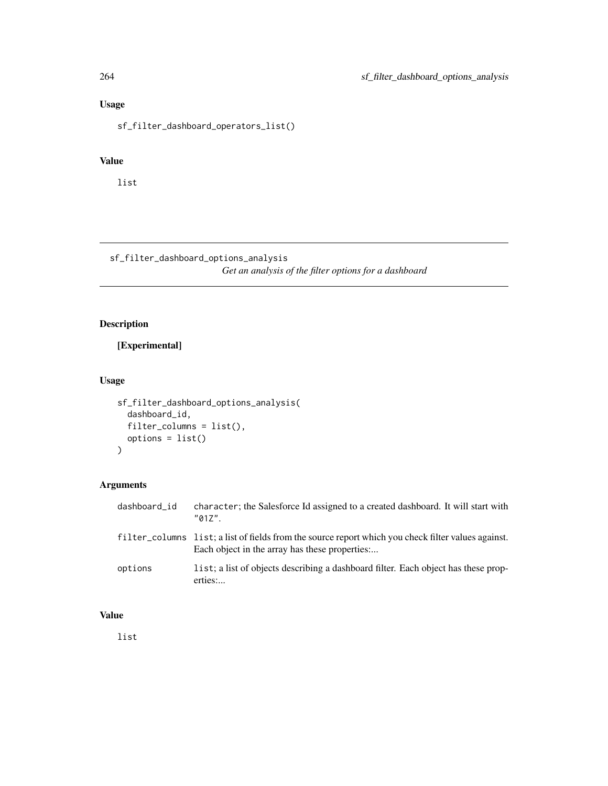# Usage

sf\_filter\_dashboard\_operators\_list()

# Value

list

sf\_filter\_dashboard\_options\_analysis *Get an analysis of the filter options for a dashboard*

# Description

[Experimental]

# Usage

```
sf_filter_dashboard_options_analysis(
  dashboard_id,
  filter_columns = list(),
 options = list()
)
```
# Arguments

| dashboard_id | character; the Salesforce Id assigned to a created dashboard. It will start with<br>"017"                                                            |
|--------------|------------------------------------------------------------------------------------------------------------------------------------------------------|
|              | filter_columns list; a list of fields from the source report which you check filter values against.<br>Each object in the array has these properties |
| options      | list; a list of objects describing a dashboard filter. Each object has these prop-<br>erties:                                                        |

# Value

list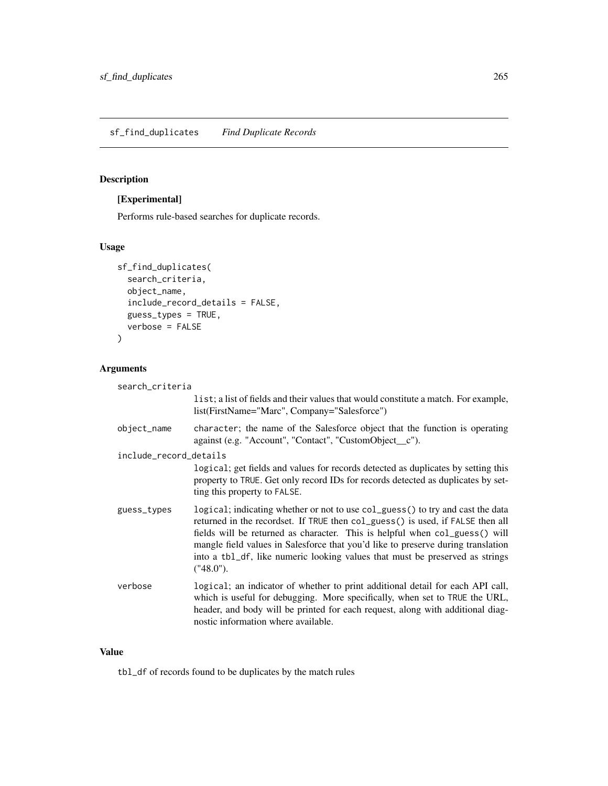## Description

# [Experimental]

Performs rule-based searches for duplicate records.

## Usage

```
sf_find_duplicates(
  search_criteria,
 object_name,
  include_record_details = FALSE,
 guess_types = TRUE,
  verbose = FALSE
)
```
# Arguments

| search_criteria        |                                                                                                                                                                                                                                                                                                                                                                                                                                  |  |
|------------------------|----------------------------------------------------------------------------------------------------------------------------------------------------------------------------------------------------------------------------------------------------------------------------------------------------------------------------------------------------------------------------------------------------------------------------------|--|
|                        | list; a list of fields and their values that would constitute a match. For example,<br>list(FirstName="Marc", Company="Salesforce")                                                                                                                                                                                                                                                                                              |  |
| object_name            | character; the name of the Salesforce object that the function is operating<br>against (e.g. "Account", "Contact", "CustomObject_c").                                                                                                                                                                                                                                                                                            |  |
| include_record_details |                                                                                                                                                                                                                                                                                                                                                                                                                                  |  |
|                        | logical; get fields and values for records detected as duplicates by setting this<br>property to TRUE. Get only record IDs for records detected as duplicates by set-<br>ting this property to FALSE.                                                                                                                                                                                                                            |  |
| guess_types            | logical; indicating whether or not to use col_guess() to try and cast the data<br>returned in the recordset. If TRUE then col_guess() is used, if FALSE then all<br>fields will be returned as character. This is helpful when col_guess() will<br>mangle field values in Salesforce that you'd like to preserve during translation<br>into a tb1_df, like numeric looking values that must be preserved as strings<br>("48.0"). |  |
| verbose                | logical; an indicator of whether to print additional detail for each API call,<br>which is useful for debugging. More specifically, when set to TRUE the URL,<br>header, and body will be printed for each request, along with additional diag-<br>nostic information where available.                                                                                                                                           |  |

## Value

tbl\_df of records found to be duplicates by the match rules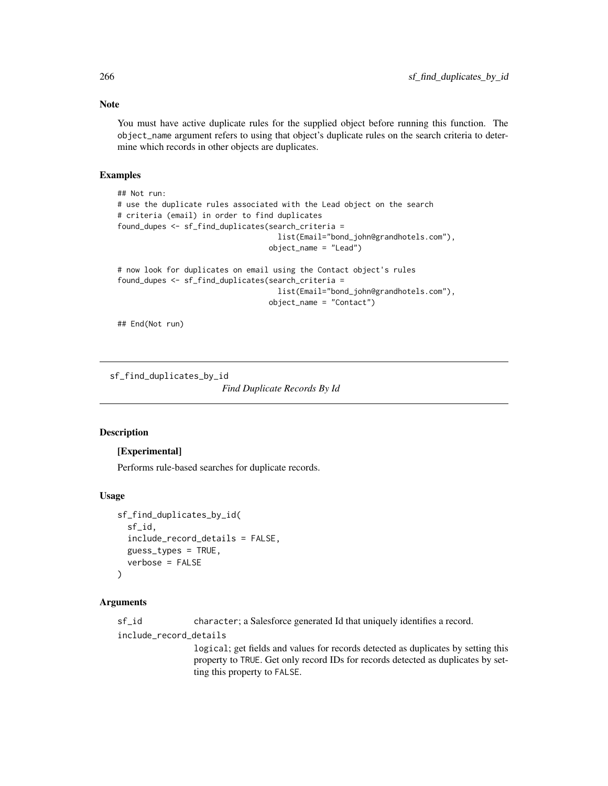## Note

You must have active duplicate rules for the supplied object before running this function. The object\_name argument refers to using that object's duplicate rules on the search criteria to determine which records in other objects are duplicates.

#### Examples

```
## Not run:
# use the duplicate rules associated with the Lead object on the search
# criteria (email) in order to find duplicates
found_dupes <- sf_find_duplicates(search_criteria =
                                    list(Email="bond_john@grandhotels.com"),
                                  object_name = "Lead")
# now look for duplicates on email using the Contact object's rules
found_dupes <- sf_find_duplicates(search_criteria =
                                    list(Email="bond_john@grandhotels.com"),
                                  object_name = "Contact")
```
## End(Not run)

sf\_find\_duplicates\_by\_id

*Find Duplicate Records By Id*

#### Description

#### [Experimental]

Performs rule-based searches for duplicate records.

#### Usage

```
sf_find_duplicates_by_id(
  sf_id,
  include_record_details = FALSE,
  guess_types = TRUE,
  verbose = FALSE
)
```
#### Arguments

sf\_id character; a Salesforce generated Id that uniquely identifies a record.

include\_record\_details

logical; get fields and values for records detected as duplicates by setting this property to TRUE. Get only record IDs for records detected as duplicates by setting this property to FALSE.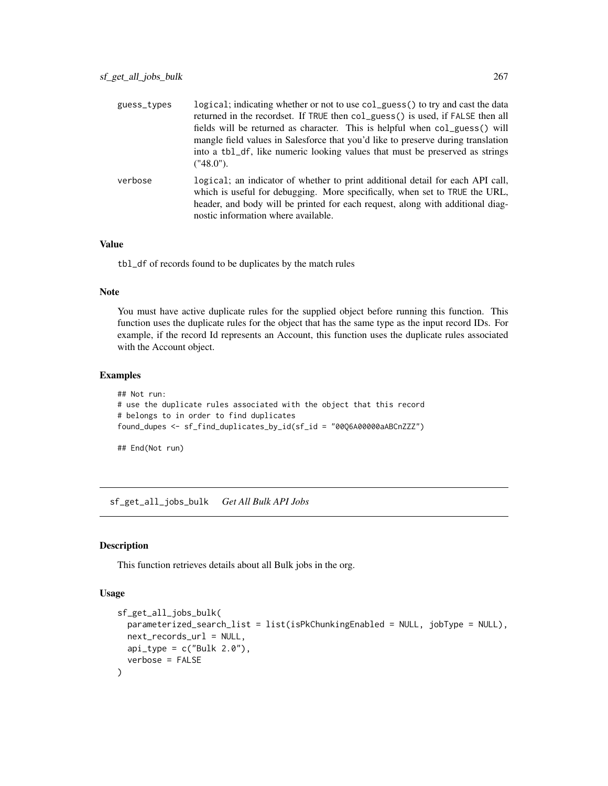| guess_types | logical; indicating whether or not to use col_guess() to try and cast the data<br>returned in the recordset. If TRUE then col_guess() is used, if FALSE then all<br>fields will be returned as character. This is helpful when col_guess() will<br>mangle field values in Salesforce that you'd like to preserve during translation<br>into a tbl_df, like numeric looking values that must be preserved as strings<br>('48.0"). |
|-------------|----------------------------------------------------------------------------------------------------------------------------------------------------------------------------------------------------------------------------------------------------------------------------------------------------------------------------------------------------------------------------------------------------------------------------------|
| verbose     | logical; an indicator of whether to print additional detail for each API call,<br>which is useful for debugging. More specifically, when set to TRUE the URL,<br>header, and body will be printed for each request, along with additional diag-<br>nostic information where available.                                                                                                                                           |

#### Value

tbl\_df of records found to be duplicates by the match rules

#### Note

You must have active duplicate rules for the supplied object before running this function. This function uses the duplicate rules for the object that has the same type as the input record IDs. For example, if the record Id represents an Account, this function uses the duplicate rules associated with the Account object.

## Examples

```
## Not run:
# use the duplicate rules associated with the object that this record
# belongs to in order to find duplicates
found_dupes <- sf_find_duplicates_by_id(sf_id = "00Q6A00000aABCnZZZ")
## End(Not run)
```
sf\_get\_all\_jobs\_bulk *Get All Bulk API Jobs*

## Description

This function retrieves details about all Bulk jobs in the org.

#### Usage

```
sf_get_all_jobs_bulk(
 parameterized_search_list = list(isPkChunkingEnabled = NULL, jobType = NULL),
 next_records_url = NULL,
 api_type = c("Bulk 2.0"),verbose = FALSE
)
```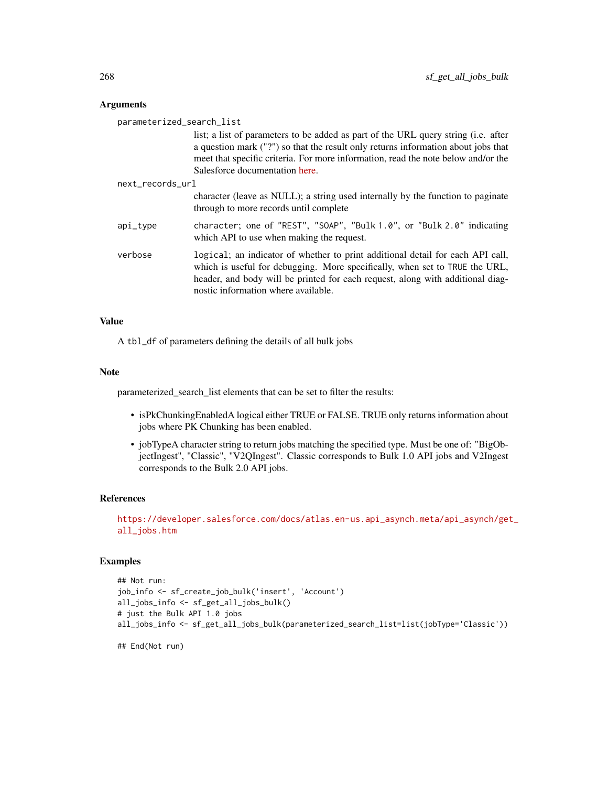#### Arguments

| parameterized_search_list |                                                                                                                                                                                                                                                                                                |
|---------------------------|------------------------------------------------------------------------------------------------------------------------------------------------------------------------------------------------------------------------------------------------------------------------------------------------|
|                           | list; a list of parameters to be added as part of the URL query string (i.e. after<br>a question mark ("?") so that the result only returns information about jobs that<br>meet that specific criteria. For more information, read the note below and/or the<br>Salesforce documentation here. |
| next records url          |                                                                                                                                                                                                                                                                                                |
|                           | character (leave as NULL); a string used internally by the function to paginate<br>through to more records until complete                                                                                                                                                                      |
| api_type                  | character; one of "REST", "SOAP", "Bulk 1.0", or "Bulk 2.0" indicating<br>which API to use when making the request.                                                                                                                                                                            |
| verbose                   | logical; an indicator of whether to print additional detail for each API call,<br>which is useful for debugging. More specifically, when set to TRUE the URL,<br>header, and body will be printed for each request, along with additional diag-<br>nostic information where available.         |

## Value

A tbl\_df of parameters defining the details of all bulk jobs

#### Note

parameterized\_search\_list elements that can be set to filter the results:

- isPkChunkingEnabledA logical either TRUE or FALSE. TRUE only returns information about jobs where PK Chunking has been enabled.
- jobTypeA character string to return jobs matching the specified type. Must be one of: "BigObjectIngest", "Classic", "V2QIngest". Classic corresponds to Bulk 1.0 API jobs and V2Ingest corresponds to the Bulk 2.0 API jobs.

## References

[https://developer.salesforce.com/docs/atlas.en-us.api\\_asynch.meta/api\\_asynch/get](https://developer.salesforce.com/docs/atlas.en-us.api_asynch.meta/api_asynch/get_all_jobs.htm)\_ [all\\_jobs.htm](https://developer.salesforce.com/docs/atlas.en-us.api_asynch.meta/api_asynch/get_all_jobs.htm)

## Examples

```
## Not run:
job_info <- sf_create_job_bulk('insert', 'Account')
all_jobs_info <- sf_get_all_jobs_bulk()
# just the Bulk API 1.0 jobs
all_jobs_info <- sf_get_all_jobs_bulk(parameterized_search_list=list(jobType='Classic'))
```
## End(Not run)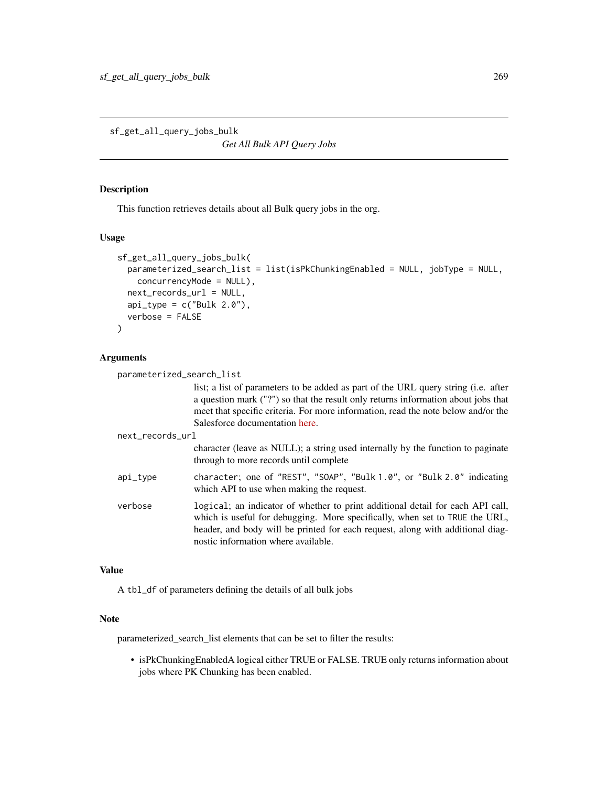sf\_get\_all\_query\_jobs\_bulk

*Get All Bulk API Query Jobs*

# Description

This function retrieves details about all Bulk query jobs in the org.

#### Usage

```
sf_get_all_query_jobs_bulk(
 parameterized_search_list = list(isPkChunkingEnabled = NULL, jobType = NULL,
   concurrencyMode = NULL),
 next_records_url = NULL,
 api_type = c("Bulk 2.0"),verbose = FALSE
)
```
## Arguments

| parameterized_search_list |                                                                                                                                                                                                                                                                                                |
|---------------------------|------------------------------------------------------------------------------------------------------------------------------------------------------------------------------------------------------------------------------------------------------------------------------------------------|
|                           | list; a list of parameters to be added as part of the URL query string (i.e. after<br>a question mark ("?") so that the result only returns information about jobs that<br>meet that specific criteria. For more information, read the note below and/or the<br>Salesforce documentation here. |
| next_records_url          |                                                                                                                                                                                                                                                                                                |
|                           | character (leave as NULL); a string used internally by the function to paginate<br>through to more records until complete                                                                                                                                                                      |
| api_type                  | character; one of "REST", "SOAP", "Bulk 1.0", or "Bulk 2.0" indicating<br>which API to use when making the request.                                                                                                                                                                            |
| verbose                   | logical; an indicator of whether to print additional detail for each API call,<br>which is useful for debugging. More specifically, when set to TRUE the URL,<br>header, and body will be printed for each request, along with additional diag-<br>nostic information where available.         |

#### Value

A tbl\_df of parameters defining the details of all bulk jobs

#### Note

parameterized\_search\_list elements that can be set to filter the results:

• isPkChunkingEnabledA logical either TRUE or FALSE. TRUE only returns information about jobs where PK Chunking has been enabled.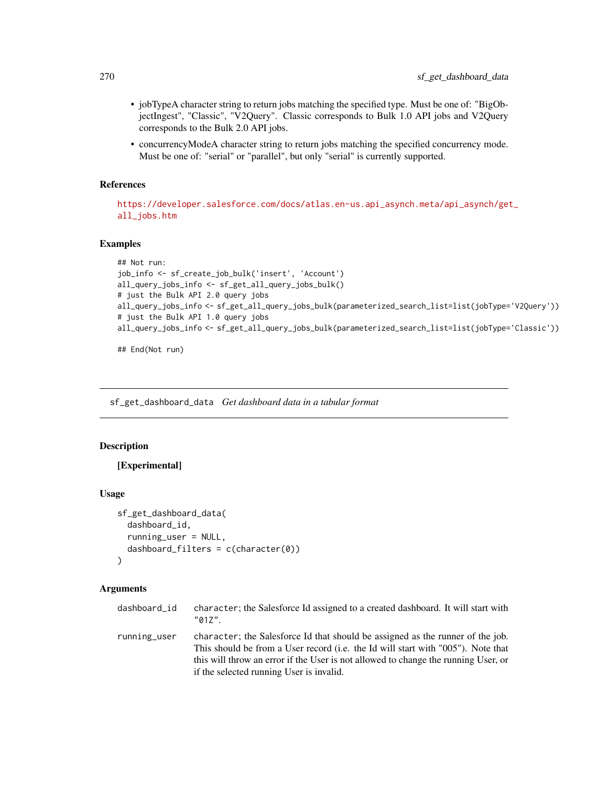- jobTypeA character string to return jobs matching the specified type. Must be one of: "BigObjectIngest", "Classic", "V2Query". Classic corresponds to Bulk 1.0 API jobs and V2Query corresponds to the Bulk 2.0 API jobs.
- concurrencyModeA character string to return jobs matching the specified concurrency mode. Must be one of: "serial" or "parallel", but only "serial" is currently supported.

#### References

[https://developer.salesforce.com/docs/atlas.en-us.api\\_asynch.meta/api\\_asynch/get](https://developer.salesforce.com/docs/atlas.en-us.api_asynch.meta/api_asynch/get_all_jobs.htm)\_ [all\\_jobs.htm](https://developer.salesforce.com/docs/atlas.en-us.api_asynch.meta/api_asynch/get_all_jobs.htm)

#### Examples

```
## Not run:
job_info <- sf_create_job_bulk('insert', 'Account')
all_query_jobs_info <- sf_get_all_query_jobs_bulk()
# just the Bulk API 2.0 query jobs
all_query_jobs_info <- sf_get_all_query_jobs_bulk(parameterized_search_list=list(jobType='V2Query'))
# just the Bulk API 1.0 query jobs
all_query_jobs_info <- sf_get_all_query_jobs_bulk(parameterized_search_list=list(jobType='Classic'))
```
## End(Not run)

<span id="page-269-0"></span>sf\_get\_dashboard\_data *Get dashboard data in a tabular format*

#### Description

[Experimental]

#### Usage

```
sf_get_dashboard_data(
  dashboard_id,
  running_user = NULL,
  dashboard_filters = c(character(0))
)
```
#### Arguments

| dashboard id | character; the Salesforce Id assigned to a created dashboard. It will start with |
|--------------|----------------------------------------------------------------------------------|
|              | $"017"$ .                                                                        |
|              |                                                                                  |

running\_user character; the Salesforce Id that should be assigned as the runner of the job. This should be from a User record (i.e. the Id will start with "005"). Note that this will throw an error if the User is not allowed to change the running User, or if the selected running User is invalid.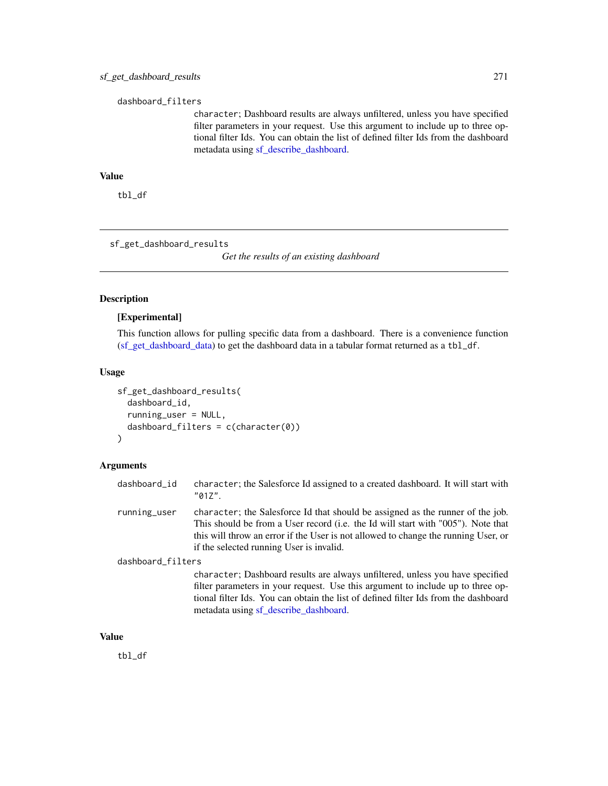#### dashboard\_filters

character; Dashboard results are always unfiltered, unless you have specified filter parameters in your request. Use this argument to include up to three optional filter Ids. You can obtain the list of defined filter Ids from the dashboard metadata using [sf\\_describe\\_dashboard.](#page-250-0)

## Value

tbl\_df

sf\_get\_dashboard\_results

*Get the results of an existing dashboard*

#### Description

## [Experimental]

This function allows for pulling specific data from a dashboard. There is a convenience function [\(sf\\_get\\_dashboard\\_data\)](#page-269-0) to get the dashboard data in a tabular format returned as a tbl\_df.

#### Usage

```
sf_get_dashboard_results(
  dashboard_id,
  running_user = NULL,
  dashboard_filters = c(character(0))
\mathcal{L}
```
#### Arguments

| dashboard_id      | character; the Salesforce Id assigned to a created dashboard. It will start with<br>$"017"$ .                                                                                                                                                                                                        |
|-------------------|------------------------------------------------------------------------------------------------------------------------------------------------------------------------------------------------------------------------------------------------------------------------------------------------------|
| running_user      | character; the Salesforce Id that should be assigned as the runner of the job.<br>This should be from a User record (i.e. the Id will start with "005"). Note that<br>this will throw an error if the User is not allowed to change the running User, or<br>if the selected running User is invalid. |
| dashboard_filters |                                                                                                                                                                                                                                                                                                      |
|                   | character; Dashboard results are always unfiltered, unless you have specified<br>filter parameters in your request. Use this argument to include up to three op-<br>tional filter Ids. You can obtain the list of defined filter Ids from the dashboard                                              |

metadata using [sf\\_describe\\_dashboard.](#page-250-0)

#### Value

tbl\_df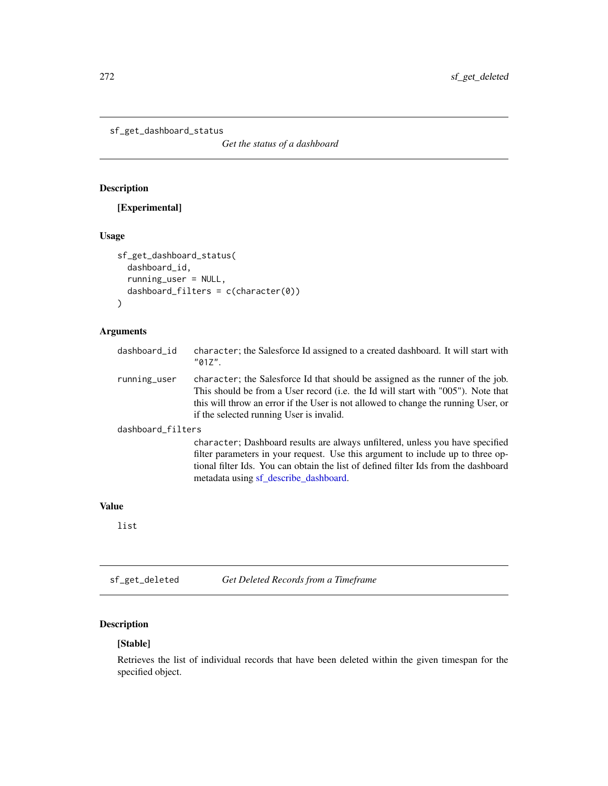```
sf_get_dashboard_status
```
*Get the status of a dashboard*

# Description

# [Experimental]

## Usage

```
sf_get_dashboard_status(
  dashboard_id,
  running_user = NULL,
  dashboard_filters = c(character(0))
\mathcal{L}
```
# Arguments

| dashboard_id      | character; the Salesforce Id assigned to a created dashboard. It will start with<br>"01Z".                                                                                                                                                                                                           |
|-------------------|------------------------------------------------------------------------------------------------------------------------------------------------------------------------------------------------------------------------------------------------------------------------------------------------------|
| running_user      | character; the Salesforce Id that should be assigned as the runner of the job.<br>This should be from a User record (i.e. the Id will start with "005"). Note that<br>this will throw an error if the User is not allowed to change the running User, or<br>if the selected running User is invalid. |
| dashboard_filters |                                                                                                                                                                                                                                                                                                      |
|                   | character; Dashboard results are always unfiltered, unless you have specified<br>filter parameters in your request. Use this argument to include up to three op-<br>tional filter Ids. You can obtain the list of defined filter Ids from the dashboard<br>metadata using sf_describe_dashboard.     |

## Value

list

sf\_get\_deleted *Get Deleted Records from a Timeframe*

# Description

# [Stable]

Retrieves the list of individual records that have been deleted within the given timespan for the specified object.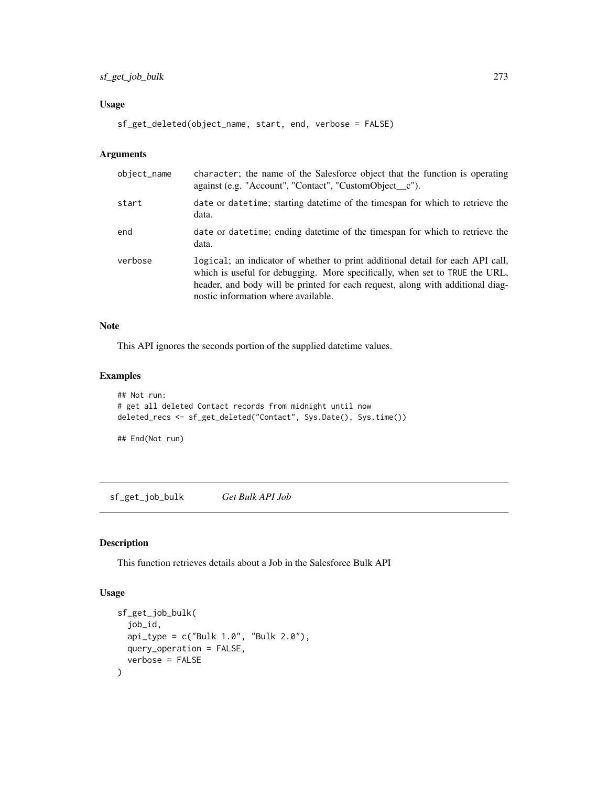## sf\_get\_job\_bulk 273

## Usage

```
sf_get_deleted(object_name, start, end, verbose = FALSE)
```
## Arguments

| object_name | character; the name of the Salesforce object that the function is operating<br>against (e.g. "Account", "Contact", "CustomObject_c").                                                                                                                                                  |
|-------------|----------------------------------------------------------------------------------------------------------------------------------------------------------------------------------------------------------------------------------------------------------------------------------------|
| start       | date or date time; starting date time of the timespan for which to retrieve the<br>data.                                                                                                                                                                                               |
| end         | date or date time; ending date time of the timespan for which to retrieve the<br>data.                                                                                                                                                                                                 |
| verbose     | logical; an indicator of whether to print additional detail for each API call,<br>which is useful for debugging. More specifically, when set to TRUE the URL,<br>header, and body will be printed for each request, along with additional diag-<br>nostic information where available. |

## Note

This API ignores the seconds portion of the supplied datetime values.

## Examples

```
## Not run:
# get all deleted Contact records from midnight until now
deleted_recs <- sf_get_deleted("Contact", Sys.Date(), Sys.time())
```
## End(Not run)

sf\_get\_job\_bulk *Get Bulk API Job*

## Description

This function retrieves details about a Job in the Salesforce Bulk API

# Usage

```
sf_get_job_bulk(
  job_id,
  api_type = c("Bulk 1.0", "Bulk 2.0"),
  query_operation = FALSE,
  verbose = FALSE
\mathcal{L}
```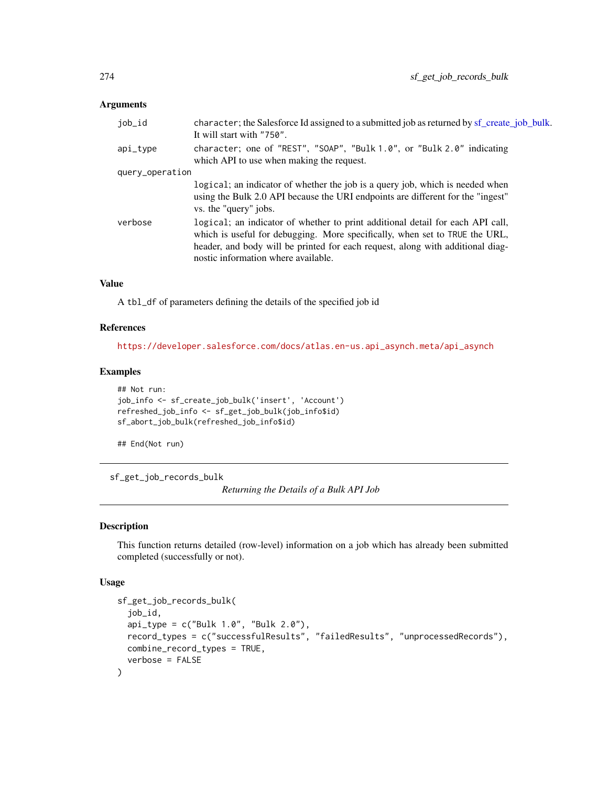#### Arguments

| job_id          | character; the Salesforce Id assigned to a submitted job as returned by sf_create_job_bulk.<br>It will start with "750".                                                                                                                                                               |  |
|-----------------|----------------------------------------------------------------------------------------------------------------------------------------------------------------------------------------------------------------------------------------------------------------------------------------|--|
| api_type        | character; one of "REST", "SOAP", "Bulk 1.0", or "Bulk 2.0" indicating<br>which API to use when making the request.                                                                                                                                                                    |  |
| query_operation |                                                                                                                                                                                                                                                                                        |  |
|                 | logical; an indicator of whether the job is a query job, which is needed when<br>using the Bulk 2.0 API because the URI endpoints are different for the "ingest"<br>vs. the "query" jobs.                                                                                              |  |
| verbose         | logical; an indicator of whether to print additional detail for each API call,<br>which is useful for debugging. More specifically, when set to TRUE the URL,<br>header, and body will be printed for each request, along with additional diag-<br>nostic information where available. |  |

## Value

A tbl\_df of parameters defining the details of the specified job id

#### References

[https://developer.salesforce.com/docs/atlas.en-us.api\\_asynch.meta/api\\_asynch](https://developer.salesforce.com/docs/atlas.en-us.api_asynch.meta/api_asynch)

## Examples

```
## Not run:
job_info <- sf_create_job_bulk('insert', 'Account')
refreshed_job_info <- sf_get_job_bulk(job_info$id)
sf_abort_job_bulk(refreshed_job_info$id)
```
## End(Not run)

sf\_get\_job\_records\_bulk

*Returning the Details of a Bulk API Job*

#### Description

This function returns detailed (row-level) information on a job which has already been submitted completed (successfully or not).

#### Usage

```
sf_get_job_records_bulk(
  job_id,
 api_type = c("Bulk 1.0", "Bulk 2.0"),
 record_types = c("successfulResults", "failedResults", "unprocessedRecords"),
 combine_record_types = TRUE,
  verbose = FALSE
)
```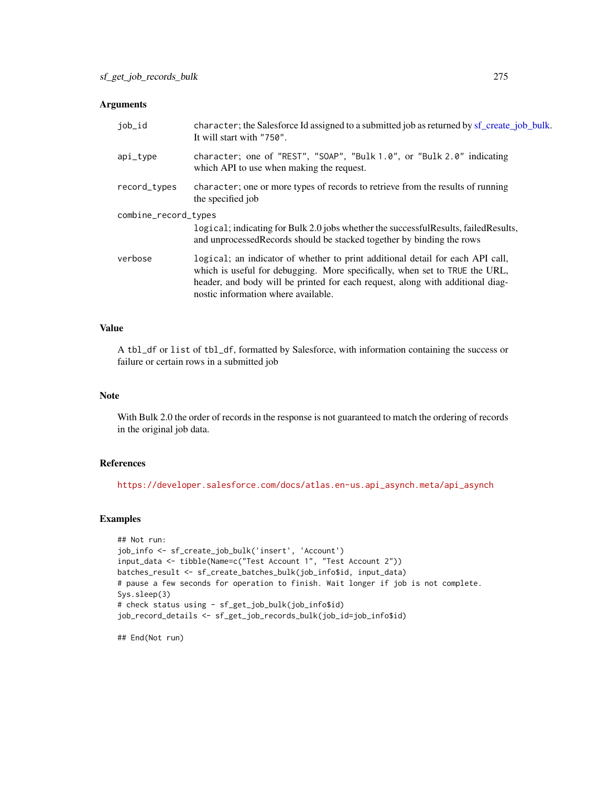#### Arguments

| job_id               | character; the Salesforce Id assigned to a submitted job as returned by sf_create_job_bulk.<br>It will start with "750".                                                                                                                                                               |
|----------------------|----------------------------------------------------------------------------------------------------------------------------------------------------------------------------------------------------------------------------------------------------------------------------------------|
| api_type             | character; one of "REST", "SOAP", "Bulk 1.0", or "Bulk 2.0" indicating<br>which API to use when making the request.                                                                                                                                                                    |
| record_types         | character; one or more types of records to retrieve from the results of running<br>the specified job                                                                                                                                                                                   |
| combine_record_types | logical; indicating for Bulk 2.0 jobs whether the successful Results, failed Results,<br>and unprocessed Records should be stacked together by binding the rows                                                                                                                        |
| verbose              | logical; an indicator of whether to print additional detail for each API call,<br>which is useful for debugging. More specifically, when set to TRUE the URL,<br>header, and body will be printed for each request, along with additional diag-<br>nostic information where available. |

## Value

A tbl\_df or list of tbl\_df, formatted by Salesforce, with information containing the success or failure or certain rows in a submitted job

#### Note

With Bulk 2.0 the order of records in the response is not guaranteed to match the ordering of records in the original job data.

## References

[https://developer.salesforce.com/docs/atlas.en-us.api\\_asynch.meta/api\\_asynch](https://developer.salesforce.com/docs/atlas.en-us.api_asynch.meta/api_asynch)

## Examples

```
## Not run:
job_info <- sf_create_job_bulk('insert', 'Account')
input_data <- tibble(Name=c("Test Account 1", "Test Account 2"))
batches_result <- sf_create_batches_bulk(job_info$id, input_data)
# pause a few seconds for operation to finish. Wait longer if job is not complete.
Sys.sleep(3)
# check status using - sf_get_job_bulk(job_info$id)
job_record_details <- sf_get_job_records_bulk(job_id=job_info$id)
```
## End(Not run)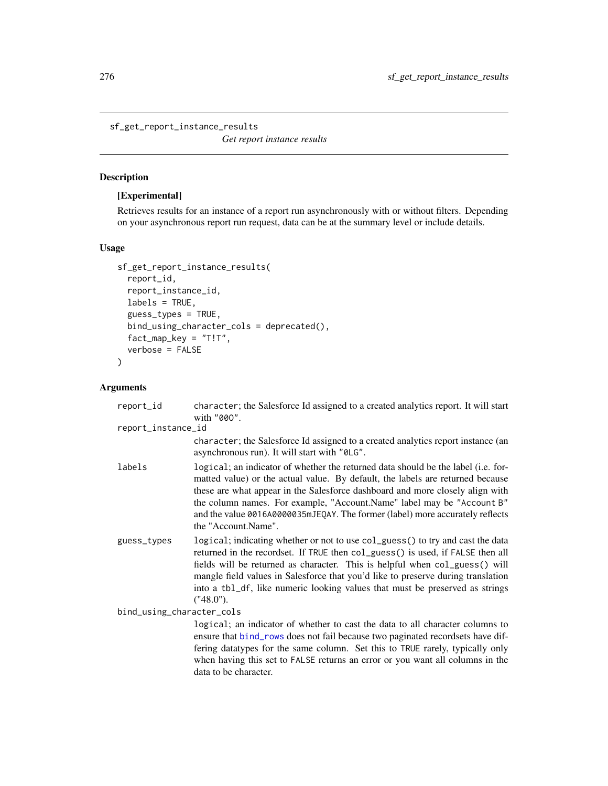<span id="page-275-0"></span>sf\_get\_report\_instance\_results

*Get report instance results*

# Description

## [Experimental]

Retrieves results for an instance of a report run asynchronously with or without filters. Depending on your asynchronous report run request, data can be at the summary level or include details.

## Usage

```
sf_get_report_instance_results(
  report_id,
  report_instance_id,
  labels = TRUE,guess_types = TRUE,
 bind_using_character_cols = deprecated(),
  fact_map_key = "T!T",
  verbose = FALSE
\mathcal{L}
```
# Arguments

| report_id                 | character; the Salesforce Id assigned to a created analytics report. It will start<br>with "000".                                                                                                                                                                                                                                                                                                                                      |
|---------------------------|----------------------------------------------------------------------------------------------------------------------------------------------------------------------------------------------------------------------------------------------------------------------------------------------------------------------------------------------------------------------------------------------------------------------------------------|
| report_instance_id        |                                                                                                                                                                                                                                                                                                                                                                                                                                        |
|                           | character; the Salesforce Id assigned to a created analytics report instance (an<br>asynchronous run). It will start with "0LG".                                                                                                                                                                                                                                                                                                       |
| labels                    | logical; an indicator of whether the returned data should be the label (i.e. for-<br>matted value) or the actual value. By default, the labels are returned because<br>these are what appear in the Salesforce dashboard and more closely align with<br>the column names. For example, "Account.Name" label may be "Account B"<br>and the value 0016A0000035mJEQAY. The former (label) more accurately reflects<br>the "Account.Name". |
| guess_types               | logical; indicating whether or not to use col_guess() to try and cast the data<br>returned in the recordset. If TRUE then col_guess() is used, if FALSE then all<br>fields will be returned as character. This is helpful when col_guess() will<br>mangle field values in Salesforce that you'd like to preserve during translation<br>into a tb1_df, like numeric looking values that must be preserved as strings<br>("48.0").       |
| bind_using_character_cols |                                                                                                                                                                                                                                                                                                                                                                                                                                        |
|                           | logical; an indicator of whether to cast the data to all character columns to<br>ensure that bind_rows does not fail because two paginated recordsets have dif-<br>fering datatypes for the same column. Set this to TRUE rarely, typically only<br>when having this set to FALSE returns an error or you want all columns in the<br>data to be character.                                                                             |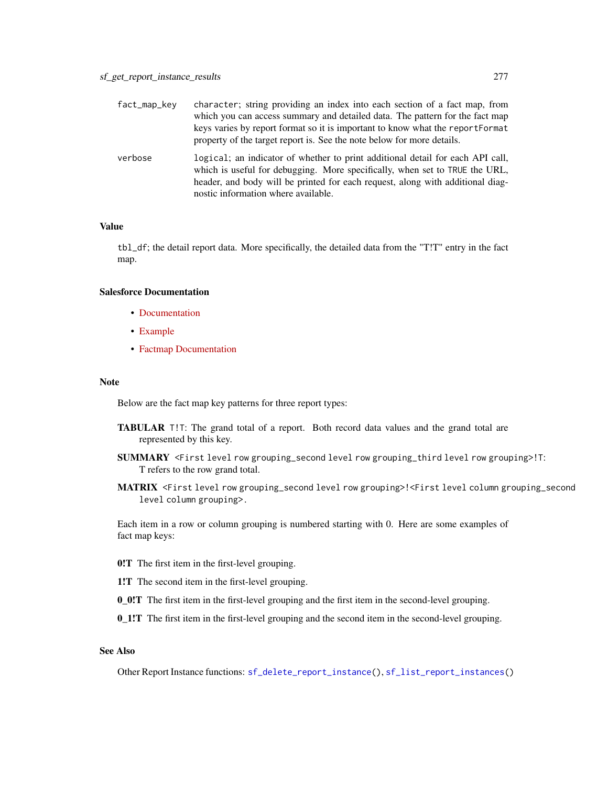| fact_map_key | character; string providing an index into each section of a fact map, from<br>which you can access summary and detailed data. The pattern for the fact map<br>keys varies by report format so it is important to know what the report Format<br>property of the target report is. See the note below for more details. |
|--------------|------------------------------------------------------------------------------------------------------------------------------------------------------------------------------------------------------------------------------------------------------------------------------------------------------------------------|
| verbose      | logical; an indicator of whether to print additional detail for each API call,<br>which is useful for debugging. More specifically, when set to TRUE the URL,<br>header, and body will be printed for each request, along with additional diag-<br>nostic information where available.                                 |

### Value

tbl\_df; the detail report data. More specifically, the detailed data from the "T!T" entry in the fact map.

# Salesforce Documentation

- [Documentation](https://developer.salesforce.com/docs/atlas.en-us.api_analytics.meta/api_analytics/sforce_analytics_rest_api_instance_resource_results.htm)
- [Example](https://developer.salesforce.com/docs/atlas.en-us.api_analytics.meta/api_analytics/sforce_analytics_rest_api_get_reportdata.htm#example_instance_reportresults)
- [Factmap Documentation](https://developer.salesforce.com/docs/atlas.en-us.api_analytics.meta/api_analytics/sforce_analytics_rest_api_factmap_example.htm)

#### Note

Below are the fact map key patterns for three report types:

- TABULAR T!T: The grand total of a report. Both record data values and the grand total are represented by this key.
- SUMMARY <First level row grouping\_second level row grouping\_third level row grouping>!T: T refers to the row grand total.
- MATRIX <First level row grouping\_second level row grouping>!<First level column grouping\_second level column grouping>.

Each item in a row or column grouping is numbered starting with 0. Here are some examples of fact map keys:

- 0!T The first item in the first-level grouping.
- 1!T The second item in the first-level grouping.
- 0\_0!T The first item in the first-level grouping and the first item in the second-level grouping.
- 0\_1!T The first item in the first-level grouping and the second item in the second-level grouping.

# See Also

Other Report Instance functions: [sf\\_delete\\_report\\_instance\(](#page-249-0)), [sf\\_list\\_report\\_instances\(](#page-286-0))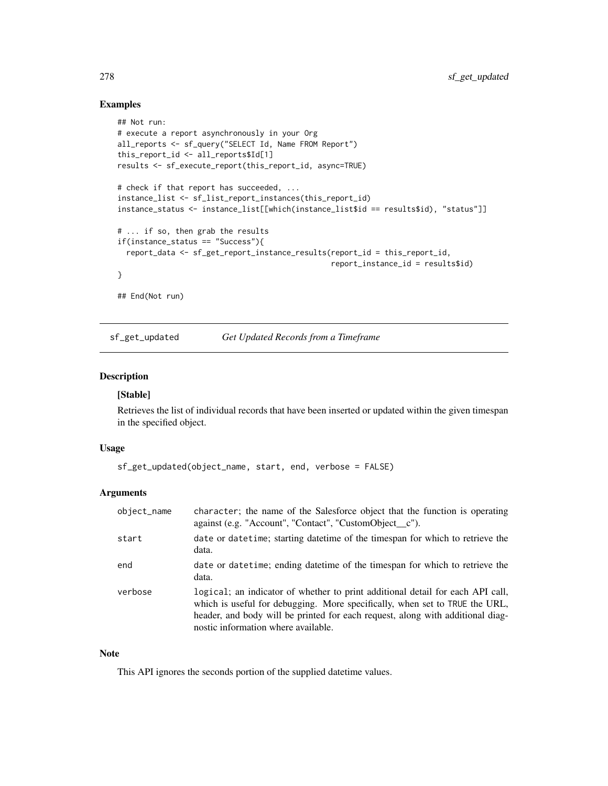## Examples

```
## Not run:
# execute a report asynchronously in your Org
all_reports <- sf_query("SELECT Id, Name FROM Report")
this_report_id <- all_reports$Id[1]
results <- sf_execute_report(this_report_id, async=TRUE)
# check if that report has succeeded, ...
instance_list <- sf_list_report_instances(this_report_id)
instance_status <- instance_list[[which(instance_list$id == results$id), "status"]]
# ... if so, then grab the results
if(instance_status == "Success"){
  report_data <- sf_get_report_instance_results(report_id = this_report_id,
                                                report_instance_id = results$id)
}
## End(Not run)
```
sf\_get\_updated *Get Updated Records from a Timeframe*

# Description

#### [Stable]

Retrieves the list of individual records that have been inserted or updated within the given timespan in the specified object.

## Usage

```
sf_get_updated(object_name, start, end, verbose = FALSE)
```
#### **Arguments**

| object_name | character; the name of the Salesforce object that the function is operating<br>against (e.g. "Account", "Contact", "CustomObject_c").                                                                                                                                                  |
|-------------|----------------------------------------------------------------------------------------------------------------------------------------------------------------------------------------------------------------------------------------------------------------------------------------|
| start       | date or datetime; starting datetime of the timespan for which to retrieve the<br>data.                                                                                                                                                                                                 |
| end         | date or date time; ending date time of the timespan for which to retrieve the<br>data.                                                                                                                                                                                                 |
| verbose     | logical; an indicator of whether to print additional detail for each API call,<br>which is useful for debugging. More specifically, when set to TRUE the URL,<br>header, and body will be printed for each request, along with additional diag-<br>nostic information where available. |

## Note

This API ignores the seconds portion of the supplied datetime values.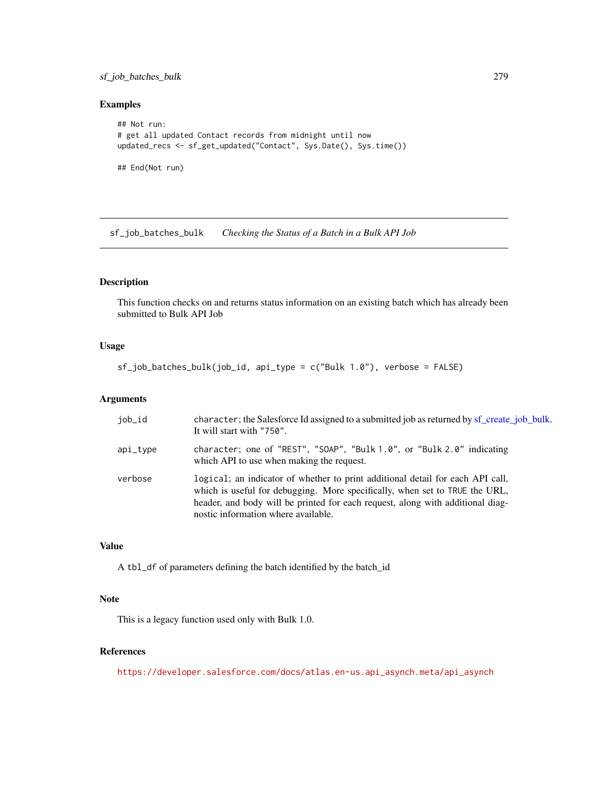## sf\_job\_batches\_bulk 279

## Examples

```
## Not run:
# get all updated Contact records from midnight until now
updated_recs <- sf_get_updated("Contact", Sys.Date(), Sys.time())
```
## End(Not run)

sf\_job\_batches\_bulk *Checking the Status of a Batch in a Bulk API Job*

## Description

This function checks on and returns status information on an existing batch which has already been submitted to Bulk API Job

## Usage

```
sf_job_batches_bulk(job_id, api_type = c("Bulk 1.0"), verbose = FALSE)
```
## Arguments

| iob_id   | character; the Salesforce Id assigned to a submitted job as returned by sf create job bulk.<br>It will start with "750".                                                                                                                                                               |
|----------|----------------------------------------------------------------------------------------------------------------------------------------------------------------------------------------------------------------------------------------------------------------------------------------|
| api_type | character; one of "REST", "SOAP", "Bulk 1.0", or "Bulk 2.0" indicating<br>which API to use when making the request.                                                                                                                                                                    |
| verbose  | logical; an indicator of whether to print additional detail for each API call,<br>which is useful for debugging. More specifically, when set to TRUE the URL,<br>header, and body will be printed for each request, along with additional diag-<br>nostic information where available. |

# Value

A tbl\_df of parameters defining the batch identified by the batch\_id

#### Note

This is a legacy function used only with Bulk 1.0.

## References

[https://developer.salesforce.com/docs/atlas.en-us.api\\_asynch.meta/api\\_asynch](https://developer.salesforce.com/docs/atlas.en-us.api_asynch.meta/api_asynch)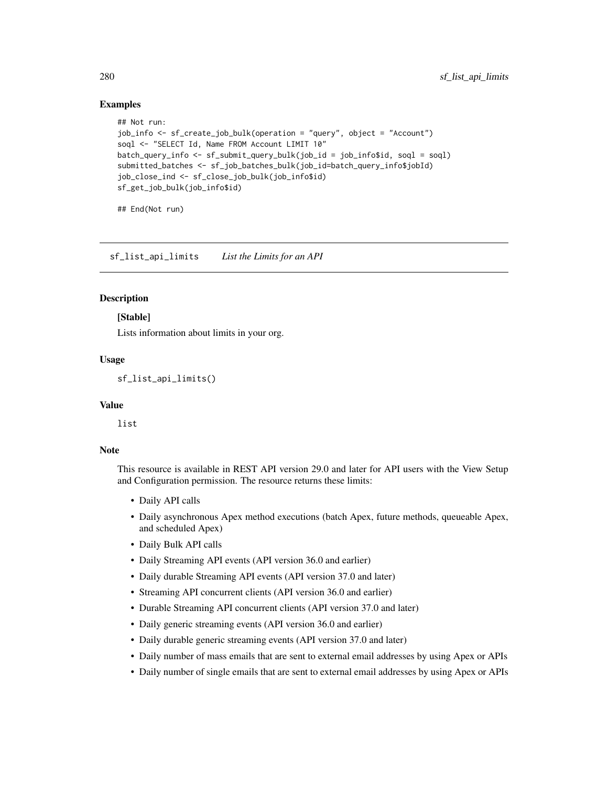## Examples

```
## Not run:
job_info <- sf_create_job_bulk(operation = "query", object = "Account")
soql <- "SELECT Id, Name FROM Account LIMIT 10"
batch_query_info <- sf_submit_query_bulk(job_id = job_info$id, soql = soql)
submitted_batches <- sf_job_batches_bulk(job_id=batch_query_info$jobId)
job_close_ind <- sf_close_job_bulk(job_info$id)
sf_get_job_bulk(job_info$id)
```
## End(Not run)

sf\_list\_api\_limits *List the Limits for an API*

#### Description

## [Stable]

Lists information about limits in your org.

## Usage

```
sf_list_api_limits()
```
## Value

list

#### **Note**

This resource is available in REST API version 29.0 and later for API users with the View Setup and Configuration permission. The resource returns these limits:

- Daily API calls
- Daily asynchronous Apex method executions (batch Apex, future methods, queueable Apex, and scheduled Apex)
- Daily Bulk API calls
- Daily Streaming API events (API version 36.0 and earlier)
- Daily durable Streaming API events (API version 37.0 and later)
- Streaming API concurrent clients (API version 36.0 and earlier)
- Durable Streaming API concurrent clients (API version 37.0 and later)
- Daily generic streaming events (API version 36.0 and earlier)
- Daily durable generic streaming events (API version 37.0 and later)
- Daily number of mass emails that are sent to external email addresses by using Apex or APIs
- Daily number of single emails that are sent to external email addresses by using Apex or APIs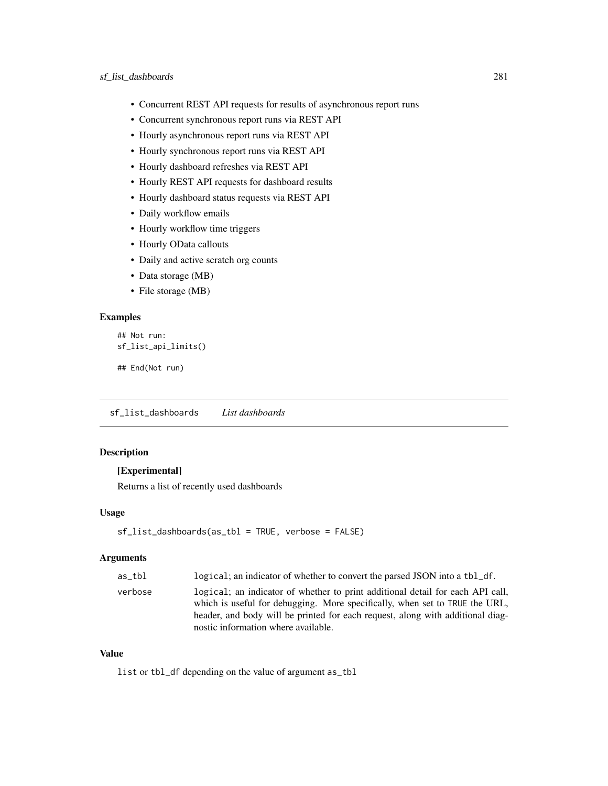- Concurrent REST API requests for results of asynchronous report runs
- Concurrent synchronous report runs via REST API
- Hourly asynchronous report runs via REST API
- Hourly synchronous report runs via REST API
- Hourly dashboard refreshes via REST API
- Hourly REST API requests for dashboard results
- Hourly dashboard status requests via REST API
- Daily workflow emails
- Hourly workflow time triggers
- Hourly OData callouts
- Daily and active scratch org counts
- Data storage (MB)
- File storage (MB)

# Examples

```
## Not run:
sf_list_api_limits()
```

```
## End(Not run)
```
sf\_list\_dashboards *List dashboards*

## Description

#### [Experimental]

Returns a list of recently used dashboards

## Usage

```
sf_list_dashboards(as_tbl = TRUE, verbose = FALSE)
```
## Arguments

| as tbl  | logical; an indicator of whether to convert the parsed JSON into a tbl_df.                                                                                                                                                                                                             |
|---------|----------------------------------------------------------------------------------------------------------------------------------------------------------------------------------------------------------------------------------------------------------------------------------------|
| verbose | logical; an indicator of whether to print additional detail for each API call,<br>which is useful for debugging. More specifically, when set to TRUE the URL,<br>header, and body will be printed for each request, along with additional diag-<br>nostic information where available. |

## Value

list or tbl\_df depending on the value of argument as\_tbl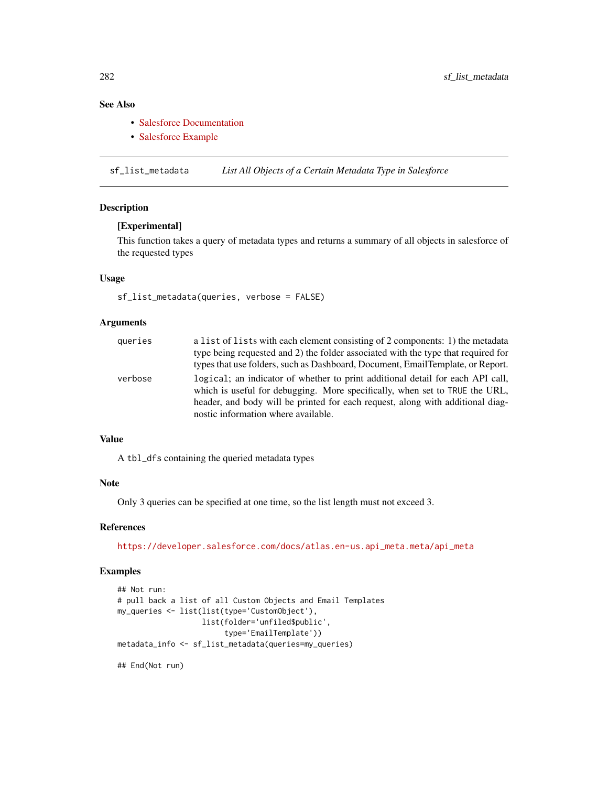# See Also

- [Salesforce Documentation](https://developer.salesforce.com/docs/atlas.en-us.api_analytics.meta/api_analytics/analytics_api_dashboard_list_resource.htm#topic-title)
- [Salesforce Example](https://developer.salesforce.com/docs/atlas.en-us.api_analytics.meta/api_analytics/analytics_api_dashboard_get_list.htm#topic-title)

sf\_list\_metadata *List All Objects of a Certain Metadata Type in Salesforce*

## Description

### [Experimental]

This function takes a query of metadata types and returns a summary of all objects in salesforce of the requested types

## Usage

sf\_list\_metadata(queries, verbose = FALSE)

## Arguments

| queries | a list of lists with each element consisting of 2 components: 1) the metadata                                                                                 |
|---------|---------------------------------------------------------------------------------------------------------------------------------------------------------------|
|         | type being requested and 2) the folder associated with the type that required for                                                                             |
|         | types that use folders, such as Dashboard, Document, EmailTemplate, or Report.                                                                                |
| verbose | logical; an indicator of whether to print additional detail for each API call,<br>which is useful for debugging. More specifically, when set to TRUE the URL, |
|         | header, and body will be printed for each request, along with additional diag-                                                                                |
|         | nostic information where available.                                                                                                                           |

#### Value

A tbl\_dfs containing the queried metadata types

#### Note

Only 3 queries can be specified at one time, so the list length must not exceed 3.

## References

[https://developer.salesforce.com/docs/atlas.en-us.api\\_meta.meta/api\\_meta](https://developer.salesforce.com/docs/atlas.en-us.api_meta.meta/api_meta)

#### Examples

```
## Not run:
# pull back a list of all Custom Objects and Email Templates
my_queries <- list(list(type='CustomObject'),
                   list(folder='unfiled$public',
                        type='EmailTemplate'))
metadata_info <- sf_list_metadata(queries=my_queries)
```
## End(Not run)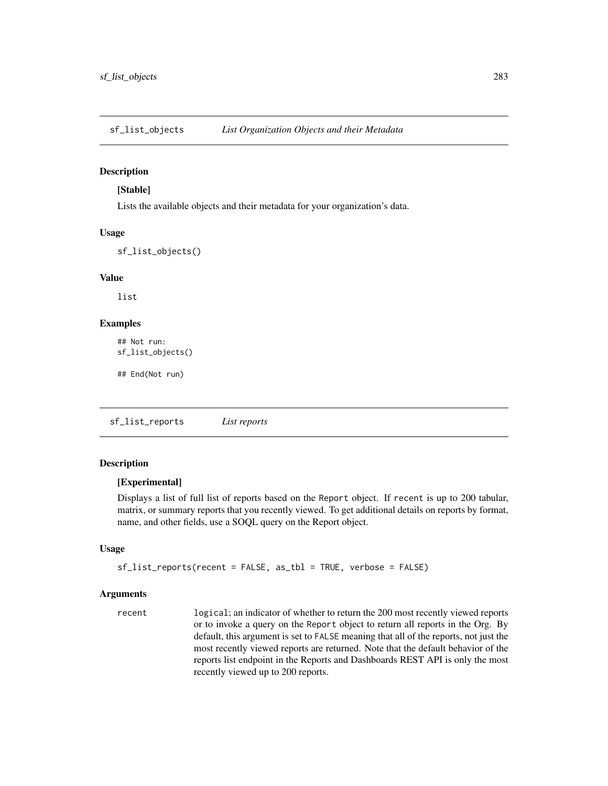#### Description

#### [Stable]

Lists the available objects and their metadata for your organization's data.

#### Usage

sf\_list\_objects()

## Value

list

# Examples

```
## Not run:
sf_list_objects()
```
## End(Not run)

<span id="page-282-0"></span>sf\_list\_reports *List reports*

## Description

#### [Experimental]

Displays a list of full list of reports based on the Report object. If recent is up to 200 tabular, matrix, or summary reports that you recently viewed. To get additional details on reports by format, name, and other fields, use a SOQL query on the Report object.

#### Usage

```
sf_list_reports(recent = FALSE, as_tbl = TRUE, verbose = FALSE)
```
#### Arguments

recent logical; an indicator of whether to return the 200 most recently viewed reports or to invoke a query on the Report object to return all reports in the Org. By default, this argument is set to FALSE meaning that all of the reports, not just the most recently viewed reports are returned. Note that the default behavior of the reports list endpoint in the Reports and Dashboards REST API is only the most recently viewed up to 200 reports.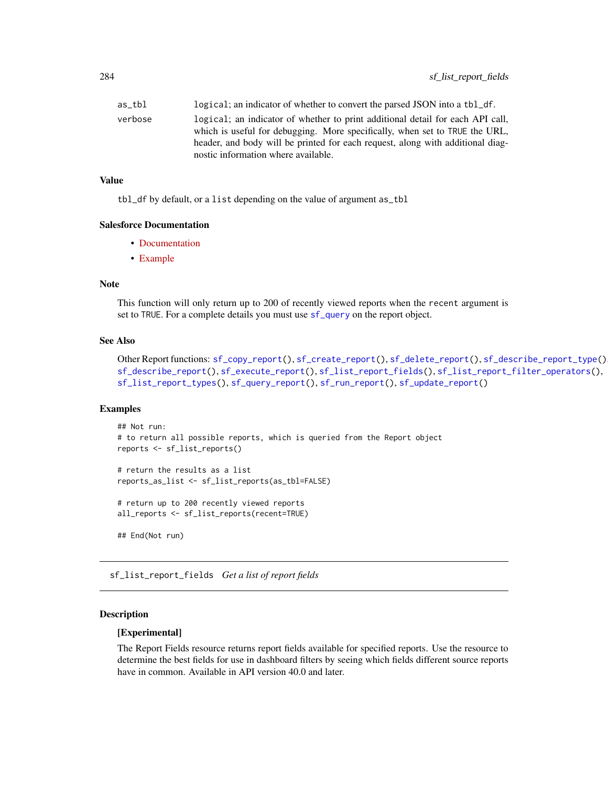| as tbl  | logical; an indicator of whether to convert the parsed JSON into a tbl_df.                                                                                                                                                                                                             |
|---------|----------------------------------------------------------------------------------------------------------------------------------------------------------------------------------------------------------------------------------------------------------------------------------------|
| verbose | logical; an indicator of whether to print additional detail for each API call,<br>which is useful for debugging. More specifically, when set to TRUE the URL,<br>header, and body will be printed for each request, along with additional diag-<br>nostic information where available. |
|         |                                                                                                                                                                                                                                                                                        |

#### Value

tbl\_df by default, or a list depending on the value of argument as\_tbl

#### Salesforce Documentation

- [Documentation](https://developer.salesforce.com/docs/atlas.en-us.api_analytics.meta/api_analytics/sforce_analytics_rest_api_recentreportslist.htm)
- [Example](https://developer.salesforce.com/docs/atlas.en-us.api_analytics.meta/api_analytics/sforce_analytics_rest_api_list_recentreports.htm#example_recent_reportslist)

## Note

This function will only return up to 200 of recently viewed reports when the recent argument is set to TRUE. For a complete details you must use [sf\\_query](#page-290-0) on the report object.

#### See Also

```
Other Report functions: sf_copy_report(), sf_create_report(), sf_delete_report(), sf_describe_report_type(),
sf_describe_report(), sf_execute_report(), sf_list_report_fields(), sf_list_report_filter_operators(),
sf_list_report_types(), sf_query_report(), sf_run_report(), sf_update_report()
```
## Examples

```
## Not run:
# to return all possible reports, which is queried from the Report object
reports <- sf_list_reports()
# return the results as a list
reports_as_list <- sf_list_reports(as_tbl=FALSE)
```
# return up to 200 recently viewed reports all\_reports <- sf\_list\_reports(recent=TRUE)

## End(Not run)

<span id="page-283-0"></span>sf\_list\_report\_fields *Get a list of report fields*

## Description

## [Experimental]

The Report Fields resource returns report fields available for specified reports. Use the resource to determine the best fields for use in dashboard filters by seeing which fields different source reports have in common. Available in API version 40.0 and later.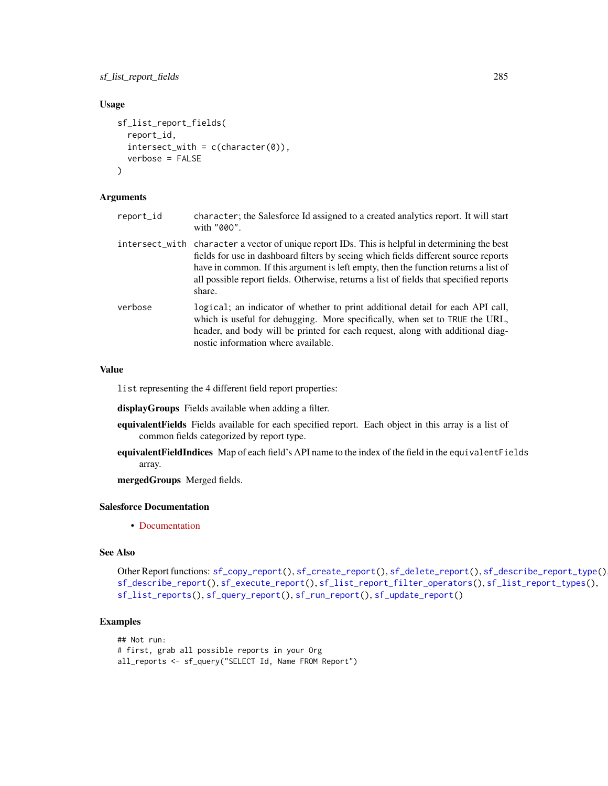## Usage

```
sf_list_report_fields(
  report_id,
  intersect\_with = c(character(0)),verbose = FALSE
\lambda
```
## Arguments

- report\_id character; the Salesforce Id assigned to a created analytics report. It will start with "00O".
- intersect\_with character a vector of unique report IDs. This is helpful in determining the best fields for use in dashboard filters by seeing which fields different source reports have in common. If this argument is left empty, then the function returns a list of all possible report fields. Otherwise, returns a list of fields that specified reports share.
- verbose logical; an indicator of whether to print additional detail for each API call, which is useful for debugging. More specifically, when set to TRUE the URL, header, and body will be printed for each request, along with additional diagnostic information where available.

#### Value

list representing the 4 different field report properties:

displayGroups Fields available when adding a filter.

- equivalentFields Fields available for each specified report. Each object in this array is a list of common fields categorized by report type.
- equivalentFieldIndices Map of each field's API name to the index of the field in the equivalentFields array.

mergedGroups Merged fields.

#### Salesforce Documentation

• [Documentation](https://developer.salesforce.com/docs/atlas.en-us.api_analytics.meta/api_analytics/sforce_analytics_rest_api_get_fields.htm)

# See Also

Other Report functions: [sf\\_copy\\_report\(](#page-230-0)), [sf\\_create\\_report\(](#page-241-0)), [sf\\_delete\\_report\(](#page-248-0)), [sf\\_describe\\_report\\_type\(](#page-255-0)), [sf\\_describe\\_report\(](#page-254-0)), [sf\\_execute\\_report\(](#page-259-0)), [sf\\_list\\_report\\_filter\\_operators\(](#page-285-0)), [sf\\_list\\_report\\_types\(](#page-287-0)), [sf\\_list\\_reports\(](#page-282-0)), [sf\\_query\\_report\(](#page-296-0)), [sf\\_run\\_report\(](#page-320-0)), [sf\\_update\\_report\(](#page-335-0))

#### Examples

```
## Not run:
# first, grab all possible reports in your Org
all_reports <- sf_query("SELECT Id, Name FROM Report")
```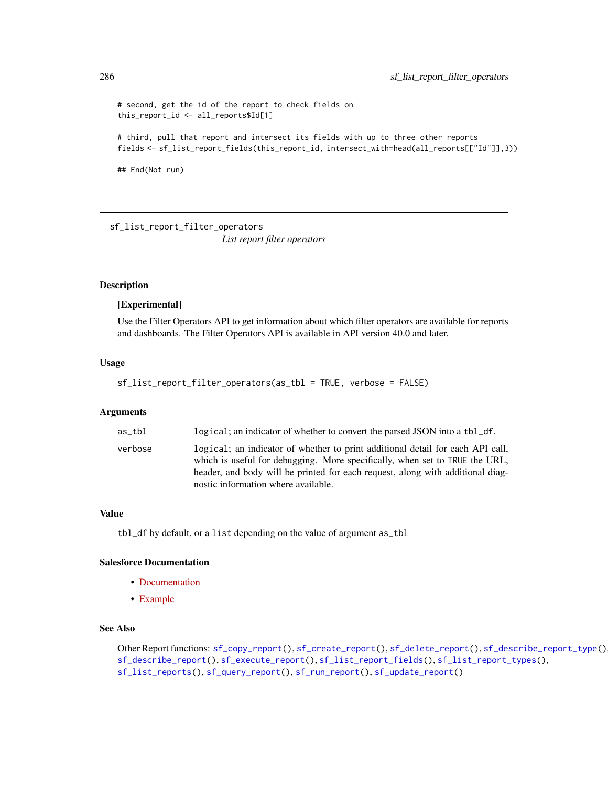```
# second, get the id of the report to check fields on
this_report_id <- all_reports$Id[1]
# third, pull that report and intersect its fields with up to three other reports
fields <- sf_list_report_fields(this_report_id, intersect_with=head(all_reports[["Id"]],3))
## End(Not run)
```
<span id="page-285-0"></span>sf\_list\_report\_filter\_operators *List report filter operators*

# **Description**

#### [Experimental]

Use the Filter Operators API to get information about which filter operators are available for reports and dashboards. The Filter Operators API is available in API version 40.0 and later.

#### Usage

```
sf_list_report_filter_operators(as_tbl = TRUE, verbose = FALSE)
```
#### Arguments

| as tbl  | logical; an indicator of whether to convert the parsed JSON into a tbl_df.                                                                                                                                                                                                             |
|---------|----------------------------------------------------------------------------------------------------------------------------------------------------------------------------------------------------------------------------------------------------------------------------------------|
| verbose | logical; an indicator of whether to print additional detail for each API call,<br>which is useful for debugging. More specifically, when set to TRUE the URL,<br>header, and body will be printed for each request, along with additional diag-<br>nostic information where available. |

## Value

tbl\_df by default, or a list depending on the value of argument as\_tbl

# Salesforce Documentation

- [Documentation](https://developer.salesforce.com/docs/atlas.en-us.api_analytics.meta/api_analytics/analytics_api_filteroperators_reference_resource.htm)
- [Example](https://developer.salesforce.com/docs/atlas.en-us.api_analytics.meta/api_analytics/analytics_api_filteroperators_reference_list.htm)

#### See Also

Other Report functions: [sf\\_copy\\_report\(](#page-230-0)), [sf\\_create\\_report\(](#page-241-0)), [sf\\_delete\\_report\(](#page-248-0)), [sf\\_describe\\_report\\_type\(](#page-255-0)), [sf\\_describe\\_report\(](#page-254-0)), [sf\\_execute\\_report\(](#page-259-0)), [sf\\_list\\_report\\_fields\(](#page-283-0)), [sf\\_list\\_report\\_types\(](#page-287-0)), [sf\\_list\\_reports\(](#page-282-0)), [sf\\_query\\_report\(](#page-296-0)), [sf\\_run\\_report\(](#page-320-0)), [sf\\_update\\_report\(](#page-335-0))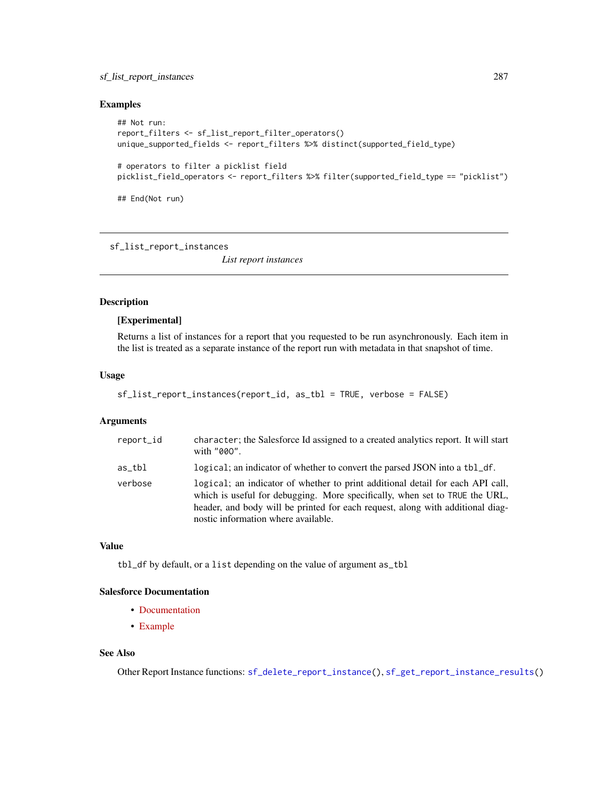## sf\_list\_report\_instances 287

#### Examples

```
## Not run:
report_filters <- sf_list_report_filter_operators()
unique_supported_fields <- report_filters %>% distinct(supported_field_type)
# operators to filter a picklist field
picklist_field_operators <- report_filters %>% filter(supported_field_type == "picklist")
```
## End(Not run)

<span id="page-286-0"></span>sf\_list\_report\_instances

*List report instances*

## Description

#### [Experimental]

Returns a list of instances for a report that you requested to be run asynchronously. Each item in the list is treated as a separate instance of the report run with metadata in that snapshot of time.

#### Usage

```
sf_list_report_instances(report_id, as_tbl = TRUE, verbose = FALSE)
```
#### Arguments

| report_id | character; the Salesforce Id assigned to a created analytics report. It will start<br>with "000".                                                                                                                                                                                      |
|-----------|----------------------------------------------------------------------------------------------------------------------------------------------------------------------------------------------------------------------------------------------------------------------------------------|
| as tbl    | logical; an indicator of whether to convert the parsed JSON into a tbl_df.                                                                                                                                                                                                             |
| verbose   | logical; an indicator of whether to print additional detail for each API call,<br>which is useful for debugging. More specifically, when set to TRUE the URL,<br>header, and body will be printed for each request, along with additional diag-<br>nostic information where available. |

## Value

tbl\_df by default, or a list depending on the value of argument as\_tbl

# Salesforce Documentation

- [Documentation](https://developer.salesforce.com/docs/atlas.en-us.api_analytics.meta/api_analytics/sforce_analytics_rest_api_instances_resource.htm)
- [Example](https://developer.salesforce.com/docs/atlas.en-us.api_analytics.meta/api_analytics/sforce_analytics_rest_api_list_asyncreportruns.htm#example_async_fetchresults_instances)

# See Also

Other Report Instance functions: [sf\\_delete\\_report\\_instance\(](#page-249-0)), [sf\\_get\\_report\\_instance\\_results\(](#page-275-0))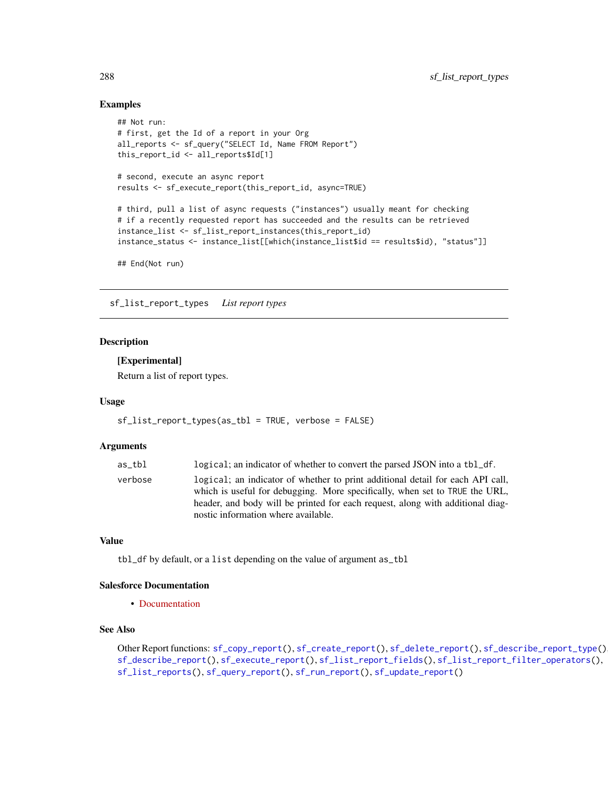## Examples

```
## Not run:
# first, get the Id of a report in your Org
all_reports <- sf_query("SELECT Id, Name FROM Report")
this_report_id <- all_reports$Id[1]
# second, execute an async report
results <- sf_execute_report(this_report_id, async=TRUE)
# third, pull a list of async requests ("instances") usually meant for checking
# if a recently requested report has succeeded and the results can be retrieved
instance_list <- sf_list_report_instances(this_report_id)
instance_status <- instance_list[[which(instance_list$id == results$id), "status"]]
```
## End(Not run)

<span id="page-287-0"></span>sf\_list\_report\_types *List report types*

#### Description

#### [Experimental]

Return a list of report types.

#### Usage

```
sf_list_report_types(as_tbl = TRUE, verbose = FALSE)
```
#### Arguments

| as tbl  | logical; an indicator of whether to convert the parsed JSON into a tbl_df.                                                                                                                                                                                                             |
|---------|----------------------------------------------------------------------------------------------------------------------------------------------------------------------------------------------------------------------------------------------------------------------------------------|
| verbose | logical; an indicator of whether to print additional detail for each API call,<br>which is useful for debugging. More specifically, when set to TRUE the URL,<br>header, and body will be printed for each request, along with additional diag-<br>nostic information where available. |
|         |                                                                                                                                                                                                                                                                                        |

## Value

tbl\_df by default, or a list depending on the value of argument as\_tbl

## Salesforce Documentation

• [Documentation](https://developer.salesforce.com/docs/atlas.en-us.api_analytics.meta/api_analytics/analytics_api_reporttypes_reference_list.htm)

# See Also

Other Report functions: [sf\\_copy\\_report\(](#page-230-0)), [sf\\_create\\_report\(](#page-241-0)), [sf\\_delete\\_report\(](#page-248-0)), [sf\\_describe\\_report\\_type\(](#page-255-0)), [sf\\_describe\\_report\(](#page-254-0)), [sf\\_execute\\_report\(](#page-259-0)), [sf\\_list\\_report\\_fields\(](#page-283-0)), [sf\\_list\\_report\\_filter\\_operators\(](#page-285-0)), [sf\\_list\\_reports\(](#page-282-0)), [sf\\_query\\_report\(](#page-296-0)), [sf\\_run\\_report\(](#page-320-0)), [sf\\_update\\_report\(](#page-335-0))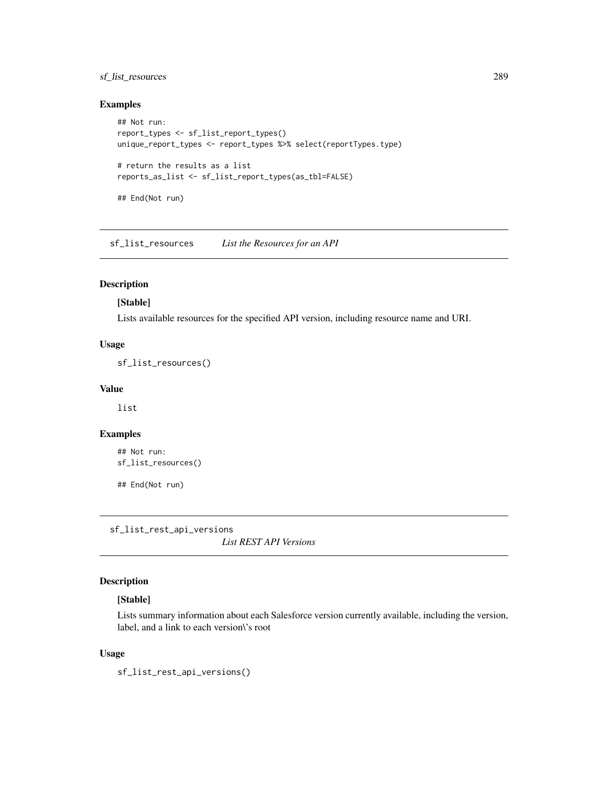## sf\_list\_resources 289

## Examples

```
## Not run:
report_types <- sf_list_report_types()
unique_report_types <- report_types %>% select(reportTypes.type)
# return the results as a list
reports_as_list <- sf_list_report_types(as_tbl=FALSE)
## End(Not run)
```
sf\_list\_resources *List the Resources for an API*

# Description

## [Stable]

Lists available resources for the specified API version, including resource name and URI.

#### Usage

sf\_list\_resources()

# Value

list

#### Examples

```
## Not run:
sf_list_resources()
```
## End(Not run)

sf\_list\_rest\_api\_versions

*List REST API Versions*

#### Description

## [Stable]

Lists summary information about each Salesforce version currently available, including the version, label, and a link to each version\'s root

#### Usage

sf\_list\_rest\_api\_versions()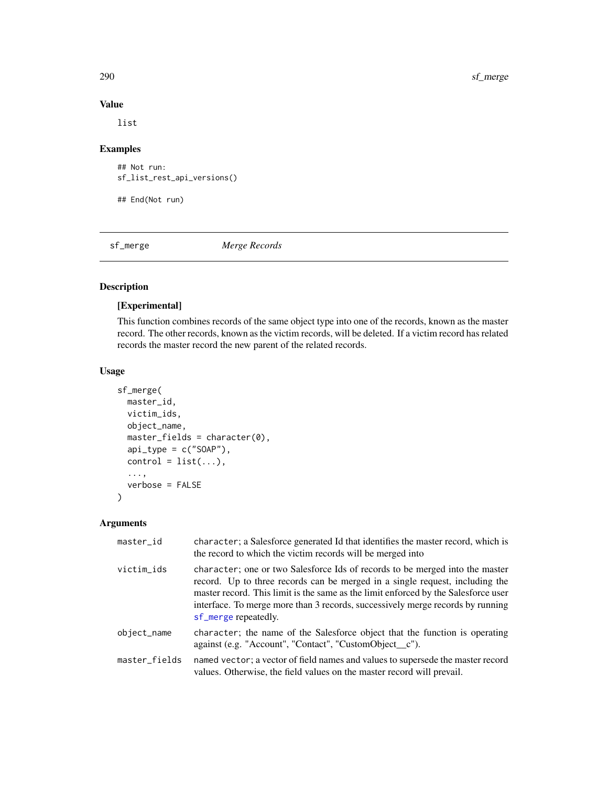290 sf\_merge

#### Value

list

## Examples

```
## Not run:
sf_list_rest_api_versions()
```
## End(Not run)

<span id="page-289-0"></span>sf\_merge *Merge Records*

# Description

# [Experimental]

This function combines records of the same object type into one of the records, known as the master record. The other records, known as the victim records, will be deleted. If a victim record has related records the master record the new parent of the related records.

## Usage

```
sf_merge(
 master_id,
  victim_ids,
  object_name,
  master_fields = character(0),
  api_type = c("SOAP"),
  control = list(...),...,
  verbose = FALSE
)
```

| master_id     | character; a Salesforce generated Id that identifies the master record, which is<br>the record to which the victim records will be merged into                                                                                                                                                                                                               |
|---------------|--------------------------------------------------------------------------------------------------------------------------------------------------------------------------------------------------------------------------------------------------------------------------------------------------------------------------------------------------------------|
| victim_ids    | character; one or two Salesforce Ids of records to be merged into the master<br>record. Up to three records can be merged in a single request, including the<br>master record. This limit is the same as the limit enforced by the Salesforce user<br>interface. To merge more than 3 records, successively merge records by running<br>sf_merge repeatedly. |
| object_name   | character; the name of the Salesforce object that the function is operating<br>against (e.g. "Account", "Contact", "CustomObject_c").                                                                                                                                                                                                                        |
| master_fields | named vector; a vector of field names and values to supersede the master record<br>values. Otherwise, the field values on the master record will prevail.                                                                                                                                                                                                    |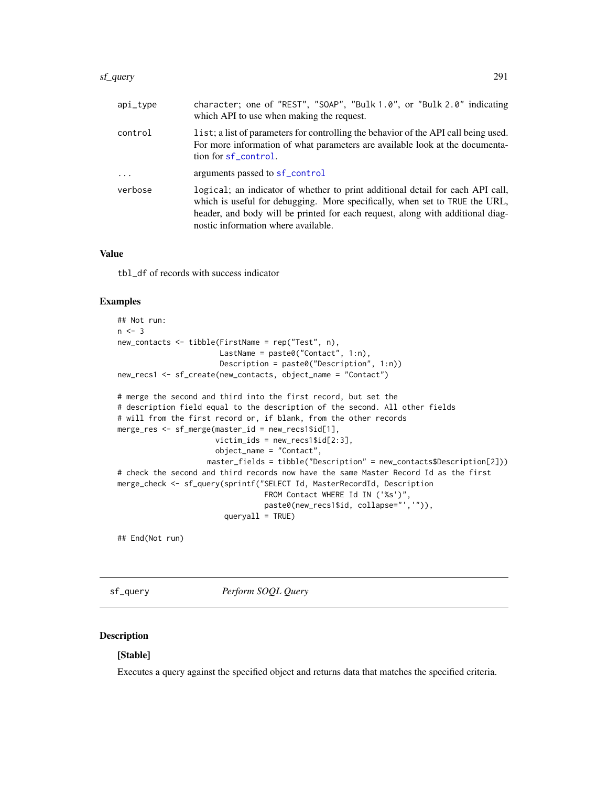#### sf\_query 291

| $api_type$ | character; one of "REST", "SOAP", "Bulk 1.0", or "Bulk 2.0" indicating<br>which API to use when making the request.                                                                                                                                                                    |
|------------|----------------------------------------------------------------------------------------------------------------------------------------------------------------------------------------------------------------------------------------------------------------------------------------|
| control    | list; a list of parameters for controlling the behavior of the API call being used.<br>For more information of what parameters are available look at the documenta-<br>tion for sf_control.                                                                                            |
| $\ddots$   | arguments passed to sf_control                                                                                                                                                                                                                                                         |
| verbose    | logical; an indicator of whether to print additional detail for each API call,<br>which is useful for debugging. More specifically, when set to TRUE the URL,<br>header, and body will be printed for each request, along with additional diag-<br>nostic information where available. |

#### Value

tbl\_df of records with success indicator

#### Examples

```
## Not run:
n < -3new_contacts <- tibble(FirstName = rep("Test", n),
                       LastName = paste0("Contact", 1:n),
                       Description = paste0("Description", 1:n))
new_recs1 <- sf_create(new_contacts, object_name = "Contact")
# merge the second and third into the first record, but set the
# description field equal to the description of the second. All other fields
# will from the first record or, if blank, from the other records
merge_res <- sf_merge(master_id = new_recs1$id[1],
                      victim\_ids = new\_recs1$id[2:3],object_name = "Contact",
                    master_fields = tibble("Description" = new_contacts$Description[2]))
# check the second and third records now have the same Master Record Id as the first
merge_check <- sf_query(sprintf("SELECT Id, MasterRecordId, Description
                                 FROM Contact WHERE Id IN ('%s')",
                                 paste0(new_recs1$id, collapse="','")),
                        queryall = TRUE)
```
## End(Not run)

sf\_query *Perform SOQL Query*

#### Description

## [Stable]

Executes a query against the specified object and returns data that matches the specified criteria.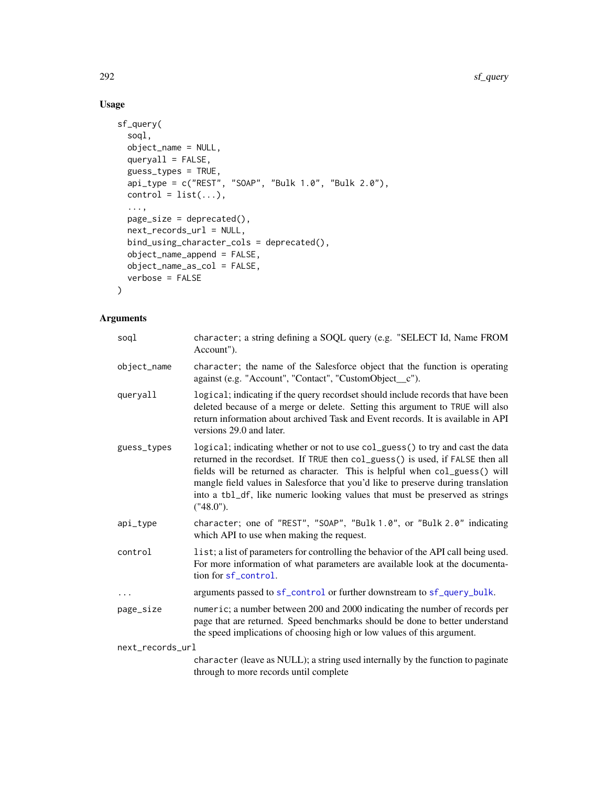# Usage

```
sf_query(
  soql,
 object_name = NULL,
 queryall = FALSE,guess_types = TRUE,
 api_type = c("REST", "SOAP", "Bulk 1.0", "Bulk 2.0"),
 control = list(...),...,
 page\_size = dependence(),next_records_url = NULL,
 bind_using_character_cols = deprecated(),
 object_name_append = FALSE,
 object_name_as_col = FALSE,
 verbose = FALSE
)
```

| soql             | character; a string defining a SOQL query (e.g. "SELECT Id, Name FROM<br>Account").                                                                                                                                                                                                                                                                                                                                                 |
|------------------|-------------------------------------------------------------------------------------------------------------------------------------------------------------------------------------------------------------------------------------------------------------------------------------------------------------------------------------------------------------------------------------------------------------------------------------|
| object_name      | character; the name of the Salesforce object that the function is operating<br>against (e.g. "Account", "Contact", "CustomObject_c").                                                                                                                                                                                                                                                                                               |
| queryall         | logical; indicating if the query recordset should include records that have been<br>deleted because of a merge or delete. Setting this argument to TRUE will also<br>return information about archived Task and Event records. It is available in API<br>versions 29.0 and later.                                                                                                                                                   |
| guess_types      | logical; indicating whether or not to use col_guess() to try and cast the data<br>returned in the recordset. If TRUE then col_guess() is used, if FALSE then all<br>fields will be returned as character. This is helpful when col_guess() will<br>mangle field values in Salesforce that you'd like to preserve during translation<br>into a tbl_df, like numeric looking values that must be preserved as strings<br>$("48.0")$ . |
| api_type         | character; one of "REST", "SOAP", "Bulk 1.0", or "Bulk 2.0" indicating<br>which API to use when making the request.                                                                                                                                                                                                                                                                                                                 |
| control          | list; a list of parameters for controlling the behavior of the API call being used.<br>For more information of what parameters are available look at the documenta-<br>tion for sf_control.                                                                                                                                                                                                                                         |
| $\ddots$         | arguments passed to sf_control or further downstream to sf_query_bulk.                                                                                                                                                                                                                                                                                                                                                              |
| page_size        | numeric; a number between 200 and 2000 indicating the number of records per<br>page that are returned. Speed benchmarks should be done to better understand<br>the speed implications of choosing high or low values of this argument.                                                                                                                                                                                              |
| next_records_url |                                                                                                                                                                                                                                                                                                                                                                                                                                     |
|                  | character (leave as NULL); a string used internally by the function to paginate<br>through to more records until complete                                                                                                                                                                                                                                                                                                           |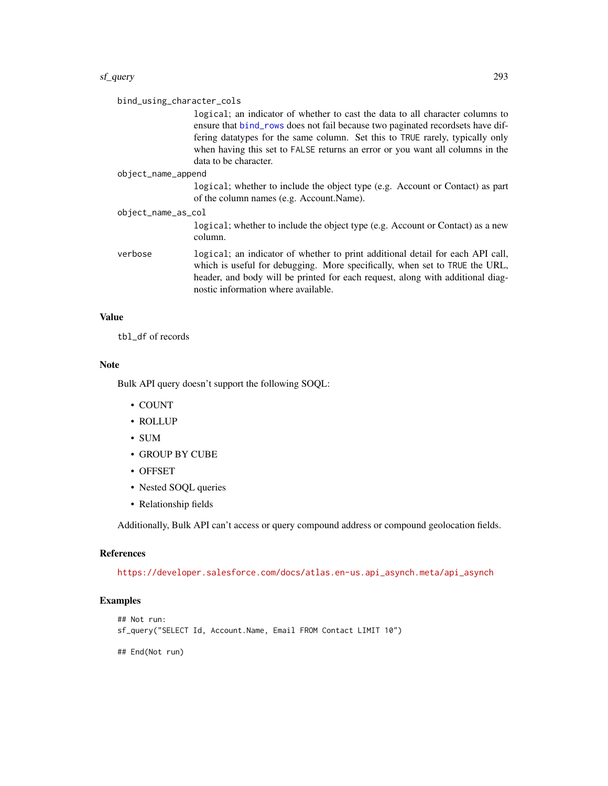#### sf\_query 293

| bind_using_character_cols | logical; an indicator of whether to cast the data to all character columns to<br>ensure that bind_rows does not fail because two paginated recordsets have dif-<br>fering datatypes for the same column. Set this to TRUE rarely, typically only<br>when having this set to FALSE returns an error or you want all columns in the |  |
|---------------------------|-----------------------------------------------------------------------------------------------------------------------------------------------------------------------------------------------------------------------------------------------------------------------------------------------------------------------------------|--|
|                           | data to be character.                                                                                                                                                                                                                                                                                                             |  |
| object_name_append        |                                                                                                                                                                                                                                                                                                                                   |  |
|                           | logical; whether to include the object type (e.g. Account or Contact) as part<br>of the column names (e.g. Account.Name).                                                                                                                                                                                                         |  |
| object_name_as_col        |                                                                                                                                                                                                                                                                                                                                   |  |
|                           | logical; whether to include the object type (e.g. Account or Contact) as a new<br>column.                                                                                                                                                                                                                                         |  |
| verbose                   | logical; an indicator of whether to print additional detail for each API call,<br>which is useful for debugging. More specifically, when set to TRUE the URL,<br>header, and body will be printed for each request, along with additional diag-<br>nostic information where available.                                            |  |

#### Value

tbl\_df of records

#### Note

Bulk API query doesn't support the following SOQL:

- COUNT
- ROLLUP
- SUM
- GROUP BY CUBE
- OFFSET
- Nested SOQL queries
- Relationship fields

Additionally, Bulk API can't access or query compound address or compound geolocation fields.

#### References

[https://developer.salesforce.com/docs/atlas.en-us.api\\_asynch.meta/api\\_asynch](https://developer.salesforce.com/docs/atlas.en-us.api_asynch.meta/api_asynch)

# Examples

```
## Not run:
sf_query("SELECT Id, Account.Name, Email FROM Contact LIMIT 10")
## End(Not run)
```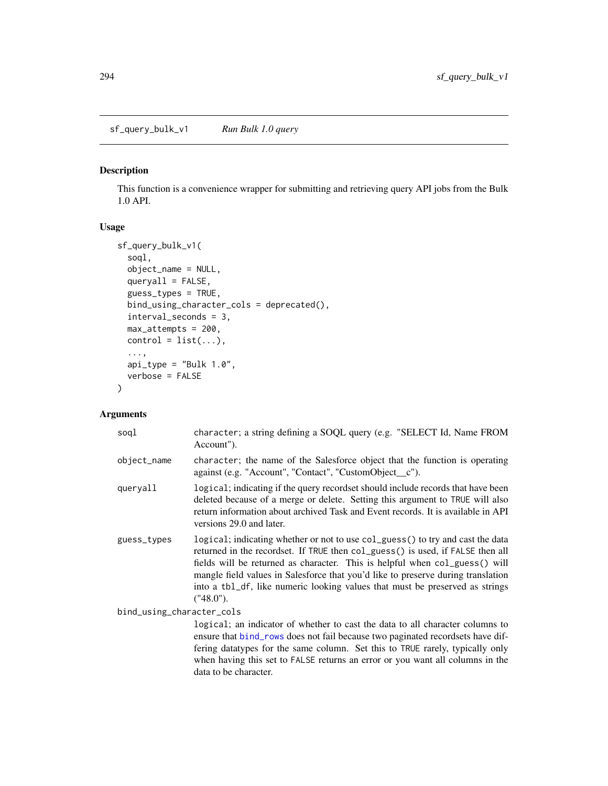sf\_query\_bulk\_v1 *Run Bulk 1.0 query*

#### Description

This function is a convenience wrapper for submitting and retrieving query API jobs from the Bulk 1.0 API.

#### Usage

```
sf_query_bulk_v1(
  soql,
 object_name = NULL,
 queryall = FALSE,
  guess_types = TRUE,
 bind_using_character_cols = deprecated(),
  interval_seconds = 3,
 max_attempts = 200,
 control = list(...),...,
 api_type = "Bulk 1.0",verbose = FALSE
)
```
#### Arguments

| soql                      | character; a string defining a SOQL query (e.g. "SELECT Id, Name FROM<br>Account").                                                                                                                                                                                                                                                                                                                                                 |
|---------------------------|-------------------------------------------------------------------------------------------------------------------------------------------------------------------------------------------------------------------------------------------------------------------------------------------------------------------------------------------------------------------------------------------------------------------------------------|
| object_name               | character; the name of the Salesforce object that the function is operating<br>against (e.g. "Account", "Contact", "CustomObject_c").                                                                                                                                                                                                                                                                                               |
| queryall                  | logical; indicating if the query recordset should include records that have been<br>deleted because of a merge or delete. Setting this argument to TRUE will also<br>return information about archived Task and Event records. It is available in API<br>versions 29.0 and later.                                                                                                                                                   |
| guess_types               | logical; indicating whether or not to use col_guess() to try and cast the data<br>returned in the recordset. If TRUE then col_guess() is used, if FALSE then all<br>fields will be returned as character. This is helpful when col_guess() will<br>mangle field values in Salesforce that you'd like to preserve during translation<br>into a tbl_df, like numeric looking values that must be preserved as strings<br>$("48.0")$ . |
| bind_using_character_cols |                                                                                                                                                                                                                                                                                                                                                                                                                                     |
|                           | logical; an indicator of whether to cast the data to all character columns to<br>$\blacksquare$ . The second contract of the second contract of the second contract of the second contract of the second contract of the second contract of the second contract of the second contract of the second contract of the s                                                                                                              |

ensure that [bind\\_rows](#page-0-0) does not fail because two paginated recordsets have differing datatypes for the same column. Set this to TRUE rarely, typically only when having this set to FALSE returns an error or you want all columns in the data to be character.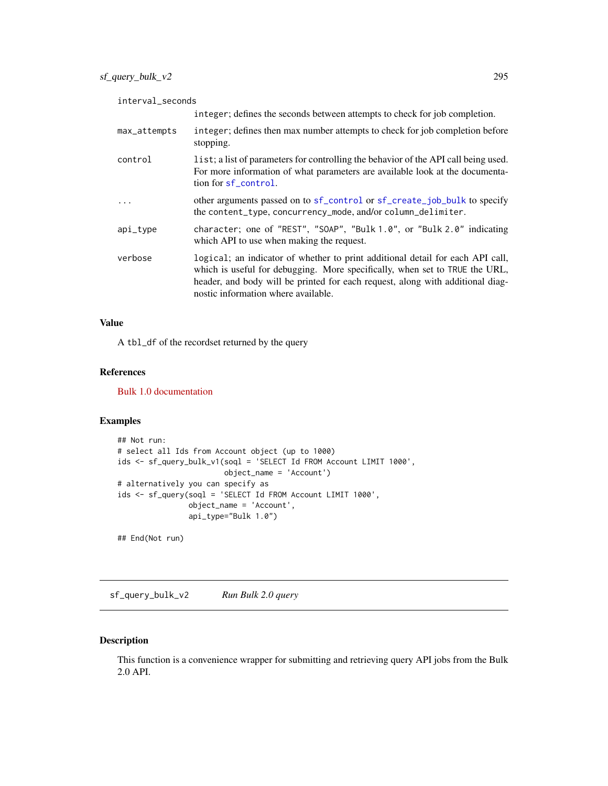| interval_seconds |                                                                                                                                                                                                                                                                                        |  |
|------------------|----------------------------------------------------------------------------------------------------------------------------------------------------------------------------------------------------------------------------------------------------------------------------------------|--|
|                  | integer; defines the seconds between attempts to check for job completion.                                                                                                                                                                                                             |  |
| max_attempts     | integer; defines then max number attempts to check for job completion before<br>stopping.                                                                                                                                                                                              |  |
| control          | list; a list of parameters for controlling the behavior of the API call being used.<br>For more information of what parameters are available look at the documenta-<br>tion for sf_control.                                                                                            |  |
| .                | other arguments passed on to sf_control or sf_create_job_bulk to specify<br>the content_type, concurrency_mode, and/or column_delimiter.                                                                                                                                               |  |
| api_type         | character; one of "REST", "SOAP", "Bulk 1.0", or "Bulk 2.0" indicating<br>which API to use when making the request.                                                                                                                                                                    |  |
| verbose          | logical; an indicator of whether to print additional detail for each API call,<br>which is useful for debugging. More specifically, when set to TRUE the URL,<br>header, and body will be printed for each request, along with additional diag-<br>nostic information where available. |  |

A tbl\_df of the recordset returned by the query

#### References

[Bulk 1.0 documentation](https://developer.salesforce.com/docs/atlas.en-us.api_asynch.meta/api_asynch/asynch_api_bulk_query_intro.htm)

#### Examples

```
## Not run:
# select all Ids from Account object (up to 1000)
ids <- sf_query_bulk_v1(soql = 'SELECT Id FROM Account LIMIT 1000',
                        object_name = 'Account')
# alternatively you can specify as
ids <- sf_query(soql = 'SELECT Id FROM Account LIMIT 1000',
                object_name = 'Account',
                api_type="Bulk 1.0")
```
## End(Not run)

sf\_query\_bulk\_v2 *Run Bulk 2.0 query*

#### Description

This function is a convenience wrapper for submitting and retrieving query API jobs from the Bulk 2.0 API.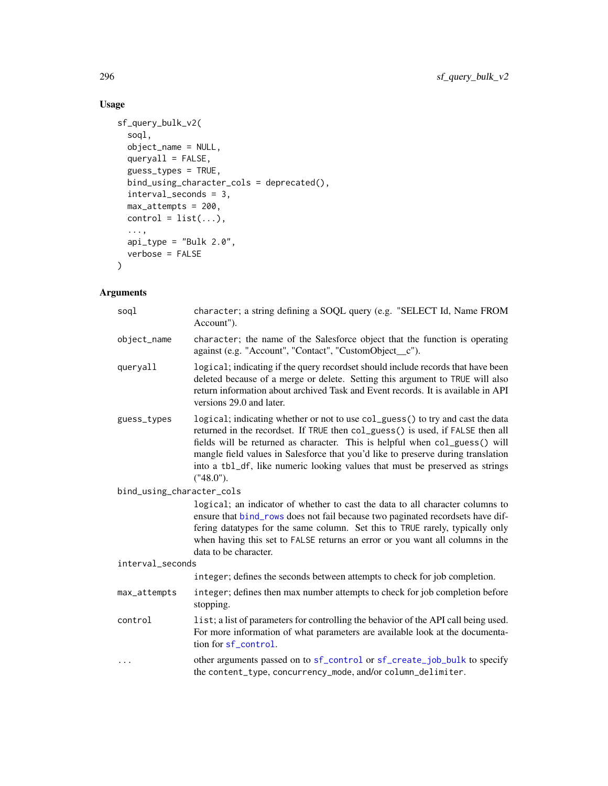# Usage

```
sf_query_bulk_v2(
  soql,
 object_name = NULL,
 queryall = FALSE,
 guess_types = TRUE,
 bind_using_character_cols = deprecated(),
  interval_seconds = 3,
 max_attempts = 200,
 control = list(...),...,
 api_type = "Bulk 2.0",verbose = FALSE
\mathcal{L}
```

| sogl                      | character; a string defining a SOQL query (e.g. "SELECT Id, Name FROM<br>Account").                                                                                                                                                                                                                                                                                                                                              |
|---------------------------|----------------------------------------------------------------------------------------------------------------------------------------------------------------------------------------------------------------------------------------------------------------------------------------------------------------------------------------------------------------------------------------------------------------------------------|
| object_name               | character; the name of the Salesforce object that the function is operating<br>against (e.g. "Account", "Contact", "CustomObject_c").                                                                                                                                                                                                                                                                                            |
| queryall                  | logical; indicating if the query recordset should include records that have been<br>deleted because of a merge or delete. Setting this argument to TRUE will also<br>return information about archived Task and Event records. It is available in API<br>versions 29.0 and later.                                                                                                                                                |
| guess_types               | logical; indicating whether or not to use col_guess() to try and cast the data<br>returned in the recordset. If TRUE then col_guess() is used, if FALSE then all<br>fields will be returned as character. This is helpful when col_guess() will<br>mangle field values in Salesforce that you'd like to preserve during translation<br>into a tb1_df, like numeric looking values that must be preserved as strings<br>("48.0"). |
| bind_using_character_cols |                                                                                                                                                                                                                                                                                                                                                                                                                                  |
|                           | logical; an indicator of whether to cast the data to all character columns to<br>ensure that bind_rows does not fail because two paginated recordsets have dif-<br>fering datatypes for the same column. Set this to TRUE rarely, typically only<br>when having this set to FALSE returns an error or you want all columns in the<br>data to be character.                                                                       |
| interval_seconds          |                                                                                                                                                                                                                                                                                                                                                                                                                                  |
|                           | integer; defines the seconds between attempts to check for job completion.                                                                                                                                                                                                                                                                                                                                                       |
| max_attempts              | integer; defines then max number attempts to check for job completion before<br>stopping.                                                                                                                                                                                                                                                                                                                                        |
| control                   | list; a list of parameters for controlling the behavior of the API call being used.<br>For more information of what parameters are available look at the documenta-<br>tion for sf_control.                                                                                                                                                                                                                                      |
| $\cdots$                  | other arguments passed on to sf_control or sf_create_job_bulk to specify<br>the content_type, concurrency_mode, and/or column_delimiter.                                                                                                                                                                                                                                                                                         |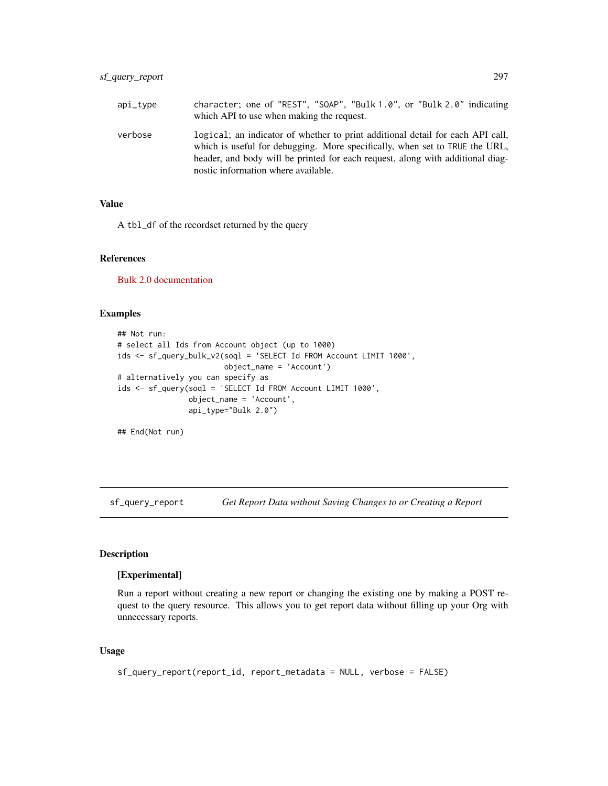| api_type | character; one of "REST", "SOAP", "Bulk 1.0", or "Bulk 2.0" indicating<br>which API to use when making the request.                                                                                                                                                                    |
|----------|----------------------------------------------------------------------------------------------------------------------------------------------------------------------------------------------------------------------------------------------------------------------------------------|
| verbose  | logical; an indicator of whether to print additional detail for each API call,<br>which is useful for debugging. More specifically, when set to TRUE the URL,<br>header, and body will be printed for each request, along with additional diag-<br>nostic information where available. |

A tbl\_df of the recordset returned by the query

#### References

[Bulk 2.0 documentation](https://developer.salesforce.com/docs/atlas.en-us.api_asynch.meta/api_asynch/queries.htm)

#### Examples

```
## Not run:
# select all Ids from Account object (up to 1000)
ids <- sf_query_bulk_v2(soql = 'SELECT Id FROM Account LIMIT 1000',
                        object_name = 'Account')
# alternatively you can specify as
ids <- sf_query(soql = 'SELECT Id FROM Account LIMIT 1000',
                object_name = 'Account',
                api_type="Bulk 2.0")
```
## End(Not run)

<span id="page-296-0"></span>sf\_query\_report *Get Report Data without Saving Changes to or Creating a Report*

#### Description

#### [Experimental]

Run a report without creating a new report or changing the existing one by making a POST request to the query resource. This allows you to get report data without filling up your Org with unnecessary reports.

## Usage

```
sf_query_report(report_id, report_metadata = NULL, verbose = FALSE)
```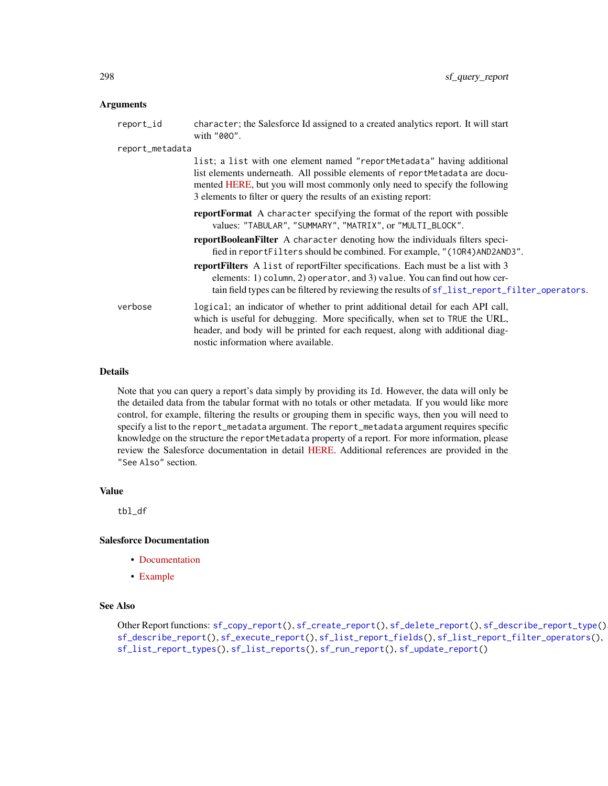#### **Arguments**

| report_id       | character; the Salesforce Id assigned to a created analytics report. It will start<br>with "000".                                                                                                                                                                                                       |
|-----------------|---------------------------------------------------------------------------------------------------------------------------------------------------------------------------------------------------------------------------------------------------------------------------------------------------------|
| report_metadata |                                                                                                                                                                                                                                                                                                         |
|                 | list; a list with one element named "reportMetadata" having additional<br>list elements underneath. All possible elements of reportMetadata are docu-<br>mented HERE, but you will most commonly only need to specify the following<br>3 elements to filter or query the results of an existing report: |
|                 | <b>reportFormat</b> A character specifying the format of the report with possible<br>values: "TABULAR", "SUMMARY", "MATRIX", or "MULTI_BLOCK".                                                                                                                                                          |
|                 | <b>reportBooleanFilter</b> A character denoting how the individuals filters speci-<br>fied in report Filters should be combined. For example, "(10R4) AND2AND3".                                                                                                                                        |
|                 | reportFilters A list of reportFilter specifications. Each must be a list with 3<br>elements: 1) column, 2) operator, and 3) value. You can find out how cer-<br>tain field types can be filtered by reviewing the results of sf_list_report_filter_operators.                                           |
| verbose         | logical; an indicator of whether to print additional detail for each API call,<br>which is useful for debugging. More specifically, when set to TRUE the URL,<br>header, and body will be printed for each request, along with additional diag-<br>nostic information where available.                  |

#### Details

Note that you can query a report's data simply by providing its Id. However, the data will only be the detailed data from the tabular format with no totals or other metadata. If you would like more control, for example, filtering the results or grouping them in specific ways, then you will need to specify a list to the report\_metadata argument. The report\_metadata argument requires specific knowledge on the structure the reportMetadata property of a report. For more information, please review the Salesforce documentation in detail [HERE.](https://developer.salesforce.com/docs/atlas.en-us.api_analytics.meta/api_analytics/sforce_analytics_rest_api_getbasic_reportmetadata.htm#analyticsapi_basicmetadata) Additional references are provided in the "See Also" section.

#### Value

tbl\_df

#### Salesforce Documentation

- [Documentation](https://developer.salesforce.com/docs/atlas.en-us.api_analytics.meta/api_analytics/sforce_analytics_rest_api_report_query.htm)
- [Example](https://developer.salesforce.com/docs/atlas.en-us.api_analytics.meta/api_analytics/sforce_analytics_rest_api_report_query_example.htm#sforce_analytics_rest_api_report_query_example)

## See Also

```
Other Report functions: sf_copy_report(), sf_create_report(), sf_delete_report(), sf_describe_report_type(),
sf_describe_report(), sf_execute_report(), sf_list_report_fields(), sf_list_report_filter_operators(),
sf_list_report_types(), sf_list_reports(), sf_run_report(), sf_update_report()
```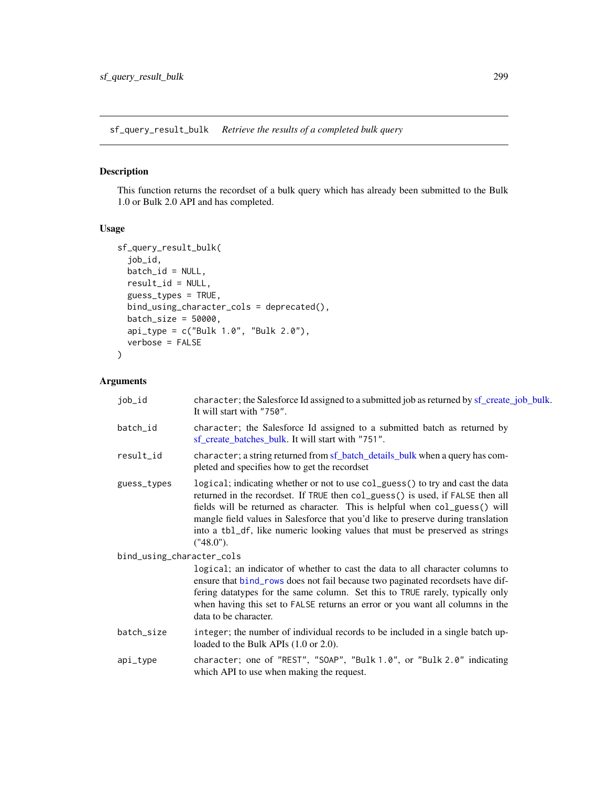sf\_query\_result\_bulk *Retrieve the results of a completed bulk query*

## Description

This function returns the recordset of a bulk query which has already been submitted to the Bulk 1.0 or Bulk 2.0 API and has completed.

# Usage

```
sf_query_result_bulk(
  job_id,
 batch_id = NULL,result_id = NULL,
  guess_types = TRUE,
 bind_using_character_cols = deprecated(),
 batch_size = 50000,
  api_type = c("Bulk 1.0", "Bulk 2.0"),verbose = FALSE
\mathcal{L}
```

| job_id                    | character; the Salesforce Id assigned to a submitted job as returned by sf_create_job_bulk.<br>It will start with "750".                                                                                                                                                                                                                                                                                                         |
|---------------------------|----------------------------------------------------------------------------------------------------------------------------------------------------------------------------------------------------------------------------------------------------------------------------------------------------------------------------------------------------------------------------------------------------------------------------------|
| batch_id                  | character; the Salesforce Id assigned to a submitted batch as returned by<br>sf_create_batches_bulk. It will start with "751".                                                                                                                                                                                                                                                                                                   |
| result_id                 | character; a string returned from sf_batch_details_bulk when a query has com-<br>pleted and specifies how to get the recordset                                                                                                                                                                                                                                                                                                   |
| guess_types               | logical; indicating whether or not to use col_guess() to try and cast the data<br>returned in the recordset. If TRUE then col_guess() is used, if FALSE then all<br>fields will be returned as character. This is helpful when col_guess() will<br>mangle field values in Salesforce that you'd like to preserve during translation<br>into a tb1_df, like numeric looking values that must be preserved as strings<br>("48.0"). |
| bind_using_character_cols |                                                                                                                                                                                                                                                                                                                                                                                                                                  |
|                           | logical; an indicator of whether to cast the data to all character columns to<br>ensure that bind_rows does not fail because two paginated recordsets have dif-<br>fering datatypes for the same column. Set this to TRUE rarely, typically only<br>when having this set to FALSE returns an error or you want all columns in the<br>data to be character.                                                                       |
| batch_size                | integer; the number of individual records to be included in a single batch up-<br>loaded to the Bulk APIs (1.0 or 2.0).                                                                                                                                                                                                                                                                                                          |
| api_type                  | character; one of "REST", "SOAP", "Bulk 1.0", or "Bulk 2.0" indicating<br>which API to use when making the request.                                                                                                                                                                                                                                                                                                              |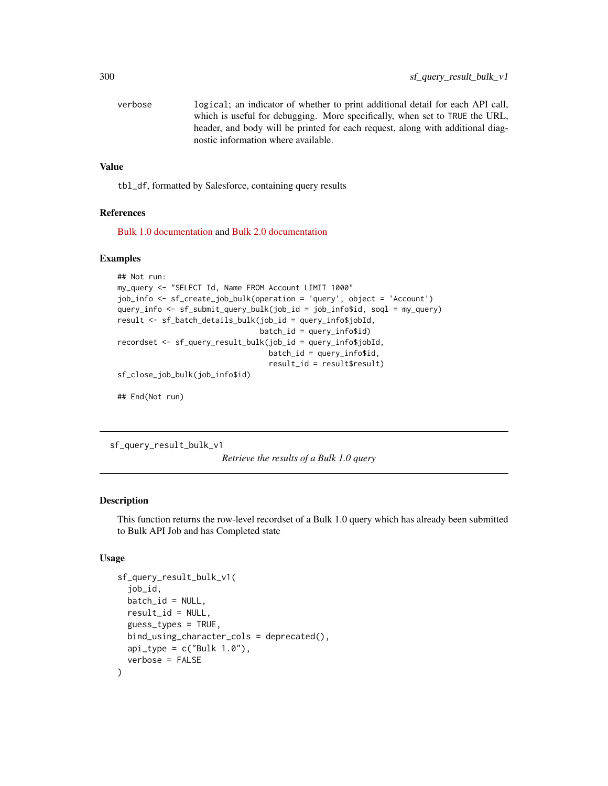| verbose | logical; an indicator of whether to print additional detail for each API call, |
|---------|--------------------------------------------------------------------------------|
|         | which is useful for debugging. More specifically, when set to TRUE the URL,    |
|         | header, and body will be printed for each request, along with additional diag- |
|         | nostic information where available.                                            |

tbl\_df, formatted by Salesforce, containing query results

#### References

[Bulk 1.0 documentation](https://developer.salesforce.com/docs/atlas.en-us.api_asynch.meta/api_asynch/asynch_api_bulk_query_intro.htm) and [Bulk 2.0 documentation](https://developer.salesforce.com/docs/atlas.en-us.api_asynch.meta/api_asynch/queries.htm)

#### Examples

```
## Not run:
my_query <- "SELECT Id, Name FROM Account LIMIT 1000"
job_info <- sf_create_job_bulk(operation = 'query', object = 'Account')
query_info <- sf_submit_query_bulk(job_id = job_info$id, soql = my_query)
result <- sf_batch_details_bulk(job_id = query_info$jobId,
                                batch_id = query_info$id)recordset <- sf_query_result_bulk(job_id = query_info$jobId,
                                  batch_id = query_info$id,
                                  result_id = result$result)
sf_close_job_bulk(job_info$id)
## End(Not run)
```
sf\_query\_result\_bulk\_v1

*Retrieve the results of a Bulk 1.0 query*

#### Description

This function returns the row-level recordset of a Bulk 1.0 query which has already been submitted to Bulk API Job and has Completed state

#### Usage

```
sf_query_result_bulk_v1(
  job_id,
 batch_id = NULL,result_id = NULL,
 guess_types = TRUE,
 bind_using_character_cols = deprecated(),
 api_type = c("Bulk 1.0"),verbose = FALSE
)
```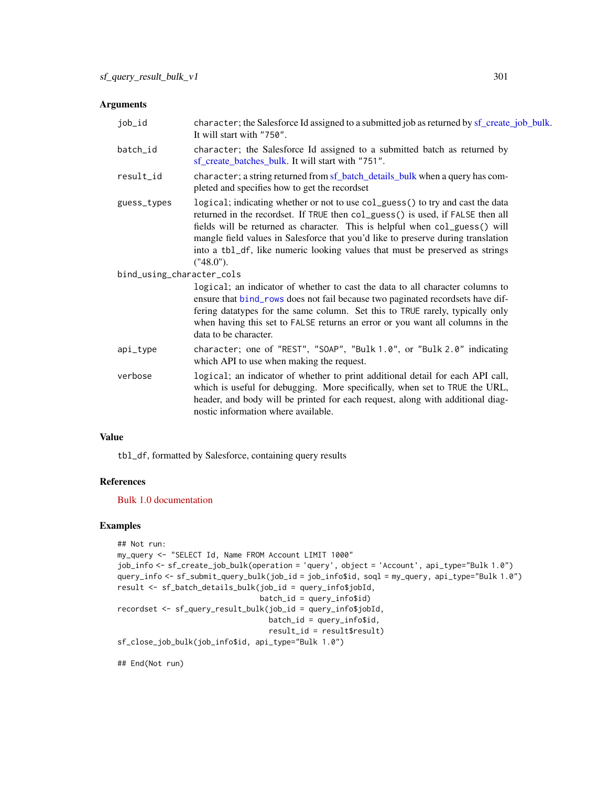#### Arguments

| job_id                    | character; the Salesforce Id assigned to a submitted job as returned by sf_create_job_bulk.<br>It will start with "750".                                                                                                                                                                                                                                                                                                         |
|---------------------------|----------------------------------------------------------------------------------------------------------------------------------------------------------------------------------------------------------------------------------------------------------------------------------------------------------------------------------------------------------------------------------------------------------------------------------|
| batch_id                  | character; the Salesforce Id assigned to a submitted batch as returned by<br>sf_create_batches_bulk. It will start with "751".                                                                                                                                                                                                                                                                                                   |
| result_id                 | character; a string returned from sf_batch_details_bulk when a query has com-<br>pleted and specifies how to get the recordset                                                                                                                                                                                                                                                                                                   |
| guess_types               | logical; indicating whether or not to use col_guess() to try and cast the data<br>returned in the recordset. If TRUE then col_guess() is used, if FALSE then all<br>fields will be returned as character. This is helpful when col_guess() will<br>mangle field values in Salesforce that you'd like to preserve during translation<br>into a tb1_df, like numeric looking values that must be preserved as strings<br>("48.0"). |
| bind_using_character_cols |                                                                                                                                                                                                                                                                                                                                                                                                                                  |
|                           | logical; an indicator of whether to cast the data to all character columns to<br>ensure that bind_rows does not fail because two paginated recordsets have dif-<br>fering datatypes for the same column. Set this to TRUE rarely, typically only<br>when having this set to FALSE returns an error or you want all columns in the<br>data to be character.                                                                       |
| api_type                  | character; one of "REST", "SOAP", "Bulk 1.0", or "Bulk 2.0" indicating<br>which API to use when making the request.                                                                                                                                                                                                                                                                                                              |
| verbose                   | logical; an indicator of whether to print additional detail for each API call,<br>which is useful for debugging. More specifically, when set to TRUE the URL,<br>header, and body will be printed for each request, along with additional diag-<br>nostic information where available.                                                                                                                                           |

## Value

tbl\_df, formatted by Salesforce, containing query results

#### References

[Bulk 1.0 documentation](https://developer.salesforce.com/docs/atlas.en-us.api_asynch.meta/api_asynch/asynch_api_bulk_query_intro.htm)

#### Examples

```
## Not run:
my_query <- "SELECT Id, Name FROM Account LIMIT 1000"
job_info <- sf_create_job_bulk(operation = 'query', object = 'Account', api_type="Bulk 1.0")
query_info <- sf_submit_query_bulk(job_id = job_info$id, soql = my_query, api_type="Bulk 1.0")
result <- sf_batch_details_bulk(job_id = query_info$jobId,
                                batch_id = query_info$id)
recordset <- sf_query_result_bulk(job_id = query_info$jobId,
                                  batch_id = query_info$id,result_id = result$result)
sf_close_job_bulk(job_info$id, api_type="Bulk 1.0")
```
## End(Not run)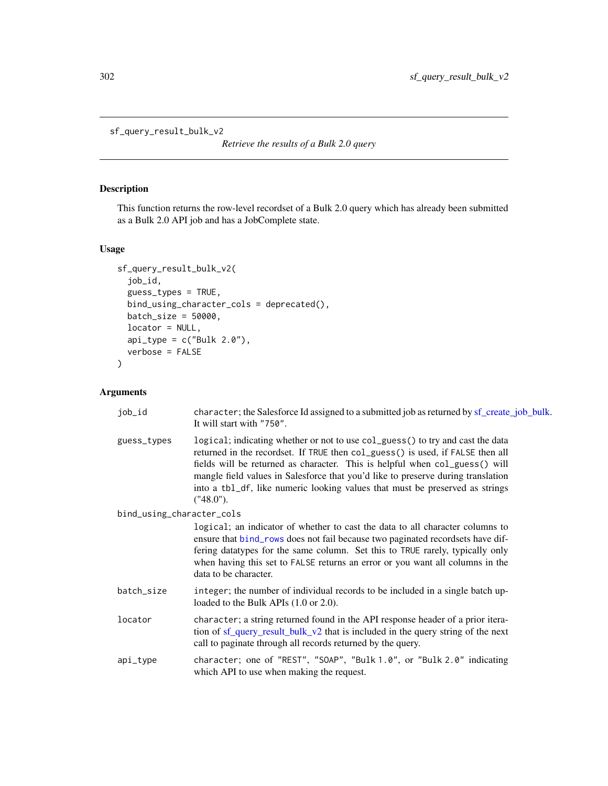<span id="page-301-0"></span>sf\_query\_result\_bulk\_v2

*Retrieve the results of a Bulk 2.0 query*

## Description

This function returns the row-level recordset of a Bulk 2.0 query which has already been submitted as a Bulk 2.0 API job and has a JobComplete state.

## Usage

```
sf_query_result_bulk_v2(
  job_id,
  guess_types = TRUE,
 bind_using_character_cols = deprecated(),
 batch_size = 50000,
 locator = NULL,
 api_type = c("Bulk 2.0"),verbose = FALSE
)
```

| job_id                    | character; the Salesforce Id assigned to a submitted job as returned by sf_create_job_bulk.<br>It will start with "750".                                                                                                                                                                                                                                                                                                         |
|---------------------------|----------------------------------------------------------------------------------------------------------------------------------------------------------------------------------------------------------------------------------------------------------------------------------------------------------------------------------------------------------------------------------------------------------------------------------|
| guess_types               | logical; indicating whether or not to use col_guess() to try and cast the data<br>returned in the recordset. If TRUE then col_guess() is used, if FALSE then all<br>fields will be returned as character. This is helpful when col_guess() will<br>mangle field values in Salesforce that you'd like to preserve during translation<br>into a tb1_df, like numeric looking values that must be preserved as strings<br>("48.0"). |
| bind_using_character_cols | logical; an indicator of whether to cast the data to all character columns to<br>ensure that bind_rows does not fail because two paginated recordsets have dif-<br>fering datatypes for the same column. Set this to TRUE rarely, typically only<br>when having this set to FALSE returns an error or you want all columns in the<br>data to be character.                                                                       |
| batch_size                | integer; the number of individual records to be included in a single batch up-<br>loaded to the Bulk APIs (1.0 or 2.0).                                                                                                                                                                                                                                                                                                          |
| locator                   | character; a string returned found in the API response header of a prior itera-<br>tion of sf_query_result_bulk_v2 that is included in the query string of the next<br>call to paginate through all records returned by the query.                                                                                                                                                                                               |
| api_type                  | character; one of "REST", "SOAP", "Bulk 1.0", or "Bulk 2.0" indicating<br>which API to use when making the request.                                                                                                                                                                                                                                                                                                              |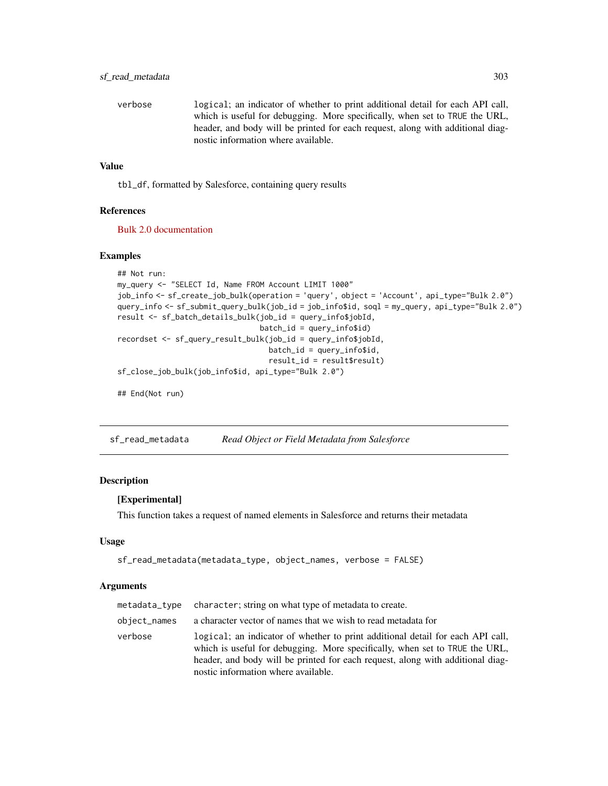verbose logical; an indicator of whether to print additional detail for each API call, which is useful for debugging. More specifically, when set to TRUE the URL, header, and body will be printed for each request, along with additional diagnostic information where available.

#### Value

tbl\_df, formatted by Salesforce, containing query results

#### References

[Bulk 2.0 documentation](https://developer.salesforce.com/docs/atlas.en-us.api_asynch.meta/api_asynch/queries.htm)

#### Examples

```
## Not run:
my_query <- "SELECT Id, Name FROM Account LIMIT 1000"
job_info <- sf_create_job_bulk(operation = 'query', object = 'Account', api_type="Bulk 2.0")
query_info <- sf_submit_query_bulk(job_id = job_info$id, soql = my_query, api_type="Bulk 2.0")
result <- sf_batch_details_bulk(job_id = query_info$jobId,
                                batch_id = query_info$id)
recordset <- sf_query_result_bulk(job_id = query_info$jobId,
                                  batch_id = query_info$id,result_id = result$result)
sf_close_job_bulk(job_info$id, api_type="Bulk 2.0")
## End(Not run)
```
sf\_read\_metadata *Read Object or Field Metadata from Salesforce*

#### Description

#### [Experimental]

This function takes a request of named elements in Salesforce and returns their metadata

#### Usage

```
sf_read_metadata(metadata_type, object_names, verbose = FALSE)
```

| metadata_type | character; string on what type of metadata to create.                                                                                                                                                                                                                                  |
|---------------|----------------------------------------------------------------------------------------------------------------------------------------------------------------------------------------------------------------------------------------------------------------------------------------|
| object_names  | a character vector of names that we wish to read metadata for                                                                                                                                                                                                                          |
| verbose       | logical; an indicator of whether to print additional detail for each API call,<br>which is useful for debugging. More specifically, when set to TRUE the URL,<br>header, and body will be printed for each request, along with additional diag-<br>nostic information where available. |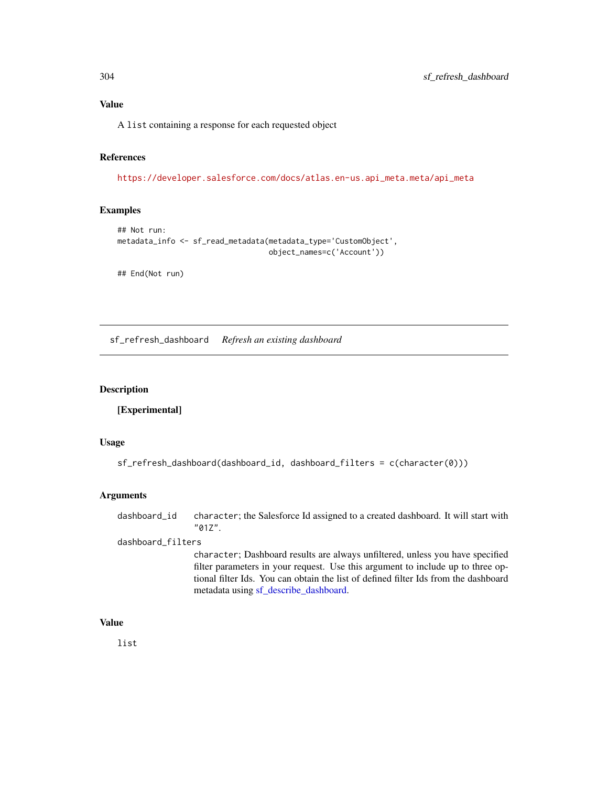A list containing a response for each requested object

#### References

[https://developer.salesforce.com/docs/atlas.en-us.api\\_meta.meta/api\\_meta](https://developer.salesforce.com/docs/atlas.en-us.api_meta.meta/api_meta)

#### Examples

```
## Not run:
metadata_info <- sf_read_metadata(metadata_type='CustomObject',
                                  object_names=c('Account'))
```
## End(Not run)

sf\_refresh\_dashboard *Refresh an existing dashboard*

#### Description

[Experimental]

#### Usage

```
sf_refresh_dashboard(dashboard_id, dashboard_filters = c(character(0)))
```
#### Arguments

```
dashboard_id character; the Salesforce Id assigned to a created dashboard. It will start with
                  "01Z".
```
#### dashboard\_filters

character; Dashboard results are always unfiltered, unless you have specified filter parameters in your request. Use this argument to include up to three optional filter Ids. You can obtain the list of defined filter Ids from the dashboard metadata using [sf\\_describe\\_dashboard.](#page-250-0)

#### Value

list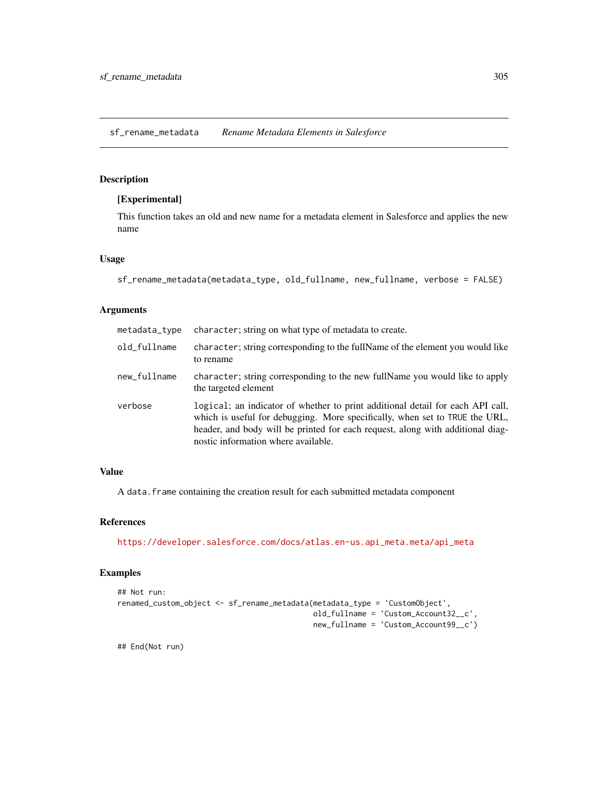sf\_rename\_metadata *Rename Metadata Elements in Salesforce*

## Description

#### [Experimental]

This function takes an old and new name for a metadata element in Salesforce and applies the new name

#### Usage

```
sf_rename_metadata(metadata_type, old_fullname, new_fullname, verbose = FALSE)
```
#### Arguments

| metadata_type | character; string on what type of metadata to create.                                                                                                                                                                                                                                  |
|---------------|----------------------------------------------------------------------------------------------------------------------------------------------------------------------------------------------------------------------------------------------------------------------------------------|
| old_fullname  | character; string corresponding to the fullName of the element you would like<br>to rename                                                                                                                                                                                             |
| new_fullname  | character; string corresponding to the new fullName you would like to apply<br>the targeted element                                                                                                                                                                                    |
| verbose       | logical; an indicator of whether to print additional detail for each API call,<br>which is useful for debugging. More specifically, when set to TRUE the URL,<br>header, and body will be printed for each request, along with additional diag-<br>nostic information where available. |

#### Value

A data. frame containing the creation result for each submitted metadata component

#### References

[https://developer.salesforce.com/docs/atlas.en-us.api\\_meta.meta/api\\_meta](https://developer.salesforce.com/docs/atlas.en-us.api_meta.meta/api_meta)

# Examples

```
## Not run:
renamed_custom_object <- sf_rename_metadata(metadata_type = 'CustomObject',
                                            old_fullname = 'Custom_Account32__c',
                                            new_fullname = 'Custom_Account99__c')
```
## End(Not run)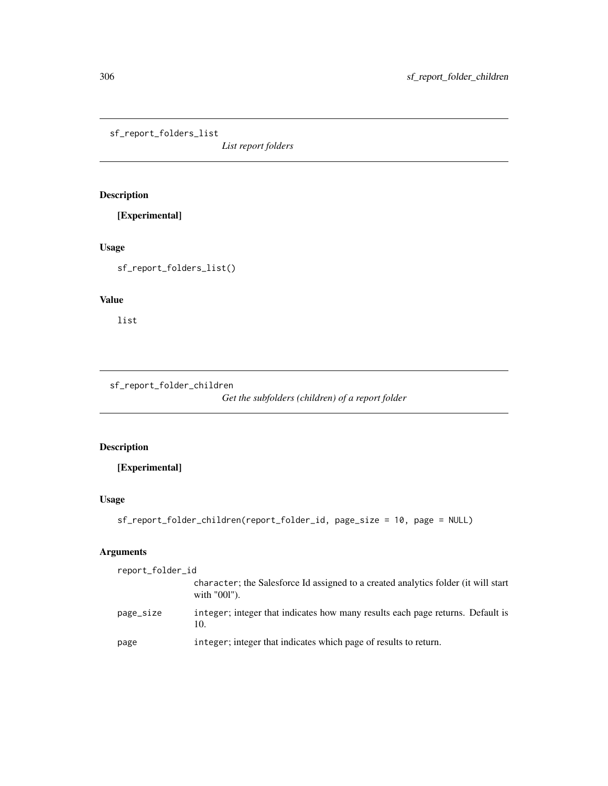sf\_report\_folders\_list

*List report folders*

# Description

[Experimental]

# Usage

sf\_report\_folders\_list()

## Value

list

sf\_report\_folder\_children

*Get the subfolders (children) of a report folder*

# Description

[Experimental]

# Usage

```
sf_report_folder_children(report_folder_id, page_size = 10, page = NULL)
```

| report_folder_id |                                                                                                       |
|------------------|-------------------------------------------------------------------------------------------------------|
|                  | character; the Salesforce Id assigned to a created analytics folder (it will start<br>with $"001"$ ). |
| page_size        | integer; integer that indicates how many results each page returns. Default is<br>10.                 |
| page             | integer; integer that indicates which page of results to return.                                      |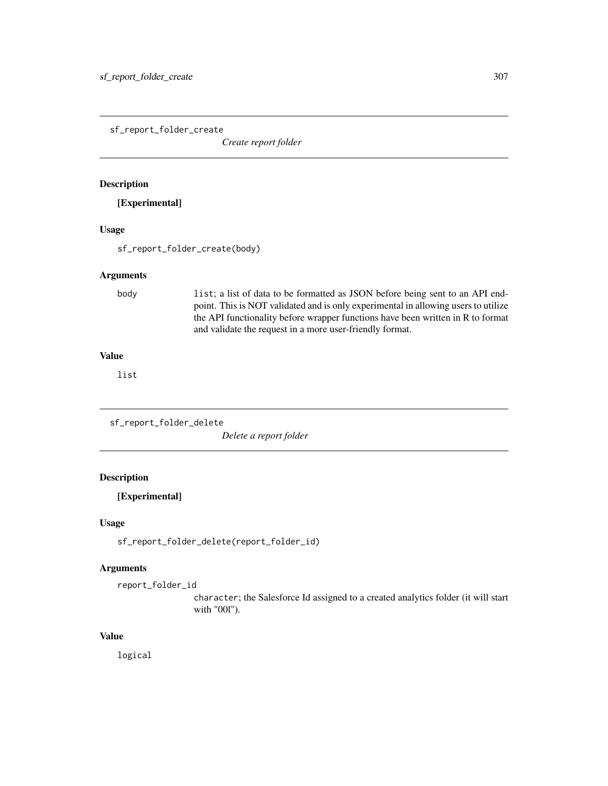sf\_report\_folder\_create

*Create report folder*

#### Description

[Experimental]

#### Usage

sf\_report\_folder\_create(body)

#### Arguments

body list; a list of data to be formatted as JSON before being sent to an API endpoint. This is NOT validated and is only experimental in allowing users to utilize the API functionality before wrapper functions have been written in R to format and validate the request in a more user-friendly format.

#### Value

list

sf\_report\_folder\_delete

*Delete a report folder*

#### Description

[Experimental]

## Usage

sf\_report\_folder\_delete(report\_folder\_id)

## Arguments

report\_folder\_id

character; the Salesforce Id assigned to a created analytics folder (it will start with "00l").

#### Value

logical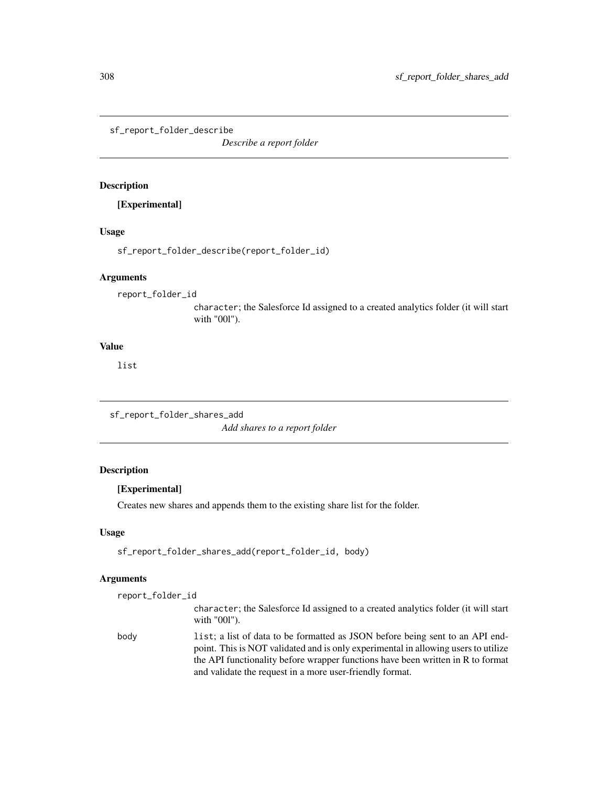sf\_report\_folder\_describe

*Describe a report folder*

## Description

[Experimental]

## Usage

sf\_report\_folder\_describe(report\_folder\_id)

#### Arguments

report\_folder\_id

character; the Salesforce Id assigned to a created analytics folder (it will start with "00l").

## Value

list

sf\_report\_folder\_shares\_add *Add shares to a report folder*

# Description

# [Experimental]

Creates new shares and appends them to the existing share list for the folder.

## Usage

sf\_report\_folder\_shares\_add(report\_folder\_id, body)

| report_folder_id |                                                                                                                                                                                                                                                        |
|------------------|--------------------------------------------------------------------------------------------------------------------------------------------------------------------------------------------------------------------------------------------------------|
|                  | character; the Salesforce Id assigned to a created analytics folder (it will start<br>with "001").                                                                                                                                                     |
| body             | list; a list of data to be formatted as JSON before being sent to an API end-<br>point. This is NOT validated and is only experimental in allowing users to utilize<br>the API functionality before wrapper functions have been written in R to format |
|                  | and validate the request in a more user-friendly format.                                                                                                                                                                                               |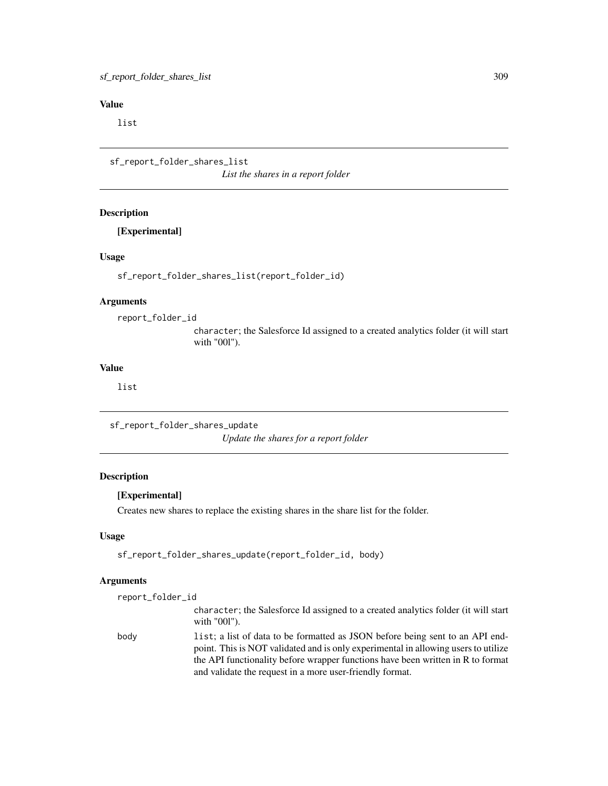list

sf\_report\_folder\_shares\_list *List the shares in a report folder*

# Description

[Experimental]

## Usage

sf\_report\_folder\_shares\_list(report\_folder\_id)

#### Arguments

report\_folder\_id

character; the Salesforce Id assigned to a created analytics folder (it will start with "00l").

# Value

list

sf\_report\_folder\_shares\_update *Update the shares for a report folder*

#### Description

## [Experimental]

Creates new shares to replace the existing shares in the share list for the folder.

## Usage

sf\_report\_folder\_shares\_update(report\_folder\_id, body)

| report_folder_id |                                                                                                                                                                                                                                                        |
|------------------|--------------------------------------------------------------------------------------------------------------------------------------------------------------------------------------------------------------------------------------------------------|
|                  | character; the Salesforce Id assigned to a created analytics folder (it will start<br>with $"001"$ ).                                                                                                                                                  |
| body             | list; a list of data to be formatted as JSON before being sent to an API end-<br>point. This is NOT validated and is only experimental in allowing users to utilize<br>the API functionality before wrapper functions have been written in R to format |
|                  | and validate the request in a more user-friendly format.                                                                                                                                                                                               |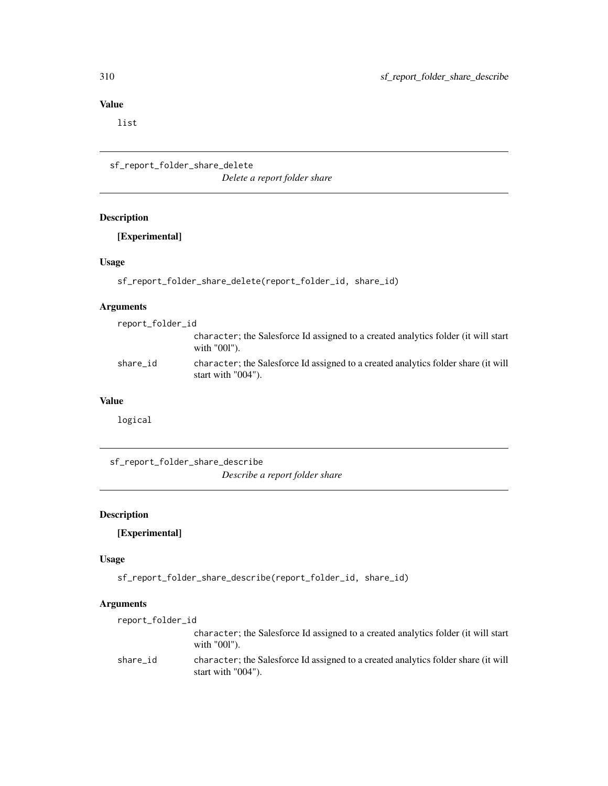list

```
sf_report_folder_share_delete
                         Delete a report folder share
```
# Description

[Experimental]

## Usage

sf\_report\_folder\_share\_delete(report\_folder\_id, share\_id)

## Arguments

| report_folder_id |                                                                                                          |
|------------------|----------------------------------------------------------------------------------------------------------|
|                  | character; the Salesforce Id assigned to a created analytics folder (it will start<br>with $"001"$ ).    |
| share id         | character; the Salesforce Id assigned to a created analytics folder share (it will<br>start with "004"). |

#### Value

logical

sf\_report\_folder\_share\_describe

*Describe a report folder share*

# Description

# [Experimental]

## Usage

sf\_report\_folder\_share\_describe(report\_folder\_id, share\_id)

| report_folder_id |                                                                                                          |
|------------------|----------------------------------------------------------------------------------------------------------|
|                  | character; the Salesforce Id assigned to a created analytics folder (it will start<br>with $"001"$ ).    |
| share id         | character; the Salesforce Id assigned to a created analytics folder share (it will<br>start with "004"). |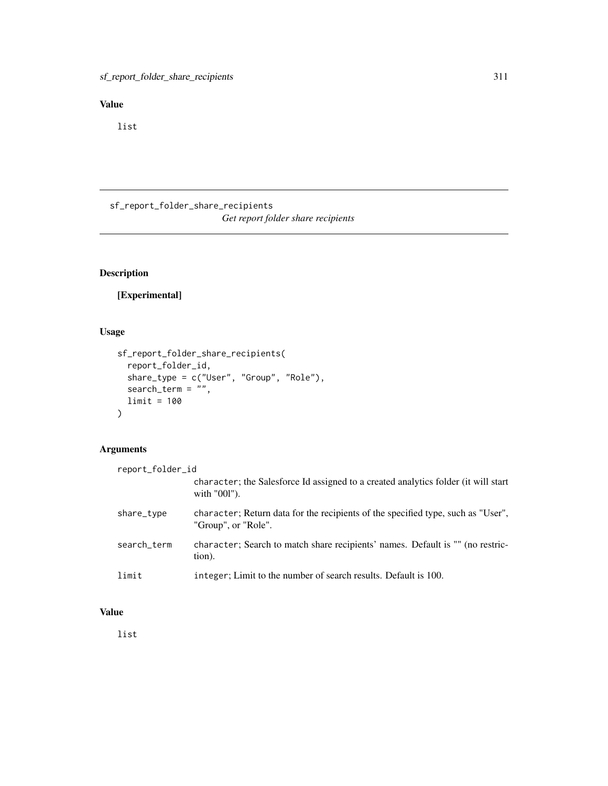list

sf\_report\_folder\_share\_recipients *Get report folder share recipients*

# Description

[Experimental]

# Usage

```
sf_report_folder_share_recipients(
  report_folder_id,
  share_type = c("User", "Group", "Role"),
 search_term = ",
 limit = 100
\mathcal{L}
```
## Arguments

```
report_folder_id
                  character; the Salesforce Id assigned to a created analytics folder (it will start
                  with "00l").
share_type character; Return data for the recipients of the specified type, such as "User",
                  "Group", or "Role".
search_term character; Search to match share recipients' names. Default is "" (no restric-
                 tion).
limit integer; Limit to the number of search results. Default is 100.
```
# Value

list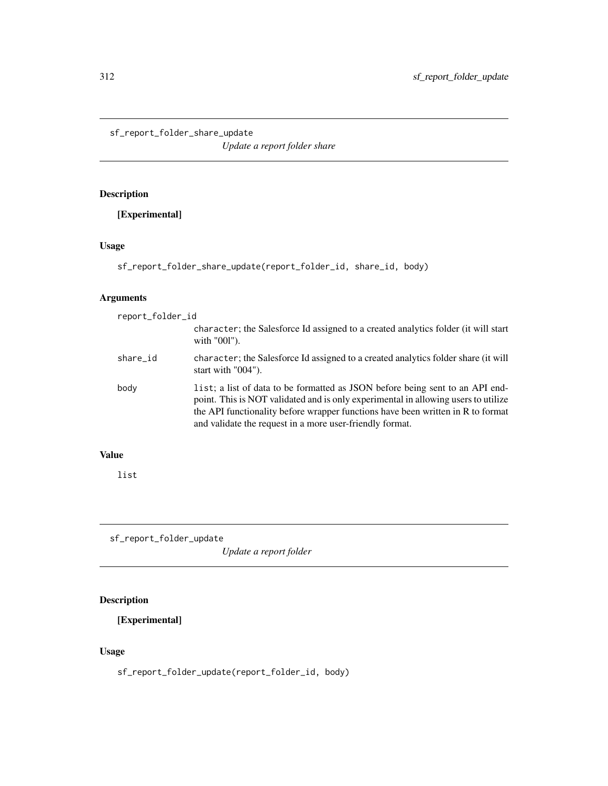sf\_report\_folder\_share\_update

*Update a report folder share*

# Description

[Experimental]

# Usage

```
sf_report_folder_share_update(report_folder_id, share_id, body)
```
# Arguments

| report_folder_id |                                                                                                                                                                                                                                                                                                                    |
|------------------|--------------------------------------------------------------------------------------------------------------------------------------------------------------------------------------------------------------------------------------------------------------------------------------------------------------------|
|                  | character; the Salesforce Id assigned to a created analytics folder (it will start<br>with "001").                                                                                                                                                                                                                 |
| share_id         | character; the Salesforce Id assigned to a created analytics folder share (it will<br>start with $"004"$ ).                                                                                                                                                                                                        |
| body             | list; a list of data to be formatted as JSON before being sent to an API end-<br>point. This is NOT validated and is only experimental in allowing users to utilize<br>the API functionality before wrapper functions have been written in R to format<br>and validate the request in a more user-friendly format. |

# Value

list

sf\_report\_folder\_update

*Update a report folder*

# Description

[Experimental]

# Usage

sf\_report\_folder\_update(report\_folder\_id, body)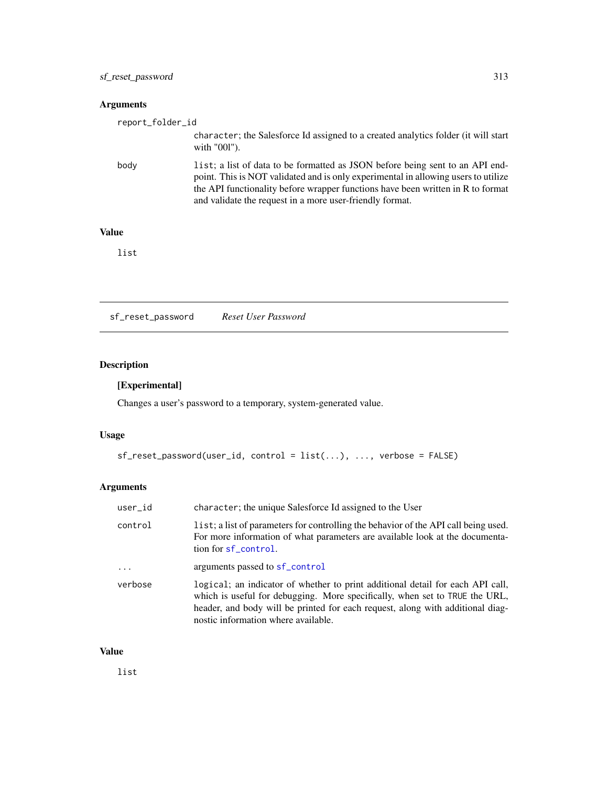# Arguments

| report_folder_id |                                                                                                                                                                                                                                                                                                                    |
|------------------|--------------------------------------------------------------------------------------------------------------------------------------------------------------------------------------------------------------------------------------------------------------------------------------------------------------------|
|                  | character; the Salesforce Id assigned to a created analytics folder (it will start<br>with "001").                                                                                                                                                                                                                 |
| body             | list; a list of data to be formatted as JSON before being sent to an API end-<br>point. This is NOT validated and is only experimental in allowing users to utilize<br>the API functionality before wrapper functions have been written in R to format<br>and validate the request in a more user-friendly format. |

# Value

list

sf\_reset\_password *Reset User Password*

# Description

## [Experimental]

Changes a user's password to a temporary, system-generated value.

## Usage

```
sf_reset_password(user_id, control = list(...), ..., verbose = FALSE)
```
# Arguments

| user_id  | character; the unique Salesforce Id assigned to the User                                                                                                                                                                                                                               |
|----------|----------------------------------------------------------------------------------------------------------------------------------------------------------------------------------------------------------------------------------------------------------------------------------------|
| control  | list; a list of parameters for controlling the behavior of the API call being used.<br>For more information of what parameters are available look at the documenta-<br>tion for sf_control.                                                                                            |
| $\cdots$ | arguments passed to sf_control                                                                                                                                                                                                                                                         |
| verbose  | logical; an indicator of whether to print additional detail for each API call,<br>which is useful for debugging. More specifically, when set to TRUE the URL,<br>header, and body will be printed for each request, along with additional diag-<br>nostic information where available. |

#### Value

list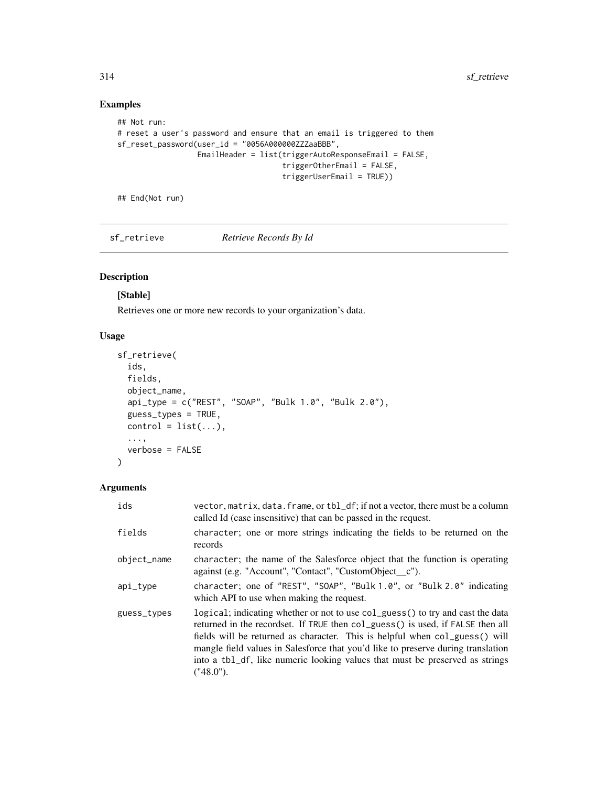## Examples

```
## Not run:
# reset a user's password and ensure that an email is triggered to them
sf_reset_password(user_id = "0056A000000ZZZaaBBB",
                  EmailHeader = list(triggerAutoResponseEmail = FALSE,
                                     triggerOtherEmail = FALSE,
                                     triggerUserEmail = TRUE))
```
## End(Not run)

sf\_retrieve *Retrieve Records By Id*

# Description

## [Stable]

Retrieves one or more new records to your organization's data.

## Usage

```
sf_retrieve(
  ids,
  fields,
 object_name,
  api_type = c("REST", "SOAP", "Bulk 1.0", "Bulk 2.0"),
  guess_types = TRUE,
 control = list(...),...,
  verbose = FALSE
)
```

| ids         | vector, matrix, data. frame, or tbl_df; if not a vector, there must be a column<br>called Id (case insensitive) that can be passed in the request.                                                                                                                                                                                                                                                                               |
|-------------|----------------------------------------------------------------------------------------------------------------------------------------------------------------------------------------------------------------------------------------------------------------------------------------------------------------------------------------------------------------------------------------------------------------------------------|
| fields      | character; one or more strings indicating the fields to be returned on the<br>records                                                                                                                                                                                                                                                                                                                                            |
| object_name | character; the name of the Salesforce object that the function is operating<br>against (e.g. "Account", "Contact", "CustomObject_c").                                                                                                                                                                                                                                                                                            |
| api_type    | character; one of "REST", "SOAP", "Bulk 1.0", or "Bulk 2.0" indicating<br>which API to use when making the request.                                                                                                                                                                                                                                                                                                              |
| guess_types | logical; indicating whether or not to use col_guess() to try and cast the data<br>returned in the recordset. If TRUE then col_guess() is used, if FALSE then all<br>fields will be returned as character. This is helpful when col_guess() will<br>mangle field values in Salesforce that you'd like to preserve during translation<br>into a tbl_df, like numeric looking values that must be preserved as strings<br>("48.0"). |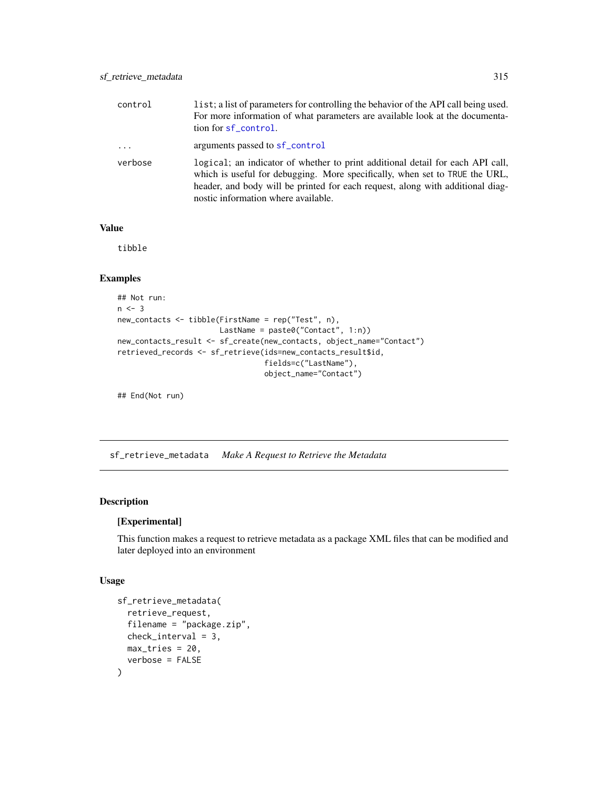| control   | list; a list of parameters for controlling the behavior of the API call being used.<br>For more information of what parameters are available look at the documenta-<br>tion for sf_control.                                                                                            |
|-----------|----------------------------------------------------------------------------------------------------------------------------------------------------------------------------------------------------------------------------------------------------------------------------------------|
| $\cdot$ . | arguments passed to sf_control                                                                                                                                                                                                                                                         |
| verbose   | logical; an indicator of whether to print additional detail for each API call,<br>which is useful for debugging. More specifically, when set to TRUE the URL,<br>header, and body will be printed for each request, along with additional diag-<br>nostic information where available. |

tibble

## Examples

```
## Not run:
n < -3new_contacts <- tibble(FirstName = rep("Test", n),
                      LastName = paste0("Contact", 1:n))
new_contacts_result <- sf_create(new_contacts, object_name="Contact")
retrieved_records <- sf_retrieve(ids=new_contacts_result$id,
                                 fields=c("LastName"),
                                 object_name="Contact")
```
## End(Not run)

sf\_retrieve\_metadata *Make A Request to Retrieve the Metadata*

## Description

#### [Experimental]

This function makes a request to retrieve metadata as a package XML files that can be modified and later deployed into an environment

#### Usage

```
sf_retrieve_metadata(
  retrieve_request,
  filename = "package.zip",
  check_interval = 3,
  max\_tries = 20,
  verbose = FALSE
\mathcal{E}
```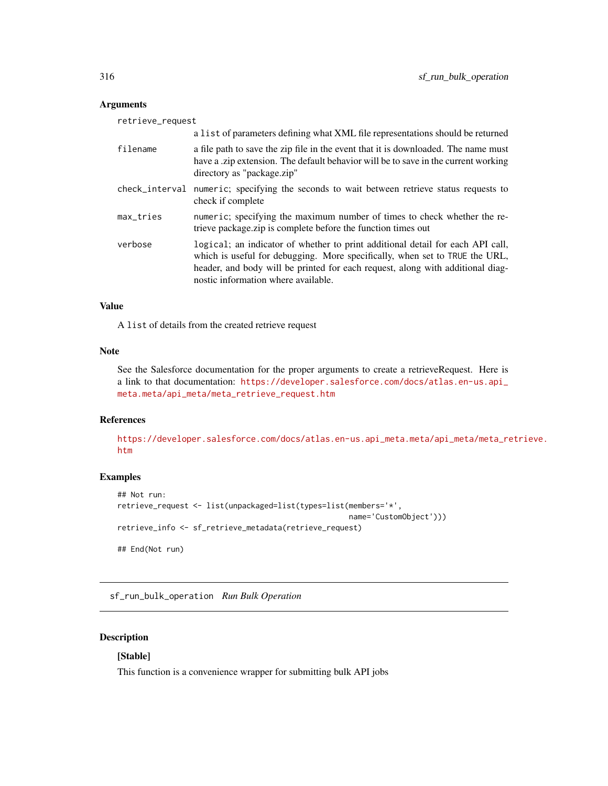## Arguments

| retrieve_request |                                                                                                                                                                                                                                                                                        |  |
|------------------|----------------------------------------------------------------------------------------------------------------------------------------------------------------------------------------------------------------------------------------------------------------------------------------|--|
|                  | a list of parameters defining what XML file representations should be returned                                                                                                                                                                                                         |  |
| filename         | a file path to save the zip file in the event that it is downloaded. The name must<br>have a .zip extension. The default behavior will be to save in the current working<br>directory as "package.zip"                                                                                 |  |
| check_interval   | numeric; specifying the seconds to wait between retrieve status requests to<br>check if complete                                                                                                                                                                                       |  |
| max_tries        | numeric; specifying the maximum number of times to check whether the re-<br>trieve package.zip is complete before the function times out                                                                                                                                               |  |
| verbose          | logical; an indicator of whether to print additional detail for each API call,<br>which is useful for debugging. More specifically, when set to TRUE the URL,<br>header, and body will be printed for each request, along with additional diag-<br>nostic information where available. |  |

#### Value

A list of details from the created retrieve request

#### Note

See the Salesforce documentation for the proper arguments to create a retrieveRequest. Here is a link to that documentation: [https://developer.salesforce.com/docs/atlas.en-us.api\\_](https://developer.salesforce.com/docs/atlas.en-us.api_meta.meta/api_meta/meta_retrieve_request.htm) [meta.meta/api\\_meta/meta\\_retrieve\\_request.htm](https://developer.salesforce.com/docs/atlas.en-us.api_meta.meta/api_meta/meta_retrieve_request.htm)

# References

[https://developer.salesforce.com/docs/atlas.en-us.api\\_meta.meta/api\\_meta/meta\\_re](https://developer.salesforce.com/docs/atlas.en-us.api_meta.meta/api_meta/meta_retrieve.htm)trieve. [htm](https://developer.salesforce.com/docs/atlas.en-us.api_meta.meta/api_meta/meta_retrieve.htm)

## Examples

```
## Not run:
retrieve_request <- list(unpackaged=list(types=list(members='*',
                                                    name='CustomObject')))
retrieve_info <- sf_retrieve_metadata(retrieve_request)
## End(Not run)
```
sf\_run\_bulk\_operation *Run Bulk Operation*

## Description

# [Stable]

This function is a convenience wrapper for submitting bulk API jobs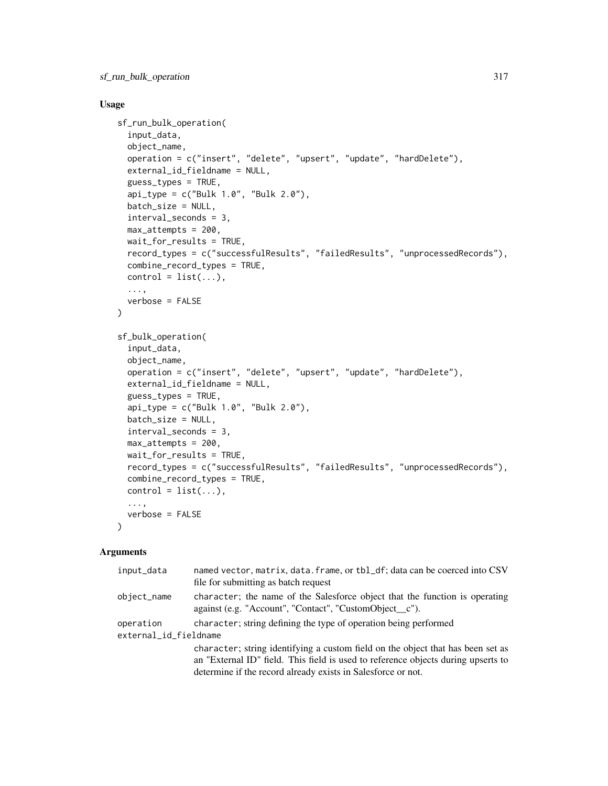#### Usage

```
sf_run_bulk_operation(
  input_data,
  object_name,
  operation = c("insert", "delete", "upsert", "update", "hardDelete"),
  external_id_fieldname = NULL,
  guess_types = TRUE,
  api_type = c("Bulk 1.0", "Bulk 2.0"),
  batch_size = NULL,
  interval_seconds = 3,
  max_attempts = 200,
 wait_for_results = TRUE,
  record_types = c("successfulResults", "failedResults", "unprocessedRecords"),
  combine_record_types = TRUE,
  control = list(...),...,
 verbose = FALSE
\mathcal{L}sf_bulk_operation(
  input_data,
  object_name,
  operation = c("insert", "delete", "upsert", "update", "hardDelete"),
  external_id_fieldname = NULL,
  guess_types = TRUE,
  api_type = c("Bulk 1.0", "Bulk 2.0"),batch_size = NULL,
  interval_seconds = 3,
 max_attempts = 200,
  wait_for_results = TRUE,
  record_types = c("successfulResults", "failedResults", "unprocessedRecords"),
  combine_record_types = TRUE,
  control = list(...),...,
  verbose = FALSE
)
```

| input_data            | named vector, matrix, data. frame, or tbl_df; data can be coerced into CSV<br>file for submitting as batch request                    |  |
|-----------------------|---------------------------------------------------------------------------------------------------------------------------------------|--|
| object_name           | character; the name of the Salesforce object that the function is operating<br>against (e.g. "Account", "Contact", "CustomObject_c"). |  |
| operation             | character; string defining the type of operation being performed                                                                      |  |
| external_id_fieldname |                                                                                                                                       |  |
|                       | character; string identifying a custom field on the object that has been set as                                                       |  |
|                       | an "External ID" field. This field is used to reference objects during upserts to                                                     |  |
|                       | determine if the record already exists in Salesforce or not.                                                                          |  |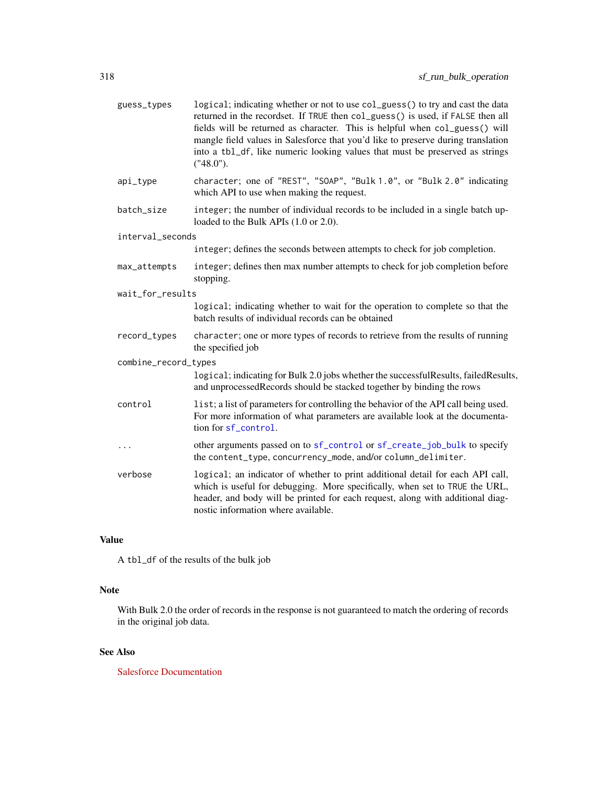| guess_types          | logical; indicating whether or not to use col_guess() to try and cast the data<br>returned in the recordset. If TRUE then col_guess() is used, if FALSE then all<br>fields will be returned as character. This is helpful when col_guess() will<br>mangle field values in Salesforce that you'd like to preserve during translation<br>into a tb1_df, like numeric looking values that must be preserved as strings<br>("48.0"). |
|----------------------|----------------------------------------------------------------------------------------------------------------------------------------------------------------------------------------------------------------------------------------------------------------------------------------------------------------------------------------------------------------------------------------------------------------------------------|
| api_type             | character; one of "REST", "SOAP", "Bulk 1.0", or "Bulk 2.0" indicating<br>which API to use when making the request.                                                                                                                                                                                                                                                                                                              |
| batch_size           | integer; the number of individual records to be included in a single batch up-<br>loaded to the Bulk APIs (1.0 or 2.0).                                                                                                                                                                                                                                                                                                          |
| interval_seconds     |                                                                                                                                                                                                                                                                                                                                                                                                                                  |
|                      | integer; defines the seconds between attempts to check for job completion.                                                                                                                                                                                                                                                                                                                                                       |
| max_attempts         | integer; defines then max number attempts to check for job completion before<br>stopping.                                                                                                                                                                                                                                                                                                                                        |
| wait_for_results     |                                                                                                                                                                                                                                                                                                                                                                                                                                  |
|                      | logical; indicating whether to wait for the operation to complete so that the<br>batch results of individual records can be obtained                                                                                                                                                                                                                                                                                             |
| record_types         | character; one or more types of records to retrieve from the results of running<br>the specified job                                                                                                                                                                                                                                                                                                                             |
| combine_record_types |                                                                                                                                                                                                                                                                                                                                                                                                                                  |
|                      | logical; indicating for Bulk 2.0 jobs whether the successfulResults, failedResults,<br>and unprocessedRecords should be stacked together by binding the rows                                                                                                                                                                                                                                                                     |
| control              | list; a list of parameters for controlling the behavior of the API call being used.<br>For more information of what parameters are available look at the documenta-<br>tion for sf control.                                                                                                                                                                                                                                      |
| .                    | other arguments passed on to sf_control or sf_create_job_bulk to specify<br>the content_type, concurrency_mode, and/or column_delimiter.                                                                                                                                                                                                                                                                                         |
| verbose              | logical; an indicator of whether to print additional detail for each API call,<br>which is useful for debugging. More specifically, when set to TRUE the URL,<br>header, and body will be printed for each request, along with additional diag-<br>nostic information where available.                                                                                                                                           |

A tbl\_df of the results of the bulk job

## Note

With Bulk 2.0 the order of records in the response is not guaranteed to match the ordering of records in the original job data.

# See Also

[Salesforce Documentation](https://developer.salesforce.com/docs/atlas.en-us.api_asynch.meta/api_asynch)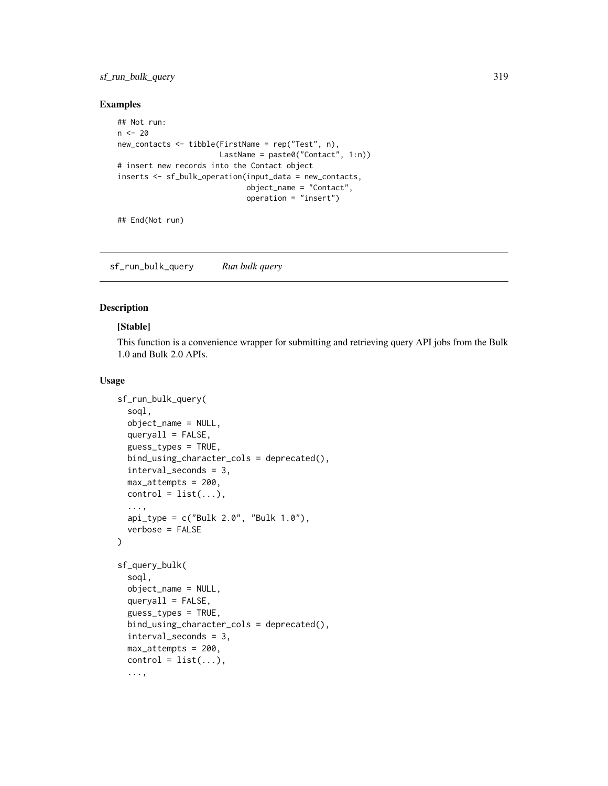## sf\_run\_bulk\_query 319

#### Examples

```
## Not run:
n < -20new_contacts <- tibble(FirstName = rep("Test", n),
                      LastName = paste0("Contact", 1:n))
# insert new records into the Contact object
inserts <- sf_bulk_operation(input_data = new_contacts,
                             object_name = "Contact",
                             operation = "insert")
```
## End(Not run)

sf\_run\_bulk\_query *Run bulk query*

#### <span id="page-318-0"></span>Description

#### [Stable]

This function is a convenience wrapper for submitting and retrieving query API jobs from the Bulk 1.0 and Bulk 2.0 APIs.

#### Usage

```
sf_run_bulk_query(
  soql,
  object_name = NULL,
  queryall = FALSE,guess_types = TRUE,
  bind_using_character_cols = deprecated(),
  interval_seconds = 3,
  max_attempts = 200,
  control = list(...),...,
  api_type = c("Bulk 2.0", "Bulk 1.0"),
  verbose = FALSE
\lambdasf_query_bulk(
  soql,
  object_name = NULL,
  queryall = FALSE,
  guess_types = TRUE,
  bind_using_character_cols = deprecated(),
  interval_seconds = 3,
  max_attempts = 200,
  control = list(...),...,
```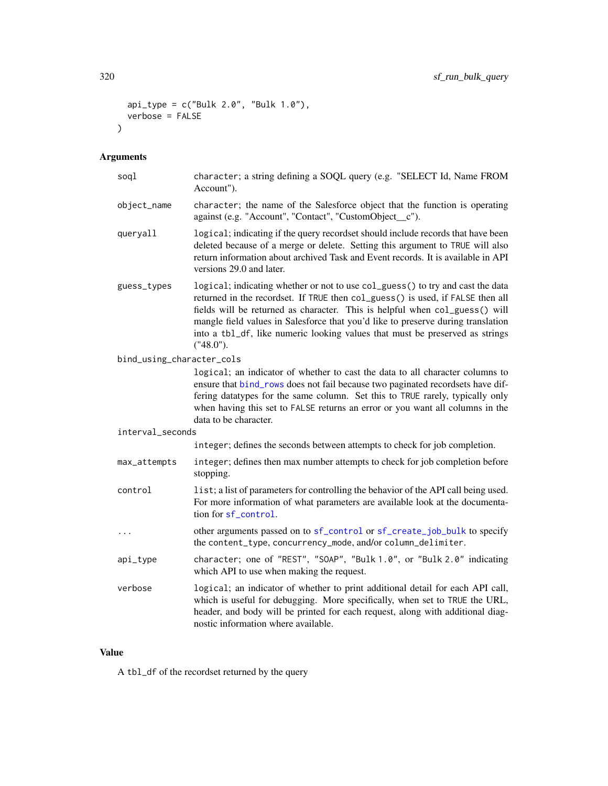```
api_type = c("Bulk 2.0", "Bulk 1.0"),verbose = FALSE
\mathcal{L}
```
# Arguments

| soql                      | character; a string defining a SOQL query (e.g. "SELECT Id, Name FROM<br>Account").                                                                                                                                                                                                                                                                                                                                              |
|---------------------------|----------------------------------------------------------------------------------------------------------------------------------------------------------------------------------------------------------------------------------------------------------------------------------------------------------------------------------------------------------------------------------------------------------------------------------|
| object_name               | character; the name of the Salesforce object that the function is operating<br>against (e.g. "Account", "Contact", "CustomObject_c").                                                                                                                                                                                                                                                                                            |
| queryall                  | logical; indicating if the query recordset should include records that have been<br>deleted because of a merge or delete. Setting this argument to TRUE will also<br>return information about archived Task and Event records. It is available in API<br>versions 29.0 and later.                                                                                                                                                |
| guess_types               | logical; indicating whether or not to use col_guess() to try and cast the data<br>returned in the recordset. If TRUE then col_guess() is used, if FALSE then all<br>fields will be returned as character. This is helpful when col_guess() will<br>mangle field values in Salesforce that you'd like to preserve during translation<br>into a tb1_df, like numeric looking values that must be preserved as strings<br>("48.0"). |
| bind_using_character_cols |                                                                                                                                                                                                                                                                                                                                                                                                                                  |
|                           | logical; an indicator of whether to cast the data to all character columns to<br>ensure that bind_rows does not fail because two paginated recordsets have dif-<br>fering datatypes for the same column. Set this to TRUE rarely, typically only<br>when having this set to FALSE returns an error or you want all columns in the<br>data to be character.                                                                       |
| interval_seconds          |                                                                                                                                                                                                                                                                                                                                                                                                                                  |
|                           | integer; defines the seconds between attempts to check for job completion.                                                                                                                                                                                                                                                                                                                                                       |
| max_attempts              | integer; defines then max number attempts to check for job completion before<br>stopping.                                                                                                                                                                                                                                                                                                                                        |
| control                   | list; a list of parameters for controlling the behavior of the API call being used.<br>For more information of what parameters are available look at the documenta-<br>tion for sf_control.                                                                                                                                                                                                                                      |
| $\cdots$                  | other arguments passed on to sf_control or sf_create_job_bulk to specify<br>the content_type, concurrency_mode, and/or column_delimiter.                                                                                                                                                                                                                                                                                         |
| api_type                  | character; one of "REST", "SOAP", "Bulk 1.0", or "Bulk 2.0" indicating<br>which API to use when making the request.                                                                                                                                                                                                                                                                                                              |
| verbose                   | logical; an indicator of whether to print additional detail for each API call,<br>which is useful for debugging. More specifically, when set to TRUE the URL,<br>header, and body will be printed for each request, along with additional diag-<br>nostic information where available.                                                                                                                                           |

# Value

A tbl\_df of the recordset returned by the query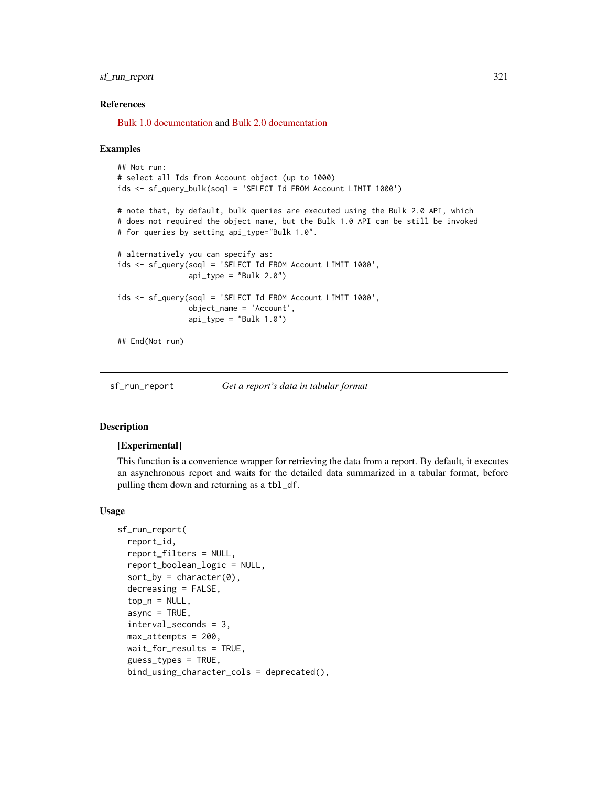## sf\_run\_report 321

#### References

[Bulk 1.0 documentation](https://developer.salesforce.com/docs/atlas.en-us.api_asynch.meta/api_asynch/asynch_api_bulk_query_intro.htm) and [Bulk 2.0 documentation](https://developer.salesforce.com/docs/atlas.en-us.api_asynch.meta/api_asynch/queries.htm)

#### Examples

```
## Not run:
# select all Ids from Account object (up to 1000)
ids <- sf_query_bulk(soql = 'SELECT Id FROM Account LIMIT 1000')
# note that, by default, bulk queries are executed using the Bulk 2.0 API, which
# does not required the object name, but the Bulk 1.0 API can be still be invoked
# for queries by setting api_type="Bulk 1.0".
# alternatively you can specify as:
ids <- sf_query(soql = 'SELECT Id FROM Account LIMIT 1000',
                api_type = "Bulk 2.0")ids <- sf_query(soql = 'SELECT Id FROM Account LIMIT 1000',
                object_name = 'Account',
                api_type = "Bulk 1.0")## End(Not run)
```
<span id="page-320-0"></span>sf\_run\_report *Get a report's data in tabular format*

#### **Description**

#### [Experimental]

This function is a convenience wrapper for retrieving the data from a report. By default, it executes an asynchronous report and waits for the detailed data summarized in a tabular format, before pulling them down and returning as a tbl\_df.

#### Usage

```
sf_run_report(
  report_id,
  report_filters = NULL,
  report_boolean_logic = NULL,
  sort_by = character(0),
  decreasing = FALSE,
  top_n = NULL,async = TRUE,interval_seconds = 3,
  max_attempts = 200,
 wait_for_results = TRUE,
  guess_types = TRUE,
  bind_using_character_cols = deprecated(),
```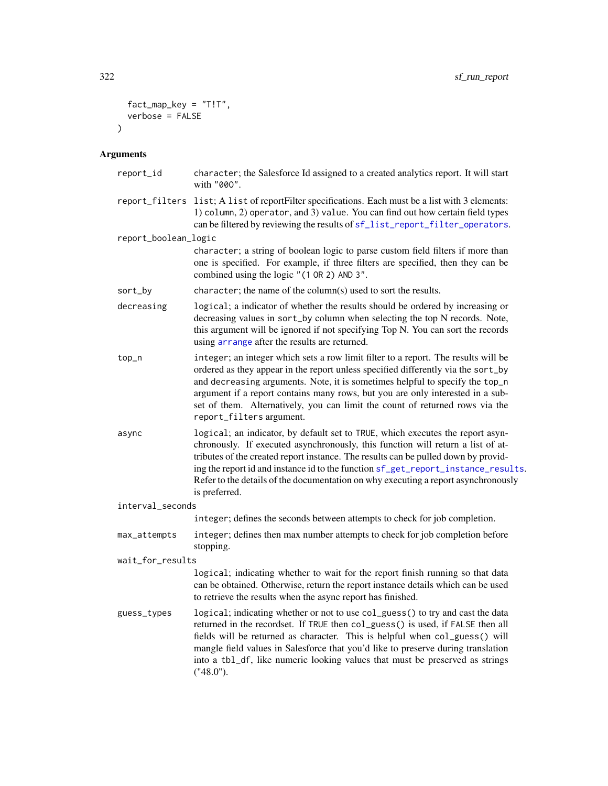```
fact_map_key = "T!T",
  verbose = FALSE
\mathcal{L}
```

| report_id            | character; the Salesforce Id assigned to a created analytics report. It will start<br>with "000".                                                                                                                                                                                                                                                                                                                                                     |
|----------------------|-------------------------------------------------------------------------------------------------------------------------------------------------------------------------------------------------------------------------------------------------------------------------------------------------------------------------------------------------------------------------------------------------------------------------------------------------------|
| report_filters       | list; A list of reportFilter specifications. Each must be a list with 3 elements:<br>1) column, 2) operator, and 3) value. You can find out how certain field types<br>can be filtered by reviewing the results of sf_list_report_filter_operators.                                                                                                                                                                                                   |
| report_boolean_logic |                                                                                                                                                                                                                                                                                                                                                                                                                                                       |
|                      | character; a string of boolean logic to parse custom field filters if more than<br>one is specified. For example, if three filters are specified, then they can be<br>combined using the logic "(1 OR 2) AND 3".                                                                                                                                                                                                                                      |
| sort_by              | character; the name of the column(s) used to sort the results.                                                                                                                                                                                                                                                                                                                                                                                        |
| decreasing           | logical; a indicator of whether the results should be ordered by increasing or<br>decreasing values in sort_by column when selecting the top N records. Note,<br>this argument will be ignored if not specifying Top N. You can sort the records<br>using arrange after the results are returned.                                                                                                                                                     |
| top_n                | integer; an integer which sets a row limit filter to a report. The results will be<br>ordered as they appear in the report unless specified differently via the sort_by<br>and decreasing arguments. Note, it is sometimes helpful to specify the top_n<br>argument if a report contains many rows, but you are only interested in a sub-<br>set of them. Alternatively, you can limit the count of returned rows via the<br>report_filters argument. |
| async                | logical; an indicator, by default set to TRUE, which executes the report asyn-<br>chronously. If executed asynchronously, this function will return a list of at-<br>tributes of the created report instance. The results can be pulled down by provid-<br>ing the report id and instance id to the function sf_get_report_instance_results.<br>Refer to the details of the documentation on why executing a report asynchronously<br>is preferred.   |
| interval_seconds     |                                                                                                                                                                                                                                                                                                                                                                                                                                                       |
|                      | integer; defines the seconds between attempts to check for job completion.                                                                                                                                                                                                                                                                                                                                                                            |
| max_attempts         | integer; defines then max number attempts to check for job completion before<br>stopping.                                                                                                                                                                                                                                                                                                                                                             |
| wait_for_results     |                                                                                                                                                                                                                                                                                                                                                                                                                                                       |
|                      | logical; indicating whether to wait for the report finish running so that data<br>can be obtained. Otherwise, return the report instance details which can be used<br>to retrieve the results when the async report has finished.                                                                                                                                                                                                                     |
| guess_types          | logical; indicating whether or not to use col_guess() to try and cast the data<br>returned in the recordset. If TRUE then col_guess() is used, if FALSE then all<br>fields will be returned as character. This is helpful when col_guess() will<br>mangle field values in Salesforce that you'd like to preserve during translation<br>into a tb1_df, like numeric looking values that must be preserved as strings<br>("48.0").                      |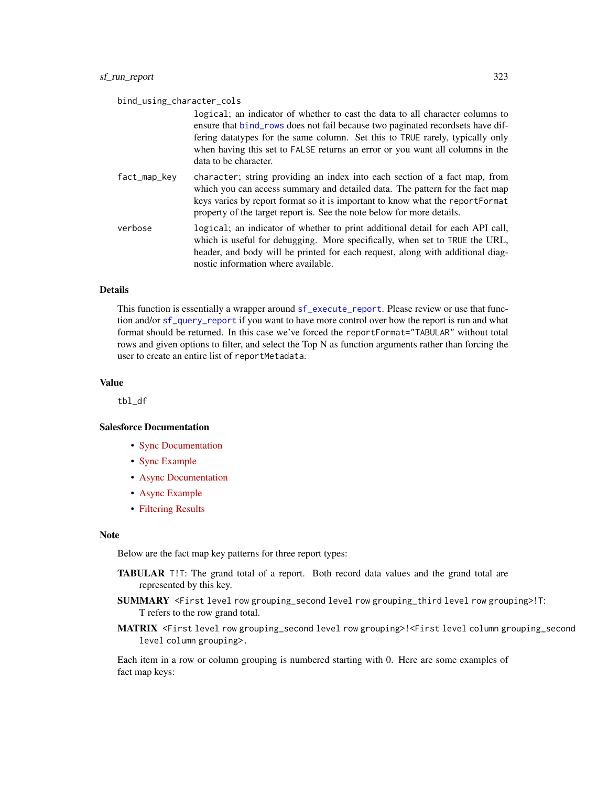| bind_using_character_cols | logical; an indicator of whether to cast the data to all character columns to<br>ensure that bind_rows does not fail because two paginated recordsets have dif-<br>fering datatypes for the same column. Set this to TRUE rarely, typically only<br>when having this set to FALSE returns an error or you want all columns in the<br>data to be character. |
|---------------------------|------------------------------------------------------------------------------------------------------------------------------------------------------------------------------------------------------------------------------------------------------------------------------------------------------------------------------------------------------------|
| fact_map_key              | character; string providing an index into each section of a fact map, from<br>which you can access summary and detailed data. The pattern for the fact map<br>keys varies by report format so it is important to know what the report Format<br>property of the target report is. See the note below for more details.                                     |
| verbose                   | logical; an indicator of whether to print additional detail for each API call,<br>which is useful for debugging. More specifically, when set to TRUE the URL,<br>header, and body will be printed for each request, along with additional diag-<br>nostic information where available.                                                                     |

#### Details

This function is essentially a wrapper around [sf\\_execute\\_report](#page-259-0). Please review or use that function and/or [sf\\_query\\_report](#page-296-0) if you want to have more control over how the report is run and what format should be returned. In this case we've forced the reportFormat="TABULAR" without total rows and given options to filter, and select the Top N as function arguments rather than forcing the user to create an entire list of reportMetadata.

#### Value

tbl\_df

#### Salesforce Documentation

- [Sync Documentation](https://developer.salesforce.com/docs/atlas.en-us.api_analytics.meta/api_analytics/sforce_analytics_rest_api_getreportrundata.htm)
- [Sync Example](https://developer.salesforce.com/docs/atlas.en-us.api_analytics.meta/api_analytics/sforce_analytics_rest_api_get_reportdata.htm#example_sync_reportexecute)
- [Async Documentation](https://developer.salesforce.com/docs/atlas.en-us.api_analytics.meta/api_analytics/sforce_analytics_rest_api_instances_summaryasync.htm)
- [Async Example](https://developer.salesforce.com/docs/atlas.en-us.api_analytics.meta/api_analytics/sforce_analytics_rest_api_get_reportdata.htm#example_report_async_instances)
- [Filtering Results](https://developer.salesforce.com/docs/atlas.en-us.api_analytics.meta/api_analytics/sforce_analytics_rest_api_filter_reportdata.htm#example_requestbody_execute_resource)

#### Note

Below are the fact map key patterns for three report types:

- TABULAR T!T: The grand total of a report. Both record data values and the grand total are represented by this key.
- SUMMARY <First level row grouping\_second level row grouping\_third level row grouping>!T: T refers to the row grand total.
- MATRIX <First level row grouping\_second level row grouping>!<First level column grouping\_second level column grouping>.

Each item in a row or column grouping is numbered starting with 0. Here are some examples of fact map keys: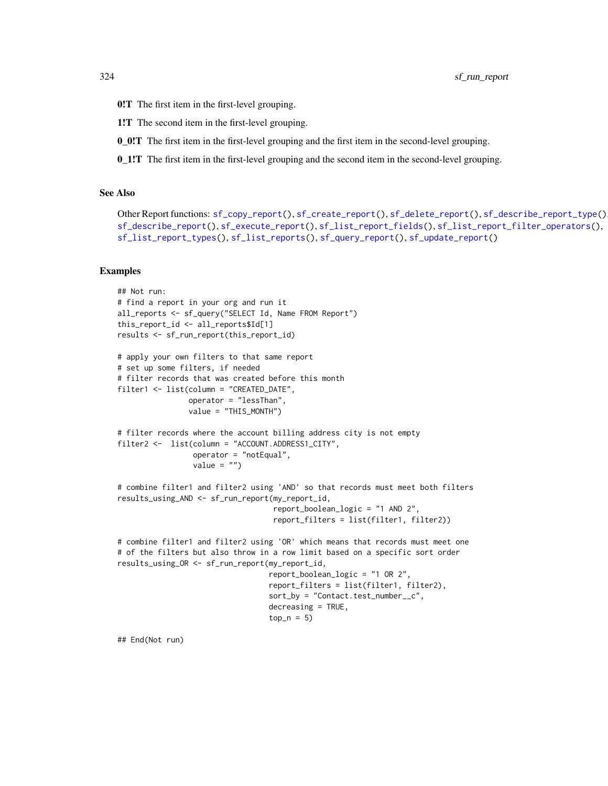- 0!T The first item in the first-level grouping.
- 1!T The second item in the first-level grouping.
- 0\_0!T The first item in the first-level grouping and the first item in the second-level grouping.
- 0\_1!T The first item in the first-level grouping and the second item in the second-level grouping.

#### See Also

```
Other Report functions: sf_copy_report(), sf_create_report(), sf_delete_report(), sf_describe_report_type(),
sf_describe_report(), sf_execute_report(), sf_list_report_fields(), sf_list_report_filter_operators(),
sf_list_report_types(), sf_list_reports(), sf_query_report(), sf_update_report()
```
#### Examples

```
## Not run:
# find a report in your org and run it
all_reports <- sf_query("SELECT Id, Name FROM Report")
this_report_id <- all_reports$Id[1]
results <- sf_run_report(this_report_id)
# apply your own filters to that same report
# set up some filters, if needed
# filter records that was created before this month
filter1 <- list(column = "CREATED_DATE",
                operator = "lessThan",
                value = "THIS_MONTH")
# filter records where the account billing address city is not empty
filter2 <- list(column = "ACCOUNT.ADDRESS1_CITY",
                 operator = "notEqual",
                 value = "")# combine filter1 and filter2 using 'AND' so that records must meet both filters
results_using_AND <- sf_run_report(my_report_id,
                                   report_boolean_logic = "1 AND 2",
                                   report_filters = list(filter1, filter2))
# combine filter1 and filter2 using 'OR' which means that records must meet one
# of the filters but also throw in a row limit based on a specific sort order
results_using_OR <- sf_run_report(my_report_id,
                                  report_boolean_logic = "1 OR 2",
                                  report_filters = list(filter1, filter2),
                                  sort_by = "Context.test_number__c",decreasing = TRUE,
                                  top_n = 5)
```
## End(Not run)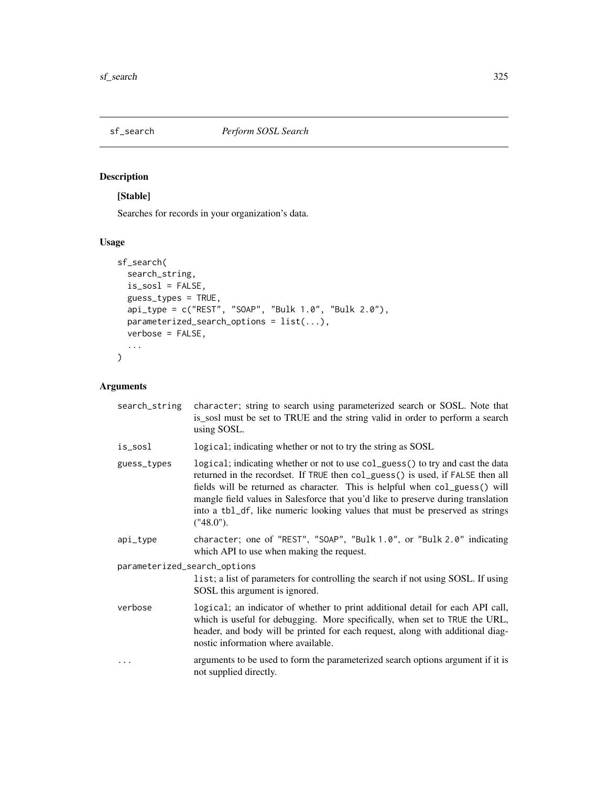<span id="page-324-0"></span>

# Description

# [Stable]

Searches for records in your organization's data.

# Usage

```
sf_search(
 search_string,
 is_sosl = FALSE,
 guess_types = TRUE,
 api_type = c("REST", "SOAP", "Bulk 1.0", "Bulk 2.0"),
 parameterized_search_options = list(...),
 verbose = FALSE,
  ...
)
```
# Arguments

| search_string                | character; string to search using parameterized search or SOSL. Note that<br>is_sosl must be set to TRUE and the string valid in order to perform a search<br>using SOSL.                                                                                                                                                                                                                                                        |
|------------------------------|----------------------------------------------------------------------------------------------------------------------------------------------------------------------------------------------------------------------------------------------------------------------------------------------------------------------------------------------------------------------------------------------------------------------------------|
| is_sosl                      | logical; indicating whether or not to try the string as SOSL                                                                                                                                                                                                                                                                                                                                                                     |
| guess_types                  | logical; indicating whether or not to use col_guess() to try and cast the data<br>returned in the recordset. If TRUE then col_guess() is used, if FALSE then all<br>fields will be returned as character. This is helpful when col_guess() will<br>mangle field values in Salesforce that you'd like to preserve during translation<br>into a tbl_df, like numeric looking values that must be preserved as strings<br>("48.0"). |
| api_type                     | character; one of "REST", "SOAP", "Bulk 1.0", or "Bulk 2.0" indicating<br>which API to use when making the request.                                                                                                                                                                                                                                                                                                              |
| parameterized_search_options | list; a list of parameters for controlling the search if not using SOSL. If using<br>SOSL this argument is ignored.                                                                                                                                                                                                                                                                                                              |
| verbose                      | logical; an indicator of whether to print additional detail for each API call,<br>which is useful for debugging. More specifically, when set to TRUE the URL,<br>header, and body will be printed for each request, along with additional diag-<br>nostic information where available.                                                                                                                                           |
| .                            | arguments to be used to form the parameterized search options argument if it is<br>not supplied directly.                                                                                                                                                                                                                                                                                                                        |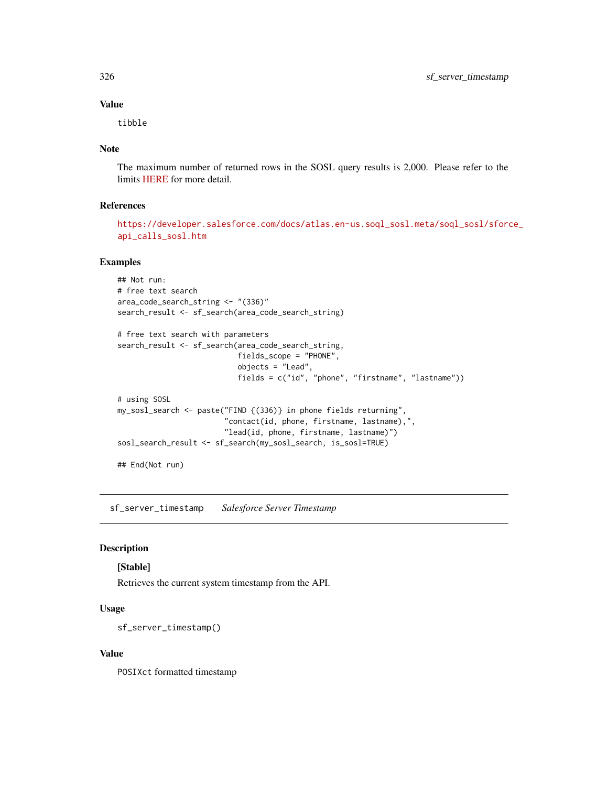#### Value

tibble

#### Note

The maximum number of returned rows in the SOSL query results is 2,000. Please refer to the limits [HERE](https://developer.salesforce.com/docs/atlas.en-us.salesforce_app_limits_cheatsheet.meta/salesforce_app_limits_cheatsheet/salesforce_app_limits_platform_soslsoql.htm) for more detail.

# References

[https://developer.salesforce.com/docs/atlas.en-us.soql\\_sosl.meta/soql\\_sosl/sforc](https://developer.salesforce.com/docs/atlas.en-us.soql_sosl.meta/soql_sosl/sforce_api_calls_sosl.htm)e\_ [api\\_calls\\_sosl.htm](https://developer.salesforce.com/docs/atlas.en-us.soql_sosl.meta/soql_sosl/sforce_api_calls_sosl.htm)

# Examples

```
## Not run:
# free text search
area_code_search_string <- "(336)"
search_result <- sf_search(area_code_search_string)
# free text search with parameters
search_result <- sf_search(area_code_search_string,
                           fields_scope = "PHONE",
                           objects = "Lead",
                           fields = c("id", "phone", "firstname", "lastname"))
# using SOSL
my_sosl_search <- paste("FIND {(336)} in phone fields returning",
                        "contact(id, phone, firstname, lastname),",
                        "lead(id, phone, firstname, lastname)")
sosl_search_result <- sf_search(my_sosl_search, is_sosl=TRUE)
## End(Not run)
```
sf\_server\_timestamp *Salesforce Server Timestamp*

# Description

#### [Stable]

Retrieves the current system timestamp from the API.

#### Usage

```
sf_server_timestamp()
```
#### Value

POSIXct formatted timestamp

<span id="page-325-0"></span>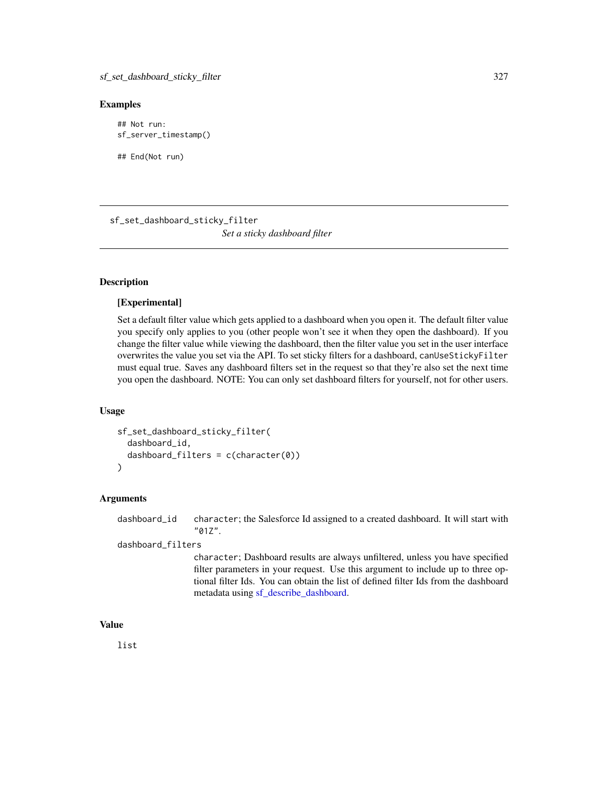#### <span id="page-326-0"></span>Examples

## Not run: sf\_server\_timestamp()

## End(Not run)

sf\_set\_dashboard\_sticky\_filter *Set a sticky dashboard filter*

# **Description**

# [Experimental]

Set a default filter value which gets applied to a dashboard when you open it. The default filter value you specify only applies to you (other people won't see it when they open the dashboard). If you change the filter value while viewing the dashboard, then the filter value you set in the user interface overwrites the value you set via the API. To set sticky filters for a dashboard, canUseStickyFilter must equal true. Saves any dashboard filters set in the request so that they're also set the next time you open the dashboard. NOTE: You can only set dashboard filters for yourself, not for other users.

#### Usage

```
sf_set_dashboard_sticky_filter(
  dashboard_id,
  dashboard_filters = c(character(0))
)
```
#### Arguments

dashboard\_id character; the Salesforce Id assigned to a created dashboard. It will start with "01Z".

dashboard\_filters

character; Dashboard results are always unfiltered, unless you have specified filter parameters in your request. Use this argument to include up to three optional filter Ids. You can obtain the list of defined filter Ids from the dashboard metadata using [sf\\_describe\\_dashboard.](#page-250-0)

# Value

list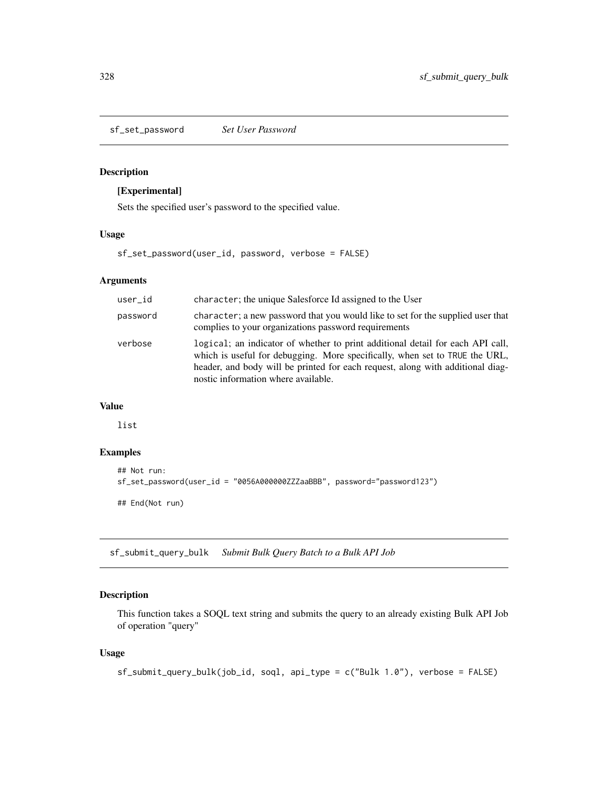<span id="page-327-0"></span>sf\_set\_password *Set User Password*

#### Description

# [Experimental]

Sets the specified user's password to the specified value.

# Usage

sf\_set\_password(user\_id, password, verbose = FALSE)

#### Arguments

| user_id  | character; the unique Salesforce Id assigned to the User                                                                                                                                                                                                                               |
|----------|----------------------------------------------------------------------------------------------------------------------------------------------------------------------------------------------------------------------------------------------------------------------------------------|
| password | character; a new password that you would like to set for the supplied user that<br>complies to your organizations password requirements                                                                                                                                                |
| verbose  | logical; an indicator of whether to print additional detail for each API call,<br>which is useful for debugging. More specifically, when set to TRUE the URL,<br>header, and body will be printed for each request, along with additional diag-<br>nostic information where available. |

# Value

list

### Examples

```
## Not run:
sf_set_password(user_id = "0056A000000ZZZaaBBB", password="password123")
## End(Not run)
```
sf\_submit\_query\_bulk *Submit Bulk Query Batch to a Bulk API Job*

# Description

This function takes a SOQL text string and submits the query to an already existing Bulk API Job of operation "query"

#### Usage

```
sf_submit_query_bulk(job_id, soql, api_type = c("Bulk 1.0"), verbose = FALSE)
```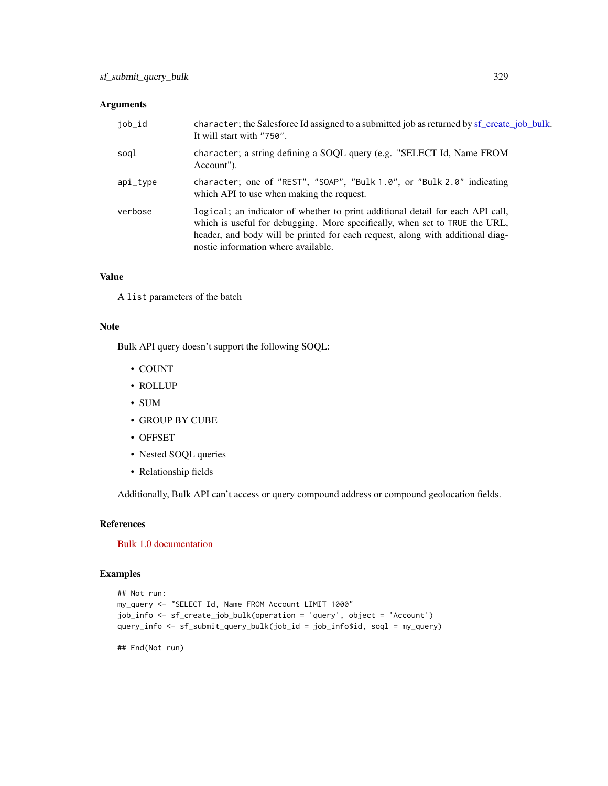#### <span id="page-328-0"></span>Arguments

| job_id   | character; the Salesforce Id assigned to a submitted job as returned by sf_create_job_bulk.<br>It will start with "750".                                                                                                                                                               |
|----------|----------------------------------------------------------------------------------------------------------------------------------------------------------------------------------------------------------------------------------------------------------------------------------------|
| soql     | character; a string defining a SOQL query (e.g. "SELECT Id, Name FROM<br>Account").                                                                                                                                                                                                    |
| api_type | character; one of "REST", "SOAP", "Bulk 1.0", or "Bulk 2.0" indicating<br>which API to use when making the request.                                                                                                                                                                    |
| verbose  | logical; an indicator of whether to print additional detail for each API call,<br>which is useful for debugging. More specifically, when set to TRUE the URL,<br>header, and body will be printed for each request, along with additional diag-<br>nostic information where available. |

#### Value

A list parameters of the batch

#### Note

Bulk API query doesn't support the following SOQL:

- COUNT
- ROLLUP
- SUM
- GROUP BY CUBE
- OFFSET
- Nested SOQL queries
- Relationship fields

Additionally, Bulk API can't access or query compound address or compound geolocation fields.

#### References

[Bulk 1.0 documentation](https://developer.salesforce.com/docs/atlas.en-us.api_asynch.meta/api_asynch/asynch_api_bulk_query_intro.htm)

# Examples

```
## Not run:
my_query <- "SELECT Id, Name FROM Account LIMIT 1000"
job_info <- sf_create_job_bulk(operation = 'query', object = 'Account')
query_info <- sf_submit_query_bulk(job_id = job_info$id, soql = my_query)
```
## End(Not run)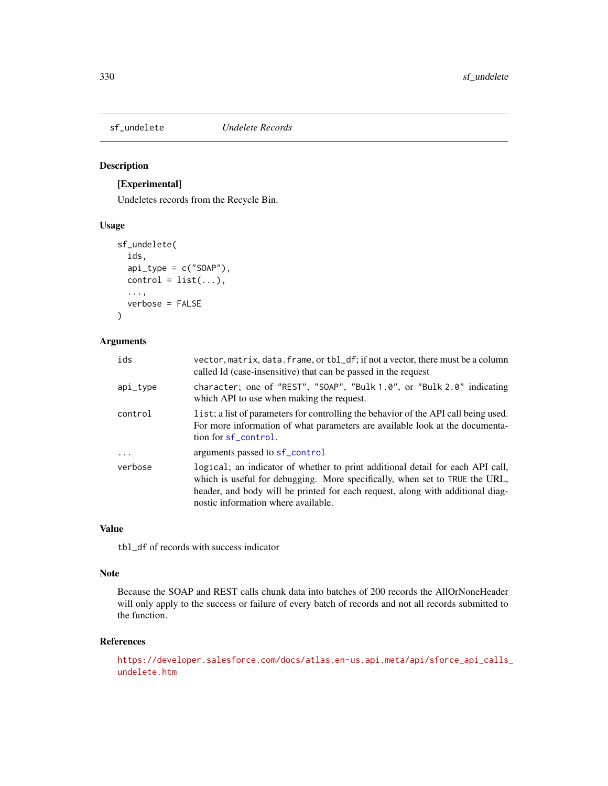<span id="page-329-0"></span>

#### Description

# [Experimental]

Undeletes records from the Recycle Bin.

#### Usage

```
sf_undelete(
  ids,
  api_type = c("SOAP"),control = list(...),...,
  verbose = FALSE
)
```
# Arguments

| ids      | vector, matrix, data. frame, or tbl_df; if not a vector, there must be a column<br>called Id (case-insensitive) that can be passed in the request                                                                                                                                      |
|----------|----------------------------------------------------------------------------------------------------------------------------------------------------------------------------------------------------------------------------------------------------------------------------------------|
| api_type | character; one of "REST", "SOAP", "Bulk 1.0", or "Bulk 2.0" indicating<br>which API to use when making the request.                                                                                                                                                                    |
| control  | list; a list of parameters for controlling the behavior of the API call being used.<br>For more information of what parameters are available look at the documenta-<br>tion for sf_control.                                                                                            |
| $\ddots$ | arguments passed to sf_control                                                                                                                                                                                                                                                         |
| verbose  | logical; an indicator of whether to print additional detail for each API call,<br>which is useful for debugging. More specifically, when set to TRUE the URL,<br>header, and body will be printed for each request, along with additional diag-<br>nostic information where available. |

# Value

tbl\_df of records with success indicator

# Note

Because the SOAP and REST calls chunk data into batches of 200 records the AllOrNoneHeader will only apply to the success or failure of every batch of records and not all records submitted to the function.

#### References

[https://developer.salesforce.com/docs/atlas.en-us.api.meta/api/sforce\\_api\\_calls\\_](https://developer.salesforce.com/docs/atlas.en-us.api.meta/api/sforce_api_calls_undelete.htm) [undelete.htm](https://developer.salesforce.com/docs/atlas.en-us.api.meta/api/sforce_api_calls_undelete.htm)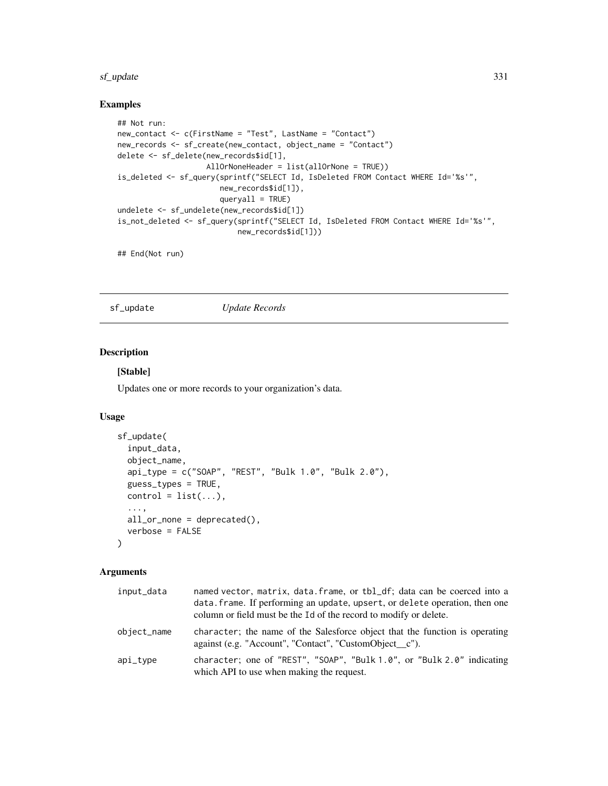#### <span id="page-330-0"></span>sf\_update 331

# Examples

```
## Not run:
new_contact <- c(FirstName = "Test", LastName = "Contact")
new_records <- sf_create(new_contact, object_name = "Contact")
delete <- sf_delete(new_records$id[1],
                    AllOrNoneHeader = list(allOrNone = TRUE))
is_deleted <- sf_query(sprintf("SELECT Id, IsDeleted FROM Contact WHERE Id='%s'",
                       new_records$id[1]),
                       queryall = TRUE)
undelete <- sf_undelete(new_records$id[1])
is_not_deleted <- sf_query(sprintf("SELECT Id, IsDeleted FROM Contact WHERE Id='%s'",
                           new_records$id[1]))
```
## End(Not run)

sf\_update *Update Records*

# Description

# [Stable]

Updates one or more records to your organization's data.

#### Usage

```
sf_update(
  input_data,
  object_name,
  api_type = c("SOAP", "REST", "Bulk 1.0", "Bulk 2.0"),
  guess_types = TRUE,
  control = list(...),...,
 all_or_none = deprecated(),
 verbose = FALSE
)
```
# Arguments

| input_data  | named vector, matrix, data. frame, or tbl_df; data can be coerced into a<br>data. frame. If performing an update, upsert, or delete operation, then one<br>column or field must be the Id of the record to modify or delete. |
|-------------|------------------------------------------------------------------------------------------------------------------------------------------------------------------------------------------------------------------------------|
| object_name | character; the name of the Salesforce object that the function is operating<br>against (e.g. "Account", "Contact", "CustomObject_c").                                                                                        |
| api_type    | character; one of "REST", "SOAP", "Bulk $1.0$ ", or "Bulk $2.0$ " indicating<br>which API to use when making the request.                                                                                                    |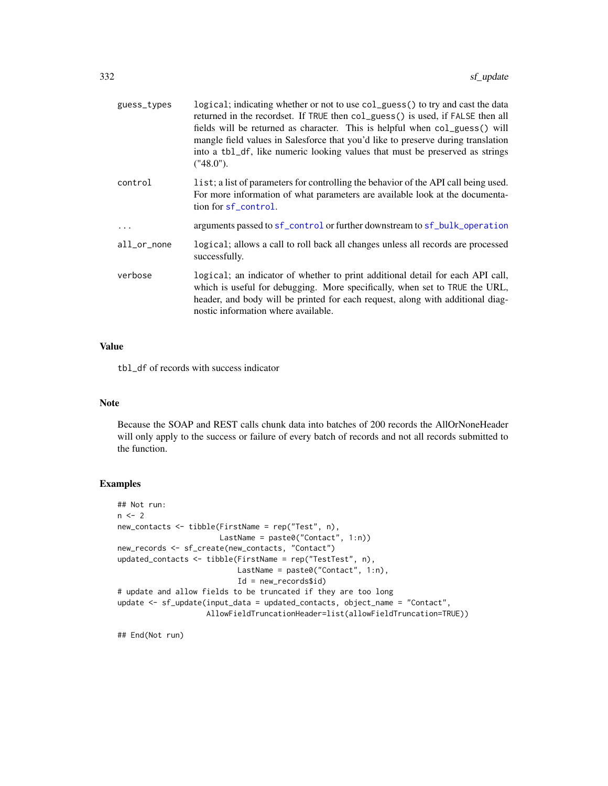<span id="page-331-0"></span>

| guess_types | logical; indicating whether or not to use col_guess() to try and cast the data<br>returned in the recordset. If TRUE then col_guess() is used, if FALSE then all<br>fields will be returned as character. This is helpful when col_guess() will<br>mangle field values in Salesforce that you'd like to preserve during translation<br>into a tb1_df, like numeric looking values that must be preserved as strings<br>("48.0"). |
|-------------|----------------------------------------------------------------------------------------------------------------------------------------------------------------------------------------------------------------------------------------------------------------------------------------------------------------------------------------------------------------------------------------------------------------------------------|
| control     | list; a list of parameters for controlling the behavior of the API call being used.<br>For more information of what parameters are available look at the documenta-<br>tion for sf_control.                                                                                                                                                                                                                                      |
| $\ddotsc$   | arguments passed to sf_control or further downstream to sf_bulk_operation                                                                                                                                                                                                                                                                                                                                                        |
| all_or_none | logical; allows a call to roll back all changes unless all records are processed<br>successfully.                                                                                                                                                                                                                                                                                                                                |
| verbose     | logical; an indicator of whether to print additional detail for each API call,<br>which is useful for debugging. More specifically, when set to TRUE the URL,<br>header, and body will be printed for each request, along with additional diag-<br>nostic information where available.                                                                                                                                           |

# Value

tbl\_df of records with success indicator

### Note

Because the SOAP and REST calls chunk data into batches of 200 records the AllOrNoneHeader will only apply to the success or failure of every batch of records and not all records submitted to the function.

# Examples

```
## Not run:
n < -2new_contacts <- tibble(FirstName = rep("Test", n),
                      LastName = paste0("Contact", 1:n))
new_records <- sf_create(new_contacts, "Contact")
updated_contacts <- tibble(FirstName = rep("TestTest", n),
                           LastName = paste0("Contact", 1:n),
                           Id = new_records$id)
# update and allow fields to be truncated if they are too long
update <- sf_update(input_data = updated_contacts, object_name = "Contact",
                    AllowFieldTruncationHeader=list(allowFieldTruncation=TRUE))
```
## End(Not run)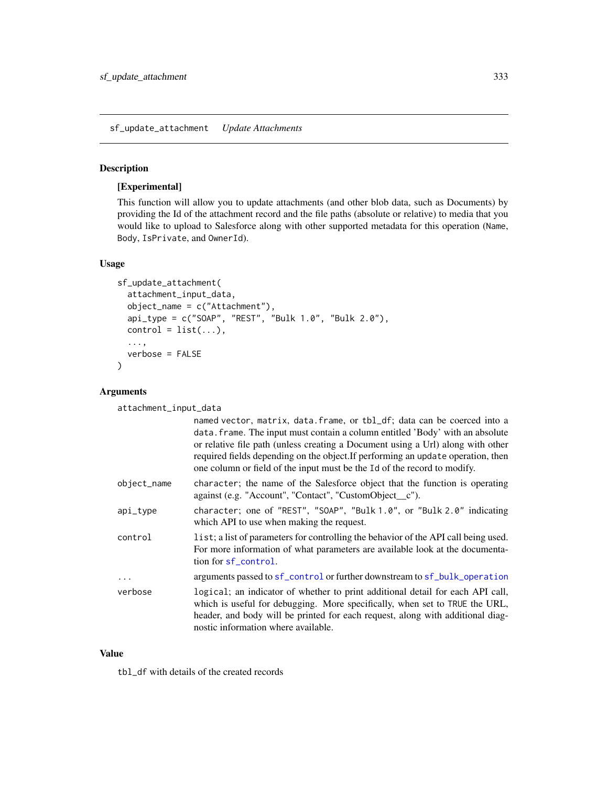<span id="page-332-0"></span>sf\_update\_attachment *Update Attachments*

#### Description

# [Experimental]

This function will allow you to update attachments (and other blob data, such as Documents) by providing the Id of the attachment record and the file paths (absolute or relative) to media that you would like to upload to Salesforce along with other supported metadata for this operation (Name, Body, IsPrivate, and OwnerId).

#### Usage

```
sf_update_attachment(
  attachment_input_data,
  object_name = c("Attachment"),
  api_type = c("SOAP", "REST", "Bulk 1.0", "Bulk 2.0"),
  control = list(...),...,
  verbose = FALSE
\mathcal{L}
```
#### Arguments

attachment\_input\_data

|             | named vector, matrix, data. frame, or tbl_df; data can be coerced into a<br>data. frame. The input must contain a column entitled 'Body' with an absolute<br>or relative file path (unless creating a Document using a Url) along with other<br>required fields depending on the object. If performing an update operation, then<br>one column or field of the input must be the Id of the record to modify. |
|-------------|--------------------------------------------------------------------------------------------------------------------------------------------------------------------------------------------------------------------------------------------------------------------------------------------------------------------------------------------------------------------------------------------------------------|
| object_name | character; the name of the Salesforce object that the function is operating<br>against (e.g. "Account", "Contact", "CustomObject_c").                                                                                                                                                                                                                                                                        |
| api_type    | character; one of "REST", "SOAP", "Bulk 1.0", or "Bulk 2.0" indicating<br>which API to use when making the request.                                                                                                                                                                                                                                                                                          |
| control     | list; a list of parameters for controlling the behavior of the API call being used.<br>For more information of what parameters are available look at the documenta-<br>tion for sf_control.                                                                                                                                                                                                                  |
| $\ddotsc$   | arguments passed to sf_control or further downstream to sf_bulk_operation                                                                                                                                                                                                                                                                                                                                    |
| verbose     | logical; an indicator of whether to print additional detail for each API call,<br>which is useful for debugging. More specifically, when set to TRUE the URL,<br>header, and body will be printed for each request, along with additional diag-<br>nostic information where available.                                                                                                                       |

#### Value

tbl\_df with details of the created records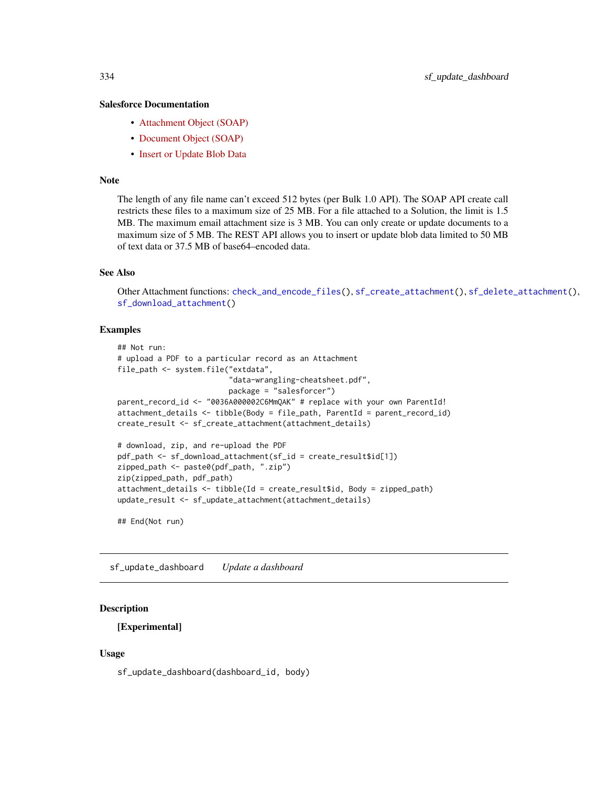#### <span id="page-333-0"></span>Salesforce Documentation

- [Attachment Object \(SOAP\)](https://developer.salesforce.com/docs/atlas.en-us.api.meta/api/sforce_api_objects_attachment.htm)
- [Document Object \(SOAP\)](https://developer.salesforce.com/docs/atlas.en-us.api.meta/api/sforce_api_objects_document.htm)
- [Insert or Update Blob Data](https://developer.salesforce.com/docs/atlas.en-us.api_rest.meta/api_rest/dome_sobject_insert_update_blob.htm)

#### Note

The length of any file name can't exceed 512 bytes (per Bulk 1.0 API). The SOAP API create call restricts these files to a maximum size of 25 MB. For a file attached to a Solution, the limit is 1.5 MB. The maximum email attachment size is 3 MB. You can only create or update documents to a maximum size of 5 MB. The REST API allows you to insert or update blob data limited to 50 MB of text data or 37.5 MB of base64–encoded data.

#### See Also

Other Attachment functions: [check\\_and\\_encode\\_files\(](#page-0-0)), [sf\\_create\\_attachment\(](#page-233-0)), [sf\\_delete\\_attachment\(](#page-244-0)), [sf\\_download\\_attachment\(](#page-256-0))

#### Examples

```
## Not run:
# upload a PDF to a particular record as an Attachment
file_path <- system.file("extdata",
                         "data-wrangling-cheatsheet.pdf",
                        package = "salesforcer")
parent_record_id <- "0036A000002C6MmQAK" # replace with your own ParentId!
attachment_details <- tibble(Body = file_path, ParentId = parent_record_id)
create_result <- sf_create_attachment(attachment_details)
# download, zip, and re-upload the PDF
pdf_path <- sf_download_attachment(sf_id = create_result$id[1])
zipped_path <- paste0(pdf_path, ".zip")
zip(zipped_path, pdf_path)
attachment_details <- tibble(Id = create_result$id, Body = zipped_path)
update_result <- sf_update_attachment(attachment_details)
```

```
## End(Not run)
```
sf\_update\_dashboard *Update a dashboard*

#### Description

#### [Experimental]

#### Usage

sf\_update\_dashboard(dashboard\_id, body)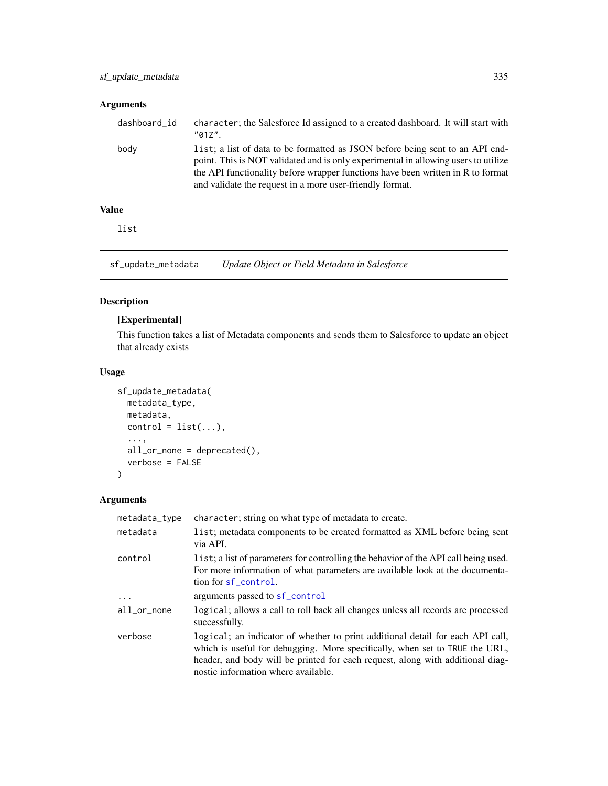# <span id="page-334-0"></span>Arguments

| dashboard_id | character; the Salesforce Id assigned to a created dashboard. It will start with<br>$"017"$ .                                                                                                                                                                                                                      |
|--------------|--------------------------------------------------------------------------------------------------------------------------------------------------------------------------------------------------------------------------------------------------------------------------------------------------------------------|
| body         | list; a list of data to be formatted as JSON before being sent to an API end-<br>point. This is NOT validated and is only experimental in allowing users to utilize<br>the API functionality before wrapper functions have been written in R to format<br>and validate the request in a more user-friendly format. |
|              |                                                                                                                                                                                                                                                                                                                    |

# Value

list

sf\_update\_metadata *Update Object or Field Metadata in Salesforce*

# Description

# [Experimental]

This function takes a list of Metadata components and sends them to Salesforce to update an object that already exists

# Usage

```
sf_update_metadata(
 metadata_type,
 metadata,
 control = list(...),...,
 all_or_none = deprecated(),
  verbose = FALSE
\mathcal{L}
```
# Arguments

| metadata_type | character; string on what type of metadata to create.                                                                                                                                                                                                                                  |
|---------------|----------------------------------------------------------------------------------------------------------------------------------------------------------------------------------------------------------------------------------------------------------------------------------------|
| metadata      | list; metadata components to be created formatted as XML before being sent<br>via API.                                                                                                                                                                                                 |
| control       | list; a list of parameters for controlling the behavior of the API call being used.<br>For more information of what parameters are available look at the documenta-<br>tion for sf_control.                                                                                            |
| $\ddotsc$     | arguments passed to sf_control                                                                                                                                                                                                                                                         |
| all_or_none   | logical; allows a call to roll back all changes unless all records are processed<br>successfully.                                                                                                                                                                                      |
| verbose       | logical; an indicator of whether to print additional detail for each API call,<br>which is useful for debugging. More specifically, when set to TRUE the URL,<br>header, and body will be printed for each request, along with additional diag-<br>nostic information where available. |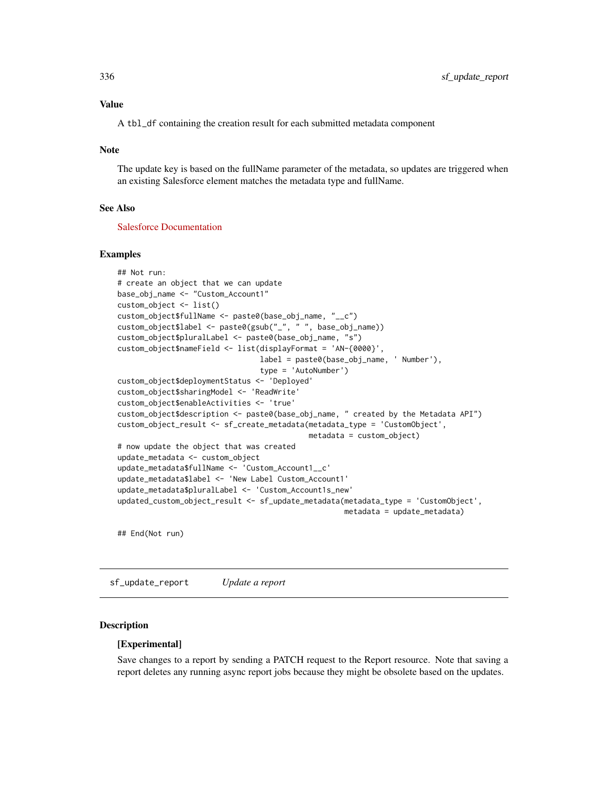#### <span id="page-335-0"></span>Value

A tbl\_df containing the creation result for each submitted metadata component

#### **Note**

The update key is based on the fullName parameter of the metadata, so updates are triggered when an existing Salesforce element matches the metadata type and fullName.

# See Also

[Salesforce Documentation](https://developer.salesforce.com/docs/atlas.en-us.api_meta.meta/api_meta)

#### Examples

```
## Not run:
# create an object that we can update
base_obj_name <- "Custom_Account1"
custom_object <- list()
custom_object$fullName <- paste0(base_obj_name, "__c")
custom_object$label <- paste0(gsub("_", " ", base_obj_name))
custom_object$pluralLabel <- paste0(base_obj_name, "s")
custom_object$nameField <- list(displayFormat = 'AN-{0000}',
                                label = paste0(base_obj_name, ' Number'),
                                type = 'AutoNumber')
custom_object$deploymentStatus <- 'Deployed'
custom_object$sharingModel <- 'ReadWrite'
custom_object$enableActivities <- 'true'
custom_object$description <- paste0(base_obj_name, " created by the Metadata API")
custom_object_result <- sf_create_metadata(metadata_type = 'CustomObject',
                                           metadata = custom_object)
# now update the object that was created
update_metadata <- custom_object
update_metadata$fullName <- 'Custom_Account1__c'
update_metadata$label <- 'New Label Custom_Account1'
update_metadata$pluralLabel <- 'Custom_Account1s_new'
updated_custom_object_result <- sf_update_metadata(metadata_type = 'CustomObject',
                                                   metadata = update_metadata)
```
## End(Not run)

sf\_update\_report *Update a report*

#### Description

#### [Experimental]

Save changes to a report by sending a PATCH request to the Report resource. Note that saving a report deletes any running async report jobs because they might be obsolete based on the updates.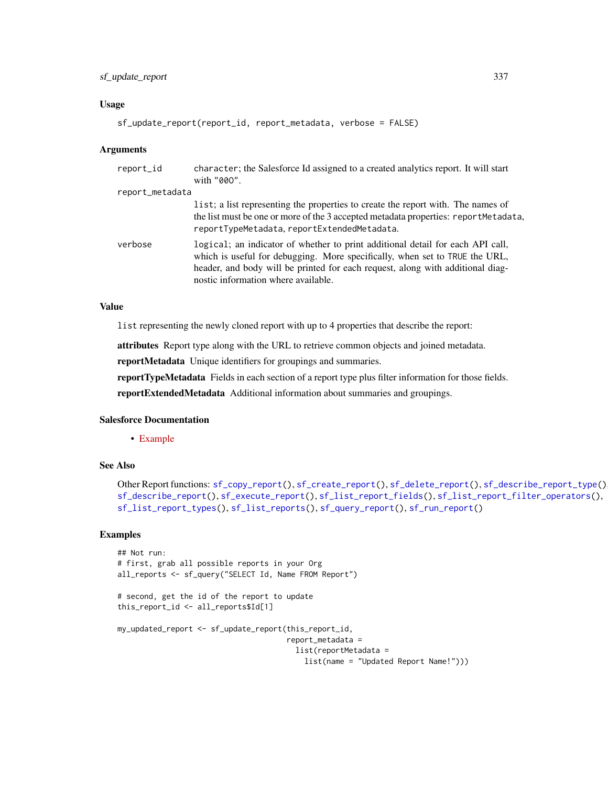# <span id="page-336-0"></span>sf\_update\_report 337

#### Usage

```
sf_update_report(report_id, report_metadata, verbose = FALSE)
```
#### **Arguments**

| report_id       | character; the Salesforce Id assigned to a created analytics report. It will start<br>with "000".                                                                                                                                                                                      |
|-----------------|----------------------------------------------------------------------------------------------------------------------------------------------------------------------------------------------------------------------------------------------------------------------------------------|
| report_metadata |                                                                                                                                                                                                                                                                                        |
|                 | list; a list representing the properties to create the report with. The names of<br>the list must be one or more of the 3 accepted metadata properties: reportMetadata,<br>reportTypeMetadata, reportExtendedMetadata.                                                                 |
| verbose         | logical; an indicator of whether to print additional detail for each API call,<br>which is useful for debugging. More specifically, when set to TRUE the URL,<br>header, and body will be printed for each request, along with additional diag-<br>nostic information where available. |

#### Value

list representing the newly cloned report with up to 4 properties that describe the report:

attributes Report type along with the URL to retrieve common objects and joined metadata.

reportMetadata Unique identifiers for groupings and summaries.

reportTypeMetadata Fields in each section of a report type plus filter information for those fields.

reportExtendedMetadata Additional information about summaries and groupings.

# Salesforce Documentation

• [Example](https://developer.salesforce.com/docs/atlas.en-us.api_analytics.meta/api_analytics/sforce_analytics_rest_api_save_report.htm#example_save_report)

### See Also

```
Other Report functions: sf_copy_report(), sf_create_report(), sf_delete_report(), sf_describe_report_type(),
sf_describe_report(), sf_execute_report(), sf_list_report_fields(), sf_list_report_filter_operators(),
sf_list_report_types(), sf_list_reports(), sf_query_report(), sf_run_report()
```
#### Examples

```
## Not run:
# first, grab all possible reports in your Org
all_reports <- sf_query("SELECT Id, Name FROM Report")
# second, get the id of the report to update
this_report_id <- all_reports$Id[1]
my_updated_report <- sf_update_report(this_report_id,
                                      report_metadata =
                                        list(reportMetadata =
                                          list(name = "Updated Report Name!")))
```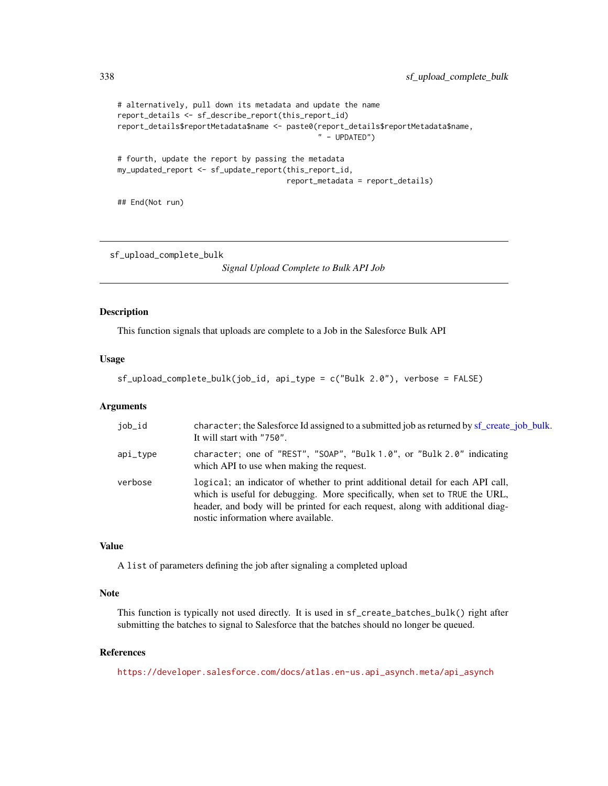```
# alternatively, pull down its metadata and update the name
report_details <- sf_describe_report(this_report_id)
report_details$reportMetadata$name <- paste0(report_details$reportMetadata$name,
                                              " - UPDATED")
# fourth, update the report by passing the metadata
my_updated_report <- sf_update_report(this_report_id,
                                      report_metadata = report_details)
```
## End(Not run)

sf\_upload\_complete\_bulk

*Signal Upload Complete to Bulk API Job*

#### Description

This function signals that uploads are complete to a Job in the Salesforce Bulk API

# Usage

```
sf_upload_complete_bulk(job_id, api_type = c("Bulk 2.0"), verbose = FALSE)
```
#### Arguments

| job_id   | character; the Salesforce Id assigned to a submitted job as returned by sf_create_job_bulk.<br>It will start with "750".                                                                                                                                                               |
|----------|----------------------------------------------------------------------------------------------------------------------------------------------------------------------------------------------------------------------------------------------------------------------------------------|
| api_type | character; one of "REST", "SOAP", "Bulk 1.0", or "Bulk 2.0" indicating<br>which API to use when making the request.                                                                                                                                                                    |
| verbose  | logical; an indicator of whether to print additional detail for each API call,<br>which is useful for debugging. More specifically, when set to TRUE the URL,<br>header, and body will be printed for each request, along with additional diag-<br>nostic information where available. |

# Value

A list of parameters defining the job after signaling a completed upload

# Note

This function is typically not used directly. It is used in sf\_create\_batches\_bulk() right after submitting the batches to signal to Salesforce that the batches should no longer be queued.

#### References

[https://developer.salesforce.com/docs/atlas.en-us.api\\_asynch.meta/api\\_asynch](https://developer.salesforce.com/docs/atlas.en-us.api_asynch.meta/api_asynch)

<span id="page-337-0"></span>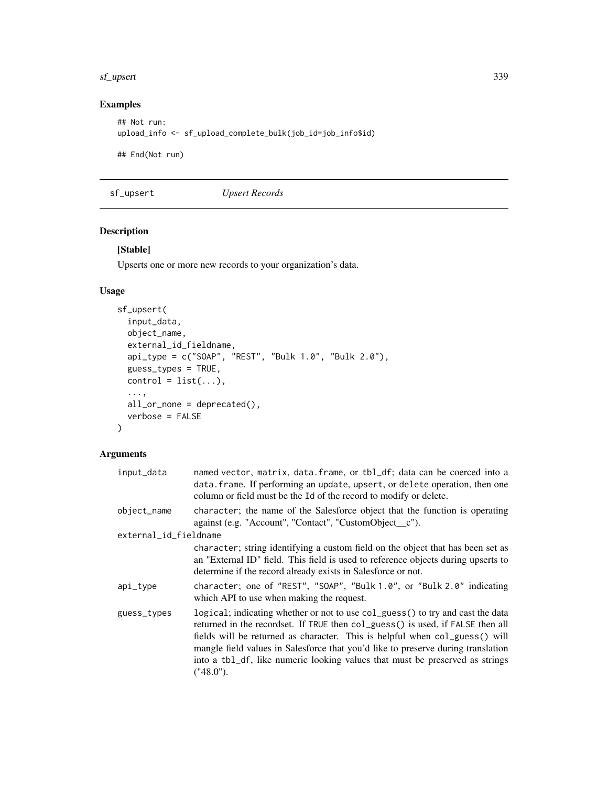#### <span id="page-338-0"></span>sf\_upsert 339

# Examples

```
## Not run:
upload_info <- sf_upload_complete_bulk(job_id=job_info$id)
```
## End(Not run)

sf\_upsert *Upsert Records*

# Description

# [Stable]

Upserts one or more new records to your organization's data.

# Usage

```
sf_upsert(
  input_data,
 object_name,
  external_id_fieldname,
  api_type = c("SOAP", "REST", "Bulk 1.0", "Bulk 2.0"),
 guess_types = TRUE,
 control = list(...),...,
 all_or_none = deprecated(),
 verbose = FALSE
\mathcal{L}
```
# Arguments

| input_data            | named vector, matrix, data. frame, or tbl_df; data can be coerced into a<br>data. frame. If performing an update, upsert, or delete operation, then one<br>column or field must be the Id of the record to modify or delete.                                                                                                                                                                                                     |
|-----------------------|----------------------------------------------------------------------------------------------------------------------------------------------------------------------------------------------------------------------------------------------------------------------------------------------------------------------------------------------------------------------------------------------------------------------------------|
| object_name           | character; the name of the Salesforce object that the function is operating<br>against (e.g. "Account", "Contact", "CustomObject_c").                                                                                                                                                                                                                                                                                            |
| external_id_fieldname |                                                                                                                                                                                                                                                                                                                                                                                                                                  |
|                       | character; string identifying a custom field on the object that has been set as<br>an "External ID" field. This field is used to reference objects during upserts to<br>determine if the record already exists in Salesforce or not.                                                                                                                                                                                             |
| api_type              | character; one of "REST", "SOAP", "Bulk 1.0", or "Bulk 2.0" indicating<br>which API to use when making the request.                                                                                                                                                                                                                                                                                                              |
| guess_types           | logical; indicating whether or not to use col_guess() to try and cast the data<br>returned in the recordset. If TRUE then col_guess() is used, if FALSE then all<br>fields will be returned as character. This is helpful when col_guess() will<br>mangle field values in Salesforce that you'd like to preserve during translation<br>into a tbl_df, like numeric looking values that must be preserved as strings<br>("48.0"). |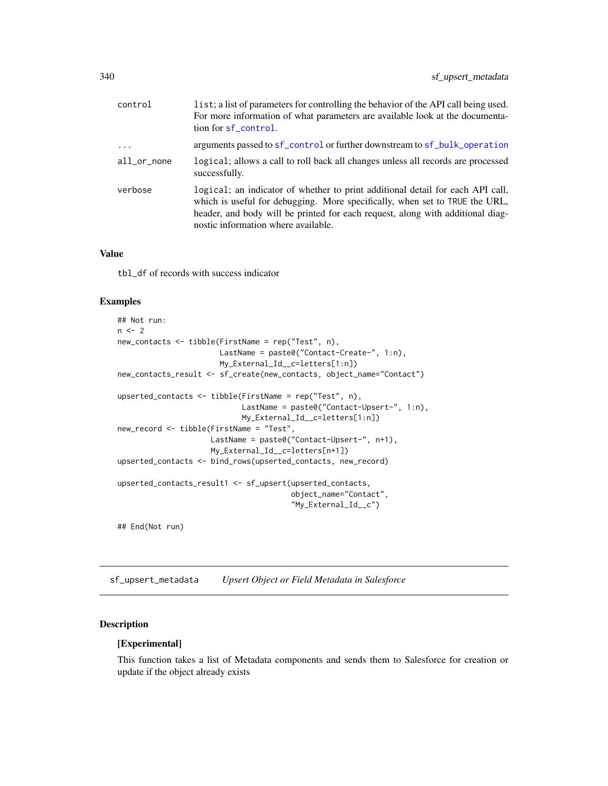<span id="page-339-0"></span>

| control     | list; a list of parameters for controlling the behavior of the API call being used.<br>For more information of what parameters are available look at the documenta-<br>tion for sf_control.                                                                                            |
|-------------|----------------------------------------------------------------------------------------------------------------------------------------------------------------------------------------------------------------------------------------------------------------------------------------|
| $\cdots$    | arguments passed to sf_control or further downstream to sf_bulk_operation                                                                                                                                                                                                              |
| all_or_none | logical; allows a call to roll back all changes unless all records are processed<br>successfully.                                                                                                                                                                                      |
| verbose     | logical; an indicator of whether to print additional detail for each API call,<br>which is useful for debugging. More specifically, when set to TRUE the URL,<br>header, and body will be printed for each request, along with additional diag-<br>nostic information where available. |

#### Value

tbl\_df of records with success indicator

## Examples

```
## Not run:
n < -2new_contacts <- tibble(FirstName = rep("Test", n),
                      LastName = paste0("Contact-Create-", 1:n),
                      My_External_Id__c=letters[1:n])
new_contacts_result <- sf_create(new_contacts, object_name="Contact")
upserted_contacts <- tibble(FirstName = rep("Test", n),
                           LastName = paste0("Contact-Upsert-", 1:n),
                            My_External_Id__c=letters[1:n])
new_record <- tibble(FirstName = "Test",
                    LastName = paste0("Contact-Upsert-", n+1),
                    My_External_Id__c=letters[n+1])
upserted_contacts <- bind_rows(upserted_contacts, new_record)
upserted_contacts_result1 <- sf_upsert(upserted_contacts,
                                       object_name="Contact",
                                       "My_External_Id__c")
```
## End(Not run)

sf\_upsert\_metadata *Upsert Object or Field Metadata in Salesforce*

# Description

#### [Experimental]

This function takes a list of Metadata components and sends them to Salesforce for creation or update if the object already exists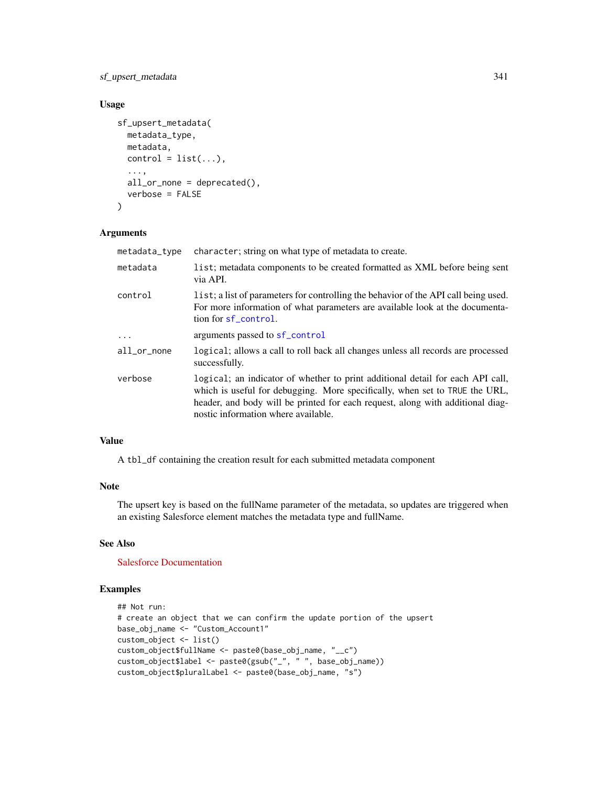# <span id="page-340-0"></span>sf\_upsert\_metadata 341

# Usage

```
sf_upsert_metadata(
 metadata_type,
 metadata,
 control = list(...),...,
  all_or_none = deprecated(),
  verbose = FALSE
)
```
#### Arguments

| metadata_type | character; string on what type of metadata to create.                                                                                                                                                                                                                                  |
|---------------|----------------------------------------------------------------------------------------------------------------------------------------------------------------------------------------------------------------------------------------------------------------------------------------|
| metadata      | list; metadata components to be created formatted as XML before being sent<br>via API.                                                                                                                                                                                                 |
| control       | list; a list of parameters for controlling the behavior of the API call being used.<br>For more information of what parameters are available look at the documenta-<br>tion for sf_control.                                                                                            |
| $\ddots$      | arguments passed to sf_control                                                                                                                                                                                                                                                         |
| all_or_none   | logical; allows a call to roll back all changes unless all records are processed<br>successfully.                                                                                                                                                                                      |
| verbose       | logical; an indicator of whether to print additional detail for each API call,<br>which is useful for debugging. More specifically, when set to TRUE the URL,<br>header, and body will be printed for each request, along with additional diag-<br>nostic information where available. |

### Value

A tbl\_df containing the creation result for each submitted metadata component

#### Note

The upsert key is based on the fullName parameter of the metadata, so updates are triggered when an existing Salesforce element matches the metadata type and fullName.

# See Also

[Salesforce Documentation](https://developer.salesforce.com/docs/atlas.en-us.api_meta.meta/api_meta)

# Examples

```
## Not run:
# create an object that we can confirm the update portion of the upsert
base_obj_name <- "Custom_Account1"
custom_object <- list()
custom_object$fullName <- paste0(base_obj_name, "__c")
custom_object$label <- paste0(gsub("_", " ", base_obj_name))
custom_object$pluralLabel <- paste0(base_obj_name, "s")
```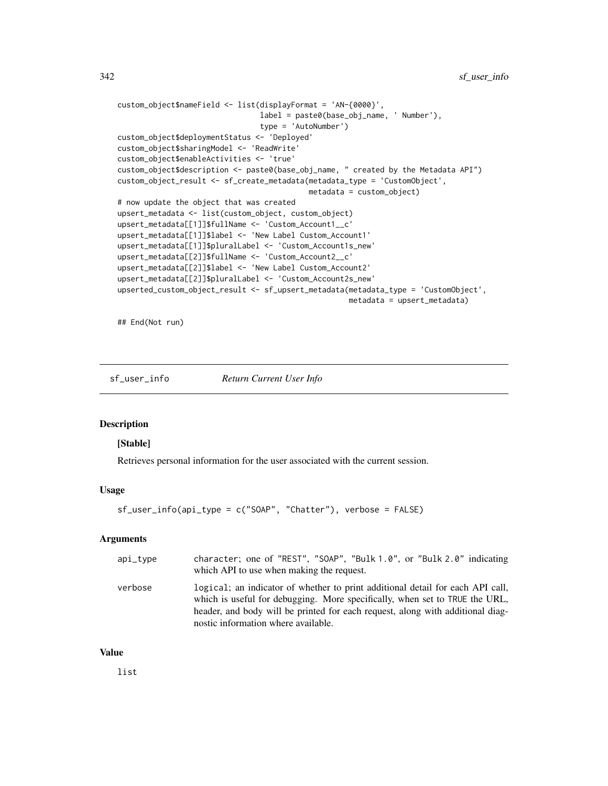```
custom_object$nameField <- list(displayFormat = 'AN-{0000}',
                                label = paste0(base_obj_name, ' Number'),
                                type = 'AutoNumber')
custom_object$deploymentStatus <- 'Deployed'
custom_object$sharingModel <- 'ReadWrite'
custom_object$enableActivities <- 'true'
custom_object$description <- paste0(base_obj_name, " created by the Metadata API")
custom_object_result <- sf_create_metadata(metadata_type = 'CustomObject',
                                           metadata = custom_object)
# now update the object that was created
upsert_metadata <- list(custom_object, custom_object)
upsert_metadata[[1]]$fullName <- 'Custom_Account1__c'
upsert_metadata[[1]]$label <- 'New Label Custom_Account1'
upsert_metadata[[1]]$pluralLabel <- 'Custom_Account1s_new'
upsert_metadata[[2]]$fullName <- 'Custom_Account2__c'
upsert_metadata[[2]]$label <- 'New Label Custom_Account2'
upsert_metadata[[2]]$pluralLabel <- 'Custom_Account2s_new'
upserted_custom_object_result <- sf_upsert_metadata(metadata_type = 'CustomObject',
                                                    metadata = upsert_metadata)
```
## End(Not run)

sf\_user\_info *Return Current User Info*

#### **Description**

#### [Stable]

Retrieves personal information for the user associated with the current session.

#### Usage

```
sf_user_info(api_type = c("SOAP", "Chatter"), verbose = FALSE)
```
#### Arguments

| $api_type$ | character; one of "REST", "SOAP", "Bulk 1.0", or "Bulk 2.0" indicating<br>which API to use when making the request.                                                                                                                                                                    |
|------------|----------------------------------------------------------------------------------------------------------------------------------------------------------------------------------------------------------------------------------------------------------------------------------------|
| verbose    | logical; an indicator of whether to print additional detail for each API call,<br>which is useful for debugging. More specifically, when set to TRUE the URL,<br>header, and body will be printed for each request, along with additional diag-<br>nostic information where available. |

#### Value

list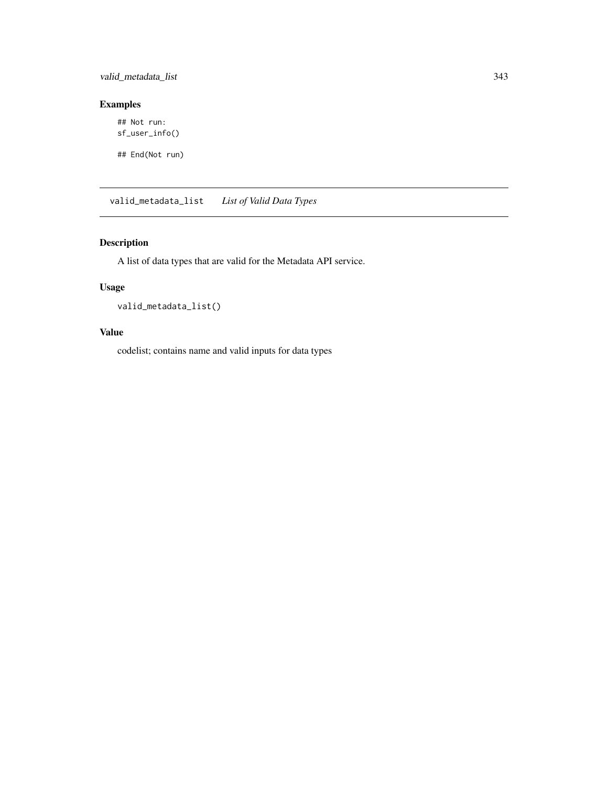<span id="page-342-0"></span>valid\_metadata\_list 343

# Examples

## Not run: sf\_user\_info()

## End(Not run)

valid\_metadata\_list *List of Valid Data Types*

# Description

A list of data types that are valid for the Metadata API service.

# Usage

valid\_metadata\_list()

# Value

codelist; contains name and valid inputs for data types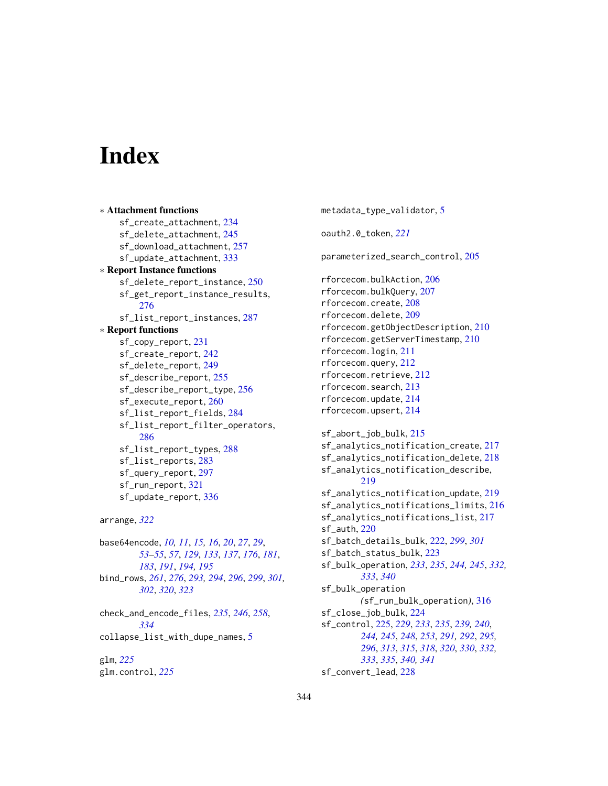# **Index**

∗ Attachment functions sf\_create\_attachment, [234](#page-233-1) sf\_delete\_attachment, [245](#page-244-1) sf\_download\_attachment, [257](#page-256-1) sf\_update\_attachment, [333](#page-332-0) ∗ Report Instance functions sf\_delete\_report\_instance, [250](#page-249-0) sf\_get\_report\_instance\_results, [276](#page-275-0) sf\_list\_report\_instances, [287](#page-286-0) ∗ Report functions sf\_copy\_report, [231](#page-230-1) sf\_create\_report, [242](#page-241-1) sf\_delete\_report, [249](#page-248-1) sf\_describe\_report, [255](#page-254-1) sf\_describe\_report\_type, [256](#page-255-1) sf\_execute\_report, [260](#page-259-1) sf\_list\_report\_fields, [284](#page-283-1) sf\_list\_report\_filter\_operators, [286](#page-285-1) sf\_list\_report\_types, [288](#page-287-1) sf\_list\_reports, [283](#page-282-1) sf\_query\_report, [297](#page-296-1) sf\_run\_report, [321](#page-320-1) sf\_update\_report, [336](#page-335-0)

arrange, *[322](#page-321-0)*

base64encode, *[10,](#page-9-0) [11](#page-10-0)*, *[15,](#page-14-0) [16](#page-15-0)*, *[20](#page-19-0)*, *[27](#page-26-0)*, *[29](#page-28-0)*, *[53](#page-52-0)[–55](#page-54-0)*, *[57](#page-56-0)*, *[129](#page-128-0)*, *[133](#page-132-0)*, *[137](#page-136-0)*, *[176](#page-175-0)*, *[181](#page-180-0)*, *[183](#page-182-0)*, *[191](#page-190-0)*, *[194,](#page-193-0) [195](#page-194-0)* bind\_rows, *[261](#page-260-0)*, *[276](#page-275-0)*, *[293,](#page-292-0) [294](#page-293-0)*, *[296](#page-295-0)*, *[299](#page-298-0)*, *[301,](#page-300-0) [302](#page-301-0)*, *[320](#page-319-0)*, *[323](#page-322-0)*

check\_and\_encode\_files, *[235](#page-234-0)*, *[246](#page-245-0)*, *[258](#page-257-0)*, *[334](#page-333-0)* collapse\_list\_with\_dupe\_names, [5](#page-4-0)

glm, *[225](#page-224-1)* glm.control, *[225](#page-224-1)* metadata\_type\_validator, [5](#page-4-0) oauth2.0\_token, *[221](#page-220-0)* parameterized\_search\_control, [205](#page-204-0) rforcecom.bulkAction, [206](#page-205-0) rforcecom.bulkQuery, [207](#page-206-0) rforcecom.create, [208](#page-207-0) rforcecom.delete, [209](#page-208-0) rforcecom.getObjectDescription, [210](#page-209-0) rforcecom.getServerTimestamp, [210](#page-209-0) rforcecom.login, [211](#page-210-0) rforcecom.query, [212](#page-211-0) rforcecom.retrieve, [212](#page-211-0) rforcecom.search, [213](#page-212-0) rforcecom.update, [214](#page-213-0) rforcecom.upsert, [214](#page-213-0) sf\_abort\_job\_bulk, [215](#page-214-0) sf\_analytics\_notification\_create, [217](#page-216-0) sf\_analytics\_notification\_delete, [218](#page-217-0) sf\_analytics\_notification\_describe, [219](#page-218-0) sf\_analytics\_notification\_update, [219](#page-218-0) sf\_analytics\_notifications\_limits, [216](#page-215-0) sf\_analytics\_notifications\_list, [217](#page-216-0) sf\_auth, [220](#page-219-0) sf\_batch\_details\_bulk, [222,](#page-221-0) *[299](#page-298-0)*, *[301](#page-300-0)* sf\_batch\_status\_bulk, [223](#page-222-0) sf\_bulk\_operation, *[233](#page-232-0)*, *[235](#page-234-0)*, *[244,](#page-243-0) [245](#page-244-1)*, *[332,](#page-331-0) [333](#page-332-0)*, *[340](#page-339-0)* sf\_bulk\_operation *(*sf\_run\_bulk\_operation*)*, [316](#page-315-1) sf\_close\_job\_bulk, [224](#page-223-0) sf\_control, [225,](#page-224-1) *[229](#page-228-0)*, *[233](#page-232-0)*, *[235](#page-234-0)*, *[239,](#page-238-0) [240](#page-239-0)*, *[244,](#page-243-0) [245](#page-244-1)*, *[248](#page-247-0)*, *[253](#page-252-0)*, *[291,](#page-290-0) [292](#page-291-0)*, *[295,](#page-294-0) [296](#page-295-0)*, *[313](#page-312-0)*, *[315](#page-314-0)*, *[318](#page-317-0)*, *[320](#page-319-0)*, *[330](#page-329-0)*, *[332,](#page-331-0) [333](#page-332-0)*, *[335](#page-334-0)*, *[340,](#page-339-0) [341](#page-340-0)* sf\_convert\_lead, [228](#page-227-0)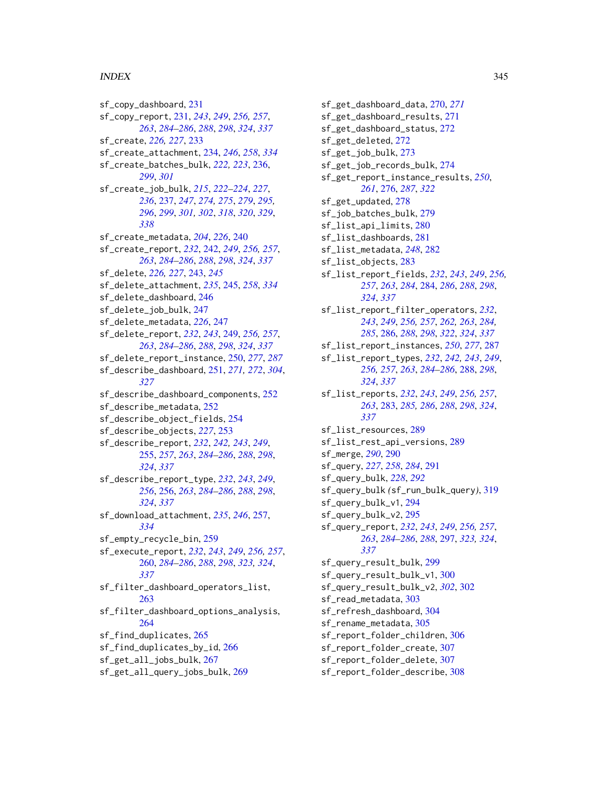#### $I<sub>N</sub>$  and  $245$

sf\_copy\_dashboard, [231](#page-230-1) sf\_copy\_report, [231,](#page-230-1) *[243](#page-242-0)*, *[249](#page-248-1)*, *[256,](#page-255-1) [257](#page-256-1)*, *[263](#page-262-0)*, *[284](#page-283-1)[–286](#page-285-1)*, *[288](#page-287-1)*, *[298](#page-297-0)*, *[324](#page-323-0)*, *[337](#page-336-0)* sf\_create, *[226,](#page-225-0) [227](#page-226-0)*, [233](#page-232-0) sf\_create\_attachment, [234,](#page-233-1) *[246](#page-245-0)*, *[258](#page-257-0)*, *[334](#page-333-0)* sf\_create\_batches\_bulk, *[222,](#page-221-0) [223](#page-222-0)*, [236,](#page-235-0) *[299](#page-298-0)*, *[301](#page-300-0)* sf\_create\_job\_bulk, *[215](#page-214-0)*, *[222–](#page-221-0)[224](#page-223-0)*, *[227](#page-226-0)*, *[236](#page-235-0)*, [237,](#page-236-1) *[247](#page-246-0)*, *[274,](#page-273-0) [275](#page-274-0)*, *[279](#page-278-0)*, *[295,](#page-294-0) [296](#page-295-0)*, *[299](#page-298-0)*, *[301,](#page-300-0) [302](#page-301-0)*, *[318](#page-317-0)*, *[320](#page-319-0)*, *[329](#page-328-0)*, *[338](#page-337-0)* sf\_create\_metadata, *[204](#page-203-0)*, *[226](#page-225-0)*, [240](#page-239-0) sf\_create\_report, *[232](#page-231-0)*, [242,](#page-241-1) *[249](#page-248-1)*, *[256,](#page-255-1) [257](#page-256-1)*, *[263](#page-262-0)*, *[284](#page-283-1)[–286](#page-285-1)*, *[288](#page-287-1)*, *[298](#page-297-0)*, *[324](#page-323-0)*, *[337](#page-336-0)* sf\_delete, *[226,](#page-225-0) [227](#page-226-0)*, [243,](#page-242-0) *[245](#page-244-1)* sf\_delete\_attachment, *[235](#page-234-0)*, [245,](#page-244-1) *[258](#page-257-0)*, *[334](#page-333-0)* sf\_delete\_dashboard, [246](#page-245-0) sf\_delete\_job\_bulk, [247](#page-246-0) sf\_delete\_metadata, *[226](#page-225-0)*, [247](#page-246-0) sf\_delete\_report, *[232](#page-231-0)*, *[243](#page-242-0)*, [249,](#page-248-1) *[256,](#page-255-1) [257](#page-256-1)*, *[263](#page-262-0)*, *[284](#page-283-1)[–286](#page-285-1)*, *[288](#page-287-1)*, *[298](#page-297-0)*, *[324](#page-323-0)*, *[337](#page-336-0)* sf\_delete\_report\_instance, [250,](#page-249-0) *[277](#page-276-0)*, *[287](#page-286-0)* sf\_describe\_dashboard, [251,](#page-250-1) *[271,](#page-270-0) [272](#page-271-0)*, *[304](#page-303-0)*, *[327](#page-326-0)* sf\_describe\_dashboard\_components, [252](#page-251-0) sf\_describe\_metadata, [252](#page-251-0) sf\_describe\_object\_fields, [254](#page-253-0) sf\_describe\_objects, *[227](#page-226-0)*, [253](#page-252-0) sf\_describe\_report, *[232](#page-231-0)*, *[242,](#page-241-1) [243](#page-242-0)*, *[249](#page-248-1)*, [255,](#page-254-1) *[257](#page-256-1)*, *[263](#page-262-0)*, *[284–](#page-283-1)[286](#page-285-1)*, *[288](#page-287-1)*, *[298](#page-297-0)*, *[324](#page-323-0)*, *[337](#page-336-0)* sf\_describe\_report\_type, *[232](#page-231-0)*, *[243](#page-242-0)*, *[249](#page-248-1)*, *[256](#page-255-1)*, [256,](#page-255-1) *[263](#page-262-0)*, *[284–](#page-283-1)[286](#page-285-1)*, *[288](#page-287-1)*, *[298](#page-297-0)*, *[324](#page-323-0)*, *[337](#page-336-0)* sf\_download\_attachment, *[235](#page-234-0)*, *[246](#page-245-0)*, [257,](#page-256-1) *[334](#page-333-0)* sf\_empty\_recycle\_bin, [259](#page-258-0) sf\_execute\_report, *[232](#page-231-0)*, *[243](#page-242-0)*, *[249](#page-248-1)*, *[256,](#page-255-1) [257](#page-256-1)*, [260,](#page-259-1) *[284](#page-283-1)[–286](#page-285-1)*, *[288](#page-287-1)*, *[298](#page-297-0)*, *[323,](#page-322-0) [324](#page-323-0)*, *[337](#page-336-0)* sf\_filter\_dashboard\_operators\_list, [263](#page-262-0) sf\_filter\_dashboard\_options\_analysis, [264](#page-263-0) sf\_find\_duplicates, [265](#page-264-0) sf\_find\_duplicates\_by\_id, [266](#page-265-0) sf\_get\_all\_jobs\_bulk, [267](#page-266-0) sf\_get\_all\_query\_jobs\_bulk, [269](#page-268-0)

sf\_get\_dashboard\_data, [270,](#page-269-0) *[271](#page-270-0)* sf\_get\_dashboard\_results, [271](#page-270-0) sf\_get\_dashboard\_status, [272](#page-271-0) sf\_get\_deleted, [272](#page-271-0) sf\_get\_job\_bulk, [273](#page-272-0) sf\_get\_job\_records\_bulk, [274](#page-273-0) sf\_get\_report\_instance\_results, *[250](#page-249-0)*, *[261](#page-260-0)*, [276,](#page-275-0) *[287](#page-286-0)*, *[322](#page-321-0)* sf\_get\_updated, [278](#page-277-0) sf\_job\_batches\_bulk, [279](#page-278-0) sf\_list\_api\_limits, [280](#page-279-0) sf\_list\_dashboards, [281](#page-280-0) sf\_list\_metadata, *[248](#page-247-0)*, [282](#page-281-0) sf\_list\_objects, [283](#page-282-1) sf\_list\_report\_fields, *[232](#page-231-0)*, *[243](#page-242-0)*, *[249](#page-248-1)*, *[256,](#page-255-1) [257](#page-256-1)*, *[263](#page-262-0)*, *[284](#page-283-1)*, [284,](#page-283-1) *[286](#page-285-1)*, *[288](#page-287-1)*, *[298](#page-297-0)*, *[324](#page-323-0)*, *[337](#page-336-0)* sf\_list\_report\_filter\_operators, *[232](#page-231-0)*, *[243](#page-242-0)*, *[249](#page-248-1)*, *[256,](#page-255-1) [257](#page-256-1)*, *[262,](#page-261-0) [263](#page-262-0)*, *[284,](#page-283-1) [285](#page-284-0)*, [286,](#page-285-1) *[288](#page-287-1)*, *[298](#page-297-0)*, *[322](#page-321-0)*, *[324](#page-323-0)*, *[337](#page-336-0)* sf\_list\_report\_instances, *[250](#page-249-0)*, *[277](#page-276-0)*, [287](#page-286-0) sf\_list\_report\_types, *[232](#page-231-0)*, *[242,](#page-241-1) [243](#page-242-0)*, *[249](#page-248-1)*, *[256,](#page-255-1) [257](#page-256-1)*, *[263](#page-262-0)*, *[284](#page-283-1)[–286](#page-285-1)*, [288,](#page-287-1) *[298](#page-297-0)*, *[324](#page-323-0)*, *[337](#page-336-0)* sf\_list\_reports, *[232](#page-231-0)*, *[243](#page-242-0)*, *[249](#page-248-1)*, *[256,](#page-255-1) [257](#page-256-1)*, *[263](#page-262-0)*, [283,](#page-282-1) *[285,](#page-284-0) [286](#page-285-1)*, *[288](#page-287-1)*, *[298](#page-297-0)*, *[324](#page-323-0)*, *[337](#page-336-0)* sf\_list\_resources, [289](#page-288-0) sf\_list\_rest\_api\_versions, [289](#page-288-0) sf\_merge, *[290](#page-289-0)*, [290](#page-289-0) sf\_query, *[227](#page-226-0)*, *[258](#page-257-0)*, *[284](#page-283-1)*, [291](#page-290-0) sf\_query\_bulk, *[228](#page-227-0)*, *[292](#page-291-0)* sf\_query\_bulk *(*sf\_run\_bulk\_query*)*, [319](#page-318-0) sf\_query\_bulk\_v1, [294](#page-293-0) sf\_query\_bulk\_v2, [295](#page-294-0) sf\_query\_report, *[232](#page-231-0)*, *[243](#page-242-0)*, *[249](#page-248-1)*, *[256,](#page-255-1) [257](#page-256-1)*, *[263](#page-262-0)*, *[284](#page-283-1)[–286](#page-285-1)*, *[288](#page-287-1)*, [297,](#page-296-1) *[323,](#page-322-0) [324](#page-323-0)*, *[337](#page-336-0)* sf\_query\_result\_bulk, [299](#page-298-0) sf\_query\_result\_bulk\_v1, [300](#page-299-0) sf\_query\_result\_bulk\_v2, *[302](#page-301-0)*, [302](#page-301-0) sf\_read\_metadata, [303](#page-302-0) sf\_refresh\_dashboard, [304](#page-303-0) sf\_rename\_metadata, [305](#page-304-0) sf\_report\_folder\_children, [306](#page-305-0) sf\_report\_folder\_create, [307](#page-306-0) sf\_report\_folder\_delete, [307](#page-306-0) sf\_report\_folder\_describe, [308](#page-307-0)